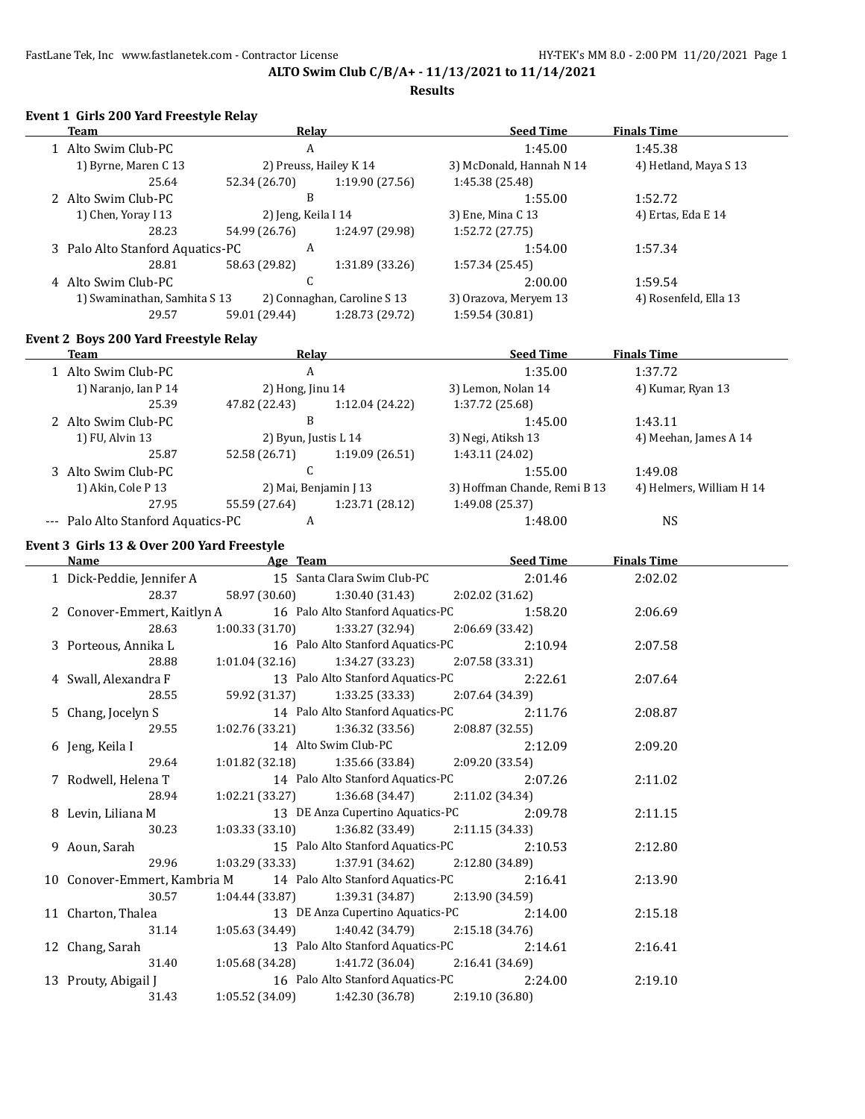**Results**

#### **Event 1 Girls 200 Yard Freestyle Relay**

| and 400 raid ricestyle nearly<br><b>Team</b> | <b>Relay</b>                      | <b>Seed Time</b>             | <b>Finals Time</b>       |
|----------------------------------------------|-----------------------------------|------------------------------|--------------------------|
| 1 Alto Swim Club-PC                          | A                                 | 1:45.00                      | 1:45.38                  |
| 1) Byrne, Maren C 13                         | 2) Preuss, Hailey K 14            | 3) McDonald, Hannah N 14     | 4) Hetland, Maya S 13    |
| 25.64                                        | 52.34 (26.70)<br>1:19.90 (27.56)  | 1:45.38 (25.48)              |                          |
| 2 Alto Swim Club-PC                          | B                                 | 1:55.00                      | 1:52.72                  |
| 1) Chen, Yoray I 13                          | 2) Jeng, Keila I 14               | 3) Ene, Mina C 13            | 4) Ertas, Eda E 14       |
| 28.23                                        | 54.99 (26.76)<br>1:24.97 (29.98)  | 1:52.72(27.75)               |                          |
| 3 Palo Alto Stanford Aquatics-PC             | A                                 | 1:54.00                      | 1:57.34                  |
| 28.81                                        | 58.63 (29.82)<br>1:31.89 (33.26)  | 1:57.34(25.45)               |                          |
| 4 Alto Swim Club-PC                          | $\mathsf{C}$                      | 2:00.00                      | 1:59.54                  |
| 1) Swaminathan, Samhita S 13                 | 2) Connaghan, Caroline S 13       | 3) Orazova, Meryem 13        | 4) Rosenfeld, Ella 13    |
| 29.57                                        | 59.01 (29.44)<br>1:28.73 (29.72)  | 1:59.54 (30.81)              |                          |
| <b>Event 2 Boys 200 Yard Freestyle Relay</b> |                                   |                              |                          |
| <b>Team</b>                                  | <b>Relay</b>                      | <b>Seed Time</b>             | <b>Finals Time</b>       |
| 1 Alto Swim Club-PC                          | $\mathbf{A}$                      | 1:35.00                      | 1:37.72                  |
| 1) Naranjo, Ian P 14                         | 2) Hong, Jinu 14                  | 3) Lemon, Nolan 14           | 4) Kumar, Ryan 13        |
| 25.39                                        | 47.82 (22.43)<br>1:12.04 (24.22)  | 1:37.72 (25.68)              |                          |
| 2 Alto Swim Club-PC                          | $\, {\bf B}$                      | 1:45.00                      | 1:43.11                  |
| 1) FU, Alvin 13                              | 2) Byun, Justis L 14              | 3) Negi, Atiksh 13           | 4) Meehan, James A 14    |
| 25.87                                        | 52.58 (26.71)<br>1:19.09 (26.51)  | 1:43.11 (24.02)              |                          |
| 3 Alto Swim Club-PC                          | $\mathsf{C}$                      | 1:55.00                      | 1:49.08                  |
| 1) Akin, Cole P 13                           | 2) Mai, Benjamin J 13             | 3) Hoffman Chande, Remi B 13 | 4) Helmers, William H 14 |
| 27.95                                        | 55.59 (27.64)<br>1:23.71 (28.12)  | 1:49.08 (25.37)              |                          |
| --- Palo Alto Stanford Aquatics-PC           | A                                 | 1:48.00                      | <b>NS</b>                |
| Event 3 Girls 13 & Over 200 Yard Freestyle   |                                   |                              |                          |
| Name                                         | <b>Example 2016</b> Age Team      | <b>Seed Time</b>             | <b>Finals Time</b>       |
| 1 Dick-Peddie, Jennifer A                    | 15 Santa Clara Swim Club-PC       | 2:01.46                      | 2:02.02                  |
| 28.37                                        | 58.97 (30.60)<br>1:30.40(31.43)   | 2:02.02 (31.62)              |                          |
| 2 Conover-Emmert, Kaitlyn A                  | 16 Palo Alto Stanford Aquatics-PC | 1:58.20                      | 2:06.69                  |
| 28.63                                        | 1:00.33(31.70)<br>1:33.27 (32.94) | 2:06.69 (33.42)              |                          |
| 3 Porteous, Annika L                         | 16 Palo Alto Stanford Aquatics-PC | 2:10.94                      | 2:07.58                  |
| 28.88                                        | 1:34.27(33.23)<br>1:01.04(32.16)  | 2:07.58 (33.31)              |                          |
| 4 Swall, Alexandra F                         | 13 Palo Alto Stanford Aquatics-PC | 2:22.61                      | 2:07.64                  |
| 28.55                                        | 59.92 (31.37)<br>1:33.25(33.33)   | 2:07.64 (34.39)              |                          |
| 5 Chang, Jocelyn S                           | 14 Palo Alto Stanford Aquatics-PC | 2:11.76                      | 2:08.87                  |
| 29.55                                        | 1:02.76 (33.21)<br>1:36.32(33.56) | 2:08.87 (32.55)              |                          |
| 6 Jeng, Keila I                              | 14 Alto Swim Club-PC              | 2:12.09                      | 2:09.20                  |
| 29.64                                        | 1:01.82(32.18)<br>1:35.66 (33.84) | 2:09.20 (33.54)              |                          |
| 7 Rodwell, Helena T                          | 14 Palo Alto Stanford Aquatics-PC | 2:07.26                      | 2:11.02                  |

| $\mu$ rouwell, ricities r                                              |                                                       |                                           | <u>___</u> ___ |
|------------------------------------------------------------------------|-------------------------------------------------------|-------------------------------------------|----------------|
| 28.94                                                                  | $1:02.21(33.27)$ $1:36.68(34.47)$ $2:11.02(34.34)$    |                                           |                |
| 8 Levin, Liliana M                                                     |                                                       | 13 DE Anza Cupertino Aquatics-PC 2:09.78  | 2:11.15        |
| 30.23                                                                  | $1:03.33(33.10)$ $1:36.82(33.49)$ $2:11.15(34.33)$    |                                           |                |
| 9 Aoun, Sarah                                                          |                                                       | 15 Palo Alto Stanford Aquatics-PC 2:10.53 | 2:12.80        |
| 29.96                                                                  | $1:03.29$ (33.33) $1:37.91$ (34.62) $2:12.80$ (34.89) |                                           |                |
| 10 Conover-Emmert, Kambria M 14 Palo Alto Stanford Aquatics-PC 2:16.41 |                                                       |                                           | 2:13.90        |
| 30.57                                                                  | $1:04.44(33.87)$ $1:39.31(34.87)$ $2:13.90(34.59)$    |                                           |                |
| 11 Charton, Thalea                                                     |                                                       | 13 DE Anza Cupertino Aquatics-PC 2:14.00  | 2:15.18        |
| 31.14                                                                  | $1:05.63(34.49)$ $1:40.42(34.79)$ $2:15.18(34.76)$    |                                           |                |
| 12 Chang, Sarah                                                        |                                                       | 13 Palo Alto Stanford Aquatics-PC 2:14.61 | 2:16.41        |
| 31.40                                                                  | $1:05.68(34.28)$ $1:41.72(36.04)$ $2:16.41(34.69)$    |                                           |                |
| 13 Prouty, Abigail J                                                   |                                                       | 16 Palo Alto Stanford Aquatics-PC 2:24.00 | 2:19.10        |
| 31.43                                                                  | $1:05.52(34.09)$ $1:42.30(36.78)$ $2:19.10(36.80)$    |                                           |                |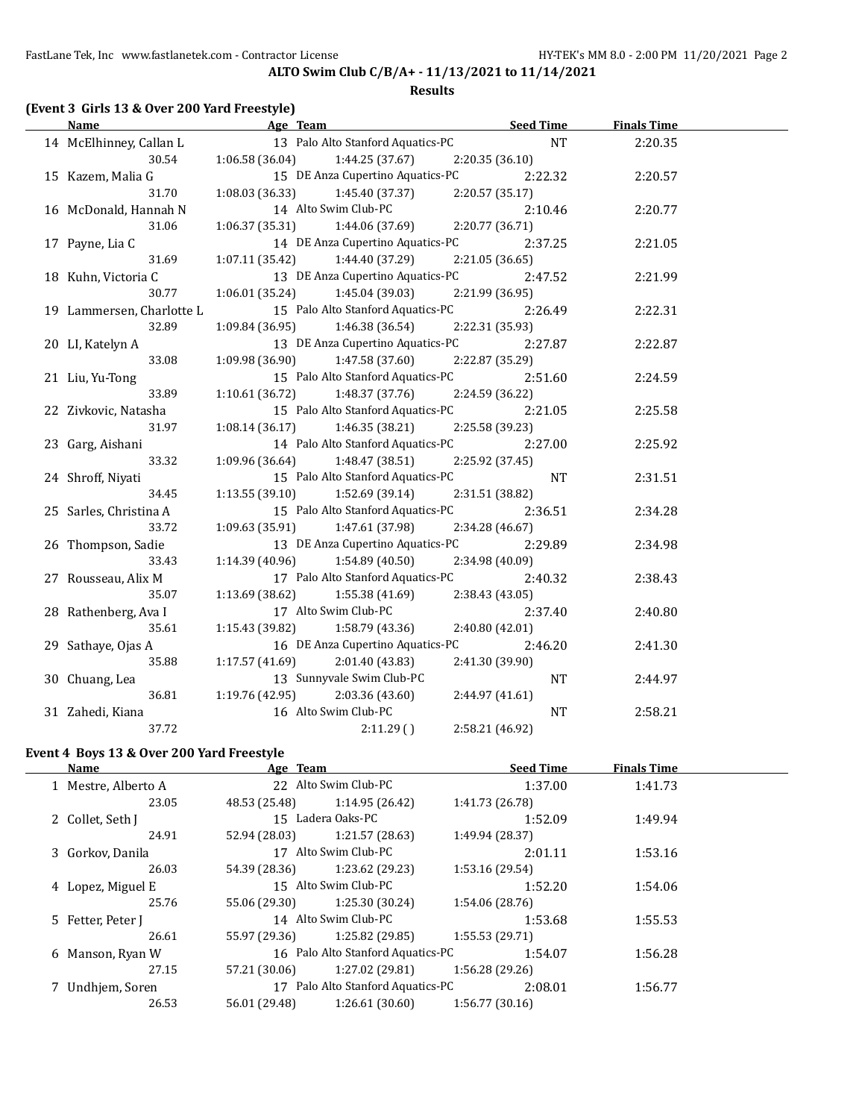## **ALTO Swim Club C/B/A+ - 11/13/2021 to 11/14/2021 Results**

## **(Event 3 Girls 13 & Over 200 Yard Freestyle)**

| <b>Name</b>               | <b>Example 2</b> Age Team               | <u>Seed Time</u> | <b>Finals Time</b> |  |
|---------------------------|-----------------------------------------|------------------|--------------------|--|
| 14 McElhinney, Callan L   | 13 Palo Alto Stanford Aquatics-PC       | NT               | 2:20.35            |  |
| 30.54                     | $1:06.58(36.04)$ $1:44.25(37.67)$       | 2:20.35 (36.10)  |                    |  |
| 15 Kazem, Malia G         | 15 DE Anza Cupertino Aquatics-PC        | 2:22.32          | 2:20.57            |  |
| 31.70                     | $1:08.03(36.33)$ $1:45.40(37.37)$       | 2:20.57 (35.17)  |                    |  |
| 16 McDonald, Hannah N     | 14 Alto Swim Club-PC                    | 2:10.46          | 2:20.77            |  |
| 31.06                     | $1:06.37(35.31)$ $1:44.06(37.69)$       | 2:20.77 (36.71)  |                    |  |
| 17 Payne, Lia C           | 14 DE Anza Cupertino Aquatics-PC        | 2:37.25          | 2:21.05            |  |
| 31.69                     | $1:07.11(35.42)$ $1:44.40(37.29)$       | 2:21.05 (36.65)  |                    |  |
| 18 Kuhn, Victoria C       | 13 DE Anza Cupertino Aquatics-PC        | 2:47.52          | 2:21.99            |  |
| 30.77                     | $1:06.01(35.24)$ $1:45.04(39.03)$       | 2:21.99(36.95)   |                    |  |
| 19 Lammersen, Charlotte L | 15 Palo Alto Stanford Aquatics-PC       | 2:26.49          | 2:22.31            |  |
| 32.89                     | $1:09.84(36.95)$ $1:46.38(36.54)$       | 2:22.31 (35.93)  |                    |  |
| 20 LI, Katelyn A          | 13 DE Anza Cupertino Aquatics-PC        | 2:27.87          | 2:22.87            |  |
| 33.08                     | 1:47.58 (37.60)<br>1:09.98 (36.90)      | 2:22.87 (35.29)  |                    |  |
| 21 Liu, Yu-Tong           | 15 Palo Alto Stanford Aquatics-PC       | 2:51.60          | 2:24.59            |  |
| 33.89                     | 1:10.61 (36.72)<br>1:48.37 (37.76)      | 2:24.59 (36.22)  |                    |  |
| 22 Zivkovic, Natasha      | 15 Palo Alto Stanford Aquatics-PC       | 2:21.05          | 2:25.58            |  |
| 31.97                     | 1:46.35 (38.21)<br>1:08.14(36.17)       | 2:25.58 (39.23)  |                    |  |
| 23 Garg, Aishani          | 14 Palo Alto Stanford Aquatics-PC       | 2:27.00          | 2:25.92            |  |
| 33.32                     | 1:09.96 (36.64)<br>1:48.47 (38.51)      | 2:25.92 (37.45)  |                    |  |
| 24 Shroff, Niyati         | 15 Palo Alto Stanford Aquatics-PC       | <b>NT</b>        | 2:31.51            |  |
| 34.45                     | 1:13.55(39.10)<br>1:52.69 (39.14)       | 2:31.51 (38.82)  |                    |  |
| 25 Sarles, Christina A    | 15 Palo Alto Stanford Aquatics-PC       | 2:36.51          | 2:34.28            |  |
| 33.72                     | 1:09.63 (35.91)<br>1:47.61 (37.98)      | 2:34.28 (46.67)  |                    |  |
| 26 Thompson, Sadie        | 13 DE Anza Cupertino Aquatics-PC        | 2:29.89          | 2:34.98            |  |
| 33.43                     | $1:14.39(40.96)$ $1:54.89(40.50)$       | 2:34.98 (40.09)  |                    |  |
| 27 Rousseau, Alix M       | 17 Palo Alto Stanford Aquatics-PC       | 2:40.32          | 2:38.43            |  |
| 35.07                     | $1:13.69$ $(38.62)$ $1:55.38$ $(41.69)$ | 2:38.43 (43.05)  |                    |  |
| 28 Rathenberg, Ava I      | 17 Alto Swim Club-PC                    | 2:37.40          | 2:40.80            |  |
| 35.61                     | $1:15.43(39.82)$ $1:58.79(43.36)$       | 2:40.80(42.01)   |                    |  |
| 29 Sathaye, Ojas A        | 16 DE Anza Cupertino Aquatics-PC        | 2:46.20          | 2:41.30            |  |
| 35.88                     | $1:17.57(41.69)$ $2:01.40(43.83)$       | 2:41.30 (39.90)  |                    |  |
| 30 Chuang, Lea            | 13 Sunnyvale Swim Club-PC               | <b>NT</b>        | 2:44.97            |  |
| 36.81                     | $1:19.76(42.95)$ $2:03.36(43.60)$       | 2:44.97 (41.61)  |                    |  |
| 31 Zahedi, Kiana          | 16 Alto Swim Club-PC                    | <b>NT</b>        | 2:58.21            |  |
| 37.72                     | 2:11.29()                               | 2:58.21 (46.92)  |                    |  |

## **Event 4 Boys 13 & Over 200 Yard Freestyle**

| Name                | Age Team      |                                   | <b>Seed Time</b> | <b>Finals Time</b> |  |
|---------------------|---------------|-----------------------------------|------------------|--------------------|--|
| 1 Mestre, Alberto A |               | 22 Alto Swim Club-PC              | 1:37.00          | 1:41.73            |  |
| 23.05               | 48.53 (25.48) | 1:14.95 (26.42)                   | 1:41.73 (26.78)  |                    |  |
| 2 Collet, Seth J    |               | 15 Ladera Oaks-PC                 | 1:52.09          | 1:49.94            |  |
| 24.91               | 52.94 (28.03) | 1:21.57 (28.63)                   | 1:49.94 (28.37)  |                    |  |
| 3 Gorkov, Danila    |               | 17 Alto Swim Club-PC              | 2:01.11          | 1:53.16            |  |
| 26.03               | 54.39 (28.36) | 1:23.62 (29.23)                   | 1:53.16 (29.54)  |                    |  |
| 4 Lopez, Miguel E   |               | 15 Alto Swim Club-PC              | 1:52.20          | 1:54.06            |  |
| 25.76               | 55.06 (29.30) | 1:25.30 (30.24)                   | 1:54.06 (28.76)  |                    |  |
| 5 Fetter, Peter J   |               | 14 Alto Swim Club-PC              | 1:53.68          | 1:55.53            |  |
| 26.61               | 55.97 (29.36) | 1:25.82 (29.85)                   | 1:55.53(29.71)   |                    |  |
| 6 Manson, Ryan W    |               | 16 Palo Alto Stanford Aquatics-PC | 1:54.07          | 1:56.28            |  |
| 27.15               | 57.21 (30.06) | 1:27.02 (29.81)                   | 1:56.28(29.26)   |                    |  |
| 7 Undhjem, Soren    |               | 17 Palo Alto Stanford Aquatics-PC | 2:08.01          | 1:56.77            |  |
| 26.53               | 56.01 (29.48) | 1:26.61(30.60)                    | 1:56.77(30.16)   |                    |  |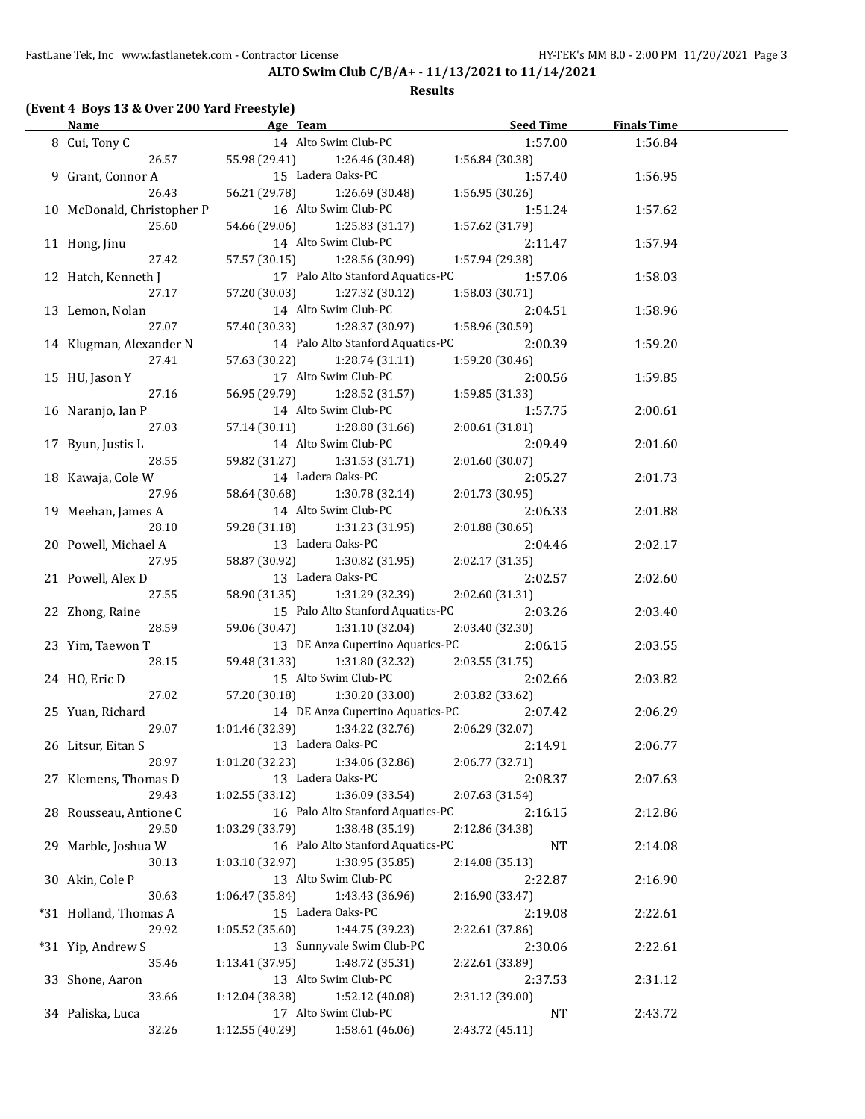#### **Results**

## **(Event 4 Boys 13 & Over 200 Yard Freestyle)**

| <b>Name</b>                |                                   | Age Team and the state of the state of the state of the state of the state of the state of the state of the state of the state of the state of the state of the state of the state of the state of the state of the state of t | <b>Seed Time</b> | <b>Finals Time</b> |  |
|----------------------------|-----------------------------------|--------------------------------------------------------------------------------------------------------------------------------------------------------------------------------------------------------------------------------|------------------|--------------------|--|
| 8 Cui, Tony C              | 14 Alto Swim Club-PC              |                                                                                                                                                                                                                                | 1:57.00          | 1:56.84            |  |
| 26.57                      | 55.98 (29.41) 1:26.46 (30.48)     |                                                                                                                                                                                                                                | 1:56.84(30.38)   |                    |  |
| 9 Grant, Connor A          | 15 Ladera Oaks-PC                 |                                                                                                                                                                                                                                | 1:57.40          | 1:56.95            |  |
| 26.43                      | 56.21 (29.78)                     | 1:26.69 (30.48)                                                                                                                                                                                                                | 1:56.95 (30.26)  |                    |  |
| 10 McDonald, Christopher P | 16 Alto Swim Club-PC              |                                                                                                                                                                                                                                | 1:51.24          | 1:57.62            |  |
| 25.60                      | 54.66 (29.06)                     | 1:25.83 (31.17)                                                                                                                                                                                                                | 1:57.62 (31.79)  |                    |  |
| 11 Hong, Jinu              | 14 Alto Swim Club-PC              |                                                                                                                                                                                                                                | 2:11.47          | 1:57.94            |  |
| 27.42                      | 57.57 (30.15)                     | 1:28.56 (30.99)                                                                                                                                                                                                                | 1:57.94 (29.38)  |                    |  |
| 12 Hatch, Kenneth J        |                                   | 17 Palo Alto Stanford Aquatics-PC                                                                                                                                                                                              | 1:57.06          | 1:58.03            |  |
| 27.17                      | 57.20 (30.03)                     | 1:27.32 (30.12)                                                                                                                                                                                                                | 1:58.03(30.71)   |                    |  |
| 13 Lemon, Nolan            | 14 Alto Swim Club-PC              |                                                                                                                                                                                                                                | 2:04.51          | 1:58.96            |  |
| 27.07                      | 57.40 (30.33)                     | 1:28.37 (30.97)                                                                                                                                                                                                                | 1:58.96 (30.59)  |                    |  |
| 14 Klugman, Alexander N    |                                   | 14 Palo Alto Stanford Aquatics-PC                                                                                                                                                                                              | 2:00.39          | 1:59.20            |  |
| 27.41                      | 57.63 (30.22)                     | 1:28.74 (31.11)                                                                                                                                                                                                                | 1:59.20 (30.46)  |                    |  |
| 15 HU, Jason Y             | 17 Alto Swim Club-PC              |                                                                                                                                                                                                                                | 2:00.56          | 1:59.85            |  |
| 27.16                      | 56.95 (29.79) 1:28.52 (31.57)     |                                                                                                                                                                                                                                | 1:59.85(31.33)   |                    |  |
| 16 Naranjo, Ian P          | 14 Alto Swim Club-PC              |                                                                                                                                                                                                                                | 1:57.75          | 2:00.61            |  |
| 27.03                      | 57.14 (30.11) 1:28.80 (31.66)     |                                                                                                                                                                                                                                | 2:00.61(31.81)   |                    |  |
| 17 Byun, Justis L          | 14 Alto Swim Club-PC              |                                                                                                                                                                                                                                | 2:09.49          | 2:01.60            |  |
| 28.55                      | 59.82 (31.27) 1:31.53 (31.71)     |                                                                                                                                                                                                                                | 2:01.60(30.07)   |                    |  |
| 18 Kawaja, Cole W          | 14 Ladera Oaks-PC                 |                                                                                                                                                                                                                                | 2:05.27          | 2:01.73            |  |
| 27.96                      | 58.64 (30.68)                     | 1:30.78 (32.14)                                                                                                                                                                                                                | 2:01.73 (30.95)  |                    |  |
| 19 Meehan, James A         | 14 Alto Swim Club-PC              |                                                                                                                                                                                                                                | 2:06.33          | 2:01.88            |  |
| 28.10                      | 59.28 (31.18) 1:31.23 (31.95)     |                                                                                                                                                                                                                                | 2:01.88(30.65)   |                    |  |
| 20 Powell, Michael A       | 13 Ladera Oaks-PC                 |                                                                                                                                                                                                                                | 2:04.46          | 2:02.17            |  |
| 27.95                      | 58.87 (30.92) 1:30.82 (31.95)     |                                                                                                                                                                                                                                | 2:02.17 (31.35)  |                    |  |
| 21 Powell, Alex D          | 13 Ladera Oaks-PC                 |                                                                                                                                                                                                                                | 2:02.57          |                    |  |
| 27.55                      | 58.90 (31.35) 1:31.29 (32.39)     |                                                                                                                                                                                                                                | 2:02.60 (31.31)  | 2:02.60            |  |
|                            |                                   | 15 Palo Alto Stanford Aquatics-PC                                                                                                                                                                                              | 2:03.26          |                    |  |
| 22 Zhong, Raine<br>28.59   | 59.06 (30.47) 1:31.10 (32.04)     |                                                                                                                                                                                                                                | 2:03.40 (32.30)  | 2:03.40            |  |
|                            |                                   |                                                                                                                                                                                                                                |                  |                    |  |
| 23 Yim, Taewon T           |                                   | 13 DE Anza Cupertino Aquatics-PC                                                                                                                                                                                               | 2:06.15          | 2:03.55            |  |
| 28.15                      | 59.48 (31.33) 1:31.80 (32.32)     | 15 Alto Swim Club-PC                                                                                                                                                                                                           | 2:03.55(31.75)   |                    |  |
| 24 HO, Eric D              |                                   |                                                                                                                                                                                                                                | 2:02.66          | 2:03.82            |  |
| 27.02                      | 57.20 (30.18) 1:30.20 (33.00)     |                                                                                                                                                                                                                                | 2:03.82 (33.62)  |                    |  |
| 25 Yuan, Richard           |                                   | 14 DE Anza Cupertino Aquatics-PC                                                                                                                                                                                               | 2:07.42          | 2:06.29            |  |
| 29.07                      | $1:01.46(32.39)$ $1:34.22(32.76)$ |                                                                                                                                                                                                                                | 2:06.29 (32.07)  |                    |  |
| 26 Litsur, Eitan S         | 13 Ladera Oaks-PC                 |                                                                                                                                                                                                                                | 2:14.91          | 2:06.77            |  |
| 28.97                      | 1:01.20 (32.23)                   | 1:34.06 (32.86)                                                                                                                                                                                                                | 2:06.77 (32.71)  |                    |  |
| 27 Klemens, Thomas D       | 13 Ladera Oaks-PC                 |                                                                                                                                                                                                                                | 2:08.37          | 2:07.63            |  |
| 29.43                      | 1:02.55 (33.12)                   | 1:36.09 (33.54)                                                                                                                                                                                                                | 2:07.63 (31.54)  |                    |  |
| 28 Rousseau, Antione C     |                                   | 16 Palo Alto Stanford Aquatics-PC                                                                                                                                                                                              | 2:16.15          | 2:12.86            |  |
| 29.50                      | 1:03.29 (33.79)                   | 1:38.48 (35.19)                                                                                                                                                                                                                | 2:12.86 (34.38)  |                    |  |
| 29 Marble, Joshua W        |                                   | 16 Palo Alto Stanford Aquatics-PC                                                                                                                                                                                              | NT               | 2:14.08            |  |
| 30.13                      | 1:03.10 (32.97)                   | 1:38.95 (35.85)                                                                                                                                                                                                                | 2:14.08 (35.13)  |                    |  |
| 30 Akin, Cole P            | 13 Alto Swim Club-PC              |                                                                                                                                                                                                                                | 2:22.87          | 2:16.90            |  |
| 30.63                      | 1:06.47 (35.84)                   | 1:43.43 (36.96)                                                                                                                                                                                                                | 2:16.90 (33.47)  |                    |  |
| *31 Holland, Thomas A      | 15 Ladera Oaks-PC                 |                                                                                                                                                                                                                                | 2:19.08          | 2:22.61            |  |
| 29.92                      | 1:05.52 (35.60)                   | 1:44.75 (39.23)                                                                                                                                                                                                                | 2:22.61 (37.86)  |                    |  |
| *31 Yip, Andrew S          |                                   | 13 Sunnyvale Swim Club-PC                                                                                                                                                                                                      | 2:30.06          | 2:22.61            |  |
| 35.46                      | 1:13.41 (37.95)                   | 1:48.72 (35.31)                                                                                                                                                                                                                | 2:22.61 (33.89)  |                    |  |
| 33 Shone, Aaron            | 13 Alto Swim Club-PC              |                                                                                                                                                                                                                                | 2:37.53          | 2:31.12            |  |
| 33.66                      | 1:12.04 (38.38)                   | 1:52.12 (40.08)                                                                                                                                                                                                                | 2:31.12 (39.00)  |                    |  |
| 34 Paliska, Luca           | 17 Alto Swim Club-PC              |                                                                                                                                                                                                                                | NT               | 2:43.72            |  |
| 32.26                      | 1:12.55 (40.29)                   | 1:58.61 (46.06)                                                                                                                                                                                                                | 2:43.72 (45.11)  |                    |  |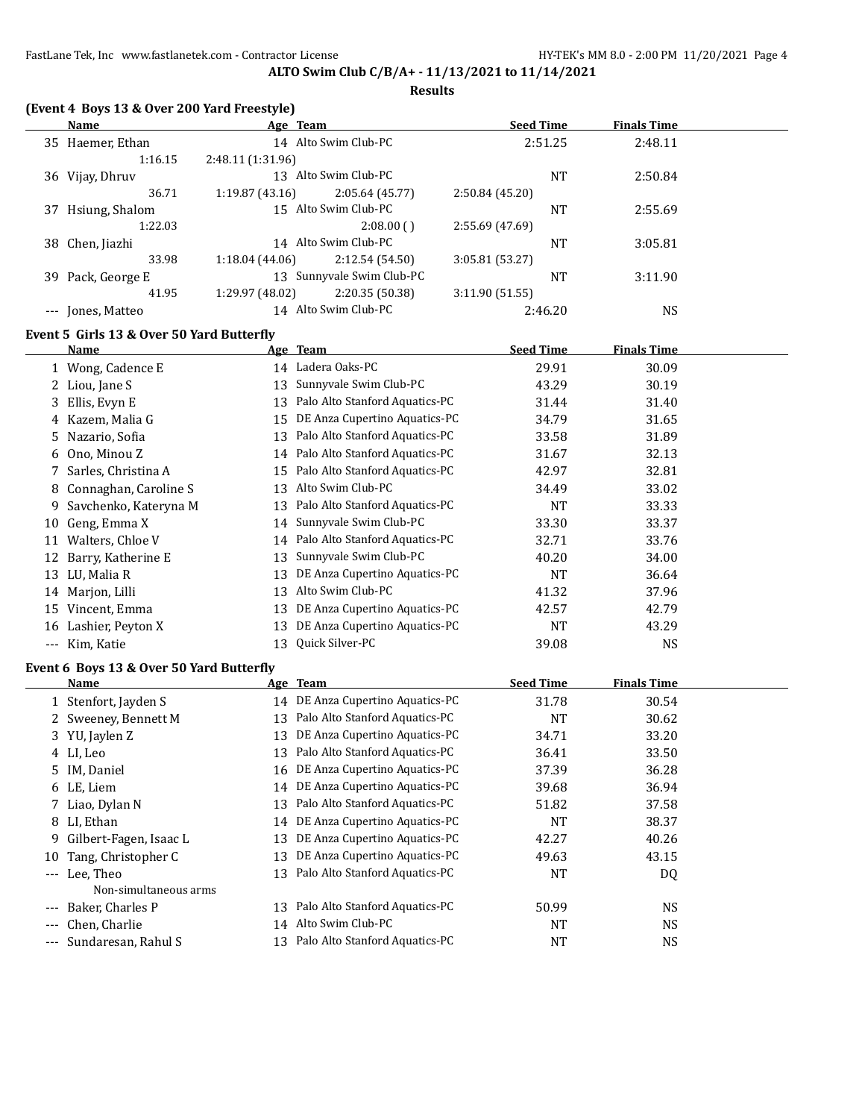#### **Results**

|         | (Event 4 Boys 13 & Over 200 Yard Freestyle) |  |
|---------|---------------------------------------------|--|
| $N = 0$ | $A \sim \pi$                                |  |

| Name                 |                   |                |                                                                                                                                                      |           | <b>Finals Time</b>                     |  |
|----------------------|-------------------|----------------|------------------------------------------------------------------------------------------------------------------------------------------------------|-----------|----------------------------------------|--|
| 35 Haemer, Ethan     |                   |                |                                                                                                                                                      |           | 2:48.11                                |  |
| 1:16.15              | 2:48.11 (1:31.96) |                |                                                                                                                                                      |           |                                        |  |
| 36 Vijay, Dhruv      | 13                |                |                                                                                                                                                      | <b>NT</b> | 2:50.84                                |  |
| 36.71                | 1:19.87(43.16)    | 2:05.64(45.77) | 2:50.84(45.20)                                                                                                                                       |           |                                        |  |
| Hsiung, Shalom<br>37 |                   |                |                                                                                                                                                      | <b>NT</b> | 2:55.69                                |  |
| 1:22.03              |                   | 2:08.00(       | 2:55.69 (47.69)                                                                                                                                      |           |                                        |  |
| 38 Chen, Jiazhi      | 14                |                |                                                                                                                                                      | <b>NT</b> | 3:05.81                                |  |
| 33.98                | 1:18.04(44.06)    | 2:12.54(54.50) | 3:05.81(53.27)                                                                                                                                       |           |                                        |  |
| 39 Pack, George E    | 13                |                |                                                                                                                                                      | <b>NT</b> | 3:11.90                                |  |
| 41.95                | 1:29.97 (48.02)   | 2:20.35(50.38) | 3:11.90(51.55)                                                                                                                                       |           |                                        |  |
| Jones, Matteo        |                   |                |                                                                                                                                                      |           | <b>NS</b>                              |  |
|                      |                   |                | Age Team<br>14 Alto Swim Club-PC<br>Alto Swim Club-PC<br>15 Alto Swim Club-PC<br>Alto Swim Club-PC<br>Sunnyvale Swim Club-PC<br>14 Alto Swim Club-PC |           | <b>Seed Time</b><br>2:51.25<br>2:46.20 |  |

## **Event 5 Girls 13 & Over 50 Yard Butterfly**

|    | Name                    |    | Age Team                          | <b>Seed Time</b> | <b>Finals Time</b> |  |
|----|-------------------------|----|-----------------------------------|------------------|--------------------|--|
|    | 1 Wong, Cadence E       |    | 14 Ladera Oaks-PC                 | 29.91            | 30.09              |  |
|    | 2 Liou, Jane S          | 13 | Sunnyvale Swim Club-PC            | 43.29            | 30.19              |  |
|    | 3 Ellis, Evyn E         | 13 | Palo Alto Stanford Aquatics-PC    | 31.44            | 31.40              |  |
|    | 4 Kazem, Malia G        | 15 | DE Anza Cupertino Aquatics-PC     | 34.79            | 31.65              |  |
|    | 5 Nazario, Sofia        | 13 | Palo Alto Stanford Aquatics-PC    | 33.58            | 31.89              |  |
|    | 6 Ono, Minou Z          |    | 14 Palo Alto Stanford Aquatics-PC | 31.67            | 32.13              |  |
|    | 7 Sarles, Christina A   |    | 15 Palo Alto Stanford Aquatics-PC | 42.97            | 32.81              |  |
|    | 8 Connaghan, Caroline S | 13 | Alto Swim Club-PC                 | 34.49            | 33.02              |  |
| 9. | Savchenko, Kateryna M   | 13 | Palo Alto Stanford Aquatics-PC    | NT               | 33.33              |  |
| 10 | Geng, Emma X            | 14 | Sunnyvale Swim Club-PC            | 33.30            | 33.37              |  |
| 11 | Walters, Chloe V        |    | 14 Palo Alto Stanford Aquatics-PC | 32.71            | 33.76              |  |
| 12 | Barry, Katherine E      | 13 | Sunnyvale Swim Club-PC            | 40.20            | 34.00              |  |
| 13 | LU, Malia R             | 13 | DE Anza Cupertino Aquatics-PC     | NT               | 36.64              |  |
|    | 14 Marjon, Lilli        | 13 | Alto Swim Club-PC                 | 41.32            | 37.96              |  |
| 15 | Vincent, Emma           | 13 | DE Anza Cupertino Aquatics-PC     | 42.57            | 42.79              |  |
| 16 | Lashier, Peyton X       | 13 | DE Anza Cupertino Aquatics-PC     | <b>NT</b>        | 43.29              |  |
|    | --- Kim, Katie          | 13 | Quick Silver-PC                   | 39.08            | NS                 |  |

#### **Event 6 Boys 13 & Over 50 Yard Butterfly**

|          | <b>Name</b>              |    | Age Team                         | <b>Seed Time</b> | <b>Finals Time</b> |  |
|----------|--------------------------|----|----------------------------------|------------------|--------------------|--|
|          | 1 Stenfort, Jayden S     | 14 | DE Anza Cupertino Aquatics-PC    | 31.78            | 30.54              |  |
|          | 2 Sweeney, Bennett M     | 13 | Palo Alto Stanford Aquatics-PC   | <b>NT</b>        | 30.62              |  |
|          | 3 YU, Jaylen Z           | 13 | DE Anza Cupertino Aquatics-PC    | 34.71            | 33.20              |  |
|          | 4 LI, Leo                | 13 | Palo Alto Stanford Aquatics-PC   | 36.41            | 33.50              |  |
|          | 5 IM, Daniel             |    | 16 DE Anza Cupertino Aquatics-PC | 37.39            | 36.28              |  |
|          | 6 LE, Liem               | 14 | DE Anza Cupertino Aquatics-PC    | 39.68            | 36.94              |  |
|          | 7 Liao, Dylan N          | 13 | Palo Alto Stanford Aquatics-PC   | 51.82            | 37.58              |  |
|          | 8 LI, Ethan              | 14 | DE Anza Cupertino Aquatics-PC    | <b>NT</b>        | 38.37              |  |
|          | 9 Gilbert-Fagen, Isaac L | 13 | DE Anza Cupertino Aquatics-PC    | 42.27            | 40.26              |  |
| 10       | Tang, Christopher C      | 13 | DE Anza Cupertino Aquatics-PC    | 49.63            | 43.15              |  |
| $\cdots$ | Lee. Theo                | 13 | Palo Alto Stanford Aquatics-PC   | <b>NT</b>        | DQ                 |  |
|          | Non-simultaneous arms    |    |                                  |                  |                    |  |
|          | Baker, Charles P         | 13 | Palo Alto Stanford Aquatics-PC   | 50.99            | <b>NS</b>          |  |
| $\cdots$ | Chen, Charlie            | 14 | Alto Swim Club-PC                | <b>NT</b>        | <b>NS</b>          |  |
|          | --- Sundaresan, Rahul S  | 13 | Palo Alto Stanford Aquatics-PC   | <b>NT</b>        | <b>NS</b>          |  |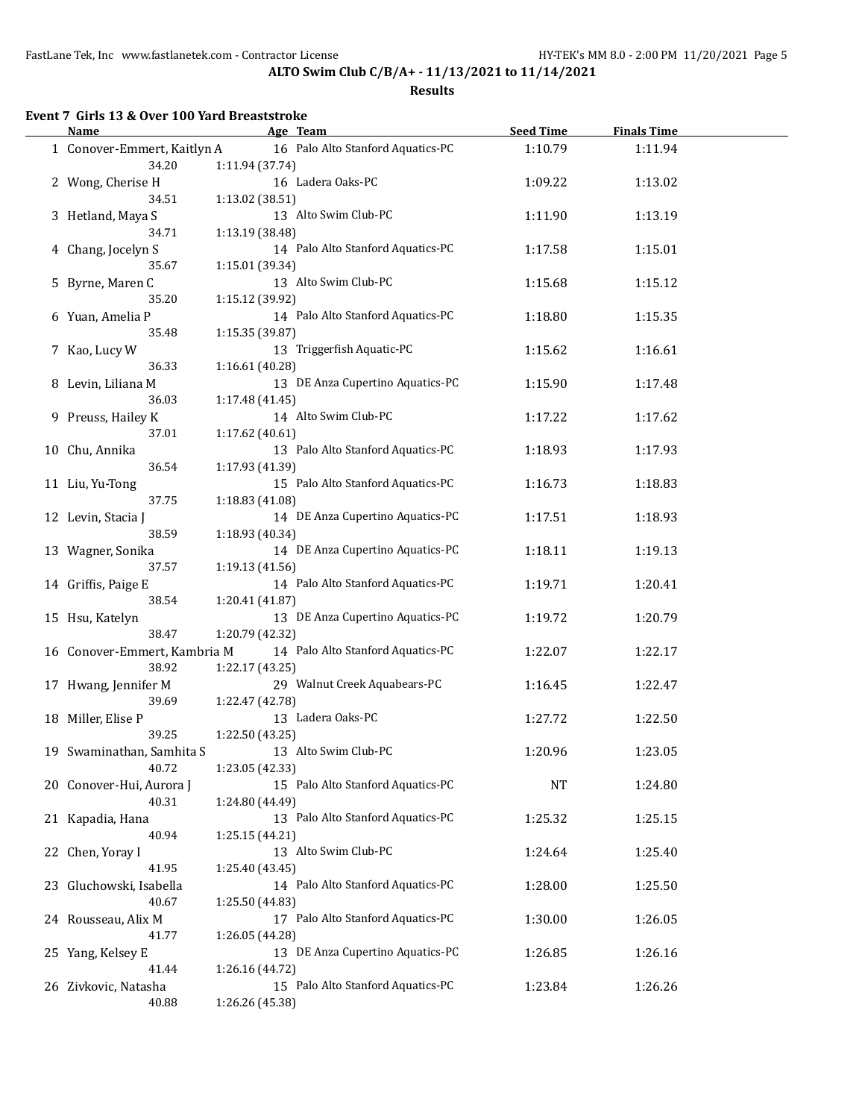#### **Results**

# **Event 7 Girls 13 & Over 100 Yard Breaststroke**

| Name                                  |                 | Age Team                          | <b>Seed Time</b> | <b>Finals Time</b> |  |
|---------------------------------------|-----------------|-----------------------------------|------------------|--------------------|--|
| 1 Conover-Emmert, Kaitlyn A<br>34.20  | 1:11.94 (37.74) | 16 Palo Alto Stanford Aquatics-PC | 1:10.79          | 1:11.94            |  |
| 2 Wong, Cherise H<br>34.51            |                 | 16 Ladera Oaks-PC                 | 1:09.22          | 1:13.02            |  |
| 3 Hetland, Maya S                     | 1:13.02 (38.51) | 13 Alto Swim Club-PC              | 1:11.90          | 1:13.19            |  |
| 34.71<br>4 Chang, Jocelyn S           | 1:13.19 (38.48) | 14 Palo Alto Stanford Aquatics-PC | 1:17.58          | 1:15.01            |  |
| 35.67<br>5 Byrne, Maren C             | 1:15.01 (39.34) | 13 Alto Swim Club-PC              | 1:15.68          | 1:15.12            |  |
| 35.20<br>6 Yuan, Amelia P             | 1:15.12 (39.92) | 14 Palo Alto Stanford Aquatics-PC | 1:18.80          | 1:15.35            |  |
| 35.48<br>7 Kao, Lucy W                | 1:15.35 (39.87) | 13 Triggerfish Aquatic-PC         | 1:15.62          | 1:16.61            |  |
| 36.33<br>8 Levin, Liliana M           | 1:16.61 (40.28) | 13 DE Anza Cupertino Aquatics-PC  | 1:15.90          | 1:17.48            |  |
| 36.03<br>9 Preuss, Hailey K           | 1:17.48 (41.45) | 14 Alto Swim Club-PC              | 1:17.22          | 1:17.62            |  |
| 37.01<br>10 Chu, Annika               | 1:17.62 (40.61) | 13 Palo Alto Stanford Aquatics-PC | 1:18.93          | 1:17.93            |  |
| 36.54<br>11 Liu, Yu-Tong              | 1:17.93 (41.39) | 15 Palo Alto Stanford Aquatics-PC | 1:16.73          | 1:18.83            |  |
| 37.75<br>12 Levin, Stacia J           | 1:18.83 (41.08) | 14 DE Anza Cupertino Aquatics-PC  | 1:17.51          | 1:18.93            |  |
| 38.59<br>13 Wagner, Sonika            | 1:18.93 (40.34) | 14 DE Anza Cupertino Aquatics-PC  | 1:18.11          | 1:19.13            |  |
| 37.57                                 | 1:19.13 (41.56) | 14 Palo Alto Stanford Aquatics-PC |                  |                    |  |
| 14 Griffis, Paige E<br>38.54          | 1:20.41 (41.87) | 13 DE Anza Cupertino Aquatics-PC  | 1:19.71          | 1:20.41            |  |
| 15 Hsu, Katelyn<br>38.47              | 1:20.79 (42.32) |                                   | 1:19.72          | 1:20.79            |  |
| 16 Conover-Emmert, Kambria M<br>38.92 | 1:22.17 (43.25) | 14 Palo Alto Stanford Aquatics-PC | 1:22.07          | 1:22.17            |  |
| 17 Hwang, Jennifer M<br>39.69         | 1:22.47 (42.78) | 29 Walnut Creek Aquabears-PC      | 1:16.45          | 1:22.47            |  |
| 18 Miller, Elise P<br>39.25           | 1:22.50 (43.25) | 13 Ladera Oaks-PC                 | 1:27.72          | 1:22.50            |  |
| 19 Swaminathan, Samhita S<br>40.72    | 1:23.05 (42.33) | 13 Alto Swim Club-PC              | 1:20.96          | 1:23.05            |  |
| 20 Conover-Hui, Aurora J<br>40.31     | 1:24.80 (44.49) | 15 Palo Alto Stanford Aquatics-PC | <b>NT</b>        | 1:24.80            |  |
| 21 Kapadia, Hana<br>40.94             | 1:25.15 (44.21) | 13 Palo Alto Stanford Aquatics-PC | 1:25.32          | 1:25.15            |  |
| 22 Chen, Yoray I<br>41.95             | 1:25.40 (43.45) | 13 Alto Swim Club-PC              | 1:24.64          | 1:25.40            |  |
| 23 Gluchowski, Isabella<br>40.67      | 1:25.50 (44.83) | 14 Palo Alto Stanford Aquatics-PC | 1:28.00          | 1:25.50            |  |
| 24 Rousseau, Alix M<br>41.77          | 1:26.05 (44.28) | 17 Palo Alto Stanford Aquatics-PC | 1:30.00          | 1:26.05            |  |
| 25 Yang, Kelsey E<br>41.44            | 1:26.16 (44.72) | 13 DE Anza Cupertino Aquatics-PC  | 1:26.85          | 1:26.16            |  |
| 26 Zivkovic, Natasha<br>40.88         | 1:26.26 (45.38) | 15 Palo Alto Stanford Aquatics-PC | 1:23.84          | 1:26.26            |  |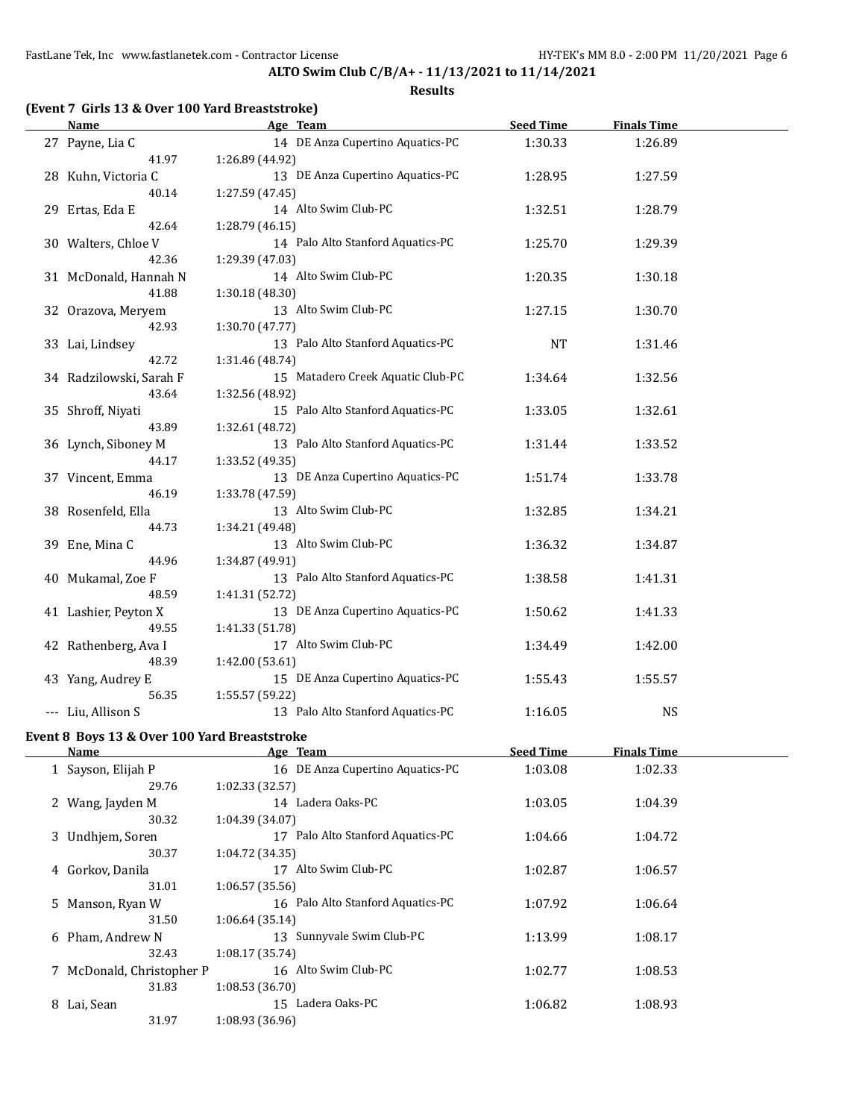| <b>Name</b>                                  | Age Team                          | <b>Seed Time</b> | <b>Finals Time</b> |  |
|----------------------------------------------|-----------------------------------|------------------|--------------------|--|
| 27 Payne, Lia C                              | 14 DE Anza Cupertino Aquatics-PC  | 1:30.33          | 1:26.89            |  |
| 41.97                                        | 1:26.89 (44.92)                   |                  |                    |  |
| 28 Kuhn, Victoria C                          | 13 DE Anza Cupertino Aquatics-PC  | 1:28.95          | 1:27.59            |  |
| 40.14                                        | 1:27.59 (47.45)                   |                  |                    |  |
| 29 Ertas, Eda E                              | 14 Alto Swim Club-PC              | 1:32.51          | 1:28.79            |  |
| 42.64                                        | 1:28.79 (46.15)                   |                  |                    |  |
| 30 Walters, Chloe V                          | 14 Palo Alto Stanford Aquatics-PC | 1:25.70          | 1:29.39            |  |
| 42.36                                        | 1:29.39 (47.03)                   |                  |                    |  |
| 31 McDonald, Hannah N                        | 14 Alto Swim Club-PC              | 1:20.35          | 1:30.18            |  |
| 41.88                                        | 1:30.18 (48.30)                   |                  |                    |  |
| 32 Orazova, Meryem                           | 13 Alto Swim Club-PC              | 1:27.15          | 1:30.70            |  |
| 42.93                                        | 1:30.70 (47.77)                   |                  |                    |  |
| 33 Lai, Lindsey                              | 13 Palo Alto Stanford Aquatics-PC | <b>NT</b>        | 1:31.46            |  |
| 42.72                                        | 1:31.46 (48.74)                   |                  |                    |  |
| 34 Radzilowski, Sarah F                      | 15 Matadero Creek Aquatic Club-PC | 1:34.64          | 1:32.56            |  |
| 43.64                                        | 1:32.56 (48.92)                   |                  |                    |  |
| 35 Shroff, Niyati                            | 15 Palo Alto Stanford Aquatics-PC | 1:33.05          | 1:32.61            |  |
| 43.89                                        | 1:32.61 (48.72)                   |                  |                    |  |
| 36 Lynch, Siboney M                          | 13 Palo Alto Stanford Aquatics-PC | 1:31.44          | 1:33.52            |  |
| 44.17                                        | 1:33.52 (49.35)                   |                  |                    |  |
| 37 Vincent, Emma                             | 13 DE Anza Cupertino Aquatics-PC  | 1:51.74          | 1:33.78            |  |
| 46.19                                        | 1:33.78 (47.59)                   |                  |                    |  |
| 38 Rosenfeld, Ella                           | 13 Alto Swim Club-PC              | 1:32.85          | 1:34.21            |  |
| 44.73                                        | 1:34.21 (49.48)                   |                  |                    |  |
| 39 Ene, Mina C                               | 13 Alto Swim Club-PC              | 1:36.32          | 1:34.87            |  |
| 44.96                                        | 1:34.87 (49.91)                   |                  |                    |  |
| 40 Mukamal, Zoe F                            | 13 Palo Alto Stanford Aquatics-PC | 1:38.58          | 1:41.31            |  |
| 48.59                                        | 1:41.31 (52.72)                   |                  |                    |  |
| 41 Lashier, Peyton X                         | 13 DE Anza Cupertino Aquatics-PC  | 1:50.62          | 1:41.33            |  |
| 49.55                                        | 1:41.33 (51.78)                   |                  |                    |  |
| 42 Rathenberg, Ava I                         | 17 Alto Swim Club-PC              | 1:34.49          | 1:42.00            |  |
| 48.39                                        | 1:42.00 (53.61)                   |                  |                    |  |
| 43 Yang, Audrey E                            | 15 DE Anza Cupertino Aquatics-PC  | 1:55.43          | 1:55.57            |  |
| 56.35                                        | 1:55.57 (59.22)                   |                  |                    |  |
| --- Liu, Allison S                           | 13 Palo Alto Stanford Aquatics-PC | 1:16.05          | <b>NS</b>          |  |
| Event 8 Boys 13 & Over 100 Yard Breaststroke |                                   |                  |                    |  |
| <u>Name</u>                                  | Age Team                          | <b>Seed Time</b> | <b>Finals Time</b> |  |

|   | .                         | <u>ingu itumi</u>                    | <u>secu imie</u> | <u>, ,,,,,,,,,,,,,,,</u> |  |
|---|---------------------------|--------------------------------------|------------------|--------------------------|--|
|   | 1 Sayson, Elijah P        | 16 DE Anza Cupertino Aquatics-PC     | 1:03.08          | 1:02.33                  |  |
|   | 29.76                     | 1:02.33 (32.57)                      |                  |                          |  |
|   | 2 Wang, Jayden M          | 14 Ladera Oaks-PC                    | 1:03.05          | 1:04.39                  |  |
|   | 30.32                     | 1:04.39 (34.07)                      |                  |                          |  |
|   | 3 Undhjem, Soren          | Palo Alto Stanford Aquatics-PC<br>17 | 1:04.66          | 1:04.72                  |  |
|   | 30.37                     | 1:04.72 (34.35)                      |                  |                          |  |
|   | 4 Gorkov, Danila          | 17 Alto Swim Club-PC                 | 1:02.87          | 1:06.57                  |  |
|   | 31.01                     | 1:06.57(35.56)                       |                  |                          |  |
|   | 5 Manson, Ryan W          | 16 Palo Alto Stanford Aquatics-PC    | 1:07.92          | 1:06.64                  |  |
|   | 31.50                     | 1:06.64(35.14)                       |                  |                          |  |
|   | 6 Pham, Andrew N          | 13 Sunnyvale Swim Club-PC            | 1:13.99          | 1:08.17                  |  |
|   | 32.43                     | 1:08.17(35.74)                       |                  |                          |  |
|   | 7 McDonald, Christopher P | 16 Alto Swim Club-PC                 | 1:02.77          | 1:08.53                  |  |
|   | 31.83                     | 1:08.53 (36.70)                      |                  |                          |  |
| 8 | Lai, Sean                 | 15 Ladera Oaks-PC                    | 1:06.82          | 1:08.93                  |  |
|   | 31.97                     | 1:08.93 (36.96)                      |                  |                          |  |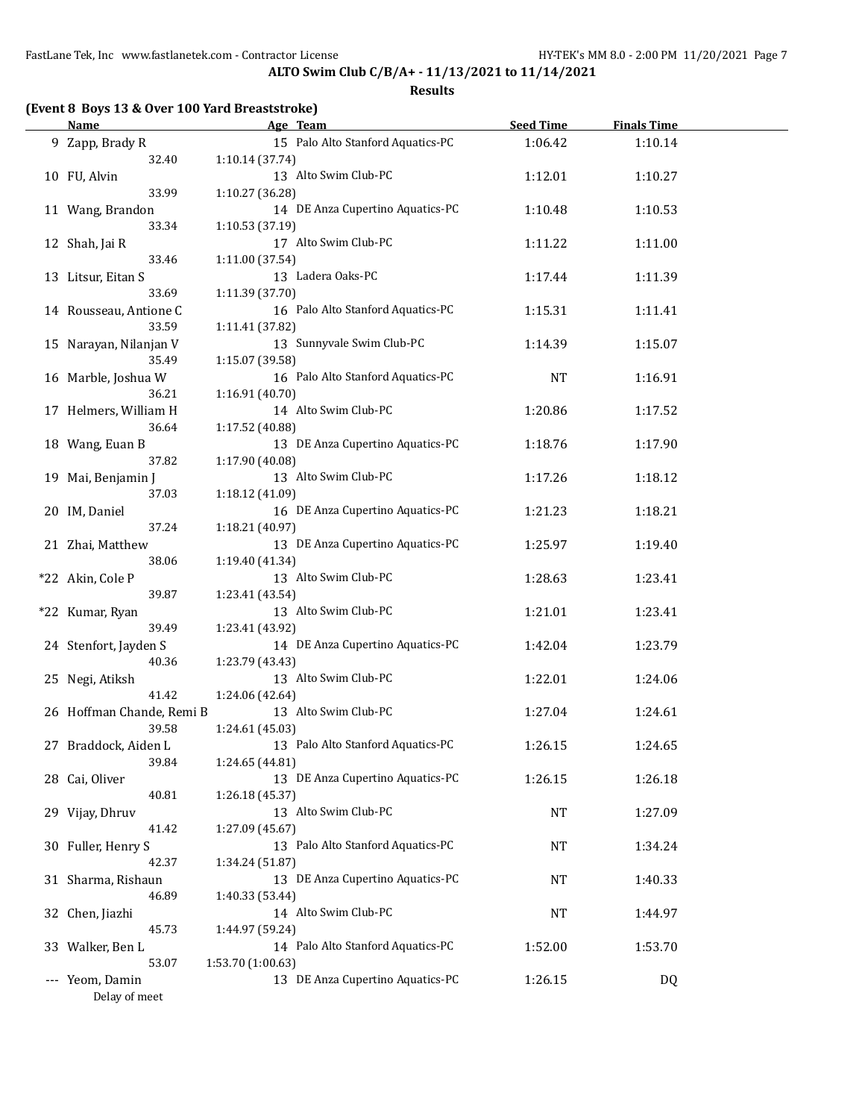| (Event 8 Boys 13 & Over 100 Yard Breaststroke) |
|------------------------------------------------|
|------------------------------------------------|

| <b>Name</b>               |                   | Age Team                          | <b>Seed Time</b> | <b>Finals Time</b> |  |
|---------------------------|-------------------|-----------------------------------|------------------|--------------------|--|
| 9 Zapp, Brady R           |                   | 15 Palo Alto Stanford Aquatics-PC | 1:06.42          | 1:10.14            |  |
| 32.40                     | 1:10.14 (37.74)   |                                   |                  |                    |  |
| 10 FU, Alvin              |                   | 13 Alto Swim Club-PC              | 1:12.01          | 1:10.27            |  |
| 33.99                     | 1:10.27 (36.28)   |                                   |                  |                    |  |
| 11 Wang, Brandon          |                   | 14 DE Anza Cupertino Aquatics-PC  | 1:10.48          | 1:10.53            |  |
| 33.34                     | 1:10.53 (37.19)   |                                   |                  |                    |  |
| 12 Shah, Jai R            |                   | 17 Alto Swim Club-PC              | 1:11.22          | 1:11.00            |  |
| 33.46                     | 1:11.00 (37.54)   |                                   |                  |                    |  |
| 13 Litsur, Eitan S        |                   | 13 Ladera Oaks-PC                 | 1:17.44          | 1:11.39            |  |
| 33.69                     | 1:11.39 (37.70)   |                                   |                  |                    |  |
| 14 Rousseau, Antione C    |                   | 16 Palo Alto Stanford Aquatics-PC | 1:15.31          | 1:11.41            |  |
| 33.59                     | 1:11.41 (37.82)   |                                   |                  |                    |  |
| 15 Narayan, Nilanjan V    |                   | 13 Sunnyvale Swim Club-PC         | 1:14.39          | 1:15.07            |  |
| 35.49                     | 1:15.07 (39.58)   |                                   |                  |                    |  |
| 16 Marble, Joshua W       |                   | 16 Palo Alto Stanford Aquatics-PC | NT               | 1:16.91            |  |
| 36.21                     | 1:16.91 (40.70)   |                                   |                  |                    |  |
| 17 Helmers, William H     |                   | 14 Alto Swim Club-PC              | 1:20.86          | 1:17.52            |  |
| 36.64                     | 1:17.52 (40.88)   |                                   |                  |                    |  |
| 18 Wang, Euan B           |                   | 13 DE Anza Cupertino Aquatics-PC  | 1:18.76          | 1:17.90            |  |
| 37.82                     | 1:17.90 (40.08)   |                                   |                  |                    |  |
| 19 Mai, Benjamin J        |                   | 13 Alto Swim Club-PC              | 1:17.26          | 1:18.12            |  |
| 37.03                     | 1:18.12 (41.09)   |                                   |                  |                    |  |
| 20 IM, Daniel             |                   | 16 DE Anza Cupertino Aquatics-PC  | 1:21.23          | 1:18.21            |  |
| 37.24                     | 1:18.21 (40.97)   |                                   |                  |                    |  |
| 21 Zhai, Matthew          |                   | 13 DE Anza Cupertino Aquatics-PC  | 1:25.97          | 1:19.40            |  |
| 38.06                     | 1:19.40 (41.34)   |                                   |                  |                    |  |
| *22 Akin, Cole P          |                   | 13 Alto Swim Club-PC              | 1:28.63          | 1:23.41            |  |
| 39.87                     | 1:23.41 (43.54)   |                                   |                  |                    |  |
| *22 Kumar, Ryan           |                   | 13 Alto Swim Club-PC              | 1:21.01          | 1:23.41            |  |
| 39.49                     | 1:23.41 (43.92)   |                                   |                  |                    |  |
| 24 Stenfort, Jayden S     |                   | 14 DE Anza Cupertino Aquatics-PC  | 1:42.04          | 1:23.79            |  |
| 40.36                     | 1:23.79 (43.43)   |                                   |                  |                    |  |
| 25 Negi, Atiksh           |                   | 13 Alto Swim Club-PC              | 1:22.01          | 1:24.06            |  |
| 41.42                     | 1:24.06 (42.64)   |                                   |                  |                    |  |
| 26 Hoffman Chande, Remi B |                   | 13 Alto Swim Club-PC              | 1:27.04          | 1:24.61            |  |
| 39.58                     | 1:24.61 (45.03)   |                                   |                  |                    |  |
| 27 Braddock, Aiden L      |                   | 13 Palo Alto Stanford Aquatics-PC | 1:26.15          | 1:24.65            |  |
| 39.84                     | 1:24.65 (44.81)   |                                   |                  |                    |  |
| 28 Cai, Oliver            |                   | 13 DE Anza Cupertino Aquatics-PC  | 1:26.15          | 1:26.18            |  |
| 40.81                     | 1:26.18 (45.37)   |                                   |                  |                    |  |
| 29 Vijay, Dhruv           |                   | 13 Alto Swim Club-PC              | <b>NT</b>        | 1:27.09            |  |
| 41.42                     | 1:27.09 (45.67)   |                                   |                  |                    |  |
| 30 Fuller, Henry S        |                   | 13 Palo Alto Stanford Aquatics-PC | <b>NT</b>        | 1:34.24            |  |
| 42.37                     | 1:34.24 (51.87)   |                                   |                  |                    |  |
| 31 Sharma, Rishaun        |                   | 13 DE Anza Cupertino Aquatics-PC  | NT               | 1:40.33            |  |
| 46.89                     | 1:40.33 (53.44)   |                                   |                  |                    |  |
| 32 Chen, Jiazhi           |                   | 14 Alto Swim Club-PC              | NT               | 1:44.97            |  |
| 45.73                     | 1:44.97 (59.24)   |                                   |                  |                    |  |
| 33 Walker, Ben L          |                   | 14 Palo Alto Stanford Aquatics-PC | 1:52.00          | 1:53.70            |  |
| 53.07                     | 1:53.70 (1:00.63) |                                   |                  |                    |  |
| --- Yeom, Damin           |                   | 13 DE Anza Cupertino Aquatics-PC  | 1:26.15          | DQ                 |  |
| Delay of meet             |                   |                                   |                  |                    |  |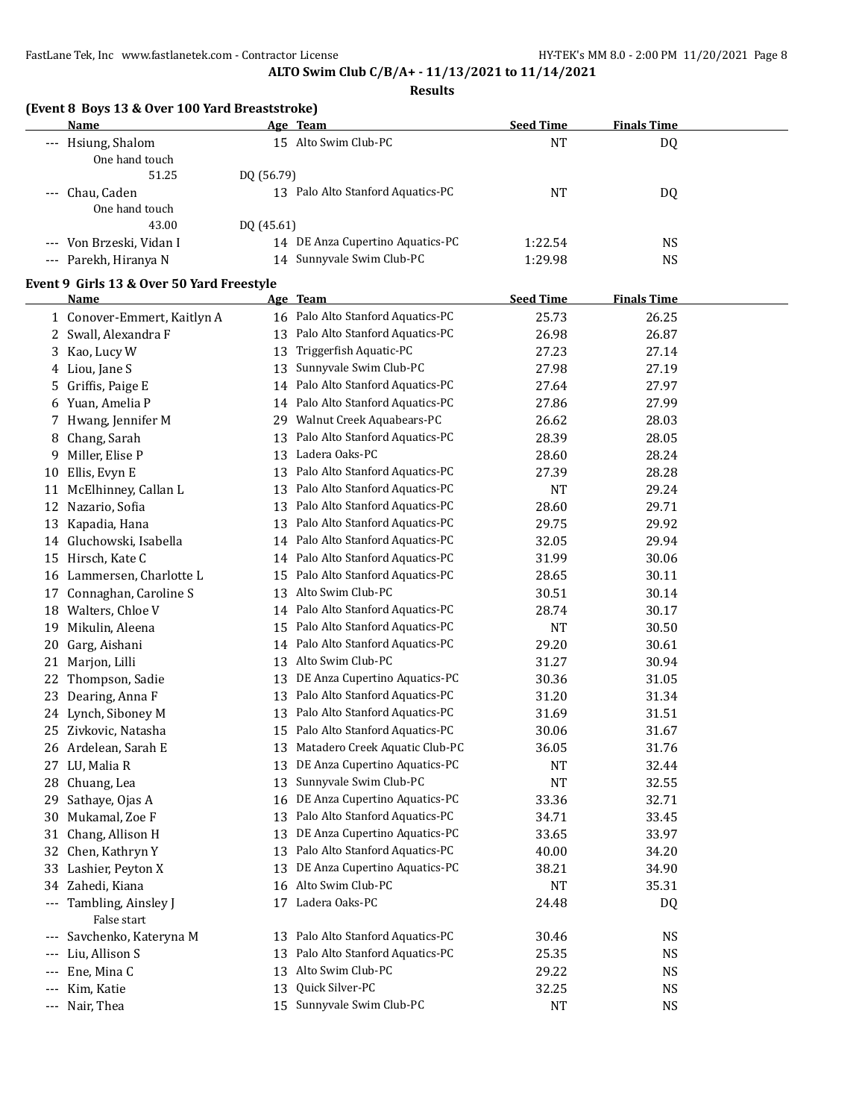#### **Results**

|  | (Event 8 Boys 13 & Over 100 Yard Breaststroke) |
|--|------------------------------------------------|
|--|------------------------------------------------|

| Name                     | Age Team                          | <b>Seed Time</b> | <b>Finals Time</b> |  |
|--------------------------|-----------------------------------|------------------|--------------------|--|
| --- Hsiung, Shalom       | 15 Alto Swim Club-PC              | NT               | DQ                 |  |
| One hand touch           |                                   |                  |                    |  |
| 51.25                    | DO (56.79)                        |                  |                    |  |
| --- Chau, Caden          | 13 Palo Alto Stanford Aquatics-PC | NT               | DQ                 |  |
| One hand touch           |                                   |                  |                    |  |
| 43.00                    | DO (45.61)                        |                  |                    |  |
| --- Von Brzeski, Vidan I | 14 DE Anza Cupertino Aquatics-PC  | 1:22.54          | NS                 |  |
| --- Parekh, Hiranya N    | Sunnyvale Swim Club-PC<br>14      | 1:29.98          | NS                 |  |

## **Event 9 Girls 13 & Over 50 Yard Freestyle**

 $\overline{a}$ 

|                          | <u>Name</u>                        |    | Age Team                          | <b>Seed Time</b> | <b>Finals Time</b> |  |
|--------------------------|------------------------------------|----|-----------------------------------|------------------|--------------------|--|
|                          | 1 Conover-Emmert, Kaitlyn A        |    | 16 Palo Alto Stanford Aquatics-PC | 25.73            | 26.25              |  |
|                          | 2 Swall, Alexandra F               | 13 | Palo Alto Stanford Aquatics-PC    | 26.98            | 26.87              |  |
|                          | 3 Kao, Lucy W                      | 13 | Triggerfish Aquatic-PC            | 27.23            | 27.14              |  |
|                          | 4 Liou, Jane S                     |    | 13 Sunnyvale Swim Club-PC         | 27.98            | 27.19              |  |
|                          | 5 Griffis, Paige E                 |    | 14 Palo Alto Stanford Aquatics-PC | 27.64            | 27.97              |  |
|                          | 6 Yuan, Amelia P                   | 14 | Palo Alto Stanford Aquatics-PC    | 27.86            | 27.99              |  |
| 7                        | Hwang, Jennifer M                  | 29 | Walnut Creek Aquabears-PC         | 26.62            | 28.03              |  |
| 8                        | Chang, Sarah                       |    | 13 Palo Alto Stanford Aquatics-PC | 28.39            | 28.05              |  |
|                          | 9 Miller, Elise P                  |    | 13 Ladera Oaks-PC                 | 28.60            | 28.24              |  |
|                          | 10 Ellis, Evyn E                   |    | 13 Palo Alto Stanford Aquatics-PC | 27.39            | 28.28              |  |
|                          | 11 McElhinney, Callan L            | 13 | Palo Alto Stanford Aquatics-PC    | <b>NT</b>        | 29.24              |  |
|                          | 12 Nazario, Sofia                  |    | 13 Palo Alto Stanford Aquatics-PC | 28.60            | 29.71              |  |
|                          | 13 Kapadia, Hana                   |    | 13 Palo Alto Stanford Aquatics-PC | 29.75            | 29.92              |  |
|                          | 14 Gluchowski, Isabella            |    | 14 Palo Alto Stanford Aquatics-PC | 32.05            | 29.94              |  |
|                          | 15 Hirsch, Kate C                  | 14 | Palo Alto Stanford Aquatics-PC    | 31.99            | 30.06              |  |
|                          | 16 Lammersen, Charlotte L          | 15 | Palo Alto Stanford Aquatics-PC    | 28.65            | 30.11              |  |
|                          | 17 Connaghan, Caroline S           |    | 13 Alto Swim Club-PC              | 30.51            | 30.14              |  |
|                          | 18 Walters, Chloe V                |    | 14 Palo Alto Stanford Aquatics-PC | 28.74            | 30.17              |  |
|                          | 19 Mikulin, Aleena                 | 15 | Palo Alto Stanford Aquatics-PC    | <b>NT</b>        | 30.50              |  |
|                          | 20 Garg, Aishani                   | 14 | Palo Alto Stanford Aquatics-PC    | 29.20            | 30.61              |  |
|                          | 21 Marjon, Lilli                   |    | 13 Alto Swim Club-PC              | 31.27            | 30.94              |  |
|                          | 22 Thompson, Sadie                 |    | 13 DE Anza Cupertino Aquatics-PC  | 30.36            | 31.05              |  |
| 23                       | Dearing, Anna F                    |    | 13 Palo Alto Stanford Aquatics-PC | 31.20            | 31.34              |  |
|                          | 24 Lynch, Siboney M                | 13 | Palo Alto Stanford Aquatics-PC    | 31.69            | 31.51              |  |
|                          | 25 Zivkovic, Natasha               | 15 | Palo Alto Stanford Aquatics-PC    | 30.06            | 31.67              |  |
|                          | 26 Ardelean, Sarah E               |    | 13 Matadero Creek Aquatic Club-PC | 36.05            | 31.76              |  |
|                          | 27 LU, Malia R                     | 13 | DE Anza Cupertino Aquatics-PC     | NT               | 32.44              |  |
|                          | 28 Chuang, Lea                     | 13 | Sunnyvale Swim Club-PC            | <b>NT</b>        | 32.55              |  |
|                          | 29 Sathaye, Ojas A                 | 16 | DE Anza Cupertino Aquatics-PC     | 33.36            | 32.71              |  |
|                          | 30 Mukamal, Zoe F                  | 13 | Palo Alto Stanford Aquatics-PC    | 34.71            | 33.45              |  |
|                          | 31 Chang, Allison H                |    | 13 DE Anza Cupertino Aquatics-PC  | 33.65            | 33.97              |  |
|                          | 32 Chen, Kathryn Y                 |    | 13 Palo Alto Stanford Aquatics-PC | 40.00            | 34.20              |  |
|                          | 33 Lashier, Peyton X               | 13 | DE Anza Cupertino Aquatics-PC     | 38.21            | 34.90              |  |
|                          | 34 Zahedi, Kiana                   |    | 16 Alto Swim Club-PC              | <b>NT</b>        | 35.31              |  |
| $\hspace{0.05cm} \ldots$ | Tambling, Ainsley J<br>False start |    | 17 Ladera Oaks-PC                 | 24.48            | <b>DQ</b>          |  |
|                          | Savchenko, Kateryna M              |    | 13 Palo Alto Stanford Aquatics-PC | 30.46            | NS                 |  |
|                          | Liu, Allison S                     | 13 | Palo Alto Stanford Aquatics-PC    | 25.35            | NS                 |  |
| ---                      | Ene, Mina C                        |    | 13 Alto Swim Club-PC              | 29.22            | $_{\rm NS}$        |  |
| ---                      | Kim, Katie                         |    | 13 Quick Silver-PC                | 32.25            | <b>NS</b>          |  |
|                          | --- Nair, Thea                     | 15 | Sunnyvale Swim Club-PC            | <b>NT</b>        | <b>NS</b>          |  |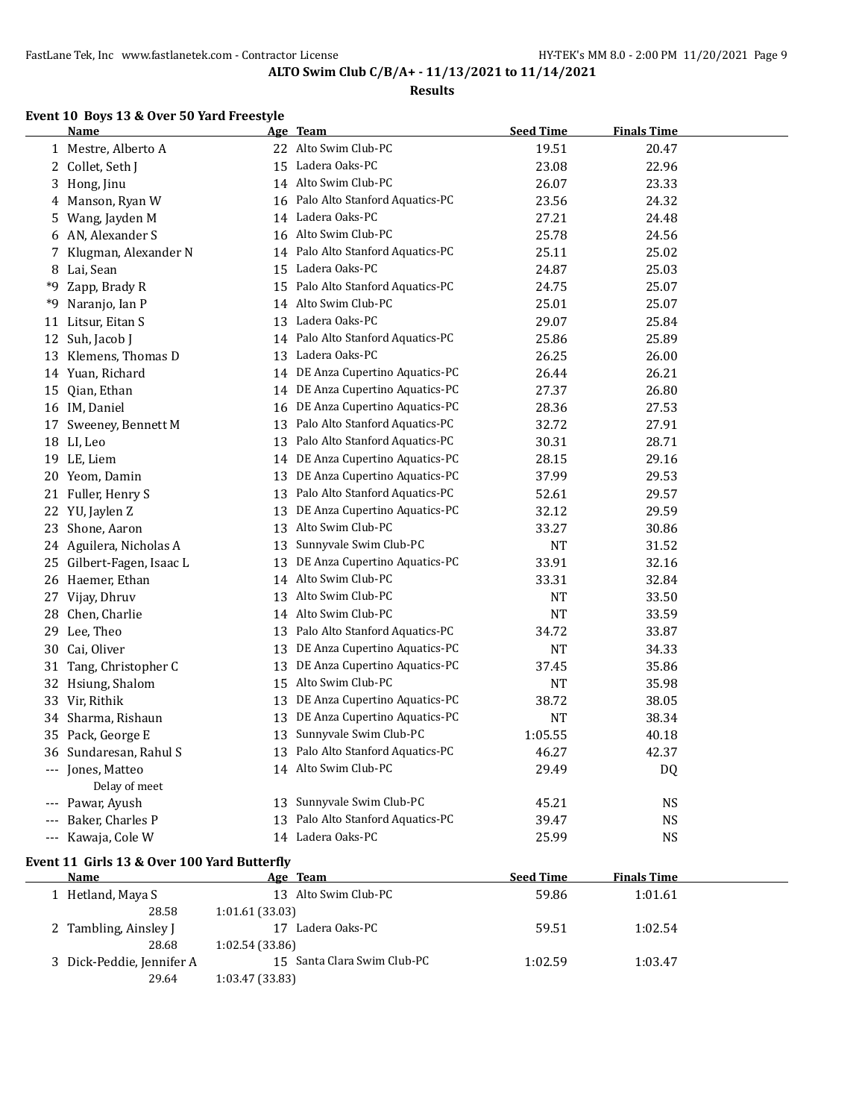28.68 1:02.54 (33.86)

29.64 1:03.47 (33.83)

**ALTO Swim Club C/B/A+ - 11/13/2021 to 11/14/2021**

#### **Results**

## **Event 10 Boys 13 & Over 50 Yard Freestyle**

|    | <b>Name</b>                                 |                 | Age Team                         | <b>Seed Time</b> | <b>Finals Time</b> |  |
|----|---------------------------------------------|-----------------|----------------------------------|------------------|--------------------|--|
|    | 1 Mestre, Alberto A                         |                 | 22 Alto Swim Club-PC             | 19.51            | 20.47              |  |
|    | 2 Collet, Seth J                            | 15              | Ladera Oaks-PC                   | 23.08            | 22.96              |  |
| 3  | Hong, Jinu                                  |                 | 14 Alto Swim Club-PC             | 26.07            | 23.33              |  |
| 4  | Manson, Ryan W                              | 16              | Palo Alto Stanford Aquatics-PC   | 23.56            | 24.32              |  |
| 5  | Wang, Jayden M                              |                 | 14 Ladera Oaks-PC                | 27.21            | 24.48              |  |
| 6  | AN, Alexander S                             | 16              | Alto Swim Club-PC                | 25.78            | 24.56              |  |
| 7  | Klugman, Alexander N                        | 14              | Palo Alto Stanford Aquatics-PC   | 25.11            | 25.02              |  |
| 8  | Lai, Sean                                   | 15              | Ladera Oaks-PC                   | 24.87            | 25.03              |  |
| *9 | Zapp, Brady R                               | 15              | Palo Alto Stanford Aquatics-PC   | 24.75            | 25.07              |  |
| *9 | Naranjo, Ian P                              | 14              | Alto Swim Club-PC                | 25.01            | 25.07              |  |
| 11 | Litsur, Eitan S                             | 13              | Ladera Oaks-PC                   | 29.07            | 25.84              |  |
|    | 12 Suh, Jacob J                             | 14              | Palo Alto Stanford Aquatics-PC   | 25.86            | 25.89              |  |
| 13 | Klemens, Thomas D                           | 13              | Ladera Oaks-PC                   | 26.25            | 26.00              |  |
|    | 14 Yuan, Richard                            | 14              | DE Anza Cupertino Aquatics-PC    | 26.44            | 26.21              |  |
| 15 | Qian, Ethan                                 | 14              | DE Anza Cupertino Aquatics-PC    | 27.37            | 26.80              |  |
|    | 16 IM, Daniel                               | 16              | DE Anza Cupertino Aquatics-PC    | 28.36            | 27.53              |  |
|    | 17 Sweeney, Bennett M                       | 13              | Palo Alto Stanford Aquatics-PC   | 32.72            | 27.91              |  |
|    | 18 LI, Leo                                  | 13              | Palo Alto Stanford Aquatics-PC   | 30.31            | 28.71              |  |
|    | 19 LE, Liem                                 |                 | 14 DE Anza Cupertino Aquatics-PC | 28.15            | 29.16              |  |
|    | 20 Yeom, Damin                              | 13              | DE Anza Cupertino Aquatics-PC    | 37.99            | 29.53              |  |
|    | 21 Fuller, Henry S                          | 13              | Palo Alto Stanford Aquatics-PC   | 52.61            | 29.57              |  |
|    | 22 YU, Jaylen Z                             | 13              | DE Anza Cupertino Aquatics-PC    | 32.12            | 29.59              |  |
| 23 | Shone, Aaron                                | 13              | Alto Swim Club-PC                | 33.27            | 30.86              |  |
|    | 24 Aguilera, Nicholas A                     | 13              | Sunnyvale Swim Club-PC           | NT               | 31.52              |  |
|    | 25 Gilbert-Fagen, Isaac L                   | 13              | DE Anza Cupertino Aquatics-PC    | 33.91            | 32.16              |  |
|    | 26 Haemer, Ethan                            |                 | 14 Alto Swim Club-PC             | 33.31            | 32.84              |  |
|    | 27 Vijay, Dhruv                             | 13              | Alto Swim Club-PC                | <b>NT</b>        | 33.50              |  |
|    | 28 Chen, Charlie                            |                 | 14 Alto Swim Club-PC             | <b>NT</b>        | 33.59              |  |
| 29 | Lee, Theo                                   | 13              | Palo Alto Stanford Aquatics-PC   | 34.72            | 33.87              |  |
| 30 | Cai, Oliver                                 | 13              | DE Anza Cupertino Aquatics-PC    | NT               | 34.33              |  |
|    | 31 Tang, Christopher C                      | 13              | DE Anza Cupertino Aquatics-PC    | 37.45            | 35.86              |  |
|    | 32 Hsiung, Shalom                           | 15              | Alto Swim Club-PC                | <b>NT</b>        | 35.98              |  |
|    | 33 Vir, Rithik                              | 13              | DE Anza Cupertino Aquatics-PC    | 38.72            | 38.05              |  |
|    | 34 Sharma, Rishaun                          | 13              | DE Anza Cupertino Aquatics-PC    | <b>NT</b>        | 38.34              |  |
| 35 | Pack, George E                              | 13              | Sunnyvale Swim Club-PC           | 1:05.55          | 40.18              |  |
|    | 36 Sundaresan, Rahul S                      | 13              | Palo Alto Stanford Aquatics-PC   | 46.27            | 42.37              |  |
|    | --- Jones, Matteo<br>Delay of meet          |                 | 14 Alto Swim Club-PC             | 29.49            | DQ                 |  |
|    | --- Pawar, Ayush                            |                 | 13 Sunnyvale Swim Club-PC        | 45.21            | <b>NS</b>          |  |
|    | --- Baker, Charles P                        | 13              | Palo Alto Stanford Aquatics-PC   | 39.47            | <b>NS</b>          |  |
|    | --- Kawaja, Cole W                          |                 | 14 Ladera Oaks-PC                | 25.99            | <b>NS</b>          |  |
|    | Event 11 Girls 13 & Over 100 Yard Butterfly |                 |                                  |                  |                    |  |
|    | Name                                        |                 | Age Team                         | <b>Seed Time</b> | <b>Finals Time</b> |  |
|    | 1 Hetland, Maya S                           |                 | 13 Alto Swim Club-PC             | 59.86            | 1:01.61            |  |
|    | 28.58                                       | 1:01.61 (33.03) |                                  |                  |                    |  |
|    | 2 Tambling, Ainsley J                       |                 | 17 Ladera Oaks-PC                | 59.51            | 1:02.54            |  |

Dick-Peddie, Jennifer A 15 Santa Clara Swim Club-PC 1:02.59 1:03.47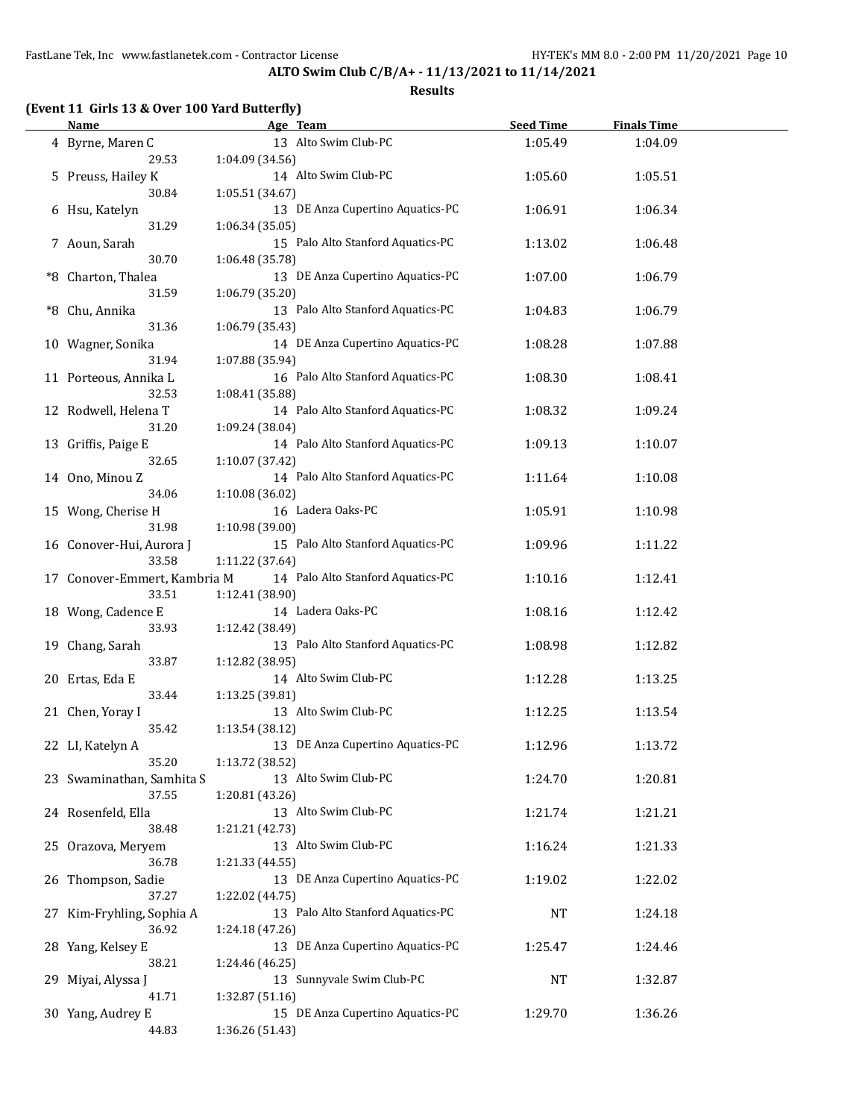| (Event 11 Girls 13 & Over 100 Yard Butterfly)<br><b>Name</b> |                 | Age Team                          | <b>Seed Time</b> | <b>Finals Time</b> |  |
|--------------------------------------------------------------|-----------------|-----------------------------------|------------------|--------------------|--|
| 4 Byrne, Maren C                                             |                 | 13 Alto Swim Club-PC              | 1:05.49          | 1:04.09            |  |
| 29.53                                                        | 1:04.09 (34.56) |                                   |                  |                    |  |
| 5 Preuss, Hailey K                                           |                 | 14 Alto Swim Club-PC              | 1:05.60          | 1:05.51            |  |
| 30.84                                                        | 1:05.51 (34.67) |                                   |                  |                    |  |
| 6 Hsu, Katelyn                                               |                 | 13 DE Anza Cupertino Aquatics-PC  | 1:06.91          | 1:06.34            |  |
| 31.29                                                        | 1:06.34 (35.05) |                                   |                  |                    |  |
| 7 Aoun, Sarah                                                |                 | 15 Palo Alto Stanford Aquatics-PC | 1:13.02          | 1:06.48            |  |
| 30.70                                                        | 1:06.48 (35.78) |                                   |                  |                    |  |
| *8 Charton, Thalea                                           |                 | 13 DE Anza Cupertino Aquatics-PC  | 1:07.00          | 1:06.79            |  |
| 31.59                                                        | 1:06.79 (35.20) |                                   |                  |                    |  |
| *8 Chu, Annika                                               |                 | 13 Palo Alto Stanford Aquatics-PC | 1:04.83          | 1:06.79            |  |
| 31.36                                                        | 1:06.79 (35.43) |                                   |                  |                    |  |
| 10 Wagner, Sonika                                            |                 | 14 DE Anza Cupertino Aquatics-PC  | 1:08.28          | 1:07.88            |  |
| 31.94                                                        | 1:07.88 (35.94) |                                   |                  |                    |  |
| 11 Porteous, Annika L                                        |                 | 16 Palo Alto Stanford Aquatics-PC | 1:08.30          | 1:08.41            |  |
| 32.53                                                        | 1:08.41 (35.88) |                                   |                  |                    |  |
| 12 Rodwell, Helena T                                         |                 | 14 Palo Alto Stanford Aquatics-PC | 1:08.32          | 1:09.24            |  |
| 31.20                                                        | 1:09.24 (38.04) |                                   |                  |                    |  |
| 13 Griffis, Paige E                                          |                 | 14 Palo Alto Stanford Aquatics-PC | 1:09.13          | 1:10.07            |  |
| 32.65                                                        | 1:10.07 (37.42) |                                   |                  |                    |  |
| 14 Ono, Minou Z                                              |                 | 14 Palo Alto Stanford Aquatics-PC | 1:11.64          | 1:10.08            |  |
| 34.06                                                        | 1:10.08 (36.02) |                                   |                  |                    |  |
| 15 Wong, Cherise H                                           |                 | 16 Ladera Oaks-PC                 | 1:05.91          | 1:10.98            |  |
| 31.98                                                        | 1:10.98 (39.00) |                                   |                  |                    |  |
| 16 Conover-Hui, Aurora J                                     |                 | 15 Palo Alto Stanford Aquatics-PC | 1:09.96          | 1:11.22            |  |
| 33.58                                                        | 1:11.22 (37.64) |                                   |                  |                    |  |
| 17 Conover-Emmert, Kambria M                                 |                 | 14 Palo Alto Stanford Aquatics-PC | 1:10.16          | 1:12.41            |  |
| 33.51                                                        | 1:12.41 (38.90) |                                   |                  |                    |  |
| 18 Wong, Cadence E                                           |                 | 14 Ladera Oaks-PC                 | 1:08.16          | 1:12.42            |  |
| 33.93                                                        | 1:12.42 (38.49) |                                   |                  |                    |  |
| 19 Chang, Sarah                                              |                 | 13 Palo Alto Stanford Aquatics-PC | 1:08.98          | 1:12.82            |  |
| 33.87                                                        | 1:12.82 (38.95) |                                   |                  |                    |  |
| 20 Ertas, Eda E                                              |                 | 14 Alto Swim Club-PC              | 1:12.28          | 1:13.25            |  |
| 33.44                                                        | 1:13.25 (39.81) |                                   |                  |                    |  |
| 21 Chen, Yoray I                                             |                 | 13 Alto Swim Club-PC              | 1:12.25          | 1:13.54            |  |
| 35.42                                                        | 1:13.54 (38.12) |                                   |                  |                    |  |
| 22 LI, Katelyn A                                             |                 | 13 DE Anza Cupertino Aquatics-PC  | 1:12.96          | 1:13.72            |  |
| 35.20                                                        | 1:13.72 (38.52) |                                   |                  |                    |  |
| 23 Swaminathan, Samhita S                                    |                 | 13 Alto Swim Club-PC              | 1:24.70          | 1:20.81            |  |
| 37.55                                                        | 1:20.81 (43.26) |                                   |                  |                    |  |
| 24 Rosenfeld, Ella                                           |                 | 13 Alto Swim Club-PC              | 1:21.74          | 1:21.21            |  |
| 38.48                                                        | 1:21.21 (42.73) |                                   |                  |                    |  |
| 25 Orazova, Meryem                                           |                 | 13 Alto Swim Club-PC              | 1:16.24          | 1:21.33            |  |
| 36.78                                                        | 1:21.33 (44.55) |                                   |                  |                    |  |
| 26 Thompson, Sadie                                           |                 | 13 DE Anza Cupertino Aquatics-PC  | 1:19.02          | 1:22.02            |  |
| 37.27                                                        | 1:22.02 (44.75) |                                   |                  |                    |  |
| 27 Kim-Fryhling, Sophia A                                    |                 | 13 Palo Alto Stanford Aquatics-PC | NT               | 1:24.18            |  |
| 36.92                                                        | 1:24.18 (47.26) |                                   |                  |                    |  |
| 28 Yang, Kelsey E                                            |                 | 13 DE Anza Cupertino Aquatics-PC  | 1:25.47          | 1:24.46            |  |
| 38.21                                                        | 1:24.46 (46.25) |                                   |                  |                    |  |
| 29 Miyai, Alyssa J                                           |                 | 13 Sunnyvale Swim Club-PC         | NT               | 1:32.87            |  |
| 41.71                                                        | 1:32.87 (51.16) |                                   |                  |                    |  |
| 30 Yang, Audrey E                                            |                 | 15 DE Anza Cupertino Aquatics-PC  | 1:29.70          | 1:36.26            |  |
| 44.83                                                        | 1:36.26 (51.43) |                                   |                  |                    |  |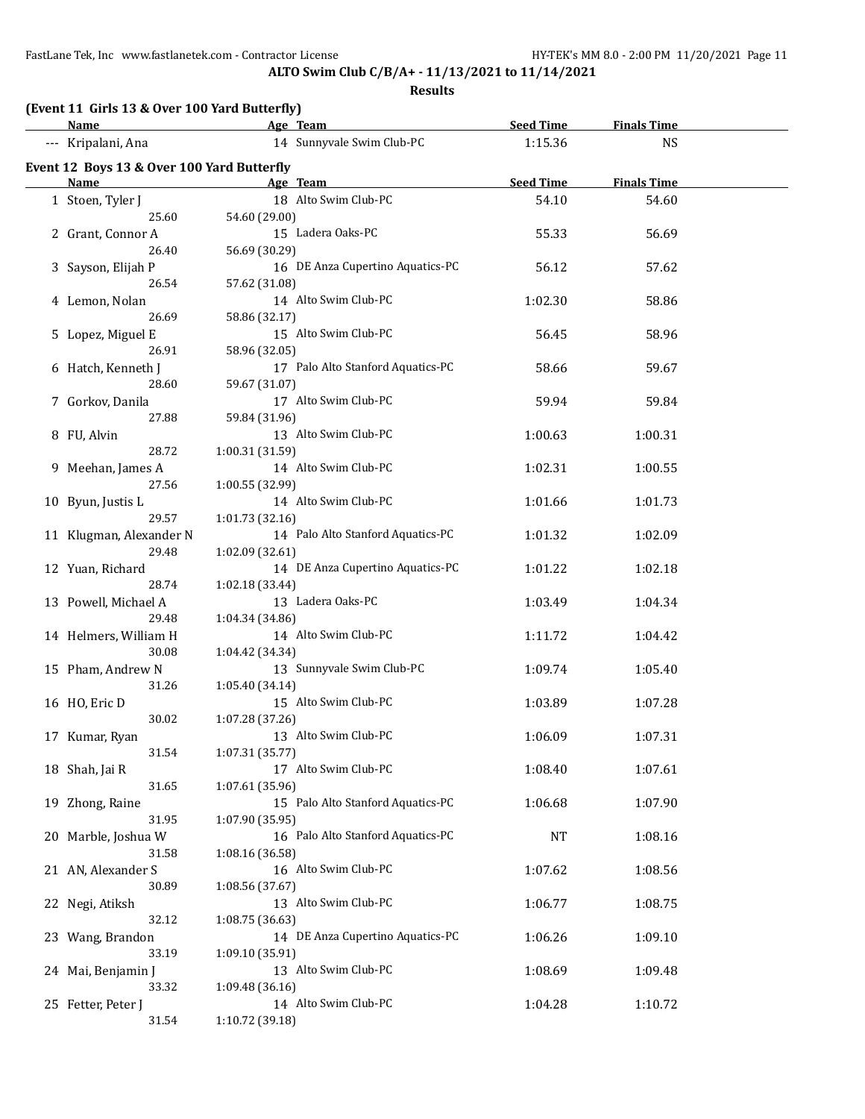# **ALTO Swim Club C/B/A+ - 11/13/2021 to 11/14/2021**

| (Event 11 Girls 13 & Over 100 Yard Butterfly) |                                    |                                   |           |                    |  |
|-----------------------------------------------|------------------------------------|-----------------------------------|-----------|--------------------|--|
| Name                                          | and <b>Age</b> Team                |                                   | Seed Time | <b>Finals Time</b> |  |
| --- Kripalani, Ana                            |                                    | 14 Sunnyvale Swim Club-PC         | 1:15.36   | <b>NS</b>          |  |
| Event 12 Boys 13 & Over 100 Yard Butterfly    |                                    |                                   |           |                    |  |
| <b>Name</b>                                   |                                    | <b>Example 2</b> Age Team         | Seed Time | <b>Finals Time</b> |  |
| 1 Stoen, Tyler J<br>25.60                     | 54.60 (29.00)                      | 18 Alto Swim Club-PC              | 54.10     | 54.60              |  |
| 2 Grant, Connor A<br>26.40                    | 56.69 (30.29)                      | 15 Ladera Oaks-PC                 | 55.33     | 56.69              |  |
| 3 Sayson, Elijah P<br>26.54                   | 57.62 (31.08)                      | 16 DE Anza Cupertino Aquatics-PC  | 56.12     | 57.62              |  |
| 4 Lemon, Nolan<br>26.69                       | 58.86 (32.17)                      | 14 Alto Swim Club-PC              | 1:02.30   | 58.86              |  |
| 5 Lopez, Miguel E                             |                                    | 15 Alto Swim Club-PC              | 56.45     | 58.96              |  |
| 26.91<br>6 Hatch, Kenneth J                   | 58.96 (32.05)                      | 17 Palo Alto Stanford Aquatics-PC | 58.66     | 59.67              |  |
| 28.60<br>7 Gorkov, Danila                     | 59.67 (31.07)                      | 17 Alto Swim Club-PC              | 59.94     | 59.84              |  |
| 27.88<br>8 FU, Alvin                          | 59.84 (31.96)                      | 13 Alto Swim Club-PC              | 1:00.63   | 1:00.31            |  |
| 28.72<br>9 Meehan, James A                    | 1:00.31 (31.59)                    | 14 Alto Swim Club-PC              | 1:02.31   | 1:00.55            |  |
| 27.56<br>10 Byun, Justis L                    | 1:00.55 (32.99)                    | 14 Alto Swim Club-PC              | 1:01.66   | 1:01.73            |  |
| 29.57<br>11 Klugman, Alexander N              | 1:01.73 (32.16)                    | 14 Palo Alto Stanford Aquatics-PC | 1:01.32   | 1:02.09            |  |
| 29.48<br>12 Yuan, Richard                     | 1:02.09 (32.61)                    | 14 DE Anza Cupertino Aquatics-PC  | 1:01.22   | 1:02.18            |  |
| 28.74<br>13 Powell, Michael A                 | 1:02.18 (33.44)                    | 13 Ladera Oaks-PC                 | 1:03.49   | 1:04.34            |  |
| 29.48<br>14 Helmers, William H<br>30.08       | 1:04.34 (34.86)                    | 14 Alto Swim Club-PC              | 1:11.72   | 1:04.42            |  |
| 15 Pham, Andrew N                             | 1:04.42 (34.34)                    | 13 Sunnyvale Swim Club-PC         | 1:09.74   | 1:05.40            |  |
| 31.26<br>16 HO, Eric D                        | 1:05.40 (34.14)                    | 15 Alto Swim Club-PC              | 1:03.89   | 1:07.28            |  |
| 30.02<br>17 Kumar, Ryan                       | 1:07.28 (37.26)                    | 13 Alto Swim Club-PC              | 1:06.09   | 1:07.31            |  |
| 31.54<br>18 Shah, Jai R                       | 1:07.31 (35.77)                    | 17 Alto Swim Club-PC              | 1:08.40   | 1:07.61            |  |
| 31.65<br>19 Zhong, Raine                      | 1:07.61 (35.96)                    | 15 Palo Alto Stanford Aquatics-PC | 1:06.68   | 1:07.90            |  |
| 31.95<br>20 Marble, Joshua W                  | 1:07.90 (35.95)                    | 16 Palo Alto Stanford Aquatics-PC | NT        | 1:08.16            |  |
| 31.58<br>21 AN, Alexander S                   | 1:08.16 (36.58)                    | 16 Alto Swim Club-PC              | 1:07.62   | 1:08.56            |  |
| 30.89<br>22 Negi, Atiksh<br>32.12             | 1:08.56 (37.67)<br>1:08.75 (36.63) | 13 Alto Swim Club-PC              | 1:06.77   | 1:08.75            |  |
| 23 Wang, Brandon<br>33.19                     | 1:09.10 (35.91)                    | 14 DE Anza Cupertino Aquatics-PC  | 1:06.26   | 1:09.10            |  |
| 24 Mai, Benjamin J<br>33.32                   | 1:09.48 (36.16)                    | 13 Alto Swim Club-PC              | 1:08.69   | 1:09.48            |  |
| 25 Fetter, Peter J<br>31.54                   | 1:10.72 (39.18)                    | 14 Alto Swim Club-PC              | 1:04.28   | 1:10.72            |  |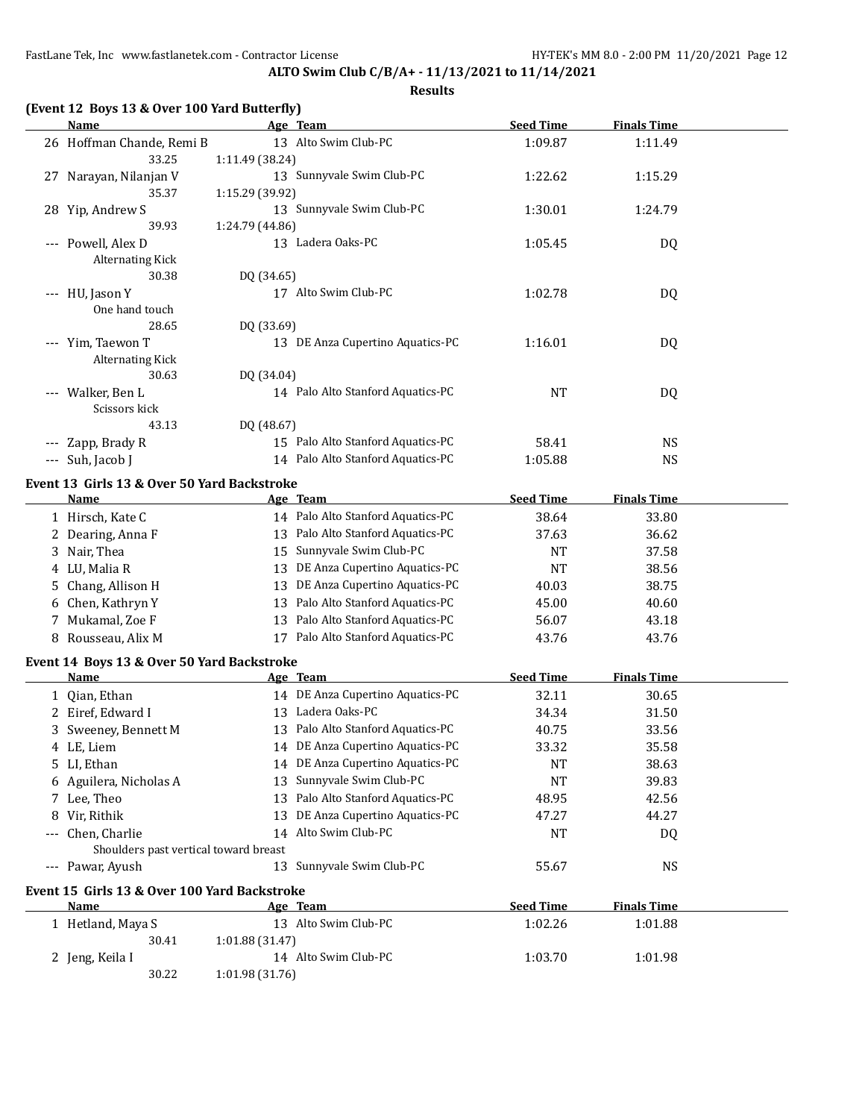**ALTO Swim Club C/B/A+ - 11/13/2021 to 11/14/2021 Results**

## **(Event 12 Boys 13 & Over 100 Yard Butterfly)**

| <b>Name</b>                                  | Age Team                          | <b>Seed Time</b>                             | <b>Finals Time</b> |  |
|----------------------------------------------|-----------------------------------|----------------------------------------------|--------------------|--|
| 26 Hoffman Chande, Remi B                    | 13 Alto Swim Club-PC              | 1:09.87                                      | 1:11.49            |  |
| 33.25                                        | 1:11.49 (38.24)                   |                                              |                    |  |
| 27 Narayan, Nilanjan V                       | 13 Sunnyvale Swim Club-PC         | 1:22.62                                      | 1:15.29            |  |
| 35.37                                        | 1:15.29 (39.92)                   |                                              |                    |  |
| 28 Yip, Andrew S                             | 13 Sunnyvale Swim Club-PC         | 1:30.01                                      | 1:24.79            |  |
| 39.93                                        | 1:24.79 (44.86)                   |                                              |                    |  |
| --- Powell, Alex D                           | 13 Ladera Oaks-PC                 | 1:05.45                                      | DQ                 |  |
| <b>Alternating Kick</b>                      |                                   |                                              |                    |  |
| 30.38                                        | DQ (34.65)                        |                                              |                    |  |
| --- HU, Jason Y                              | 17 Alto Swim Club-PC              | 1:02.78                                      | <b>DQ</b>          |  |
| One hand touch                               |                                   |                                              |                    |  |
| 28.65                                        | DQ (33.69)                        |                                              |                    |  |
| --- Yim, Taewon T                            |                                   | 13 DE Anza Cupertino Aquatics-PC<br>1:16.01  | <b>DQ</b>          |  |
| <b>Alternating Kick</b>                      |                                   |                                              |                    |  |
| 30.63                                        | DQ (34.04)                        |                                              |                    |  |
| --- Walker, Ben L                            |                                   | 14 Palo Alto Stanford Aquatics-PC            | <b>NT</b><br>DQ    |  |
| Scissors kick                                |                                   |                                              |                    |  |
| 43.13                                        | DQ (48.67)                        |                                              |                    |  |
| --- Zapp, Brady R                            | 15 Palo Alto Stanford Aquatics-PC |                                              | 58.41<br><b>NS</b> |  |
| --- Suh, Jacob J                             |                                   | 14 Palo Alto Stanford Aquatics-PC<br>1:05.88 | <b>NS</b>          |  |
| Event 13 Girls 13 & Over 50 Yard Backstroke  |                                   |                                              |                    |  |
| Name                                         | Age Team                          | <b>Seed Time</b>                             | <b>Finals Time</b> |  |
| 1 Hirsch, Kate C                             |                                   | 14 Palo Alto Stanford Aquatics-PC            | 38.64<br>33.80     |  |
| 2 Dearing, Anna F                            | 13 Palo Alto Stanford Aquatics-PC |                                              | 37.63<br>36.62     |  |
| 3 Nair, Thea                                 | 15 Sunnyvale Swim Club-PC         |                                              | <b>NT</b><br>37.58 |  |
| 4 LU, Malia R                                |                                   | 13 DE Anza Cupertino Aquatics-PC             | <b>NT</b><br>38.56 |  |
| 5 Chang, Allison H                           |                                   | 13 DE Anza Cupertino Aquatics-PC             | 38.75<br>40.03     |  |
| 6 Chen, Kathryn Y                            |                                   | 13 Palo Alto Stanford Aquatics-PC            | 45.00<br>40.60     |  |
| 7 Mukamal, Zoe F                             |                                   | 13 Palo Alto Stanford Aquatics-PC            | 56.07<br>43.18     |  |
| 8 Rousseau, Alix M                           | 17 Palo Alto Stanford Aquatics-PC |                                              | 43.76<br>43.76     |  |
|                                              |                                   |                                              |                    |  |
| Event 14 Boys 13 & Over 50 Yard Backstroke   |                                   |                                              |                    |  |
| Name                                         | Age Team                          | <b>Seed Time</b>                             | <b>Finals Time</b> |  |
| 1 Qian, Ethan                                |                                   | 14 DE Anza Cupertino Aquatics-PC             | 32.11<br>30.65     |  |
| 2 Eiref, Edward I                            | 13 Ladera Oaks-PC                 |                                              | 34.34<br>31.50     |  |
| 3 Sweeney, Bennett M                         |                                   | 13 Palo Alto Stanford Aquatics-PC            | 33.56<br>40.75     |  |
| 4 LE, Liem                                   |                                   | 14 DE Anza Cupertino Aquatics-PC             | 33.32<br>35.58     |  |
| 5 LI, Ethan                                  |                                   | 14 DE Anza Cupertino Aquatics-PC             | 38.63<br>NT        |  |
| 6 Aguilera, Nicholas A                       | 13 Sunnyvale Swim Club-PC         |                                              | <b>NT</b><br>39.83 |  |
| 7 Lee, Theo                                  | 13 Palo Alto Stanford Aquatics-PC |                                              | 48.95<br>42.56     |  |
| 8 Vir, Rithik                                |                                   | 13 DE Anza Cupertino Aquatics-PC             | 47.27<br>44.27     |  |
| Chen, Charlie                                | 14 Alto Swim Club-PC              |                                              | <b>NT</b><br>DQ    |  |
| Shoulders past vertical toward breast        |                                   |                                              |                    |  |
| --- Pawar, Ayush                             | 13 Sunnyvale Swim Club-PC         |                                              | <b>NS</b><br>55.67 |  |
| Event 15 Girls 13 & Over 100 Yard Backstroke |                                   |                                              |                    |  |
| Name                                         | Age Team                          | <b>Seed Time</b>                             | <b>Finals Time</b> |  |
| 1 Hetland, Maya S                            | 13 Alto Swim Club-PC              | 1:02.26                                      | 1:01.88            |  |
| 30.41                                        | 1:01.88 (31.47)                   |                                              |                    |  |
| 2 Jeng, Keila I                              | 14 Alto Swim Club-PC              | 1:03.70                                      | 1:01.98            |  |
| 30.22                                        | 1:01.98 (31.76)                   |                                              |                    |  |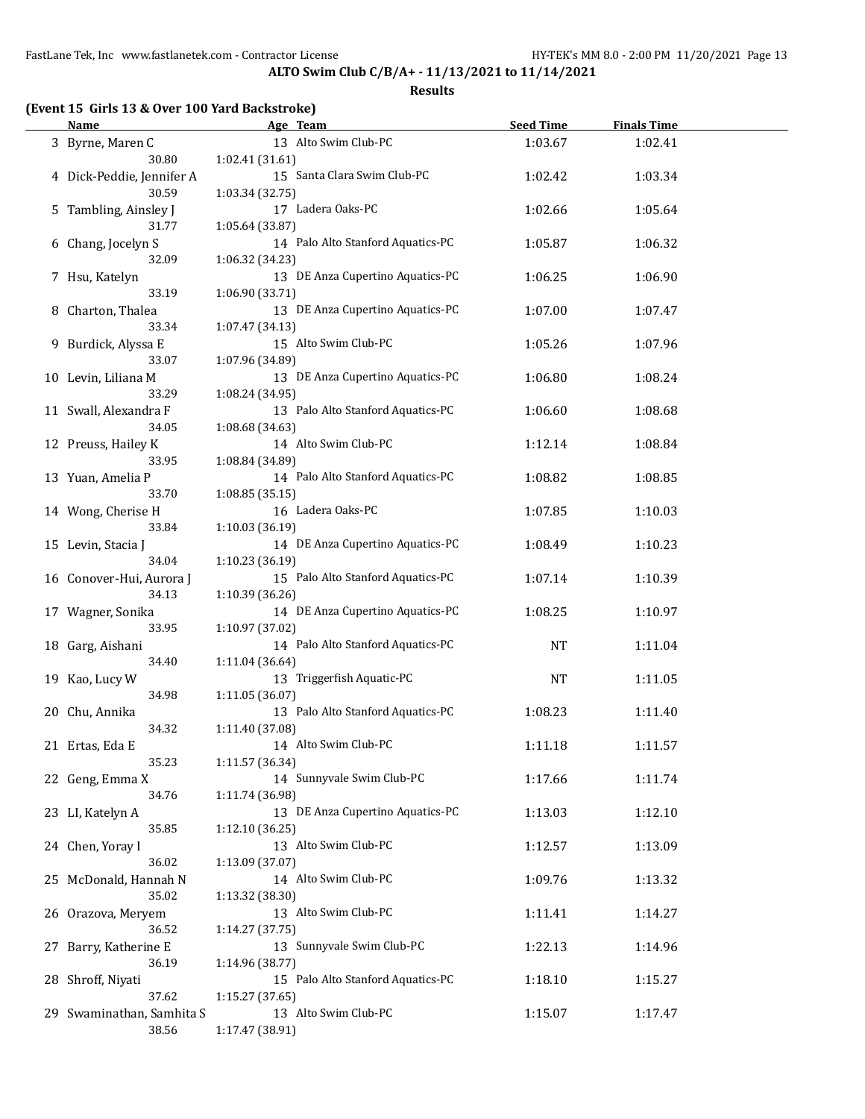**ALTO Swim Club C/B/A+ - 11/13/2021 to 11/14/2021**

| <b>Name</b>               |                 | Age Team                          | <b>Seed Time</b> | <b>Finals Time</b> |  |
|---------------------------|-----------------|-----------------------------------|------------------|--------------------|--|
| 3 Byrne, Maren C          |                 | 13 Alto Swim Club-PC              | 1:03.67          | 1:02.41            |  |
| 30.80                     | 1:02.41 (31.61) |                                   |                  |                    |  |
| 4 Dick-Peddie, Jennifer A |                 | 15 Santa Clara Swim Club-PC       | 1:02.42          | 1:03.34            |  |
| 30.59                     | 1:03.34 (32.75) |                                   |                  |                    |  |
|                           |                 | 17 Ladera Oaks-PC                 | 1:02.66          | 1:05.64            |  |
| 5 Tambling, Ainsley J     |                 |                                   |                  |                    |  |
| 31.77                     | 1:05.64 (33.87) |                                   |                  |                    |  |
| 6 Chang, Jocelyn S        |                 | 14 Palo Alto Stanford Aquatics-PC | 1:05.87          | 1:06.32            |  |
| 32.09                     | 1:06.32 (34.23) |                                   |                  |                    |  |
| 7 Hsu, Katelyn            |                 | 13 DE Anza Cupertino Aquatics-PC  | 1:06.25          | 1:06.90            |  |
| 33.19                     | 1:06.90 (33.71) |                                   |                  |                    |  |
| 8 Charton, Thalea         |                 | 13 DE Anza Cupertino Aquatics-PC  | 1:07.00          | 1:07.47            |  |
| 33.34                     | 1:07.47 (34.13) |                                   |                  |                    |  |
| 9 Burdick, Alyssa E       |                 | 15 Alto Swim Club-PC              | 1:05.26          | 1:07.96            |  |
| 33.07                     | 1:07.96 (34.89) |                                   |                  |                    |  |
| 10 Levin, Liliana M       |                 | 13 DE Anza Cupertino Aquatics-PC  | 1:06.80          | 1:08.24            |  |
| 33.29                     | 1:08.24 (34.95) |                                   |                  |                    |  |
| 11 Swall, Alexandra F     |                 | 13 Palo Alto Stanford Aquatics-PC | 1:06.60          | 1:08.68            |  |
| 34.05                     | 1:08.68 (34.63) |                                   |                  |                    |  |
|                           |                 | 14 Alto Swim Club-PC              |                  |                    |  |
| 12 Preuss, Hailey K       |                 |                                   | 1:12.14          | 1:08.84            |  |
| 33.95                     | 1:08.84 (34.89) |                                   |                  |                    |  |
| 13 Yuan, Amelia P         |                 | 14 Palo Alto Stanford Aquatics-PC | 1:08.82          | 1:08.85            |  |
| 33.70                     | 1:08.85(35.15)  |                                   |                  |                    |  |
| 14 Wong, Cherise H        |                 | 16 Ladera Oaks-PC                 | 1:07.85          | 1:10.03            |  |
| 33.84                     | 1:10.03 (36.19) |                                   |                  |                    |  |
| 15 Levin, Stacia J        |                 | 14 DE Anza Cupertino Aquatics-PC  | 1:08.49          | 1:10.23            |  |
| 34.04                     | 1:10.23 (36.19) |                                   |                  |                    |  |
| 16 Conover-Hui, Aurora J  |                 | 15 Palo Alto Stanford Aquatics-PC | 1:07.14          | 1:10.39            |  |
| 34.13                     | 1:10.39 (36.26) |                                   |                  |                    |  |
| 17 Wagner, Sonika         |                 | 14 DE Anza Cupertino Aquatics-PC  | 1:08.25          | 1:10.97            |  |
| 33.95                     | 1:10.97 (37.02) |                                   |                  |                    |  |
|                           |                 | 14 Palo Alto Stanford Aquatics-PC | <b>NT</b>        |                    |  |
| 18 Garg, Aishani          |                 |                                   |                  | 1:11.04            |  |
| 34.40                     | 1:11.04 (36.64) |                                   |                  |                    |  |
| 19 Kao, Lucy W            |                 | 13 Triggerfish Aquatic-PC         | NT               | 1:11.05            |  |
| 34.98                     | 1:11.05(36.07)  |                                   |                  |                    |  |
| 20 Chu, Annika            |                 | 13 Palo Alto Stanford Aquatics-PC | 1:08.23          | 1:11.40            |  |
| 34.32                     | 1:11.40 (37.08) |                                   |                  |                    |  |
| 21 Ertas, Eda E           |                 | 14 Alto Swim Club-PC              | 1:11.18          | 1:11.57            |  |
| 35.23                     | 1:11.57 (36.34) |                                   |                  |                    |  |
| 22 Geng, Emma X           |                 | 14 Sunnyvale Swim Club-PC         | 1:17.66          | 1:11.74            |  |
| 34.76                     | 1:11.74 (36.98) |                                   |                  |                    |  |
| 23 LI, Katelyn A          |                 | 13 DE Anza Cupertino Aquatics-PC  | 1:13.03          | 1:12.10            |  |
| 35.85                     | 1:12.10 (36.25) |                                   |                  |                    |  |
| 24 Chen, Yoray I          |                 | 13 Alto Swim Club-PC              | 1:12.57          | 1:13.09            |  |
| 36.02                     | 1:13.09 (37.07) |                                   |                  |                    |  |
|                           |                 | 14 Alto Swim Club-PC              |                  |                    |  |
| 25 McDonald, Hannah N     |                 |                                   | 1:09.76          | 1:13.32            |  |
| 35.02                     | 1:13.32 (38.30) |                                   |                  |                    |  |
| 26 Orazova, Meryem        |                 | 13 Alto Swim Club-PC              | 1:11.41          | 1:14.27            |  |
| 36.52                     | 1:14.27 (37.75) |                                   |                  |                    |  |
| 27 Barry, Katherine E     |                 | 13 Sunnyvale Swim Club-PC         | 1:22.13          | 1:14.96            |  |
| 36.19                     | 1:14.96 (38.77) |                                   |                  |                    |  |
| 28 Shroff, Niyati         |                 | 15 Palo Alto Stanford Aquatics-PC | 1:18.10          | 1:15.27            |  |
| 37.62                     | 1:15.27 (37.65) |                                   |                  |                    |  |
| 29 Swaminathan, Samhita S |                 | 13 Alto Swim Club-PC              | 1:15.07          | 1:17.47            |  |
| 38.56                     | 1:17.47 (38.91) |                                   |                  |                    |  |
|                           |                 |                                   |                  |                    |  |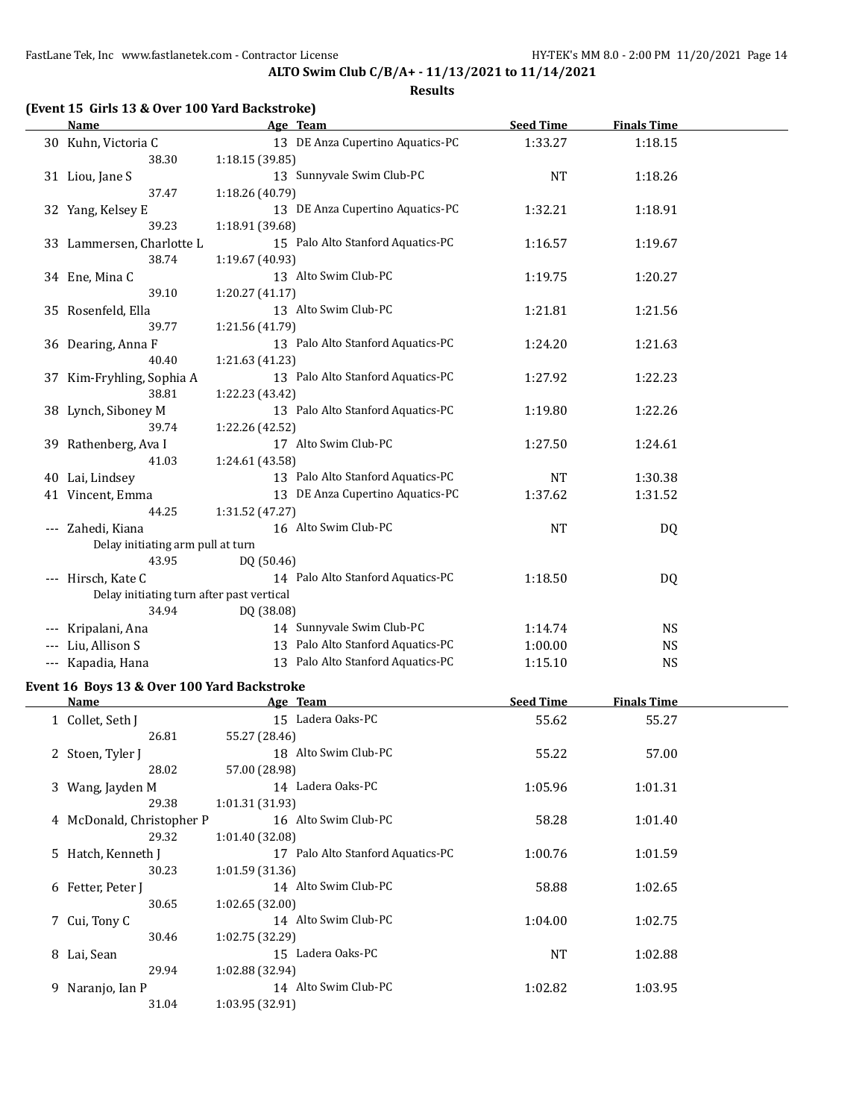**ALTO Swim Club C/B/A+ - 11/13/2021 to 11/14/2021**

## **(Event 15 Girls 13 & Over 100 Yard Backstroke)**

|                                          | <b>Name</b>                               | Age Team                                             | <b>Seed Time</b> | <b>Finals Time</b> |  |
|------------------------------------------|-------------------------------------------|------------------------------------------------------|------------------|--------------------|--|
|                                          | 30 Kuhn, Victoria C                       | 13 DE Anza Cupertino Aquatics-PC                     | 1:33.27          | 1:18.15            |  |
|                                          | 38.30                                     | 1:18.15 (39.85)                                      |                  |                    |  |
|                                          | 31 Liou, Jane S                           | 13 Sunnyvale Swim Club-PC                            | <b>NT</b>        | 1:18.26            |  |
|                                          | 37.47                                     | 1:18.26 (40.79)                                      |                  |                    |  |
|                                          | 32 Yang, Kelsey E                         | 13 DE Anza Cupertino Aquatics-PC                     | 1:32.21          | 1:18.91            |  |
|                                          | 39.23                                     | 1:18.91 (39.68)                                      |                  |                    |  |
|                                          | 33 Lammersen, Charlotte L                 | 15 Palo Alto Stanford Aquatics-PC                    | 1:16.57          | 1:19.67            |  |
|                                          | 38.74                                     | 1:19.67 (40.93)                                      |                  |                    |  |
|                                          | 34 Ene, Mina C                            | 13 Alto Swim Club-PC                                 | 1:19.75          | 1:20.27            |  |
|                                          | 39.10                                     | 1:20.27(41.17)                                       |                  |                    |  |
|                                          | 35 Rosenfeld, Ella                        | 13 Alto Swim Club-PC                                 | 1:21.81          | 1:21.56            |  |
|                                          | 39.77                                     | 1:21.56 (41.79)                                      |                  |                    |  |
|                                          | 36 Dearing, Anna F                        | 13 Palo Alto Stanford Aquatics-PC                    | 1:24.20          | 1:21.63            |  |
|                                          | 40.40                                     | 1:21.63 (41.23)                                      |                  |                    |  |
|                                          | 37 Kim-Fryhling, Sophia A                 | 13 Palo Alto Stanford Aquatics-PC                    | 1:27.92          | 1:22.23            |  |
|                                          | 38.81                                     | 1:22.23 (43.42)                                      |                  |                    |  |
|                                          | 38 Lynch, Siboney M                       | 13 Palo Alto Stanford Aquatics-PC                    | 1:19.80          | 1:22.26            |  |
|                                          | 39.74                                     | 1:22.26 (42.52)                                      |                  |                    |  |
|                                          | 39 Rathenberg, Ava I                      | 17 Alto Swim Club-PC                                 | 1:27.50          | 1:24.61            |  |
|                                          | 41.03                                     | 1:24.61 (43.58)<br>13 Palo Alto Stanford Aquatics-PC | <b>NT</b>        |                    |  |
|                                          | 40 Lai, Lindsey                           | 13 DE Anza Cupertino Aquatics-PC                     |                  | 1:30.38            |  |
|                                          | 41 Vincent, Emma<br>44.25                 | 1:31.52 (47.27)                                      | 1:37.62          | 1:31.52            |  |
|                                          | --- Zahedi, Kiana                         | 16 Alto Swim Club-PC                                 | <b>NT</b>        | DQ                 |  |
|                                          | Delay initiating arm pull at turn         |                                                      |                  |                    |  |
|                                          | 43.95                                     | DQ (50.46)                                           |                  |                    |  |
|                                          | --- Hirsch, Kate C                        | 14 Palo Alto Stanford Aquatics-PC                    | 1:18.50          | DQ                 |  |
|                                          | Delay initiating turn after past vertical |                                                      |                  |                    |  |
|                                          | 34.94                                     | DQ (38.08)                                           |                  |                    |  |
| ---                                      | Kripalani, Ana                            | 14 Sunnyvale Swim Club-PC                            | 1:14.74          | <b>NS</b>          |  |
|                                          | Liu, Allison S                            | 13 Palo Alto Stanford Aquatics-PC                    | 1:00.00          | <b>NS</b>          |  |
| $\hspace{0.05cm} \ldots \hspace{0.05cm}$ | Kapadia, Hana                             | 13 Palo Alto Stanford Aquatics-PC                    | 1:15.10          | <b>NS</b>          |  |
|                                          |                                           |                                                      |                  |                    |  |

#### **Event 16 Boys 13 & Over 100 Yard Backstroke**

| Name                      | Age Team                          | <b>Seed Time</b> | <b>Finals Time</b> |  |
|---------------------------|-----------------------------------|------------------|--------------------|--|
| 1 Collet, Seth J          | 15 Ladera Oaks-PC                 | 55.62            | 55.27              |  |
| 26.81                     | 55.27 (28.46)                     |                  |                    |  |
| 2 Stoen, Tyler J          | 18 Alto Swim Club-PC              | 55.22            | 57.00              |  |
| 28.02                     | 57.00 (28.98)                     |                  |                    |  |
| 3 Wang, Jayden M          | 14 Ladera Oaks-PC                 | 1:05.96          | 1:01.31            |  |
| 29.38                     | 1:01.31(31.93)                    |                  |                    |  |
| 4 McDonald, Christopher P | 16 Alto Swim Club-PC              | 58.28            | 1:01.40            |  |
| 29.32                     | 1:01.40 (32.08)                   |                  |                    |  |
| 5 Hatch, Kenneth J        | 17 Palo Alto Stanford Aquatics-PC | 1:00.76          | 1:01.59            |  |
| 30.23                     | 1:01.59(31.36)                    |                  |                    |  |
| 6 Fetter, Peter J         | 14 Alto Swim Club-PC              | 58.88            | 1:02.65            |  |
| 30.65                     | 1:02.65(32.00)                    |                  |                    |  |
| 7 Cui, Tony C             | 14 Alto Swim Club-PC              | 1:04.00          | 1:02.75            |  |
| 30.46                     | 1:02.75(32.29)                    |                  |                    |  |
| 8 Lai, Sean               | 15 Ladera Oaks-PC                 | <b>NT</b>        | 1:02.88            |  |
| 29.94                     | 1:02.88(32.94)                    |                  |                    |  |
| 9 Naranjo, Ian P          | 14 Alto Swim Club-PC              | 1:02.82          | 1:03.95            |  |
| 31.04                     | 1:03.95 (32.91)                   |                  |                    |  |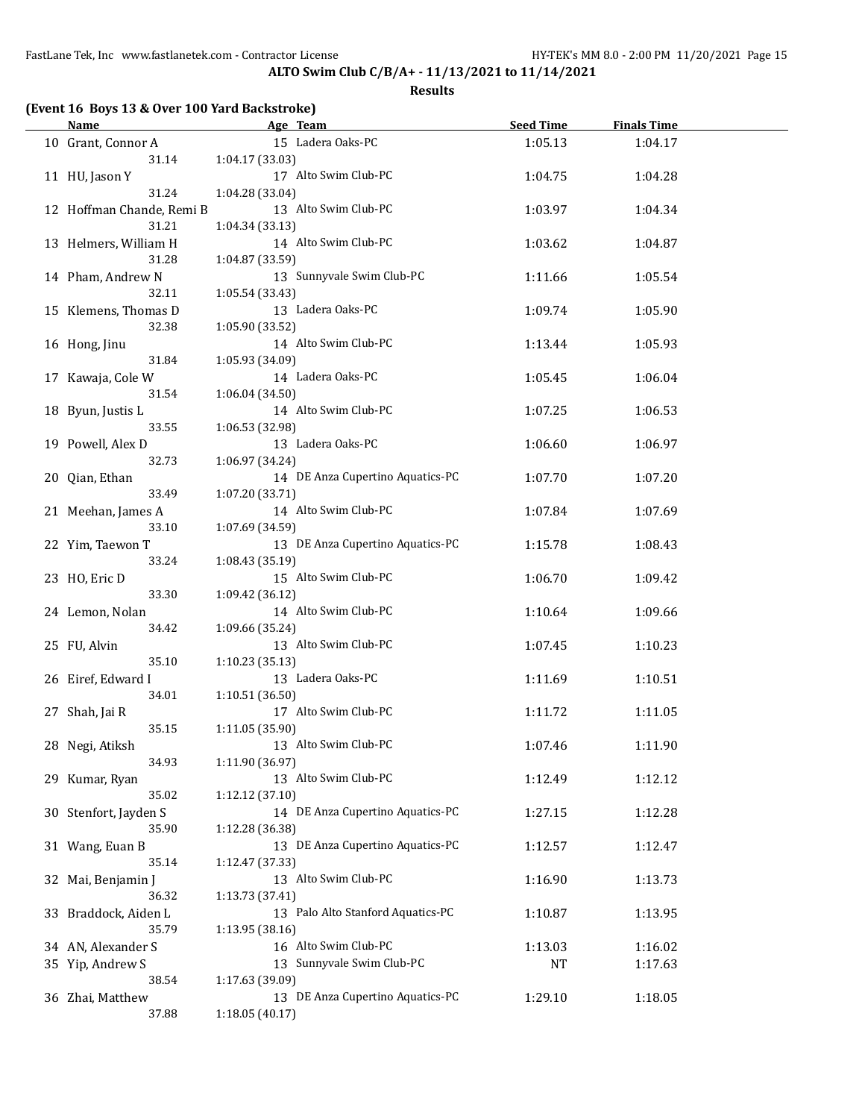## **(Event 16 Boys 13 & Over 100 Yard Backstroke)**

| Name                      | Age Team<br><u> 1990 - Johann Barbara, martin a</u> | Seed Time | <b>Finals Time</b> |  |
|---------------------------|-----------------------------------------------------|-----------|--------------------|--|
| 10 Grant, Connor A        | 15 Ladera Oaks-PC                                   | 1:05.13   | 1:04.17            |  |
| 31.14                     | 1:04.17 (33.03)                                     |           |                    |  |
| 11 HU, Jason Y            | 17 Alto Swim Club-PC                                | 1:04.75   | 1:04.28            |  |
| 31.24                     | 1:04.28 (33.04)                                     |           |                    |  |
| 12 Hoffman Chande, Remi B | 13 Alto Swim Club-PC                                | 1:03.97   | 1:04.34            |  |
|                           |                                                     |           |                    |  |
| 31.21                     | 1:04.34 (33.13)                                     |           |                    |  |
| 13 Helmers, William H     | 14 Alto Swim Club-PC                                | 1:03.62   | 1:04.87            |  |
| 31.28                     | 1:04.87 (33.59)                                     |           |                    |  |
| 14 Pham, Andrew N         | 13 Sunnyvale Swim Club-PC                           | 1:11.66   | 1:05.54            |  |
| 32.11                     | 1:05.54 (33.43)                                     |           |                    |  |
| 15 Klemens, Thomas D      | 13 Ladera Oaks-PC                                   | 1:09.74   | 1:05.90            |  |
| 32.38                     | 1:05.90 (33.52)                                     |           |                    |  |
| 16 Hong, Jinu             | 14 Alto Swim Club-PC                                | 1:13.44   | 1:05.93            |  |
| 31.84                     | 1:05.93 (34.09)                                     |           |                    |  |
| 17 Kawaja, Cole W         | 14 Ladera Oaks-PC                                   | 1:05.45   | 1:06.04            |  |
| 31.54                     | 1:06.04(34.50)                                      |           |                    |  |
| 18 Byun, Justis L         | 14 Alto Swim Club-PC                                | 1:07.25   | 1:06.53            |  |
| 33.55                     |                                                     |           |                    |  |
|                           | 1:06.53 (32.98)                                     |           |                    |  |
| 19 Powell, Alex D         | 13 Ladera Oaks-PC                                   | 1:06.60   | 1:06.97            |  |
| 32.73                     | 1:06.97 (34.24)                                     |           |                    |  |
| 20 Qian, Ethan            | 14 DE Anza Cupertino Aquatics-PC                    | 1:07.70   | 1:07.20            |  |
| 33.49                     | 1:07.20 (33.71)                                     |           |                    |  |
| 21 Meehan, James A        | 14 Alto Swim Club-PC                                | 1:07.84   | 1:07.69            |  |
| 33.10                     | 1:07.69 (34.59)                                     |           |                    |  |
| 22 Yim, Taewon T          | 13 DE Anza Cupertino Aquatics-PC                    | 1:15.78   | 1:08.43            |  |
| 33.24                     | 1:08.43 (35.19)                                     |           |                    |  |
| 23 HO, Eric D             | 15 Alto Swim Club-PC                                | 1:06.70   | 1:09.42            |  |
| 33.30                     | 1:09.42 (36.12)                                     |           |                    |  |
| 24 Lemon, Nolan           | 14 Alto Swim Club-PC                                | 1:10.64   | 1:09.66            |  |
| 34.42                     | 1:09.66 (35.24)                                     |           |                    |  |
| 25 FU, Alvin              | 13 Alto Swim Club-PC                                |           |                    |  |
|                           |                                                     | 1:07.45   | 1:10.23            |  |
| 35.10                     | 1:10.23(35.13)                                      |           |                    |  |
| 26 Eiref, Edward I        | 13 Ladera Oaks-PC                                   | 1:11.69   | 1:10.51            |  |
| 34.01                     | 1:10.51 (36.50)                                     |           |                    |  |
| 27 Shah, Jai R            | 17 Alto Swim Club-PC                                | 1:11.72   | 1:11.05            |  |
| 35.15                     | 1:11.05 (35.90)                                     |           |                    |  |
| 28 Negi, Atiksh           | 13 Alto Swim Club-PC                                | 1:07.46   | 1:11.90            |  |
| 34.93                     | 1:11.90 (36.97)                                     |           |                    |  |
| 29 Kumar, Ryan            | 13 Alto Swim Club-PC                                | 1:12.49   | 1:12.12            |  |
| 35.02                     | 1:12.12 (37.10)                                     |           |                    |  |
| 30 Stenfort, Jayden S     | 14 DE Anza Cupertino Aquatics-PC                    | 1:27.15   | 1:12.28            |  |
| 35.90                     | 1:12.28 (36.38)                                     |           |                    |  |
| 31 Wang, Euan B           | 13 DE Anza Cupertino Aquatics-PC                    | 1:12.57   | 1:12.47            |  |
| 35.14                     | 1:12.47 (37.33)                                     |           |                    |  |
| 32 Mai, Benjamin J        | 13 Alto Swim Club-PC                                |           |                    |  |
|                           |                                                     | 1:16.90   | 1:13.73            |  |
| 36.32                     | 1:13.73 (37.41)                                     |           |                    |  |
| 33 Braddock, Aiden L      | 13 Palo Alto Stanford Aquatics-PC                   | 1:10.87   | 1:13.95            |  |
| 35.79                     | 1:13.95 (38.16)                                     |           |                    |  |
| 34 AN, Alexander S        | 16 Alto Swim Club-PC                                | 1:13.03   | 1:16.02            |  |
| 35 Yip, Andrew S          | 13 Sunnyvale Swim Club-PC                           | <b>NT</b> | 1:17.63            |  |
| 38.54                     | 1:17.63 (39.09)                                     |           |                    |  |
| 36 Zhai, Matthew          | 13 DE Anza Cupertino Aquatics-PC                    | 1:29.10   | 1:18.05            |  |
| 37.88                     | 1:18.05 (40.17)                                     |           |                    |  |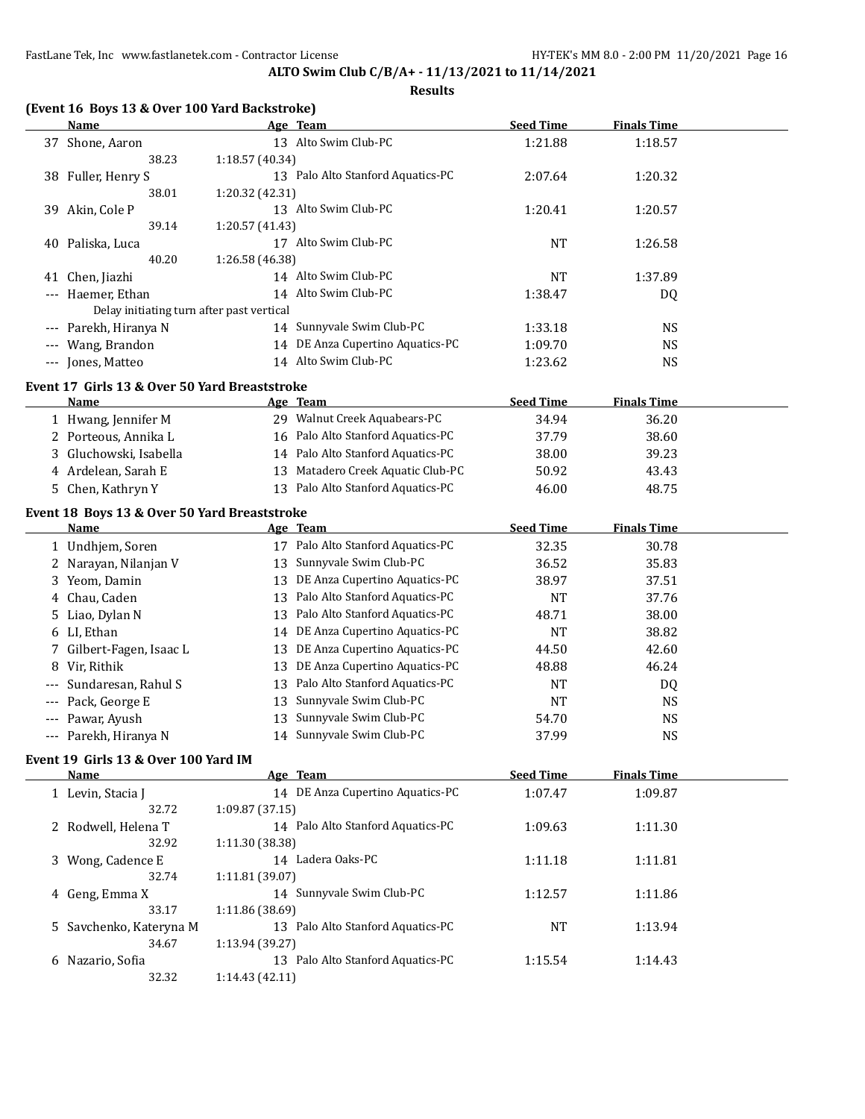**(Event 16 Boys 13 & Over 100 Yard Backstroke)**

**ALTO Swim Club C/B/A+ - 11/13/2021 to 11/14/2021**

|   | <b>Name</b>                                          | Age Team                             | <b>Seed Time</b> | <b>Finals Time</b> |  |
|---|------------------------------------------------------|--------------------------------------|------------------|--------------------|--|
|   | 37 Shone, Aaron                                      | 13 Alto Swim Club-PC                 | 1:21.88          | 1:18.57            |  |
|   | 38.23                                                | 1:18.57 (40.34)                      |                  |                    |  |
|   | 38 Fuller, Henry S                                   | 13 Palo Alto Stanford Aquatics-PC    | 2:07.64          | 1:20.32            |  |
|   | 38.01                                                | 1:20.32 (42.31)                      |                  |                    |  |
|   | 39 Akin, Cole P                                      | 13 Alto Swim Club-PC                 | 1:20.41          | 1:20.57            |  |
|   | 39.14                                                | 1:20.57 (41.43)                      |                  |                    |  |
|   | 40 Paliska, Luca                                     | 17 Alto Swim Club-PC                 | <b>NT</b>        | 1:26.58            |  |
|   | 40.20                                                | 1:26.58 (46.38)                      |                  |                    |  |
|   | 41 Chen, Jiazhi                                      | 14 Alto Swim Club-PC                 | <b>NT</b>        | 1:37.89            |  |
|   | --- Haemer, Ethan                                    | 14 Alto Swim Club-PC                 | 1:38.47          | DQ                 |  |
|   | Delay initiating turn after past vertical            |                                      |                  |                    |  |
|   | --- Parekh, Hiranya N                                | Sunnyvale Swim Club-PC<br>14         | 1:33.18          | <b>NS</b>          |  |
|   | --- Wang, Brandon                                    | 14 DE Anza Cupertino Aquatics-PC     | 1:09.70          | <b>NS</b>          |  |
|   | --- Jones, Matteo                                    | 14 Alto Swim Club-PC                 | 1:23.62          | <b>NS</b>          |  |
|   |                                                      |                                      |                  |                    |  |
|   | Event 17 Girls 13 & Over 50 Yard Breaststroke        |                                      |                  |                    |  |
|   | Name                                                 | <u>Age Team</u>                      | <b>Seed Time</b> | <b>Finals Time</b> |  |
|   | 1 Hwang, Jennifer M                                  | 29 Walnut Creek Aquabears-PC         | 34.94            | 36.20              |  |
|   | 2 Porteous, Annika L                                 | 16 Palo Alto Stanford Aquatics-PC    | 37.79            | 38.60              |  |
|   | 3 Gluchowski, Isabella                               | 14 Palo Alto Stanford Aquatics-PC    | 38.00            | 39.23              |  |
|   | 4 Ardelean, Sarah E                                  | Matadero Creek Aquatic Club-PC<br>13 | 50.92            | 43.43              |  |
|   | 5 Chen, Kathryn Y                                    | 13 Palo Alto Stanford Aquatics-PC    | 46.00            | 48.75              |  |
|   |                                                      |                                      |                  |                    |  |
|   | Event 18 Boys 13 & Over 50 Yard Breaststroke<br>Name | Age Team                             | <b>Seed Time</b> | <b>Finals Time</b> |  |
|   | 1 Undhjem, Soren                                     | 17 Palo Alto Stanford Aquatics-PC    | 32.35            | 30.78              |  |
|   |                                                      | Sunnyvale Swim Club-PC<br>13         |                  |                    |  |
|   | 2 Narayan, Nilanjan V                                |                                      | 36.52            | 35.83              |  |
|   | 3 Yeom, Damin                                        | DE Anza Cupertino Aquatics-PC<br>13  | 38.97            | 37.51              |  |
| 4 | Chau, Caden                                          | Palo Alto Stanford Aquatics-PC<br>13 | <b>NT</b>        | 37.76              |  |
| 5 | Liao, Dylan N                                        | Palo Alto Stanford Aquatics-PC<br>13 | 48.71            | 38.00              |  |
| 6 | LI, Ethan                                            | DE Anza Cupertino Aquatics-PC<br>14  | <b>NT</b>        | 38.82              |  |
|   | Gilbert-Fagen, Isaac L                               | DE Anza Cupertino Aquatics-PC<br>13  | 44.50            | 42.60              |  |
| 8 | Vir, Rithik                                          | DE Anza Cupertino Aquatics-PC<br>13  | 48.88            | 46.24              |  |
|   | Sundaresan, Rahul S                                  | Palo Alto Stanford Aquatics-PC<br>13 | <b>NT</b>        | DQ                 |  |
|   | Pack, George E                                       | Sunnyvale Swim Club-PC<br>13         | <b>NT</b>        | <b>NS</b>          |  |
|   | Pawar, Ayush                                         | Sunnyvale Swim Club-PC<br>13         | 54.70            | <b>NS</b>          |  |
|   | --- Parekh, Hiranya N                                | 14 Sunnyvale Swim Club-PC            | 37.99            | <b>NS</b>          |  |
|   | Event 19 Girls 13 & Over 100 Yard IM                 |                                      |                  |                    |  |
|   | <b>Name</b>                                          | Age Team                             | <b>Seed Time</b> | <b>Finals Time</b> |  |
|   | 1 Levin, Stacia J                                    | 14 DE Anza Cupertino Aquatics-PC     | 1:07.47          | 1:09.87            |  |
|   | 32.72                                                | 1:09.87 (37.15)                      |                  |                    |  |
|   | 2 Rodwell, Helena T                                  | 14 Palo Alto Stanford Aquatics-PC    | 1:09.63          | 1:11.30            |  |
|   | 32.92                                                | 1:11.30 (38.38)                      |                  |                    |  |
|   | 3 Wong, Cadence E                                    | 14 Ladera Oaks-PC                    | 1:11.18          | 1:11.81            |  |
|   | 32.74                                                | 1:11.81 (39.07)                      |                  |                    |  |
|   | 4 Geng, Emma X                                       | 14 Sunnyvale Swim Club-PC            | 1:12.57          | 1:11.86            |  |
|   | 33.17                                                | 1:11.86 (38.69)                      |                  |                    |  |
|   | 5 Savchenko, Kateryna M                              | 13 Palo Alto Stanford Aquatics-PC    | <b>NT</b>        | 1:13.94            |  |
|   | 34.67                                                | 1:13.94 (39.27)                      |                  |                    |  |
|   |                                                      | 13 Palo Alto Stanford Aquatics-PC    |                  |                    |  |
|   | 6 Nazario, Sofia<br>32.32                            |                                      | 1:15.54          | 1:14.43            |  |
|   |                                                      | 1:14.43 (42.11)                      |                  |                    |  |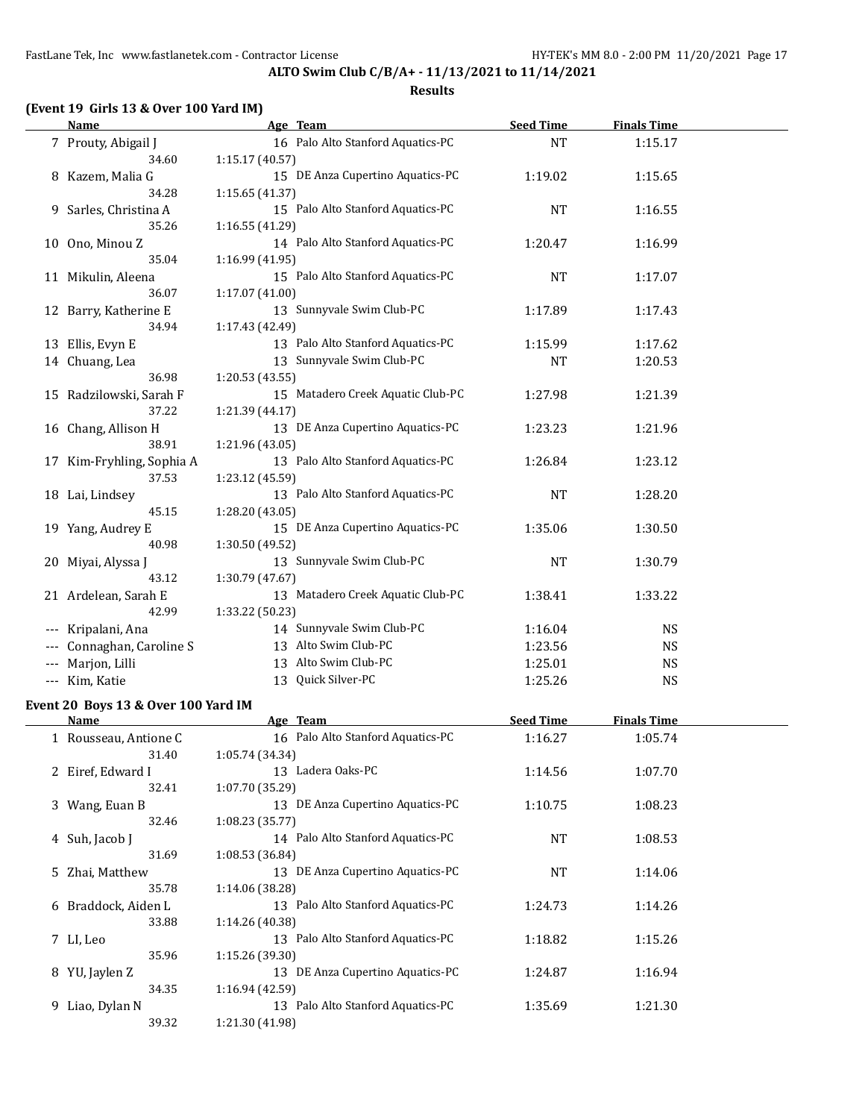**ALTO Swim Club C/B/A+ - 11/13/2021 to 11/14/2021 Results**

## **(Event 19 Girls 13 & Over 100 Yard IM)**

|       | Name                      | Age Team                          | <b>Seed Time</b> | <b>Finals Time</b> |  |
|-------|---------------------------|-----------------------------------|------------------|--------------------|--|
|       | 7 Prouty, Abigail J       | 16 Palo Alto Stanford Aquatics-PC | <b>NT</b>        | 1:15.17            |  |
|       | 34.60                     | 1:15.17 (40.57)                   |                  |                    |  |
|       | 8 Kazem, Malia G          | 15 DE Anza Cupertino Aquatics-PC  | 1:19.02          | 1:15.65            |  |
|       | 34.28                     | 1:15.65 (41.37)                   |                  |                    |  |
|       | 9 Sarles, Christina A     | 15 Palo Alto Stanford Aquatics-PC | <b>NT</b>        | 1:16.55            |  |
|       | 35.26                     | 1:16.55 (41.29)                   |                  |                    |  |
|       | 10 Ono, Minou Z           | 14 Palo Alto Stanford Aquatics-PC | 1:20.47          | 1:16.99            |  |
|       | 35.04                     | 1:16.99 (41.95)                   |                  |                    |  |
|       | 11 Mikulin, Aleena        | 15 Palo Alto Stanford Aquatics-PC | <b>NT</b>        | 1:17.07            |  |
|       | 36.07                     | 1:17.07(41.00)                    |                  |                    |  |
|       | 12 Barry, Katherine E     | 13 Sunnyvale Swim Club-PC         | 1:17.89          | 1:17.43            |  |
|       | 34.94                     | 1:17.43 (42.49)                   |                  |                    |  |
|       | 13 Ellis, Evyn E          | 13 Palo Alto Stanford Aquatics-PC | 1:15.99          | 1:17.62            |  |
|       | 14 Chuang, Lea            | 13 Sunnyvale Swim Club-PC         | <b>NT</b>        | 1:20.53            |  |
|       | 36.98                     | 1:20.53 (43.55)                   |                  |                    |  |
|       | 15 Radzilowski, Sarah F   | 15 Matadero Creek Aquatic Club-PC | 1:27.98          | 1:21.39            |  |
|       | 37.22                     | 1:21.39 (44.17)                   |                  |                    |  |
|       | 16 Chang, Allison H       | 13 DE Anza Cupertino Aquatics-PC  | 1:23.23          | 1:21.96            |  |
|       | 38.91                     | 1:21.96 (43.05)                   |                  |                    |  |
|       | 17 Kim-Fryhling, Sophia A | 13 Palo Alto Stanford Aquatics-PC | 1:26.84          | 1:23.12            |  |
|       | 37.53                     | 1:23.12 (45.59)                   |                  |                    |  |
|       | 18 Lai, Lindsey           | 13 Palo Alto Stanford Aquatics-PC | <b>NT</b>        | 1:28.20            |  |
|       | 45.15                     | 1:28.20 (43.05)                   |                  |                    |  |
|       | 19 Yang, Audrey E         | 15 DE Anza Cupertino Aquatics-PC  | 1:35.06          | 1:30.50            |  |
|       | 40.98                     | 1:30.50 (49.52)                   |                  |                    |  |
|       | 20 Miyai, Alyssa J        | 13 Sunnyvale Swim Club-PC         | <b>NT</b>        | 1:30.79            |  |
|       | 43.12                     | 1:30.79 (47.67)                   |                  |                    |  |
|       | 21 Ardelean, Sarah E      | 13 Matadero Creek Aquatic Club-PC | 1:38.41          | 1:33.22            |  |
|       | 42.99                     | 1:33.22 (50.23)                   |                  |                    |  |
|       | Kripalani, Ana            | 14 Sunnyvale Swim Club-PC         | 1:16.04          | <b>NS</b>          |  |
|       | Connaghan, Caroline S     | 13 Alto Swim Club-PC              | 1:23.56          | <b>NS</b>          |  |
|       | Marjon, Lilli             | 13 Alto Swim Club-PC              | 1:25.01          | NS                 |  |
| $---$ | Kim, Katie                | 13 Quick Silver-PC                | 1:25.26          | <b>NS</b>          |  |

#### **Event 20 Boys 13 & Over 100 Yard IM**

| Name                  | Age Team                          | <b>Seed Time</b> | <b>Finals Time</b> |  |
|-----------------------|-----------------------------------|------------------|--------------------|--|
| 1 Rousseau, Antione C | 16 Palo Alto Stanford Aquatics-PC | 1:16.27          | 1:05.74            |  |
| 31.40                 | 1:05.74 (34.34)                   |                  |                    |  |
| 2 Eiref, Edward I     | 13 Ladera Oaks-PC                 | 1:14.56          | 1:07.70            |  |
| 32.41                 | 1:07.70(35.29)                    |                  |                    |  |
| 3 Wang, Euan B        | 13 DE Anza Cupertino Aquatics-PC  | 1:10.75          | 1:08.23            |  |
| 32.46                 | 1:08.23(35.77)                    |                  |                    |  |
| 4 Suh, Jacob J        | 14 Palo Alto Stanford Aquatics-PC | <b>NT</b>        | 1:08.53            |  |
| 31.69                 | 1:08.53 (36.84)                   |                  |                    |  |
| 5 Zhai, Matthew       | 13 DE Anza Cupertino Aquatics-PC  | <b>NT</b>        | 1:14.06            |  |
| 35.78                 | 1:14.06 (38.28)                   |                  |                    |  |
| 6 Braddock, Aiden L   | 13 Palo Alto Stanford Aquatics-PC | 1:24.73          | 1:14.26            |  |
| 33.88                 | 1:14.26 (40.38)                   |                  |                    |  |
| 7 LI, Leo             | 13 Palo Alto Stanford Aquatics-PC | 1:18.82          | 1:15.26            |  |
| 35.96                 | 1:15.26(39.30)                    |                  |                    |  |
| 8 YU, Jaylen Z        | 13 DE Anza Cupertino Aquatics-PC  | 1:24.87          | 1:16.94            |  |
| 34.35                 | 1:16.94(42.59)                    |                  |                    |  |
| Liao, Dylan N<br>9    | 13 Palo Alto Stanford Aquatics-PC | 1:35.69          | 1:21.30            |  |
| 39.32                 | 1:21.30 (41.98)                   |                  |                    |  |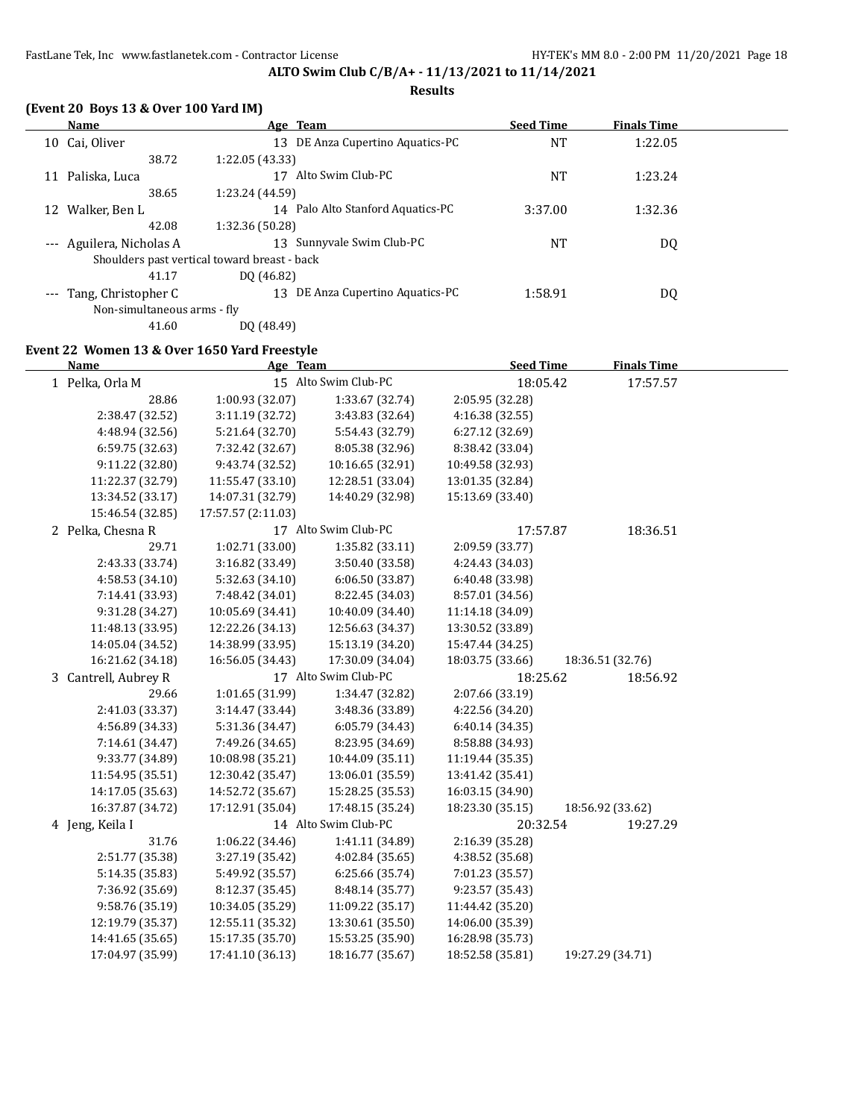#### **Results**

|    | (Event 20 Boys 13 & Over 100 Yard IM)        |                 |                                   |                  |                    |  |
|----|----------------------------------------------|-----------------|-----------------------------------|------------------|--------------------|--|
|    | Name                                         |                 | Age Team                          | <b>Seed Time</b> | <b>Finals Time</b> |  |
| 10 | Cai, Oliver                                  | 13              | DE Anza Cupertino Aquatics-PC     | <b>NT</b>        | 1:22.05            |  |
|    | 38.72                                        | 1:22.05 (43.33) |                                   |                  |                    |  |
| 11 | Paliska, Luca                                |                 | Alto Swim Club-PC                 | NT               | 1:23.24            |  |
|    | 38.65                                        | 1:23.24 (44.59) |                                   |                  |                    |  |
|    | Walker, Ben L                                |                 | 14 Palo Alto Stanford Aquatics-PC | 3:37.00          | 1:32.36            |  |
|    | 42.08                                        | 1:32.36 (50.28) |                                   |                  |                    |  |
|    | --- Aguilera, Nicholas A                     | 13              | Sunnyvale Swim Club-PC            | NT               | DQ                 |  |
|    | Shoulders past vertical toward breast - back |                 |                                   |                  |                    |  |
|    | 41.17                                        | DO (46.82)      |                                   |                  |                    |  |
|    | Tang, Christopher C                          | 13              | DE Anza Cupertino Aquatics-PC     | 1:58.91          | DQ                 |  |
|    | Non-simultaneous arms - fly                  |                 |                                   |                  |                    |  |

41.60 DQ (48.49)

# **Event 22 Women 13 & Over 1650 Yard Freestyle**

| Name                 | Age Team           |                      | <b>Seed Time</b> | <b>Finals Time</b> |  |
|----------------------|--------------------|----------------------|------------------|--------------------|--|
| 1 Pelka, Orla M      |                    | 15 Alto Swim Club-PC | 18:05.42         | 17:57.57           |  |
| 28.86                | 1:00.93 (32.07)    | 1:33.67 (32.74)      | 2:05.95 (32.28)  |                    |  |
| 2:38.47 (32.52)      | 3:11.19 (32.72)    | 3:43.83 (32.64)      | 4:16.38 (32.55)  |                    |  |
| 4:48.94 (32.56)      | 5:21.64 (32.70)    | 5:54.43 (32.79)      | 6:27.12 (32.69)  |                    |  |
| 6:59.75 (32.63)      | 7:32.42 (32.67)    | 8:05.38 (32.96)      | 8:38.42 (33.04)  |                    |  |
| 9:11.22 (32.80)      | 9:43.74 (32.52)    | 10:16.65 (32.91)     | 10:49.58 (32.93) |                    |  |
| 11:22.37 (32.79)     | 11:55.47 (33.10)   | 12:28.51 (33.04)     | 13:01.35 (32.84) |                    |  |
| 13:34.52 (33.17)     | 14:07.31 (32.79)   | 14:40.29 (32.98)     | 15:13.69 (33.40) |                    |  |
| 15:46.54 (32.85)     | 17:57.57 (2:11.03) |                      |                  |                    |  |
| 2 Pelka, Chesna R    |                    | 17 Alto Swim Club-PC | 17:57.87         | 18:36.51           |  |
| 29.71                | 1:02.71 (33.00)    | 1:35.82 (33.11)      | 2:09.59 (33.77)  |                    |  |
| 2:43.33 (33.74)      | 3:16.82 (33.49)    | 3:50.40 (33.58)      | 4:24.43 (34.03)  |                    |  |
| 4:58.53 (34.10)      | 5:32.63 (34.10)    | 6:06.50 (33.87)      | 6:40.48 (33.98)  |                    |  |
| 7:14.41 (33.93)      | 7:48.42 (34.01)    | 8:22.45 (34.03)      | 8:57.01 (34.56)  |                    |  |
| 9:31.28 (34.27)      | 10:05.69 (34.41)   | 10:40.09 (34.40)     | 11:14.18 (34.09) |                    |  |
| 11:48.13 (33.95)     | 12:22.26 (34.13)   | 12:56.63 (34.37)     | 13:30.52 (33.89) |                    |  |
| 14:05.04 (34.52)     | 14:38.99 (33.95)   | 15:13.19 (34.20)     | 15:47.44 (34.25) |                    |  |
| 16:21.62 (34.18)     | 16:56.05 (34.43)   | 17:30.09 (34.04)     | 18:03.75 (33.66) | 18:36.51 (32.76)   |  |
| 3 Cantrell, Aubrey R |                    | 17 Alto Swim Club-PC | 18:25.62         | 18:56.92           |  |
| 29.66                | 1:01.65 (31.99)    | 1:34.47 (32.82)      | 2:07.66 (33.19)  |                    |  |
| 2:41.03 (33.37)      | 3:14.47 (33.44)    | 3:48.36 (33.89)      | 4:22.56 (34.20)  |                    |  |
| 4:56.89 (34.33)      | 5:31.36 (34.47)    | 6:05.79 (34.43)      | 6:40.14 (34.35)  |                    |  |
| 7:14.61 (34.47)      | 7:49.26 (34.65)    | 8:23.95 (34.69)      | 8:58.88 (34.93)  |                    |  |
| 9:33.77 (34.89)      | 10:08.98 (35.21)   | 10:44.09 (35.11)     | 11:19.44 (35.35) |                    |  |
| 11:54.95 (35.51)     | 12:30.42 (35.47)   | 13:06.01 (35.59)     | 13:41.42 (35.41) |                    |  |
| 14:17.05 (35.63)     | 14:52.72 (35.67)   | 15:28.25 (35.53)     | 16:03.15 (34.90) |                    |  |
| 16:37.87 (34.72)     | 17:12.91 (35.04)   | 17:48.15 (35.24)     | 18:23.30 (35.15) | 18:56.92 (33.62)   |  |
| 4 Jeng, Keila I      |                    | 14 Alto Swim Club-PC | 20:32.54         | 19:27.29           |  |
| 31.76                | 1:06.22 (34.46)    | 1:41.11 (34.89)      | 2:16.39 (35.28)  |                    |  |
| 2:51.77 (35.38)      | 3:27.19 (35.42)    | 4:02.84 (35.65)      | 4:38.52 (35.68)  |                    |  |
| 5:14.35 (35.83)      | 5:49.92 (35.57)    | 6:25.66 (35.74)      | 7:01.23 (35.57)  |                    |  |
| 7:36.92 (35.69)      | 8:12.37 (35.45)    | 8:48.14 (35.77)      | 9:23.57 (35.43)  |                    |  |
| 9:58.76 (35.19)      | 10:34.05 (35.29)   | 11:09.22 (35.17)     | 11:44.42 (35.20) |                    |  |
| 12:19.79 (35.37)     | 12:55.11 (35.32)   | 13:30.61 (35.50)     | 14:06.00 (35.39) |                    |  |
| 14:41.65 (35.65)     | 15:17.35 (35.70)   | 15:53.25 (35.90)     | 16:28.98 (35.73) |                    |  |
| 17:04.97 (35.99)     | 17:41.10 (36.13)   | 18:16.77 (35.67)     | 18:52.58 (35.81) | 19:27.29 (34.71)   |  |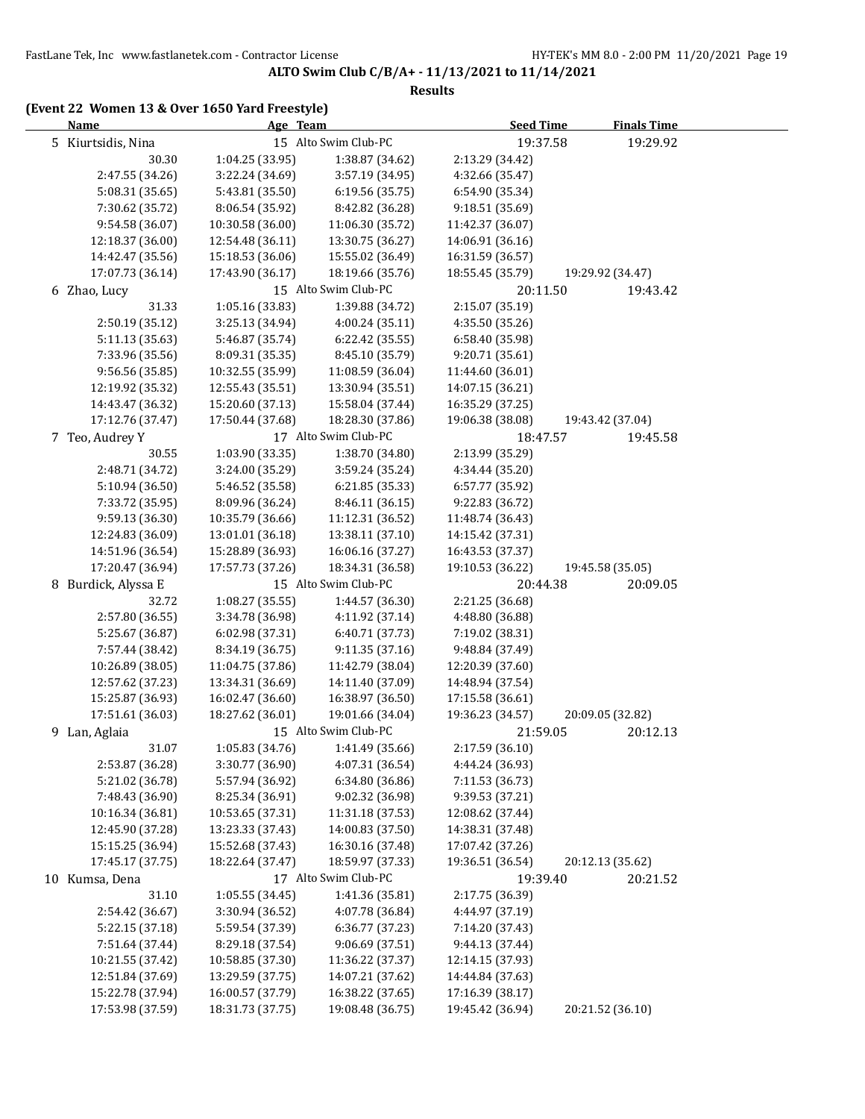#### **Results**

## **(Event 22 Women 13 & Over 1650 Yard Freestyle)**

| <b>Name</b>         |                  | Age Team         |                      | <b>Seed Time</b> | <b>Finals Time</b> |
|---------------------|------------------|------------------|----------------------|------------------|--------------------|
| 5 Kiurtsidis, Nina  |                  |                  | 15 Alto Swim Club-PC | 19:37.58         | 19:29.92           |
|                     | 30.30            | 1:04.25 (33.95)  | 1:38.87 (34.62)      | 2:13.29 (34.42)  |                    |
|                     | 2:47.55 (34.26)  | 3:22.24 (34.69)  | 3:57.19 (34.95)      | 4:32.66 (35.47)  |                    |
|                     | 5:08.31 (35.65)  | 5:43.81 (35.50)  | 6:19.56 (35.75)      | 6:54.90 (35.34)  |                    |
|                     | 7:30.62 (35.72)  | 8:06.54 (35.92)  | 8:42.82 (36.28)      | 9:18.51 (35.69)  |                    |
|                     | 9:54.58 (36.07)  | 10:30.58 (36.00) | 11:06.30 (35.72)     | 11:42.37 (36.07) |                    |
|                     | 12:18.37 (36.00) | 12:54.48 (36.11) | 13:30.75 (36.27)     | 14:06.91 (36.16) |                    |
|                     | 14:42.47 (35.56) | 15:18.53 (36.06) | 15:55.02 (36.49)     | 16:31.59 (36.57) |                    |
|                     | 17:07.73 (36.14) | 17:43.90 (36.17) | 18:19.66 (35.76)     | 18:55.45 (35.79) | 19:29.92 (34.47)   |
| 6 Zhao, Lucy        |                  |                  | 15 Alto Swim Club-PC | 20:11.50         | 19:43.42           |
|                     | 31.33            | 1:05.16 (33.83)  | 1:39.88 (34.72)      | 2:15.07 (35.19)  |                    |
|                     | 2:50.19 (35.12)  | 3:25.13 (34.94)  | 4:00.24 (35.11)      | 4:35.50 (35.26)  |                    |
|                     | 5:11.13 (35.63)  | 5:46.87 (35.74)  | 6:22.42 (35.55)      | 6:58.40 (35.98)  |                    |
|                     | 7:33.96 (35.56)  | 8:09.31 (35.35)  | 8:45.10 (35.79)      | 9:20.71 (35.61)  |                    |
|                     | 9:56.56 (35.85)  | 10:32.55 (35.99) | 11:08.59 (36.04)     | 11:44.60 (36.01) |                    |
|                     | 12:19.92 (35.32) | 12:55.43 (35.51) | 13:30.94 (35.51)     | 14:07.15 (36.21) |                    |
|                     | 14:43.47 (36.32) | 15:20.60 (37.13) | 15:58.04 (37.44)     | 16:35.29 (37.25) |                    |
|                     | 17:12.76 (37.47) | 17:50.44 (37.68) | 18:28.30 (37.86)     | 19:06.38 (38.08) | 19:43.42 (37.04)   |
|                     |                  |                  | 17 Alto Swim Club-PC |                  |                    |
| 7 Teo, Audrey Y     |                  |                  |                      | 18:47.57         | 19:45.58           |
|                     | 30.55            | 1:03.90 (33.35)  | 1:38.70 (34.80)      | 2:13.99 (35.29)  |                    |
|                     | 2:48.71 (34.72)  | 3:24.00 (35.29)  | 3:59.24 (35.24)      | 4:34.44 (35.20)  |                    |
|                     | 5:10.94 (36.50)  | 5:46.52 (35.58)  | 6:21.85 (35.33)      | 6:57.77 (35.92)  |                    |
|                     | 7:33.72 (35.95)  | 8:09.96 (36.24)  | 8:46.11 (36.15)      | 9:22.83 (36.72)  |                    |
|                     | 9:59.13 (36.30)  | 10:35.79 (36.66) | 11:12.31 (36.52)     | 11:48.74 (36.43) |                    |
|                     | 12:24.83 (36.09) | 13:01.01 (36.18) | 13:38.11 (37.10)     | 14:15.42 (37.31) |                    |
|                     | 14:51.96 (36.54) | 15:28.89 (36.93) | 16:06.16 (37.27)     | 16:43.53 (37.37) |                    |
|                     | 17:20.47 (36.94) | 17:57.73 (37.26) | 18:34.31 (36.58)     | 19:10.53 (36.22) | 19:45.58 (35.05)   |
| 8 Burdick, Alyssa E |                  |                  | 15 Alto Swim Club-PC | 20:44.38         | 20:09.05           |
|                     | 32.72            | 1:08.27 (35.55)  | 1:44.57 (36.30)      | 2:21.25 (36.68)  |                    |
|                     | 2:57.80 (36.55)  | 3:34.78 (36.98)  | 4:11.92 (37.14)      | 4:48.80 (36.88)  |                    |
|                     | 5:25.67 (36.87)  | 6:02.98 (37.31)  | 6:40.71 (37.73)      | 7:19.02 (38.31)  |                    |
|                     | 7:57.44 (38.42)  | 8:34.19 (36.75)  | 9:11.35 (37.16)      | 9:48.84 (37.49)  |                    |
|                     | 10:26.89 (38.05) | 11:04.75 (37.86) | 11:42.79 (38.04)     | 12:20.39 (37.60) |                    |
|                     | 12:57.62 (37.23) | 13:34.31 (36.69) | 14:11.40 (37.09)     | 14:48.94 (37.54) |                    |
|                     | 15:25.87 (36.93) | 16:02.47 (36.60) | 16:38.97 (36.50)     | 17:15.58 (36.61) |                    |
|                     | 17:51.61 (36.03) | 18:27.62 (36.01) | 19:01.66 (34.04)     | 19:36.23 (34.57) | 20:09.05 (32.82)   |
| 9 Lan, Aglaia       |                  |                  | 15 Alto Swim Club-PC | 21:59.05         | 20:12.13           |
|                     | 31.07            | 1:05.83 (34.76)  | 1:41.49 (35.66)      | 2:17.59(36.10)   |                    |
|                     | 2:53.87 (36.28)  | 3:30.77 (36.90)  | 4:07.31 (36.54)      | 4:44.24 (36.93)  |                    |
|                     | 5:21.02 (36.78)  | 5:57.94 (36.92)  | 6:34.80 (36.86)      | 7:11.53 (36.73)  |                    |
|                     | 7:48.43 (36.90)  | 8:25.34 (36.91)  | 9:02.32 (36.98)      | 9:39.53 (37.21)  |                    |
|                     | 10:16.34 (36.81) | 10:53.65 (37.31) | 11:31.18 (37.53)     | 12:08.62 (37.44) |                    |
|                     | 12:45.90 (37.28) | 13:23.33 (37.43) | 14:00.83 (37.50)     | 14:38.31 (37.48) |                    |
|                     | 15:15.25 (36.94) | 15:52.68 (37.43) | 16:30.16 (37.48)     | 17:07.42 (37.26) |                    |
|                     | 17:45.17 (37.75) | 18:22.64 (37.47) | 18:59.97 (37.33)     | 19:36.51 (36.54) | 20:12.13 (35.62)   |
| 10 Kumsa, Dena      |                  |                  | 17 Alto Swim Club-PC | 19:39.40         | 20:21.52           |
|                     | 31.10            | 1:05.55 (34.45)  | 1:41.36 (35.81)      | 2:17.75 (36.39)  |                    |
|                     | 2:54.42 (36.67)  | 3:30.94 (36.52)  | 4:07.78 (36.84)      | 4:44.97 (37.19)  |                    |
|                     | 5:22.15 (37.18)  | 5:59.54 (37.39)  | 6:36.77 (37.23)      | 7:14.20 (37.43)  |                    |
|                     | 7:51.64 (37.44)  | 8:29.18 (37.54)  | 9:06.69 (37.51)      | 9:44.13 (37.44)  |                    |
|                     | 10:21.55 (37.42) | 10:58.85 (37.30) | 11:36.22 (37.37)     | 12:14.15 (37.93) |                    |
|                     | 12:51.84 (37.69) | 13:29.59 (37.75) | 14:07.21 (37.62)     | 14:44.84 (37.63) |                    |
|                     |                  | 16:00.57 (37.79) |                      | 17:16.39 (38.17) |                    |
|                     | 15:22.78 (37.94) |                  | 16:38.22 (37.65)     |                  |                    |
|                     | 17:53.98 (37.59) | 18:31.73 (37.75) | 19:08.48 (36.75)     | 19:45.42 (36.94) | 20:21.52 (36.10)   |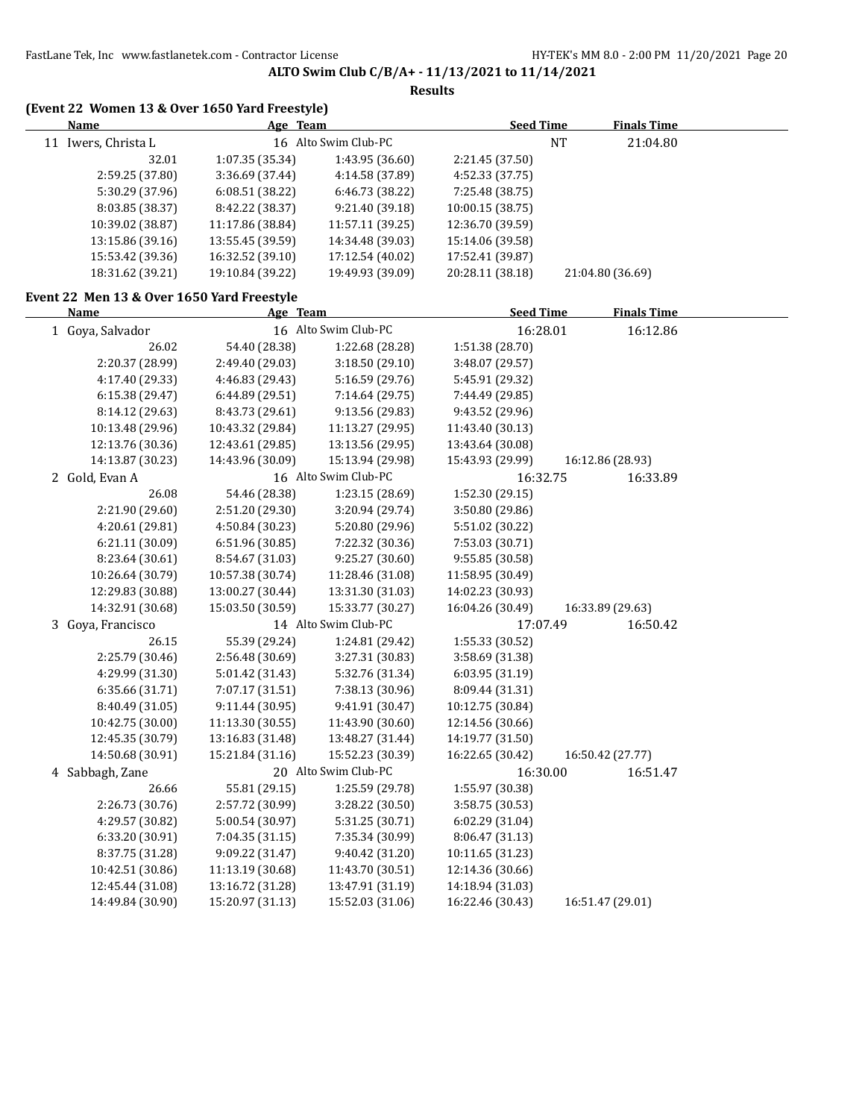| (Event 22 Women 13 & Over 1650 Yard Freestyle)            |                  |                      |                  |           |                    |  |
|-----------------------------------------------------------|------------------|----------------------|------------------|-----------|--------------------|--|
| <b>Name</b>                                               | Age Team         |                      | <b>Seed Time</b> |           | <b>Finals Time</b> |  |
| 11 Iwers, Christa L                                       |                  | 16 Alto Swim Club-PC |                  | <b>NT</b> | 21:04.80           |  |
| 32.01                                                     | 1:07.35 (35.34)  | 1:43.95 (36.60)      | 2:21.45 (37.50)  |           |                    |  |
| 2:59.25 (37.80)                                           | 3:36.69 (37.44)  | 4:14.58 (37.89)      | 4:52.33 (37.75)  |           |                    |  |
| 5:30.29 (37.96)                                           | 6:08.51 (38.22)  | 6:46.73 (38.22)      | 7:25.48 (38.75)  |           |                    |  |
| 8:03.85 (38.37)                                           | 8:42.22 (38.37)  | 9:21.40 (39.18)      | 10:00.15 (38.75) |           |                    |  |
| 10:39.02 (38.87)                                          | 11:17.86 (38.84) | 11:57.11 (39.25)     | 12:36.70 (39.59) |           |                    |  |
| 13:15.86 (39.16)                                          | 13:55.45 (39.59) | 14:34.48 (39.03)     | 15:14.06 (39.58) |           |                    |  |
| 15:53.42 (39.36)                                          | 16:32.52 (39.10) | 17:12.54 (40.02)     | 17:52.41 (39.87) |           |                    |  |
| 18:31.62 (39.21)                                          | 19:10.84 (39.22) | 19:49.93 (39.09)     | 20:28.11 (38.18) |           | 21:04.80 (36.69)   |  |
| Event 22 Men 13 & Over 1650 Yard Freestyle<br><b>Name</b> |                  |                      | <b>Seed Time</b> |           | <b>Finals Time</b> |  |
|                                                           | Age Team         | 16 Alto Swim Club-PC |                  |           |                    |  |
| 1 Goya, Salvador                                          |                  |                      |                  | 16:28.01  | 16:12.86           |  |
| 26.02                                                     | 54.40 (28.38)    | 1:22.68 (28.28)      | 1:51.38 (28.70)  |           |                    |  |
| 2:20.37 (28.99)                                           | 2:49.40 (29.03)  | 3:18.50 (29.10)      | 3:48.07 (29.57)  |           |                    |  |
| 4:17.40 (29.33)                                           | 4:46.83 (29.43)  | 5:16.59 (29.76)      | 5:45.91 (29.32)  |           |                    |  |
| 6:15.38 (29.47)                                           | 6:44.89 (29.51)  | 7:14.64 (29.75)      | 7:44.49 (29.85)  |           |                    |  |
| 8:14.12 (29.63)                                           | 8:43.73 (29.61)  | 9:13.56 (29.83)      | 9:43.52 (29.96)  |           |                    |  |
| 10:13.48 (29.96)                                          | 10:43.32 (29.84) | 11:13.27 (29.95)     | 11:43.40 (30.13) |           |                    |  |
| 12:13.76 (30.36)                                          | 12:43.61 (29.85) | 13:13.56 (29.95)     | 13:43.64 (30.08) |           |                    |  |
| 14:13.87 (30.23)                                          | 14:43.96 (30.09) | 15:13.94 (29.98)     | 15:43.93 (29.99) |           | 16:12.86 (28.93)   |  |
| 2 Gold, Evan A                                            |                  | 16 Alto Swim Club-PC |                  | 16:32.75  | 16:33.89           |  |
| 26.08                                                     | 54.46 (28.38)    | 1:23.15 (28.69)      | 1:52.30 (29.15)  |           |                    |  |
| 2:21.90 (29.60)                                           | 2:51.20 (29.30)  | 3:20.94 (29.74)      | 3:50.80 (29.86)  |           |                    |  |
| 4:20.61 (29.81)                                           | 4:50.84 (30.23)  | 5:20.80 (29.96)      | 5:51.02 (30.22)  |           |                    |  |
| 6:21.11 (30.09)                                           | 6:51.96 (30.85)  | 7:22.32 (30.36)      | 7:53.03 (30.71)  |           |                    |  |
| 8:23.64 (30.61)                                           | 8:54.67 (31.03)  | 9:25.27 (30.60)      | 9:55.85 (30.58)  |           |                    |  |
| 10:26.64 (30.79)                                          | 10:57.38 (30.74) | 11:28.46 (31.08)     | 11:58.95 (30.49) |           |                    |  |
| 12:29.83 (30.88)                                          | 13:00.27 (30.44) | 13:31.30 (31.03)     | 14:02.23 (30.93) |           |                    |  |
| 14:32.91 (30.68)                                          | 15:03.50 (30.59) | 15:33.77 (30.27)     | 16:04.26 (30.49) |           | 16:33.89 (29.63)   |  |
| 3 Goya, Francisco                                         |                  | 14 Alto Swim Club-PC |                  | 17:07.49  | 16:50.42           |  |
| 26.15                                                     | 55.39 (29.24)    | 1:24.81 (29.42)      | 1:55.33 (30.52)  |           |                    |  |
| 2:25.79 (30.46)                                           | 2:56.48 (30.69)  | 3:27.31 (30.83)      | 3:58.69 (31.38)  |           |                    |  |
| 4:29.99 (31.30)                                           | 5:01.42 (31.43)  | 5:32.76 (31.34)      | 6:03.95 (31.19)  |           |                    |  |
| 6:35.66 (31.71)                                           | 7:07.17 (31.51)  | 7:38.13 (30.96)      | 8:09.44 (31.31)  |           |                    |  |
| 8:40.49 (31.05)                                           | 9:11.44 (30.95)  | 9:41.91 (30.47)      | 10:12.75 (30.84) |           |                    |  |
| 10:42.75 (30.00)                                          | 11:13.30 (30.55) | 11:43.90 (30.60)     | 12:14.56 (30.66) |           |                    |  |
| 12:45.35 (30.79)                                          | 13:16.83 (31.48) | 13:48.27 (31.44)     | 14:19.77 (31.50) |           |                    |  |
| 14:50.68 (30.91)                                          | 15:21.84 (31.16) | 15:52.23 (30.39)     | 16:22.65 (30.42) |           | 16:50.42 (27.77)   |  |
| 4 Sabbagh, Zane                                           |                  | 20 Alto Swim Club-PC |                  | 16:30.00  | 16:51.47           |  |
| 26.66                                                     | 55.81 (29.15)    | 1:25.59 (29.78)      | 1:55.97 (30.38)  |           |                    |  |
| 2:26.73 (30.76)                                           | 2:57.72 (30.99)  | 3:28.22 (30.50)      | 3:58.75 (30.53)  |           |                    |  |
| 4:29.57 (30.82)                                           | 5:00.54 (30.97)  | 5:31.25 (30.71)      | 6:02.29 (31.04)  |           |                    |  |
| 6:33.20 (30.91)                                           | 7:04.35 (31.15)  | 7:35.34 (30.99)      | 8:06.47 (31.13)  |           |                    |  |
| 8:37.75 (31.28)                                           | 9:09.22 (31.47)  | 9:40.42 (31.20)      | 10:11.65 (31.23) |           |                    |  |
| 10:42.51 (30.86)                                          | 11:13.19 (30.68) | 11:43.70 (30.51)     | 12:14.36 (30.66) |           |                    |  |
| 12:45.44 (31.08)                                          | 13:16.72 (31.28) | 13:47.91 (31.19)     | 14:18.94 (31.03) |           |                    |  |
| 14:49.84 (30.90)                                          | 15:20.97 (31.13) | 15:52.03 (31.06)     | 16:22.46 (30.43) |           | 16:51.47 (29.01)   |  |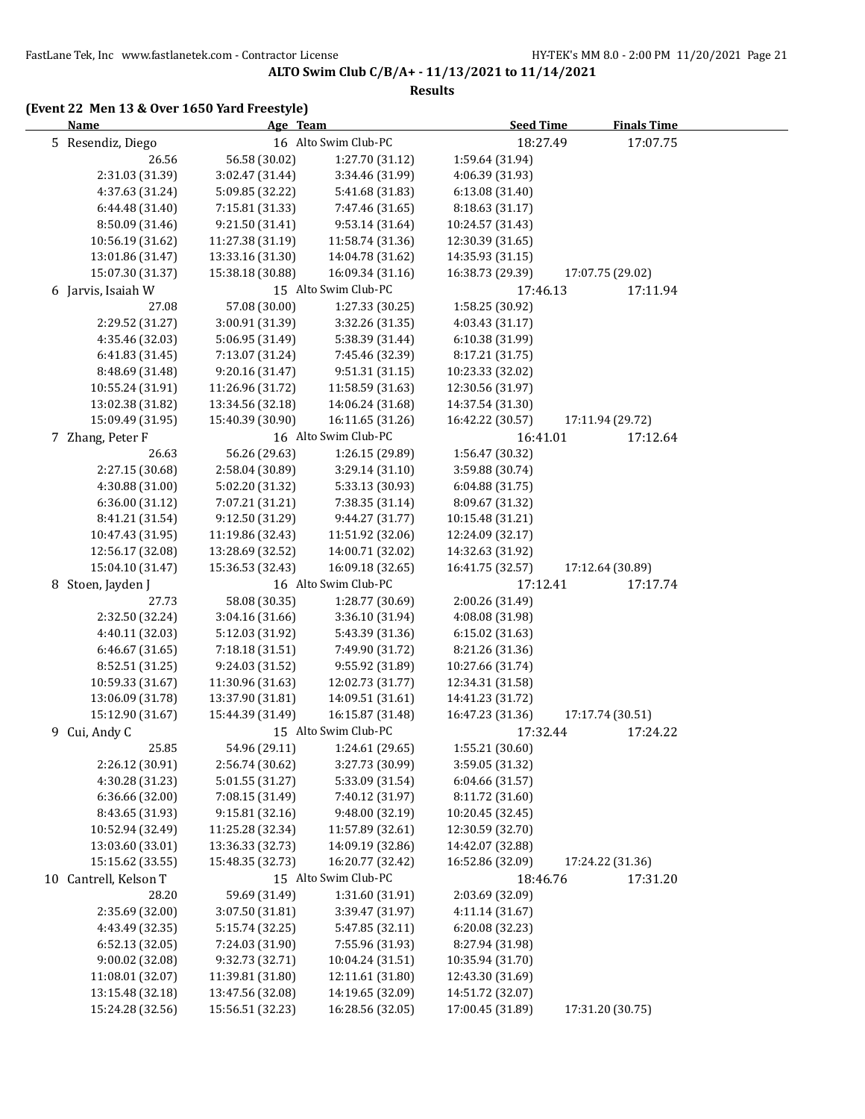#### **Results**

## **(Event 22 Men 13 & Over 1650 Yard Freestyle)**

| <b>Name</b>           | Age Team         |                      | <b>Seed Time</b> | <b>Finals Time</b> |
|-----------------------|------------------|----------------------|------------------|--------------------|
| 5 Resendiz, Diego     |                  | 16 Alto Swim Club-PC | 18:27.49         | 17:07.75           |
| 26.56                 | 56.58 (30.02)    | 1:27.70 (31.12)      | 1:59.64 (31.94)  |                    |
| 2:31.03 (31.39)       | 3:02.47 (31.44)  | 3:34.46 (31.99)      | 4:06.39 (31.93)  |                    |
| 4:37.63 (31.24)       | 5:09.85 (32.22)  | 5:41.68 (31.83)      | 6:13.08(31.40)   |                    |
| 6:44.48 (31.40)       | 7:15.81 (31.33)  | 7:47.46 (31.65)      | 8:18.63 (31.17)  |                    |
| 8:50.09 (31.46)       | 9:21.50 (31.41)  | 9:53.14 (31.64)      | 10:24.57 (31.43) |                    |
| 10:56.19 (31.62)      | 11:27.38 (31.19) | 11:58.74 (31.36)     | 12:30.39 (31.65) |                    |
| 13:01.86 (31.47)      | 13:33.16 (31.30) | 14:04.78 (31.62)     | 14:35.93 (31.15) |                    |
| 15:07.30 (31.37)      | 15:38.18 (30.88) | 16:09.34 (31.16)     | 16:38.73 (29.39) | 17:07.75 (29.02)   |
| 6 Jarvis, Isaiah W    |                  | 15 Alto Swim Club-PC | 17:46.13         | 17:11.94           |
| 27.08                 | 57.08 (30.00)    | 1:27.33 (30.25)      | 1:58.25 (30.92)  |                    |
| 2:29.52 (31.27)       | 3:00.91 (31.39)  | 3:32.26 (31.35)      | 4:03.43 (31.17)  |                    |
| 4:35.46 (32.03)       | 5:06.95 (31.49)  | 5:38.39 (31.44)      | 6:10.38 (31.99)  |                    |
| 6:41.83 (31.45)       | 7:13.07 (31.24)  | 7:45.46 (32.39)      | 8:17.21 (31.75)  |                    |
| 8:48.69 (31.48)       | 9:20.16 (31.47)  | 9:51.31 (31.15)      | 10:23.33 (32.02) |                    |
| 10:55.24 (31.91)      | 11:26.96 (31.72) | 11:58.59 (31.63)     | 12:30.56 (31.97) |                    |
| 13:02.38 (31.82)      | 13:34.56 (32.18) | 14:06.24 (31.68)     | 14:37.54 (31.30) |                    |
| 15:09.49 (31.95)      | 15:40.39 (30.90) | 16:11.65 (31.26)     | 16:42.22 (30.57) | 17:11.94 (29.72)   |
| 7 Zhang, Peter F      |                  | 16 Alto Swim Club-PC | 16:41.01         | 17:12.64           |
| 26.63                 | 56.26 (29.63)    | 1:26.15 (29.89)      | 1:56.47 (30.32)  |                    |
| 2:27.15 (30.68)       | 2:58.04 (30.89)  | 3:29.14 (31.10)      | 3:59.88 (30.74)  |                    |
| 4:30.88 (31.00)       | 5:02.20 (31.32)  | 5:33.13 (30.93)      | 6:04.88(31.75)   |                    |
| 6:36.00 (31.12)       | 7:07.21 (31.21)  | 7:38.35 (31.14)      | 8:09.67 (31.32)  |                    |
| 8:41.21 (31.54)       | 9:12.50 (31.29)  | 9:44.27 (31.77)      | 10:15.48 (31.21) |                    |
| 10:47.43 (31.95)      | 11:19.86 (32.43) | 11:51.92 (32.06)     | 12:24.09 (32.17) |                    |
| 12:56.17 (32.08)      | 13:28.69 (32.52) | 14:00.71 (32.02)     | 14:32.63 (31.92) |                    |
| 15:04.10 (31.47)      | 15:36.53 (32.43) | 16:09.18 (32.65)     | 16:41.75 (32.57) | 17:12.64 (30.89)   |
| 8 Stoen, Jayden J     |                  | 16 Alto Swim Club-PC | 17:12.41         | 17:17.74           |
| 27.73                 | 58.08 (30.35)    | 1:28.77 (30.69)      | 2:00.26 (31.49)  |                    |
| 2:32.50 (32.24)       | 3:04.16 (31.66)  | 3:36.10 (31.94)      | 4:08.08 (31.98)  |                    |
| 4:40.11 (32.03)       | 5:12.03 (31.92)  | 5:43.39 (31.36)      | 6:15.02 (31.63)  |                    |
| 6:46.67 (31.65)       | 7:18.18 (31.51)  | 7:49.90 (31.72)      | 8:21.26 (31.36)  |                    |
| 8:52.51 (31.25)       | 9:24.03 (31.52)  | 9:55.92 (31.89)      | 10:27.66 (31.74) |                    |
| 10:59.33 (31.67)      | 11:30.96 (31.63) | 12:02.73 (31.77)     | 12:34.31 (31.58) |                    |
| 13:06.09 (31.78)      | 13:37.90 (31.81) | 14:09.51 (31.61)     | 14:41.23 (31.72) |                    |
| 15:12.90 (31.67)      | 15:44.39 (31.49) | 16:15.87 (31.48)     | 16:47.23 (31.36) | 17:17.74 (30.51)   |
| 9 Cui, Andy C         |                  | 15 Alto Swim Club-PC | 17:32.44         | 17:24.22           |
| 25.85                 | 54.96 (29.11)    | 1:24.61 (29.65)      | 1:55.21 (30.60)  |                    |
| 2:26.12 (30.91)       | 2:56.74 (30.62)  | 3:27.73 (30.99)      | 3:59.05 (31.32)  |                    |
| 4:30.28 (31.23)       | 5:01.55 (31.27)  | 5:33.09 (31.54)      | 6:04.66 (31.57)  |                    |
| 6:36.66 (32.00)       | 7:08.15 (31.49)  | 7:40.12 (31.97)      | 8:11.72 (31.60)  |                    |
| 8:43.65 (31.93)       | 9:15.81 (32.16)  | 9:48.00 (32.19)      | 10:20.45 (32.45) |                    |
| 10:52.94 (32.49)      | 11:25.28 (32.34) | 11:57.89 (32.61)     | 12:30.59 (32.70) |                    |
| 13:03.60 (33.01)      | 13:36.33 (32.73) | 14:09.19 (32.86)     | 14:42.07 (32.88) |                    |
| 15:15.62 (33.55)      | 15:48.35 (32.73) | 16:20.77 (32.42)     | 16:52.86 (32.09) | 17:24.22 (31.36)   |
| 10 Cantrell, Kelson T |                  | 15 Alto Swim Club-PC | 18:46.76         | 17:31.20           |
| 28.20                 | 59.69 (31.49)    | 1:31.60 (31.91)      | 2:03.69 (32.09)  |                    |
| 2:35.69 (32.00)       | 3:07.50 (31.81)  | 3:39.47 (31.97)      | 4:11.14 (31.67)  |                    |
| 4:43.49 (32.35)       | 5:15.74 (32.25)  | 5:47.85 (32.11)      | 6:20.08 (32.23)  |                    |
| 6:52.13 (32.05)       | 7:24.03 (31.90)  | 7:55.96 (31.93)      | 8:27.94 (31.98)  |                    |
| 9:00.02 (32.08)       | 9:32.73 (32.71)  | 10:04.24 (31.51)     | 10:35.94 (31.70) |                    |
| 11:08.01 (32.07)      | 11:39.81 (31.80) | 12:11.61 (31.80)     | 12:43.30 (31.69) |                    |
| 13:15.48 (32.18)      | 13:47.56 (32.08) | 14:19.65 (32.09)     | 14:51.72 (32.07) |                    |
| 15:24.28 (32.56)      | 15:56.51 (32.23) | 16:28.56 (32.05)     | 17:00.45 (31.89) | 17:31.20 (30.75)   |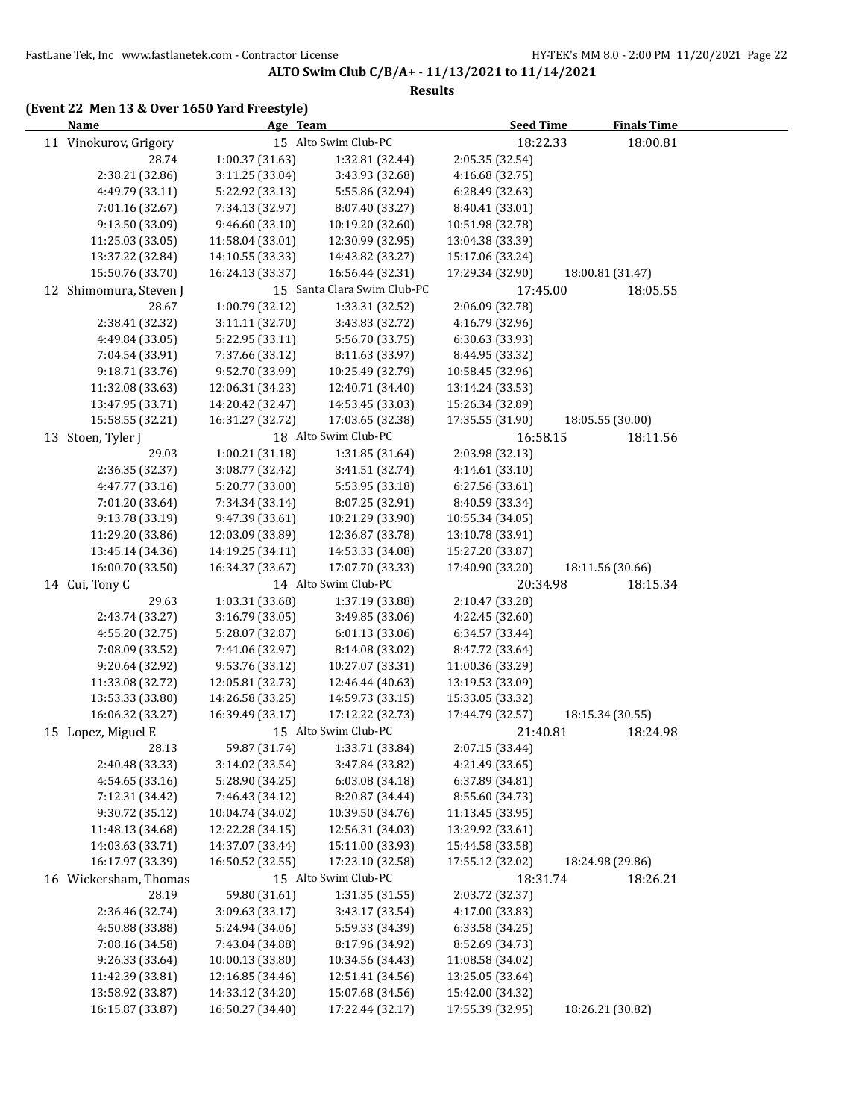#### **Results**

## **(Event 22 Men 13 & Over 1650 Yard Freestyle)**

| <b>Name</b>            | Age Team         |                             | <b>Seed Time</b> | <b>Finals Time</b> |  |
|------------------------|------------------|-----------------------------|------------------|--------------------|--|
| 11 Vinokurov, Grigory  |                  | 15 Alto Swim Club-PC        | 18:22.33         | 18:00.81           |  |
| 28.74                  | 1:00.37 (31.63)  | 1:32.81 (32.44)             | 2:05.35 (32.54)  |                    |  |
| 2:38.21 (32.86)        | 3:11.25 (33.04)  | 3:43.93 (32.68)             | 4:16.68 (32.75)  |                    |  |
| 4:49.79 (33.11)        | 5:22.92 (33.13)  | 5:55.86 (32.94)             | 6:28.49 (32.63)  |                    |  |
| 7:01.16 (32.67)        | 7:34.13 (32.97)  | 8:07.40 (33.27)             | 8:40.41 (33.01)  |                    |  |
| 9:13.50 (33.09)        | 9:46.60 (33.10)  | 10:19.20 (32.60)            | 10:51.98 (32.78) |                    |  |
| 11:25.03 (33.05)       | 11:58.04 (33.01) | 12:30.99 (32.95)            | 13:04.38 (33.39) |                    |  |
| 13:37.22 (32.84)       | 14:10.55 (33.33) | 14:43.82 (33.27)            | 15:17.06 (33.24) |                    |  |
| 15:50.76 (33.70)       | 16:24.13 (33.37) | 16:56.44 (32.31)            | 17:29.34 (32.90) | 18:00.81 (31.47)   |  |
| 12 Shimomura, Steven J |                  | 15 Santa Clara Swim Club-PC | 17:45.00         | 18:05.55           |  |
| 28.67                  | 1:00.79(32.12)   | 1:33.31 (32.52)             | 2:06.09 (32.78)  |                    |  |
| 2:38.41 (32.32)        | 3:11.11 (32.70)  | 3:43.83 (32.72)             | 4:16.79 (32.96)  |                    |  |
| 4:49.84 (33.05)        | 5:22.95 (33.11)  | 5:56.70 (33.75)             | 6:30.63 (33.93)  |                    |  |
| 7:04.54 (33.91)        | 7:37.66 (33.12)  | 8:11.63 (33.97)             | 8:44.95 (33.32)  |                    |  |
| 9:18.71 (33.76)        | 9:52.70 (33.99)  | 10:25.49 (32.79)            | 10:58.45 (32.96) |                    |  |
| 11:32.08 (33.63)       | 12:06.31 (34.23) | 12:40.71 (34.40)            | 13:14.24 (33.53) |                    |  |
| 13:47.95 (33.71)       | 14:20.42 (32.47) | 14:53.45 (33.03)            | 15:26.34 (32.89) |                    |  |
| 15:58.55 (32.21)       | 16:31.27 (32.72) | 17:03.65 (32.38)            | 17:35.55 (31.90) | 18:05.55 (30.00)   |  |
| 13 Stoen, Tyler J      |                  | 18 Alto Swim Club-PC        | 16:58.15         | 18:11.56           |  |
| 29.03                  | 1:00.21 (31.18)  | 1:31.85 (31.64)             | 2:03.98 (32.13)  |                    |  |
| 2:36.35 (32.37)        | 3:08.77 (32.42)  | 3:41.51 (32.74)             | 4:14.61 (33.10)  |                    |  |
| 4:47.77 (33.16)        | 5:20.77 (33.00)  | 5:53.95 (33.18)             | 6:27.56 (33.61)  |                    |  |
| 7:01.20 (33.64)        | 7:34.34 (33.14)  | 8:07.25 (32.91)             | 8:40.59 (33.34)  |                    |  |
| 9:13.78 (33.19)        | 9:47.39 (33.61)  | 10:21.29 (33.90)            | 10:55.34 (34.05) |                    |  |
| 11:29.20 (33.86)       | 12:03.09 (33.89) | 12:36.87 (33.78)            | 13:10.78 (33.91) |                    |  |
| 13:45.14 (34.36)       | 14:19.25 (34.11) | 14:53.33 (34.08)            | 15:27.20 (33.87) |                    |  |
| 16:00.70 (33.50)       | 16:34.37 (33.67) | 17:07.70 (33.33)            | 17:40.90 (33.20) | 18:11.56 (30.66)   |  |
| 14 Cui, Tony C         |                  | 14 Alto Swim Club-PC        | 20:34.98         | 18:15.34           |  |
| 29.63                  | 1:03.31 (33.68)  | 1:37.19 (33.88)             | 2:10.47 (33.28)  |                    |  |
| 2:43.74 (33.27)        | 3:16.79 (33.05)  | 3:49.85 (33.06)             | 4:22.45 (32.60)  |                    |  |
| 4:55.20 (32.75)        | 5:28.07 (32.87)  | 6:01.13 (33.06)             | 6:34.57 (33.44)  |                    |  |
| 7:08.09 (33.52)        | 7:41.06 (32.97)  | 8:14.08 (33.02)             | 8:47.72 (33.64)  |                    |  |
| 9:20.64 (32.92)        | 9:53.76 (33.12)  | 10:27.07 (33.31)            | 11:00.36 (33.29) |                    |  |
| 11:33.08 (32.72)       | 12:05.81 (32.73) | 12:46.44 (40.63)            | 13:19.53 (33.09) |                    |  |
| 13:53.33 (33.80)       | 14:26.58 (33.25) | 14:59.73 (33.15)            | 15:33.05 (33.32) |                    |  |
| 16:06.32 (33.27)       | 16:39.49 (33.17) | 17:12.22 (32.73)            | 17:44.79 (32.57) | 18:15.34 (30.55)   |  |
| 15 Lopez, Miguel E     |                  | 15 Alto Swim Club-PC        | 21:40.81         | 18:24.98           |  |
| 28.13                  | 59.87 (31.74)    | 1:33.71 (33.84)             | 2:07.15 (33.44)  |                    |  |
| 2:40.48 (33.33)        | 3:14.02 (33.54)  | 3:47.84 (33.82)             | 4:21.49 (33.65)  |                    |  |
| 4:54.65 (33.16)        | 5:28.90 (34.25)  | 6:03.08 (34.18)             | 6:37.89 (34.81)  |                    |  |
| 7:12.31 (34.42)        | 7:46.43 (34.12)  | 8:20.87 (34.44)             | 8:55.60 (34.73)  |                    |  |
| 9:30.72 (35.12)        | 10:04.74 (34.02) | 10:39.50 (34.76)            | 11:13.45 (33.95) |                    |  |
| 11:48.13 (34.68)       | 12:22.28 (34.15) | 12:56.31 (34.03)            | 13:29.92 (33.61) |                    |  |
| 14:03.63 (33.71)       | 14:37.07 (33.44) | 15:11.00 (33.93)            | 15:44.58 (33.58) |                    |  |
| 16:17.97 (33.39)       | 16:50.52 (32.55) | 17:23.10 (32.58)            | 17:55.12 (32.02) | 18:24.98 (29.86)   |  |
| 16 Wickersham, Thomas  |                  | 15 Alto Swim Club-PC        | 18:31.74         | 18:26.21           |  |
| 28.19                  | 59.80 (31.61)    | 1:31.35 (31.55)             | 2:03.72 (32.37)  |                    |  |
| 2:36.46 (32.74)        | 3:09.63 (33.17)  | 3:43.17 (33.54)             | 4:17.00 (33.83)  |                    |  |
| 4:50.88 (33.88)        | 5:24.94 (34.06)  | 5:59.33 (34.39)             | 6:33.58 (34.25)  |                    |  |
| 7:08.16 (34.58)        | 7:43.04 (34.88)  | 8:17.96 (34.92)             | 8:52.69 (34.73)  |                    |  |
| 9:26.33 (33.64)        | 10:00.13 (33.80) | 10:34.56 (34.43)            | 11:08.58 (34.02) |                    |  |
| 11:42.39 (33.81)       | 12:16.85 (34.46) | 12:51.41 (34.56)            | 13:25.05 (33.64) |                    |  |
| 13:58.92 (33.87)       | 14:33.12 (34.20) | 15:07.68 (34.56)            | 15:42.00 (34.32) |                    |  |
| 16:15.87 (33.87)       | 16:50.27 (34.40) | 17:22.44 (32.17)            | 17:55.39 (32.95) | 18:26.21 (30.82)   |  |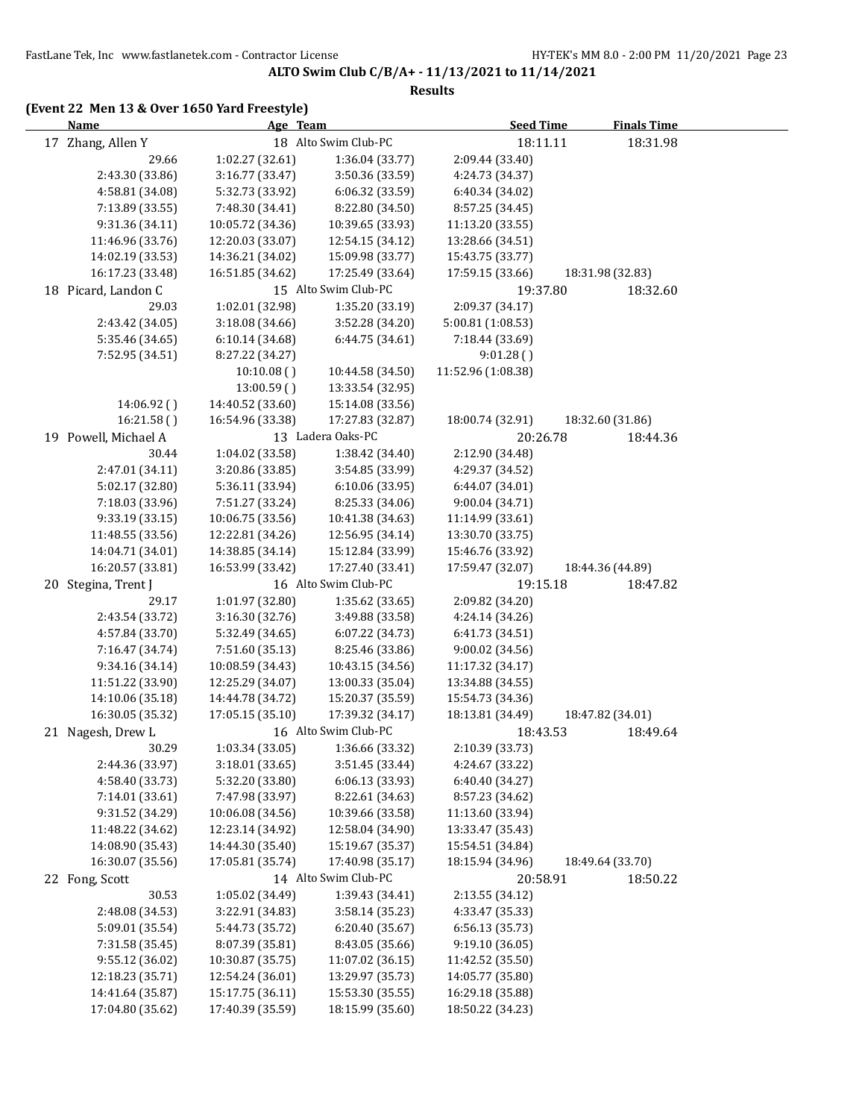#### **Results**

## **(Event 22 Men 13 & Over 1650 Yard Freestyle)**

| <b>Name</b>          | Age Team         |                      | <b>Seed Time</b>   | <b>Finals Time</b> |  |
|----------------------|------------------|----------------------|--------------------|--------------------|--|
| 17 Zhang, Allen Y    |                  | 18 Alto Swim Club-PC | 18:11.11           | 18:31.98           |  |
| 29.66                | 1:02.27 (32.61)  | 1:36.04 (33.77)      | 2:09.44 (33.40)    |                    |  |
| 2:43.30 (33.86)      | 3:16.77 (33.47)  | 3:50.36 (33.59)      | 4:24.73 (34.37)    |                    |  |
| 4:58.81 (34.08)      | 5:32.73 (33.92)  | 6:06.32 (33.59)      | 6:40.34 (34.02)    |                    |  |
| 7:13.89 (33.55)      | 7:48.30 (34.41)  | 8:22.80 (34.50)      | 8:57.25 (34.45)    |                    |  |
| 9:31.36 (34.11)      | 10:05.72 (34.36) | 10:39.65 (33.93)     | 11:13.20 (33.55)   |                    |  |
| 11:46.96 (33.76)     | 12:20.03 (33.07) | 12:54.15 (34.12)     | 13:28.66 (34.51)   |                    |  |
| 14:02.19 (33.53)     | 14:36.21 (34.02) | 15:09.98 (33.77)     | 15:43.75 (33.77)   |                    |  |
| 16:17.23 (33.48)     | 16:51.85 (34.62) | 17:25.49 (33.64)     | 17:59.15 (33.66)   | 18:31.98 (32.83)   |  |
| 18 Picard, Landon C  |                  | 15 Alto Swim Club-PC | 19:37.80           | 18:32.60           |  |
| 29.03                | 1:02.01 (32.98)  | 1:35.20 (33.19)      | 2:09.37 (34.17)    |                    |  |
| 2:43.42 (34.05)      | 3:18.08 (34.66)  | 3:52.28 (34.20)      | 5:00.81 (1:08.53)  |                    |  |
| 5:35.46 (34.65)      | 6:10.14 (34.68)  | 6:44.75 (34.61)      | 7:18.44 (33.69)    |                    |  |
| 7:52.95 (34.51)      | 8:27.22 (34.27)  |                      | 9:01.28()          |                    |  |
|                      | 10:10.08()       | 10:44.58 (34.50)     | 11:52.96 (1:08.38) |                    |  |
|                      | 13:00.59()       | 13:33.54 (32.95)     |                    |                    |  |
| 14:06.92 ()          | 14:40.52 (33.60) | 15:14.08 (33.56)     |                    |                    |  |
| 16:21.58()           | 16:54.96 (33.38) | 17:27.83 (32.87)     | 18:00.74 (32.91)   | 18:32.60 (31.86)   |  |
| 19 Powell, Michael A |                  | 13 Ladera Oaks-PC    | 20:26.78           | 18:44.36           |  |
| 30.44                | 1:04.02 (33.58)  | 1:38.42 (34.40)      | 2:12.90 (34.48)    |                    |  |
| 2:47.01 (34.11)      | 3:20.86 (33.85)  | 3:54.85 (33.99)      | 4:29.37 (34.52)    |                    |  |
| 5:02.17 (32.80)      | 5:36.11 (33.94)  | 6:10.06 (33.95)      | 6:44.07 (34.01)    |                    |  |
| 7:18.03 (33.96)      | 7:51.27 (33.24)  | 8:25.33 (34.06)      | 9:00.04 (34.71)    |                    |  |
| 9:33.19 (33.15)      | 10:06.75 (33.56) | 10:41.38 (34.63)     | 11:14.99 (33.61)   |                    |  |
| 11:48.55 (33.56)     | 12:22.81 (34.26) | 12:56.95 (34.14)     | 13:30.70 (33.75)   |                    |  |
| 14:04.71 (34.01)     | 14:38.85 (34.14) | 15:12.84 (33.99)     | 15:46.76 (33.92)   |                    |  |
| 16:20.57 (33.81)     | 16:53.99 (33.42) | 17:27.40 (33.41)     | 17:59.47 (32.07)   | 18:44.36 (44.89)   |  |
| 20 Stegina, Trent J  |                  | 16 Alto Swim Club-PC | 19:15.18           | 18:47.82           |  |
| 29.17                | 1:01.97 (32.80)  | 1:35.62 (33.65)      | 2:09.82 (34.20)    |                    |  |
| 2:43.54 (33.72)      | 3:16.30 (32.76)  | 3:49.88 (33.58)      | 4:24.14 (34.26)    |                    |  |
| 4:57.84 (33.70)      | 5:32.49 (34.65)  | 6:07.22 (34.73)      | 6:41.73 (34.51)    |                    |  |
| 7:16.47 (34.74)      | 7:51.60 (35.13)  | 8:25.46 (33.86)      | 9:00.02 (34.56)    |                    |  |
| 9:34.16 (34.14)      | 10:08.59 (34.43) | 10:43.15 (34.56)     | 11:17.32 (34.17)   |                    |  |
| 11:51.22 (33.90)     | 12:25.29 (34.07) | 13:00.33 (35.04)     | 13:34.88 (34.55)   |                    |  |
| 14:10.06 (35.18)     | 14:44.78 (34.72) | 15:20.37 (35.59)     | 15:54.73 (34.36)   |                    |  |
| 16:30.05 (35.32)     | 17:05.15 (35.10) | 17:39.32 (34.17)     | 18:13.81 (34.49)   | 18:47.82 (34.01)   |  |
| 21 Nagesh, Drew L    |                  | 16 Alto Swim Club-PC | 18:43.53           | 18:49.64           |  |
| 30.29                | 1:03.34 (33.05)  | 1:36.66 (33.32)      | 2:10.39 (33.73)    |                    |  |
| 2:44.36 (33.97)      | 3:18.01 (33.65)  | 3:51.45 (33.44)      | 4:24.67 (33.22)    |                    |  |
| 4:58.40 (33.73)      | 5:32.20 (33.80)  | 6:06.13 (33.93)      | 6:40.40 (34.27)    |                    |  |
| 7:14.01 (33.61)      | 7:47.98 (33.97)  | 8:22.61 (34.63)      | 8:57.23 (34.62)    |                    |  |
| 9:31.52 (34.29)      | 10:06.08 (34.56) | 10:39.66 (33.58)     | 11:13.60 (33.94)   |                    |  |
| 11:48.22 (34.62)     | 12:23.14 (34.92) | 12:58.04 (34.90)     | 13:33.47 (35.43)   |                    |  |
| 14:08.90 (35.43)     | 14:44.30 (35.40) | 15:19.67 (35.37)     | 15:54.51 (34.84)   |                    |  |
| 16:30.07 (35.56)     | 17:05.81 (35.74) | 17:40.98 (35.17)     | 18:15.94 (34.96)   | 18:49.64 (33.70)   |  |
| 22 Fong, Scott       |                  | 14 Alto Swim Club-PC | 20:58.91           | 18:50.22           |  |
| 30.53                | 1:05.02 (34.49)  | 1:39.43 (34.41)      | 2:13.55 (34.12)    |                    |  |
| 2:48.08 (34.53)      | 3:22.91 (34.83)  | 3:58.14 (35.23)      | 4:33.47 (35.33)    |                    |  |
| 5:09.01 (35.54)      | 5:44.73 (35.72)  | 6:20.40 (35.67)      | 6:56.13 (35.73)    |                    |  |
| 7:31.58 (35.45)      | 8:07.39 (35.81)  | 8:43.05 (35.66)      | 9:19.10 (36.05)    |                    |  |
| 9:55.12 (36.02)      | 10:30.87 (35.75) | 11:07.02 (36.15)     | 11:42.52 (35.50)   |                    |  |
| 12:18.23 (35.71)     | 12:54.24 (36.01) | 13:29.97 (35.73)     | 14:05.77 (35.80)   |                    |  |
| 14:41.64 (35.87)     | 15:17.75 (36.11) | 15:53.30 (35.55)     | 16:29.18 (35.88)   |                    |  |
| 17:04.80 (35.62)     | 17:40.39 (35.59) | 18:15.99 (35.60)     | 18:50.22 (34.23)   |                    |  |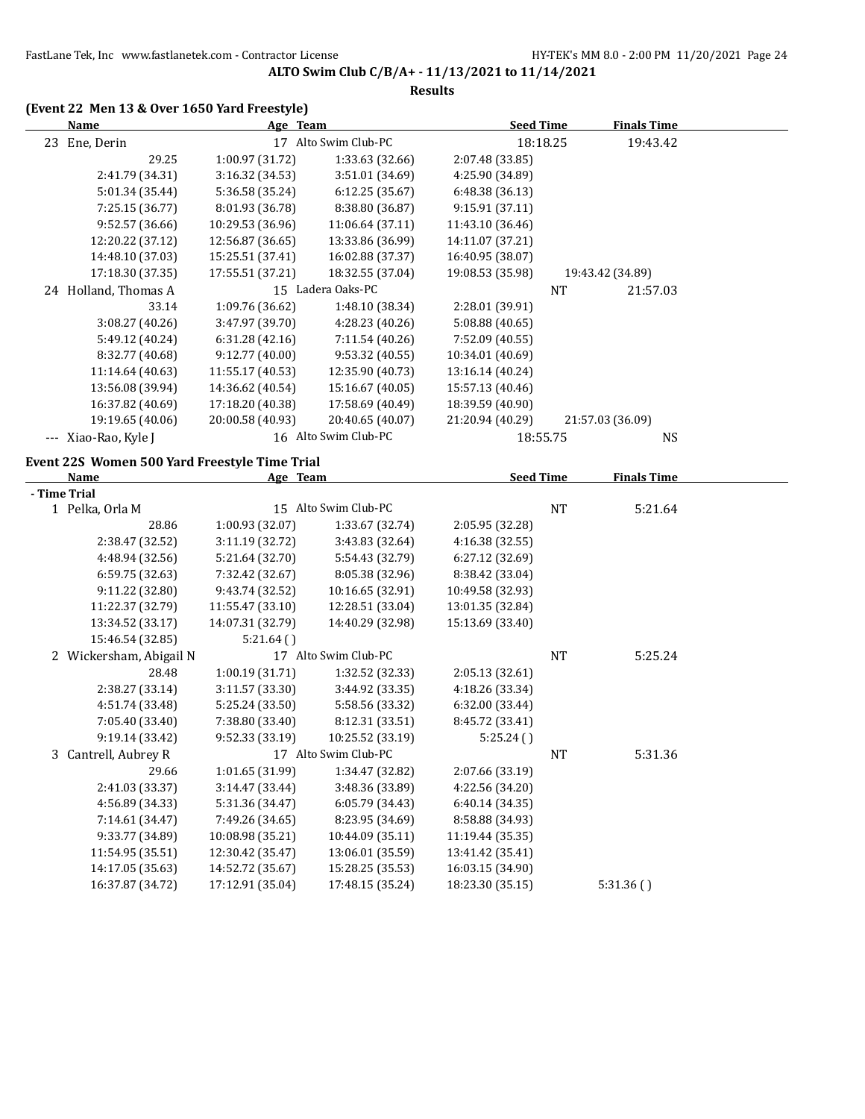# **(Event 22 Men 13 & Over 1650 Yard Freestyle)**

| <b>Name</b>                                   | Age Team         |                      | <b>Seed Time</b> |           | <b>Finals Time</b> |  |
|-----------------------------------------------|------------------|----------------------|------------------|-----------|--------------------|--|
| 23 Ene, Derin                                 |                  | 17 Alto Swim Club-PC |                  | 18:18.25  | 19:43.42           |  |
| 29.25                                         | 1:00.97 (31.72)  | 1:33.63 (32.66)      | 2:07.48 (33.85)  |           |                    |  |
| 2:41.79 (34.31)                               | 3:16.32 (34.53)  | 3:51.01 (34.69)      | 4:25.90 (34.89)  |           |                    |  |
| 5:01.34 (35.44)                               | 5:36.58 (35.24)  | 6:12.25 (35.67)      | 6:48.38 (36.13)  |           |                    |  |
| 7:25.15 (36.77)                               | 8:01.93 (36.78)  | 8:38.80 (36.87)      | 9:15.91 (37.11)  |           |                    |  |
| 9:52.57 (36.66)                               | 10:29.53 (36.96) | 11:06.64 (37.11)     | 11:43.10 (36.46) |           |                    |  |
| 12:20.22 (37.12)                              | 12:56.87 (36.65) | 13:33.86 (36.99)     | 14:11.07 (37.21) |           |                    |  |
| 14:48.10 (37.03)                              | 15:25.51 (37.41) | 16:02.88 (37.37)     | 16:40.95 (38.07) |           |                    |  |
| 17:18.30 (37.35)                              | 17:55.51 (37.21) | 18:32.55 (37.04)     | 19:08.53 (35.98) |           | 19:43.42 (34.89)   |  |
| 24 Holland, Thomas A                          |                  | 15 Ladera Oaks-PC    |                  | NT        | 21:57.03           |  |
| 33.14                                         | 1:09.76 (36.62)  | 1:48.10 (38.34)      | 2:28.01 (39.91)  |           |                    |  |
| 3:08.27 (40.26)                               | 3:47.97 (39.70)  | 4:28.23 (40.26)      | 5:08.88 (40.65)  |           |                    |  |
| 5:49.12 (40.24)                               | 6:31.28 (42.16)  | 7:11.54 (40.26)      | 7:52.09 (40.55)  |           |                    |  |
| 8:32.77 (40.68)                               | 9:12.77 (40.00)  | 9:53.32 (40.55)      | 10:34.01 (40.69) |           |                    |  |
| 11:14.64 (40.63)                              | 11:55.17 (40.53) | 12:35.90 (40.73)     | 13:16.14 (40.24) |           |                    |  |
| 13:56.08 (39.94)                              | 14:36.62 (40.54) | 15:16.67 (40.05)     | 15:57.13 (40.46) |           |                    |  |
| 16:37.82 (40.69)                              | 17:18.20 (40.38) | 17:58.69 (40.49)     | 18:39.59 (40.90) |           |                    |  |
| 19:19.65 (40.06)                              | 20:00.58 (40.93) | 20:40.65 (40.07)     | 21:20.94 (40.29) |           | 21:57.03 (36.09)   |  |
| --- Xiao-Rao, Kyle J                          |                  | 16 Alto Swim Club-PC | 18:55.75         |           | NS                 |  |
| Event 22S Women 500 Yard Freestyle Time Trial |                  |                      |                  |           |                    |  |
| Name                                          | Age Team         |                      | <b>Seed Time</b> |           | <b>Finals Time</b> |  |
| - Time Trial                                  |                  |                      |                  |           |                    |  |
| 1 Pelka, Orla M                               |                  | 15 Alto Swim Club-PC |                  | <b>NT</b> | 5:21.64            |  |
| 28.86                                         | 1:00.93 (32.07)  | 1:33.67 (32.74)      | 2:05.95 (32.28)  |           |                    |  |
| 2:38.47 (32.52)                               | 3:11.19 (32.72)  | 3:43.83 (32.64)      | 4:16.38 (32.55)  |           |                    |  |
| 4:48.94 (32.56)                               | 5:21.64 (32.70)  | 5:54.43 (32.79)      | 6:27.12 (32.69)  |           |                    |  |
| 6:59.75 (32.63)                               | 7:32.42 (32.67)  | 8:05.38 (32.96)      | 8:38.42 (33.04)  |           |                    |  |
| 9:11.22 (32.80)                               | 9:43.74 (32.52)  | 10:16.65 (32.91)     | 10:49.58 (32.93) |           |                    |  |
| 11:22.37 (32.79)                              | 11:55.47 (33.10) | 12:28.51 (33.04)     | 13:01.35 (32.84) |           |                    |  |
| 13:34.52 (33.17)                              | 14:07.31 (32.79) | 14:40.29 (32.98)     | 15:13.69 (33.40) |           |                    |  |
| 15:46.54 (32.85)                              | 5:21.64()        |                      |                  |           |                    |  |
| 2 Wickersham, Abigail N                       |                  | 17 Alto Swim Club-PC |                  | <b>NT</b> | 5:25.24            |  |
| 28.48                                         | 1:00.19 (31.71)  | 1:32.52 (32.33)      | 2:05.13 (32.61)  |           |                    |  |
| 2:38.27 (33.14)                               | 3:11.57 (33.30)  | 3:44.92 (33.35)      | 4:18.26 (33.34)  |           |                    |  |
| 4:51.74 (33.48)                               | 5:25.24 (33.50)  | 5:58.56 (33.32)      | 6:32.00 (33.44)  |           |                    |  |
| 7:05.40 (33.40)                               | 7:38.80 (33.40)  | 8:12.31 (33.51)      | 8:45.72 (33.41)  |           |                    |  |
| 9:19.14 (33.42)                               | 9:52.33 (33.19)  | 10:25.52 (33.19)     | 5:25.24()        |           |                    |  |
| 3 Cantrell, Aubrey R                          |                  | 17 Alto Swim Club-PC |                  | NT        | 5:31.36            |  |
| 29.66                                         | 1:01.65 (31.99)  | 1:34.47 (32.82)      | 2:07.66 (33.19)  |           |                    |  |
| 2:41.03 (33.37)                               | 3:14.47 (33.44)  | 3:48.36 (33.89)      | 4:22.56 (34.20)  |           |                    |  |
| 4:56.89 (34.33)                               | 5:31.36 (34.47)  | 6:05.79 (34.43)      | 6:40.14 (34.35)  |           |                    |  |
| 7:14.61 (34.47)                               | 7:49.26 (34.65)  | 8:23.95 (34.69)      | 8:58.88 (34.93)  |           |                    |  |
| 9:33.77 (34.89)                               | 10:08.98 (35.21) | 10:44.09 (35.11)     | 11:19.44 (35.35) |           |                    |  |
| 11:54.95 (35.51)                              | 12:30.42 (35.47) | 13:06.01 (35.59)     | 13:41.42 (35.41) |           |                    |  |
| 14:17.05 (35.63)                              | 14:52.72 (35.67) | 15:28.25 (35.53)     | 16:03.15 (34.90) |           |                    |  |
| 16:37.87 (34.72)                              | 17:12.91 (35.04) | 17:48.15 (35.24)     | 18:23.30 (35.15) |           | 5:31.36()          |  |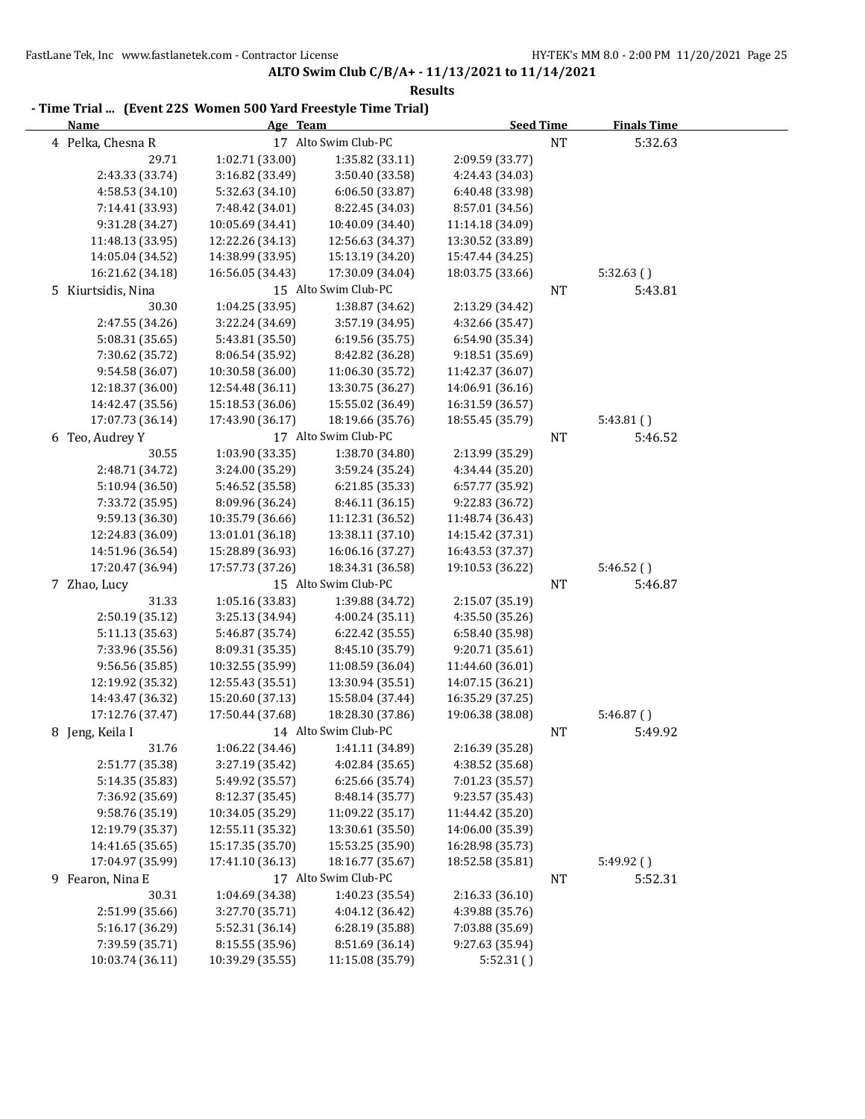| - Time Trial  (Event 22S Women 500 Yard Freestyle Time Trial) |                  |                      |                  |           |                    |  |
|---------------------------------------------------------------|------------------|----------------------|------------------|-----------|--------------------|--|
| <b>Name</b>                                                   | Age Team         |                      | <b>Seed Time</b> |           | <b>Finals Time</b> |  |
| 4 Pelka, Chesna R                                             |                  | 17 Alto Swim Club-PC |                  | $\rm{NT}$ | 5:32.63            |  |
| 29.71                                                         | 1:02.71 (33.00)  | 1:35.82 (33.11)      | 2:09.59 (33.77)  |           |                    |  |
| 2:43.33 (33.74)                                               | 3:16.82 (33.49)  | 3:50.40 (33.58)      | 4:24.43 (34.03)  |           |                    |  |
| 4:58.53 (34.10)                                               | 5:32.63 (34.10)  | 6:06.50 (33.87)      | 6:40.48 (33.98)  |           |                    |  |
| 7:14.41 (33.93)                                               | 7:48.42 (34.01)  | 8:22.45 (34.03)      | 8:57.01 (34.56)  |           |                    |  |
| 9:31.28 (34.27)                                               | 10:05.69 (34.41) | 10:40.09 (34.40)     | 11:14.18 (34.09) |           |                    |  |
| 11:48.13 (33.95)                                              | 12:22.26 (34.13) | 12:56.63 (34.37)     | 13:30.52 (33.89) |           |                    |  |
| 14:05.04 (34.52)                                              | 14:38.99 (33.95) | 15:13.19 (34.20)     | 15:47.44 (34.25) |           |                    |  |
| 16:21.62 (34.18)                                              | 16:56.05 (34.43) | 17:30.09 (34.04)     | 18:03.75 (33.66) |           | 5:32.63()          |  |
| 5 Kiurtsidis, Nina                                            |                  | 15 Alto Swim Club-PC |                  | <b>NT</b> | 5:43.81            |  |
| 30.30                                                         | 1:04.25 (33.95)  | 1:38.87 (34.62)      | 2:13.29 (34.42)  |           |                    |  |
| 2:47.55 (34.26)                                               | 3:22.24 (34.69)  | 3:57.19 (34.95)      | 4:32.66 (35.47)  |           |                    |  |
| 5:08.31 (35.65)                                               | 5:43.81 (35.50)  | 6:19.56 (35.75)      | 6:54.90 (35.34)  |           |                    |  |
| 7:30.62 (35.72)                                               | 8:06.54 (35.92)  | 8:42.82 (36.28)      | 9:18.51 (35.69)  |           |                    |  |
| 9:54.58 (36.07)                                               | 10:30.58 (36.00) | 11:06.30 (35.72)     | 11:42.37 (36.07) |           |                    |  |
| 12:18.37 (36.00)                                              | 12:54.48 (36.11) | 13:30.75 (36.27)     | 14:06.91 (36.16) |           |                    |  |
| 14:42.47 (35.56)                                              | 15:18.53 (36.06) | 15:55.02 (36.49)     | 16:31.59 (36.57) |           |                    |  |
| 17:07.73 (36.14)                                              | 17:43.90 (36.17) | 18:19.66 (35.76)     | 18:55.45 (35.79) |           | 5:43.81()          |  |
| 6 Teo, Audrey Y                                               |                  | 17 Alto Swim Club-PC |                  | NT        | 5:46.52            |  |
| 30.55                                                         | 1:03.90 (33.35)  | 1:38.70 (34.80)      | 2:13.99 (35.29)  |           |                    |  |
| 2:48.71 (34.72)                                               | 3:24.00 (35.29)  | 3:59.24 (35.24)      | 4:34.44 (35.20)  |           |                    |  |
| 5:10.94 (36.50)                                               | 5:46.52 (35.58)  | 6:21.85 (35.33)      | 6:57.77 (35.92)  |           |                    |  |
| 7:33.72 (35.95)                                               | 8:09.96 (36.24)  | 8:46.11 (36.15)      | 9:22.83 (36.72)  |           |                    |  |
| 9:59.13 (36.30)                                               | 10:35.79 (36.66) | 11:12.31 (36.52)     | 11:48.74 (36.43) |           |                    |  |
| 12:24.83 (36.09)                                              | 13:01.01 (36.18) | 13:38.11 (37.10)     | 14:15.42 (37.31) |           |                    |  |
| 14:51.96 (36.54)                                              | 15:28.89 (36.93) | 16:06.16 (37.27)     | 16:43.53 (37.37) |           |                    |  |
| 17:20.47 (36.94)                                              | 17:57.73 (37.26) | 18:34.31 (36.58)     | 19:10.53 (36.22) |           | 5:46.52()          |  |
| 7 Zhao, Lucy                                                  |                  | 15 Alto Swim Club-PC |                  | <b>NT</b> | 5:46.87            |  |
| 31.33                                                         | 1:05.16 (33.83)  | 1:39.88 (34.72)      | 2:15.07 (35.19)  |           |                    |  |
| 2:50.19 (35.12)                                               | 3:25.13 (34.94)  | 4:00.24 (35.11)      | 4:35.50 (35.26)  |           |                    |  |
| 5:11.13 (35.63)                                               | 5:46.87 (35.74)  | 6:22.42 (35.55)      | 6:58.40 (35.98)  |           |                    |  |
| 7:33.96 (35.56)                                               | 8:09.31 (35.35)  | 8:45.10 (35.79)      | 9:20.71 (35.61)  |           |                    |  |
| 9:56.56 (35.85)                                               | 10:32.55 (35.99) | 11:08.59 (36.04)     | 11:44.60 (36.01) |           |                    |  |
| 12:19.92 (35.32)                                              | 12:55.43 (35.51) | 13:30.94 (35.51)     | 14:07.15 (36.21) |           |                    |  |
| 14:43.47 (36.32)                                              | 15:20.60 (37.13) | 15:58.04 (37.44)     | 16:35.29 (37.25) |           |                    |  |
| 17:12.76 (37.47)                                              | 17:50.44 (37.68) | 18:28.30 (37.86)     | 19:06.38 (38.08) |           | 5:46.87(           |  |
| 8 Jeng, Keila I                                               |                  | 14 Alto Swim Club-PC |                  | NT        | 5:49.92            |  |
| 31.76                                                         | 1:06.22(34.46)   | 1:41.11 (34.89)      | 2:16.39 (35.28)  |           |                    |  |
| 2:51.77 (35.38)                                               | 3:27.19 (35.42)  | 4:02.84 (35.65)      | 4:38.52 (35.68)  |           |                    |  |
| 5:14.35 (35.83)                                               | 5:49.92 (35.57)  | 6:25.66 (35.74)      | 7:01.23 (35.57)  |           |                    |  |
| 7:36.92 (35.69)                                               | 8:12.37 (35.45)  | 8:48.14 (35.77)      | 9:23.57 (35.43)  |           |                    |  |
| 9:58.76 (35.19)                                               | 10:34.05 (35.29) | 11:09.22 (35.17)     | 11:44.42 (35.20) |           |                    |  |
| 12:19.79 (35.37)                                              | 12:55.11 (35.32) | 13:30.61 (35.50)     | 14:06.00 (35.39) |           |                    |  |
| 14:41.65 (35.65)                                              | 15:17.35 (35.70) | 15:53.25 (35.90)     | 16:28.98 (35.73) |           |                    |  |
| 17:04.97 (35.99)                                              | 17:41.10 (36.13) | 18:16.77 (35.67)     | 18:52.58 (35.81) |           | 5:49.92()          |  |
| 9 Fearon, Nina E                                              |                  | 17 Alto Swim Club-PC |                  | NT        | 5:52.31            |  |
| 30.31                                                         | 1:04.69 (34.38)  | 1:40.23 (35.54)      | 2:16.33 (36.10)  |           |                    |  |
| 2:51.99 (35.66)                                               | 3:27.70 (35.71)  | 4:04.12 (36.42)      | 4:39.88 (35.76)  |           |                    |  |
| 5:16.17 (36.29)                                               | 5:52.31 (36.14)  | 6:28.19 (35.88)      | 7:03.88 (35.69)  |           |                    |  |
| 7:39.59 (35.71)                                               | 8:15.55 (35.96)  | 8:51.69 (36.14)      | 9:27.63 (35.94)  |           |                    |  |
| 10:03.74 (36.11)                                              | 10:39.29 (35.55) | 11:15.08 (35.79)     | 5:52.31()        |           |                    |  |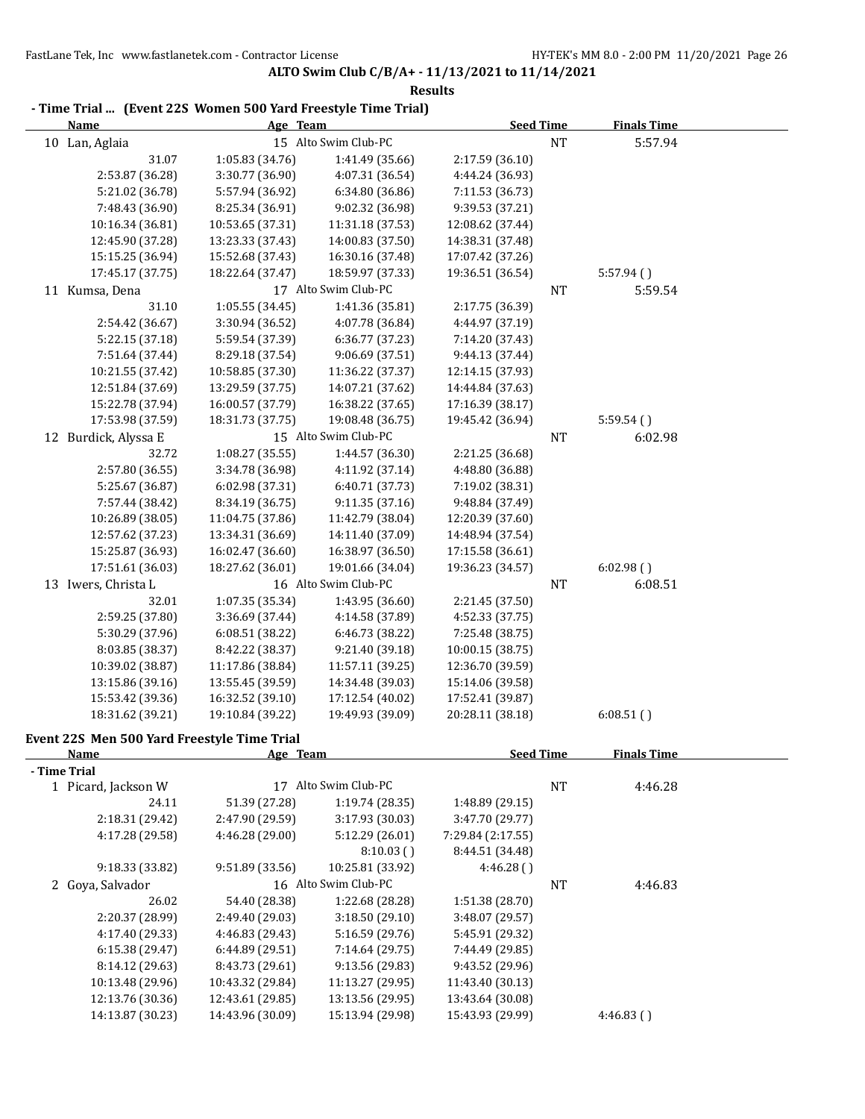| - Time Trial  (Event 22S Women 500 Yard Freestyle Time Trial)<br><b>Name</b> | Age Team         |                      | <b>Seed Time</b>  |           | <b>Finals Time</b> |
|------------------------------------------------------------------------------|------------------|----------------------|-------------------|-----------|--------------------|
| 10 Lan, Aglaia                                                               |                  | 15 Alto Swim Club-PC |                   | <b>NT</b> | 5:57.94            |
| 31.07                                                                        | 1:05.83 (34.76)  | 1:41.49 (35.66)      | 2:17.59 (36.10)   |           |                    |
| 2:53.87 (36.28)                                                              | 3:30.77 (36.90)  | 4:07.31 (36.54)      | 4:44.24 (36.93)   |           |                    |
| 5:21.02 (36.78)                                                              | 5:57.94 (36.92)  | 6:34.80 (36.86)      | 7:11.53 (36.73)   |           |                    |
| 7:48.43 (36.90)                                                              | 8:25.34 (36.91)  | 9:02.32 (36.98)      | 9:39.53 (37.21)   |           |                    |
| 10:16.34 (36.81)                                                             | 10:53.65 (37.31) | 11:31.18 (37.53)     | 12:08.62 (37.44)  |           |                    |
| 12:45.90 (37.28)                                                             | 13:23.33 (37.43) | 14:00.83 (37.50)     | 14:38.31 (37.48)  |           |                    |
| 15:15.25 (36.94)                                                             | 15:52.68 (37.43) | 16:30.16 (37.48)     | 17:07.42 (37.26)  |           |                    |
| 17:45.17 (37.75)                                                             | 18:22.64 (37.47) | 18:59.97 (37.33)     | 19:36.51 (36.54)  |           | 5:57.94()          |
| 11 Kumsa, Dena                                                               |                  | 17 Alto Swim Club-PC |                   | <b>NT</b> | 5:59.54            |
| 31.10                                                                        | 1:05.55 (34.45)  | 1:41.36 (35.81)      | 2:17.75 (36.39)   |           |                    |
| 2:54.42 (36.67)                                                              | 3:30.94 (36.52)  | 4:07.78 (36.84)      | 4:44.97 (37.19)   |           |                    |
| 5:22.15 (37.18)                                                              | 5:59.54 (37.39)  | 6:36.77 (37.23)      | 7:14.20 (37.43)   |           |                    |
| 7:51.64 (37.44)                                                              | 8:29.18 (37.54)  | 9:06.69 (37.51)      | 9:44.13 (37.44)   |           |                    |
| 10:21.55 (37.42)                                                             | 10:58.85 (37.30) | 11:36.22 (37.37)     | 12:14.15 (37.93)  |           |                    |
| 12:51.84 (37.69)                                                             | 13:29.59 (37.75) | 14:07.21 (37.62)     | 14:44.84 (37.63)  |           |                    |
| 15:22.78 (37.94)                                                             | 16:00.57 (37.79) | 16:38.22 (37.65)     | 17:16.39 (38.17)  |           |                    |
| 17:53.98 (37.59)                                                             | 18:31.73 (37.75) | 19:08.48 (36.75)     | 19:45.42 (36.94)  |           | 5:59.54()          |
| 12 Burdick, Alyssa E                                                         |                  | 15 Alto Swim Club-PC |                   | NT        | 6:02.98            |
| 32.72                                                                        | 1:08.27 (35.55)  | 1:44.57 (36.30)      | 2:21.25 (36.68)   |           |                    |
| 2:57.80 (36.55)                                                              | 3:34.78 (36.98)  | 4:11.92 (37.14)      | 4:48.80 (36.88)   |           |                    |
| 5:25.67 (36.87)                                                              | 6:02.98 (37.31)  | 6:40.71 (37.73)      | 7:19.02 (38.31)   |           |                    |
| 7:57.44 (38.42)                                                              | 8:34.19 (36.75)  | 9:11.35 (37.16)      | 9:48.84 (37.49)   |           |                    |
| 10:26.89 (38.05)                                                             | 11:04.75 (37.86) | 11:42.79 (38.04)     | 12:20.39 (37.60)  |           |                    |
| 12:57.62 (37.23)                                                             | 13:34.31 (36.69) | 14:11.40 (37.09)     | 14:48.94 (37.54)  |           |                    |
| 15:25.87 (36.93)                                                             | 16:02.47 (36.60) | 16:38.97 (36.50)     | 17:15.58 (36.61)  |           |                    |
| 17:51.61 (36.03)                                                             | 18:27.62 (36.01) | 19:01.66 (34.04)     | 19:36.23 (34.57)  |           | 6:02.98()          |
| 13 Iwers, Christa L                                                          |                  | 16 Alto Swim Club-PC |                   | NT        | 6:08.51            |
| 32.01                                                                        | 1:07.35 (35.34)  | 1:43.95 (36.60)      | 2:21.45 (37.50)   |           |                    |
| 2:59.25 (37.80)                                                              | 3:36.69 (37.44)  | 4:14.58 (37.89)      | 4:52.33 (37.75)   |           |                    |
| 5:30.29 (37.96)                                                              | 6:08.51 (38.22)  | 6:46.73 (38.22)      | 7:25.48 (38.75)   |           |                    |
| 8:03.85 (38.37)                                                              | 8:42.22 (38.37)  | 9:21.40 (39.18)      | 10:00.15 (38.75)  |           |                    |
| 10:39.02 (38.87)                                                             | 11:17.86 (38.84) | 11:57.11 (39.25)     | 12:36.70 (39.59)  |           |                    |
| 13:15.86 (39.16)                                                             | 13:55.45 (39.59) | 14:34.48 (39.03)     | 15:14.06 (39.58)  |           |                    |
| 15:53.42 (39.36)                                                             | 16:32.52 (39.10) | 17:12.54 (40.02)     | 17:52.41 (39.87)  |           |                    |
| 18:31.62 (39.21)                                                             | 19:10.84 (39.22) | 19:49.93 (39.09)     | 20:28.11 (38.18)  |           | 6:08.51()          |
|                                                                              |                  |                      |                   |           |                    |
| Event 22S Men 500 Yard Freestyle Time Trial                                  |                  |                      |                   |           |                    |
| Name                                                                         | Age Team         |                      | <b>Seed Time</b>  |           | <b>Finals Time</b> |
| - Time Trial                                                                 |                  |                      |                   |           |                    |
| 1 Picard, Jackson W                                                          |                  | 17 Alto Swim Club-PC |                   | <b>NT</b> | 4:46.28            |
| 24.11                                                                        | 51.39 (27.28)    | 1:19.74 (28.35)      | 1:48.89 (29.15)   |           |                    |
| 2:18.31 (29.42)                                                              | 2:47.90 (29.59)  | 3:17.93 (30.03)      | 3:47.70 (29.77)   |           |                    |
| 4:17.28 (29.58)                                                              | 4:46.28 (29.00)  | 5:12.29 (26.01)      | 7:29.84 (2:17.55) |           |                    |
|                                                                              |                  | 8:10.03()            | 8:44.51 (34.48)   |           |                    |
| 9:18.33 (33.82)                                                              | 9:51.89 (33.56)  | 10:25.81 (33.92)     | 4:46.28()         |           |                    |
| 2 Goya, Salvador                                                             |                  | 16 Alto Swim Club-PC |                   | NT        | 4:46.83            |
| 26.02                                                                        | 54.40 (28.38)    | 1:22.68 (28.28)      | 1:51.38 (28.70)   |           |                    |
| 2:20.37 (28.99)                                                              | 2:49.40 (29.03)  | 3:18.50 (29.10)      | 3:48.07 (29.57)   |           |                    |
| 4:17.40 (29.33)                                                              | 4:46.83 (29.43)  | 5:16.59 (29.76)      | 5:45.91 (29.32)   |           |                    |
| 6:15.38 (29.47)                                                              | 6:44.89 (29.51)  | 7:14.64 (29.75)      | 7:44.49 (29.85)   |           |                    |
| 8:14.12 (29.63)                                                              | 8:43.73 (29.61)  | 9:13.56 (29.83)      | 9:43.52 (29.96)   |           |                    |
| 10:13.48 (29.96)                                                             | 10:43.32 (29.84) | 11:13.27 (29.95)     | 11:43.40 (30.13)  |           |                    |
| 12:13.76 (30.36)                                                             | 12:43.61 (29.85) | 13:13.56 (29.95)     | 13:43.64 (30.08)  |           |                    |
| 14:13.87 (30.23)                                                             | 14:43.96 (30.09) | 15:13.94 (29.98)     | 15:43.93 (29.99)  |           | 4:46.83()          |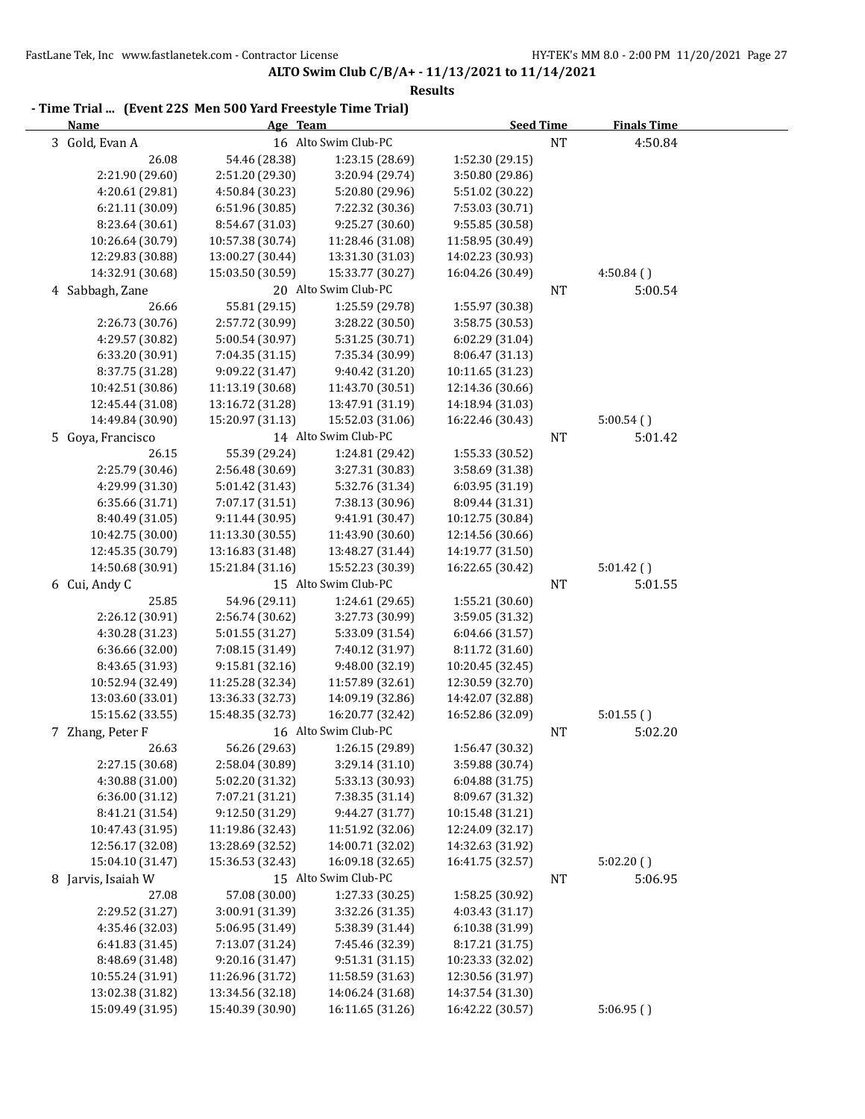| <b>Name</b>                         | Age Team                            |                                     | <b>Seed Time</b>                     |           | <b>Finals Time</b> |
|-------------------------------------|-------------------------------------|-------------------------------------|--------------------------------------|-----------|--------------------|
| 3 Gold, Evan A                      |                                     | 16 Alto Swim Club-PC                |                                      | <b>NT</b> | 4:50.84            |
| 26.08                               | 54.46 (28.38)                       | 1:23.15 (28.69)                     | 1:52.30 (29.15)                      |           |                    |
| 2:21.90 (29.60)                     | 2:51.20 (29.30)                     | 3:20.94 (29.74)                     | 3:50.80 (29.86)                      |           |                    |
| 4:20.61 (29.81)                     | 4:50.84 (30.23)                     | 5:20.80 (29.96)                     | 5:51.02 (30.22)                      |           |                    |
| 6:21.11 (30.09)                     | 6:51.96 (30.85)                     | 7:22.32 (30.36)                     | 7:53.03 (30.71)                      |           |                    |
| 8:23.64 (30.61)                     | 8:54.67 (31.03)                     | 9:25.27 (30.60)                     | 9:55.85 (30.58)                      |           |                    |
| 10:26.64 (30.79)                    | 10:57.38 (30.74)                    | 11:28.46 (31.08)                    | 11:58.95 (30.49)                     |           |                    |
| 12:29.83 (30.88)                    | 13:00.27 (30.44)                    | 13:31.30 (31.03)                    | 14:02.23 (30.93)                     |           |                    |
| 14:32.91 (30.68)                    | 15:03.50 (30.59)                    | 15:33.77 (30.27)                    | 16:04.26 (30.49)                     |           | 4:50.84()          |
| 4 Sabbagh, Zane                     |                                     | 20 Alto Swim Club-PC                |                                      | <b>NT</b> | 5:00.54            |
| 26.66                               | 55.81 (29.15)                       | 1:25.59 (29.78)                     | 1:55.97 (30.38)                      |           |                    |
| 2:26.73 (30.76)                     | 2:57.72 (30.99)                     | 3:28.22 (30.50)                     | 3:58.75 (30.53)                      |           |                    |
| 4:29.57 (30.82)                     | 5:00.54 (30.97)                     | 5:31.25 (30.71)                     | 6:02.29 (31.04)                      |           |                    |
| 6:33.20 (30.91)                     | 7:04.35 (31.15)                     | 7:35.34 (30.99)                     | 8:06.47 (31.13)                      |           |                    |
| 8:37.75 (31.28)                     | 9:09.22 (31.47)                     | 9:40.42 (31.20)                     | 10:11.65 (31.23)                     |           |                    |
| 10:42.51 (30.86)                    | 11:13.19 (30.68)                    | 11:43.70 (30.51)                    | 12:14.36 (30.66)                     |           |                    |
| 12:45.44 (31.08)                    | 13:16.72 (31.28)                    | 13:47.91 (31.19)                    | 14:18.94 (31.03)                     |           |                    |
| 14:49.84 (30.90)                    | 15:20.97 (31.13)                    | 15:52.03 (31.06)                    | 16:22.46 (30.43)                     |           | 5:00.54()          |
| 5 Goya, Francisco                   |                                     | 14 Alto Swim Club-PC                |                                      | NT        | 5:01.42            |
| 26.15                               | 55.39 (29.24)                       | 1:24.81 (29.42)                     | 1:55.33 (30.52)                      |           |                    |
| 2:25.79 (30.46)                     | 2:56.48 (30.69)                     | 3:27.31 (30.83)                     | 3:58.69 (31.38)                      |           |                    |
| 4:29.99 (31.30)                     | 5:01.42 (31.43)                     | 5:32.76 (31.34)                     | 6:03.95 (31.19)                      |           |                    |
| 6:35.66 (31.71)                     | 7:07.17 (31.51)                     | 7:38.13 (30.96)                     | 8:09.44 (31.31)                      |           |                    |
| 8:40.49 (31.05)                     | 9:11.44 (30.95)                     | 9:41.91 (30.47)                     | 10:12.75 (30.84)                     |           |                    |
| 10:42.75 (30.00)                    | 11:13.30 (30.55)                    | 11:43.90 (30.60)                    | 12:14.56 (30.66)                     |           |                    |
| 12:45.35 (30.79)                    | 13:16.83 (31.48)                    | 13:48.27 (31.44)                    | 14:19.77 (31.50)                     |           |                    |
| 14:50.68 (30.91)                    | 15:21.84 (31.16)                    | 15:52.23 (30.39)                    | 16:22.65 (30.42)                     |           | 5:01.42()          |
| 6 Cui, Andy C                       |                                     | 15 Alto Swim Club-PC                |                                      | <b>NT</b> | 5:01.55            |
| 25.85                               | 54.96 (29.11)                       | 1:24.61 (29.65)                     | 1:55.21 (30.60)                      |           |                    |
| 2:26.12 (30.91)                     | 2:56.74 (30.62)                     | 3:27.73 (30.99)                     | 3:59.05 (31.32)                      |           |                    |
| 4:30.28 (31.23)                     | 5:01.55 (31.27)                     | 5:33.09 (31.54)                     | 6:04.66 (31.57)                      |           |                    |
| 6:36.66 (32.00)                     | 7:08.15 (31.49)                     | 7:40.12 (31.97)                     | 8:11.72 (31.60)                      |           |                    |
| 8:43.65 (31.93)                     | 9:15.81 (32.16)                     | 9:48.00 (32.19)                     | 10:20.45 (32.45)                     |           |                    |
| 10:52.94 (32.49)                    | 11:25.28 (32.34)                    | 11:57.89 (32.61)                    | 12:30.59 (32.70)                     |           |                    |
| 13:03.60 (33.01)                    | 13:36.33 (32.73)                    | 14:09.19 (32.86)                    | 14:42.07 (32.88)                     |           |                    |
| 15:15.62 (33.55)                    | 15:48.35 (32.73)                    | 16:20.77 (32.42)                    | 16:52.86 (32.09)                     |           | 5:01.55()          |
| 7 Zhang, Peter F                    |                                     | 16 Alto Swim Club-PC                |                                      | NT        | 5:02.20            |
| 26.63                               | 56.26 (29.63)                       | 1:26.15 (29.89)                     | 1:56.47 (30.32)                      |           |                    |
| 2:27.15 (30.68)                     | 2:58.04 (30.89)                     | 3:29.14 (31.10)                     | 3:59.88 (30.74)                      |           |                    |
| 4:30.88 (31.00)                     | 5:02.20 (31.32)                     | 5:33.13 (30.93)                     | 6:04.88 (31.75)                      |           |                    |
| 6:36.00 (31.12)                     | 7:07.21 (31.21)                     | 7:38.35 (31.14)                     | 8:09.67 (31.32)                      |           |                    |
| 8:41.21 (31.54)                     | 9:12.50 (31.29)                     | 9:44.27 (31.77)                     | 10:15.48 (31.21)                     |           |                    |
| 10:47.43 (31.95)                    | 11:19.86 (32.43)                    | 11:51.92 (32.06)                    | 12:24.09 (32.17)                     |           |                    |
| 12:56.17 (32.08)                    | 13:28.69 (32.52)                    | 14:00.71 (32.02)                    | 14:32.63 (31.92)                     |           |                    |
| 15:04.10 (31.47)                    | 15:36.53 (32.43)                    | 16:09.18 (32.65)                    | 16:41.75 (32.57)                     |           | 5:02.20()          |
| 8 Jarvis, Isaiah W                  |                                     | 15 Alto Swim Club-PC                |                                      | <b>NT</b> | 5:06.95            |
| 27.08                               | 57.08 (30.00)                       | 1:27.33 (30.25)                     | 1:58.25 (30.92)                      |           |                    |
| 2:29.52 (31.27)                     | 3:00.91 (31.39)                     | 3:32.26 (31.35)                     | 4:03.43(31.17)                       |           |                    |
| 4:35.46 (32.03)                     | 5:06.95 (31.49)                     | 5:38.39 (31.44)                     | 6:10.38 (31.99)                      |           |                    |
| 6:41.83 (31.45)                     | 7:13.07 (31.24)                     | 7:45.46 (32.39)                     | 8:17.21 (31.75)                      |           |                    |
| 8:48.69 (31.48)<br>10:55.24 (31.91) | 9:20.16 (31.47)<br>11:26.96 (31.72) | 9:51.31 (31.15)<br>11:58.59 (31.63) | 10:23.33 (32.02)<br>12:30.56 (31.97) |           |                    |
| 13:02.38 (31.82)                    | 13:34.56 (32.18)                    | 14:06.24 (31.68)                    | 14:37.54 (31.30)                     |           |                    |
| 15:09.49 (31.95)                    | 15:40.39 (30.90)                    | 16:11.65 (31.26)                    | 16:42.22 (30.57)                     |           | 5:06.95(           |
|                                     |                                     |                                     |                                      |           |                    |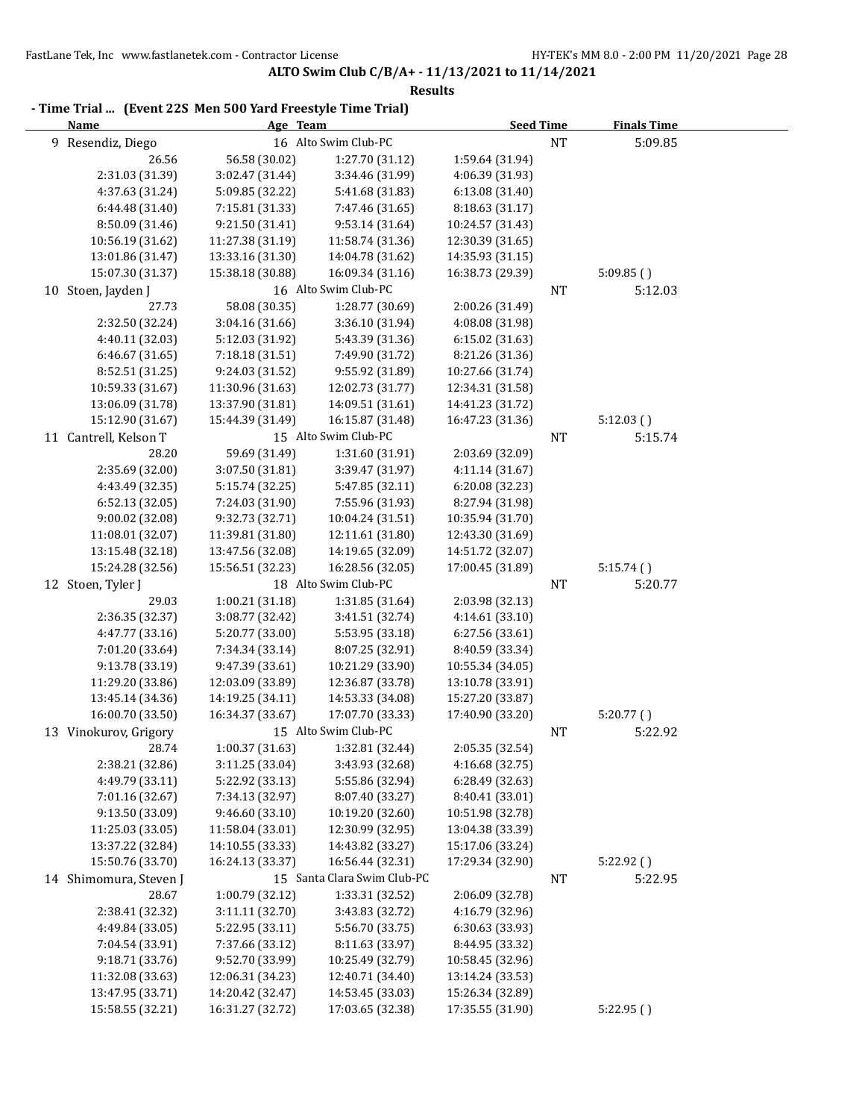| Name                   | Age Team         |                             | <b>Seed Time</b> |           | <b>Finals Time</b> |
|------------------------|------------------|-----------------------------|------------------|-----------|--------------------|
| 9 Resendiz, Diego      |                  | 16 Alto Swim Club-PC        |                  | <b>NT</b> | 5:09.85            |
| 26.56                  | 56.58 (30.02)    | 1:27.70 (31.12)             | 1:59.64 (31.94)  |           |                    |
| 2:31.03 (31.39)        | 3:02.47 (31.44)  | 3:34.46 (31.99)             | 4:06.39 (31.93)  |           |                    |
| 4:37.63 (31.24)        | 5:09.85 (32.22)  | 5:41.68 (31.83)             | 6:13.08 (31.40)  |           |                    |
| 6:44.48 (31.40)        | 7:15.81 (31.33)  | 7:47.46 (31.65)             | 8:18.63 (31.17)  |           |                    |
| 8:50.09 (31.46)        | 9:21.50 (31.41)  | 9:53.14 (31.64)             | 10:24.57 (31.43) |           |                    |
| 10:56.19 (31.62)       | 11:27.38 (31.19) | 11:58.74 (31.36)            | 12:30.39 (31.65) |           |                    |
| 13:01.86 (31.47)       | 13:33.16 (31.30) | 14:04.78 (31.62)            | 14:35.93 (31.15) |           |                    |
| 15:07.30 (31.37)       | 15:38.18 (30.88) | 16:09.34 (31.16)            | 16:38.73 (29.39) |           | 5:09.85()          |
| 10 Stoen, Jayden J     |                  | 16 Alto Swim Club-PC        |                  | NT        | 5:12.03            |
| 27.73                  | 58.08 (30.35)    | 1:28.77 (30.69)             | 2:00.26 (31.49)  |           |                    |
| 2:32.50 (32.24)        | 3:04.16 (31.66)  | 3:36.10 (31.94)             | 4:08.08 (31.98)  |           |                    |
| 4:40.11 (32.03)        | 5:12.03 (31.92)  | 5:43.39 (31.36)             | 6:15.02 (31.63)  |           |                    |
| 6:46.67 (31.65)        | 7:18.18 (31.51)  | 7:49.90 (31.72)             | 8:21.26 (31.36)  |           |                    |
| 8:52.51 (31.25)        | 9:24.03 (31.52)  | 9:55.92 (31.89)             | 10:27.66 (31.74) |           |                    |
| 10:59.33 (31.67)       | 11:30.96 (31.63) | 12:02.73 (31.77)            | 12:34.31 (31.58) |           |                    |
| 13:06.09 (31.78)       | 13:37.90 (31.81) | 14:09.51 (31.61)            | 14:41.23 (31.72) |           |                    |
| 15:12.90 (31.67)       | 15:44.39 (31.49) | 16:15.87 (31.48)            | 16:47.23 (31.36) |           | 5:12.03()          |
| 11 Cantrell, Kelson T  |                  | 15 Alto Swim Club-PC        |                  | NT        | 5:15.74            |
| 28.20                  | 59.69 (31.49)    | 1:31.60 (31.91)             | 2:03.69 (32.09)  |           |                    |
| 2:35.69 (32.00)        | 3:07.50 (31.81)  | 3:39.47 (31.97)             | 4:11.14(31.67)   |           |                    |
| 4:43.49 (32.35)        | 5:15.74 (32.25)  | 5:47.85 (32.11)             | 6:20.08 (32.23)  |           |                    |
| 6:52.13 (32.05)        | 7:24.03 (31.90)  | 7:55.96 (31.93)             | 8:27.94 (31.98)  |           |                    |
| 9:00.02 (32.08)        | 9:32.73 (32.71)  | 10:04.24 (31.51)            | 10:35.94 (31.70) |           |                    |
| 11:08.01 (32.07)       | 11:39.81 (31.80) | 12:11.61 (31.80)            | 12:43.30 (31.69) |           |                    |
| 13:15.48 (32.18)       | 13:47.56 (32.08) | 14:19.65 (32.09)            | 14:51.72 (32.07) |           |                    |
| 15:24.28 (32.56)       | 15:56.51 (32.23) | 16:28.56 (32.05)            | 17:00.45 (31.89) |           | 5:15.74()          |
| 12 Stoen, Tyler J      |                  | 18 Alto Swim Club-PC        |                  | $\rm{NT}$ | 5:20.77            |
| 29.03                  | 1:00.21 (31.18)  | 1:31.85 (31.64)             | 2:03.98 (32.13)  |           |                    |
| 2:36.35 (32.37)        | 3:08.77 (32.42)  | 3:41.51 (32.74)             | 4:14.61 (33.10)  |           |                    |
| 4:47.77 (33.16)        | 5:20.77 (33.00)  | 5:53.95 (33.18)             | 6:27.56 (33.61)  |           |                    |
| 7:01.20 (33.64)        | 7:34.34 (33.14)  | 8:07.25 (32.91)             | 8:40.59 (33.34)  |           |                    |
| 9:13.78 (33.19)        | 9:47.39 (33.61)  | 10:21.29 (33.90)            | 10:55.34 (34.05) |           |                    |
| 11:29.20 (33.86)       | 12:03.09 (33.89) | 12:36.87 (33.78)            | 13:10.78 (33.91) |           |                    |
| 13:45.14 (34.36)       | 14:19.25 (34.11) | 14:53.33 (34.08)            | 15:27.20 (33.87) |           |                    |
| 16:00.70 (33.50)       | 16:34.37 (33.67) | 17:07.70 (33.33)            | 17:40.90 (33.20) |           | 5:20.77()          |
| 13 Vinokurov, Grigory  |                  | 15 Alto Swim Club-PC        |                  | NT        | 5:22.92            |
| 28.74                  | 1:00.37 (31.63)  | 1:32.81 (32.44)             | 2:05.35 (32.54)  |           |                    |
| 2:38.21 (32.86)        | 3:11.25 (33.04)  | 3:43.93 (32.68)             | 4:16.68 (32.75)  |           |                    |
| 4:49.79 (33.11)        | 5:22.92 (33.13)  | 5:55.86 (32.94)             | 6:28.49 (32.63)  |           |                    |
| 7:01.16 (32.67)        | 7:34.13 (32.97)  | 8:07.40 (33.27)             | 8:40.41 (33.01)  |           |                    |
| 9:13.50 (33.09)        | 9:46.60 (33.10)  | 10:19.20 (32.60)            | 10:51.98 (32.78) |           |                    |
| 11:25.03 (33.05)       | 11:58.04 (33.01) | 12:30.99 (32.95)            | 13:04.38 (33.39) |           |                    |
| 13:37.22 (32.84)       | 14:10.55 (33.33) | 14:43.82 (33.27)            | 15:17.06 (33.24) |           |                    |
| 15:50.76 (33.70)       | 16:24.13 (33.37) | 16:56.44 (32.31)            | 17:29.34 (32.90) |           | 5:22.92()          |
| 14 Shimomura, Steven J |                  | 15 Santa Clara Swim Club-PC |                  | NT        | 5:22.95            |
| 28.67                  | 1:00.79 (32.12)  | 1:33.31 (32.52)             | 2:06.09 (32.78)  |           |                    |
| 2:38.41 (32.32)        | 3:11.11 (32.70)  | 3:43.83 (32.72)             | 4:16.79 (32.96)  |           |                    |
| 4:49.84 (33.05)        | 5:22.95 (33.11)  | 5:56.70 (33.75)             | 6:30.63 (33.93)  |           |                    |
| 7:04.54 (33.91)        | 7:37.66 (33.12)  | 8:11.63 (33.97)             | 8:44.95 (33.32)  |           |                    |
| 9:18.71 (33.76)        | 9:52.70 (33.99)  | 10:25.49 (32.79)            | 10:58.45 (32.96) |           |                    |
| 11:32.08 (33.63)       | 12:06.31 (34.23) | 12:40.71 (34.40)            | 13:14.24 (33.53) |           |                    |
| 13:47.95 (33.71)       | 14:20.42 (32.47) | 14:53.45 (33.03)            | 15:26.34 (32.89) |           |                    |
| 15:58.55 (32.21)       | 16:31.27 (32.72) | 17:03.65 (32.38)            | 17:35.55 (31.90) |           | 5:22.95(           |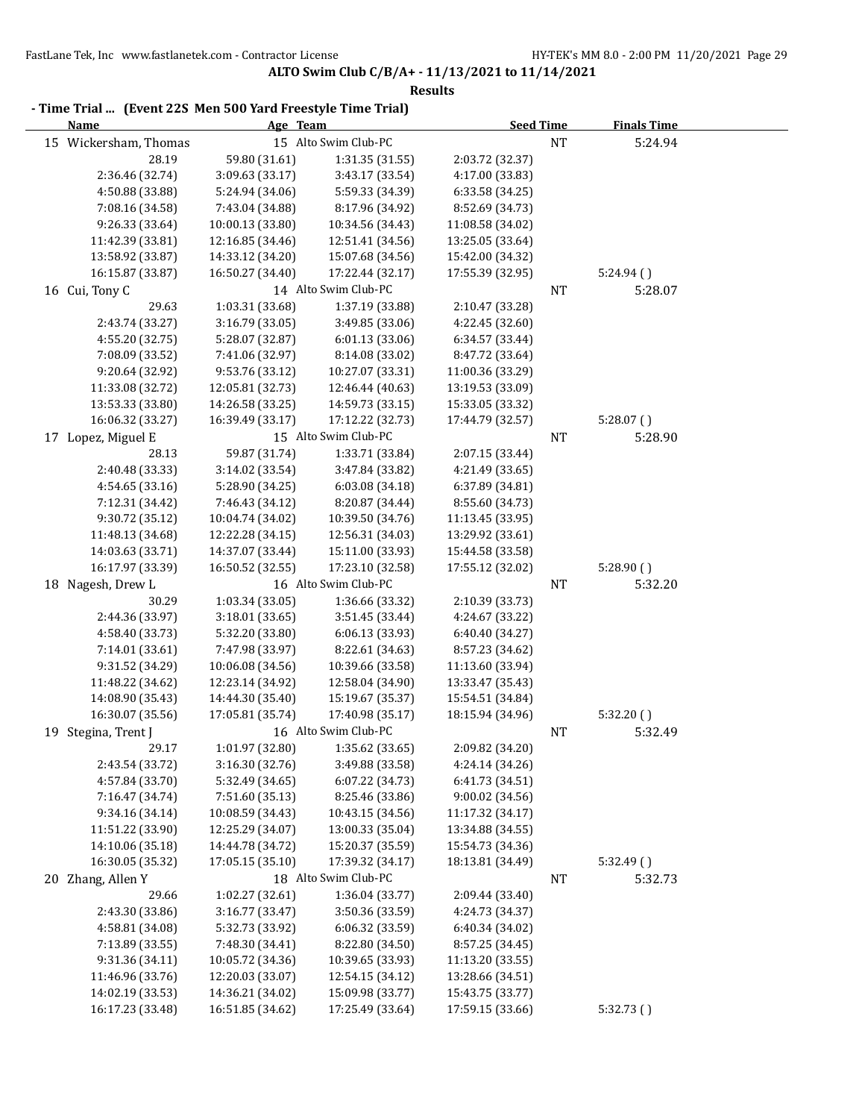| - Time Trial  (Event 22S Men 500 Yard Freestyle Time Trial)<br><b>Name</b> | Age Team                           |                                    | <b>Seed Time</b>                   |           | <b>Finals Time</b> |  |
|----------------------------------------------------------------------------|------------------------------------|------------------------------------|------------------------------------|-----------|--------------------|--|
|                                                                            |                                    |                                    |                                    |           |                    |  |
| 15 Wickersham, Thomas                                                      |                                    | 15 Alto Swim Club-PC               |                                    | $\rm{NT}$ | 5:24.94            |  |
| 28.19                                                                      | 59.80 (31.61)                      | 1:31.35 (31.55)<br>3:43.17 (33.54) | 2:03.72 (32.37)                    |           |                    |  |
| 2:36.46 (32.74)<br>4:50.88 (33.88)                                         | 3:09.63 (33.17)                    | 5:59.33 (34.39)                    | 4:17.00 (33.83)<br>6:33.58 (34.25) |           |                    |  |
| 7:08.16 (34.58)                                                            | 5:24.94 (34.06)<br>7:43.04 (34.88) | 8:17.96 (34.92)                    | 8:52.69 (34.73)                    |           |                    |  |
| 9:26.33 (33.64)                                                            | 10:00.13 (33.80)                   | 10:34.56 (34.43)                   | 11:08.58 (34.02)                   |           |                    |  |
| 11:42.39 (33.81)                                                           | 12:16.85 (34.46)                   | 12:51.41 (34.56)                   | 13:25.05 (33.64)                   |           |                    |  |
| 13:58.92 (33.87)                                                           | 14:33.12 (34.20)                   | 15:07.68 (34.56)                   | 15:42.00 (34.32)                   |           |                    |  |
| 16:15.87 (33.87)                                                           | 16:50.27 (34.40)                   | 17:22.44 (32.17)                   | 17:55.39 (32.95)                   |           | 5:24.94()          |  |
| 16 Cui, Tony C                                                             |                                    | 14 Alto Swim Club-PC               |                                    | <b>NT</b> | 5:28.07            |  |
| 29.63                                                                      | 1:03.31 (33.68)                    | 1:37.19 (33.88)                    | 2:10.47 (33.28)                    |           |                    |  |
| 2:43.74 (33.27)                                                            | 3:16.79 (33.05)                    | 3:49.85 (33.06)                    | 4:22.45 (32.60)                    |           |                    |  |
| 4:55.20 (32.75)                                                            | 5:28.07 (32.87)                    | 6:01.13(33.06)                     | 6:34.57 (33.44)                    |           |                    |  |
| 7:08.09 (33.52)                                                            | 7:41.06 (32.97)                    | 8:14.08 (33.02)                    | 8:47.72 (33.64)                    |           |                    |  |
| 9:20.64 (32.92)                                                            | 9:53.76 (33.12)                    | 10:27.07 (33.31)                   | 11:00.36 (33.29)                   |           |                    |  |
| 11:33.08 (32.72)                                                           | 12:05.81 (32.73)                   | 12:46.44 (40.63)                   | 13:19.53 (33.09)                   |           |                    |  |
| 13:53.33 (33.80)                                                           | 14:26.58 (33.25)                   | 14:59.73 (33.15)                   | 15:33.05 (33.32)                   |           |                    |  |
| 16:06.32 (33.27)                                                           | 16:39.49 (33.17)                   | 17:12.22 (32.73)                   | 17:44.79 (32.57)                   |           | 5:28.07(           |  |
| 17 Lopez, Miguel E                                                         |                                    | 15 Alto Swim Club-PC               |                                    | NT        | 5:28.90            |  |
| 28.13                                                                      | 59.87 (31.74)                      | 1:33.71 (33.84)                    | 2:07.15 (33.44)                    |           |                    |  |
| 2:40.48 (33.33)                                                            | 3:14.02 (33.54)                    | 3:47.84 (33.82)                    | 4:21.49 (33.65)                    |           |                    |  |
| 4:54.65 (33.16)                                                            | 5:28.90 (34.25)                    | 6:03.08 (34.18)                    | 6:37.89 (34.81)                    |           |                    |  |
| 7:12.31 (34.42)                                                            | 7:46.43 (34.12)                    | 8:20.87 (34.44)                    | 8:55.60 (34.73)                    |           |                    |  |
| 9:30.72 (35.12)                                                            | 10:04.74 (34.02)                   | 10:39.50 (34.76)                   | 11:13.45 (33.95)                   |           |                    |  |
| 11:48.13 (34.68)                                                           | 12:22.28 (34.15)                   | 12:56.31 (34.03)                   | 13:29.92 (33.61)                   |           |                    |  |
| 14:03.63 (33.71)                                                           | 14:37.07 (33.44)                   | 15:11.00 (33.93)                   | 15:44.58 (33.58)                   |           |                    |  |
| 16:17.97 (33.39)                                                           | 16:50.52 (32.55)                   | 17:23.10 (32.58)                   | 17:55.12 (32.02)                   |           | 5:28.90()          |  |
| 18 Nagesh, Drew L                                                          |                                    | 16 Alto Swim Club-PC               |                                    | <b>NT</b> | 5:32.20            |  |
| 30.29                                                                      | 1:03.34 (33.05)                    | 1:36.66 (33.32)                    | 2:10.39 (33.73)                    |           |                    |  |
| 2:44.36 (33.97)                                                            | 3:18.01 (33.65)                    | 3:51.45 (33.44)                    | 4:24.67 (33.22)                    |           |                    |  |
| 4:58.40 (33.73)                                                            | 5:32.20 (33.80)                    | 6:06.13 (33.93)                    | 6:40.40 (34.27)                    |           |                    |  |
| 7:14.01 (33.61)                                                            | 7:47.98 (33.97)                    | 8:22.61 (34.63)                    | 8:57.23 (34.62)                    |           |                    |  |
| 9:31.52 (34.29)                                                            | 10:06.08 (34.56)                   | 10:39.66 (33.58)                   | 11:13.60 (33.94)                   |           |                    |  |
| 11:48.22 (34.62)                                                           | 12:23.14 (34.92)                   | 12:58.04 (34.90)                   | 13:33.47 (35.43)                   |           |                    |  |
| 14:08.90 (35.43)                                                           | 14:44.30 (35.40)                   | 15:19.67 (35.37)                   | 15:54.51 (34.84)                   |           |                    |  |
| 16:30.07 (35.56)                                                           | 17:05.81 (35.74)                   | 17:40.98 (35.17)                   | 18:15.94 (34.96)                   |           | 5:32.20()          |  |
| 19 Stegina, Trent J                                                        |                                    | 16 Alto Swim Club-PC               |                                    | NT        | 5:32.49            |  |
| 29.17                                                                      | 1:01.97 (32.80)                    | 1:35.62 (33.65)                    | 2:09.82 (34.20)                    |           |                    |  |
| 2:43.54 (33.72)                                                            | 3:16.30 (32.76)                    | 3:49.88 (33.58)                    | 4:24.14 (34.26)                    |           |                    |  |
| 4:57.84 (33.70)                                                            | 5:32.49 (34.65)                    | 6:07.22 (34.73)                    | 6:41.73 (34.51)                    |           |                    |  |
| 7:16.47 (34.74)                                                            | 7:51.60 (35.13)                    | 8:25.46 (33.86)                    | 9:00.02(34.56)                     |           |                    |  |
| 9:34.16 (34.14)                                                            | 10:08.59 (34.43)                   | 10:43.15 (34.56)                   | 11:17.32 (34.17)                   |           |                    |  |
| 11:51.22 (33.90)                                                           | 12:25.29 (34.07)                   | 13:00.33 (35.04)                   | 13:34.88 (34.55)                   |           |                    |  |
| 14:10.06 (35.18)                                                           | 14:44.78 (34.72)                   | 15:20.37 (35.59)                   | 15:54.73 (34.36)                   |           |                    |  |
| 16:30.05 (35.32)                                                           | 17:05.15 (35.10)                   | 17:39.32 (34.17)                   | 18:13.81 (34.49)                   |           | 5:32.49()          |  |
| 20 Zhang, Allen Y                                                          |                                    | 18 Alto Swim Club-PC               |                                    | NT        | 5:32.73            |  |
| 29.66                                                                      | 1:02.27 (32.61)                    | 1:36.04 (33.77)                    | 2:09.44 (33.40)                    |           |                    |  |
| 2:43.30 (33.86)                                                            | 3:16.77 (33.47)                    | 3:50.36 (33.59)                    | 4:24.73 (34.37)                    |           |                    |  |
| 4:58.81 (34.08)                                                            | 5:32.73 (33.92)                    | 6:06.32 (33.59)                    | 6:40.34 (34.02)                    |           |                    |  |
| 7:13.89 (33.55)                                                            | 7:48.30 (34.41)                    | 8:22.80 (34.50)                    | 8:57.25 (34.45)                    |           |                    |  |
| 9:31.36 (34.11)                                                            | 10:05.72 (34.36)                   | 10:39.65 (33.93)                   | 11:13.20 (33.55)                   |           |                    |  |
| 11:46.96 (33.76)                                                           | 12:20.03 (33.07)                   | 12:54.15 (34.12)                   | 13:28.66 (34.51)                   |           |                    |  |
| 14:02.19 (33.53)                                                           | 14:36.21 (34.02)                   | 15:09.98 (33.77)                   | 15:43.75 (33.77)                   |           |                    |  |
| 16:17.23 (33.48)                                                           | 16:51.85 (34.62)                   | 17:25.49 (33.64)                   | 17:59.15 (33.66)                   |           | 5:32.73(           |  |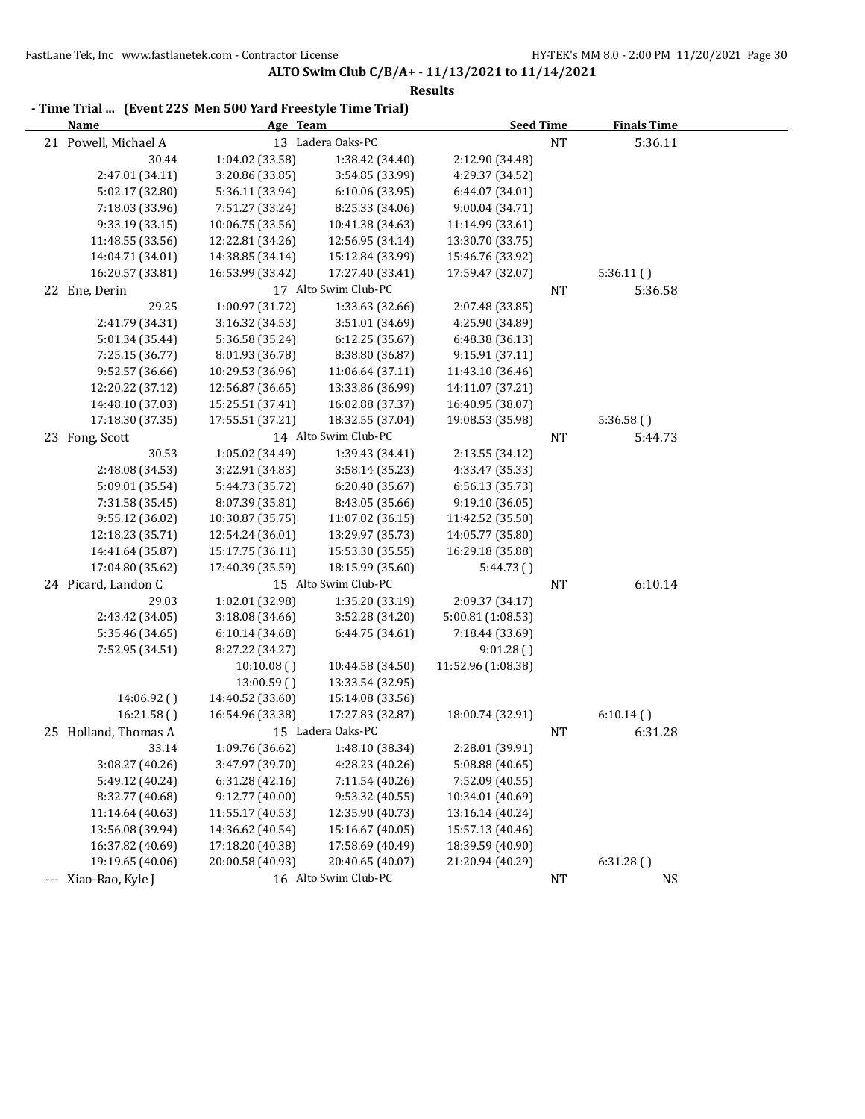| THING TIRE … TERCHE 229 MCH 900 TRIM TICCSCYIC THING TIRED<br><b>Name</b> | Age Team         |                      | <b>Seed Time</b>   |           | <b>Finals Time</b> |  |
|---------------------------------------------------------------------------|------------------|----------------------|--------------------|-----------|--------------------|--|
| 21 Powell, Michael A                                                      |                  | 13 Ladera Oaks-PC    |                    | $\rm{NT}$ | 5:36.11            |  |
| 30.44                                                                     | 1:04.02 (33.58)  | 1:38.42 (34.40)      | 2:12.90 (34.48)    |           |                    |  |
| 2:47.01 (34.11)                                                           | 3:20.86 (33.85)  | 3:54.85 (33.99)      | 4:29.37 (34.52)    |           |                    |  |
| 5:02.17 (32.80)                                                           | 5:36.11 (33.94)  | 6:10.06(33.95)       | 6:44.07 (34.01)    |           |                    |  |
| 7:18.03 (33.96)                                                           | 7:51.27 (33.24)  | 8:25.33 (34.06)      | 9:00.04 (34.71)    |           |                    |  |
| 9:33.19 (33.15)                                                           | 10:06.75 (33.56) | 10:41.38 (34.63)     | 11:14.99 (33.61)   |           |                    |  |
| 11:48.55 (33.56)                                                          | 12:22.81 (34.26) | 12:56.95 (34.14)     | 13:30.70 (33.75)   |           |                    |  |
| 14:04.71 (34.01)                                                          | 14:38.85 (34.14) | 15:12.84 (33.99)     | 15:46.76 (33.92)   |           |                    |  |
| 16:20.57 (33.81)                                                          | 16:53.99 (33.42) | 17:27.40 (33.41)     | 17:59.47 (32.07)   |           | 5:36.11(           |  |
| 22 Ene, Derin                                                             |                  | 17 Alto Swim Club-PC |                    | NT        | 5:36.58            |  |
| 29.25                                                                     | 1:00.97 (31.72)  | 1:33.63 (32.66)      | 2:07.48 (33.85)    |           |                    |  |
| 2:41.79 (34.31)                                                           | 3:16.32 (34.53)  | 3:51.01 (34.69)      | 4:25.90 (34.89)    |           |                    |  |
| 5:01.34 (35.44)                                                           | 5:36.58 (35.24)  | 6:12.25 (35.67)      | 6:48.38 (36.13)    |           |                    |  |
| 7:25.15 (36.77)                                                           | 8:01.93 (36.78)  | 8:38.80 (36.87)      | 9:15.91 (37.11)    |           |                    |  |
| 9:52.57 (36.66)                                                           | 10:29.53 (36.96) | 11:06.64 (37.11)     | 11:43.10 (36.46)   |           |                    |  |
| 12:20.22 (37.12)                                                          | 12:56.87 (36.65) | 13:33.86 (36.99)     | 14:11.07 (37.21)   |           |                    |  |
| 14:48.10 (37.03)                                                          | 15:25.51 (37.41) | 16:02.88 (37.37)     | 16:40.95 (38.07)   |           |                    |  |
| 17:18.30 (37.35)                                                          | 17:55.51 (37.21) | 18:32.55 (37.04)     | 19:08.53 (35.98)   |           | 5:36.58()          |  |
| 23 Fong, Scott                                                            |                  | 14 Alto Swim Club-PC |                    | NT        | 5:44.73            |  |
| 30.53                                                                     | 1:05.02 (34.49)  | 1:39.43 (34.41)      | 2:13.55 (34.12)    |           |                    |  |
| 2:48.08 (34.53)                                                           | 3:22.91 (34.83)  | 3:58.14 (35.23)      | 4:33.47 (35.33)    |           |                    |  |
| 5:09.01 (35.54)                                                           | 5:44.73 (35.72)  | 6:20.40(35.67)       | 6:56.13 (35.73)    |           |                    |  |
| 7:31.58 (35.45)                                                           | 8:07.39 (35.81)  | 8:43.05 (35.66)      | 9:19.10 (36.05)    |           |                    |  |
| 9:55.12 (36.02)                                                           | 10:30.87 (35.75) | 11:07.02 (36.15)     | 11:42.52 (35.50)   |           |                    |  |
| 12:18.23 (35.71)                                                          | 12:54.24 (36.01) | 13:29.97 (35.73)     | 14:05.77 (35.80)   |           |                    |  |
| 14:41.64 (35.87)                                                          | 15:17.75 (36.11) | 15:53.30 (35.55)     | 16:29.18 (35.88)   |           |                    |  |
| 17:04.80 (35.62)                                                          | 17:40.39 (35.59) | 18:15.99 (35.60)     | 5:44.73()          |           |                    |  |
| 24 Picard, Landon C                                                       |                  | 15 Alto Swim Club-PC |                    | NT        | 6:10.14            |  |
| 29.03                                                                     | 1:02.01 (32.98)  | 1:35.20 (33.19)      | 2:09.37 (34.17)    |           |                    |  |
| 2:43.42 (34.05)                                                           | 3:18.08 (34.66)  | 3:52.28 (34.20)      | 5:00.81 (1:08.53)  |           |                    |  |
| 5:35.46 (34.65)                                                           | 6:10.14 (34.68)  | 6:44.75 (34.61)      | 7:18.44 (33.69)    |           |                    |  |
| 7:52.95 (34.51)                                                           | 8:27.22 (34.27)  |                      | 9:01.28()          |           |                    |  |
|                                                                           | 10:10.08()       | 10:44.58 (34.50)     | 11:52.96 (1:08.38) |           |                    |  |
|                                                                           | 13:00.59()       | 13:33.54 (32.95)     |                    |           |                    |  |
| 14:06.92 ()                                                               | 14:40.52 (33.60) | 15:14.08 (33.56)     |                    |           |                    |  |
| 16:21.58()                                                                | 16:54.96 (33.38) | 17:27.83 (32.87)     | 18:00.74 (32.91)   |           | 6:10.14()          |  |
| 25 Holland, Thomas A                                                      |                  | 15 Ladera Oaks-PC    |                    | NT        | 6:31.28            |  |
| 33.14                                                                     | 1:09.76 (36.62)  | 1:48.10 (38.34)      | 2:28.01 (39.91)    |           |                    |  |
| 3:08.27 (40.26)                                                           | 3:47.97 (39.70)  | 4:28.23 (40.26)      | 5:08.88 (40.65)    |           |                    |  |
| 5:49.12 (40.24)                                                           | 6:31.28 (42.16)  | 7:11.54 (40.26)      | 7:52.09 (40.55)    |           |                    |  |
| 8:32.77 (40.68)                                                           | 9:12.77 (40.00)  | 9:53.32 (40.55)      | 10:34.01 (40.69)   |           |                    |  |
| 11:14.64 (40.63)                                                          | 11:55.17 (40.53) | 12:35.90 (40.73)     | 13:16.14 (40.24)   |           |                    |  |
| 13:56.08 (39.94)                                                          | 14:36.62 (40.54) | 15:16.67 (40.05)     | 15:57.13 (40.46)   |           |                    |  |
| 16:37.82 (40.69)                                                          | 17:18.20 (40.38) | 17:58.69 (40.49)     | 18:39.59 (40.90)   |           |                    |  |
| 19:19.65 (40.06)                                                          | 20:00.58 (40.93) | 20:40.65 (40.07)     | 21:20.94 (40.29)   |           | 6:31.28()          |  |
| --- Xiao-Rao, Kyle J                                                      |                  | 16 Alto Swim Club-PC |                    | NT        | <b>NS</b>          |  |

# **- Time Trial ... (Event 22S Men 500 Yard Freestyle Time Trial)**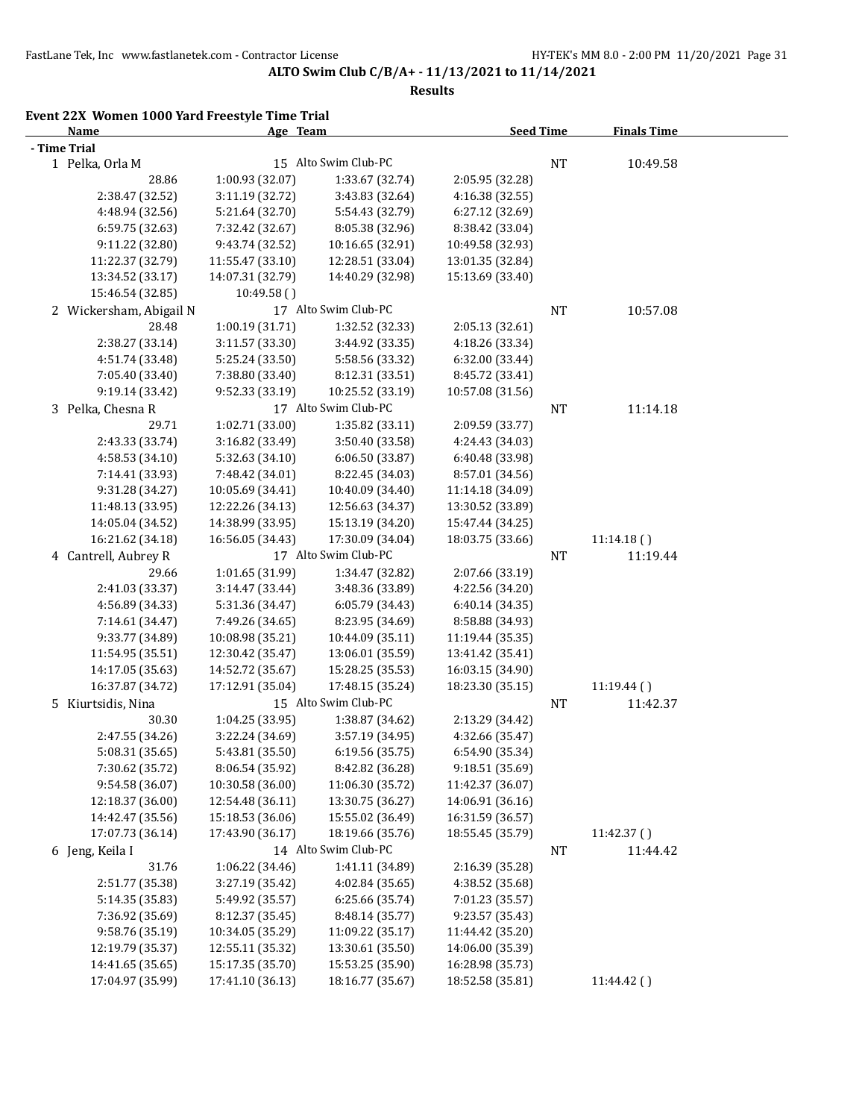**Results**

## **Event 22X Women 1000 Yard Freestyle Time Trial**

| <b>Name</b>             | Age Team         |                      | <b>Seed Time</b> |           | <b>Finals Time</b> |  |
|-------------------------|------------------|----------------------|------------------|-----------|--------------------|--|
| - Time Trial            |                  |                      |                  |           |                    |  |
| 1 Pelka, Orla M         |                  | 15 Alto Swim Club-PC |                  | <b>NT</b> | 10:49.58           |  |
| 28.86                   | 1:00.93 (32.07)  | 1:33.67 (32.74)      | 2:05.95 (32.28)  |           |                    |  |
| 2:38.47 (32.52)         | 3:11.19 (32.72)  | 3:43.83 (32.64)      | 4:16.38 (32.55)  |           |                    |  |
| 4:48.94 (32.56)         | 5:21.64 (32.70)  | 5:54.43 (32.79)      | 6:27.12 (32.69)  |           |                    |  |
| 6:59.75 (32.63)         | 7:32.42 (32.67)  | 8:05.38 (32.96)      | 8:38.42 (33.04)  |           |                    |  |
| 9:11.22 (32.80)         | 9:43.74 (32.52)  | 10:16.65 (32.91)     | 10:49.58 (32.93) |           |                    |  |
| 11:22.37 (32.79)        | 11:55.47 (33.10) | 12:28.51 (33.04)     | 13:01.35 (32.84) |           |                    |  |
| 13:34.52 (33.17)        | 14:07.31 (32.79) | 14:40.29 (32.98)     | 15:13.69 (33.40) |           |                    |  |
| 15:46.54 (32.85)        | 10:49.58()       |                      |                  |           |                    |  |
| 2 Wickersham, Abigail N |                  | 17 Alto Swim Club-PC |                  | NT        | 10:57.08           |  |
| 28.48                   | 1:00.19 (31.71)  | 1:32.52 (32.33)      | 2:05.13 (32.61)  |           |                    |  |
| 2:38.27 (33.14)         | 3:11.57 (33.30)  | 3:44.92 (33.35)      | 4:18.26 (33.34)  |           |                    |  |
| 4:51.74 (33.48)         | 5:25.24 (33.50)  | 5:58.56 (33.32)      | 6:32.00 (33.44)  |           |                    |  |
| 7:05.40 (33.40)         | 7:38.80 (33.40)  | 8:12.31 (33.51)      | 8:45.72 (33.41)  |           |                    |  |
| 9:19.14 (33.42)         | 9:52.33 (33.19)  | 10:25.52 (33.19)     | 10:57.08 (31.56) |           |                    |  |
| 3 Pelka, Chesna R       |                  | 17 Alto Swim Club-PC |                  | <b>NT</b> | 11:14.18           |  |
| 29.71                   |                  |                      | 2:09.59 (33.77)  |           |                    |  |
|                         | 1:02.71 (33.00)  | 1:35.82 (33.11)      |                  |           |                    |  |
| 2:43.33 (33.74)         | 3:16.82 (33.49)  | 3:50.40 (33.58)      | 4:24.43 (34.03)  |           |                    |  |
| 4:58.53 (34.10)         | 5:32.63 (34.10)  | 6:06.50 (33.87)      | 6:40.48 (33.98)  |           |                    |  |
| 7:14.41 (33.93)         | 7:48.42 (34.01)  | 8:22.45 (34.03)      | 8:57.01 (34.56)  |           |                    |  |
| 9:31.28 (34.27)         | 10:05.69 (34.41) | 10:40.09 (34.40)     | 11:14.18 (34.09) |           |                    |  |
| 11:48.13 (33.95)        | 12:22.26 (34.13) | 12:56.63 (34.37)     | 13:30.52 (33.89) |           |                    |  |
| 14:05.04 (34.52)        | 14:38.99 (33.95) | 15:13.19 (34.20)     | 15:47.44 (34.25) |           |                    |  |
| 16:21.62 (34.18)        | 16:56.05 (34.43) | 17:30.09 (34.04)     | 18:03.75 (33.66) |           | 11:14.18()         |  |
| 4 Cantrell, Aubrey R    |                  | 17 Alto Swim Club-PC |                  | <b>NT</b> | 11:19.44           |  |
| 29.66                   | 1:01.65 (31.99)  | 1:34.47 (32.82)      | 2:07.66 (33.19)  |           |                    |  |
| 2:41.03 (33.37)         | 3:14.47 (33.44)  | 3:48.36 (33.89)      | 4:22.56 (34.20)  |           |                    |  |
| 4:56.89 (34.33)         | 5:31.36 (34.47)  | 6:05.79 (34.43)      | 6:40.14 (34.35)  |           |                    |  |
| 7:14.61 (34.47)         | 7:49.26 (34.65)  | 8:23.95 (34.69)      | 8:58.88 (34.93)  |           |                    |  |
| 9:33.77 (34.89)         | 10:08.98 (35.21) | 10:44.09 (35.11)     | 11:19.44 (35.35) |           |                    |  |
| 11:54.95 (35.51)        | 12:30.42 (35.47) | 13:06.01 (35.59)     | 13:41.42 (35.41) |           |                    |  |
| 14:17.05 (35.63)        | 14:52.72 (35.67) | 15:28.25 (35.53)     | 16:03.15 (34.90) |           |                    |  |
| 16:37.87 (34.72)        | 17:12.91 (35.04) | 17:48.15 (35.24)     | 18:23.30 (35.15) |           | 11:19.44()         |  |
| 5 Kiurtsidis, Nina      |                  | 15 Alto Swim Club-PC |                  | NT        | 11:42.37           |  |
| 30.30                   | 1:04.25 (33.95)  | 1:38.87 (34.62)      | 2:13.29 (34.42)  |           |                    |  |
| 2:47.55 (34.26)         | 3:22.24 (34.69)  | 3:57.19 (34.95)      | 4:32.66 (35.47)  |           |                    |  |
| 5:08.31 (35.65)         | 5:43.81 (35.50)  | 6:19.56(35.75)       | 6:54.90 (35.34)  |           |                    |  |
| 7:30.62 (35.72)         | 8:06.54 (35.92)  | 8:42.82 (36.28)      | 9:18.51 (35.69)  |           |                    |  |
| 9:54.58 (36.07)         | 10:30.58 (36.00) | 11:06.30 (35.72)     | 11:42.37 (36.07) |           |                    |  |
| 12:18.37 (36.00)        | 12:54.48 (36.11) | 13:30.75 (36.27)     | 14:06.91 (36.16) |           |                    |  |
| 14:42.47 (35.56)        | 15:18.53 (36.06) | 15:55.02 (36.49)     | 16:31.59 (36.57) |           |                    |  |
| 17:07.73 (36.14)        | 17:43.90 (36.17) | 18:19.66 (35.76)     | 18:55.45 (35.79) |           | 11:42.37()         |  |
| 6 Jeng, Keila I         |                  | 14 Alto Swim Club-PC |                  | <b>NT</b> | 11:44.42           |  |
| 31.76                   | 1:06.22 (34.46)  | 1:41.11 (34.89)      | 2:16.39 (35.28)  |           |                    |  |
| 2:51.77 (35.38)         | 3:27.19 (35.42)  | 4:02.84 (35.65)      | 4:38.52 (35.68)  |           |                    |  |
| 5:14.35 (35.83)         | 5:49.92 (35.57)  | 6:25.66 (35.74)      | 7:01.23 (35.57)  |           |                    |  |
| 7:36.92 (35.69)         | 8:12.37 (35.45)  | 8:48.14 (35.77)      | 9:23.57 (35.43)  |           |                    |  |
| 9:58.76 (35.19)         | 10:34.05 (35.29) | 11:09.22 (35.17)     | 11:44.42 (35.20) |           |                    |  |
| 12:19.79 (35.37)        | 12:55.11 (35.32) | 13:30.61 (35.50)     | 14:06.00 (35.39) |           |                    |  |
| 14:41.65 (35.65)        | 15:17.35 (35.70) | 15:53.25 (35.90)     | 16:28.98 (35.73) |           |                    |  |
| 17:04.97 (35.99)        | 17:41.10 (36.13) | 18:16.77 (35.67)     | 18:52.58 (35.81) |           | 11:44.42 ()        |  |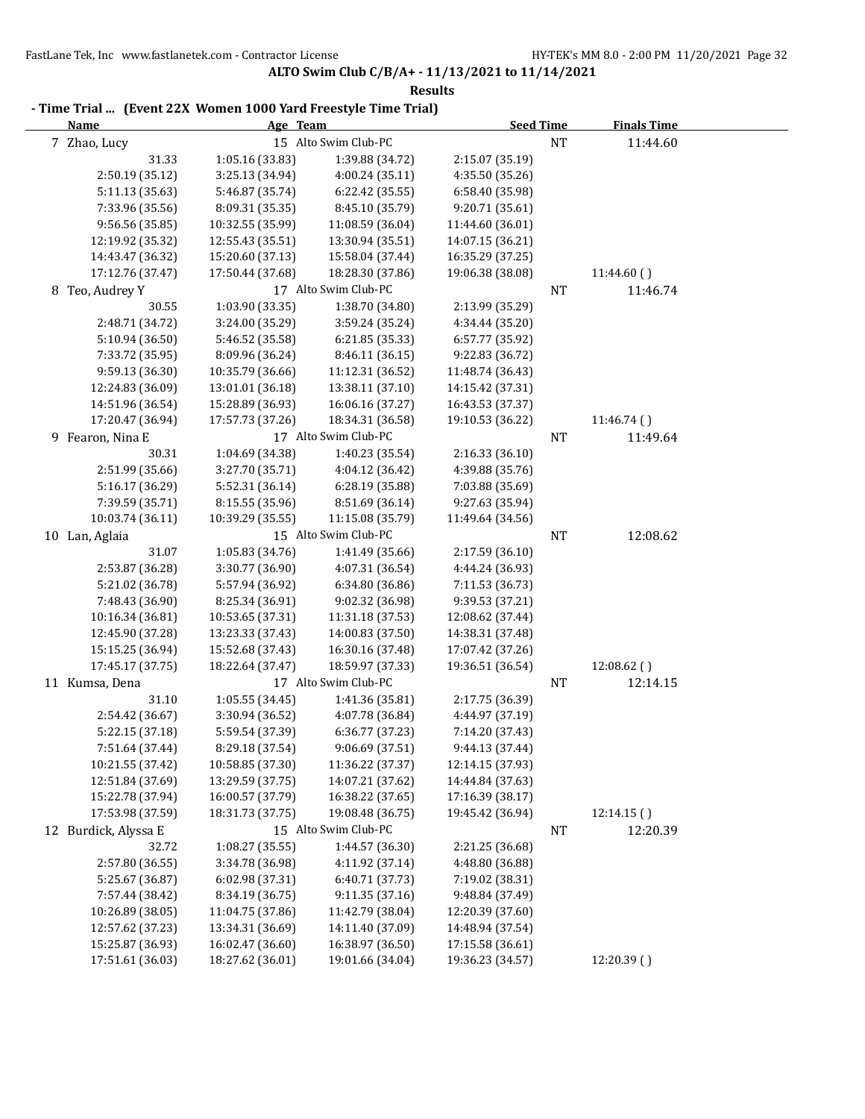| - Time Trial  (Event 22X Women 1000 Yard Freestyle Time Trial) |                  |                      |                  |           |                    |  |  |
|----------------------------------------------------------------|------------------|----------------------|------------------|-----------|--------------------|--|--|
| <b>Name</b>                                                    |                  | Age Team             | <b>Seed Time</b> |           | <b>Finals Time</b> |  |  |
| 7 Zhao, Lucy                                                   |                  | 15 Alto Swim Club-PC |                  | <b>NT</b> | 11:44.60           |  |  |
| 31.33                                                          | 1:05.16 (33.83)  | 1:39.88 (34.72)      | 2:15.07 (35.19)  |           |                    |  |  |
| 2:50.19 (35.12)                                                | 3:25.13 (34.94)  | 4:00.24(35.11)       | 4:35.50 (35.26)  |           |                    |  |  |
| 5:11.13(35.63)                                                 | 5:46.87 (35.74)  | 6:22.42 (35.55)      | 6:58.40 (35.98)  |           |                    |  |  |
| 7:33.96 (35.56)                                                | 8:09.31 (35.35)  | 8:45.10 (35.79)      | 9:20.71 (35.61)  |           |                    |  |  |
| 9:56.56 (35.85)                                                | 10:32.55 (35.99) | 11:08.59 (36.04)     | 11:44.60 (36.01) |           |                    |  |  |
| 12:19.92 (35.32)                                               | 12:55.43 (35.51) | 13:30.94 (35.51)     | 14:07.15 (36.21) |           |                    |  |  |
| 14:43.47 (36.32)                                               | 15:20.60 (37.13) | 15:58.04 (37.44)     | 16:35.29 (37.25) |           |                    |  |  |
| 17:12.76 (37.47)                                               | 17:50.44 (37.68) | 18:28.30 (37.86)     | 19:06.38 (38.08) |           | 11:44.60()         |  |  |
| 8 Teo, Audrey Y                                                |                  | 17 Alto Swim Club-PC |                  | <b>NT</b> | 11:46.74           |  |  |
| 30.55                                                          | 1:03.90 (33.35)  | 1:38.70 (34.80)      | 2:13.99 (35.29)  |           |                    |  |  |
| 2:48.71 (34.72)                                                | 3:24.00 (35.29)  | 3:59.24 (35.24)      | 4:34.44 (35.20)  |           |                    |  |  |
| 5:10.94 (36.50)                                                | 5:46.52 (35.58)  | 6:21.85 (35.33)      | 6:57.77 (35.92)  |           |                    |  |  |
| 7:33.72 (35.95)                                                | 8:09.96 (36.24)  | 8:46.11 (36.15)      | 9:22.83 (36.72)  |           |                    |  |  |
| 9:59.13 (36.30)                                                | 10:35.79 (36.66) | 11:12.31 (36.52)     | 11:48.74 (36.43) |           |                    |  |  |
| 12:24.83 (36.09)                                               | 13:01.01 (36.18) | 13:38.11 (37.10)     | 14:15.42 (37.31) |           |                    |  |  |
| 14:51.96 (36.54)                                               | 15:28.89 (36.93) | 16:06.16 (37.27)     | 16:43.53 (37.37) |           |                    |  |  |
| 17:20.47 (36.94)                                               | 17:57.73 (37.26) | 18:34.31 (36.58)     | 19:10.53 (36.22) |           | 11:46.74()         |  |  |
| 9 Fearon, Nina E                                               |                  | 17 Alto Swim Club-PC |                  | NT        | 11:49.64           |  |  |
| 30.31                                                          | 1:04.69 (34.38)  | 1:40.23 (35.54)      | 2:16.33 (36.10)  |           |                    |  |  |
| 2:51.99 (35.66)                                                | 3:27.70 (35.71)  | 4:04.12 (36.42)      | 4:39.88 (35.76)  |           |                    |  |  |
| 5:16.17 (36.29)                                                | 5:52.31 (36.14)  | 6:28.19 (35.88)      | 7:03.88 (35.69)  |           |                    |  |  |
| 7:39.59 (35.71)                                                | 8:15.55 (35.96)  | 8:51.69 (36.14)      | 9:27.63 (35.94)  |           |                    |  |  |
| 10:03.74 (36.11)                                               | 10:39.29 (35.55) | 11:15.08 (35.79)     | 11:49.64 (34.56) |           |                    |  |  |
| 10 Lan, Aglaia                                                 |                  | 15 Alto Swim Club-PC |                  | <b>NT</b> | 12:08.62           |  |  |
| 31.07                                                          | 1:05.83 (34.76)  | 1:41.49 (35.66)      | 2:17.59 (36.10)  |           |                    |  |  |
| 2:53.87 (36.28)                                                | 3:30.77 (36.90)  | 4:07.31 (36.54)      | 4:44.24 (36.93)  |           |                    |  |  |
| 5:21.02 (36.78)                                                | 5:57.94 (36.92)  | 6:34.80 (36.86)      | 7:11.53 (36.73)  |           |                    |  |  |
| 7:48.43 (36.90)                                                | 8:25.34 (36.91)  | 9:02.32 (36.98)      | 9:39.53 (37.21)  |           |                    |  |  |
| 10:16.34 (36.81)                                               | 10:53.65 (37.31) | 11:31.18 (37.53)     | 12:08.62 (37.44) |           |                    |  |  |
| 12:45.90 (37.28)                                               | 13:23.33 (37.43) | 14:00.83 (37.50)     | 14:38.31 (37.48) |           |                    |  |  |
| 15:15.25 (36.94)                                               | 15:52.68 (37.43) | 16:30.16 (37.48)     | 17:07.42 (37.26) |           |                    |  |  |
| 17:45.17 (37.75)                                               | 18:22.64 (37.47) | 18:59.97 (37.33)     | 19:36.51 (36.54) |           | 12:08.62()         |  |  |
| 11 Kumsa, Dena                                                 |                  | 17 Alto Swim Club-PC |                  | <b>NT</b> | 12:14.15           |  |  |
| 31.10                                                          | 1:05.55 (34.45)  | 1:41.36 (35.81)      | 2:17.75 (36.39)  |           |                    |  |  |
| 2:54.42 (36.67)                                                | 3:30.94 (36.52)  | 4:07.78 (36.84)      | 4:44.97 (37.19)  |           |                    |  |  |
| 5:22.15 (37.18)                                                | 5:59.54 (37.39)  | 6:36.77 (37.23)      | 7:14.20 (37.43)  |           |                    |  |  |
| 7:51.64 (37.44)                                                | 8:29.18 (37.54)  | 9:06.69 (37.51)      | 9:44.13 (37.44)  |           |                    |  |  |
| 10:21.55 (37.42)                                               | 10:58.85 (37.30) | 11:36.22 (37.37)     | 12:14.15 (37.93) |           |                    |  |  |
| 12:51.84 (37.69)                                               | 13:29.59 (37.75) | 14:07.21 (37.62)     | 14:44.84 (37.63) |           |                    |  |  |
| 15:22.78 (37.94)                                               | 16:00.57 (37.79) | 16:38.22 (37.65)     | 17:16.39 (38.17) |           |                    |  |  |
| 17:53.98 (37.59)                                               | 18:31.73 (37.75) | 19:08.48 (36.75)     | 19:45.42 (36.94) |           | 12:14.15()         |  |  |
| 12 Burdick, Alyssa E                                           |                  | 15 Alto Swim Club-PC |                  | <b>NT</b> | 12:20.39           |  |  |
| 32.72                                                          | 1:08.27 (35.55)  | 1:44.57 (36.30)      | 2:21.25 (36.68)  |           |                    |  |  |
| 2:57.80 (36.55)                                                | 3:34.78 (36.98)  | 4:11.92 (37.14)      | 4:48.80 (36.88)  |           |                    |  |  |
| 5:25.67 (36.87)                                                | 6:02.98 (37.31)  | 6:40.71 (37.73)      | 7:19.02 (38.31)  |           |                    |  |  |
| 7:57.44 (38.42)                                                | 8:34.19 (36.75)  | 9:11.35 (37.16)      | 9:48.84 (37.49)  |           |                    |  |  |
| 10:26.89 (38.05)                                               | 11:04.75 (37.86) | 11:42.79 (38.04)     | 12:20.39 (37.60) |           |                    |  |  |
| 12:57.62 (37.23)                                               | 13:34.31 (36.69) | 14:11.40 (37.09)     | 14:48.94 (37.54) |           |                    |  |  |
| 15:25.87 (36.93)                                               | 16:02.47 (36.60) | 16:38.97 (36.50)     | 17:15.58 (36.61) |           |                    |  |  |
| 17:51.61 (36.03)                                               | 18:27.62 (36.01) | 19:01.66 (34.04)     | 19:36.23 (34.57) |           | 12:20.39 ()        |  |  |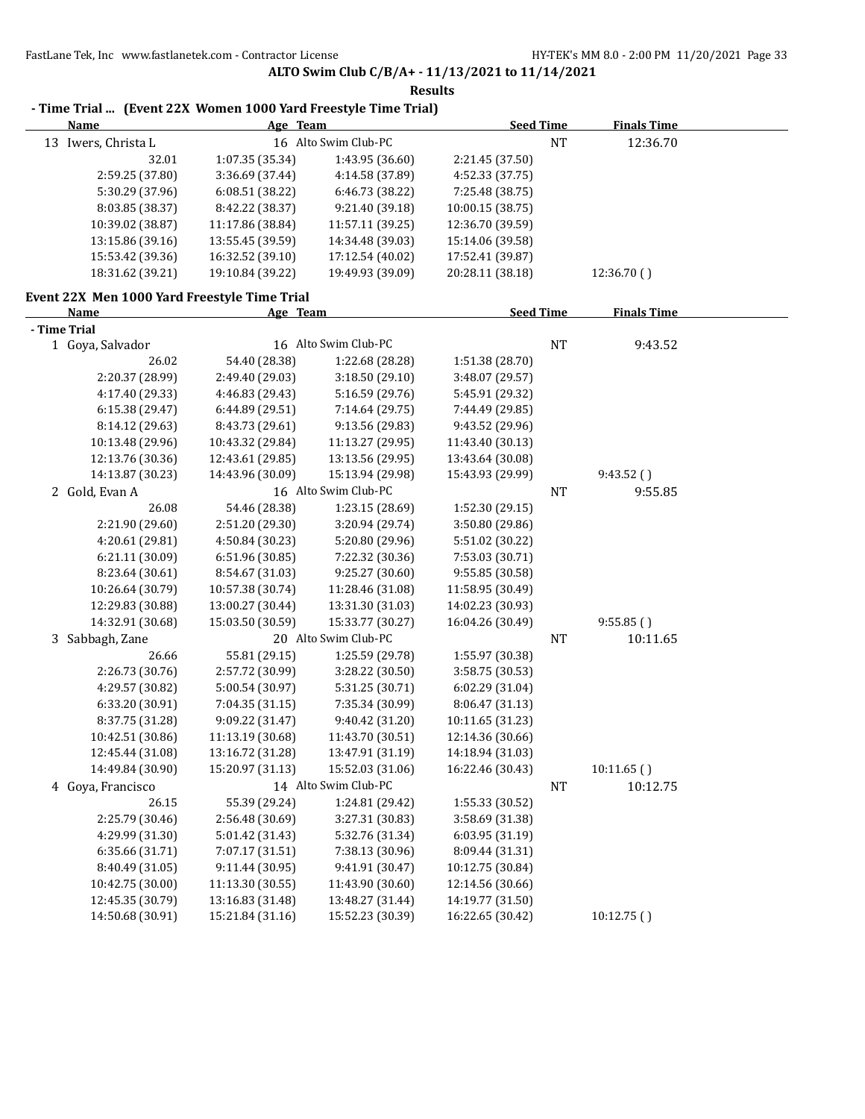| Age Team<br><b>Name</b>                      |                  | <b>Seed Time</b>     |                  | <b>Finals Time</b> |                    |  |
|----------------------------------------------|------------------|----------------------|------------------|--------------------|--------------------|--|
| 13 Iwers, Christa L                          |                  | 16 Alto Swim Club-PC |                  | <b>NT</b>          | 12:36.70           |  |
| 32.01                                        | 1:07.35 (35.34)  | 1:43.95 (36.60)      | 2:21.45 (37.50)  |                    |                    |  |
| 2:59.25 (37.80)                              | 3:36.69 (37.44)  | 4:14.58 (37.89)      | 4:52.33 (37.75)  |                    |                    |  |
| 5:30.29 (37.96)                              | 6:08.51 (38.22)  | 6:46.73 (38.22)      | 7:25.48 (38.75)  |                    |                    |  |
| 8:03.85 (38.37)                              | 8:42.22 (38.37)  | 9:21.40 (39.18)      | 10:00.15 (38.75) |                    |                    |  |
| 10:39.02 (38.87)                             | 11:17.86 (38.84) | 11:57.11 (39.25)     | 12:36.70 (39.59) |                    |                    |  |
| 13:15.86 (39.16)                             | 13:55.45 (39.59) | 14:34.48 (39.03)     | 15:14.06 (39.58) |                    |                    |  |
| 15:53.42 (39.36)                             | 16:32.52 (39.10) | 17:12.54 (40.02)     | 17:52.41 (39.87) |                    |                    |  |
| 18:31.62 (39.21)                             | 19:10.84 (39.22) | 19:49.93 (39.09)     | 20:28.11 (38.18) |                    | 12:36.70()         |  |
| Event 22X Men 1000 Yard Freestyle Time Trial |                  |                      |                  |                    |                    |  |
| Name                                         | Age Team         |                      | <b>Seed Time</b> |                    | <b>Finals Time</b> |  |
| - Time Trial                                 |                  |                      |                  |                    |                    |  |
| 1 Goya, Salvador                             |                  | 16 Alto Swim Club-PC |                  | <b>NT</b>          | 9:43.52            |  |
| 26.02                                        | 54.40 (28.38)    | 1:22.68 (28.28)      | 1:51.38 (28.70)  |                    |                    |  |
| 2:20.37 (28.99)                              | 2:49.40 (29.03)  | 3:18.50 (29.10)      | 3:48.07 (29.57)  |                    |                    |  |
| 4:17.40 (29.33)                              | 4:46.83 (29.43)  | 5:16.59 (29.76)      | 5:45.91 (29.32)  |                    |                    |  |
| 6:15.38 (29.47)                              | 6:44.89 (29.51)  | 7:14.64 (29.75)      | 7:44.49 (29.85)  |                    |                    |  |
| 8:14.12 (29.63)                              | 8:43.73 (29.61)  | 9:13.56 (29.83)      | 9:43.52 (29.96)  |                    |                    |  |
| 10:13.48 (29.96)                             | 10:43.32 (29.84) | 11:13.27 (29.95)     | 11:43.40 (30.13) |                    |                    |  |
| 12:13.76 (30.36)                             | 12:43.61 (29.85) | 13:13.56 (29.95)     | 13:43.64 (30.08) |                    |                    |  |
| 14:13.87 (30.23)                             | 14:43.96 (30.09) | 15:13.94 (29.98)     | 15:43.93 (29.99) |                    | 9:43.52()          |  |
| 2 Gold, Evan A                               |                  | 16 Alto Swim Club-PC |                  | NT                 | 9:55.85            |  |
| 26.08                                        | 54.46 (28.38)    | 1:23.15 (28.69)      | 1:52.30 (29.15)  |                    |                    |  |
| 2:21.90 (29.60)                              | 2:51.20 (29.30)  | 3:20.94 (29.74)      | 3:50.80 (29.86)  |                    |                    |  |
| 4:20.61 (29.81)                              | 4:50.84 (30.23)  | 5:20.80 (29.96)      | 5:51.02 (30.22)  |                    |                    |  |
| 6:21.11 (30.09)                              | 6:51.96 (30.85)  | 7:22.32 (30.36)      | 7:53.03 (30.71)  |                    |                    |  |
| 8:23.64 (30.61)                              | 8:54.67 (31.03)  | 9:25.27 (30.60)      | 9:55.85 (30.58)  |                    |                    |  |
| 10:26.64 (30.79)                             | 10:57.38 (30.74) | 11:28.46 (31.08)     | 11:58.95 (30.49) |                    |                    |  |
| 12:29.83 (30.88)                             | 13:00.27 (30.44) | 13:31.30 (31.03)     | 14:02.23 (30.93) |                    |                    |  |
| 14:32.91 (30.68)                             | 15:03.50 (30.59) | 15:33.77 (30.27)     | 16:04.26 (30.49) |                    | 9:55.85()          |  |
| 3 Sabbagh, Zane                              |                  | 20 Alto Swim Club-PC |                  | NT                 | 10:11.65           |  |
| 26.66                                        | 55.81 (29.15)    | 1:25.59 (29.78)      | 1:55.97 (30.38)  |                    |                    |  |
| 2:26.73 (30.76)                              | 2:57.72 (30.99)  | 3:28.22 (30.50)      | 3:58.75 (30.53)  |                    |                    |  |
| 4:29.57 (30.82)                              | 5:00.54 (30.97)  | 5:31.25 (30.71)      | 6:02.29 (31.04)  |                    |                    |  |
| 6:33.20 (30.91)                              | 7:04.35 (31.15)  | 7:35.34 (30.99)      | 8:06.47 (31.13)  |                    |                    |  |
| 8:37.75 (31.28)                              | 9:09.22 (31.47)  | 9:40.42 (31.20)      | 10:11.65 (31.23) |                    |                    |  |
| 10:42.51 (30.86)                             | 11:13.19 (30.68) | 11:43.70 (30.51)     | 12:14.36 (30.66) |                    |                    |  |
| 12:45.44 (31.08)                             | 13:16.72 (31.28) | 13:47.91 (31.19)     | 14:18.94 (31.03) |                    |                    |  |
| 14:49.84 (30.90)                             | 15:20.97 (31.13) | 15:52.03 (31.06)     | 16:22.46 (30.43) |                    | 10:11.65()         |  |
| 4 Goya, Francisco                            |                  | 14 Alto Swim Club-PC |                  | <b>NT</b>          | 10:12.75           |  |
| 26.15                                        | 55.39 (29.24)    | 1:24.81 (29.42)      | 1:55.33 (30.52)  |                    |                    |  |
| 2:25.79 (30.46)                              | 2:56.48 (30.69)  | 3:27.31 (30.83)      | 3:58.69 (31.38)  |                    |                    |  |
| 4:29.99 (31.30)                              | 5:01.42 (31.43)  | 5:32.76 (31.34)      | 6:03.95 (31.19)  |                    |                    |  |
| 6:35.66 (31.71)                              | 7:07.17 (31.51)  | 7:38.13 (30.96)      | 8:09.44 (31.31)  |                    |                    |  |
| 8:40.49 (31.05)                              | 9:11.44 (30.95)  | 9:41.91 (30.47)      | 10:12.75 (30.84) |                    |                    |  |
| 10:42.75 (30.00)                             | 11:13.30 (30.55) | 11:43.90 (30.60)     | 12:14.56 (30.66) |                    |                    |  |
| 12:45.35 (30.79)                             | 13:16.83 (31.48) | 13:48.27 (31.44)     | 14:19.77 (31.50) |                    |                    |  |
| 14:50.68 (30.91)                             | 15:21.84 (31.16) | 15:52.23 (30.39)     | 16:22.65 (30.42) |                    | 10:12.75()         |  |

## **Results - Time Trial ... (Event 22X Women 1000 Yard Freestyle Time Trial)**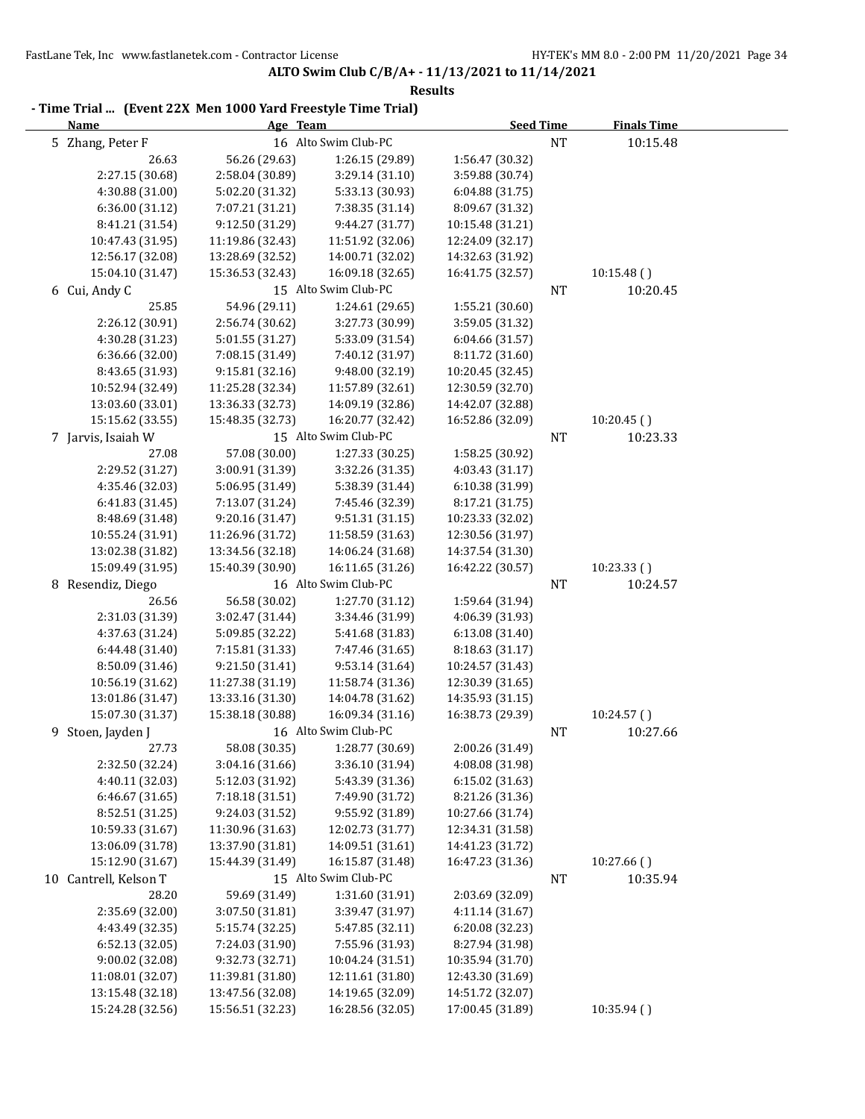| - Time Trial  (Event 22X Men 1000 Yard Freestyle Time Trial)<br><b>Name</b> |                  | Age Team             | <b>Seed Time</b> |           | <b>Finals Time</b> |  |
|-----------------------------------------------------------------------------|------------------|----------------------|------------------|-----------|--------------------|--|
| 5 Zhang, Peter F                                                            |                  | 16 Alto Swim Club-PC |                  | $\rm{NT}$ | 10:15.48           |  |
| 26.63                                                                       | 56.26 (29.63)    | 1:26.15 (29.89)      | 1:56.47 (30.32)  |           |                    |  |
| 2:27.15 (30.68)                                                             | 2:58.04 (30.89)  | 3:29.14 (31.10)      | 3:59.88 (30.74)  |           |                    |  |
| 4:30.88 (31.00)                                                             | 5:02.20 (31.32)  | 5:33.13 (30.93)      | 6:04.88 (31.75)  |           |                    |  |
| 6:36.00 (31.12)                                                             | 7:07.21 (31.21)  | 7:38.35 (31.14)      | 8:09.67 (31.32)  |           |                    |  |
| 8:41.21 (31.54)                                                             | 9:12.50 (31.29)  | 9:44.27 (31.77)      | 10:15.48 (31.21) |           |                    |  |
| 10:47.43 (31.95)                                                            | 11:19.86 (32.43) | 11:51.92 (32.06)     | 12:24.09 (32.17) |           |                    |  |
| 12:56.17 (32.08)                                                            | 13:28.69 (32.52) | 14:00.71 (32.02)     | 14:32.63 (31.92) |           |                    |  |
| 15:04.10 (31.47)                                                            | 15:36.53 (32.43) | 16:09.18 (32.65)     | 16:41.75 (32.57) |           | 10:15.48()         |  |
| 6 Cui, Andy C                                                               |                  | 15 Alto Swim Club-PC |                  | NT        | 10:20.45           |  |
| 25.85                                                                       | 54.96 (29.11)    | 1:24.61 (29.65)      | 1:55.21 (30.60)  |           |                    |  |
| 2:26.12 (30.91)                                                             | 2:56.74 (30.62)  | 3:27.73 (30.99)      | 3:59.05 (31.32)  |           |                    |  |
| 4:30.28 (31.23)                                                             | 5:01.55 (31.27)  | 5:33.09 (31.54)      | 6:04.66 (31.57)  |           |                    |  |
| 6:36.66 (32.00)                                                             | 7:08.15 (31.49)  | 7:40.12 (31.97)      | 8:11.72 (31.60)  |           |                    |  |
| 8:43.65 (31.93)                                                             | 9:15.81 (32.16)  | 9:48.00 (32.19)      | 10:20.45 (32.45) |           |                    |  |
| 10:52.94 (32.49)                                                            | 11:25.28 (32.34) | 11:57.89 (32.61)     | 12:30.59 (32.70) |           |                    |  |
| 13:03.60 (33.01)                                                            | 13:36.33 (32.73) | 14:09.19 (32.86)     | 14:42.07 (32.88) |           |                    |  |
| 15:15.62 (33.55)                                                            | 15:48.35 (32.73) | 16:20.77 (32.42)     | 16:52.86 (32.09) |           | 10:20.45()         |  |
| 7 Jarvis, Isaiah W                                                          |                  | 15 Alto Swim Club-PC |                  | NT        | 10:23.33           |  |
| 27.08                                                                       | 57.08 (30.00)    | 1:27.33 (30.25)      | 1:58.25 (30.92)  |           |                    |  |
| 2:29.52 (31.27)                                                             | 3:00.91 (31.39)  | 3:32.26 (31.35)      | 4:03.43 (31.17)  |           |                    |  |
| 4:35.46 (32.03)                                                             | 5:06.95 (31.49)  | 5:38.39 (31.44)      | 6:10.38 (31.99)  |           |                    |  |
| 6:41.83 (31.45)                                                             | 7:13.07 (31.24)  | 7:45.46 (32.39)      | 8:17.21 (31.75)  |           |                    |  |
| 8:48.69 (31.48)                                                             | 9:20.16 (31.47)  | 9:51.31 (31.15)      | 10:23.33 (32.02) |           |                    |  |
| 10:55.24 (31.91)                                                            | 11:26.96 (31.72) | 11:58.59 (31.63)     | 12:30.56 (31.97) |           |                    |  |
| 13:02.38 (31.82)                                                            | 13:34.56 (32.18) | 14:06.24 (31.68)     | 14:37.54 (31.30) |           |                    |  |
| 15:09.49 (31.95)                                                            | 15:40.39 (30.90) | 16:11.65 (31.26)     | 16:42.22 (30.57) |           | 10:23.33()         |  |
| 8 Resendiz, Diego                                                           |                  | 16 Alto Swim Club-PC |                  | <b>NT</b> | 10:24.57           |  |
| 26.56                                                                       | 56.58 (30.02)    | 1:27.70 (31.12)      | 1:59.64 (31.94)  |           |                    |  |
| 2:31.03 (31.39)                                                             | 3:02.47 (31.44)  | 3:34.46 (31.99)      | 4:06.39 (31.93)  |           |                    |  |
| 4:37.63 (31.24)                                                             | 5:09.85 (32.22)  | 5:41.68 (31.83)      | 6:13.08 (31.40)  |           |                    |  |
| 6:44.48 (31.40)                                                             | 7:15.81 (31.33)  | 7:47.46 (31.65)      | 8:18.63 (31.17)  |           |                    |  |
| 8:50.09 (31.46)                                                             | 9:21.50 (31.41)  | 9:53.14 (31.64)      | 10:24.57 (31.43) |           |                    |  |
| 10:56.19 (31.62)                                                            | 11:27.38 (31.19) | 11:58.74 (31.36)     | 12:30.39 (31.65) |           |                    |  |
| 13:01.86 (31.47)                                                            | 13:33.16 (31.30) | 14:04.78 (31.62)     | 14:35.93 (31.15) |           |                    |  |
| 15:07.30 (31.37)                                                            | 15:38.18 (30.88) | 16:09.34 (31.16)     | 16:38.73 (29.39) |           | 10:24.57()         |  |
| 9 Stoen, Jayden J                                                           |                  | 16 Alto Swim Club-PC |                  | $\rm{NT}$ | 10:27.66           |  |
| 27.73                                                                       | 58.08 (30.35)    | 1:28.77 (30.69)      | 2:00.26 (31.49)  |           |                    |  |
| 2:32.50 (32.24)                                                             | 3:04.16 (31.66)  | 3:36.10 (31.94)      | 4:08.08 (31.98)  |           |                    |  |
| 4:40.11 (32.03)                                                             | 5:12.03 (31.92)  | 5:43.39 (31.36)      | 6:15.02 (31.63)  |           |                    |  |
| 6:46.67 (31.65)                                                             | 7:18.18 (31.51)  | 7:49.90 (31.72)      | 8:21.26 (31.36)  |           |                    |  |
| 8:52.51 (31.25)                                                             | 9:24.03 (31.52)  | 9:55.92 (31.89)      | 10:27.66 (31.74) |           |                    |  |
| 10:59.33 (31.67)                                                            | 11:30.96 (31.63) | 12:02.73 (31.77)     | 12:34.31 (31.58) |           |                    |  |
| 13:06.09 (31.78)                                                            | 13:37.90 (31.81) | 14:09.51 (31.61)     | 14:41.23 (31.72) |           |                    |  |
| 15:12.90 (31.67)                                                            | 15:44.39 (31.49) | 16:15.87 (31.48)     | 16:47.23 (31.36) |           | 10:27.66()         |  |
| 10 Cantrell, Kelson T                                                       |                  | 15 Alto Swim Club-PC |                  | <b>NT</b> | 10:35.94           |  |
| 28.20                                                                       | 59.69 (31.49)    | 1:31.60 (31.91)      | 2:03.69 (32.09)  |           |                    |  |
| 2:35.69 (32.00)                                                             | 3:07.50 (31.81)  | 3:39.47 (31.97)      | 4:11.14 (31.67)  |           |                    |  |
| 4:43.49 (32.35)                                                             | 5:15.74 (32.25)  | 5:47.85 (32.11)      | 6:20.08 (32.23)  |           |                    |  |
| 6:52.13 (32.05)                                                             | 7:24.03 (31.90)  | 7:55.96 (31.93)      | 8:27.94 (31.98)  |           |                    |  |
| 9:00.02 (32.08)                                                             | 9:32.73 (32.71)  | 10:04.24 (31.51)     | 10:35.94 (31.70) |           |                    |  |
| 11:08.01 (32.07)                                                            | 11:39.81 (31.80) | 12:11.61 (31.80)     | 12:43.30 (31.69) |           |                    |  |
| 13:15.48 (32.18)                                                            | 13:47.56 (32.08) | 14:19.65 (32.09)     | 14:51.72 (32.07) |           |                    |  |
| 15:24.28 (32.56)                                                            | 15:56.51 (32.23) | 16:28.56 (32.05)     | 17:00.45 (31.89) |           | 10:35.94 ()        |  |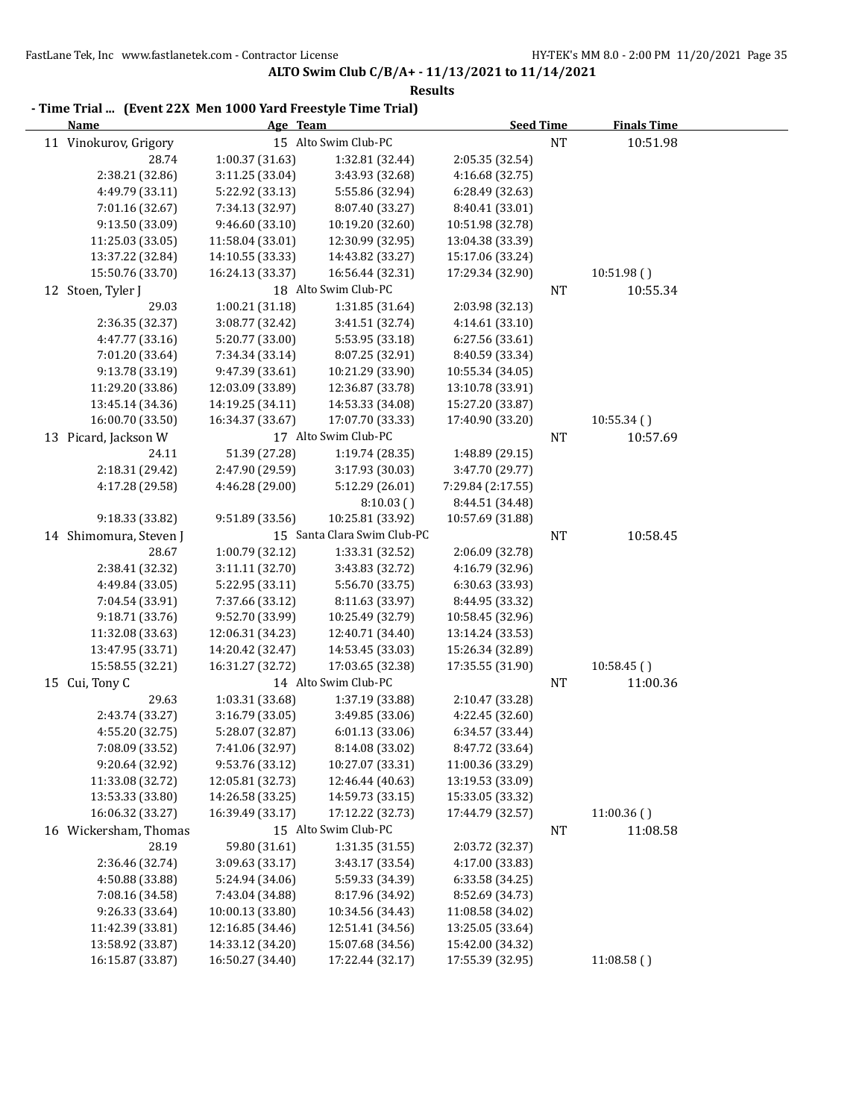| - Time Trial  (Event 22X Men 1000 Yard Freestyle Time Trial) |                        |                  |                             |                   |           |                    |  |  |
|--------------------------------------------------------------|------------------------|------------------|-----------------------------|-------------------|-----------|--------------------|--|--|
|                                                              | <b>Name</b>            | Age Team         |                             | <b>Seed Time</b>  |           | <b>Finals Time</b> |  |  |
|                                                              | 11 Vinokurov, Grigory  |                  | 15 Alto Swim Club-PC        |                   | <b>NT</b> | 10:51.98           |  |  |
|                                                              | 28.74                  | 1:00.37 (31.63)  | 1:32.81 (32.44)             | 2:05.35 (32.54)   |           |                    |  |  |
|                                                              | 2:38.21 (32.86)        | 3:11.25 (33.04)  | 3:43.93 (32.68)             | 4:16.68 (32.75)   |           |                    |  |  |
|                                                              | 4:49.79 (33.11)        | 5:22.92 (33.13)  | 5:55.86 (32.94)             | 6:28.49 (32.63)   |           |                    |  |  |
|                                                              | 7:01.16 (32.67)        | 7:34.13 (32.97)  | 8:07.40 (33.27)             | 8:40.41 (33.01)   |           |                    |  |  |
|                                                              | 9:13.50 (33.09)        | 9:46.60 (33.10)  | 10:19.20 (32.60)            | 10:51.98 (32.78)  |           |                    |  |  |
|                                                              | 11:25.03 (33.05)       | 11:58.04 (33.01) | 12:30.99 (32.95)            | 13:04.38 (33.39)  |           |                    |  |  |
|                                                              | 13:37.22 (32.84)       | 14:10.55 (33.33) | 14:43.82 (33.27)            | 15:17.06 (33.24)  |           |                    |  |  |
|                                                              | 15:50.76 (33.70)       | 16:24.13 (33.37) | 16:56.44 (32.31)            | 17:29.34 (32.90)  |           | 10:51.98()         |  |  |
|                                                              | 12 Stoen, Tyler J      |                  | 18 Alto Swim Club-PC        |                   | <b>NT</b> | 10:55.34           |  |  |
|                                                              | 29.03                  | 1:00.21 (31.18)  | 1:31.85 (31.64)             | 2:03.98 (32.13)   |           |                    |  |  |
|                                                              | 2:36.35 (32.37)        | 3:08.77 (32.42)  | 3:41.51 (32.74)             | 4:14.61 (33.10)   |           |                    |  |  |
|                                                              | 4:47.77 (33.16)        | 5:20.77 (33.00)  | 5:53.95 (33.18)             | 6:27.56 (33.61)   |           |                    |  |  |
|                                                              | 7:01.20 (33.64)        | 7:34.34 (33.14)  | 8:07.25 (32.91)             | 8:40.59 (33.34)   |           |                    |  |  |
|                                                              | 9:13.78 (33.19)        | 9:47.39 (33.61)  | 10:21.29 (33.90)            | 10:55.34 (34.05)  |           |                    |  |  |
|                                                              | 11:29.20 (33.86)       | 12:03.09 (33.89) | 12:36.87 (33.78)            | 13:10.78 (33.91)  |           |                    |  |  |
|                                                              | 13:45.14 (34.36)       | 14:19.25 (34.11) | 14:53.33 (34.08)            | 15:27.20 (33.87)  |           |                    |  |  |
|                                                              | 16:00.70 (33.50)       | 16:34.37 (33.67) | 17:07.70 (33.33)            | 17:40.90 (33.20)  |           | 10:55.34()         |  |  |
|                                                              | 13 Picard, Jackson W   |                  | 17 Alto Swim Club-PC        |                   | NT        | 10:57.69           |  |  |
|                                                              | 24.11                  | 51.39 (27.28)    | 1:19.74 (28.35)             | 1:48.89 (29.15)   |           |                    |  |  |
|                                                              | 2:18.31 (29.42)        | 2:47.90 (29.59)  | 3:17.93 (30.03)             | 3:47.70 (29.77)   |           |                    |  |  |
|                                                              | 4:17.28 (29.58)        | 4:46.28 (29.00)  | 5:12.29 (26.01)             | 7:29.84 (2:17.55) |           |                    |  |  |
|                                                              |                        |                  | 8:10.03()                   | 8:44.51 (34.48)   |           |                    |  |  |
|                                                              | 9:18.33 (33.82)        | 9:51.89 (33.56)  | 10:25.81 (33.92)            | 10:57.69 (31.88)  |           |                    |  |  |
|                                                              | 14 Shimomura, Steven J |                  | 15 Santa Clara Swim Club-PC |                   | <b>NT</b> | 10:58.45           |  |  |
|                                                              | 28.67                  | 1:00.79 (32.12)  | 1:33.31 (32.52)             | 2:06.09 (32.78)   |           |                    |  |  |
|                                                              | 2:38.41 (32.32)        | 3:11.11 (32.70)  | 3:43.83 (32.72)             | 4:16.79 (32.96)   |           |                    |  |  |
|                                                              | 4:49.84 (33.05)        | 5:22.95 (33.11)  | 5:56.70 (33.75)             | 6:30.63 (33.93)   |           |                    |  |  |
|                                                              | 7:04.54 (33.91)        | 7:37.66 (33.12)  | 8:11.63 (33.97)             | 8:44.95 (33.32)   |           |                    |  |  |
|                                                              | 9:18.71 (33.76)        | 9:52.70 (33.99)  | 10:25.49 (32.79)            | 10:58.45 (32.96)  |           |                    |  |  |
|                                                              | 11:32.08 (33.63)       | 12:06.31 (34.23) | 12:40.71 (34.40)            | 13:14.24 (33.53)  |           |                    |  |  |
|                                                              | 13:47.95 (33.71)       | 14:20.42 (32.47) | 14:53.45 (33.03)            | 15:26.34 (32.89)  |           |                    |  |  |
|                                                              | 15:58.55 (32.21)       | 16:31.27 (32.72) | 17:03.65 (32.38)            | 17:35.55 (31.90)  |           | 10:58.45()         |  |  |
|                                                              | 15 Cui, Tony C         |                  | 14 Alto Swim Club-PC        |                   | <b>NT</b> | 11:00.36           |  |  |
|                                                              | 29.63                  | 1:03.31 (33.68)  | 1:37.19 (33.88)             | 2:10.47 (33.28)   |           |                    |  |  |
|                                                              | 2:43.74 (33.27)        | 3:16.79 (33.05)  | 3:49.85 (33.06)             | 4:22.45 (32.60)   |           |                    |  |  |
|                                                              | 4:55.20 (32.75)        | 5:28.07 (32.87)  | 6:01.13 (33.06)             | 6:34.57 (33.44)   |           |                    |  |  |
|                                                              | 7:08.09 (33.52)        | 7:41.06 (32.97)  | 8:14.08 (33.02)             | 8:47.72 (33.64)   |           |                    |  |  |
|                                                              | 9:20.64 (32.92)        | 9:53.76 (33.12)  | 10:27.07 (33.31)            | 11:00.36 (33.29)  |           |                    |  |  |
|                                                              | 11:33.08 (32.72)       | 12:05.81 (32.73) | 12:46.44 (40.63)            | 13:19.53 (33.09)  |           |                    |  |  |
|                                                              | 13:53.33 (33.80)       | 14:26.58 (33.25) | 14:59.73 (33.15)            | 15:33.05 (33.32)  |           |                    |  |  |
|                                                              | 16:06.32 (33.27)       | 16:39.49 (33.17) | 17:12.22 (32.73)            | 17:44.79 (32.57)  |           | 11:00.36()         |  |  |
|                                                              | 16 Wickersham, Thomas  |                  | 15 Alto Swim Club-PC        |                   | <b>NT</b> | 11:08.58           |  |  |
|                                                              | 28.19                  | 59.80 (31.61)    | 1:31.35(31.55)              | 2:03.72 (32.37)   |           |                    |  |  |
|                                                              | 2:36.46 (32.74)        | 3:09.63 (33.17)  | 3:43.17 (33.54)             | 4:17.00 (33.83)   |           |                    |  |  |
|                                                              | 4:50.88 (33.88)        | 5:24.94 (34.06)  | 5:59.33 (34.39)             | 6:33.58 (34.25)   |           |                    |  |  |
|                                                              | 7:08.16 (34.58)        | 7:43.04 (34.88)  | 8:17.96 (34.92)             | 8:52.69 (34.73)   |           |                    |  |  |
|                                                              | 9:26.33 (33.64)        | 10:00.13 (33.80) | 10:34.56 (34.43)            | 11:08.58 (34.02)  |           |                    |  |  |
|                                                              | 11:42.39 (33.81)       | 12:16.85 (34.46) | 12:51.41 (34.56)            | 13:25.05 (33.64)  |           |                    |  |  |
|                                                              | 13:58.92 (33.87)       | 14:33.12 (34.20) | 15:07.68 (34.56)            | 15:42.00 (34.32)  |           |                    |  |  |
|                                                              | 16:15.87 (33.87)       | 16:50.27 (34.40) | 17:22.44 (32.17)            | 17:55.39 (32.95)  |           | 11:08.58()         |  |  |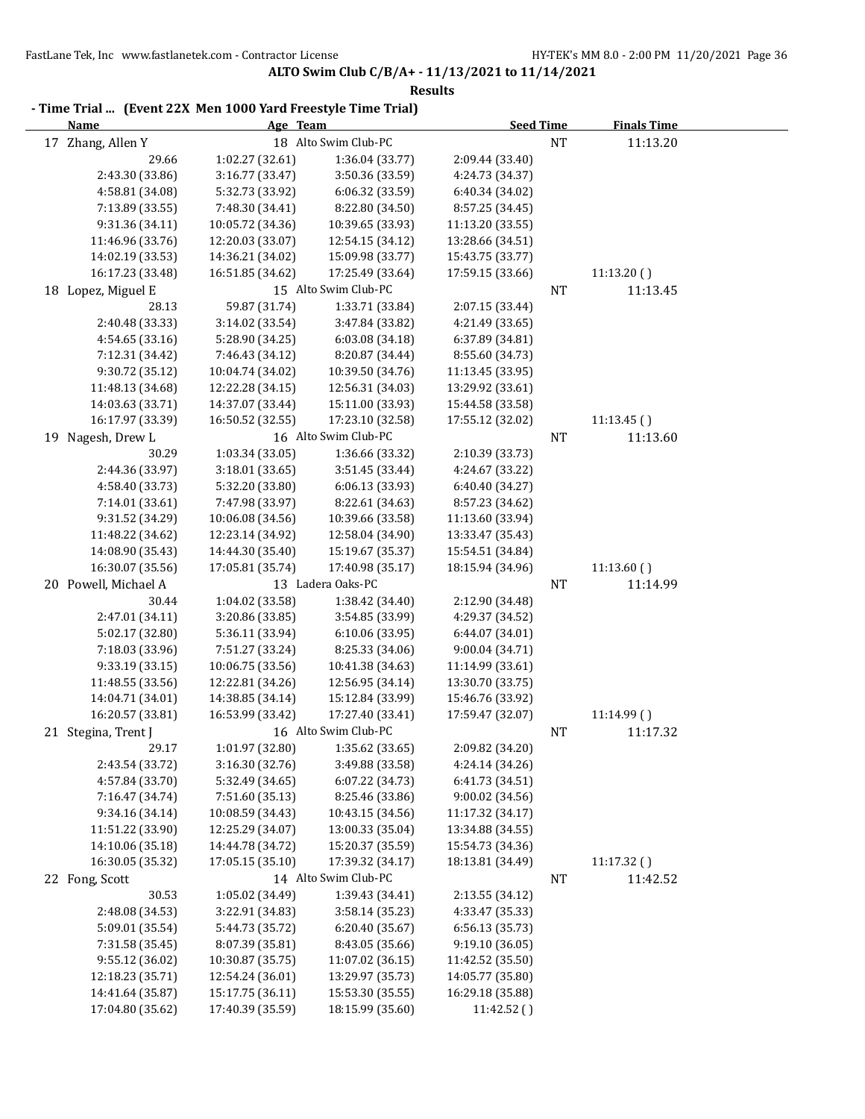| - Time Trial  (Event 22X Men 1000 Yard Freestyle Time Trial) |                                     |                                      |                                      |           |                    |  |
|--------------------------------------------------------------|-------------------------------------|--------------------------------------|--------------------------------------|-----------|--------------------|--|
| <b>Name</b>                                                  | Age Team                            |                                      | <b>Seed Time</b>                     |           | <b>Finals Time</b> |  |
| 17 Zhang, Allen Y                                            |                                     | 18 Alto Swim Club-PC                 |                                      | <b>NT</b> | 11:13.20           |  |
| 29.66                                                        | 1:02.27 (32.61)                     | 1:36.04 (33.77)                      | 2:09.44 (33.40)                      |           |                    |  |
| 2:43.30 (33.86)                                              | 3:16.77 (33.47)                     | 3:50.36 (33.59)                      | 4:24.73 (34.37)                      |           |                    |  |
| 4:58.81 (34.08)                                              | 5:32.73 (33.92)                     | 6:06.32 (33.59)                      | 6:40.34 (34.02)                      |           |                    |  |
| 7:13.89 (33.55)                                              | 7:48.30 (34.41)                     | 8:22.80 (34.50)                      | 8:57.25 (34.45)                      |           |                    |  |
| 9:31.36 (34.11)                                              | 10:05.72 (34.36)                    | 10:39.65 (33.93)                     | 11:13.20 (33.55)                     |           |                    |  |
| 11:46.96 (33.76)                                             | 12:20.03 (33.07)                    | 12:54.15 (34.12)                     | 13:28.66 (34.51)                     |           |                    |  |
| 14:02.19 (33.53)                                             | 14:36.21 (34.02)                    | 15:09.98 (33.77)                     | 15:43.75 (33.77)                     |           |                    |  |
| 16:17.23 (33.48)                                             | 16:51.85 (34.62)                    | 17:25.49 (33.64)                     | 17:59.15 (33.66)                     |           | 11:13.20()         |  |
| 18 Lopez, Miguel E                                           |                                     | 15 Alto Swim Club-PC                 |                                      | NT        | 11:13.45           |  |
| 28.13                                                        | 59.87 (31.74)                       | 1:33.71 (33.84)                      | 2:07.15 (33.44)                      |           |                    |  |
| 2:40.48 (33.33)                                              | 3:14.02 (33.54)                     | 3:47.84 (33.82)                      | 4:21.49 (33.65)                      |           |                    |  |
| 4:54.65 (33.16)                                              | 5:28.90 (34.25)                     | 6:03.08 (34.18)                      | 6:37.89 (34.81)                      |           |                    |  |
| 7:12.31 (34.42)                                              | 7:46.43 (34.12)                     | 8:20.87 (34.44)                      | 8:55.60 (34.73)                      |           |                    |  |
| 9:30.72 (35.12)                                              | 10:04.74 (34.02)                    | 10:39.50 (34.76)                     | 11:13.45 (33.95)                     |           |                    |  |
| 11:48.13 (34.68)                                             | 12:22.28 (34.15)                    | 12:56.31 (34.03)<br>15:11.00 (33.93) | 13:29.92 (33.61)                     |           |                    |  |
| 14:03.63 (33.71)                                             | 14:37.07 (33.44)                    |                                      | 15:44.58 (33.58)<br>17:55.12 (32.02) |           |                    |  |
| 16:17.97 (33.39)                                             | 16:50.52 (32.55)                    | 17:23.10 (32.58)                     |                                      |           | 11:13.45()         |  |
| 19 Nagesh, Drew L                                            |                                     | 16 Alto Swim Club-PC                 |                                      | NT        | 11:13.60           |  |
| 30.29                                                        | 1:03.34 (33.05)                     | 1:36.66 (33.32)                      | 2:10.39 (33.73)                      |           |                    |  |
| 2:44.36 (33.97)                                              | 3:18.01 (33.65)                     | 3:51.45 (33.44)                      | 4:24.67 (33.22)                      |           |                    |  |
| 4:58.40 (33.73)                                              | 5:32.20 (33.80)                     | 6:06.13 (33.93)                      | 6:40.40 (34.27)                      |           |                    |  |
| 7:14.01 (33.61)                                              | 7:47.98 (33.97)                     | 8:22.61 (34.63)                      | 8:57.23 (34.62)                      |           |                    |  |
| 9:31.52 (34.29)                                              | 10:06.08 (34.56)                    | 10:39.66 (33.58)                     | 11:13.60 (33.94)                     |           |                    |  |
| 11:48.22 (34.62)                                             | 12:23.14 (34.92)                    | 12:58.04 (34.90)                     | 13:33.47 (35.43)                     |           |                    |  |
| 14:08.90 (35.43)                                             | 14:44.30 (35.40)                    | 15:19.67 (35.37)                     | 15:54.51 (34.84)                     |           |                    |  |
| 16:30.07 (35.56)                                             | 17:05.81 (35.74)                    | 17:40.98 (35.17)                     | 18:15.94 (34.96)                     |           | 11:13.60()         |  |
| 20 Powell, Michael A                                         |                                     | 13 Ladera Oaks-PC                    |                                      | NT        | 11:14.99           |  |
| 30.44                                                        | 1:04.02 (33.58)                     | 1:38.42 (34.40)                      | 2:12.90 (34.48)                      |           |                    |  |
| 2:47.01 (34.11)                                              | 3:20.86 (33.85)                     | 3:54.85 (33.99)                      | 4:29.37 (34.52)                      |           |                    |  |
| 5:02.17 (32.80)<br>7:18.03 (33.96)                           | 5:36.11 (33.94)                     | 6:10.06 (33.95)                      | 6:44.07 (34.01)                      |           |                    |  |
| 9:33.19 (33.15)                                              | 7:51.27 (33.24)<br>10:06.75 (33.56) | 8:25.33 (34.06)<br>10:41.38 (34.63)  | 9:00.04 (34.71)<br>11:14.99 (33.61)  |           |                    |  |
| 11:48.55 (33.56)                                             | 12:22.81 (34.26)                    | 12:56.95 (34.14)                     | 13:30.70 (33.75)                     |           |                    |  |
| 14:04.71 (34.01)                                             | 14:38.85 (34.14)                    | 15:12.84 (33.99)                     | 15:46.76 (33.92)                     |           |                    |  |
| 16:20.57 (33.81)                                             | 16:53.99 (33.42)                    | 17:27.40 (33.41)                     | 17:59.47 (32.07)                     |           | 11:14.99 ()        |  |
|                                                              |                                     | 16 Alto Swim Club-PC                 |                                      | NT        | 11:17.32           |  |
| 21 Stegina, Trent J<br>29.17                                 | 1:01.97 (32.80)                     | 1:35.62 (33.65)                      | 2:09.82 (34.20)                      |           |                    |  |
| 2:43.54 (33.72)                                              | 3:16.30 (32.76)                     | 3:49.88 (33.58)                      | 4:24.14 (34.26)                      |           |                    |  |
| 4:57.84 (33.70)                                              | 5:32.49 (34.65)                     | 6:07.22 (34.73)                      | 6:41.73 (34.51)                      |           |                    |  |
| 7:16.47 (34.74)                                              | 7:51.60 (35.13)                     | 8:25.46 (33.86)                      | 9:00.02 (34.56)                      |           |                    |  |
| 9:34.16 (34.14)                                              | 10:08.59 (34.43)                    | 10:43.15 (34.56)                     | 11:17.32 (34.17)                     |           |                    |  |
| 11:51.22 (33.90)                                             | 12:25.29 (34.07)                    | 13:00.33 (35.04)                     | 13:34.88 (34.55)                     |           |                    |  |
| 14:10.06 (35.18)                                             | 14:44.78 (34.72)                    | 15:20.37 (35.59)                     | 15:54.73 (34.36)                     |           |                    |  |
| 16:30.05 (35.32)                                             | 17:05.15 (35.10)                    | 17:39.32 (34.17)                     | 18:13.81 (34.49)                     |           | 11:17.32()         |  |
| 22 Fong, Scott                                               |                                     | 14 Alto Swim Club-PC                 |                                      | NT        | 11:42.52           |  |
| 30.53                                                        | 1:05.02 (34.49)                     | 1:39.43 (34.41)                      | 2:13.55 (34.12)                      |           |                    |  |
| 2:48.08 (34.53)                                              | 3:22.91 (34.83)                     | 3:58.14 (35.23)                      | 4:33.47 (35.33)                      |           |                    |  |
| 5:09.01 (35.54)                                              | 5:44.73 (35.72)                     | 6:20.40 (35.67)                      | 6:56.13 (35.73)                      |           |                    |  |
| 7:31.58 (35.45)                                              | 8:07.39 (35.81)                     | 8:43.05 (35.66)                      | 9:19.10 (36.05)                      |           |                    |  |
| 9:55.12 (36.02)                                              | 10:30.87 (35.75)                    | 11:07.02 (36.15)                     | 11:42.52 (35.50)                     |           |                    |  |
| 12:18.23 (35.71)                                             | 12:54.24 (36.01)                    | 13:29.97 (35.73)                     | 14:05.77 (35.80)                     |           |                    |  |
| 14:41.64 (35.87)                                             | 15:17.75 (36.11)                    | 15:53.30 (35.55)                     | 16:29.18 (35.88)                     |           |                    |  |
| 17:04.80 (35.62)                                             | 17:40.39 (35.59)                    | 18:15.99 (35.60)                     | 11:42.52()                           |           |                    |  |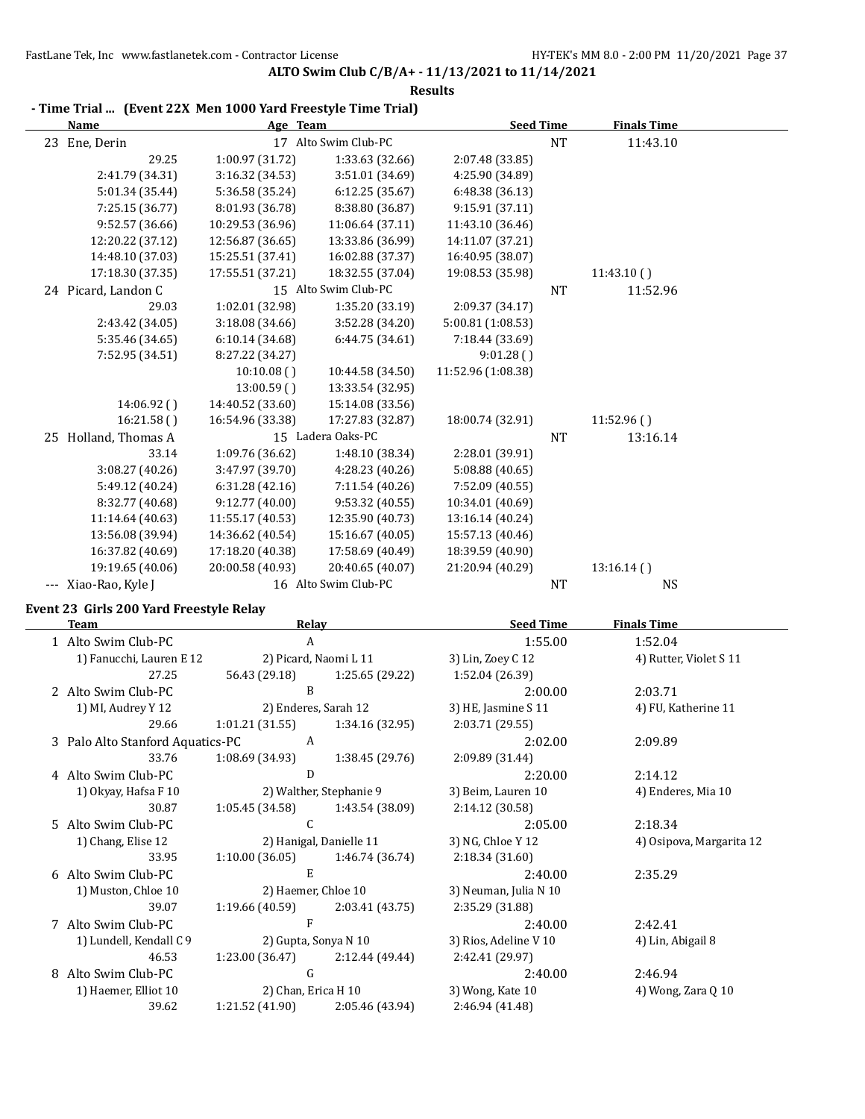| Thing Trial (EVEIR 22A MEIL TOOD Tard Preestyle Thing Trial)<br>Name | Age Team         |                       | <b>Seed Time</b>    |           | <b>Finals Time</b>     |
|----------------------------------------------------------------------|------------------|-----------------------|---------------------|-----------|------------------------|
| 23 Ene, Derin                                                        |                  | 17 Alto Swim Club-PC  |                     | <b>NT</b> | 11:43.10               |
| 29.25                                                                | 1:00.97 (31.72)  | 1:33.63 (32.66)       | 2:07.48 (33.85)     |           |                        |
| 2:41.79 (34.31)                                                      | 3:16.32 (34.53)  | 3:51.01 (34.69)       | 4:25.90 (34.89)     |           |                        |
| 5:01.34 (35.44)                                                      | 5:36.58 (35.24)  | 6:12.25(35.67)        | 6:48.38 (36.13)     |           |                        |
| 7:25.15 (36.77)                                                      | 8:01.93 (36.78)  | 8:38.80 (36.87)       | 9:15.91 (37.11)     |           |                        |
| 9:52.57 (36.66)                                                      | 10:29.53 (36.96) | 11:06.64 (37.11)      | 11:43.10 (36.46)    |           |                        |
| 12:20.22 (37.12)                                                     | 12:56.87 (36.65) | 13:33.86 (36.99)      | 14:11.07 (37.21)    |           |                        |
| 14:48.10 (37.03)                                                     | 15:25.51 (37.41) | 16:02.88 (37.37)      | 16:40.95 (38.07)    |           |                        |
| 17:18.30 (37.35)                                                     | 17:55.51 (37.21) | 18:32.55 (37.04)      | 19:08.53 (35.98)    |           | 11:43.10()             |
| 24 Picard, Landon C                                                  |                  | 15 Alto Swim Club-PC  |                     | <b>NT</b> | 11:52.96               |
| 29.03                                                                | 1:02.01 (32.98)  | 1:35.20 (33.19)       | 2:09.37 (34.17)     |           |                        |
| 2:43.42 (34.05)                                                      | 3:18.08 (34.66)  | 3:52.28 (34.20)       | 5:00.81 (1:08.53)   |           |                        |
| 5:35.46 (34.65)                                                      | 6:10.14(34.68)   | 6:44.75 (34.61)       | 7:18.44 (33.69)     |           |                        |
| 7:52.95 (34.51)                                                      | 8:27.22 (34.27)  |                       | 9:01.28()           |           |                        |
|                                                                      | 10:10.08()       | 10:44.58 (34.50)      | 11:52.96 (1:08.38)  |           |                        |
|                                                                      | 13:00.59()       | 13:33.54 (32.95)      |                     |           |                        |
| 14:06.92 ()                                                          | 14:40.52 (33.60) | 15:14.08 (33.56)      |                     |           |                        |
| 16:21.58()                                                           | 16:54.96 (33.38) | 17:27.83 (32.87)      | 18:00.74 (32.91)    |           | 11:52.96()             |
| 25 Holland, Thomas A                                                 |                  | 15 Ladera Oaks-PC     |                     | <b>NT</b> | 13:16.14               |
| 33.14                                                                | 1:09.76 (36.62)  | 1:48.10 (38.34)       | 2:28.01 (39.91)     |           |                        |
| 3:08.27 (40.26)                                                      | 3:47.97 (39.70)  | 4:28.23 (40.26)       | 5:08.88 (40.65)     |           |                        |
| 5:49.12 (40.24)                                                      | 6:31.28(42.16)   | 7:11.54 (40.26)       | 7:52.09 (40.55)     |           |                        |
| 8:32.77 (40.68)                                                      | 9:12.77 (40.00)  | 9:53.32 (40.55)       | 10:34.01 (40.69)    |           |                        |
| 11:14.64 (40.63)                                                     | 11:55.17 (40.53) | 12:35.90 (40.73)      | 13:16.14 (40.24)    |           |                        |
| 13:56.08 (39.94)                                                     | 14:36.62 (40.54) | 15:16.67 (40.05)      | 15:57.13 (40.46)    |           |                        |
| 16:37.82 (40.69)                                                     | 17:18.20 (40.38) | 17:58.69 (40.49)      | 18:39.59 (40.90)    |           |                        |
| 19:19.65 (40.06)                                                     | 20:00.58 (40.93) | 20:40.65 (40.07)      | 21:20.94 (40.29)    |           | 13:16.14()             |
| --- Xiao-Rao, Kyle J                                                 |                  | 16 Alto Swim Club-PC  |                     | <b>NT</b> | <b>NS</b>              |
| Event 23 Girls 200 Yard Freestyle Relay                              |                  |                       |                     |           |                        |
| <b>Team</b>                                                          |                  | <b>Relay</b>          | <b>Seed Time</b>    |           | <b>Finals Time</b>     |
| 1 Alto Swim Club-PC                                                  |                  | A                     |                     | 1:55.00   | 1:52.04                |
| 1) Fanucchi, Lauren E 12                                             |                  | 2) Picard, Naomi L 11 | 3) Lin, Zoey C 12   |           | 4) Rutter, Violet S 11 |
| 27.25                                                                | 56.43 (29.18)    | 1:25.65 (29.22)       | 1:52.04 (26.39)     |           |                        |
| 2 Alto Swim Club-PC                                                  |                  | B                     |                     | 2:00.00   | 2:03.71                |
| 1) MI, Audrey Y 12                                                   |                  | 2) Enderes, Sarah 12  | 3) HE, Jasmine S 11 |           | 4) FU, Katherine 11    |

#### **Results - Time Trial ... (Event 22X Men 1000 Yard Freestyle Time Trial)**

|   | 2 Alto Swim Club-PC              | B                       |                                   | 2:00.00               | 2:03.71                  |
|---|----------------------------------|-------------------------|-----------------------------------|-----------------------|--------------------------|
|   | 1) MI, Audrey Y 12               |                         | 2) Enderes, Sarah 12              | 3) HE, Jasmine $S$ 11 | 4) FU, Katherine 11      |
|   | 29.66                            | 1:01.21(31.55)          | 1:34.16 (32.95)                   | 2:03.71(29.55)        |                          |
|   | 3 Palo Alto Stanford Aquatics-PC | A                       |                                   | 2:02.00               | 2:09.89                  |
|   | 33.76                            | 1:08.69(34.93)          | 1:38.45(29.76)                    | 2:09.89 (31.44)       |                          |
|   | 4 Alto Swim Club-PC              | D                       |                                   | 2:20.00               | 2:14.12                  |
|   | 1) Okyay, Hafsa F 10             |                         | 2) Walther, Stephanie 9           | 3) Beim, Lauren 10    | 4) Enderes, Mia 10       |
|   | 30.87                            | 1:05.45 (34.58)         | 1:43.54 (38.09)                   | 2:14.12 (30.58)       |                          |
|   | 5 Alto Swim Club-PC              | C                       |                                   | 2:05.00               | 2:18.34                  |
|   | 1) Chang, Elise 12               | 2) Hanigal, Danielle 11 |                                   | 3) NG, Chloe Y 12     | 4) Osipova, Margarita 12 |
|   | 33.95                            | 1:10.00(36.05)          | 1:46.74 (36.74)                   | 2:18.34(31.60)        |                          |
|   | 6 Alto Swim Club-PC              | E                       |                                   | 2:40.00               | 2:35.29                  |
|   | 1) Muston, Chloe 10              | 2) Haemer, Chloe 10     |                                   | 3) Neuman, Julia N 10 |                          |
|   | 39.07                            | 1:19.66 (40.59)         | 2:03.41 (43.75)                   | 2:35.29 (31.88)       |                          |
|   | 7 Alto Swim Club-PC              | F                       |                                   | 2:40.00               | 2:42.41                  |
|   | 1) Lundell, Kendall C 9          |                         | 2) Gupta, Sonya N 10              | 3) Rios, Adeline V 10 | 4) Lin, Abigail 8        |
|   | 46.53                            |                         | $1:23.00(36.47)$ $2:12.44(49.44)$ | 2:42.41 (29.97)       |                          |
| 8 | Alto Swim Club-PC                | G                       |                                   | 2:40.00               | 2:46.94                  |
|   | 1) Haemer, Elliot 10             | 2) Chan, Erica H 10     |                                   | 3) Wong, Kate 10      | 4) Wong, Zara Q 10       |
|   | 39.62                            | 1:21.52 (41.90)         | 2:05.46 (43.94)                   | 2:46.94 (41.48)       |                          |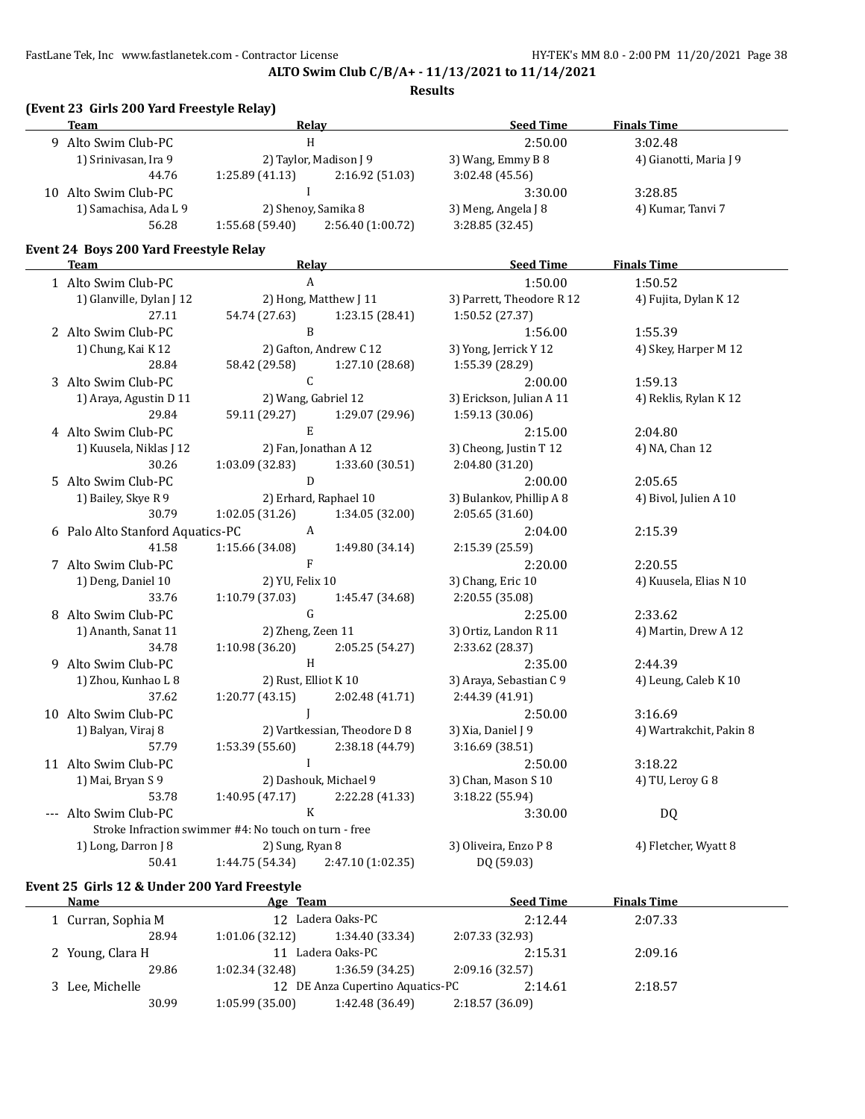## **ALTO Swim Club C/B/A+ - 11/13/2021 to 11/14/2021**

## **Results**

|                     | (Event 23 Girls 200 Yard Freestyle Relay)<br><b>Team</b> | Relay                                                 |                              | <b>Seed Time</b>          | <b>Finals Time</b>      |
|---------------------|----------------------------------------------------------|-------------------------------------------------------|------------------------------|---------------------------|-------------------------|
|                     | 9 Alto Swim Club-PC                                      | H                                                     |                              | 2:50.00                   | 3:02.48                 |
|                     | 1) Srinivasan, Ira 9                                     | 2) Taylor, Madison J 9                                |                              | 3) Wang, Emmy B 8         | 4) Gianotti, Maria J 9  |
|                     | 44.76                                                    | 1:25.89(41.13)                                        | 2:16.92 (51.03)              | 3:02.48 (45.56)           |                         |
|                     | 10 Alto Swim Club-PC                                     | $\mathbf{I}$                                          |                              | 3:30.00                   | 3:28.85                 |
|                     | 1) Samachisa, Ada L 9                                    | 2) Shenoy, Samika 8                                   |                              | 3) Meng, Angela J 8       | 4) Kumar, Tanvi 7       |
|                     | 56.28                                                    | 1:55.68 (59.40)                                       | 2:56.40 (1:00.72)            | 3:28.85 (32.45)           |                         |
|                     | Event 24 Boys 200 Yard Freestyle Relay                   |                                                       |                              |                           |                         |
|                     | <b>Team</b>                                              | <b>Relay</b>                                          |                              | <b>Seed Time</b>          | <b>Finals Time</b>      |
|                     | 1 Alto Swim Club-PC                                      | $\mathbf{A}$                                          |                              | 1:50.00                   | 1:50.52                 |
|                     | 1) Glanville, Dylan J 12                                 | 2) Hong, Matthew J 11                                 |                              | 3) Parrett, Theodore R 12 | 4) Fujita, Dylan K 12   |
|                     | 27.11                                                    | 54.74 (27.63)                                         | 1:23.15 (28.41)              | 1:50.52 (27.37)           |                         |
|                     | 2 Alto Swim Club-PC                                      | B                                                     |                              | 1:56.00                   | 1:55.39                 |
|                     | 1) Chung, Kai K 12                                       | 2) Gafton, Andrew C 12                                |                              | 3) Yong, Jerrick Y 12     | 4) Skey, Harper M 12    |
|                     | 28.84                                                    | 58.42 (29.58)                                         | 1:27.10 (28.68)              | 1:55.39 (28.29)           |                         |
|                     | 3 Alto Swim Club-PC                                      | C                                                     |                              | 2:00.00                   | 1:59.13                 |
|                     | 1) Araya, Agustin D 11                                   | 2) Wang, Gabriel 12                                   |                              | 3) Erickson, Julian A 11  | 4) Reklis, Rylan K 12   |
|                     | 29.84                                                    | 59.11 (29.27)                                         | 1:29.07 (29.96)              | 1:59.13 (30.06)           |                         |
|                     | 4 Alto Swim Club-PC                                      | E                                                     |                              | 2:15.00                   | 2:04.80                 |
|                     | 1) Kuusela, Niklas J 12                                  | 2) Fan, Jonathan A 12                                 |                              | 3) Cheong, Justin T 12    | 4) NA, Chan 12          |
|                     | 30.26                                                    | 1:03.09(32.83)                                        | 1:33.60 (30.51)              | 2:04.80 (31.20)           |                         |
|                     | 5 Alto Swim Club-PC                                      | D                                                     |                              | 2:00.00                   | 2:05.65                 |
|                     | 1) Bailey, Skye R 9                                      | 2) Erhard, Raphael 10                                 |                              | 3) Bulankov, Phillip A 8  | 4) Bivol, Julien A 10   |
|                     | 30.79                                                    | 1:02.05(31.26)                                        | 1:34.05(32.00)               | 2:05.65 (31.60)           |                         |
|                     | 6 Palo Alto Stanford Aquatics-PC                         | A                                                     |                              | 2:04.00                   | 2:15.39                 |
|                     | 41.58                                                    | 1:15.66 (34.08)                                       | 1:49.80 (34.14)              | 2:15.39 (25.59)           |                         |
|                     | 7 Alto Swim Club-PC                                      | $\mathbf{F}$                                          |                              | 2:20.00                   | 2:20.55                 |
|                     | 1) Deng, Daniel 10                                       | 2) YU, Felix 10                                       |                              | 3) Chang, Eric 10         | 4) Kuusela, Elias N 10  |
|                     | 33.76                                                    | 1:10.79(37.03)                                        | 1:45.47 (34.68)              | 2:20.55 (35.08)           |                         |
|                     | 8 Alto Swim Club-PC                                      | G                                                     |                              | 2:25.00                   | 2:33.62                 |
|                     | 1) Ananth, Sanat 11                                      | 2) Zheng, Zeen 11                                     |                              | 3) Ortiz, Landon R 11     | 4) Martin, Drew A 12    |
|                     | 34.78                                                    | 1:10.98 (36.20)                                       | 2:05.25 (54.27)              | 2:33.62 (28.37)           |                         |
|                     | 9 Alto Swim Club-PC                                      | $\, {\rm H}$                                          |                              | 2:35.00                   | 2:44.39                 |
|                     | 1) Zhou, Kunhao L 8                                      | 2) Rust, Elliot K 10                                  |                              | 3) Araya, Sebastian C 9   | 4) Leung, Caleb K 10    |
|                     | 37.62                                                    | 1:20.77(43.15)                                        | 2:02.48 (41.71)              | 2:44.39 (41.91)           |                         |
|                     | 10 Alto Swim Club-PC                                     |                                                       |                              | 2:50.00                   | 3:16.69                 |
|                     | 1) Balyan, Viraj 8                                       |                                                       | 2) Vartkessian, Theodore D 8 | 3) Xia, Daniel J 9        | 4) Wartrakchit, Pakin 8 |
|                     | 57.79                                                    | 1:53.39 (55.60)                                       | 2:38.18 (44.79)              | 3:16.69 (38.51)           |                         |
|                     | 11 Alto Swim Club-PC                                     | $\mathbf{I}$                                          |                              | 2:50.00                   | 3:18.22                 |
|                     | 1) Mai, Bryan S 9                                        | 2) Dashouk, Michael 9                                 |                              | 3) Chan, Mason S 10       | 4) TU, Leroy G 8        |
|                     | 53.78                                                    | 1:40.95 (47.17)                                       | 2:22.28 (41.33)              | 3:18.22 (55.94)           |                         |
| $\qquad \qquad - -$ | Alto Swim Club-PC                                        | K                                                     |                              | 3:30.00                   | DQ                      |
|                     |                                                          | Stroke Infraction swimmer #4: No touch on turn - free |                              |                           |                         |
|                     | 1) Long, Darron J 8                                      | 2) Sung, Ryan 8                                       |                              | 3) Oliveira, Enzo P 8     | 4) Fletcher, Wyatt 8    |
|                     | 50.41                                                    | 1:44.75 (54.34)                                       | 2:47.10 (1:02.35)            | DQ (59.03)                |                         |

# **Event 25 Girls 12 & Under 200 Yard Freestyle**

| Name               | Age Team       |                                  | <b>Seed Time</b> | <b>Finals Time</b> |  |
|--------------------|----------------|----------------------------------|------------------|--------------------|--|
| 1 Curran, Sophia M |                | 12 Ladera Oaks-PC                | 2:12.44          | 2:07.33            |  |
| 28.94              | 1:01.06(32.12) | 1:34.40 (33.34)                  | 2:07.33 (32.93)  |                    |  |
| 2 Young, Clara H   |                | 11 Ladera Oaks-PC                | 2:15.31          | 2:09.16            |  |
| 29.86              | 1:02.34(32.48) | 1:36.59(34.25)                   | 2:09.16(32.57)   |                    |  |
| 3 Lee, Michelle    |                | 12 DE Anza Cupertino Aquatics-PC | 2:14.61          | 2:18.57            |  |
| 30.99              | 1:05.99(35.00) | 1:42.48 (36.49)                  | 2:18.57(36.09)   |                    |  |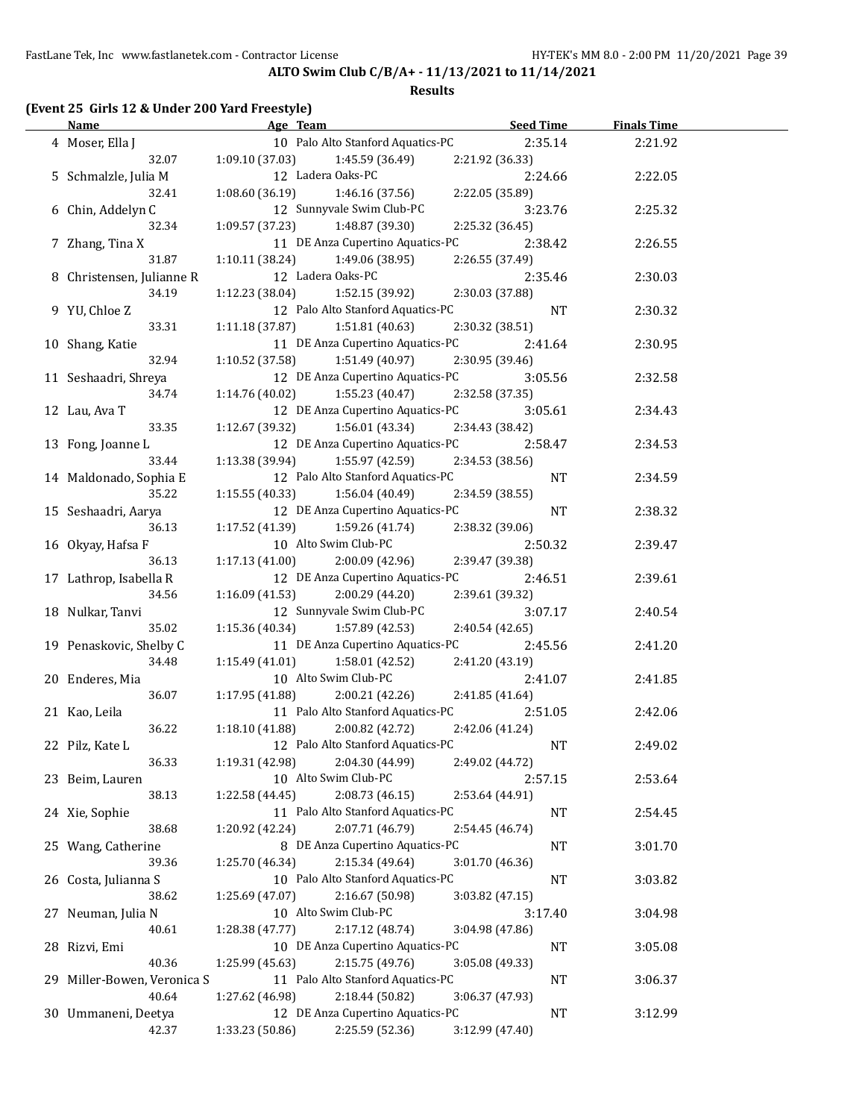#### **Results**

# **(Event 25 Girls 12 & Under 200 Yard Freestyle)**

| <b>Name</b>                 | Age Team<br>the control of the control of the control of the control of | <b>Seed Time</b> | <b>Finals Time</b> |  |
|-----------------------------|-------------------------------------------------------------------------|------------------|--------------------|--|
| 4 Moser, Ella J             | 10 Palo Alto Stanford Aquatics-PC                                       | 2:35.14          | 2:21.92            |  |
| 32.07                       | $1:09.10(37.03)$ $1:45.59(36.49)$                                       | 2:21.92 (36.33)  |                    |  |
| 5 Schmalzle, Julia M        | 12 Ladera Oaks-PC                                                       | 2:24.66          | 2:22.05            |  |
| 32.41                       | 1:08.60 (36.19)<br>1:46.16 (37.56)                                      | 2:22.05 (35.89)  |                    |  |
| 6 Chin, Addelyn C           | 12 Sunnyvale Swim Club-PC                                               | 3:23.76          | 2:25.32            |  |
| 32.34                       | $1:09.57(37.23)$ $1:48.87(39.30)$                                       | 2:25.32 (36.45)  |                    |  |
|                             | 11 DE Anza Cupertino Aquatics-PC                                        | 2:38.42          |                    |  |
| 7 Zhang, Tina X             |                                                                         |                  | 2:26.55            |  |
| 31.87                       | $1:10.11(38.24)$ $1:49.06(38.95)$                                       | 2:26.55 (37.49)  |                    |  |
| 8 Christensen, Julianne R   | 12 Ladera Oaks-PC                                                       | 2:35.46          | 2:30.03            |  |
| 34.19                       | $1:12.23$ (38.04) $1:52.15$ (39.92)                                     | 2:30.03 (37.88)  |                    |  |
| 9 YU, Chloe Z               | 12 Palo Alto Stanford Aquatics-PC                                       | <b>NT</b>        | 2:30.32            |  |
| 33.31                       | $1:11.18(37.87)$ $1:51.81(40.63)$                                       | 2:30.32 (38.51)  |                    |  |
| 10 Shang, Katie             | 11 DE Anza Cupertino Aquatics-PC                                        | 2:41.64          | 2:30.95            |  |
| 32.94                       | $1:10.52$ (37.58) $1:51.49$ (40.97)                                     | 2:30.95 (39.46)  |                    |  |
| 11 Seshaadri, Shreya        | 12 DE Anza Cupertino Aquatics-PC                                        | 3:05.56          | 2:32.58            |  |
| 34.74                       | $1:14.76(40.02)$ $1:55.23(40.47)$                                       | 2:32.58 (37.35)  |                    |  |
| 12 Lau, Ava T               | 12 DE Anza Cupertino Aquatics-PC                                        | 3:05.61          | 2:34.43            |  |
| 33.35                       | $1:12.67(39.32)$ $1:56.01(43.34)$                                       | 2:34.43 (38.42)  |                    |  |
| 13 Fong, Joanne L           | 12 DE Anza Cupertino Aquatics-PC 2:58.47                                |                  | 2:34.53            |  |
| 33.44                       | $1:13.38(39.94)$ $1:55.97(42.59)$                                       | 2:34.53 (38.56)  |                    |  |
| 14 Maldonado, Sophia E      | 12 Palo Alto Stanford Aquatics-PC                                       | NT               |                    |  |
|                             |                                                                         |                  | 2:34.59            |  |
| 35.22                       | $1:15.55(40.33)$ $1:56.04(40.49)$                                       | 2:34.59 (38.55)  |                    |  |
| 15 Seshaadri, Aarya         | 12 DE Anza Cupertino Aquatics-PC                                        | NT               | 2:38.32            |  |
| 36.13                       | $1:17.52(41.39)$ $1:59.26(41.74)$                                       | 2:38.32 (39.06)  |                    |  |
| 16 Okyay, Hafsa F           | 10 Alto Swim Club-PC                                                    | 2:50.32          | 2:39.47            |  |
| 36.13                       | $1:17.13(41.00)$ $2:00.09(42.96)$                                       | 2:39.47 (39.38)  |                    |  |
| 17 Lathrop, Isabella R      | 12 DE Anza Cupertino Aquatics-PC                                        | 2:46.51          | 2:39.61            |  |
| 34.56                       | 1:16.09 (41.53)<br>2:00.29 (44.20)                                      | 2:39.61 (39.32)  |                    |  |
| 18 Nulkar, Tanvi            | 12 Sunnyvale Swim Club-PC                                               | 3:07.17          | 2:40.54            |  |
| 35.02                       | $1:15.36(40.34)$ $1:57.89(42.53)$                                       | 2:40.54 (42.65)  |                    |  |
| 19 Penaskovic, Shelby C     | 11 DE Anza Cupertino Aquatics-PC                                        | 2:45.56          | 2:41.20            |  |
| 34.48                       | 1:15.49 (41.01)<br>1:58.01 (42.52)                                      | 2:41.20 (43.19)  |                    |  |
| 20 Enderes, Mia             | 10 Alto Swim Club-PC                                                    | 2:41.07          | 2:41.85            |  |
| 36.07                       | $1:17.95(41.88)$ $2:00.21(42.26)$                                       | 2:41.85 (41.64)  |                    |  |
|                             | 11 Palo Alto Stanford Aquatics-PC                                       |                  |                    |  |
| 21 Kao, Leila               |                                                                         | 2:51.05          | 2:42.06            |  |
| 36.22                       | 1:18.10(41.88)<br>2:00.82 (42.72)                                       | 2:42.06 (41.24)  |                    |  |
| 22 Pilz, Kate L             | 12 Palo Alto Stanford Aquatics-PC                                       | $\rm{NT}$        | 2:49.02            |  |
| 36.33                       | 1:19.31 (42.98)<br>2:04.30 (44.99)                                      | 2:49.02 (44.72)  |                    |  |
| 23 Beim, Lauren             | 10 Alto Swim Club-PC                                                    | 2:57.15          | 2:53.64            |  |
| 38.13                       | 1:22.58 (44.45)<br>2:08.73 (46.15)                                      | 2:53.64 (44.91)  |                    |  |
| 24 Xie, Sophie              | 11 Palo Alto Stanford Aquatics-PC                                       | <b>NT</b>        | 2:54.45            |  |
| 38.68                       | 1:20.92 (42.24)<br>2:07.71 (46.79)                                      | 2:54.45 (46.74)  |                    |  |
| 25 Wang, Catherine          | 8 DE Anza Cupertino Aquatics-PC                                         | NT               | 3:01.70            |  |
| 39.36                       | 1:25.70 (46.34)<br>2:15.34 (49.64)                                      | 3:01.70 (46.36)  |                    |  |
| 26 Costa, Julianna S        | 10 Palo Alto Stanford Aquatics-PC                                       | <b>NT</b>        | 3:03.82            |  |
| 38.62                       | 2:16.67 (50.98)<br>1:25.69 (47.07)                                      | 3:03.82 (47.15)  |                    |  |
| 27 Neuman, Julia N          | 10 Alto Swim Club-PC                                                    | 3:17.40          | 3:04.98            |  |
| 40.61                       | 1:28.38 (47.77)<br>2:17.12 (48.74)                                      | 3:04.98 (47.86)  |                    |  |
|                             |                                                                         |                  |                    |  |
| 28 Rizvi, Emi               | 10 DE Anza Cupertino Aquatics-PC                                        | <b>NT</b>        | 3:05.08            |  |
| 40.36                       | 1:25.99 (45.63)<br>2:15.75 (49.76)                                      | 3:05.08 (49.33)  |                    |  |
| 29 Miller-Bowen, Veronica S | 11 Palo Alto Stanford Aquatics-PC                                       | NT               | 3:06.37            |  |
| 40.64                       | 2:18.44 (50.82)<br>1:27.62 (46.98)                                      | 3:06.37 (47.93)  |                    |  |
| 30 Ummaneni, Deetya         | 12 DE Anza Cupertino Aquatics-PC                                        | NT               | 3:12.99            |  |
| 42.37                       | 2:25.59 (52.36)<br>1:33.23 (50.86)                                      | 3:12.99 (47.40)  |                    |  |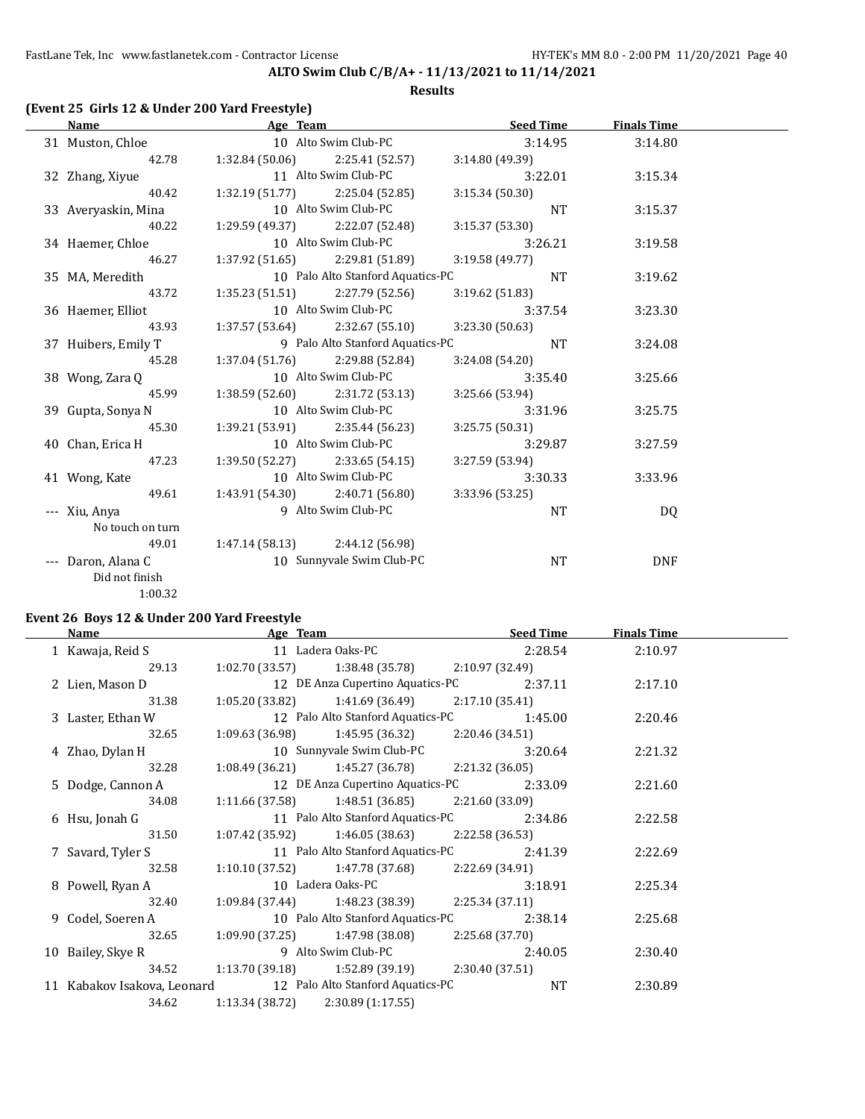### **Results**

## **(Event 25 Girls 12 & Under 200 Yard Freestyle)**

| Name                | Age Team                         |                                   | Seed Time       | <b>Finals Time</b> |  |
|---------------------|----------------------------------|-----------------------------------|-----------------|--------------------|--|
| 31 Muston, Chloe    |                                  | 10 Alto Swim Club-PC              | 3:14.95         | 3:14.80            |  |
| 42.78               |                                  | $1:32.84(50.06)$ $2:25.41(52.57)$ | 3:14.80(49.39)  |                    |  |
| 32 Zhang, Xiyue     | 11 Alto Swim Club-PC             |                                   | 3:22.01         | 3:15.34            |  |
| 40.42               |                                  | $1:32.19(51.77)$ $2:25.04(52.85)$ | 3:15.34(50.30)  |                    |  |
| 33 Averyaskin, Mina |                                  | 10 Alto Swim Club-PC              | NT              | 3:15.37            |  |
| 40.22               |                                  | $1:29.59(49.37)$ $2:22.07(52.48)$ | 3:15.37(53.30)  |                    |  |
| 34 Haemer, Chloe    |                                  | 10 Alto Swim Club-PC              | 3:26.21         | 3:19.58            |  |
| 46.27               |                                  | $1:37.92(51.65)$ $2:29.81(51.89)$ | 3:19.58(49.77)  |                    |  |
| 35 MA, Meredith     |                                  | 10 Palo Alto Stanford Aquatics-PC | NT              | 3:19.62            |  |
| 43.72               |                                  | $1:35.23(51.51)$ $2:27.79(52.56)$ | 3:19.62 (51.83) |                    |  |
| 36 Haemer, Elliot   |                                  | 10 Alto Swim Club-PC              | 3:37.54         | 3:23.30            |  |
| 43.93               |                                  | $1:37.57(53.64)$ $2:32.67(55.10)$ | 3:23.30(50.63)  |                    |  |
| 37 Huibers, Emily T |                                  | 9 Palo Alto Stanford Aquatics-PC  | NT              | 3:24.08            |  |
| 45.28               |                                  | $1:37.04(51.76)$ $2:29.88(52.84)$ | 3:24.08(54.20)  |                    |  |
| 38 Wong, Zara Q     |                                  | 10 Alto Swim Club-PC              | 3:35.40         | 3:25.66            |  |
| 45.99               |                                  | $1:38.59(52.60)$ $2:31.72(53.13)$ | 3:25.66 (53.94) |                    |  |
| 39 Gupta, Sonya N   |                                  | 10 Alto Swim Club-PC              | 3:31.96         | 3:25.75            |  |
| 45.30               |                                  | $1:39.21(53.91)$ $2:35.44(56.23)$ | 3:25.75(50.31)  |                    |  |
| 40 Chan, Erica H    | 10 Alto Swim Club-PC             |                                   | 3:29.87         | 3:27.59            |  |
| 47.23               |                                  | $1:39.50(52.27)$ $2:33.65(54.15)$ | 3:27.59 (53.94) |                    |  |
| 41 Wong, Kate       | 10 Alto Swim Club-PC             |                                   | 3:30.33         | 3:33.96            |  |
| 49.61               |                                  | $1:43.91(54.30)$ $2:40.71(56.80)$ | 3:33.96 (53.25) |                    |  |
| --- Xiu, Anya       |                                  | 9 Alto Swim Club-PC               | <b>NT</b>       | DQ                 |  |
| No touch on turn    |                                  |                                   |                 |                    |  |
| 49.01               | $1:47.14(58.13)$ 2:44.12 (56.98) |                                   |                 |                    |  |
| --- Daron, Alana C  |                                  | 10 Sunnyvale Swim Club-PC         | <b>NT</b>       | <b>DNF</b>         |  |
| Did not finish      |                                  |                                   |                 |                    |  |
| 1:00.32             |                                  |                                   |                 |                    |  |

## **Event 26 Boys 12 & Under 200 Yard Freestyle**

| Name                                                          |                 | Age Team Seed Time                                    |                 |         | <b>Finals Time</b> |  |
|---------------------------------------------------------------|-----------------|-------------------------------------------------------|-----------------|---------|--------------------|--|
| 1 Kawaja, Reid S 11 Ladera Oaks-PC                            |                 |                                                       |                 | 2:28.54 | 2:10.97            |  |
| 29.13                                                         |                 | $1:02.70(33.57)$ $1:38.48(35.78)$                     | 2:10.97 (32.49) |         |                    |  |
| 2 Lien, Mason D                                               |                 | 12 DE Anza Cupertino Aquatics-PC 2:37.11              |                 |         | 2:17.10            |  |
| 31.38                                                         |                 | $1:05.20(33.82)$ $1:41.69(36.49)$ $2:17.10(35.41)$    |                 |         |                    |  |
| 3 Laster, Ethan W                                             |                 | 12 Palo Alto Stanford Aquatics-PC                     |                 | 1:45.00 | 2:20.46            |  |
| 32.65                                                         |                 | $1:09.63(36.98)$ $1:45.95(36.32)$ $2:20.46(34.51)$    |                 |         |                    |  |
| 4 Zhao, Dylan H                                               |                 | 10 Sunnyvale Swim Club-PC                             |                 | 3:20.64 | 2:21.32            |  |
| 32.28                                                         |                 | $1:08.49(36.21)$ $1:45.27(36.78)$ $2:21.32(36.05)$    |                 |         |                    |  |
| 5 Dodge, Cannon A                                             |                 | 12 DE Anza Cupertino Aquatics-PC 2:33.09              |                 |         | 2:21.60            |  |
| 34.08                                                         |                 | $1:11.66(37.58)$ $1:48.51(36.85)$ $2:21.60(33.09)$    |                 |         |                    |  |
| 6 Hsu, Jonah G                                                |                 | 11 Palo Alto Stanford Aquatics-PC                     |                 | 2:34.86 | 2:22.58            |  |
| 31.50                                                         |                 | $1:07.42(35.92)$ $1:46.05(38.63)$ $2:22.58(36.53)$    |                 |         |                    |  |
| 7 Savard, Tyler S                                             |                 | 11 Palo Alto Stanford Aquatics-PC                     |                 | 2:41.39 | 2:22.69            |  |
| 32.58                                                         |                 | $1:10.10$ (37.52) $1:47.78$ (37.68) $2:22.69$ (34.91) |                 |         |                    |  |
| 8 Powell, Ryan A                                              |                 | 10 Ladera Oaks-PC                                     |                 | 3:18.91 | 2:25.34            |  |
| 32.40                                                         |                 | $1:09.84(37.44)$ $1:48.23(38.39)$ $2:25.34(37.11)$    |                 |         |                    |  |
| 9 Codel, Soeren A                                             |                 | 10 Palo Alto Stanford Aquatics-PC                     |                 | 2:38.14 | 2:25.68            |  |
|                                                               |                 | 32.65 1:09.90 (37.25) 1:47.98 (38.08) 2:25.68 (37.70) |                 |         |                    |  |
| 10 Bailey, Skye R                                             |                 | 9 Alto Swim Club-PC                                   |                 | 2:40.05 | 2:30.40            |  |
| 34.52                                                         |                 | $1:13.70(39.18)$ $1:52.89(39.19)$ $2:30.40(37.51)$    |                 |         |                    |  |
| 11 Kabakov Isakova, Leonard 12 Palo Alto Stanford Aquatics-PC |                 |                                                       |                 | NT      | 2:30.89            |  |
| 34.62                                                         | 1:13.34 (38.72) | 2:30.89(1:17.55)                                      |                 |         |                    |  |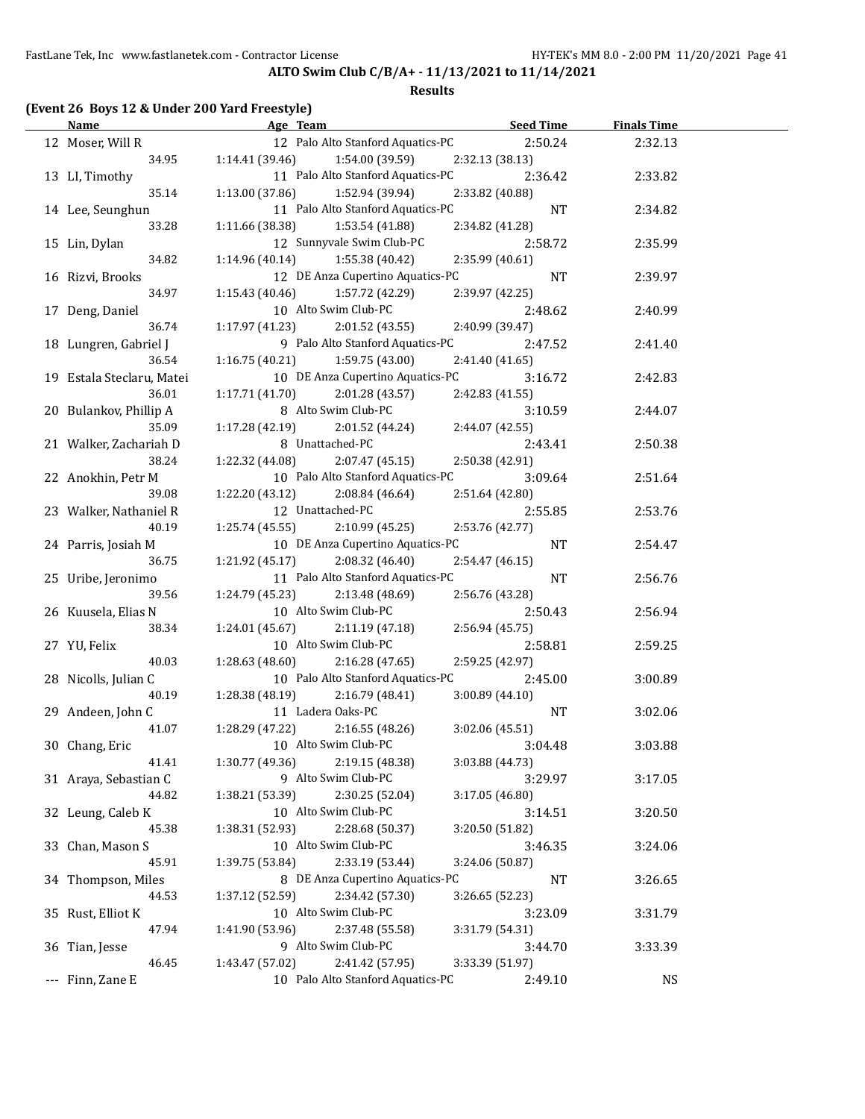### **Results**

# **(Event 26 Boys 12 & Under 200 Yard Freestyle)**

| <u>Name</u>               | Age Team and the state of the state of the state of the state of the state of the state of the state of the state of the state of the state of the state of the state of the state of the state of the state of the state of t | Seed Time       | <b>Finals Time</b> |  |
|---------------------------|--------------------------------------------------------------------------------------------------------------------------------------------------------------------------------------------------------------------------------|-----------------|--------------------|--|
| 12 Moser, Will R          | 12 Palo Alto Stanford Aquatics-PC                                                                                                                                                                                              | 2:50.24         | 2:32.13            |  |
| 34.95                     | 1:14.41(39.46)<br>1:54.00 (39.59)                                                                                                                                                                                              | 2:32.13 (38.13) |                    |  |
| 13 LI, Timothy            | 11 Palo Alto Stanford Aquatics-PC                                                                                                                                                                                              | 2:36.42         | 2:33.82            |  |
| 35.14                     | 1:13.00 (37.86)<br>1:52.94 (39.94)                                                                                                                                                                                             | 2:33.82 (40.88) |                    |  |
| 14 Lee, Seunghun          | 11 Palo Alto Stanford Aquatics-PC                                                                                                                                                                                              | NT              | 2:34.82            |  |
| 33.28                     | 1:11.66 (38.38)<br>1:53.54 (41.88)                                                                                                                                                                                             | 2:34.82 (41.28) |                    |  |
| 15 Lin, Dylan             | 12 Sunnyvale Swim Club-PC                                                                                                                                                                                                      | 2:58.72         | 2:35.99            |  |
| 34.82                     | 1:14.96 (40.14)<br>1:55.38 (40.42)                                                                                                                                                                                             | 2:35.99 (40.61) |                    |  |
| 16 Rizvi, Brooks          | 12 DE Anza Cupertino Aquatics-PC                                                                                                                                                                                               | NT              | 2:39.97            |  |
| 34.97                     | 1:57.72 (42.29)<br>1:15.43(40.46)                                                                                                                                                                                              | 2:39.97 (42.25) |                    |  |
| 17 Deng, Daniel           | 10 Alto Swim Club-PC                                                                                                                                                                                                           | 2:48.62         | 2:40.99            |  |
| 36.74                     | $1:17.97(41.23)$ $2:01.52(43.55)$                                                                                                                                                                                              | 2:40.99 (39.47) |                    |  |
| 18 Lungren, Gabriel J     | 9 Palo Alto Stanford Aquatics-PC                                                                                                                                                                                               | 2:47.52         | 2:41.40            |  |
| 36.54                     | $1:16.75(40.21)$ $1:59.75(43.00)$                                                                                                                                                                                              | 2:41.40 (41.65) |                    |  |
| 19 Estala Steclaru, Matei | 10 DE Anza Cupertino Aquatics-PC                                                                                                                                                                                               | 3:16.72         | 2:42.83            |  |
| 36.01                     | $1:17.71(41.70)$ $2:01.28(43.57)$                                                                                                                                                                                              | 2:42.83 (41.55) |                    |  |
| 20 Bulankov, Phillip A    | 8 Alto Swim Club-PC                                                                                                                                                                                                            | 3:10.59         | 2:44.07            |  |
| 35.09                     | $1:17.28(42.19)$ $2:01.52(44.24)$                                                                                                                                                                                              | 2:44.07 (42.55) |                    |  |
| 21 Walker, Zachariah D    | 8 Unattached-PC                                                                                                                                                                                                                | 2:43.41         | 2:50.38            |  |
| 38.24                     | $1:22.32$ (44.08) $2:07.47$ (45.15)                                                                                                                                                                                            | 2:50.38 (42.91) |                    |  |
| 22 Anokhin, Petr M        | 10 Palo Alto Stanford Aquatics-PC                                                                                                                                                                                              | 3:09.64         | 2:51.64            |  |
| 39.08                     | 1:22.20 (43.12)<br>2:08.84 (46.64)                                                                                                                                                                                             | 2:51.64 (42.80) |                    |  |
| 23 Walker, Nathaniel R    | 12 Unattached-PC                                                                                                                                                                                                               | 2:55.85         | 2:53.76            |  |
| 40.19                     | $1:25.74(45.55)$ $2:10.99(45.25)$                                                                                                                                                                                              | 2:53.76 (42.77) |                    |  |
| 24 Parris, Josiah M       | 10 DE Anza Cupertino Aquatics-PC                                                                                                                                                                                               | NT              | 2:54.47            |  |
| 36.75                     | $1:21.92$ $(45.17)$ $2:08.32$ $(46.40)$                                                                                                                                                                                        | 2:54.47 (46.15) |                    |  |
| 25 Uribe, Jeronimo        | 11 Palo Alto Stanford Aquatics-PC                                                                                                                                                                                              | NT              | 2:56.76            |  |
| 39.56                     | $1:24.79(45.23)$ $2:13.48(48.69)$                                                                                                                                                                                              | 2:56.76 (43.28) |                    |  |
| 26 Kuusela, Elias N       | 10 Alto Swim Club-PC                                                                                                                                                                                                           | 2:50.43         | 2:56.94            |  |
| 38.34                     | $1:24.01(45.67)$ $2:11.19(47.18)$                                                                                                                                                                                              | 2:56.94 (45.75) |                    |  |
| 27 YU, Felix              | 10 Alto Swim Club-PC                                                                                                                                                                                                           | 2:58.81         | 2:59.25            |  |
| 40.03                     | $1:28.63(48.60)$ $2:16.28(47.65)$                                                                                                                                                                                              | 2:59.25 (42.97) |                    |  |
| 28 Nicolls, Julian C      | 10 Palo Alto Stanford Aquatics-PC                                                                                                                                                                                              | 2:45.00         | 3:00.89            |  |
| 40.19                     | 1:28.38 (48.19)<br>2:16.79 (48.41)                                                                                                                                                                                             | 3:00.89 (44.10) |                    |  |
| 29 Andeen, John C         | 11 Ladera Oaks-PC                                                                                                                                                                                                              | NT              | 3:02.06            |  |
| 41.07                     | 1:28.29 (47.22)<br>2:16.55(48.26)                                                                                                                                                                                              | 3:02.06 (45.51) |                    |  |
| 30 Chang, Eric            | 10 Alto Swim Club-PC                                                                                                                                                                                                           | 3:04.48         | 3:03.88            |  |
| 41.41                     | 1:30.77 (49.36)<br>2:19.15 (48.38)                                                                                                                                                                                             | 3:03.88 (44.73) |                    |  |
| 31 Araya, Sebastian C     | 9 Alto Swim Club-PC                                                                                                                                                                                                            | 3:29.97         | 3:17.05            |  |
| 44.82                     | 1:38.21 (53.39)<br>2:30.25 (52.04)                                                                                                                                                                                             | 3:17.05 (46.80) |                    |  |
| 32 Leung, Caleb K         | 10 Alto Swim Club-PC                                                                                                                                                                                                           | 3:14.51         | 3:20.50            |  |
| 45.38                     | 1:38.31 (52.93)<br>2:28.68 (50.37)                                                                                                                                                                                             | 3:20.50 (51.82) |                    |  |
| 33 Chan, Mason S          | 10 Alto Swim Club-PC                                                                                                                                                                                                           | 3:46.35         | 3:24.06            |  |
| 45.91                     | 1:39.75 (53.84)<br>2:33.19 (53.44)                                                                                                                                                                                             | 3:24.06 (50.87) |                    |  |
| 34 Thompson, Miles        | 8 DE Anza Cupertino Aquatics-PC                                                                                                                                                                                                | <b>NT</b>       | 3:26.65            |  |
| 44.53                     | 2:34.42 (57.30)<br>1:37.12 (52.59)                                                                                                                                                                                             | 3:26.65 (52.23) |                    |  |
| 35 Rust, Elliot K         | 10 Alto Swim Club-PC                                                                                                                                                                                                           | 3:23.09         | 3:31.79            |  |
| 47.94                     | 1:41.90 (53.96)<br>2:37.48 (55.58)                                                                                                                                                                                             | 3:31.79 (54.31) |                    |  |
| 36 Tian, Jesse            | 9 Alto Swim Club-PC                                                                                                                                                                                                            | 3:44.70         | 3:33.39            |  |
| 46.45                     | 1:43.47 (57.02)<br>2:41.42 (57.95)                                                                                                                                                                                             | 3:33.39 (51.97) |                    |  |
| --- Finn, Zane E          | 10 Palo Alto Stanford Aquatics-PC                                                                                                                                                                                              | 2:49.10         | <b>NS</b>          |  |
|                           |                                                                                                                                                                                                                                |                 |                    |  |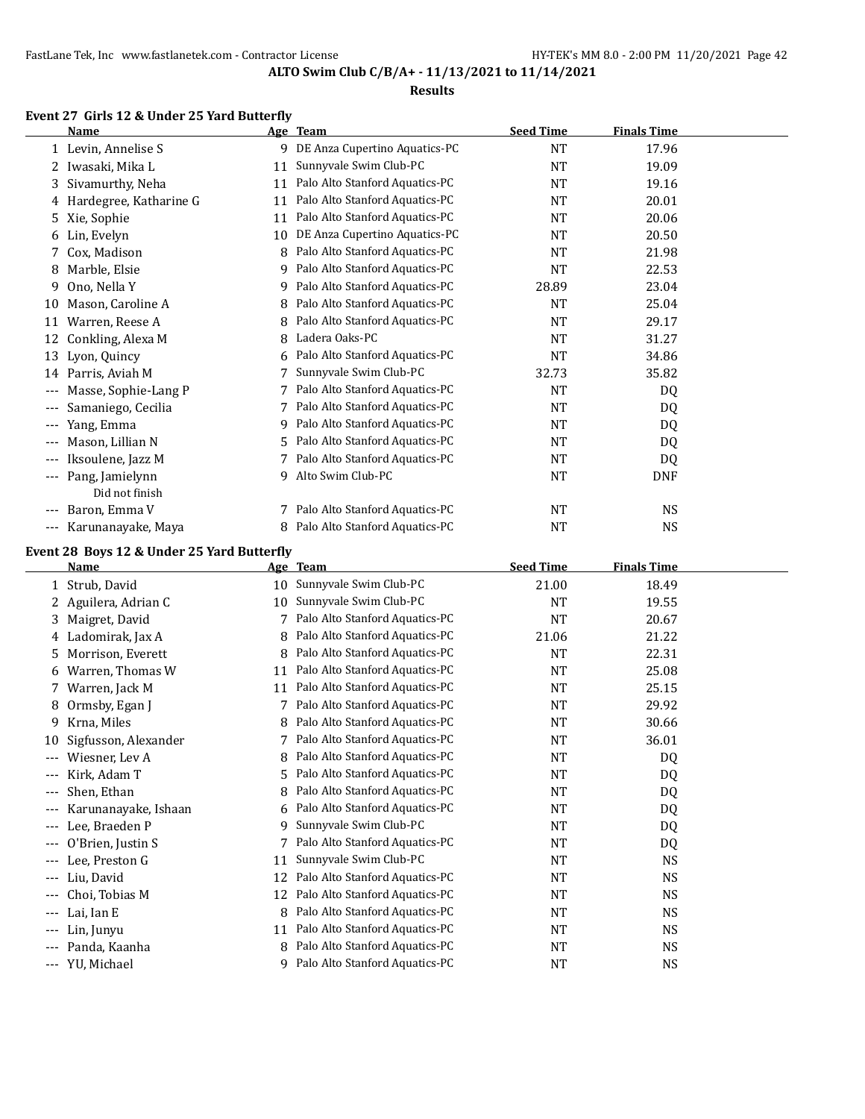#### **Results**

# **Event 27 Girls 12 & Under 25 Yard Butterfly**

 $\overline{\phantom{a}}$ 

|       | <b>Name</b>              |    | Age Team                       | <b>Seed Time</b> | <b>Finals Time</b> |  |
|-------|--------------------------|----|--------------------------------|------------------|--------------------|--|
|       | 1 Levin, Annelise S      | 9  | DE Anza Cupertino Aquatics-PC  | <b>NT</b>        | 17.96              |  |
|       | 2 Iwasaki, Mika L        | 11 | Sunnyvale Swim Club-PC         | <b>NT</b>        | 19.09              |  |
| 3.    | Sivamurthy, Neha         | 11 | Palo Alto Stanford Aquatics-PC | <b>NT</b>        | 19.16              |  |
|       | 4 Hardegree, Katharine G | 11 | Palo Alto Stanford Aquatics-PC | <b>NT</b>        | 20.01              |  |
|       | 5 Xie, Sophie            | 11 | Palo Alto Stanford Aquatics-PC | <b>NT</b>        | 20.06              |  |
| 6     | Lin, Evelyn              | 10 | DE Anza Cupertino Aquatics-PC  | <b>NT</b>        | 20.50              |  |
|       | Cox, Madison             | 8  | Palo Alto Stanford Aquatics-PC | <b>NT</b>        | 21.98              |  |
| 8     | Marble, Elsie            | 9  | Palo Alto Stanford Aquatics-PC | NT               | 22.53              |  |
| 9     | Ono, Nella Y             | 9  | Palo Alto Stanford Aquatics-PC | 28.89            | 23.04              |  |
| 10    | Mason, Caroline A        | 8  | Palo Alto Stanford Aquatics-PC | <b>NT</b>        | 25.04              |  |
| 11    | Warren, Reese A          | 8  | Palo Alto Stanford Aquatics-PC | <b>NT</b>        | 29.17              |  |
| 12    | Conkling, Alexa M        | 8  | Ladera Oaks-PC                 | <b>NT</b>        | 31.27              |  |
| 13    | Lyon, Quincy             | 6  | Palo Alto Stanford Aquatics-PC | NT               | 34.86              |  |
| 14    | Parris, Aviah M          |    | Sunnyvale Swim Club-PC         | 32.73            | 35.82              |  |
| ---   | Masse, Sophie-Lang P     |    | Palo Alto Stanford Aquatics-PC | <b>NT</b>        | DQ                 |  |
|       | Samaniego, Cecilia       | 7  | Palo Alto Stanford Aquatics-PC | <b>NT</b>        | DQ                 |  |
|       | Yang, Emma               | 9  | Palo Alto Stanford Aquatics-PC | <b>NT</b>        | DQ                 |  |
|       | Mason, Lillian N         | 5. | Palo Alto Stanford Aquatics-PC | <b>NT</b>        | DQ                 |  |
|       | Iksoulene, Jazz M        | 7  | Palo Alto Stanford Aquatics-PC | <b>NT</b>        | DQ                 |  |
| $---$ | Pang, Jamielynn          | 9  | Alto Swim Club-PC              | <b>NT</b>        | <b>DNF</b>         |  |
|       | Did not finish           |    |                                |                  |                    |  |
|       | Baron, Emma V            |    | Palo Alto Stanford Aquatics-PC | <b>NT</b>        | NS.                |  |
| $---$ | Karunanayake, Maya       | 8  | Palo Alto Stanford Aquatics-PC | <b>NT</b>        | <b>NS</b>          |  |

# **Event 28 Boys 12 & Under 25 Yard Butterfly**

|       | Name                 | Age | Te <u>am</u>                   | <b>Seed Time</b> | <b>Finals Time</b> |
|-------|----------------------|-----|--------------------------------|------------------|--------------------|
|       | Strub, David         | 10  | Sunnyvale Swim Club-PC         | 21.00            | 18.49              |
| 2     | Aguilera, Adrian C   | 10  | Sunnyvale Swim Club-PC         | <b>NT</b>        | 19.55              |
| 3     | Maigret, David       |     | Palo Alto Stanford Aquatics-PC | <b>NT</b>        | 20.67              |
| 4     | Ladomirak, Jax A     | 8   | Palo Alto Stanford Aquatics-PC | 21.06            | 21.22              |
| 5.    | Morrison, Everett    | 8   | Palo Alto Stanford Aquatics-PC | <b>NT</b>        | 22.31              |
| 6     | Warren, Thomas W     | 11  | Palo Alto Stanford Aquatics-PC | <b>NT</b>        | 25.08              |
| 7     | Warren, Jack M       | 11  | Palo Alto Stanford Aquatics-PC | <b>NT</b>        | 25.15              |
| 8     | Ormsby, Egan J       |     | Palo Alto Stanford Aquatics-PC | <b>NT</b>        | 29.92              |
| 9     | Krna, Miles          | 8.  | Palo Alto Stanford Aquatics-PC | <b>NT</b>        | 30.66              |
| 10    | Sigfusson, Alexander |     | Palo Alto Stanford Aquatics-PC | NT               | 36.01              |
| ---   | Wiesner, Lev A       | 8   | Palo Alto Stanford Aquatics-PC | <b>NT</b>        | DQ                 |
| $---$ | Kirk, Adam T         | 5.  | Palo Alto Stanford Aquatics-PC | NT               | DQ                 |
| $---$ | Shen, Ethan          | 8   | Palo Alto Stanford Aquatics-PC | <b>NT</b>        | DQ                 |
| $---$ | Karunanayake, Ishaan | 6   | Palo Alto Stanford Aquatics-PC | NT               | DQ                 |
| $---$ | Lee, Braeden P       | 9   | Sunnyvale Swim Club-PC         | <b>NT</b>        | DQ                 |
| ---   | O'Brien, Justin S    | 7   | Palo Alto Stanford Aquatics-PC | NT               | DQ                 |
|       | Lee, Preston G       | 11  | Sunnyvale Swim Club-PC         | <b>NT</b>        | <b>NS</b>          |
| $---$ | Liu, David           | 12  | Palo Alto Stanford Aquatics-PC | <b>NT</b>        | <b>NS</b>          |
| $---$ | Choi, Tobias M       | 12  | Palo Alto Stanford Aquatics-PC | <b>NT</b>        | <b>NS</b>          |
| $---$ | Lai. Ian E           | 8   | Palo Alto Stanford Aquatics-PC | NT               | <b>NS</b>          |
|       | Lin, Junyu           | 11  | Palo Alto Stanford Aquatics-PC | NT               | <b>NS</b>          |
| $---$ | Panda, Kaanha        | 8   | Palo Alto Stanford Aquatics-PC | <b>NT</b>        | <b>NS</b>          |
| $---$ | YU, Michael          | 9   | Palo Alto Stanford Aquatics-PC | NT               | <b>NS</b>          |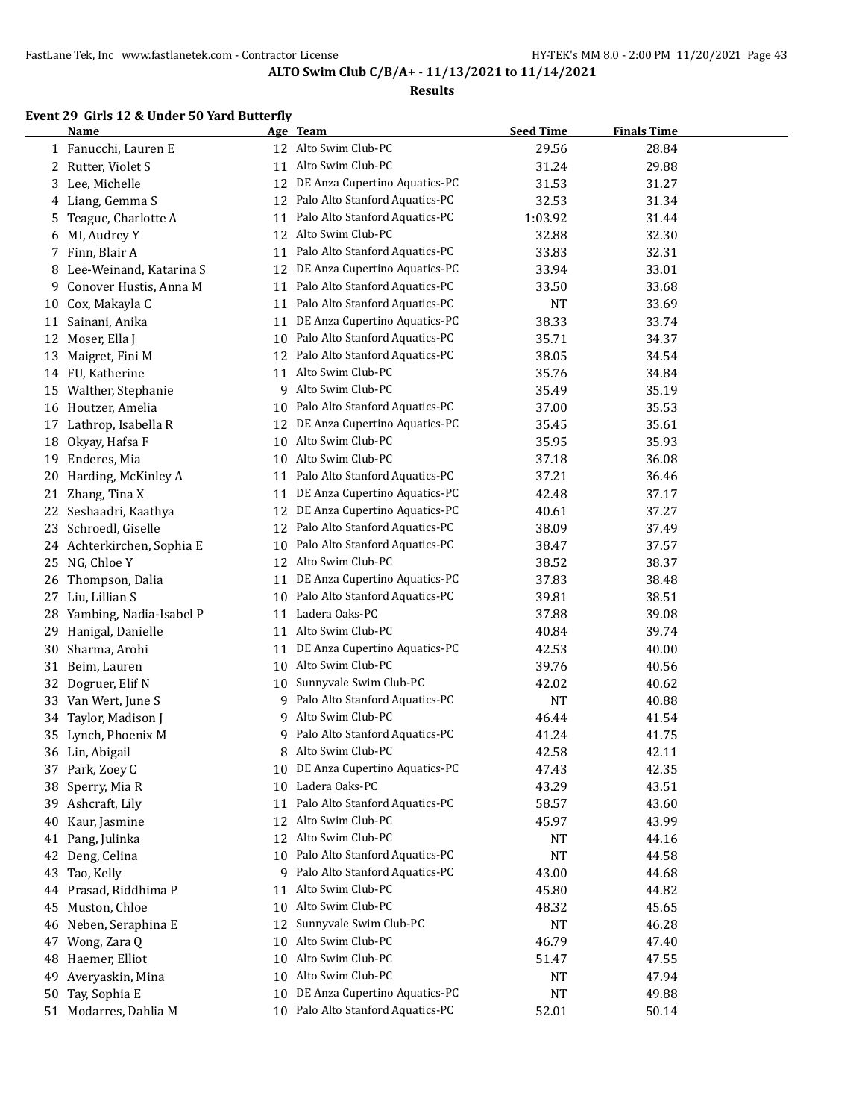#### **Results**

# **Event 29 Girls 12 & Under 50 Yard Butterfly**

|    | <b>Name</b>                |    | Age Team                          | <b>Seed Time</b> | <b>Finals Time</b> |  |
|----|----------------------------|----|-----------------------------------|------------------|--------------------|--|
|    | 1 Fanucchi, Lauren E       |    | 12 Alto Swim Club-PC              | 29.56            | 28.84              |  |
|    | 2 Rutter, Violet S         | 11 | Alto Swim Club-PC                 | 31.24            | 29.88              |  |
| 3  | Lee, Michelle              |    | 12 DE Anza Cupertino Aquatics-PC  | 31.53            | 31.27              |  |
| 4  | Liang, Gemma S             | 12 | Palo Alto Stanford Aquatics-PC    | 32.53            | 31.34              |  |
| 5. | Teague, Charlotte A        | 11 | Palo Alto Stanford Aquatics-PC    | 1:03.92          | 31.44              |  |
| 6  | MI, Audrey Y               | 12 | Alto Swim Club-PC                 | 32.88            | 32.30              |  |
|    | 7 Finn, Blair A            | 11 | Palo Alto Stanford Aquatics-PC    | 33.83            | 32.31              |  |
| 8  | Lee-Weinand, Katarina S    | 12 | DE Anza Cupertino Aquatics-PC     | 33.94            | 33.01              |  |
| 9  | Conover Hustis, Anna M     | 11 | Palo Alto Stanford Aquatics-PC    | 33.50            | 33.68              |  |
| 10 | Cox, Makayla C             | 11 | Palo Alto Stanford Aquatics-PC    | <b>NT</b>        | 33.69              |  |
| 11 | Sainani, Anika             | 11 | DE Anza Cupertino Aquatics-PC     | 38.33            | 33.74              |  |
| 12 | Moser, Ella J              | 10 | Palo Alto Stanford Aquatics-PC    | 35.71            | 34.37              |  |
| 13 | Maigret, Fini M            | 12 | Palo Alto Stanford Aquatics-PC    | 38.05            | 34.54              |  |
|    | 14 FU, Katherine           | 11 | Alto Swim Club-PC                 | 35.76            | 34.84              |  |
|    | 15 Walther, Stephanie      | 9  | Alto Swim Club-PC                 | 35.49            | 35.19              |  |
|    | 16 Houtzer, Amelia         | 10 | Palo Alto Stanford Aquatics-PC    | 37.00            | 35.53              |  |
| 17 | Lathrop, Isabella R        | 12 | DE Anza Cupertino Aquatics-PC     | 35.45            | 35.61              |  |
| 18 | Okyay, Hafsa F             | 10 | Alto Swim Club-PC                 | 35.95            | 35.93              |  |
| 19 | Enderes, Mia               | 10 | Alto Swim Club-PC                 | 37.18            | 36.08              |  |
| 20 | Harding, McKinley A        | 11 | Palo Alto Stanford Aquatics-PC    | 37.21            | 36.46              |  |
| 21 | Zhang, Tina X              | 11 | DE Anza Cupertino Aquatics-PC     | 42.48            | 37.17              |  |
| 22 | Seshaadri, Kaathya         | 12 | DE Anza Cupertino Aquatics-PC     | 40.61            | 37.27              |  |
| 23 | Schroedl, Giselle          | 12 | Palo Alto Stanford Aquatics-PC    | 38.09            | 37.49              |  |
|    | 24 Achterkirchen, Sophia E | 10 | Palo Alto Stanford Aquatics-PC    | 38.47            | 37.57              |  |
|    | 25 NG, Chloe Y             |    | 12 Alto Swim Club-PC              | 38.52            | 38.37              |  |
| 26 | Thompson, Dalia            | 11 | DE Anza Cupertino Aquatics-PC     | 37.83            | 38.48              |  |
| 27 | Liu, Lillian S             | 10 | Palo Alto Stanford Aquatics-PC    | 39.81            | 38.51              |  |
| 28 | Yambing, Nadia-Isabel P    | 11 | Ladera Oaks-PC                    | 37.88            | 39.08              |  |
| 29 | Hanigal, Danielle          | 11 | Alto Swim Club-PC                 | 40.84            | 39.74              |  |
| 30 | Sharma, Arohi              | 11 | DE Anza Cupertino Aquatics-PC     | 42.53            | 40.00              |  |
| 31 | Beim, Lauren               | 10 | Alto Swim Club-PC                 | 39.76            | 40.56              |  |
| 32 | Dogruer, Elif N            | 10 | Sunnyvale Swim Club-PC            | 42.02            | 40.62              |  |
| 33 | Van Wert, June S           | 9. | Palo Alto Stanford Aquatics-PC    | <b>NT</b>        | 40.88              |  |
| 34 | Taylor, Madison J          | 9  | Alto Swim Club-PC                 | 46.44            | 41.54              |  |
|    | 35 Lynch, Phoenix M        | 9  | Palo Alto Stanford Aquatics-PC    | 41.24            | 41.75              |  |
|    | 36 Lin, Abigail            | 8  | Alto Swim Club-PC                 | 42.58            | 42.11              |  |
|    | 37 Park, Zoey C            |    | 10 DE Anza Cupertino Aquatics-PC  | 47.43            | 42.35              |  |
|    | 38 Sperry, Mia R           | 10 | Ladera Oaks-PC                    | 43.29            | 43.51              |  |
|    | 39 Ashcraft, Lily          | 11 | Palo Alto Stanford Aquatics-PC    | 58.57            | 43.60              |  |
| 40 | Kaur, Jasmine              | 12 | Alto Swim Club-PC                 | 45.97            | 43.99              |  |
|    | 41 Pang, Julinka           | 12 | Alto Swim Club-PC                 | <b>NT</b>        | 44.16              |  |
| 42 | Deng, Celina               | 10 | Palo Alto Stanford Aquatics-PC    | <b>NT</b>        | 44.58              |  |
| 43 | Tao, Kelly                 | 9  | Palo Alto Stanford Aquatics-PC    | 43.00            | 44.68              |  |
|    | 44 Prasad, Riddhima P      | 11 | Alto Swim Club-PC                 | 45.80            | 44.82              |  |
| 45 | Muston, Chloe              | 10 | Alto Swim Club-PC                 | 48.32            | 45.65              |  |
| 46 | Neben, Seraphina E         | 12 | Sunnyvale Swim Club-PC            | <b>NT</b>        | 46.28              |  |
| 47 | Wong, Zara Q               | 10 | Alto Swim Club-PC                 | 46.79            | 47.40              |  |
| 48 | Haemer, Elliot             | 10 | Alto Swim Club-PC                 | 51.47            | 47.55              |  |
| 49 | Averyaskin, Mina           | 10 | Alto Swim Club-PC                 | NT               | 47.94              |  |
| 50 | Tay, Sophia E              | 10 | DE Anza Cupertino Aquatics-PC     | <b>NT</b>        | 49.88              |  |
|    | 51 Modarres, Dahlia M      |    | 10 Palo Alto Stanford Aquatics-PC | 52.01            | 50.14              |  |
|    |                            |    |                                   |                  |                    |  |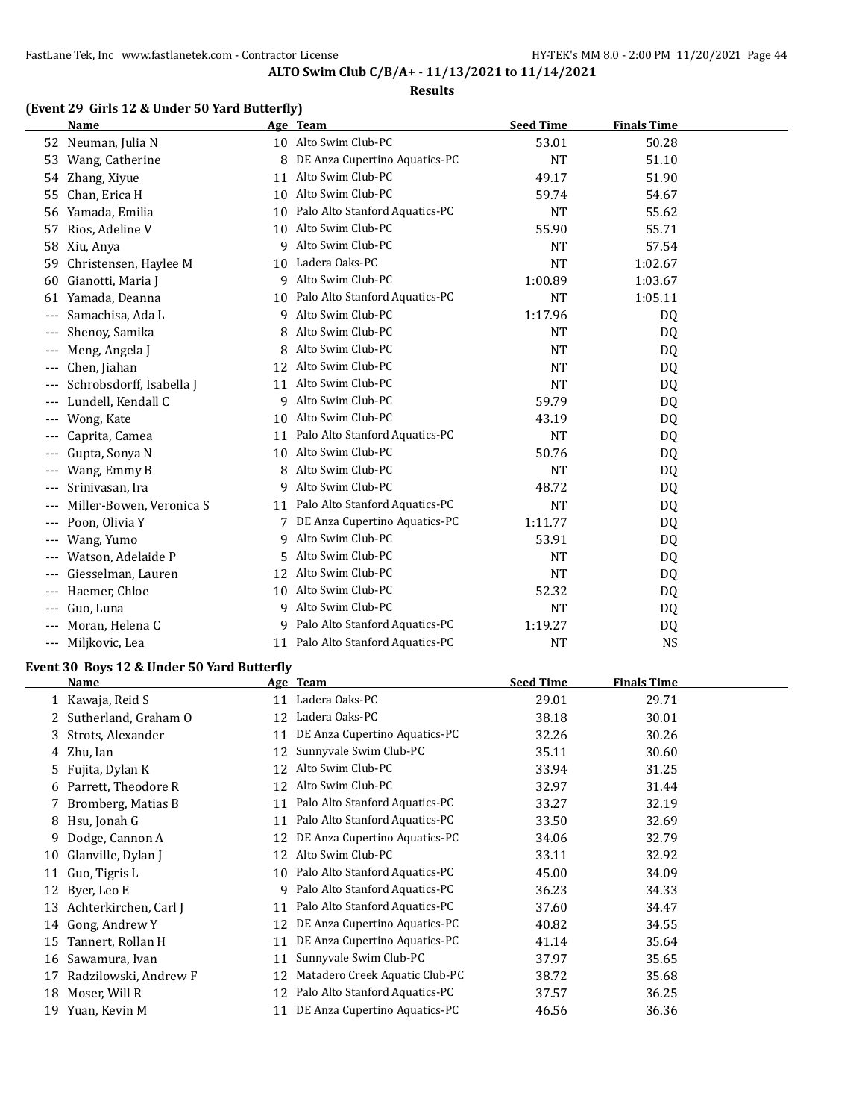## **Results**

## **(Event 29 Girls 12 & Under 50 Yard Butterfly)**

|                     | <b>Name</b>              |    | Age Team                          | <b>Seed Time</b> | <b>Finals Time</b> |  |
|---------------------|--------------------------|----|-----------------------------------|------------------|--------------------|--|
| 52                  | Neuman, Julia N          |    | 10 Alto Swim Club-PC              | 53.01            | 50.28              |  |
| 53                  | Wang, Catherine          | 8  | DE Anza Cupertino Aquatics-PC     | <b>NT</b>        | 51.10              |  |
| 54                  | Zhang, Xiyue             | 11 | Alto Swim Club-PC                 | 49.17            | 51.90              |  |
| 55                  | Chan, Erica H            | 10 | Alto Swim Club-PC                 | 59.74            | 54.67              |  |
| 56                  | Yamada, Emilia           | 10 | Palo Alto Stanford Aquatics-PC    | <b>NT</b>        | 55.62              |  |
| 57                  | Rios, Adeline V          | 10 | Alto Swim Club-PC                 | 55.90            | 55.71              |  |
| 58                  | Xiu, Anya                | 9  | Alto Swim Club-PC                 | <b>NT</b>        | 57.54              |  |
| 59                  | Christensen, Haylee M    |    | 10 Ladera Oaks-PC                 | NT               | 1:02.67            |  |
| 60                  | Gianotti, Maria J        | 9  | Alto Swim Club-PC                 | 1:00.89          | 1:03.67            |  |
| 61                  | Yamada, Deanna           |    | 10 Palo Alto Stanford Aquatics-PC | <b>NT</b>        | 1:05.11            |  |
|                     | Samachisa, Ada L         | 9  | Alto Swim Club-PC                 | 1:17.96          | DQ                 |  |
| $--$                | Shenoy, Samika           | 8  | Alto Swim Club-PC                 | NT               | DQ                 |  |
| $- - -$             | Meng, Angela J           |    | Alto Swim Club-PC                 | <b>NT</b>        | DQ                 |  |
| $---$               | Chen, Jiahan             | 12 | Alto Swim Club-PC                 | NT               | DQ                 |  |
|                     | Schrobsdorff, Isabella J | 11 | Alto Swim Club-PC                 | <b>NT</b>        | DQ                 |  |
|                     | Lundell, Kendall C       | 9  | Alto Swim Club-PC                 | 59.79            | DQ                 |  |
| $- - -$             | Wong, Kate               | 10 | Alto Swim Club-PC                 | 43.19            | DQ                 |  |
| $- - -$             | Caprita, Camea           | 11 | Palo Alto Stanford Aquatics-PC    | <b>NT</b>        | DQ                 |  |
|                     | Gupta, Sonya N           | 10 | Alto Swim Club-PC                 | 50.76            | DQ                 |  |
|                     | Wang, Emmy B             | 8  | Alto Swim Club-PC                 | <b>NT</b>        | DQ                 |  |
| $--$                | Srinivasan, Ira          | 9  | Alto Swim Club-PC                 | 48.72            | DQ                 |  |
| $--$                | Miller-Bowen, Veronica S | 11 | Palo Alto Stanford Aquatics-PC    | <b>NT</b>        | DQ                 |  |
| ---                 | Poon, Olivia Y           | 7  | DE Anza Cupertino Aquatics-PC     | 1:11.77          | DQ                 |  |
| $- - -$             | Wang, Yumo               | 9  | Alto Swim Club-PC                 | 53.91            | DQ                 |  |
| $---$               | Watson, Adelaide P       | 5. | Alto Swim Club-PC                 | <b>NT</b>        | DQ                 |  |
|                     | Giesselman, Lauren       | 12 | Alto Swim Club-PC                 | <b>NT</b>        | DQ                 |  |
| $---$               | Haemer, Chloe            | 10 | Alto Swim Club-PC                 | 52.32            | DQ                 |  |
| $- - -$             | Guo, Luna                | 9  | Alto Swim Club-PC                 | <b>NT</b>        | DQ                 |  |
|                     | Moran, Helena C          | 9  | Palo Alto Stanford Aquatics-PC    | 1:19.27          | DQ                 |  |
| $\qquad \qquad - -$ | Miljkovic, Lea           | 11 | Palo Alto Stanford Aquatics-PC    | <b>NT</b>        | <b>NS</b>          |  |

## **Event 30 Boys 12 & Under 50 Yard Butterfly**

|    | Name                  |    | Age Team                       | <b>Seed Time</b> | <b>Finals Time</b> |
|----|-----------------------|----|--------------------------------|------------------|--------------------|
|    | 1 Kawaja, Reid S      | 11 | Ladera Oaks-PC                 | 29.01            | 29.71              |
|    | Sutherland, Graham O  | 12 | Ladera Oaks-PC                 | 38.18            | 30.01              |
|    | 3 Strots, Alexander   | 11 | DE Anza Cupertino Aquatics-PC  | 32.26            | 30.26              |
|    | 4 Zhu, Ian            | 12 | Sunnyvale Swim Club-PC         | 35.11            | 30.60              |
| 5. | Fujita, Dylan K       | 12 | Alto Swim Club-PC              | 33.94            | 31.25              |
|    | 6 Parrett, Theodore R | 12 | Alto Swim Club-PC              | 32.97            | 31.44              |
|    | 7 Bromberg, Matias B  | 11 | Palo Alto Stanford Aquatics-PC | 33.27            | 32.19              |
|    | 8 Hsu, Jonah G        | 11 | Palo Alto Stanford Aquatics-PC | 33.50            | 32.69              |
| 9  | Dodge, Cannon A       | 12 | DE Anza Cupertino Aquatics-PC  | 34.06            | 32.79              |
| 10 | Glanville, Dylan J    | 12 | Alto Swim Club-PC              | 33.11            | 32.92              |
| 11 | Guo, Tigris L         | 10 | Palo Alto Stanford Aquatics-PC | 45.00            | 34.09              |
| 12 | Byer, Leo E           | 9  | Palo Alto Stanford Aquatics-PC | 36.23            | 34.33              |
| 13 | Achterkirchen, Carl J | 11 | Palo Alto Stanford Aquatics-PC | 37.60            | 34.47              |
| 14 | Gong, Andrew Y        | 12 | DE Anza Cupertino Aquatics-PC  | 40.82            | 34.55              |
| 15 | Tannert, Rollan H     | 11 | DE Anza Cupertino Aquatics-PC  | 41.14            | 35.64              |
| 16 | Sawamura, Iyan        | 11 | Sunnyvale Swim Club-PC         | 37.97            | 35.65              |
| 17 | Radzilowski, Andrew F | 12 | Matadero Creek Aquatic Club-PC | 38.72            | 35.68              |
| 18 | Moser, Will R         | 12 | Palo Alto Stanford Aquatics-PC | 37.57            | 36.25              |
| 19 | Yuan, Kevin M         | 11 | DE Anza Cupertino Aquatics-PC  | 46.56            | 36.36              |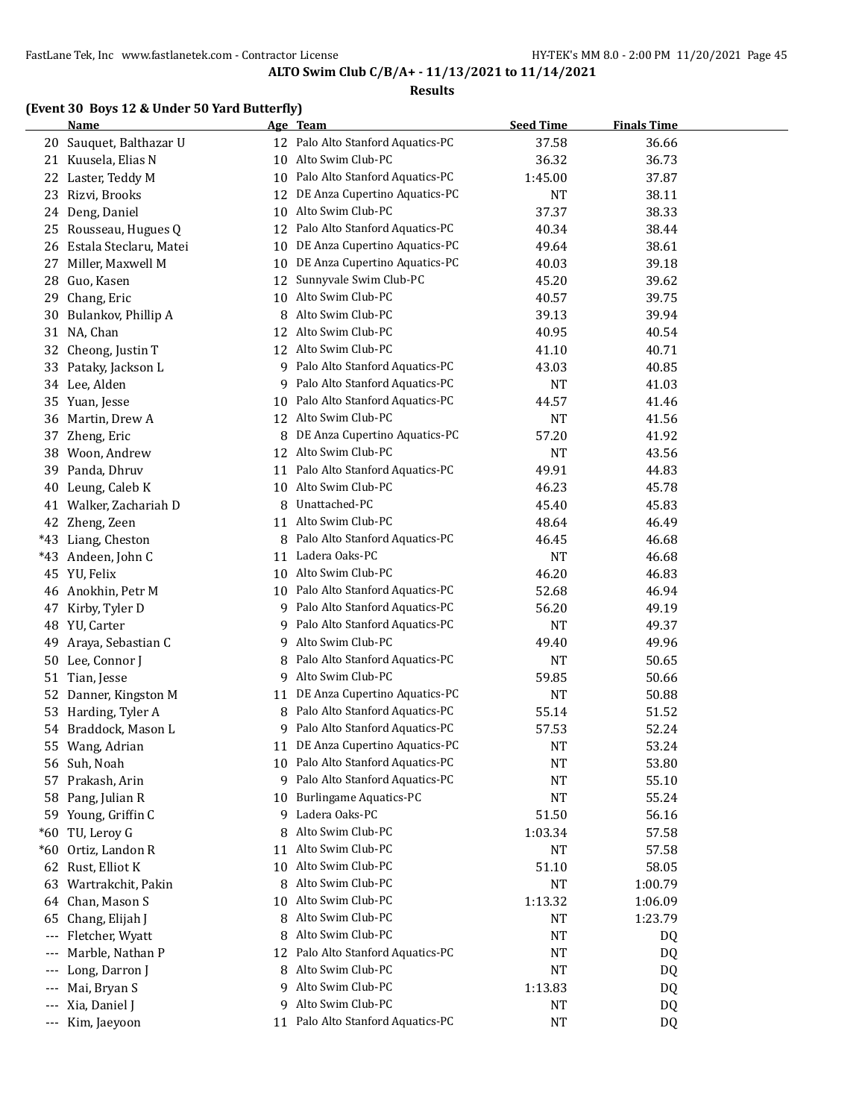#### **Results**

# **(Event 30 Boys 12 & Under 50 Yard Butterfly)**

|       | <b>Name</b>            |    | Age Team                          | <b>Seed Time</b> | <b>Finals Time</b> |  |
|-------|------------------------|----|-----------------------------------|------------------|--------------------|--|
| 20    | Sauquet, Balthazar U   |    | 12 Palo Alto Stanford Aquatics-PC | 37.58            | 36.66              |  |
| 21    | Kuusela, Elias N       | 10 | Alto Swim Club-PC                 | 36.32            | 36.73              |  |
| 22    | Laster, Teddy M        | 10 | Palo Alto Stanford Aquatics-PC    | 1:45.00          | 37.87              |  |
| 23    | Rizvi, Brooks          | 12 | DE Anza Cupertino Aquatics-PC     | <b>NT</b>        | 38.11              |  |
| 24    | Deng, Daniel           | 10 | Alto Swim Club-PC                 | 37.37            | 38.33              |  |
| 25    | Rousseau, Hugues Q     | 12 | Palo Alto Stanford Aquatics-PC    | 40.34            | 38.44              |  |
| 26    | Estala Steclaru, Matei | 10 | DE Anza Cupertino Aquatics-PC     | 49.64            | 38.61              |  |
| 27    | Miller, Maxwell M      | 10 | DE Anza Cupertino Aquatics-PC     | 40.03            | 39.18              |  |
| 28    | Guo, Kasen             | 12 | Sunnyvale Swim Club-PC            | 45.20            | 39.62              |  |
| 29    | Chang, Eric            | 10 | Alto Swim Club-PC                 | 40.57            | 39.75              |  |
| 30    | Bulankov, Phillip A    | 8  | Alto Swim Club-PC                 | 39.13            | 39.94              |  |
| 31    | NA, Chan               | 12 | Alto Swim Club-PC                 | 40.95            | 40.54              |  |
| 32    | Cheong, Justin T       | 12 | Alto Swim Club-PC                 | 41.10            | 40.71              |  |
| 33    | Pataky, Jackson L      | 9  | Palo Alto Stanford Aquatics-PC    | 43.03            | 40.85              |  |
| 34    | Lee, Alden             | 9  | Palo Alto Stanford Aquatics-PC    | <b>NT</b>        | 41.03              |  |
| 35    | Yuan, Jesse            | 10 | Palo Alto Stanford Aquatics-PC    | 44.57            | 41.46              |  |
| 36    | Martin, Drew A         | 12 | Alto Swim Club-PC                 | <b>NT</b>        | 41.56              |  |
| 37    | Zheng, Eric            | 8  | DE Anza Cupertino Aquatics-PC     | 57.20            | 41.92              |  |
| 38    | Woon, Andrew           | 12 | Alto Swim Club-PC                 | <b>NT</b>        | 43.56              |  |
| 39    | Panda, Dhruv           | 11 | Palo Alto Stanford Aquatics-PC    | 49.91            | 44.83              |  |
| 40    | Leung, Caleb K         | 10 | Alto Swim Club-PC                 | 46.23            | 45.78              |  |
| 41    | Walker, Zachariah D    | 8  | Unattached-PC                     | 45.40            | 45.83              |  |
| 42    | Zheng, Zeen            | 11 | Alto Swim Club-PC                 | 48.64            | 46.49              |  |
| $*43$ | Liang, Cheston         | 8  | Palo Alto Stanford Aquatics-PC    | 46.45            | 46.68              |  |
| $*43$ | Andeen, John C         |    | 11 Ladera Oaks-PC                 | <b>NT</b>        | 46.68              |  |
| 45    | YU, Felix              | 10 | Alto Swim Club-PC                 | 46.20            | 46.83              |  |
| 46    | Anokhin, Petr M        |    | 10 Palo Alto Stanford Aquatics-PC | 52.68            | 46.94              |  |
| 47    | Kirby, Tyler D         |    | 9 Palo Alto Stanford Aquatics-PC  | 56.20            | 49.19              |  |
| 48    | YU, Carter             | 9. | Palo Alto Stanford Aquatics-PC    | NT               | 49.37              |  |
| 49    | Araya, Sebastian C     | 9  | Alto Swim Club-PC                 | 49.40            | 49.96              |  |
| 50    | Lee, Connor J          | 8  | Palo Alto Stanford Aquatics-PC    | <b>NT</b>        | 50.65              |  |
| 51    | Tian, Jesse            | 9. | Alto Swim Club-PC                 | 59.85            | 50.66              |  |
| 52    | Danner, Kingston M     | 11 | DE Anza Cupertino Aquatics-PC     | <b>NT</b>        | 50.88              |  |
| 53    | Harding, Tyler A       | 8  | Palo Alto Stanford Aquatics-PC    | 55.14            | 51.52              |  |
| 54    | Braddock, Mason L      | 9  | Palo Alto Stanford Aquatics-PC    | 57.53            | 52.24              |  |
|       | 55 Wang, Adrian        |    | 11 DE Anza Cupertino Aquatics-PC  | <b>NT</b>        | 53.24              |  |
|       | 56 Suh, Noah           | 10 | Palo Alto Stanford Aquatics-PC    | <b>NT</b>        | 53.80              |  |
| 57    | Prakash, Arin          | 9  | Palo Alto Stanford Aquatics-PC    | <b>NT</b>        | 55.10              |  |
| 58    | Pang, Julian R         | 10 | <b>Burlingame Aquatics-PC</b>     | <b>NT</b>        | 55.24              |  |
|       | 59 Young, Griffin C    | 9  | Ladera Oaks-PC                    | 51.50            | 56.16              |  |
| $*60$ | TU, Leroy G            | 8  | Alto Swim Club-PC                 | 1:03.34          | 57.58              |  |
| $*60$ | Ortiz, Landon R        | 11 | Alto Swim Club-PC                 | <b>NT</b>        | 57.58              |  |
| 62    | Rust, Elliot K         | 10 | Alto Swim Club-PC                 | 51.10            | 58.05              |  |
| 63    | Wartrakchit, Pakin     | 8  | Alto Swim Club-PC                 | <b>NT</b>        | 1:00.79            |  |
| 64    | Chan, Mason S          | 10 | Alto Swim Club-PC                 | 1:13.32          | 1:06.09            |  |
| 65    | Chang, Elijah J        | 8  | Alto Swim Club-PC                 | <b>NT</b>        | 1:23.79            |  |
| ---   | Fletcher, Wyatt        | 8  | Alto Swim Club-PC                 | NT               | DQ                 |  |
| ---   | Marble, Nathan P       | 12 | Palo Alto Stanford Aquatics-PC    | <b>NT</b>        | DQ                 |  |
| ---   | Long, Darron J         | 8  | Alto Swim Club-PC                 | <b>NT</b>        | DQ                 |  |
| ---   | Mai, Bryan S           | 9  | Alto Swim Club-PC                 | 1:13.83          | DQ                 |  |
| ---   | Xia, Daniel J          | 9  | Alto Swim Club-PC                 | NT               | DQ                 |  |
| ---   | Kim, Jaeyoon           | 11 | Palo Alto Stanford Aquatics-PC    | <b>NT</b>        | DQ                 |  |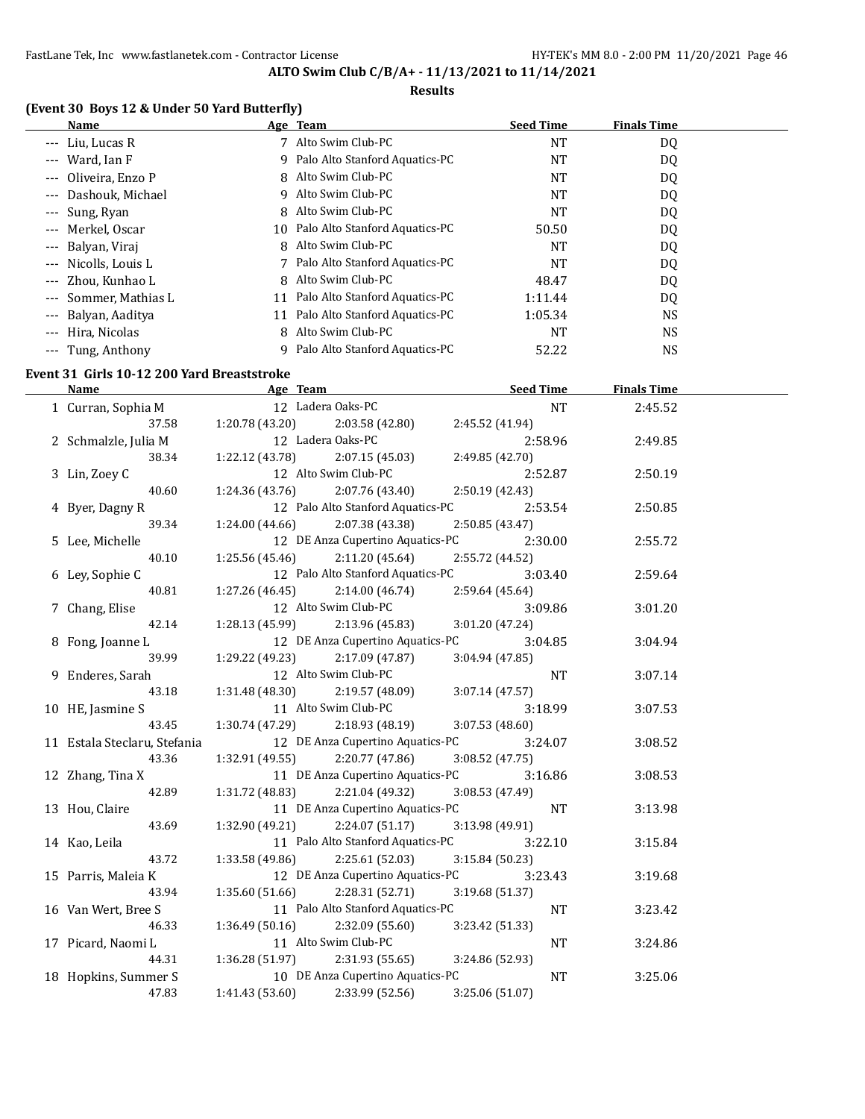### **Results**

## **(Event 30 Boys 12 & Under 50 Yard Butterfly)**

| Name                                   |    | Age Team                          | <b>Seed Time</b> | <b>Finals Time</b> |  |
|----------------------------------------|----|-----------------------------------|------------------|--------------------|--|
| --- Liu, Lucas R                       |    | Alto Swim Club-PC                 | NT               | DQ                 |  |
| Ward, Ian F<br>$\qquad \qquad - -$     |    | 9 Palo Alto Stanford Aquatics-PC  | NT               | DQ                 |  |
| Oliveira, Enzo P<br>$---$              |    | 8 Alto Swim Club-PC               | NT               | DQ                 |  |
| Dashouk, Michael<br>$- - -$            |    | 9 Alto Swim Club-PC               | NT               | DQ                 |  |
| --- Sung, Ryan                         |    | 8 Alto Swim Club-PC               | NT               | DQ                 |  |
| --- Merkel, Oscar                      |    | 10 Palo Alto Stanford Aquatics-PC | 50.50            | DQ                 |  |
| Balyan, Viraj<br>$---$                 |    | 8 Alto Swim Club-PC               | NT               | DQ                 |  |
| --- Nicolls, Louis L                   |    | 7 Palo Alto Stanford Aquatics-PC  | NT               | DQ                 |  |
| Zhou, Kunhao L<br>$---$                |    | 8 Alto Swim Club-PC               | 48.47            | DQ                 |  |
| Sommer, Mathias L<br>$---$             | 11 | Palo Alto Stanford Aquatics-PC    | 1:11.44          | DQ                 |  |
| Balyan, Aaditya<br>$\qquad \qquad - -$ | 11 | Palo Alto Stanford Aquatics-PC    | 1:05.34          | NS.                |  |
| Hira, Nicolas<br>$\qquad \qquad - -$   | 8  | Alto Swim Club-PC                 | <b>NT</b>        | NS.                |  |
| --- Tung, Anthony                      | q  | Palo Alto Stanford Aquatics-PC    | 52.22            | NS                 |  |

# **Event 31 Girls 10-12 200 Yard Breaststroke**

| <b>Name</b>                  |                                   | Age Team and the state of the state of the state of the state of the state of the state of the state of the state of the state of the state of the state of the state of the state of the state of the state of the state of t | Seed Time       |           | <b>Finals Time</b> |  |
|------------------------------|-----------------------------------|--------------------------------------------------------------------------------------------------------------------------------------------------------------------------------------------------------------------------------|-----------------|-----------|--------------------|--|
| 1 Curran, Sophia M           | 12 Ladera Oaks-PC                 |                                                                                                                                                                                                                                |                 | <b>NT</b> | 2:45.52            |  |
| 37.58                        | $1:20.78(43.20)$ $2:03.58(42.80)$ |                                                                                                                                                                                                                                | 2:45.52 (41.94) |           |                    |  |
| 2 Schmalzle, Julia M         | 12 Ladera Oaks-PC                 |                                                                                                                                                                                                                                | 2:58.96         |           | 2:49.85            |  |
| 38.34                        | $1:22.12(43.78)$ $2:07.15(45.03)$ |                                                                                                                                                                                                                                | 2:49.85 (42.70) |           |                    |  |
| 3 Lin, Zoey C                | 12 Alto Swim Club-PC              |                                                                                                                                                                                                                                | 2:52.87         |           | 2:50.19            |  |
| 40.60                        | $1:24.36(43.76)$ $2:07.76(43.40)$ |                                                                                                                                                                                                                                | 2:50.19 (42.43) |           |                    |  |
| 4 Byer, Dagny R              |                                   | 12 Palo Alto Stanford Aquatics-PC                                                                                                                                                                                              | 2:53.54         |           | 2:50.85            |  |
| 39.34                        | $1:24.00(44.66)$ $2:07.38(43.38)$ |                                                                                                                                                                                                                                | 2:50.85(43.47)  |           |                    |  |
| 5 Lee, Michelle              |                                   | 12 DE Anza Cupertino Aquatics-PC                                                                                                                                                                                               | 2:30.00         |           | 2:55.72            |  |
| 40.10                        | $1:25.56(45.46)$ $2:11.20(45.64)$ |                                                                                                                                                                                                                                | 2:55.72 (44.52) |           |                    |  |
| 6 Ley, Sophie C              |                                   | 12 Palo Alto Stanford Aquatics-PC                                                                                                                                                                                              | 3:03.40         |           | 2:59.64            |  |
| 40.81                        | $1:27.26(46.45)$ $2:14.00(46.74)$ |                                                                                                                                                                                                                                | 2:59.64(45.64)  |           |                    |  |
| 7 Chang, Elise               |                                   | 12 Alto Swim Club-PC                                                                                                                                                                                                           | 3:09.86         |           | 3:01.20            |  |
| 42.14                        | 1:28.13 (45.99)                   | 2:13.96 (45.83)                                                                                                                                                                                                                | 3:01.20(47.24)  |           |                    |  |
| 8 Fong, Joanne L             |                                   | 12 DE Anza Cupertino Aquatics-PC                                                                                                                                                                                               | 3:04.85         |           | 3:04.94            |  |
| 39.99                        | 1:29.22 (49.23)                   | 2:17.09 (47.87)                                                                                                                                                                                                                | 3:04.94(47.85)  |           |                    |  |
| 9 Enderes, Sarah             |                                   | 12 Alto Swim Club-PC                                                                                                                                                                                                           |                 | <b>NT</b> | 3:07.14            |  |
| 43.18                        | 1:31.48 (48.30)                   | 2:19.57 (48.09)                                                                                                                                                                                                                | 3:07.14(47.57)  |           |                    |  |
| 10 HE, Jasmine S             |                                   | 11 Alto Swim Club-PC                                                                                                                                                                                                           | 3:18.99         |           | 3:07.53            |  |
| 43.45                        | $1:30.74(47.29)$ $2:18.93(48.19)$ |                                                                                                                                                                                                                                | 3:07.53(48.60)  |           |                    |  |
| 11 Estala Steclaru, Stefania |                                   | 12 DE Anza Cupertino Aquatics-PC                                                                                                                                                                                               | 3:24.07         |           | 3:08.52            |  |
| 43.36                        | 1:32.91 (49.55)                   | 2:20.77 (47.86)                                                                                                                                                                                                                | 3:08.52 (47.75) |           |                    |  |
| 12 Zhang, Tina X             |                                   | 11 DE Anza Cupertino Aquatics-PC                                                                                                                                                                                               | 3:16.86         |           | 3:08.53            |  |
| 42.89                        | 1:31.72 (48.83)                   | 2:21.04 (49.32)                                                                                                                                                                                                                | 3:08.53 (47.49) |           |                    |  |
| 13 Hou, Claire               |                                   | 11 DE Anza Cupertino Aquatics-PC                                                                                                                                                                                               |                 | <b>NT</b> | 3:13.98            |  |
| 43.69                        | $1:32.90(49.21)$ $2:24.07(51.17)$ |                                                                                                                                                                                                                                | 3:13.98 (49.91) |           |                    |  |
| 14 Kao, Leila                |                                   | 11 Palo Alto Stanford Aquatics-PC                                                                                                                                                                                              | 3:22.10         |           | 3:15.84            |  |
| 43.72                        | $1:33.58(49.86)$ $2:25.61(52.03)$ |                                                                                                                                                                                                                                | 3:15.84 (50.23) |           |                    |  |
| 15 Parris, Maleia K          |                                   | 12 DE Anza Cupertino Aquatics-PC                                                                                                                                                                                               | 3:23.43         |           | 3:19.68            |  |
| 43.94                        | $1:35.60(51.66)$ $2:28.31(52.71)$ |                                                                                                                                                                                                                                | 3:19.68 (51.37) |           |                    |  |
| 16 Van Wert, Bree S          |                                   | 11 Palo Alto Stanford Aquatics-PC                                                                                                                                                                                              |                 | NT        | 3:23.42            |  |
| 46.33                        | $1:36.49(50.16)$ $2:32.09(55.60)$ |                                                                                                                                                                                                                                | 3:23.42 (51.33) |           |                    |  |
| 17 Picard, Naomi L           | 11 Alto Swim Club-PC              |                                                                                                                                                                                                                                |                 | NT        | 3:24.86            |  |
| 44.31                        | $1:36.28(51.97)$ $2:31.93(55.65)$ |                                                                                                                                                                                                                                | 3:24.86 (52.93) |           |                    |  |
| 18 Hopkins, Summer S         | 10 DE Anza Cupertino Aquatics-PC  |                                                                                                                                                                                                                                |                 | NT        | 3:25.06            |  |
| 47.83                        | 1:41.43 (53.60)                   | 2:33.99 (52.56)                                                                                                                                                                                                                | 3:25.06 (51.07) |           |                    |  |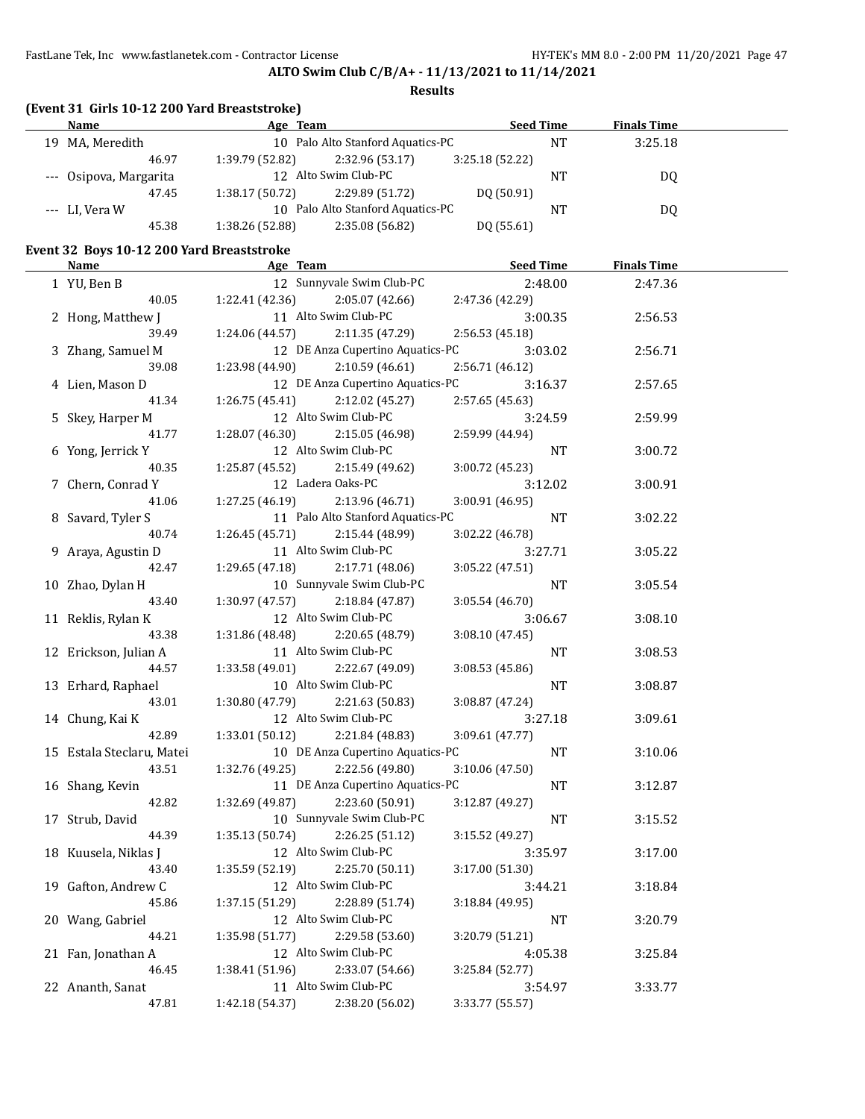## **ALTO Swim Club C/B/A+ - 11/13/2021 to 11/14/2021**

### **Results**

|  |  |  | (Event 31 Girls 10-12 200 Yard Breaststroke) |
|--|--|--|----------------------------------------------|
|--|--|--|----------------------------------------------|

| <b>Name</b>            | Age Team        |                                   | <b>Seed Time</b> |    | <b>Finals Time</b> |  |
|------------------------|-----------------|-----------------------------------|------------------|----|--------------------|--|
| MA, Meredith<br>19     |                 | 10 Palo Alto Stanford Aquatics-PC |                  | NΤ | 3:25.18            |  |
| 46.97                  | 1:39.79 (52.82) | 2:32.96(53.17)                    | 3:25.18(52.22)   |    |                    |  |
| --- Osipova, Margarita |                 | 12 Alto Swim Club-PC              |                  | NΤ | D0                 |  |
| 47.45                  | 1:38.17(50.72)  | 2:29.89(51.72)                    | DO (50.91)       |    |                    |  |
| --- LI, Vera W         |                 | 10 Palo Alto Stanford Aquatics-PC |                  | NΤ | D0                 |  |
| 45.38                  | 1:38.26 (52.88) | 2:35.08 (56.82)                   | DQ (55.61)       |    |                    |  |

## **Event 32 Boys 10-12 200 Yard Breaststroke**

| <b>Name</b>               | <b>Example 2</b> Age Team          | <b>Seed Time</b> | <b>Finals Time</b> |  |
|---------------------------|------------------------------------|------------------|--------------------|--|
| 1 YU, Ben B               | 12 Sunnyvale Swim Club-PC          | 2:48.00          | 2:47.36            |  |
| 40.05                     | 2:05.07 (42.66)<br>1:22.41 (42.36) | 2:47.36 (42.29)  |                    |  |
| 2 Hong, Matthew J         | 11 Alto Swim Club-PC               | 3:00.35          | 2:56.53            |  |
| 39.49                     | 1:24.06 (44.57)<br>2:11.35 (47.29) | 2:56.53(45.18)   |                    |  |
| 3 Zhang, Samuel M         | 12 DE Anza Cupertino Aquatics-PC   | 3:03.02          | 2:56.71            |  |
| 39.08                     | 1:23.98 (44.90)<br>2:10.59(46.61)  | 2:56.71 (46.12)  |                    |  |
| 4 Lien, Mason D           | 12 DE Anza Cupertino Aquatics-PC   | 3:16.37          | 2:57.65            |  |
| 41.34                     | 1:26.75 (45.41)<br>2:12.02 (45.27) | 2:57.65 (45.63)  |                    |  |
| 5 Skey, Harper M          | 12 Alto Swim Club-PC               | 3:24.59          | 2:59.99            |  |
| 41.77                     | $1:28.07(46.30)$ $2:15.05(46.98)$  | 2:59.99 (44.94)  |                    |  |
| 6 Yong, Jerrick Y         | 12 Alto Swim Club-PC               | NT               | 3:00.72            |  |
| 40.35                     | 1:25.87 (45.52) 2:15.49 (49.62)    | 3:00.72(45.23)   |                    |  |
| 7 Chern, Conrad Y         | 12 Ladera Oaks-PC                  | 3:12.02          | 3:00.91            |  |
| 41.06                     | $1:27.25(46.19)$ $2:13.96(46.71)$  | 3:00.91 (46.95)  |                    |  |
| 8 Savard, Tyler S         | 11 Palo Alto Stanford Aquatics-PC  | NT               | 3:02.22            |  |
| 40.74                     | 1:26.45(45.71)<br>2:15.44 (48.99)  | 3:02.22 (46.78)  |                    |  |
| 9 Araya, Agustin D        | 11 Alto Swim Club-PC               | 3:27.71          | 3:05.22            |  |
| 42.47                     | 1:29.65 (47.18)<br>2:17.71 (48.06) | 3:05.22 (47.51)  |                    |  |
| 10 Zhao, Dylan H          | 10 Sunnyvale Swim Club-PC          | NT               | 3:05.54            |  |
| 43.40                     | $1:30.97(47.57)$ $2:18.84(47.87)$  | 3:05.54 (46.70)  |                    |  |
| 11 Reklis, Rylan K        | 12 Alto Swim Club-PC               | 3:06.67          | 3:08.10            |  |
| 43.38                     | 1:31.86 (48.48) 2:20.65 (48.79)    | 3:08.10 (47.45)  |                    |  |
| 12 Erickson, Julian A     | 11 Alto Swim Club-PC               | <b>NT</b>        | 3:08.53            |  |
| 44.57                     | 1:33.58 (49.01) 2:22.67 (49.09)    | 3:08.53 (45.86)  |                    |  |
| 13 Erhard, Raphael        | 10 Alto Swim Club-PC               | <b>NT</b>        | 3:08.87            |  |
| 43.01                     | $1:30.80(47.79)$ $2:21.63(50.83)$  | 3:08.87 (47.24)  |                    |  |
| 14 Chung, Kai K           | 12 Alto Swim Club-PC               | 3:27.18          | 3:09.61            |  |
| 42.89                     | 1:33.01 (50.12) 2:21.84 (48.83)    | 3:09.61 (47.77)  |                    |  |
| 15 Estala Steclaru, Matei | 10 DE Anza Cupertino Aquatics-PC   | <b>NT</b>        | 3:10.06            |  |
| 43.51                     | 1:32.76 (49.25) 2:22.56 (49.80)    | 3:10.06 (47.50)  |                    |  |
| 16 Shang, Kevin           | 11 DE Anza Cupertino Aquatics-PC   | <b>NT</b>        | 3:12.87            |  |
| 42.82                     | 1:32.69 (49.87)<br>2:23.60 (50.91) | 3:12.87 (49.27)  |                    |  |
| 17 Strub, David           | 10 Sunnyvale Swim Club-PC          | NT               | 3:15.52            |  |
| 44.39                     | 1:35.13 (50.74)<br>2:26.25 (51.12) | 3:15.52 (49.27)  |                    |  |
| 18 Kuusela, Niklas J      | 12 Alto Swim Club-PC               | 3:35.97          | 3:17.00            |  |
| 43.40                     | 1:35.59 (52.19)<br>2:25.70 (50.11) | 3:17.00 (51.30)  |                    |  |
| 19 Gafton, Andrew C       | 12 Alto Swim Club-PC               | 3:44.21          | 3:18.84            |  |
| 45.86                     | 1:37.15 (51.29)<br>2:28.89 (51.74) | 3:18.84 (49.95)  |                    |  |
| 20 Wang, Gabriel          | 12 Alto Swim Club-PC               | NT               | 3:20.79            |  |
| 44.21                     | 2:29.58 (53.60)<br>1:35.98 (51.77) | 3:20.79 (51.21)  |                    |  |
| 21 Fan, Jonathan A        | 12 Alto Swim Club-PC               | 4:05.38          | 3:25.84            |  |
| 46.45                     | 1:38.41 (51.96)<br>2:33.07 (54.66) | 3:25.84 (52.77)  |                    |  |
| 22 Ananth, Sanat          | 11 Alto Swim Club-PC               | 3:54.97          | 3:33.77            |  |
| 47.81                     | 1:42.18 (54.37)<br>2:38.20 (56.02) | 3:33.77 (55.57)  |                    |  |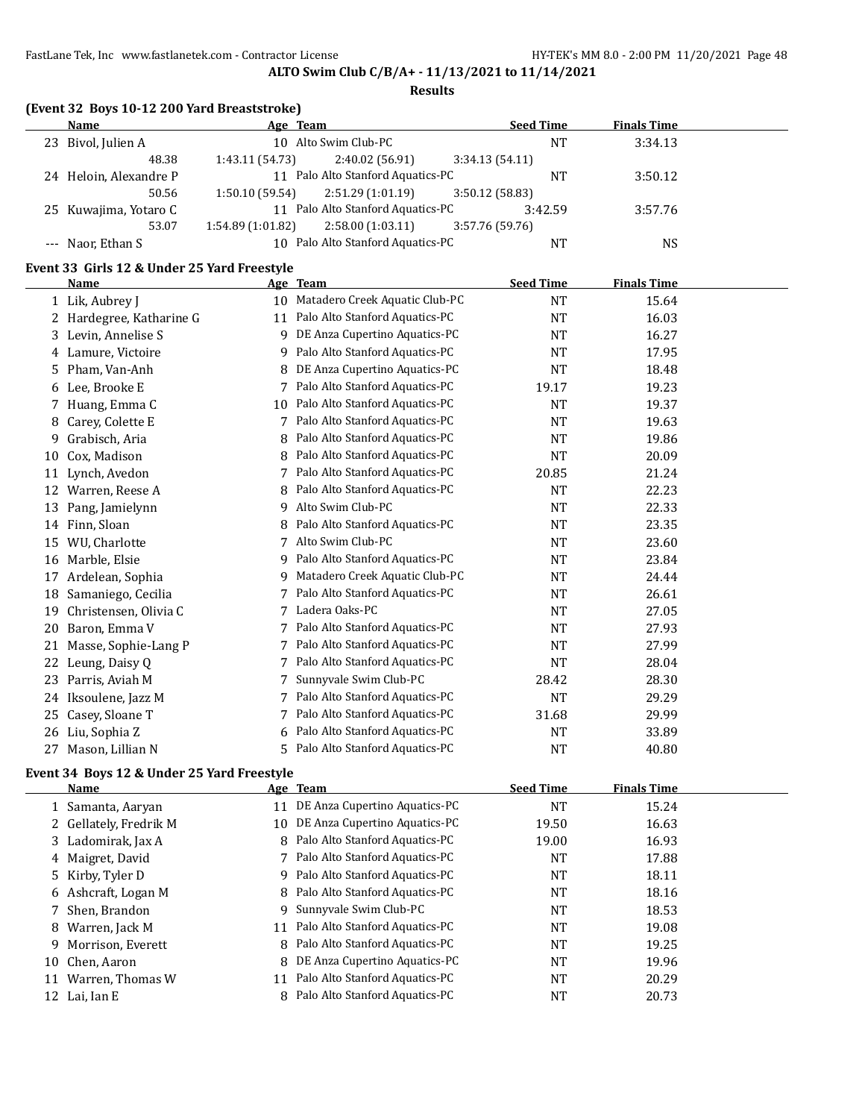## **ALTO Swim Club C/B/A+ - 11/13/2021 to 11/14/2021**

### **Results**

|  | (Event 32 Boys 10-12 200 Yard Breaststroke) |  |
|--|---------------------------------------------|--|
|--|---------------------------------------------|--|

| Name                   | Age Team         |                                   |                 | <b>Seed Time</b> | <b>Finals Time</b> |  |
|------------------------|------------------|-----------------------------------|-----------------|------------------|--------------------|--|
| 23 Bivol, Julien A     |                  | 10 Alto Swim Club-PC              |                 | <b>NT</b>        | 3:34.13            |  |
| 48.38                  | 1:43.11 (54.73)  | 2:40.02 (56.91)                   | 3:34.13(54.11)  |                  |                    |  |
| 24 Heloin, Alexandre P |                  | 11 Palo Alto Stanford Aquatics-PC |                 | NΤ               | 3:50.12            |  |
| 50.56                  | 1:50.10(59.54)   | 2:51.29 (1:01.19)                 | 3:50.12(58.83)  |                  |                    |  |
| 25 Kuwajima, Yotaro C  |                  | 11 Palo Alto Stanford Aquatics-PC |                 | 3:42.59          | 3:57.76            |  |
| 53.07                  | 1:54.89(1:01.82) | 2:58.00(1:03.11)                  | 3:57.76 (59.76) |                  |                    |  |
| --- Naor, Ethan S      |                  | 10 Palo Alto Stanford Aquatics-PC |                 | NT               | NS                 |  |

## **Event 33 Girls 12 & Under 25 Yard Freestyle**

|    | <b>Name</b>            |                 | Age Team                       | <b>Seed Time</b> | <b>Finals Time</b> |  |
|----|------------------------|-----------------|--------------------------------|------------------|--------------------|--|
|    | 1 Lik, Aubrey J        | 10 <sup>1</sup> | Matadero Creek Aquatic Club-PC | <b>NT</b>        | 15.64              |  |
|    | Hardegree, Katharine G | 11              | Palo Alto Stanford Aquatics-PC | <b>NT</b>        | 16.03              |  |
|    | 3 Levin, Annelise S    | 9               | DE Anza Cupertino Aquatics-PC  | <b>NT</b>        | 16.27              |  |
|    | 4 Lamure, Victoire     | 9               | Palo Alto Stanford Aquatics-PC | NT               | 17.95              |  |
| 5. | Pham, Van-Anh          | 8               | DE Anza Cupertino Aquatics-PC  | <b>NT</b>        | 18.48              |  |
| 6  | Lee, Brooke E          |                 | Palo Alto Stanford Aquatics-PC | 19.17            | 19.23              |  |
| 7. | Huang, Emma C          | 10              | Palo Alto Stanford Aquatics-PC | <b>NT</b>        | 19.37              |  |
| 8  | Carey, Colette E       | 7               | Palo Alto Stanford Aquatics-PC | <b>NT</b>        | 19.63              |  |
| 9  | Grabisch, Aria         | 8               | Palo Alto Stanford Aquatics-PC | <b>NT</b>        | 19.86              |  |
| 10 | Cox, Madison           | 8               | Palo Alto Stanford Aquatics-PC | <b>NT</b>        | 20.09              |  |
| 11 | Lynch, Avedon          |                 | Palo Alto Stanford Aquatics-PC | 20.85            | 21.24              |  |
| 12 | Warren, Reese A        | 8               | Palo Alto Stanford Aquatics-PC | <b>NT</b>        | 22.23              |  |
| 13 | Pang, Jamielynn        | 9               | Alto Swim Club-PC              | <b>NT</b>        | 22.33              |  |
| 14 | Finn, Sloan            | 8               | Palo Alto Stanford Aquatics-PC | NT               | 23.35              |  |
| 15 | WU, Charlotte          |                 | Alto Swim Club-PC              | NT               | 23.60              |  |
| 16 | Marble, Elsie          | 9               | Palo Alto Stanford Aquatics-PC | <b>NT</b>        | 23.84              |  |
| 17 | Ardelean, Sophia       | 9               | Matadero Creek Aquatic Club-PC | <b>NT</b>        | 24.44              |  |
| 18 | Samaniego, Cecilia     |                 | Palo Alto Stanford Aquatics-PC | <b>NT</b>        | 26.61              |  |
| 19 | Christensen, Olivia C  |                 | Ladera Oaks-PC                 | <b>NT</b>        | 27.05              |  |
| 20 | Baron, Emma V          |                 | Palo Alto Stanford Aquatics-PC | <b>NT</b>        | 27.93              |  |
| 21 | Masse, Sophie-Lang P   |                 | Palo Alto Stanford Aquatics-PC | <b>NT</b>        | 27.99              |  |
| 22 | Leung, Daisy Q         |                 | Palo Alto Stanford Aquatics-PC | <b>NT</b>        | 28.04              |  |
| 23 | Parris, Aviah M        |                 | Sunnyvale Swim Club-PC         | 28.42            | 28.30              |  |
| 24 | Iksoulene, Jazz M      |                 | Palo Alto Stanford Aquatics-PC | <b>NT</b>        | 29.29              |  |
| 25 | Casey, Sloane T        |                 | Palo Alto Stanford Aquatics-PC | 31.68            | 29.99              |  |
| 26 | Liu, Sophia Z          |                 | Palo Alto Stanford Aquatics-PC | <b>NT</b>        | 33.89              |  |
| 27 | Mason, Lillian N       | 5               | Palo Alto Stanford Aquatics-PC | <b>NT</b>        | 40.80              |  |

## **Event 34 Boys 12 & Under 25 Yard Freestyle**

|    | Name                   |    | Age Team                          | <b>Seed Time</b> | <b>Finals Time</b> |  |
|----|------------------------|----|-----------------------------------|------------------|--------------------|--|
|    | 1 Samanta, Aaryan      |    | 11 DE Anza Cupertino Aquatics-PC  | NT               | 15.24              |  |
|    | 2 Gellately, Fredrik M | 10 | DE Anza Cupertino Aquatics-PC     | 19.50            | 16.63              |  |
|    | 3 Ladomirak, Jax A     |    | 8 Palo Alto Stanford Aquatics-PC  | 19.00            | 16.93              |  |
|    | 4 Maigret, David       |    | 7 Palo Alto Stanford Aquatics-PC  | NT               | 17.88              |  |
|    | 5 Kirby, Tyler D       |    | 9 Palo Alto Stanford Aquatics-PC  | NT               | 18.11              |  |
|    | 6 Ashcraft, Logan M    |    | 8 Palo Alto Stanford Aquatics-PC  | NT               | 18.16              |  |
|    | 7 Shen, Brandon        |    | 9 Sunnyvale Swim Club-PC          | <b>NT</b>        | 18.53              |  |
|    | 8 Warren, Jack M       |    | 11 Palo Alto Stanford Aquatics-PC | NT               | 19.08              |  |
| 9. | Morrison, Everett      |    | 8 Palo Alto Stanford Aquatics-PC  | NT               | 19.25              |  |
| 10 | Chen, Aaron            | 8  | DE Anza Cupertino Aquatics-PC     | NT               | 19.96              |  |
| 11 | Warren, Thomas W       |    | 11 Palo Alto Stanford Aquatics-PC | NT               | 20.29              |  |
|    | 12 Lai, Ian E          | 8  | Palo Alto Stanford Aquatics-PC    | NT               | 20.73              |  |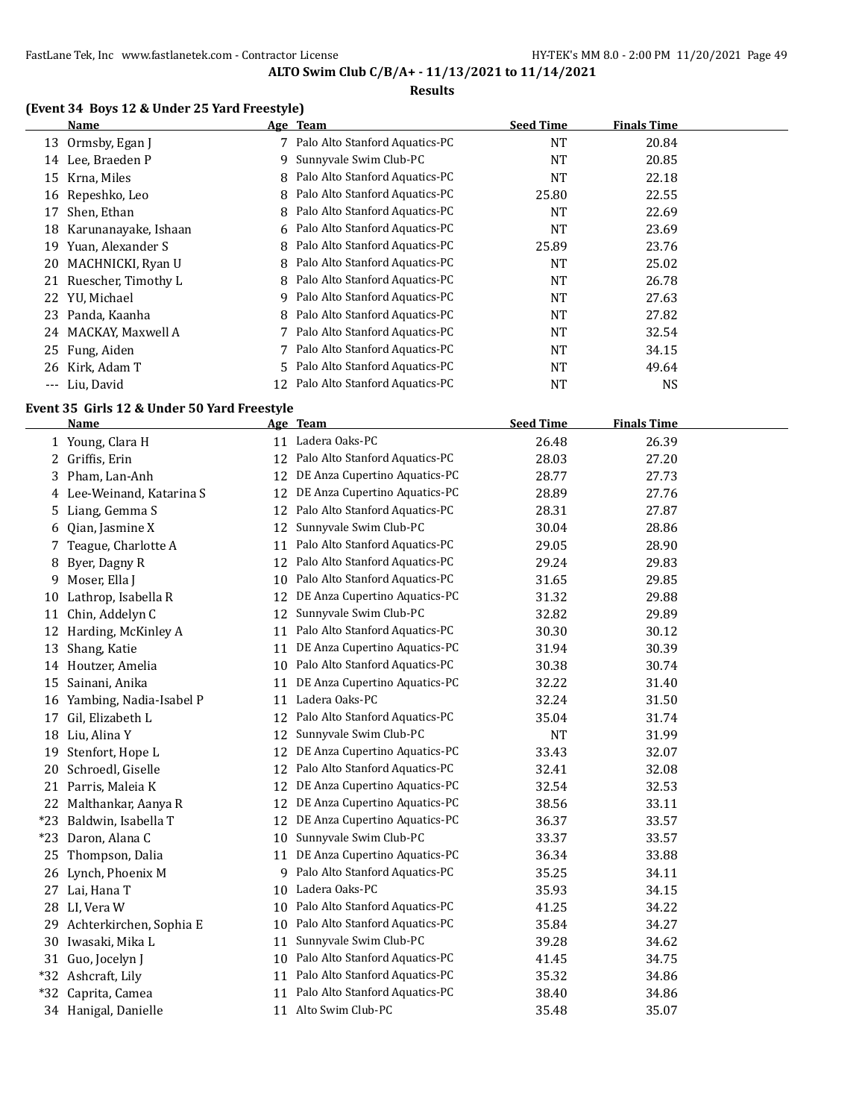## **Results**

## **(Event 34 Boys 12 & Under 25 Yard Freestyle)**

|       | Name                 |    | Age Team                         | <b>Seed Time</b> | <b>Finals Time</b> |  |
|-------|----------------------|----|----------------------------------|------------------|--------------------|--|
| 13    | Ormsby, Egan J       |    | Palo Alto Stanford Aquatics-PC   | NT               | 20.84              |  |
| 14    | Lee, Braeden P       | 9  | Sunnyvale Swim Club-PC           | NT               | 20.85              |  |
| 15    | Krna, Miles          |    | 8 Palo Alto Stanford Aquatics-PC | NT               | 22.18              |  |
| 16    | Repeshko, Leo        | 8  | Palo Alto Stanford Aquatics-PC   | 25.80            | 22.55              |  |
| 17    | Shen, Ethan          | 8  | Palo Alto Stanford Aquatics-PC   | NT               | 22.69              |  |
| 18    | Karunanayake, Ishaan |    | 6 Palo Alto Stanford Aquatics-PC | NT               | 23.69              |  |
| 19    | Yuan, Alexander S    | 8  | Palo Alto Stanford Aquatics-PC   | 25.89            | 23.76              |  |
|       | 20 MACHNICKI, Ryan U | 8  | Palo Alto Stanford Aquatics-PC   | <b>NT</b>        | 25.02              |  |
| 21    | Ruescher, Timothy L  | 8  | Palo Alto Stanford Aquatics-PC   | <b>NT</b>        | 26.78              |  |
|       | 22 YU, Michael       | 9  | Palo Alto Stanford Aquatics-PC   | NT               | 27.63              |  |
| 23.   | Panda, Kaanha        |    | 8 Palo Alto Stanford Aquatics-PC | <b>NT</b>        | 27.82              |  |
| 24    | MACKAY, Maxwell A    |    | Palo Alto Stanford Aquatics-PC   | NT               | 32.54              |  |
|       | 25 Fung, Aiden       |    | Palo Alto Stanford Aquatics-PC   | NT               | 34.15              |  |
| 26    | Kirk, Adam T         |    | 5 Palo Alto Stanford Aquatics-PC | NT               | 49.64              |  |
| $---$ | Liu, David           | 12 | Palo Alto Stanford Aquatics-PC   | NT               | <b>NS</b>          |  |

# **Event 35 Girls 12 & Under 50 Yard Freestyle**

|       | <b>Name</b>               |    | Age Team                          | <b>Seed Time</b> | <b>Finals Time</b> |
|-------|---------------------------|----|-----------------------------------|------------------|--------------------|
|       | 1 Young, Clara H          |    | 11 Ladera Oaks-PC                 | 26.48            | 26.39              |
|       | 2 Griffis, Erin           | 12 | Palo Alto Stanford Aquatics-PC    | 28.03            | 27.20              |
| 3     | Pham, Lan-Anh             | 12 | DE Anza Cupertino Aquatics-PC     | 28.77            | 27.73              |
|       | 4 Lee-Weinand, Katarina S | 12 | DE Anza Cupertino Aquatics-PC     | 28.89            | 27.76              |
| 5.    | Liang, Gemma S            | 12 | Palo Alto Stanford Aquatics-PC    | 28.31            | 27.87              |
| 6     | Qian, Jasmine X           | 12 | Sunnyvale Swim Club-PC            | 30.04            | 28.86              |
| 7.    | Teague, Charlotte A       | 11 | Palo Alto Stanford Aquatics-PC    | 29.05            | 28.90              |
| 8     | Byer, Dagny R             | 12 | Palo Alto Stanford Aquatics-PC    | 29.24            | 29.83              |
| 9     | Moser, Ella J             | 10 | Palo Alto Stanford Aquatics-PC    | 31.65            | 29.85              |
| 10    | Lathrop, Isabella R       | 12 | DE Anza Cupertino Aquatics-PC     | 31.32            | 29.88              |
| 11    | Chin, Addelyn C           | 12 | Sunnyvale Swim Club-PC            | 32.82            | 29.89              |
| 12    | Harding, McKinley A       | 11 | Palo Alto Stanford Aquatics-PC    | 30.30            | 30.12              |
| 13    | Shang, Katie              | 11 | DE Anza Cupertino Aquatics-PC     | 31.94            | 30.39              |
| 14    | Houtzer, Amelia           |    | 10 Palo Alto Stanford Aquatics-PC | 30.38            | 30.74              |
| 15    | Sainani, Anika            | 11 | DE Anza Cupertino Aquatics-PC     | 32.22            | 31.40              |
| 16    | Yambing, Nadia-Isabel P   | 11 | Ladera Oaks-PC                    | 32.24            | 31.50              |
| 17    | Gil, Elizabeth L          | 12 | Palo Alto Stanford Aquatics-PC    | 35.04            | 31.74              |
|       | 18 Liu, Alina Y           | 12 | Sunnyvale Swim Club-PC            | <b>NT</b>        | 31.99              |
| 19    | Stenfort, Hope L          | 12 | DE Anza Cupertino Aquatics-PC     | 33.43            | 32.07              |
| 20    | Schroedl, Giselle         | 12 | Palo Alto Stanford Aquatics-PC    | 32.41            | 32.08              |
|       | 21 Parris, Maleia K       | 12 | DE Anza Cupertino Aquatics-PC     | 32.54            | 32.53              |
|       | 22 Malthankar, Aanya R    | 12 | DE Anza Cupertino Aquatics-PC     | 38.56            | 33.11              |
| $*23$ | Baldwin, Isabella T       | 12 | DE Anza Cupertino Aquatics-PC     | 36.37            | 33.57              |
| $*23$ | Daron, Alana C            | 10 | Sunnyvale Swim Club-PC            | 33.37            | 33.57              |
| 25    | Thompson, Dalia           | 11 | DE Anza Cupertino Aquatics-PC     | 36.34            | 33.88              |
| 26    | Lynch, Phoenix M          |    | 9 Palo Alto Stanford Aquatics-PC  | 35.25            | 34.11              |
|       | 27 Lai, Hana T            | 10 | Ladera Oaks-PC                    | 35.93            | 34.15              |
|       | 28 LI, Vera W             | 10 | Palo Alto Stanford Aquatics-PC    | 41.25            | 34.22              |
| 29    | Achterkirchen, Sophia E   | 10 | Palo Alto Stanford Aquatics-PC    | 35.84            | 34.27              |
| 30    | Iwasaki, Mika L           | 11 | Sunnyvale Swim Club-PC            | 39.28            | 34.62              |
| 31    | Guo, Jocelyn J            | 10 | Palo Alto Stanford Aquatics-PC    | 41.45            | 34.75              |
| $*32$ | Ashcraft, Lily            | 11 | Palo Alto Stanford Aquatics-PC    | 35.32            | 34.86              |
| $*32$ | Caprita, Camea            | 11 | Palo Alto Stanford Aquatics-PC    | 38.40            | 34.86              |
|       | 34 Hanigal, Danielle      |    | 11 Alto Swim Club-PC              | 35.48            | 35.07              |
|       |                           |    |                                   |                  |                    |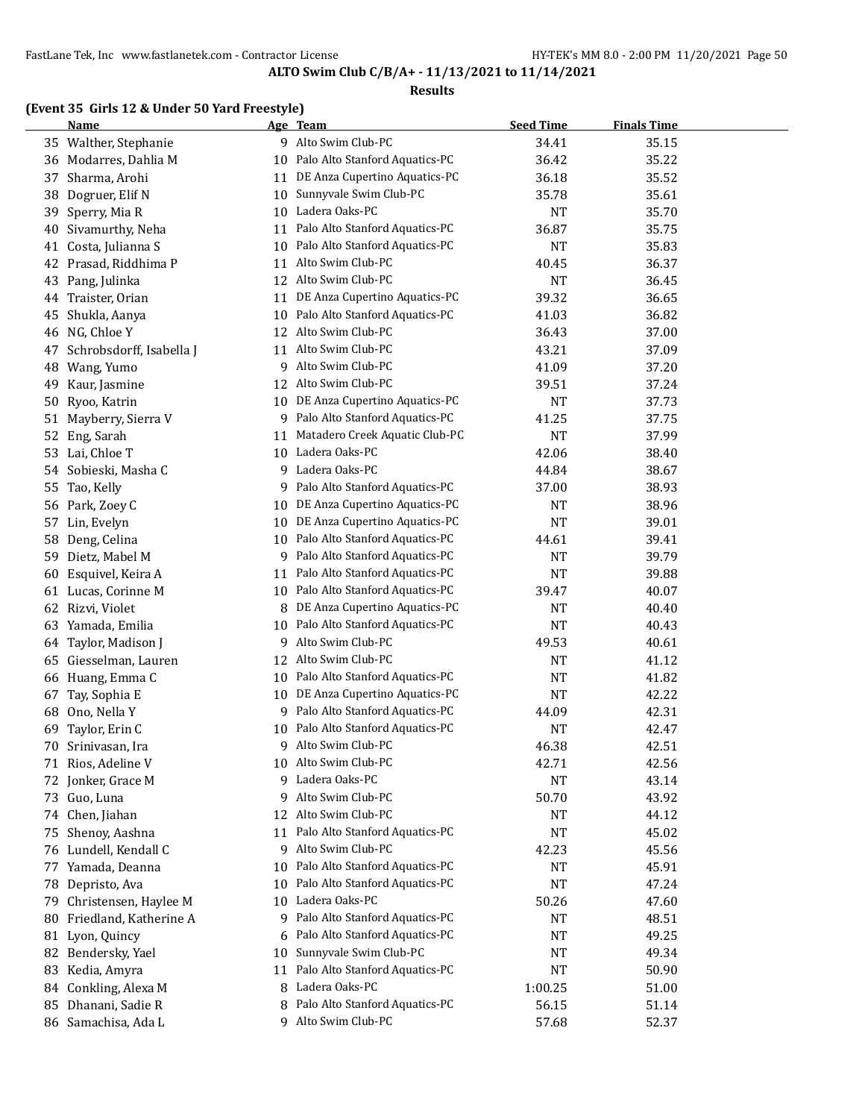### **Results**

# **(Event 35 Girls 12 & Under 50 Yard Freestyle)**

|    | <b>Name</b>              |    | Age Team                          | <b>Seed Time</b> | <b>Finals Time</b> |  |
|----|--------------------------|----|-----------------------------------|------------------|--------------------|--|
|    | 35 Walther, Stephanie    |    | 9 Alto Swim Club-PC               | 34.41            | 35.15              |  |
|    | 36 Modarres, Dahlia M    |    | 10 Palo Alto Stanford Aquatics-PC | 36.42            | 35.22              |  |
| 37 | Sharma, Arohi            | 11 | DE Anza Cupertino Aquatics-PC     | 36.18            | 35.52              |  |
| 38 | Dogruer, Elif N          | 10 | Sunnyvale Swim Club-PC            | 35.78            | 35.61              |  |
| 39 | Sperry, Mia R            |    | 10 Ladera Oaks-PC                 | <b>NT</b>        | 35.70              |  |
| 40 | Sivamurthy, Neha         |    | 11 Palo Alto Stanford Aquatics-PC | 36.87            | 35.75              |  |
| 41 | Costa, Julianna S        |    | 10 Palo Alto Stanford Aquatics-PC | <b>NT</b>        | 35.83              |  |
| 42 | Prasad, Riddhima P       |    | 11 Alto Swim Club-PC              | 40.45            | 36.37              |  |
| 43 | Pang, Julinka            |    | 12 Alto Swim Club-PC              | <b>NT</b>        | 36.45              |  |
| 44 | Traister, Orian          |    | 11 DE Anza Cupertino Aquatics-PC  | 39.32            | 36.65              |  |
| 45 | Shukla, Aanya            | 10 | Palo Alto Stanford Aquatics-PC    | 41.03            | 36.82              |  |
| 46 | NG, Chloe Y              | 12 | Alto Swim Club-PC                 | 36.43            | 37.00              |  |
| 47 | Schrobsdorff, Isabella J | 11 | Alto Swim Club-PC                 | 43.21            | 37.09              |  |
| 48 | Wang, Yumo               | 9  | Alto Swim Club-PC                 | 41.09            | 37.20              |  |
| 49 | Kaur, Jasmine            | 12 | Alto Swim Club-PC                 | 39.51            | 37.24              |  |
| 50 | Ryoo, Katrin             | 10 | DE Anza Cupertino Aquatics-PC     | <b>NT</b>        | 37.73              |  |
| 51 | Mayberry, Sierra V       | 9  | Palo Alto Stanford Aquatics-PC    | 41.25            | 37.75              |  |
| 52 | Eng, Sarah               | 11 | Matadero Creek Aquatic Club-PC    | <b>NT</b>        | 37.99              |  |
| 53 | Lai, Chloe T             | 10 | Ladera Oaks-PC                    | 42.06            | 38.40              |  |
| 54 | Sobieski, Masha C        |    | 9 Ladera Oaks-PC                  | 44.84            | 38.67              |  |
| 55 | Tao, Kelly               | 9. | Palo Alto Stanford Aquatics-PC    | 37.00            | 38.93              |  |
| 56 | Park, Zoey C             | 10 | DE Anza Cupertino Aquatics-PC     | <b>NT</b>        | 38.96              |  |
| 57 | Lin, Evelyn              |    | 10 DE Anza Cupertino Aquatics-PC  | <b>NT</b>        | 39.01              |  |
| 58 | Deng, Celina             |    | 10 Palo Alto Stanford Aquatics-PC | 44.61            | 39.41              |  |
| 59 | Dietz, Mabel M           |    | 9 Palo Alto Stanford Aquatics-PC  | <b>NT</b>        | 39.79              |  |
| 60 | Esquivel, Keira A        | 11 | Palo Alto Stanford Aquatics-PC    | <b>NT</b>        | 39.88              |  |
| 61 | Lucas, Corinne M         |    | 10 Palo Alto Stanford Aquatics-PC | 39.47            | 40.07              |  |
| 62 | Rizvi, Violet            | 8  | DE Anza Cupertino Aquatics-PC     | NT               | 40.40              |  |
| 63 | Yamada, Emilia           | 10 | Palo Alto Stanford Aquatics-PC    | <b>NT</b>        | 40.43              |  |
| 64 | Taylor, Madison J        | 9  | Alto Swim Club-PC                 | 49.53            | 40.61              |  |
| 65 | Giesselman, Lauren       | 12 | Alto Swim Club-PC                 | <b>NT</b>        | 41.12              |  |
| 66 | Huang, Emma C            | 10 | Palo Alto Stanford Aquatics-PC    | <b>NT</b>        | 41.82              |  |
| 67 | Tay, Sophia E            | 10 | DE Anza Cupertino Aquatics-PC     | <b>NT</b>        | 42.22              |  |
| 68 | Ono, Nella Y             | 9. | Palo Alto Stanford Aquatics-PC    | 44.09            | 42.31              |  |
| 69 | Taylor, Erin C           | 10 | Palo Alto Stanford Aquatics-PC    | <b>NT</b>        | 42.47              |  |
| 70 | Srinivasan, Ira          | 9  | Alto Swim Club-PC                 | 46.38            | 42.51              |  |
|    | 71 Rios, Adeline V       |    | 10 Alto Swim Club-PC              | 42.71            | 42.56              |  |
|    | 72 Jonker, Grace M       | 9. | Ladera Oaks-PC                    | <b>NT</b>        | 43.14              |  |
|    | 73 Guo, Luna             | 9  | Alto Swim Club-PC                 | 50.70            | 43.92              |  |
|    | 74 Chen, Jiahan          | 12 | Alto Swim Club-PC                 | <b>NT</b>        | 44.12              |  |
| 75 | Shenoy, Aashna           | 11 | Palo Alto Stanford Aquatics-PC    | NT               | 45.02              |  |
| 76 | Lundell, Kendall C       | 9  | Alto Swim Club-PC                 | 42.23            | 45.56              |  |
| 77 | Yamada, Deanna           | 10 | Palo Alto Stanford Aquatics-PC    | NT               | 45.91              |  |
| 78 | Depristo, Ava            | 10 | Palo Alto Stanford Aquatics-PC    | <b>NT</b>        | 47.24              |  |
| 79 | Christensen, Haylee M    | 10 | Ladera Oaks-PC                    | 50.26            | 47.60              |  |
| 80 | Friedland, Katherine A   | 9  | Palo Alto Stanford Aquatics-PC    | NT               | 48.51              |  |
| 81 | Lyon, Quincy             | 6  | Palo Alto Stanford Aquatics-PC    | NT               | 49.25              |  |
|    | 82 Bendersky, Yael       | 10 | Sunnyvale Swim Club-PC            | NT               | 49.34              |  |
|    | 83 Kedia, Amyra          | 11 | Palo Alto Stanford Aquatics-PC    | NT               | 50.90              |  |
|    | 84 Conkling, Alexa M     | 8  | Ladera Oaks-PC                    | 1:00.25          | 51.00              |  |
| 85 | Dhanani, Sadie R         | 8  | Palo Alto Stanford Aquatics-PC    | 56.15            | 51.14              |  |
|    | 86 Samachisa, Ada L      |    | 9 Alto Swim Club-PC               | 57.68            | 52.37              |  |
|    |                          |    |                                   |                  |                    |  |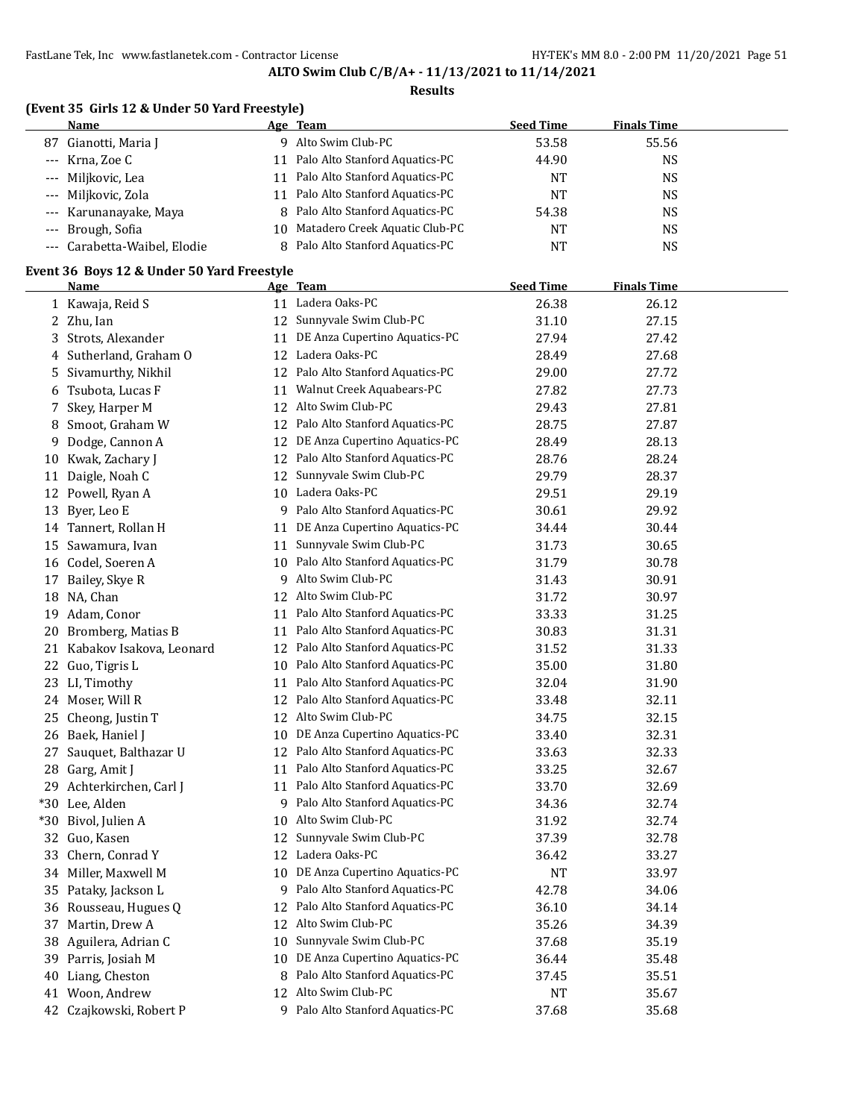### **Results**

# **(Event 35 Girls 12 & Under 50 Yard Freestyle)**

| Name                         |    | Age Team                          | <b>Seed Time</b> | <b>Finals Time</b> |  |
|------------------------------|----|-----------------------------------|------------------|--------------------|--|
| 87 Gianotti, Maria I         | Q. | Alto Swim Club-PC                 | 53.58            | 55.56              |  |
| --- Krna, Zoe C              |    | 11 Palo Alto Stanford Aquatics-PC | 44.90            | NS                 |  |
| --- Miljkovic, Lea           |    | 11 Palo Alto Stanford Aquatics-PC | NT               | NS                 |  |
| --- Miljkovic, Zola          |    | 11 Palo Alto Stanford Aquatics-PC | <b>NT</b>        | NS                 |  |
| --- Karunanayake, Maya       |    | 8 Palo Alto Stanford Aquatics-PC  | 54.38            | NS                 |  |
| --- Brough, Sofia            |    | 10 Matadero Creek Aquatic Club-PC | <b>NT</b>        | NS                 |  |
| --- Carabetta-Waibel, Elodie |    | 8 Palo Alto Stanford Aquatics-PC  | NT               | NS                 |  |

## **Event 36 Boys 12 & Under 50 Yard Freestyle**

|    | <b>Name</b>                 |    | Age Team                          | <b>Seed Time</b> | <b>Finals Time</b> |  |
|----|-----------------------------|----|-----------------------------------|------------------|--------------------|--|
|    | 1 Kawaja, Reid S            |    | 11 Ladera Oaks-PC                 | 26.38            | 26.12              |  |
|    | 2 Zhu, Ian                  |    | 12 Sunnyvale Swim Club-PC         | 31.10            | 27.15              |  |
|    | 3 Strots, Alexander         | 11 | DE Anza Cupertino Aquatics-PC     | 27.94            | 27.42              |  |
|    | 4 Sutherland, Graham O      |    | 12 Ladera Oaks-PC                 | 28.49            | 27.68              |  |
|    | 5 Sivamurthy, Nikhil        |    | 12 Palo Alto Stanford Aquatics-PC | 29.00            | 27.72              |  |
|    | 6 Tsubota, Lucas F          | 11 | Walnut Creek Aquabears-PC         | 27.82            | 27.73              |  |
|    | 7 Skey, Harper M            |    | 12 Alto Swim Club-PC              | 29.43            | 27.81              |  |
| 8  | Smoot, Graham W             |    | 12 Palo Alto Stanford Aquatics-PC | 28.75            | 27.87              |  |
| 9  | Dodge, Cannon A             |    | 12 DE Anza Cupertino Aquatics-PC  | 28.49            | 28.13              |  |
|    | 10 Kwak, Zachary J          |    | 12 Palo Alto Stanford Aquatics-PC | 28.76            | 28.24              |  |
|    | 11 Daigle, Noah C           | 12 | Sunnyvale Swim Club-PC            | 29.79            | 28.37              |  |
|    | 12 Powell, Ryan A           |    | 10 Ladera Oaks-PC                 | 29.51            | 29.19              |  |
|    | 13 Byer, Leo E              |    | 9 Palo Alto Stanford Aquatics-PC  | 30.61            | 29.92              |  |
|    | 14 Tannert, Rollan H        | 11 | DE Anza Cupertino Aquatics-PC     | 34.44            | 30.44              |  |
|    | 15 Sawamura, Ivan           | 11 | Sunnyvale Swim Club-PC            | 31.73            | 30.65              |  |
|    | 16 Codel, Soeren A          |    | 10 Palo Alto Stanford Aquatics-PC | 31.79            | 30.78              |  |
|    | 17 Bailey, Skye R           |    | 9 Alto Swim Club-PC               | 31.43            | 30.91              |  |
|    | 18 NA, Chan                 |    | 12 Alto Swim Club-PC              | 31.72            | 30.97              |  |
|    | 19 Adam, Conor              | 11 | Palo Alto Stanford Aquatics-PC    | 33.33            | 31.25              |  |
| 20 | Bromberg, Matias B          | 11 | Palo Alto Stanford Aquatics-PC    | 30.83            | 31.31              |  |
|    | 21 Kabakov Isakova, Leonard |    | 12 Palo Alto Stanford Aquatics-PC | 31.52            | 31.33              |  |
|    | 22 Guo, Tigris L            | 10 | Palo Alto Stanford Aquatics-PC    | 35.00            | 31.80              |  |
|    | 23 LI, Timothy              | 11 | Palo Alto Stanford Aquatics-PC    | 32.04            | 31.90              |  |
|    | 24 Moser, Will R            |    | 12 Palo Alto Stanford Aquatics-PC | 33.48            | 32.11              |  |
|    | 25 Cheong, Justin T         |    | 12 Alto Swim Club-PC              | 34.75            | 32.15              |  |
|    | 26 Baek, Haniel J           | 10 | DE Anza Cupertino Aquatics-PC     | 33.40            | 32.31              |  |
|    | 27 Sauquet, Balthazar U     | 12 | Palo Alto Stanford Aquatics-PC    | 33.63            | 32.33              |  |
|    | 28 Garg, Amit J             | 11 | Palo Alto Stanford Aquatics-PC    | 33.25            | 32.67              |  |
|    | 29 Achterkirchen, Carl J    |    | 11 Palo Alto Stanford Aquatics-PC | 33.70            | 32.69              |  |
|    | *30 Lee, Alden              |    | 9 Palo Alto Stanford Aquatics-PC  | 34.36            | 32.74              |  |
|    | *30 Bivol, Julien A         | 10 | Alto Swim Club-PC                 | 31.92            | 32.74              |  |
|    | 32 Guo, Kasen               | 12 | Sunnyvale Swim Club-PC            | 37.39            | 32.78              |  |
|    | 33 Chern, Conrad Y          |    | 12 Ladera Oaks-PC                 | 36.42            | 33.27              |  |
|    | 34 Miller, Maxwell M        | 10 | DE Anza Cupertino Aquatics-PC     | <b>NT</b>        | 33.97              |  |
|    | 35 Pataky, Jackson L        | 9  | Palo Alto Stanford Aquatics-PC    | 42.78            | 34.06              |  |
|    | 36 Rousseau, Hugues Q       | 12 | Palo Alto Stanford Aquatics-PC    | 36.10            | 34.14              |  |
|    | 37 Martin, Drew A           | 12 | Alto Swim Club-PC                 | 35.26            | 34.39              |  |
|    | 38 Aguilera, Adrian C       | 10 | Sunnyvale Swim Club-PC            | 37.68            | 35.19              |  |
|    | 39 Parris, Josiah M         | 10 | DE Anza Cupertino Aquatics-PC     | 36.44            | 35.48              |  |
|    | 40 Liang, Cheston           | 8  | Palo Alto Stanford Aquatics-PC    | 37.45            | 35.51              |  |
|    | 41 Woon, Andrew             | 12 | Alto Swim Club-PC                 | NT               | 35.67              |  |
| 42 | Czajkowski, Robert P        |    | 9 Palo Alto Stanford Aquatics-PC  | 37.68            | 35.68              |  |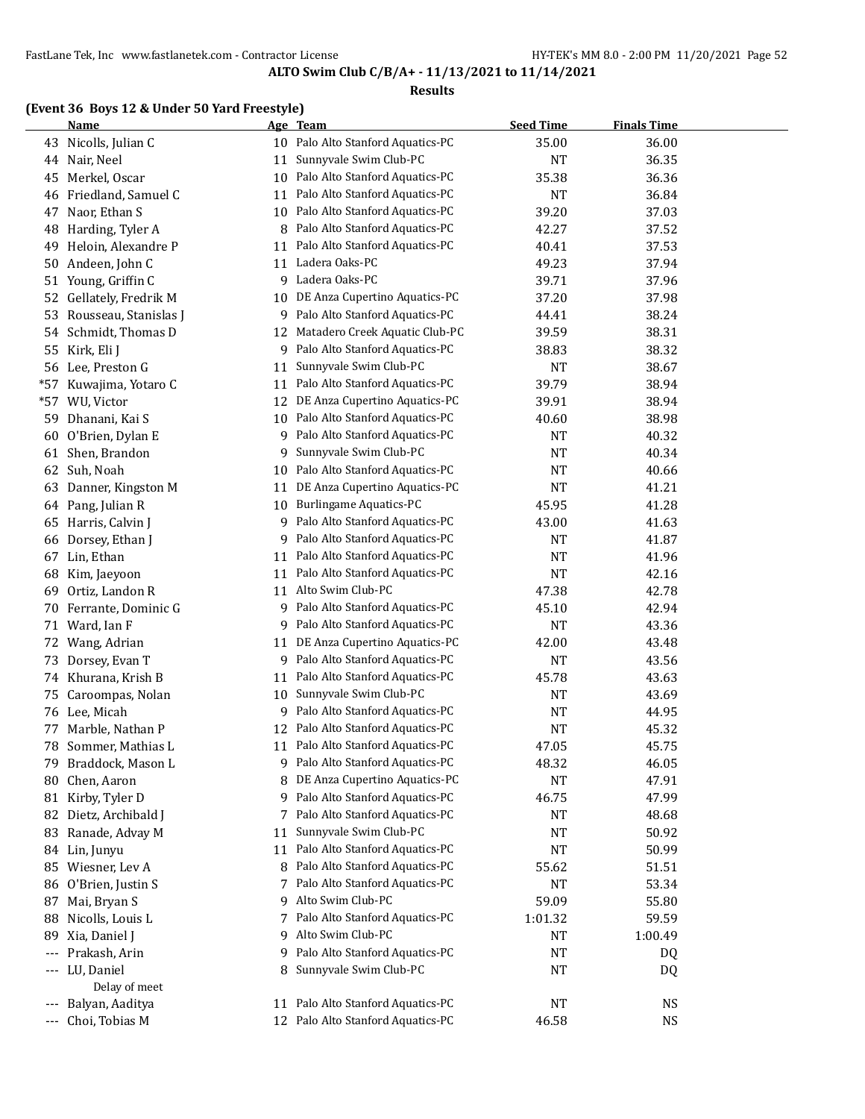#### **Results**

# **(Event 36 Boys 12 & Under 50 Yard Freestyle)**

|       | <b>Name</b>           |    | Age Team                       | <b>Seed Time</b> | <b>Finals Time</b> |  |
|-------|-----------------------|----|--------------------------------|------------------|--------------------|--|
| 43    | Nicolls, Julian C     | 10 | Palo Alto Stanford Aquatics-PC | 35.00            | 36.00              |  |
| 44    | Nair, Neel            | 11 | Sunnyvale Swim Club-PC         | <b>NT</b>        | 36.35              |  |
| 45    | Merkel, Oscar         | 10 | Palo Alto Stanford Aquatics-PC | 35.38            | 36.36              |  |
| 46    | Friedland, Samuel C   | 11 | Palo Alto Stanford Aquatics-PC | <b>NT</b>        | 36.84              |  |
| 47    | Naor, Ethan S         | 10 | Palo Alto Stanford Aquatics-PC | 39.20            | 37.03              |  |
| 48    | Harding, Tyler A      | 8  | Palo Alto Stanford Aquatics-PC | 42.27            | 37.52              |  |
| 49    | Heloin, Alexandre P   | 11 | Palo Alto Stanford Aquatics-PC | 40.41            | 37.53              |  |
| 50    | Andeen, John C        | 11 | Ladera Oaks-PC                 | 49.23            | 37.94              |  |
| 51    | Young, Griffin C      | 9  | Ladera Oaks-PC                 | 39.71            | 37.96              |  |
| 52    | Gellately, Fredrik M  | 10 | DE Anza Cupertino Aquatics-PC  | 37.20            | 37.98              |  |
| 53    | Rousseau, Stanislas J | 9  | Palo Alto Stanford Aquatics-PC | 44.41            | 38.24              |  |
| 54    | Schmidt, Thomas D     | 12 | Matadero Creek Aquatic Club-PC | 39.59            | 38.31              |  |
| 55    | Kirk, Eli J           | 9  | Palo Alto Stanford Aquatics-PC | 38.83            | 38.32              |  |
| 56    | Lee, Preston G        | 11 | Sunnyvale Swim Club-PC         | <b>NT</b>        | 38.67              |  |
| $*57$ | Kuwajima, Yotaro C    | 11 | Palo Alto Stanford Aquatics-PC | 39.79            | 38.94              |  |
| $*57$ | WU, Victor            | 12 | DE Anza Cupertino Aquatics-PC  | 39.91            | 38.94              |  |
| 59    | Dhanani, Kai S        | 10 | Palo Alto Stanford Aquatics-PC | 40.60            | 38.98              |  |
| 60    | O'Brien, Dylan E      | 9  | Palo Alto Stanford Aquatics-PC | <b>NT</b>        | 40.32              |  |
| 61    | Shen, Brandon         | 9  | Sunnyvale Swim Club-PC         | <b>NT</b>        | 40.34              |  |
| 62    | Suh, Noah             | 10 | Palo Alto Stanford Aquatics-PC | <b>NT</b>        | 40.66              |  |
| 63    | Danner, Kingston M    | 11 | DE Anza Cupertino Aquatics-PC  | <b>NT</b>        | 41.21              |  |
| 64    | Pang, Julian R        | 10 | Burlingame Aquatics-PC         | 45.95            | 41.28              |  |
| 65    | Harris, Calvin J      | 9  | Palo Alto Stanford Aquatics-PC | 43.00            | 41.63              |  |
| 66    | Dorsey, Ethan J       | 9  | Palo Alto Stanford Aquatics-PC | <b>NT</b>        | 41.87              |  |
| 67    | Lin, Ethan            | 11 | Palo Alto Stanford Aquatics-PC | <b>NT</b>        | 41.96              |  |
| 68    | Kim, Jaeyoon          | 11 | Palo Alto Stanford Aquatics-PC | <b>NT</b>        | 42.16              |  |
| 69    | Ortiz, Landon R       | 11 | Alto Swim Club-PC              | 47.38            | 42.78              |  |
| 70    | Ferrante, Dominic G   | 9  | Palo Alto Stanford Aquatics-PC | 45.10            | 42.94              |  |
| 71    | Ward, Ian F           | 9  | Palo Alto Stanford Aquatics-PC | <b>NT</b>        | 43.36              |  |
| 72    | Wang, Adrian          | 11 | DE Anza Cupertino Aquatics-PC  | 42.00            | 43.48              |  |
| 73    | Dorsey, Evan T        | 9  | Palo Alto Stanford Aquatics-PC | <b>NT</b>        | 43.56              |  |
| 74    | Khurana, Krish B      | 11 | Palo Alto Stanford Aquatics-PC | 45.78            | 43.63              |  |
| 75    | Caroompas, Nolan      | 10 | Sunnyvale Swim Club-PC         | <b>NT</b>        | 43.69              |  |
|       | 76 Lee, Micah         | 9  | Palo Alto Stanford Aquatics-PC | <b>NT</b>        | 44.95              |  |
| 77    | Marble, Nathan P      | 12 | Palo Alto Stanford Aquatics-PC | <b>NT</b>        | 45.32              |  |
| 78    | Sommer, Mathias L     | 11 | Palo Alto Stanford Aquatics-PC | 47.05            | 45.75              |  |
| 79    | Braddock, Mason L     | 9. | Palo Alto Stanford Aquatics-PC | 48.32            | 46.05              |  |
| 80    | Chen, Aaron           | 8  | DE Anza Cupertino Aquatics-PC  | <b>NT</b>        | 47.91              |  |
| 81    | Kirby, Tyler D        | 9  | Palo Alto Stanford Aquatics-PC | 46.75            | 47.99              |  |
| 82    | Dietz, Archibald J    | 7  | Palo Alto Stanford Aquatics-PC | <b>NT</b>        | 48.68              |  |
| 83    | Ranade, Advay M       | 11 | Sunnyvale Swim Club-PC         | <b>NT</b>        | 50.92              |  |
| 84    | Lin, Junyu            | 11 | Palo Alto Stanford Aquatics-PC | <b>NT</b>        | 50.99              |  |
|       | 85 Wiesner, Lev A     | 8  | Palo Alto Stanford Aquatics-PC | 55.62            | 51.51              |  |
| 86    | O'Brien, Justin S     | 7  | Palo Alto Stanford Aquatics-PC | <b>NT</b>        | 53.34              |  |
| 87    | Mai, Bryan S          | 9  | Alto Swim Club-PC              | 59.09            | 55.80              |  |
| 88    | Nicolls, Louis L      | 7  | Palo Alto Stanford Aquatics-PC | 1:01.32          | 59.59              |  |
| 89    | Xia, Daniel J         | 9  | Alto Swim Club-PC              | NT               | 1:00.49            |  |
| ---   | Prakash, Arin         | 9  | Palo Alto Stanford Aquatics-PC | NT               | DQ                 |  |
| ---   | LU, Daniel            | 8  | Sunnyvale Swim Club-PC         | NT               | DQ                 |  |
|       | Delay of meet         |    |                                |                  |                    |  |
|       | Balyan, Aaditya       | 11 | Palo Alto Stanford Aquatics-PC | NT               | <b>NS</b>          |  |
| ---   | Choi, Tobias M        | 12 | Palo Alto Stanford Aquatics-PC | 46.58            | <b>NS</b>          |  |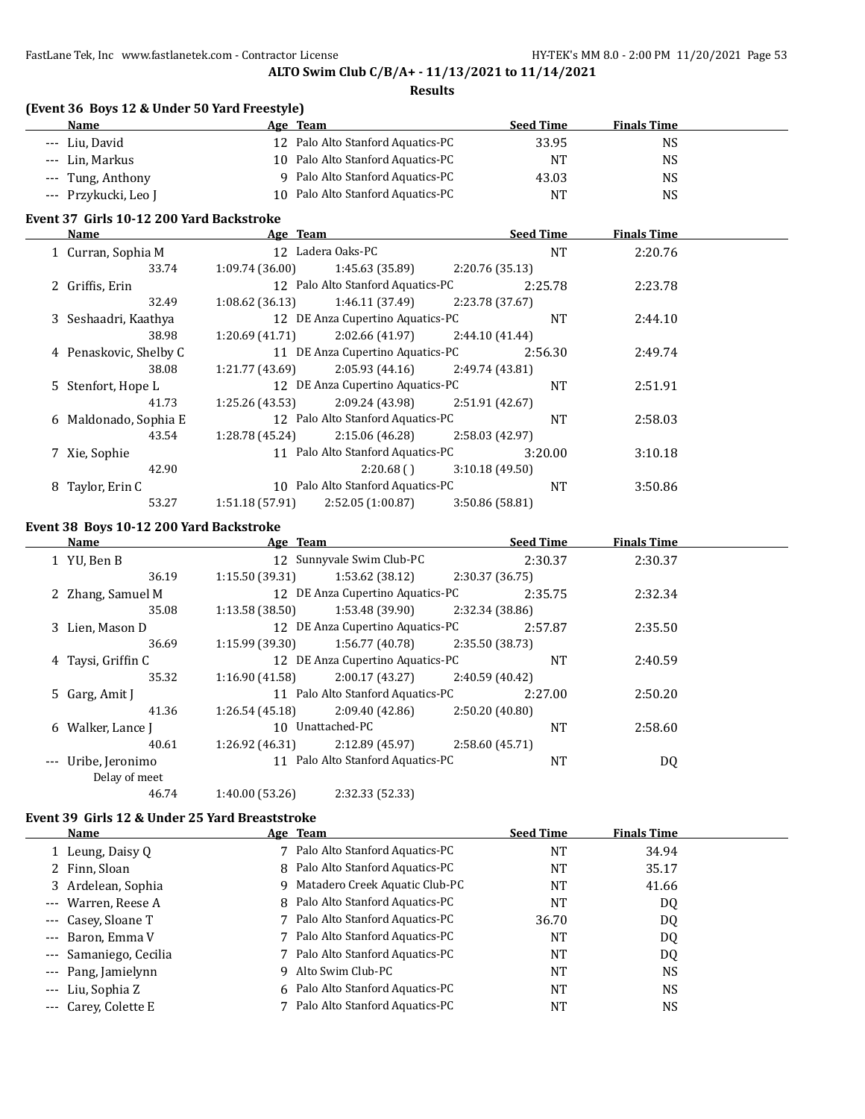## **ALTO Swim Club C/B/A+ - 11/13/2021 to 11/14/2021**

### **Results**

| (Event 36 Boys 12 & Under 50 Yard Freestyle) |                                   |                  |                    |  |  |  |
|----------------------------------------------|-----------------------------------|------------------|--------------------|--|--|--|
| Name                                         | Age Team                          | <b>Seed Time</b> | <b>Finals Time</b> |  |  |  |
| --- Liu, David                               | 12 Palo Alto Stanford Aquatics-PC | 33.95            | NS                 |  |  |  |
| --- Lin, Markus                              | 10 Palo Alto Stanford Aquatics-PC | NT               | NS                 |  |  |  |
| --- Tung, Anthony                            | 9 Palo Alto Stanford Aquatics-PC  | 43.03            | NS                 |  |  |  |
| --- Przykucki, Leo J                         | 10 Palo Alto Stanford Aquatics-PC | NΤ               | NS                 |  |  |  |

# **Event 37 Girls 10-12 200 Yard Backstroke**

| Name                   | Age Team        |                                   |                 | <b>Seed Time</b> | <b>Finals Time</b> |  |
|------------------------|-----------------|-----------------------------------|-----------------|------------------|--------------------|--|
| 1 Curran, Sophia M     |                 | 12 Ladera Oaks-PC                 |                 | <b>NT</b>        | 2:20.76            |  |
| 33.74                  | 1:09.74(36.00)  | 1:45.63 (35.89)                   | 2:20.76 (35.13) |                  |                    |  |
| 2 Griffis, Erin        |                 | 12 Palo Alto Stanford Aquatics-PC |                 | 2:25.78          | 2:23.78            |  |
| 32.49                  | 1:08.62(36.13)  | 1:46.11 (37.49)                   | 2:23.78 (37.67) |                  |                    |  |
| 3 Seshaadri, Kaathya   |                 | 12 DE Anza Cupertino Aquatics-PC  |                 | <b>NT</b>        | 2:44.10            |  |
| 38.98                  | 1:20.69(41.71)  | 2:02.66 (41.97)                   | 2:44.10(41.44)  |                  |                    |  |
| 4 Penaskovic, Shelby C |                 | 11 DE Anza Cupertino Aquatics-PC  |                 | 2:56.30          | 2:49.74            |  |
| 38.08                  | 1:21.77 (43.69) | 2:05.93 (44.16)                   | 2:49.74 (43.81) |                  |                    |  |
| 5 Stenfort, Hope L     |                 | 12 DE Anza Cupertino Aquatics-PC  |                 | <b>NT</b>        | 2:51.91            |  |
| 41.73                  | 1:25.26 (43.53) | 2:09.24 (43.98)                   | 2:51.91 (42.67) |                  |                    |  |
| 6 Maldonado, Sophia E  |                 | 12 Palo Alto Stanford Aquatics-PC |                 | <b>NT</b>        | 2:58.03            |  |
| 43.54                  | 1:28.78 (45.24) | 2:15.06 (46.28)                   | 2:58.03 (42.97) |                  |                    |  |
| 7 Xie, Sophie          |                 | 11 Palo Alto Stanford Aquatics-PC |                 | 3:20.00          | 3:10.18            |  |
| 42.90                  |                 | 2:20.68(                          | 3:10.18(49.50)  |                  |                    |  |
| 8 Taylor, Erin C       |                 | 10 Palo Alto Stanford Aquatics-PC |                 | <b>NT</b>        | 3:50.86            |  |
| 53.27                  | 1:51.18(57.91)  | 2:52.05(1:00.87)                  | 3:50.86 (58.81) |                  |                    |  |

## **Event 38 Boys 10-12 200 Yard Backstroke**

| Name                             | Age Team       |                                   |                 | <b>Seed Time</b> | <b>Finals Time</b> |  |
|----------------------------------|----------------|-----------------------------------|-----------------|------------------|--------------------|--|
| 1 YU, Ben B                      |                | 12 Sunnyvale Swim Club-PC         |                 | 2:30.37          | 2:30.37            |  |
| 36.19                            | 1:15.50(39.31) | 1:53.62(38.12)                    | 2:30.37 (36.75) |                  |                    |  |
| 2 Zhang, Samuel M                |                | 12 DE Anza Cupertino Aquatics-PC  |                 | 2:35.75          | 2:32.34            |  |
| 35.08                            | 1:13.58(38.50) | 1:53.48 (39.90)                   | 2:32.34 (38.86) |                  |                    |  |
| 3 Lien, Mason D                  |                | 12 DE Anza Cupertino Aquatics-PC  |                 | 2:57.87          | 2:35.50            |  |
| 36.69                            | 1:15.99(39.30) | 1:56.77 (40.78)                   | 2:35.50 (38.73) |                  |                    |  |
| 4 Taysi, Griffin C               |                | 12 DE Anza Cupertino Aquatics-PC  |                 | <b>NT</b>        | 2:40.59            |  |
| 35.32                            | 1:16.90(41.58) | 2:00.17(43.27)                    | 2:40.59 (40.42) |                  |                    |  |
| 5 Garg, Amit J                   |                | 11 Palo Alto Stanford Aquatics-PC |                 | 2:27.00          | 2:50.20            |  |
| 41.36                            | 1:26.54(45.18) | 2:09.40(42.86)                    | 2:50.20(40.80)  |                  |                    |  |
| 6 Walker, Lance J                |                | 10 Unattached-PC                  |                 | <b>NT</b>        | 2:58.60            |  |
| 40.61                            | 1:26.92(46.31) | 2:12.89 (45.97)                   | 2:58.60 (45.71) |                  |                    |  |
| Uribe, Jeronimo<br>Delay of meet |                | 11 Palo Alto Stanford Aquatics-PC |                 | <b>NT</b>        | DQ                 |  |

46.74 1:40.00 (53.26) 2:32.33 (52.33)

# **Event 39 Girls 12 & Under 25 Yard Breaststroke**

| <b>Name</b>            | Age Team                         | <b>Seed Time</b> | <b>Finals Time</b> |  |
|------------------------|----------------------------------|------------------|--------------------|--|
| 1 Leung, Daisy Q       | 7 Palo Alto Stanford Aquatics-PC | NT               | 34.94              |  |
| 2 Finn, Sloan          | 8 Palo Alto Stanford Aquatics-PC | NT               | 35.17              |  |
| 3 Ardelean, Sophia     | 9 Matadero Creek Aquatic Club-PC | NT               | 41.66              |  |
| --- Warren, Reese A    | 8 Palo Alto Stanford Aquatics-PC | NT               | DQ                 |  |
| --- Casey, Sloane T    | 7 Palo Alto Stanford Aquatics-PC | 36.70            | DQ                 |  |
| --- Baron, Emma V      | 7 Palo Alto Stanford Aquatics-PC | NT               | DQ                 |  |
| --- Samaniego, Cecilia | 7 Palo Alto Stanford Aquatics-PC | NT               | DQ                 |  |
| --- Pang, Jamielynn    | 9 Alto Swim Club-PC              | <b>NT</b>        | NS.                |  |
| --- Liu, Sophia Z      | 6 Palo Alto Stanford Aquatics-PC | <b>NT</b>        | <b>NS</b>          |  |
| --- Carey, Colette E   | 7 Palo Alto Stanford Aquatics-PC | NT               | <b>NS</b>          |  |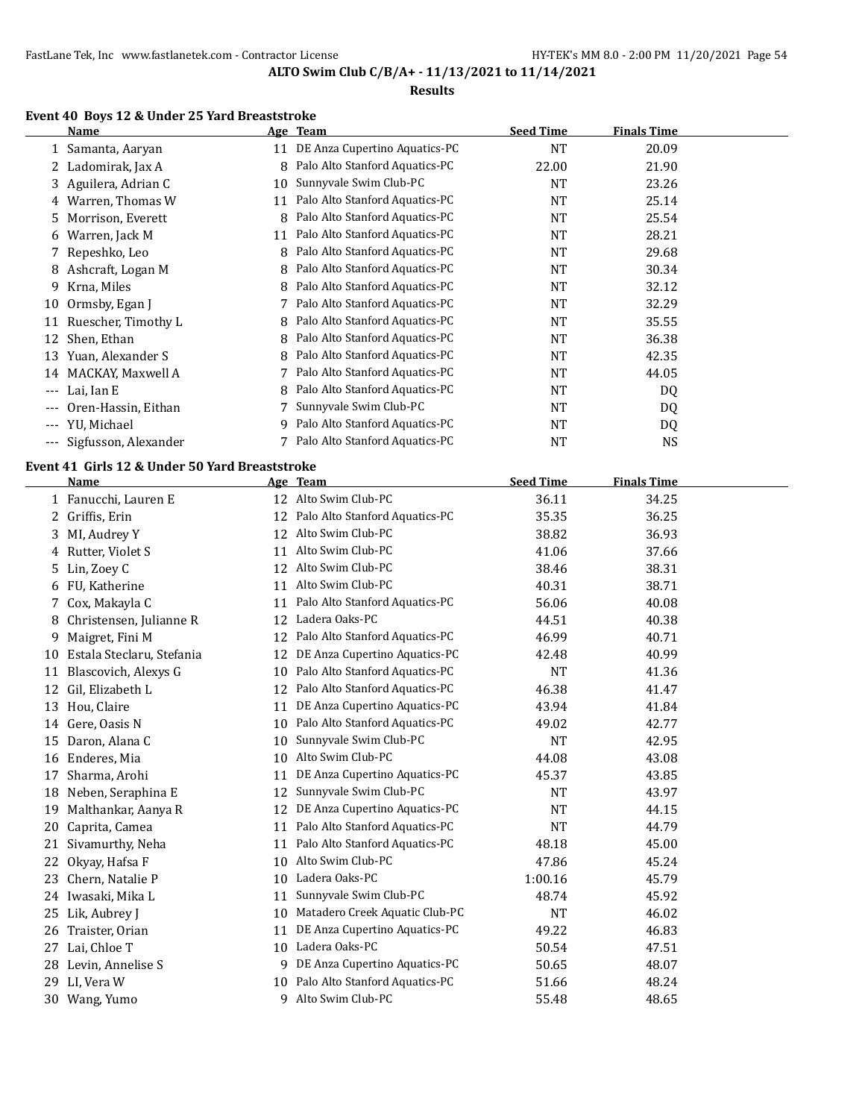### **Results**

# **Event 40 Boys 12 & Under 25 Yard Breaststroke**

|                     | Name                 |    | Age Team                       | <b>Seed Time</b> | <b>Finals Time</b> |  |
|---------------------|----------------------|----|--------------------------------|------------------|--------------------|--|
|                     | 1 Samanta, Aaryan    | 11 | DE Anza Cupertino Aquatics-PC  | NT               | 20.09              |  |
|                     | 2 Ladomirak, Jax A   | 8  | Palo Alto Stanford Aquatics-PC | 22.00            | 21.90              |  |
|                     | 3 Aguilera, Adrian C | 10 | Sunnyvale Swim Club-PC         | NT               | 23.26              |  |
| 4                   | Warren, Thomas W     | 11 | Palo Alto Stanford Aquatics-PC | NT               | 25.14              |  |
| 5.                  | Morrison, Everett    | 8  | Palo Alto Stanford Aquatics-PC | NT               | 25.54              |  |
| 6                   | Warren, Jack M       | 11 | Palo Alto Stanford Aquatics-PC | NT               | 28.21              |  |
|                     | 7 Repeshko, Leo      | 8  | Palo Alto Stanford Aquatics-PC | NT               | 29.68              |  |
| 8                   | Ashcraft, Logan M    | 8  | Palo Alto Stanford Aquatics-PC | NT               | 30.34              |  |
| 9                   | Krna, Miles          | 8  | Palo Alto Stanford Aquatics-PC | NT               | 32.12              |  |
| 10                  | Ormsby, Egan J       |    | Palo Alto Stanford Aquatics-PC | NT               | 32.29              |  |
| 11                  | Ruescher, Timothy L  | 8  | Palo Alto Stanford Aquatics-PC | <b>NT</b>        | 35.55              |  |
| 12                  | Shen, Ethan          | 8  | Palo Alto Stanford Aquatics-PC | NT               | 36.38              |  |
| 13                  | Yuan, Alexander S    | 8  | Palo Alto Stanford Aquatics-PC | NT               | 42.35              |  |
| 14                  | MACKAY, Maxwell A    |    | Palo Alto Stanford Aquatics-PC | NT               | 44.05              |  |
| $---$               | Lai, Ian E           | 8  | Palo Alto Stanford Aquatics-PC | NT               | DQ                 |  |
|                     | Oren-Hassin, Eithan  |    | Sunnyvale Swim Club-PC         | NT               | DQ                 |  |
| $\qquad \qquad - -$ | YU, Michael          | 9  | Palo Alto Stanford Aquatics-PC | NT               | DQ                 |  |
| $---$               | Sigfusson, Alexander |    | Palo Alto Stanford Aquatics-PC | NT               | <b>NS</b>          |  |

## **Event 41 Girls 12 & Under 50 Yard Breaststroke**

|    | Name                      |    | Age Team                       | <b>Seed Time</b> | <b>Finals Time</b> |  |
|----|---------------------------|----|--------------------------------|------------------|--------------------|--|
|    | 1 Fanucchi, Lauren E      | 12 | Alto Swim Club-PC              | 36.11            | 34.25              |  |
| 2  | Griffis, Erin             | 12 | Palo Alto Stanford Aquatics-PC | 35.35            | 36.25              |  |
| 3  | MI, Audrey Y              | 12 | Alto Swim Club-PC              | 38.82            | 36.93              |  |
| 4  | Rutter, Violet S          | 11 | Alto Swim Club-PC              | 41.06            | 37.66              |  |
| 5  | Lin, Zoey C               | 12 | Alto Swim Club-PC              | 38.46            | 38.31              |  |
| 6  | FU, Katherine             | 11 | Alto Swim Club-PC              | 40.31            | 38.71              |  |
| 7  | Cox, Makayla C            | 11 | Palo Alto Stanford Aquatics-PC | 56.06            | 40.08              |  |
| 8  | Christensen, Julianne R   | 12 | Ladera Oaks-PC                 | 44.51            | 40.38              |  |
| 9  | Maigret, Fini M           | 12 | Palo Alto Stanford Aquatics-PC | 46.99            | 40.71              |  |
| 10 | Estala Steclaru, Stefania | 12 | DE Anza Cupertino Aquatics-PC  | 42.48            | 40.99              |  |
| 11 | Blascovich, Alexys G      | 10 | Palo Alto Stanford Aquatics-PC | <b>NT</b>        | 41.36              |  |
| 12 | Gil, Elizabeth L          | 12 | Palo Alto Stanford Aquatics-PC | 46.38            | 41.47              |  |
| 13 | Hou, Claire               | 11 | DE Anza Cupertino Aquatics-PC  | 43.94            | 41.84              |  |
| 14 | Gere, Oasis N             | 10 | Palo Alto Stanford Aquatics-PC | 49.02            | 42.77              |  |
| 15 | Daron, Alana C            | 10 | Sunnyvale Swim Club-PC         | <b>NT</b>        | 42.95              |  |
| 16 | Enderes, Mia              | 10 | Alto Swim Club-PC              | 44.08            | 43.08              |  |
| 17 | Sharma, Arohi             | 11 | DE Anza Cupertino Aquatics-PC  | 45.37            | 43.85              |  |
| 18 | Neben, Seraphina E        | 12 | Sunnyvale Swim Club-PC         | <b>NT</b>        | 43.97              |  |
| 19 | Malthankar, Aanya R       | 12 | DE Anza Cupertino Aquatics-PC  | <b>NT</b>        | 44.15              |  |
| 20 | Caprita, Camea            | 11 | Palo Alto Stanford Aquatics-PC | <b>NT</b>        | 44.79              |  |
| 21 | Sivamurthy, Neha          | 11 | Palo Alto Stanford Aquatics-PC | 48.18            | 45.00              |  |
| 22 | Okyay, Hafsa F            | 10 | Alto Swim Club-PC              | 47.86            | 45.24              |  |
| 23 | Chern, Natalie P          | 10 | Ladera Oaks-PC                 | 1:00.16          | 45.79              |  |
| 24 | Iwasaki, Mika L           | 11 | Sunnyvale Swim Club-PC         | 48.74            | 45.92              |  |
| 25 | Lik, Aubrey J             | 10 | Matadero Creek Aquatic Club-PC | <b>NT</b>        | 46.02              |  |
| 26 | Traister, Orian           | 11 | DE Anza Cupertino Aquatics-PC  | 49.22            | 46.83              |  |
| 27 | Lai, Chloe T              | 10 | Ladera Oaks-PC                 | 50.54            | 47.51              |  |
| 28 | Levin, Annelise S         | 9  | DE Anza Cupertino Aquatics-PC  | 50.65            | 48.07              |  |
| 29 | LI, Vera W                | 10 | Palo Alto Stanford Aquatics-PC | 51.66            | 48.24              |  |
|    | 30 Wang, Yumo             | 9  | Alto Swim Club-PC              | 55.48            | 48.65              |  |
|    |                           |    |                                |                  |                    |  |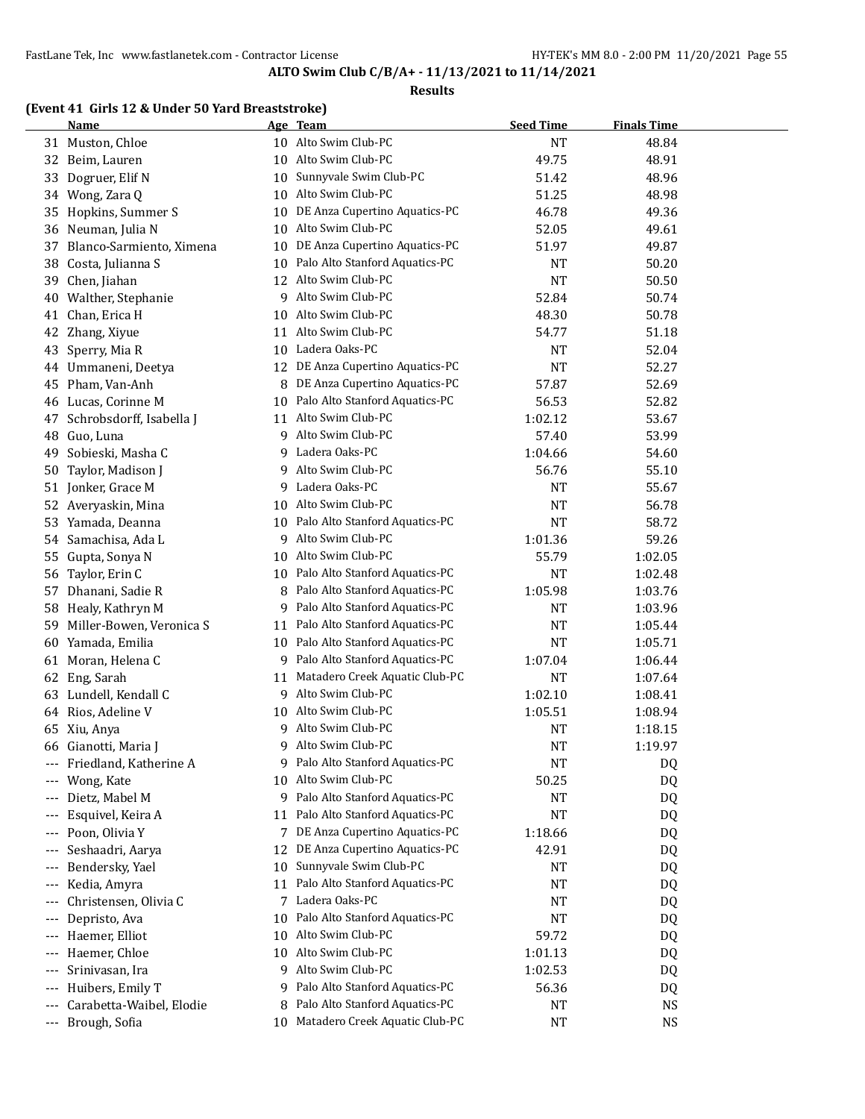#### **Results**

# **(Event 41 Girls 12 & Under 50 Yard Breaststroke)**

|       | Name                     |    | Age Team                          | <b>Seed Time</b> | <b>Finals Time</b> |  |
|-------|--------------------------|----|-----------------------------------|------------------|--------------------|--|
|       | 31 Muston, Chloe         |    | 10 Alto Swim Club-PC              | <b>NT</b>        | 48.84              |  |
| 32    | Beim, Lauren             |    | 10 Alto Swim Club-PC              | 49.75            | 48.91              |  |
| 33    | Dogruer, Elif N          | 10 | Sunnyvale Swim Club-PC            | 51.42            | 48.96              |  |
| 34    | Wong, Zara Q             | 10 | Alto Swim Club-PC                 | 51.25            | 48.98              |  |
| 35    | Hopkins, Summer S        | 10 | DE Anza Cupertino Aquatics-PC     | 46.78            | 49.36              |  |
| 36    | Neuman, Julia N          | 10 | Alto Swim Club-PC                 | 52.05            | 49.61              |  |
| 37    | Blanco-Sarmiento, Ximena | 10 | DE Anza Cupertino Aquatics-PC     | 51.97            | 49.87              |  |
| 38    | Costa, Julianna S        | 10 | Palo Alto Stanford Aquatics-PC    | <b>NT</b>        | 50.20              |  |
| 39    | Chen, Jiahan             | 12 | Alto Swim Club-PC                 | <b>NT</b>        | 50.50              |  |
| 40    | Walther, Stephanie       | 9  | Alto Swim Club-PC                 | 52.84            | 50.74              |  |
| 41    | Chan, Erica H            |    | 10 Alto Swim Club-PC              | 48.30            | 50.78              |  |
| 42    | Zhang, Xiyue             |    | 11 Alto Swim Club-PC              | 54.77            | 51.18              |  |
| 43    | Sperry, Mia R            |    | 10 Ladera Oaks-PC                 | <b>NT</b>        | 52.04              |  |
| 44    | Ummaneni, Deetya         |    | 12 DE Anza Cupertino Aquatics-PC  | <b>NT</b>        | 52.27              |  |
| 45    | Pham, Van-Anh            | 8  | DE Anza Cupertino Aquatics-PC     | 57.87            | 52.69              |  |
| 46    | Lucas, Corinne M         | 10 | Palo Alto Stanford Aquatics-PC    | 56.53            | 52.82              |  |
| 47    | Schrobsdorff, Isabella J | 11 | Alto Swim Club-PC                 | 1:02.12          | 53.67              |  |
| 48    | Guo, Luna                | 9  | Alto Swim Club-PC                 | 57.40            | 53.99              |  |
| 49    | Sobieski, Masha C        | 9. | Ladera Oaks-PC                    | 1:04.66          | 54.60              |  |
| 50    | Taylor, Madison J        | 9  | Alto Swim Club-PC                 | 56.76            | 55.10              |  |
| 51    | Jonker, Grace M          | 9. | Ladera Oaks-PC                    | <b>NT</b>        | 55.67              |  |
| 52    | Averyaskin, Mina         | 10 | Alto Swim Club-PC                 | <b>NT</b>        | 56.78              |  |
| 53    | Yamada, Deanna           |    | 10 Palo Alto Stanford Aquatics-PC | <b>NT</b>        | 58.72              |  |
| 54    | Samachisa, Ada L         | 9  | Alto Swim Club-PC                 | 1:01.36          | 59.26              |  |
| 55    | Gupta, Sonya N           | 10 | Alto Swim Club-PC                 | 55.79            | 1:02.05            |  |
| 56    | Taylor, Erin C           |    | 10 Palo Alto Stanford Aquatics-PC | <b>NT</b>        | 1:02.48            |  |
| 57    | Dhanani, Sadie R         | 8  | Palo Alto Stanford Aquatics-PC    | 1:05.98          | 1:03.76            |  |
| 58    | Healy, Kathryn M         |    | 9 Palo Alto Stanford Aquatics-PC  | NT               | 1:03.96            |  |
| 59    | Miller-Bowen, Veronica S | 11 | Palo Alto Stanford Aquatics-PC    | NT               | 1:05.44            |  |
| 60    | Yamada, Emilia           |    | 10 Palo Alto Stanford Aquatics-PC | <b>NT</b>        | 1:05.71            |  |
| 61    | Moran, Helena C          |    | 9 Palo Alto Stanford Aquatics-PC  | 1:07.04          | 1:06.44            |  |
| 62    | Eng, Sarah               | 11 | Matadero Creek Aquatic Club-PC    | <b>NT</b>        | 1:07.64            |  |
| 63    | Lundell, Kendall C       |    | 9 Alto Swim Club-PC               | 1:02.10          | 1:08.41            |  |
| 64    | Rios, Adeline V          | 10 | Alto Swim Club-PC                 | 1:05.51          | 1:08.94            |  |
| 65    | Xiu, Anya                | 9  | Alto Swim Club-PC                 | NT               | 1:18.15            |  |
| 66    | Gianotti, Maria J        | 9  | Alto Swim Club-PC                 | NT               | 1:19.97            |  |
| $---$ | Friedland, Katherine A   | 9  | Palo Alto Stanford Aquatics-PC    | NT               | DQ                 |  |
|       | Wong, Kate               | 10 | Alto Swim Club-PC                 | 50.25            | DQ                 |  |
| ---   | Dietz, Mabel M           | 9. | Palo Alto Stanford Aquatics-PC    | NT               | DQ                 |  |
| ---   | Esquivel, Keira A        | 11 | Palo Alto Stanford Aquatics-PC    | NT               | DQ                 |  |
| ---   | Poon, Olivia Y           | 7  | DE Anza Cupertino Aquatics-PC     | 1:18.66          | DQ                 |  |
| ---   | Seshaadri, Aarya         | 12 | DE Anza Cupertino Aquatics-PC     | 42.91            | DQ                 |  |
| ---   | Bendersky, Yael          | 10 | Sunnyvale Swim Club-PC            | NT               | DQ                 |  |
| ---   | Kedia, Amyra             | 11 | Palo Alto Stanford Aquatics-PC    | NT               | DQ                 |  |
| ---   | Christensen, Olivia C    | 7  | Ladera Oaks-PC                    | NT               | DQ                 |  |
| ---   | Depristo, Ava            | 10 | Palo Alto Stanford Aquatics-PC    | <b>NT</b>        | DQ                 |  |
| ---   | Haemer, Elliot           | 10 | Alto Swim Club-PC                 | 59.72            | DQ                 |  |
| ---   | Haemer, Chloe            | 10 | Alto Swim Club-PC                 | 1:01.13          | DQ                 |  |
| ---   | Srinivasan, Ira          | 9  | Alto Swim Club-PC                 | 1:02.53          | DQ                 |  |
| ---   | Huibers, Emily T         | 9  | Palo Alto Stanford Aquatics-PC    | 56.36            | DQ                 |  |
| ---   | Carabetta-Waibel, Elodie | 8  | Palo Alto Stanford Aquatics-PC    | NT               | <b>NS</b>          |  |
|       | --- Brough, Sofia        | 10 | Matadero Creek Aquatic Club-PC    | <b>NT</b>        | NS                 |  |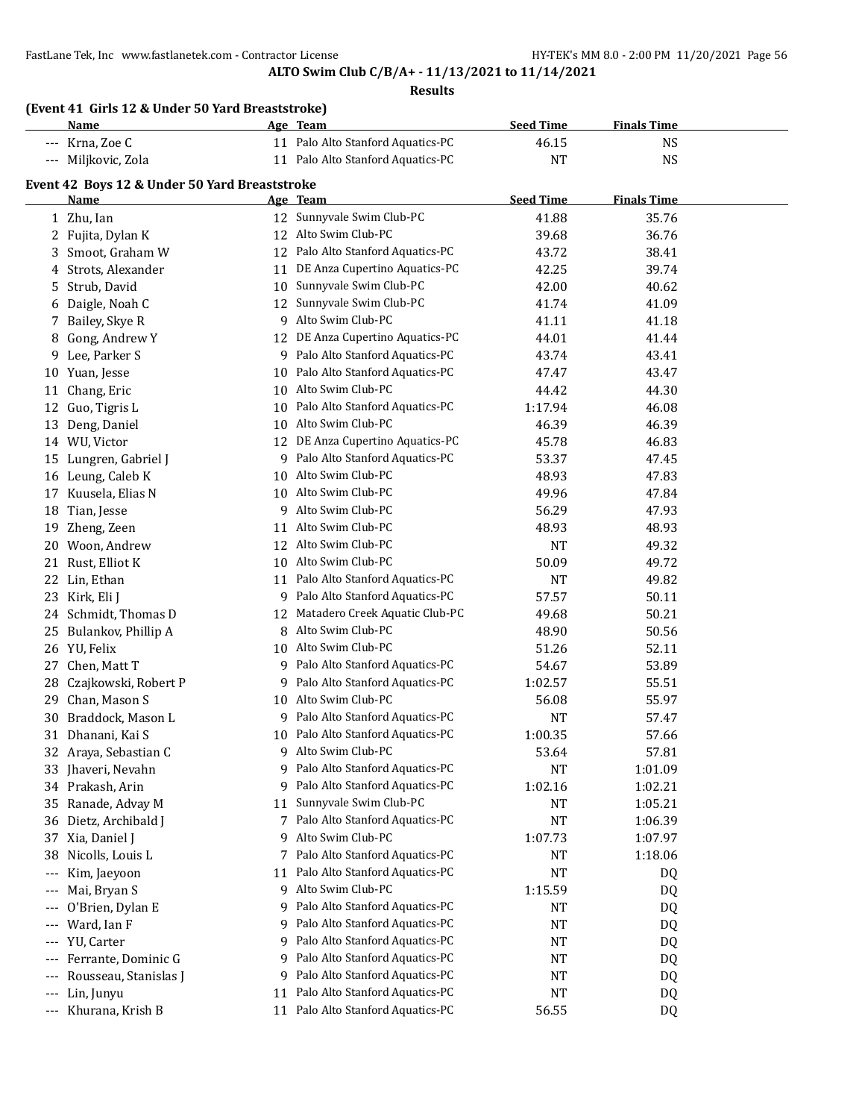|       | (Event 41 Girls 12 & Under 50 Yard Breaststroke)<br><u>Name</u> |    | Age Team                          | <b>Seed Time</b> | <b>Finals Time</b> |  |
|-------|-----------------------------------------------------------------|----|-----------------------------------|------------------|--------------------|--|
|       | --- Krna, Zoe C                                                 |    | 11 Palo Alto Stanford Aquatics-PC | 46.15            | <b>NS</b>          |  |
|       | --- Miljkovic, Zola                                             |    | 11 Palo Alto Stanford Aquatics-PC | <b>NT</b>        | <b>NS</b>          |  |
|       |                                                                 |    |                                   |                  |                    |  |
|       | Event 42 Boys 12 & Under 50 Yard Breaststroke<br><u>Name</u>    |    | Age Team                          | <b>Seed Time</b> | <b>Finals Time</b> |  |
|       | 1 Zhu, Ian                                                      |    | 12 Sunnyvale Swim Club-PC         | 41.88            | 35.76              |  |
|       | 2 Fujita, Dylan K                                               |    | 12 Alto Swim Club-PC              | 39.68            | 36.76              |  |
|       | 3 Smoot, Graham W                                               |    | 12 Palo Alto Stanford Aquatics-PC | 43.72            | 38.41              |  |
|       | 4 Strots, Alexander                                             |    | 11 DE Anza Cupertino Aquatics-PC  | 42.25            | 39.74              |  |
| 5     | Strub, David                                                    | 10 | Sunnyvale Swim Club-PC            | 42.00            | 40.62              |  |
|       | 6 Daigle, Noah C                                                | 12 | Sunnyvale Swim Club-PC            | 41.74            | 41.09              |  |
| 7     | Bailey, Skye R                                                  |    | 9 Alto Swim Club-PC               | 41.11            | 41.18              |  |
| 8     | Gong, Andrew Y                                                  |    | 12 DE Anza Cupertino Aquatics-PC  | 44.01            | 41.44              |  |
| 9     | Lee, Parker S                                                   |    | 9 Palo Alto Stanford Aquatics-PC  | 43.74            | 43.41              |  |
|       | 10 Yuan, Jesse                                                  |    | 10 Palo Alto Stanford Aquatics-PC | 47.47            | 43.47              |  |
| 11    | Chang, Eric                                                     | 10 | Alto Swim Club-PC                 | 44.42            | 44.30              |  |
| 12    | Guo, Tigris L                                                   |    | 10 Palo Alto Stanford Aquatics-PC | 1:17.94          | 46.08              |  |
| 13    | Deng, Daniel                                                    | 10 | Alto Swim Club-PC                 | 46.39            | 46.39              |  |
|       | 14 WU, Victor                                                   |    | 12 DE Anza Cupertino Aquatics-PC  | 45.78            | 46.83              |  |
| 15    | Lungren, Gabriel J                                              |    | 9 Palo Alto Stanford Aquatics-PC  | 53.37            | 47.45              |  |
|       | 16 Leung, Caleb K                                               |    | 10 Alto Swim Club-PC              | 48.93            | 47.83              |  |
| 17    | Kuusela, Elias N                                                |    | 10 Alto Swim Club-PC              | 49.96            | 47.84              |  |
| 18    | Tian, Jesse                                                     |    | 9 Alto Swim Club-PC               | 56.29            | 47.93              |  |
| 19    | Zheng, Zeen                                                     |    | 11 Alto Swim Club-PC              | 48.93            | 48.93              |  |
| 20    | Woon, Andrew                                                    |    | 12 Alto Swim Club-PC              | <b>NT</b>        | 49.32              |  |
| 21    | Rust, Elliot K                                                  |    | 10 Alto Swim Club-PC              | 50.09            | 49.72              |  |
| 22    | Lin, Ethan                                                      |    | 11 Palo Alto Stanford Aquatics-PC | <b>NT</b>        | 49.82              |  |
| 23    | Kirk, Eli J                                                     |    | 9 Palo Alto Stanford Aquatics-PC  | 57.57            | 50.11              |  |
|       | 24 Schmidt, Thomas D                                            | 12 | Matadero Creek Aquatic Club-PC    | 49.68            | 50.21              |  |
|       | 25 Bulankov, Phillip A                                          |    | 8 Alto Swim Club-PC               | 48.90            | 50.56              |  |
|       | 26 YU, Felix                                                    |    | 10 Alto Swim Club-PC              | 51.26            | 52.11              |  |
| 27    | Chen, Matt T                                                    |    | 9 Palo Alto Stanford Aquatics-PC  | 54.67            | 53.89              |  |
| 28    | Czajkowski, Robert P                                            | 9  | Palo Alto Stanford Aquatics-PC    | 1:02.57          | 55.51              |  |
| 29    | Chan, Mason S                                                   | 10 | Alto Swim Club-PC                 | 56.08            | 55.97              |  |
| 30    | Braddock, Mason L                                               |    | 9 Palo Alto Stanford Aquatics-PC  | <b>NT</b>        | 57.47              |  |
|       | 31 Dhanani, Kai S                                               | 10 | Palo Alto Stanford Aquatics-PC    | 1:00.35          | 57.66              |  |
|       | 32 Araya, Sebastian C                                           | 9  | Alto Swim Club-PC                 | 53.64            | 57.81              |  |
| 33    | Jhaveri, Nevahn                                                 | 9  | Palo Alto Stanford Aquatics-PC    | <b>NT</b>        | 1:01.09            |  |
|       | 34 Prakash, Arin                                                | 9  | Palo Alto Stanford Aquatics-PC    | 1:02.16          | 1:02.21            |  |
| 35    | Ranade, Advay M                                                 | 11 | Sunnyvale Swim Club-PC            | NT               | 1:05.21            |  |
| 36    | Dietz, Archibald J                                              | 7  | Palo Alto Stanford Aquatics-PC    | <b>NT</b>        | 1:06.39            |  |
| 37    | Xia, Daniel J                                                   | 9  | Alto Swim Club-PC                 | 1:07.73          | 1:07.97            |  |
| 38    | Nicolls, Louis L                                                | 7  | Palo Alto Stanford Aquatics-PC    | NT               | 1:18.06            |  |
| ---   | Kim, Jaeyoon                                                    | 11 | Palo Alto Stanford Aquatics-PC    | NT               | DQ                 |  |
| ---   | Mai, Bryan S                                                    | 9  | Alto Swim Club-PC                 | 1:15.59          | DQ                 |  |
| $---$ | O'Brien, Dylan E                                                | 9  | Palo Alto Stanford Aquatics-PC    | <b>NT</b>        | DQ                 |  |
| ---   | Ward, Ian F                                                     | 9  | Palo Alto Stanford Aquatics-PC    | NT               | DQ                 |  |
| ---   | YU, Carter                                                      | 9  | Palo Alto Stanford Aquatics-PC    | NT               | DQ                 |  |
| ---   | Ferrante, Dominic G                                             | 9  | Palo Alto Stanford Aquatics-PC    | NT               | DQ                 |  |
| ---   | Rousseau, Stanislas J                                           | 9  | Palo Alto Stanford Aquatics-PC    | <b>NT</b>        | DQ                 |  |
| ---   | Lin, Junyu                                                      | 11 | Palo Alto Stanford Aquatics-PC    | NT               | DQ                 |  |
|       |                                                                 |    | Palo Alto Stanford Aquatics-PC    | 56.55            |                    |  |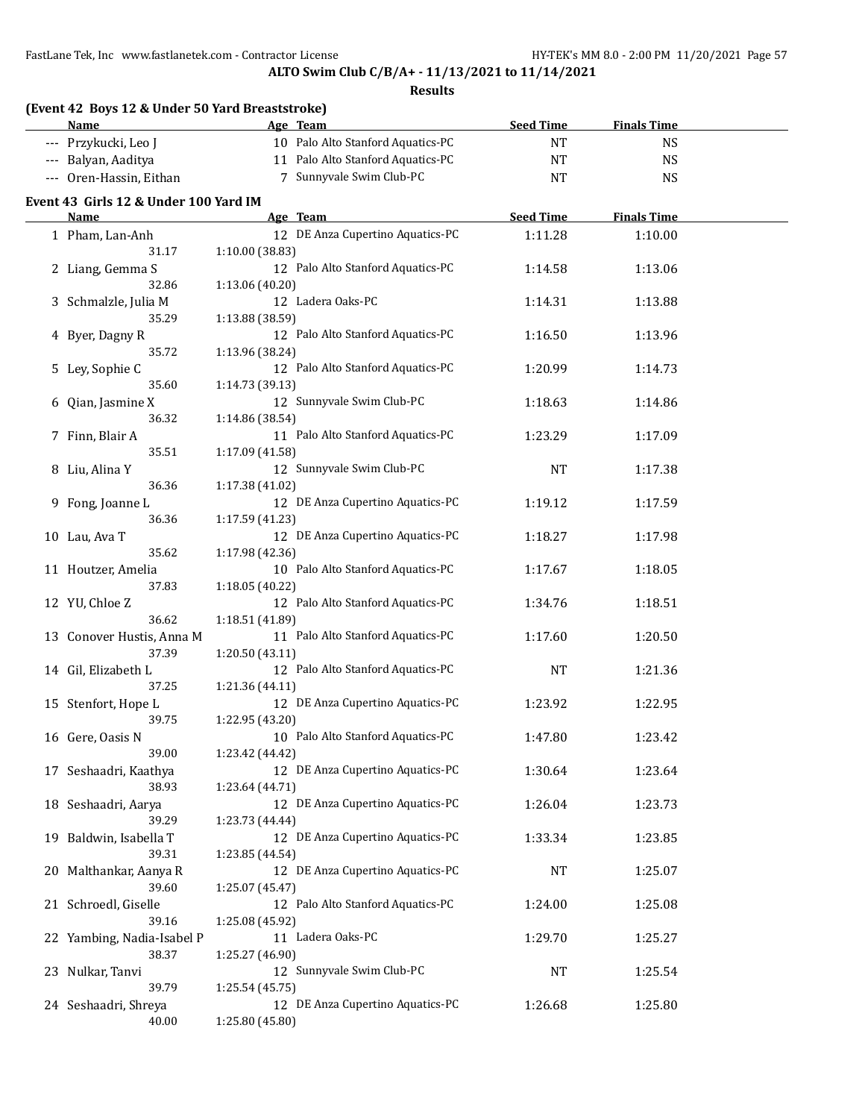**ALTO Swim Club C/B/A+ - 11/13/2021 to 11/14/2021**

| (Event 42 Boys 12 & Under 50 Yard Breaststroke) |                 |                                   |                  |                    |  |
|-------------------------------------------------|-----------------|-----------------------------------|------------------|--------------------|--|
| Name                                            |                 | Age Team                          | <b>Seed Time</b> | <b>Finals Time</b> |  |
| --- Przykucki, Leo J                            |                 | 10 Palo Alto Stanford Aquatics-PC | <b>NT</b>        | <b>NS</b>          |  |
| --- Balyan, Aaditya                             |                 | 11 Palo Alto Stanford Aquatics-PC | NT               | <b>NS</b>          |  |
| --- Oren-Hassin, Eithan                         |                 | 7 Sunnyvale Swim Club-PC          | <b>NT</b>        | <b>NS</b>          |  |
| Event 43 Girls 12 & Under 100 Yard IM           |                 |                                   |                  |                    |  |
| Name                                            |                 | Age Team                          | <b>Seed Time</b> | <b>Finals Time</b> |  |
| 1 Pham, Lan-Anh                                 |                 | 12 DE Anza Cupertino Aquatics-PC  | 1:11.28          | 1:10.00            |  |
| 31.17                                           | 1:10.00 (38.83) |                                   |                  |                    |  |
| 2 Liang, Gemma S                                |                 | 12 Palo Alto Stanford Aquatics-PC | 1:14.58          | 1:13.06            |  |
| 32.86                                           | 1:13.06 (40.20) |                                   |                  |                    |  |
| 3 Schmalzle, Julia M                            |                 | 12 Ladera Oaks-PC                 | 1:14.31          | 1:13.88            |  |
| 35.29                                           | 1:13.88 (38.59) |                                   |                  |                    |  |
| 4 Byer, Dagny R                                 |                 | 12 Palo Alto Stanford Aquatics-PC | 1:16.50          | 1:13.96            |  |
| 35.72                                           | 1:13.96 (38.24) |                                   |                  |                    |  |
| 5 Ley, Sophie C                                 |                 | 12 Palo Alto Stanford Aquatics-PC | 1:20.99          | 1:14.73            |  |
| 35.60                                           | 1:14.73 (39.13) |                                   |                  |                    |  |
| 6 Qian, Jasmine X                               |                 | 12 Sunnyvale Swim Club-PC         | 1:18.63          | 1:14.86            |  |
| 36.32                                           | 1:14.86 (38.54) |                                   |                  |                    |  |
| 7 Finn, Blair A                                 |                 | 11 Palo Alto Stanford Aquatics-PC | 1:23.29          | 1:17.09            |  |
| 35.51                                           | 1:17.09 (41.58) |                                   |                  |                    |  |
| 8 Liu, Alina Y                                  |                 | 12 Sunnyvale Swim Club-PC         | <b>NT</b>        | 1:17.38            |  |
| 36.36                                           | 1:17.38 (41.02) |                                   |                  |                    |  |
| 9 Fong, Joanne L                                |                 | 12 DE Anza Cupertino Aquatics-PC  | 1:19.12          | 1:17.59            |  |
| 36.36                                           | 1:17.59 (41.23) |                                   |                  |                    |  |
| 10 Lau, Ava T                                   |                 | 12 DE Anza Cupertino Aquatics-PC  | 1:18.27          | 1:17.98            |  |
| 35.62                                           | 1:17.98 (42.36) |                                   |                  |                    |  |
| 11 Houtzer, Amelia                              |                 | 10 Palo Alto Stanford Aquatics-PC | 1:17.67          | 1:18.05            |  |
| 37.83                                           | 1:18.05 (40.22) |                                   |                  |                    |  |
| 12 YU, Chloe Z                                  |                 | 12 Palo Alto Stanford Aquatics-PC | 1:34.76          | 1:18.51            |  |
| 36.62                                           | 1:18.51 (41.89) |                                   |                  |                    |  |
| 13 Conover Hustis, Anna M                       |                 | 11 Palo Alto Stanford Aquatics-PC | 1:17.60          | 1:20.50            |  |
| 37.39                                           | 1:20.50 (43.11) |                                   |                  |                    |  |
| 14 Gil, Elizabeth L                             |                 | 12 Palo Alto Stanford Aquatics-PC | <b>NT</b>        | 1:21.36            |  |
| 37.25                                           | 1:21.36 (44.11) |                                   |                  |                    |  |
| 15 Stenfort, Hope L                             |                 | 12 DE Anza Cupertino Aquatics-PC  | 1:23.92          | 1:22.95            |  |
| 39.75                                           | 1:22.95 (43.20) |                                   |                  |                    |  |
| 16 Gere, Oasis N                                |                 | 10 Palo Alto Stanford Aquatics-PC | 1:47.80          | 1:23.42            |  |
| 39.00                                           | 1:23.42 (44.42) |                                   |                  |                    |  |
| 17 Seshaadri, Kaathya                           |                 | 12 DE Anza Cupertino Aquatics-PC  | 1:30.64          | 1:23.64            |  |
| 38.93                                           | 1:23.64 (44.71) |                                   |                  |                    |  |
| 18 Seshaadri, Aarya                             |                 | 12 DE Anza Cupertino Aquatics-PC  | 1:26.04          | 1:23.73            |  |
| 39.29                                           | 1:23.73 (44.44) |                                   |                  |                    |  |
| 19 Baldwin, Isabella T                          |                 | 12 DE Anza Cupertino Aquatics-PC  | 1:33.34          | 1:23.85            |  |
| 39.31                                           | 1:23.85 (44.54) |                                   |                  |                    |  |
| 20 Malthankar, Aanya R                          |                 | 12 DE Anza Cupertino Aquatics-PC  | NT               | 1:25.07            |  |
| 39.60                                           | 1:25.07 (45.47) |                                   |                  |                    |  |
| 21 Schroedl, Giselle                            |                 | 12 Palo Alto Stanford Aquatics-PC | 1:24.00          | 1:25.08            |  |
| 39.16                                           | 1:25.08 (45.92) |                                   |                  |                    |  |
| 22 Yambing, Nadia-Isabel P                      |                 | 11 Ladera Oaks-PC                 | 1:29.70          | 1:25.27            |  |
| 38.37                                           | 1:25.27 (46.90) |                                   |                  |                    |  |
| 23 Nulkar, Tanvi                                |                 | 12 Sunnyvale Swim Club-PC         | NT               | 1:25.54            |  |
| 39.79                                           | 1:25.54 (45.75) |                                   |                  |                    |  |
| 24 Seshaadri, Shreya                            |                 | 12 DE Anza Cupertino Aquatics-PC  | 1:26.68          | 1:25.80            |  |
| 40.00                                           | 1:25.80 (45.80) |                                   |                  |                    |  |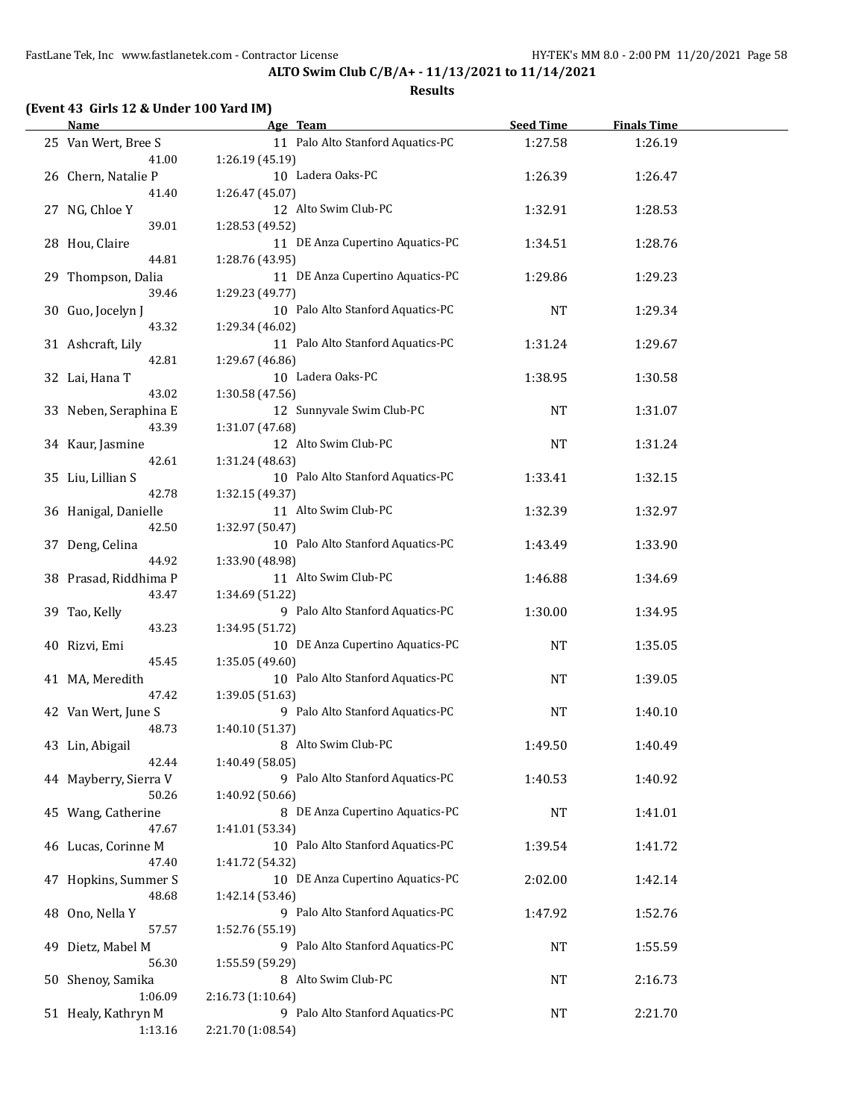| (Event 43 Girls 12 & Under 100 Yard IM) |  |  |  |  |
|-----------------------------------------|--|--|--|--|
|-----------------------------------------|--|--|--|--|

|    | <b>Name</b>                    | Age Team                                              | <b>Seed Time</b> | <b>Finals Time</b> |  |
|----|--------------------------------|-------------------------------------------------------|------------------|--------------------|--|
|    | 25 Van Wert, Bree S<br>41.00   | 11 Palo Alto Stanford Aquatics-PC<br>1:26.19 (45.19)  | 1:27.58          | 1:26.19            |  |
|    | 26 Chern, Natalie P            | 10 Ladera Oaks-PC                                     | 1:26.39          | 1:26.47            |  |
|    | 41.40<br>27 NG, Chloe Y        | 1:26.47 (45.07)<br>12 Alto Swim Club-PC               | 1:32.91          | 1:28.53            |  |
|    | 39.01<br>28 Hou, Claire        | 1:28.53 (49.52)<br>11 DE Anza Cupertino Aquatics-PC   | 1:34.51          | 1:28.76            |  |
|    | 44.81<br>29 Thompson, Dalia    | 1:28.76 (43.95)<br>11 DE Anza Cupertino Aquatics-PC   | 1:29.86          | 1:29.23            |  |
|    | 39.46<br>30 Guo, Jocelyn J     | 1:29.23 (49.77)<br>10 Palo Alto Stanford Aquatics-PC  | <b>NT</b>        | 1:29.34            |  |
|    | 43.32                          | 1:29.34 (46.02)<br>11 Palo Alto Stanford Aquatics-PC  |                  |                    |  |
|    | 31 Ashcraft, Lily<br>42.81     | 1:29.67 (46.86)                                       | 1:31.24          | 1:29.67            |  |
|    | 32 Lai, Hana T<br>43.02        | 10 Ladera Oaks-PC<br>1:30.58 (47.56)                  | 1:38.95          | 1:30.58            |  |
|    | 33 Neben, Seraphina E<br>43.39 | 12 Sunnyvale Swim Club-PC<br>1:31.07 (47.68)          | NT               | 1:31.07            |  |
|    | 34 Kaur, Jasmine<br>42.61      | 12 Alto Swim Club-PC<br>1:31.24 (48.63)               | NT               | 1:31.24            |  |
|    | 35 Liu, Lillian S<br>42.78     | 10 Palo Alto Stanford Aquatics-PC<br>1:32.15 (49.37)  | 1:33.41          | 1:32.15            |  |
|    | 36 Hanigal, Danielle           | 11 Alto Swim Club-PC                                  | 1:32.39          | 1:32.97            |  |
|    | 42.50<br>37 Deng, Celina       | 1:32.97 (50.47)<br>10 Palo Alto Stanford Aquatics-PC  | 1:43.49          | 1:33.90            |  |
|    | 44.92<br>38 Prasad, Riddhima P | 1:33.90 (48.98)<br>11 Alto Swim Club-PC               | 1:46.88          | 1:34.69            |  |
|    | 43.47<br>39 Tao, Kelly         | 1:34.69 (51.22)<br>9 Palo Alto Stanford Aquatics-PC   | 1:30.00          | 1:34.95            |  |
|    | 43.23<br>40 Rizvi, Emi         | 1:34.95 (51.72)<br>10 DE Anza Cupertino Aquatics-PC   | NT               | 1:35.05            |  |
|    | 45.45<br>41 MA, Meredith       | 1:35.05 (49.60)<br>10 Palo Alto Stanford Aquatics-PC  | NT               | 1:39.05            |  |
|    | 47.42<br>42 Van Wert, June S   | 1:39.05 (51.63)<br>9 Palo Alto Stanford Aquatics-PC   | NT               | 1:40.10            |  |
|    | 48.73                          | 1:40.10 (51.37)<br>8 Alto Swim Club-PC                |                  |                    |  |
|    | 43 Lin, Abigail<br>42.44       | 1:40.49 (58.05)                                       | 1:49.50          | 1:40.49            |  |
|    | 44 Mayberry, Sierra V<br>50.26 | 9 Palo Alto Stanford Aquatics-PC<br>1:40.92 (50.66)   | 1:40.53          | 1:40.92            |  |
|    | 45 Wang, Catherine<br>47.67    | 8 DE Anza Cupertino Aquatics-PC<br>1:41.01 (53.34)    | NT               | 1:41.01            |  |
|    | 46 Lucas, Corinne M<br>47.40   | 10 Palo Alto Stanford Aquatics-PC<br>1:41.72 (54.32)  | 1:39.54          | 1:41.72            |  |
|    | 47 Hopkins, Summer S<br>48.68  | 10 DE Anza Cupertino Aquatics-PC<br>1:42.14 (53.46)   | 2:02.00          | 1:42.14            |  |
|    | 48 Ono, Nella Y<br>57.57       | 9 Palo Alto Stanford Aquatics-PC                      | 1:47.92          | 1:52.76            |  |
| 49 | Dietz, Mabel M                 | 1:52.76 (55.19)<br>9 Palo Alto Stanford Aquatics-PC   | <b>NT</b>        | 1:55.59            |  |
|    | 56.30<br>50 Shenoy, Samika     | 1:55.59 (59.29)<br>8 Alto Swim Club-PC                | NT               | 2:16.73            |  |
|    | 1:06.09<br>51 Healy, Kathryn M | 2:16.73 (1:10.64)<br>9 Palo Alto Stanford Aquatics-PC | NT               | 2:21.70            |  |
|    | 1:13.16                        | 2:21.70 (1:08.54)                                     |                  |                    |  |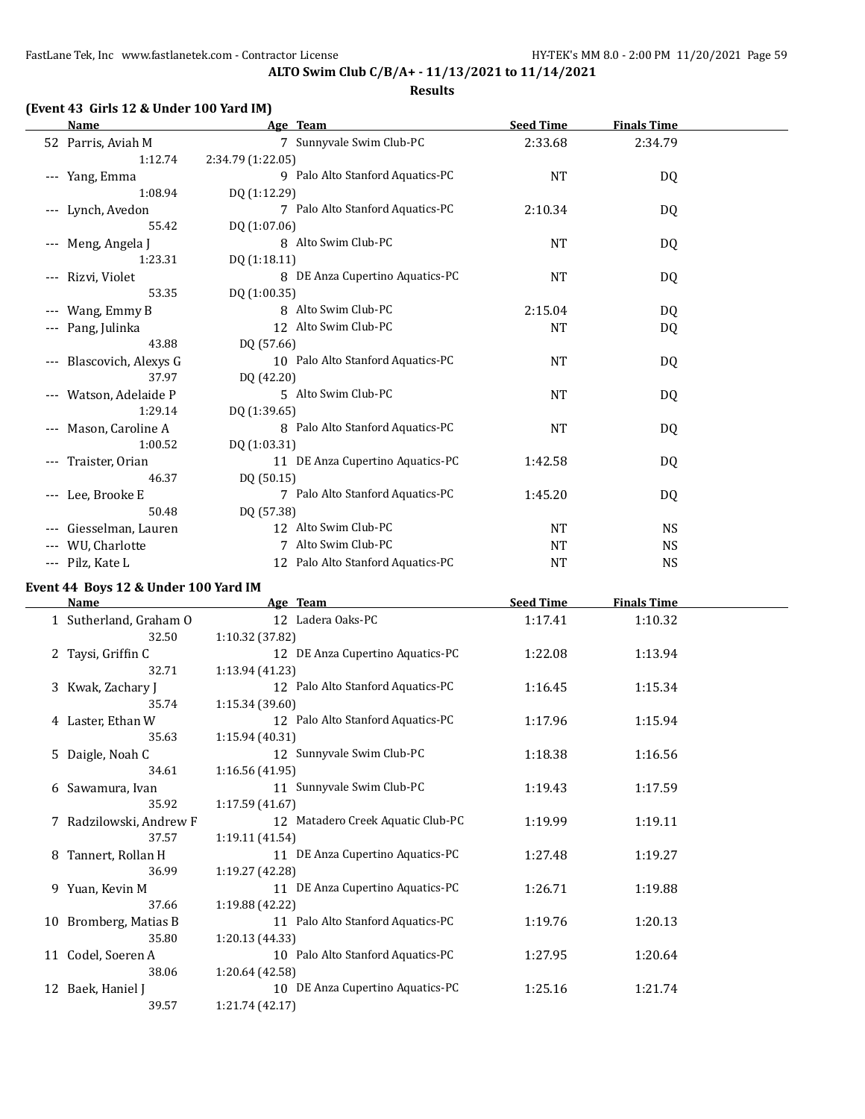**ALTO Swim Club C/B/A+ - 11/13/2021 to 11/14/2021 Results**

## **(Event 43 Girls 12 & Under 100 Yard IM)**

| Name                                 | Age Team                          | <b>Seed Time</b> | <b>Finals Time</b> |  |
|--------------------------------------|-----------------------------------|------------------|--------------------|--|
| 52 Parris, Aviah M                   | 7 Sunnyvale Swim Club-PC          | 2:33.68          | 2:34.79            |  |
| 1:12.74                              | 2:34.79 (1:22.05)                 |                  |                    |  |
| --- Yang, Emma                       | 9 Palo Alto Stanford Aquatics-PC  | <b>NT</b>        | DQ                 |  |
| 1:08.94                              | DQ (1:12.29)                      |                  |                    |  |
| --- Lynch, Avedon                    | 7 Palo Alto Stanford Aquatics-PC  | 2:10.34          | DQ                 |  |
| 55.42                                | DQ (1:07.06)                      |                  |                    |  |
| Meng, Angela J<br>$---$              | 8 Alto Swim Club-PC               | <b>NT</b>        | DQ                 |  |
| 1:23.31                              | DQ (1:18.11)                      |                  |                    |  |
| Rizvi, Violet<br>$\qquad \qquad - -$ | 8 DE Anza Cupertino Aquatics-PC   | <b>NT</b>        | DQ                 |  |
| 53.35                                | DQ (1:00.35)                      |                  |                    |  |
| Wang, Emmy B                         | 8 Alto Swim Club-PC               | 2:15.04          | DQ                 |  |
| Pang, Julinka                        | 12 Alto Swim Club-PC              | <b>NT</b>        | DQ                 |  |
| 43.88                                | DQ (57.66)                        |                  |                    |  |
| Blascovich, Alexys G                 | 10 Palo Alto Stanford Aquatics-PC | <b>NT</b>        | DQ                 |  |
| 37.97                                | DQ (42.20)                        |                  |                    |  |
| Watson, Adelaide P                   | 5 Alto Swim Club-PC               | <b>NT</b>        | DQ                 |  |
| 1:29.14                              | DQ (1:39.65)                      |                  |                    |  |
| Mason, Caroline A                    | 8 Palo Alto Stanford Aquatics-PC  | NT               | DQ                 |  |
| 1:00.52                              | DQ (1:03.31)                      |                  |                    |  |
| Traister, Orian                      | 11 DE Anza Cupertino Aquatics-PC  | 1:42.58          | DQ                 |  |
| 46.37                                | DQ (50.15)                        |                  |                    |  |
| Lee, Brooke E<br>$\qquad \qquad - -$ | 7 Palo Alto Stanford Aquatics-PC  | 1:45.20          | DQ                 |  |
| 50.48                                | DQ (57.38)                        |                  |                    |  |
| Giesselman, Lauren                   | 12 Alto Swim Club-PC              | <b>NT</b>        | <b>NS</b>          |  |
| WU, Charlotte                        | 7 Alto Swim Club-PC               | <b>NT</b>        | <b>NS</b>          |  |
| --- Pilz, Kate L                     | 12 Palo Alto Stanford Aquatics-PC | <b>NT</b>        | <b>NS</b>          |  |

## **Event 44 Boys 12 & Under 100 Yard IM**

| <b>Name</b>             | Age Team                          | <b>Seed Time</b> | <b>Finals Time</b> |  |
|-------------------------|-----------------------------------|------------------|--------------------|--|
| 1 Sutherland, Graham O  | 12 Ladera Oaks-PC                 | 1:17.41          | 1:10.32            |  |
| 32.50                   | 1:10.32 (37.82)                   |                  |                    |  |
| 2 Taysi, Griffin C      | 12 DE Anza Cupertino Aquatics-PC  | 1:22.08          | 1:13.94            |  |
| 32.71                   | 1:13.94 (41.23)                   |                  |                    |  |
| 3 Kwak, Zachary J       | 12 Palo Alto Stanford Aquatics-PC | 1:16.45          | 1:15.34            |  |
| 35.74                   | 1:15.34 (39.60)                   |                  |                    |  |
| 4 Laster, Ethan W       | 12 Palo Alto Stanford Aquatics-PC | 1:17.96          | 1:15.94            |  |
| 35.63                   | 1:15.94(40.31)                    |                  |                    |  |
| 5 Daigle, Noah C        | 12 Sunnyvale Swim Club-PC         | 1:18.38          | 1:16.56            |  |
| 34.61                   | 1:16.56(41.95)                    |                  |                    |  |
| 6 Sawamura, Ivan        | 11 Sunnyvale Swim Club-PC         | 1:19.43          | 1:17.59            |  |
| 35.92                   | 1:17.59 (41.67)                   |                  |                    |  |
| 7 Radzilowski, Andrew F | 12 Matadero Creek Aquatic Club-PC | 1:19.99          | 1:19.11            |  |
| 37.57                   | 1:19.11(41.54)                    |                  |                    |  |
| 8 Tannert, Rollan H     | 11 DE Anza Cupertino Aquatics-PC  | 1:27.48          | 1:19.27            |  |
| 36.99                   | 1:19.27 (42.28)                   |                  |                    |  |
| 9 Yuan, Kevin M         | 11 DE Anza Cupertino Aquatics-PC  | 1:26.71          | 1:19.88            |  |
| 37.66                   | 1:19.88 (42.22)                   |                  |                    |  |
| 10 Bromberg, Matias B   | 11 Palo Alto Stanford Aquatics-PC | 1:19.76          | 1:20.13            |  |
| 35.80                   | 1:20.13(44.33)                    |                  |                    |  |
| 11 Codel, Soeren A      | 10 Palo Alto Stanford Aquatics-PC | 1:27.95          | 1:20.64            |  |
| 38.06                   | 1:20.64 (42.58)                   |                  |                    |  |
| 12 Baek, Haniel J       | 10 DE Anza Cupertino Aquatics-PC  | 1:25.16          | 1:21.74            |  |
| 39.57                   | 1:21.74 (42.17)                   |                  |                    |  |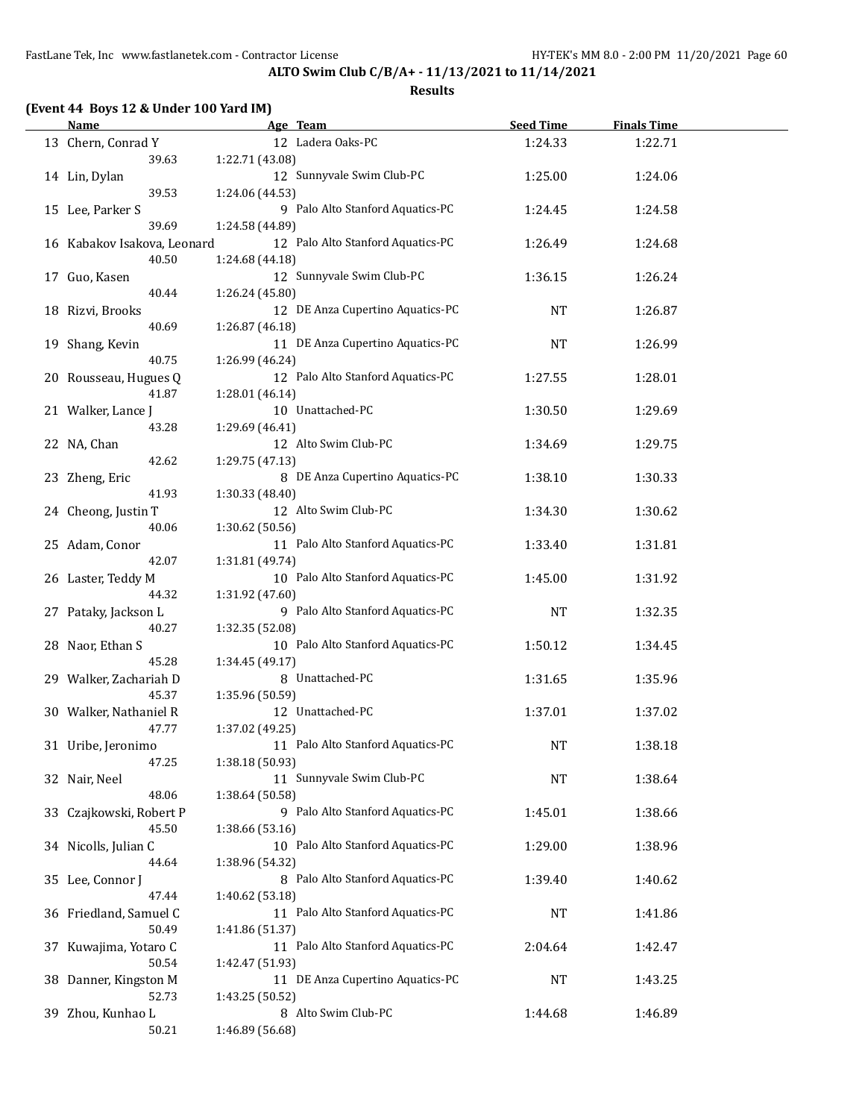**ALTO Swim Club C/B/A+ - 11/13/2021 to 11/14/2021**

## **(Event 44 Boys 12 & Under 100 Yard IM)**

| Name                        | Age Team                          | <b>Seed Time</b> | <b>Finals Time</b> |  |
|-----------------------------|-----------------------------------|------------------|--------------------|--|
| 13 Chern, Conrad Y          | 12 Ladera Oaks-PC                 | 1:24.33          | 1:22.71            |  |
| 39.63                       | 1:22.71 (43.08)                   |                  |                    |  |
| 14 Lin, Dylan               | 12 Sunnyvale Swim Club-PC         | 1:25.00          | 1:24.06            |  |
| 39.53                       | 1:24.06 (44.53)                   |                  |                    |  |
| 15 Lee, Parker S            | 9 Palo Alto Stanford Aquatics-PC  | 1:24.45          | 1:24.58            |  |
| 39.69                       | 1:24.58 (44.89)                   |                  |                    |  |
| 16 Kabakov Isakova, Leonard | 12 Palo Alto Stanford Aquatics-PC | 1:26.49          | 1:24.68            |  |
| 40.50                       | 1:24.68 (44.18)                   |                  |                    |  |
| 17 Guo, Kasen               | 12 Sunnyvale Swim Club-PC         | 1:36.15          | 1:26.24            |  |
| 40.44                       | 1:26.24 (45.80)                   |                  |                    |  |
| 18 Rizvi, Brooks            | 12 DE Anza Cupertino Aquatics-PC  | NT               | 1:26.87            |  |
| 40.69                       | 1:26.87 (46.18)                   |                  |                    |  |
| 19 Shang, Kevin             | 11 DE Anza Cupertino Aquatics-PC  | <b>NT</b>        | 1:26.99            |  |
| 40.75                       | 1:26.99 (46.24)                   |                  |                    |  |
| 20 Rousseau, Hugues Q       | 12 Palo Alto Stanford Aquatics-PC | 1:27.55          | 1:28.01            |  |
| 41.87                       | 1:28.01 (46.14)                   |                  |                    |  |
| 21 Walker, Lance J          | 10 Unattached-PC                  | 1:30.50          | 1:29.69            |  |
| 43.28                       | 1:29.69 (46.41)                   |                  |                    |  |
| 22 NA, Chan                 | 12 Alto Swim Club-PC              | 1:34.69          | 1:29.75            |  |
| 42.62                       | 1:29.75 (47.13)                   |                  |                    |  |
| 23 Zheng, Eric              | 8 DE Anza Cupertino Aquatics-PC   | 1:38.10          | 1:30.33            |  |
| 41.93                       | 1:30.33 (48.40)                   |                  |                    |  |
| 24 Cheong, Justin T         | 12 Alto Swim Club-PC              | 1:34.30          | 1:30.62            |  |
| 40.06                       | 1:30.62 (50.56)                   |                  |                    |  |
| 25 Adam, Conor              | 11 Palo Alto Stanford Aquatics-PC | 1:33.40          | 1:31.81            |  |
| 42.07                       | 1:31.81 (49.74)                   |                  |                    |  |
| 26 Laster, Teddy M          | 10 Palo Alto Stanford Aquatics-PC | 1:45.00          | 1:31.92            |  |
| 44.32                       | 1:31.92 (47.60)                   |                  |                    |  |
| 27 Pataky, Jackson L        | 9 Palo Alto Stanford Aquatics-PC  | <b>NT</b>        | 1:32.35            |  |
| 40.27                       | 1:32.35 (52.08)                   |                  |                    |  |
| 28 Naor, Ethan S            | 10 Palo Alto Stanford Aquatics-PC | 1:50.12          | 1:34.45            |  |
| 45.28                       | 1:34.45 (49.17)                   |                  |                    |  |
| 29 Walker, Zachariah D      | 8 Unattached-PC                   | 1:31.65          | 1:35.96            |  |
| 45.37                       | 1:35.96 (50.59)                   |                  |                    |  |
| 30 Walker, Nathaniel R      | 12 Unattached-PC                  | 1:37.01          | 1:37.02            |  |
| 47.77                       | 1:37.02 (49.25)                   |                  |                    |  |
| 31 Uribe, Jeronimo          | 11 Palo Alto Stanford Aquatics-PC | NT               | 1:38.18            |  |
| 47.25                       | 1:38.18 (50.93)                   |                  |                    |  |
| 32 Nair, Neel               | 11 Sunnyvale Swim Club-PC         | NT               | 1:38.64            |  |
| 48.06                       | 1:38.64 (50.58)                   |                  |                    |  |
| 33 Czajkowski, Robert P     | 9 Palo Alto Stanford Aquatics-PC  | 1:45.01          | 1:38.66            |  |
| 45.50                       | 1:38.66 (53.16)                   |                  |                    |  |
| 34 Nicolls, Julian C        | 10 Palo Alto Stanford Aquatics-PC | 1:29.00          | 1:38.96            |  |
| 44.64                       | 1:38.96 (54.32)                   |                  |                    |  |
| 35 Lee, Connor J            | 8 Palo Alto Stanford Aquatics-PC  | 1:39.40          | 1:40.62            |  |
| 47.44                       | 1:40.62 (53.18)                   |                  |                    |  |
| 36 Friedland, Samuel C      | 11 Palo Alto Stanford Aquatics-PC | NT               | 1:41.86            |  |
| 50.49                       | 1:41.86 (51.37)                   |                  |                    |  |
| 37 Kuwajima, Yotaro C       | 11 Palo Alto Stanford Aquatics-PC | 2:04.64          | 1:42.47            |  |
| 50.54                       | 1:42.47 (51.93)                   |                  |                    |  |
| 38 Danner, Kingston M       | 11 DE Anza Cupertino Aquatics-PC  | NT               | 1:43.25            |  |
| 52.73                       | 1:43.25 (50.52)                   |                  |                    |  |
| 39 Zhou, Kunhao L           | 8 Alto Swim Club-PC               | 1:44.68          | 1:46.89            |  |
| 50.21                       | 1:46.89 (56.68)                   |                  |                    |  |
|                             |                                   |                  |                    |  |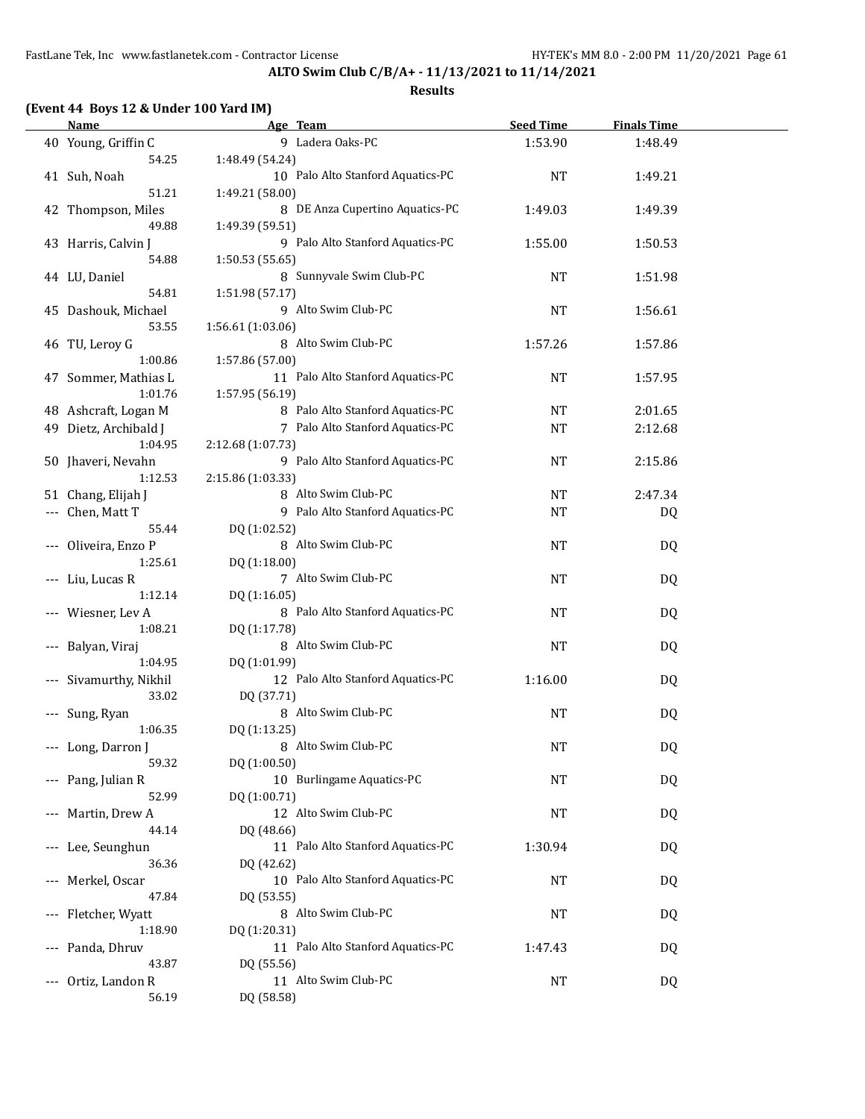| (Event 44 Boys 12 & Under 100 Yard IM) |
|----------------------------------------|
|----------------------------------------|

|                     | Name                  | Age Team                               | <b>Seed Time</b> | <b>Finals Time</b> |  |
|---------------------|-----------------------|----------------------------------------|------------------|--------------------|--|
|                     | 40 Young, Griffin C   | 9 Ladera Oaks-PC                       | 1:53.90          | 1:48.49            |  |
|                     | 54.25                 | 1:48.49 (54.24)                        |                  |                    |  |
|                     | 41 Suh, Noah          | 10 Palo Alto Stanford Aquatics-PC      | <b>NT</b>        | 1:49.21            |  |
|                     | 51.21                 | 1:49.21 (58.00)                        |                  |                    |  |
|                     | 42 Thompson, Miles    | 8 DE Anza Cupertino Aquatics-PC        | 1:49.03          | 1:49.39            |  |
|                     | 49.88                 | 1:49.39 (59.51)                        |                  |                    |  |
|                     | 43 Harris, Calvin J   | 9 Palo Alto Stanford Aquatics-PC       | 1:55.00          | 1:50.53            |  |
|                     | 54.88                 | 1:50.53 (55.65)                        |                  |                    |  |
|                     |                       | 8 Sunnyvale Swim Club-PC               | <b>NT</b>        |                    |  |
|                     | 44 LU, Daniel         |                                        |                  | 1:51.98            |  |
|                     | 54.81                 | 1:51.98 (57.17)<br>9 Alto Swim Club-PC |                  |                    |  |
|                     | 45 Dashouk, Michael   |                                        | <b>NT</b>        | 1:56.61            |  |
|                     | 53.55                 | 1:56.61 (1:03.06)                      |                  |                    |  |
|                     | 46 TU, Leroy G        | 8 Alto Swim Club-PC                    | 1:57.26          | 1:57.86            |  |
|                     | 1:00.86               | 1:57.86 (57.00)                        |                  |                    |  |
|                     | 47 Sommer, Mathias L  | 11 Palo Alto Stanford Aquatics-PC      | <b>NT</b>        | 1:57.95            |  |
|                     | 1:01.76               | 1:57.95 (56.19)                        |                  |                    |  |
|                     | 48 Ashcraft, Logan M  | 8 Palo Alto Stanford Aquatics-PC       | <b>NT</b>        | 2:01.65            |  |
|                     | 49 Dietz, Archibald J | 7 Palo Alto Stanford Aquatics-PC       | <b>NT</b>        | 2:12.68            |  |
|                     | 1:04.95               | 2:12.68 (1:07.73)                      |                  |                    |  |
|                     | 50 Jhaveri, Nevahn    | 9 Palo Alto Stanford Aquatics-PC       | NT               | 2:15.86            |  |
|                     | 1:12.53               | 2:15.86 (1:03.33)                      |                  |                    |  |
|                     | 51 Chang, Elijah J    | 8 Alto Swim Club-PC                    | NT               | 2:47.34            |  |
|                     | --- Chen, Matt T      | 9 Palo Alto Stanford Aquatics-PC       | <b>NT</b>        | DQ                 |  |
|                     | 55.44                 | DQ (1:02.52)                           |                  |                    |  |
|                     | --- Oliveira, Enzo P  | 8 Alto Swim Club-PC                    | NT               | DQ                 |  |
|                     | 1:25.61               | DQ (1:18.00)                           |                  |                    |  |
|                     | --- Liu, Lucas R      | 7 Alto Swim Club-PC                    | NT               | DQ                 |  |
|                     | 1:12.14               | DQ (1:16.05)                           |                  |                    |  |
|                     | --- Wiesner, Lev A    | 8 Palo Alto Stanford Aquatics-PC       | <b>NT</b>        | DQ                 |  |
|                     | 1:08.21               | DQ (1:17.78)                           |                  |                    |  |
|                     | Balyan, Viraj         | 8 Alto Swim Club-PC                    | <b>NT</b>        | DQ                 |  |
|                     | 1:04.95               | DQ (1:01.99)                           |                  |                    |  |
|                     | Sivamurthy, Nikhil    | 12 Palo Alto Stanford Aquatics-PC      | 1:16.00          |                    |  |
|                     |                       |                                        |                  | DQ                 |  |
|                     | 33.02                 | DQ (37.71)<br>8 Alto Swim Club-PC      |                  |                    |  |
|                     | --- Sung, Ryan        |                                        | NT               | DQ                 |  |
|                     | 1:06.35               | DQ (1:13.25)                           |                  |                    |  |
|                     | --- Long, Darron J    | 8 Alto Swim Club-PC                    | <b>NT</b>        | DQ                 |  |
|                     | 59.32                 | DQ (1:00.50)                           |                  |                    |  |
|                     | --- Pang, Julian R    | 10 Burlingame Aquatics-PC              | <b>NT</b>        | DQ                 |  |
|                     | 52.99                 | DQ (1:00.71)                           |                  |                    |  |
| $\qquad \qquad - -$ | Martin, Drew A        | 12 Alto Swim Club-PC                   | NT               | DQ                 |  |
|                     | 44.14                 | DQ (48.66)                             |                  |                    |  |
| $\qquad \qquad - -$ | Lee, Seunghun         | 11 Palo Alto Stanford Aquatics-PC      | 1:30.94          | DQ                 |  |
|                     | 36.36                 | DQ (42.62)                             |                  |                    |  |
|                     | Merkel, Oscar         | 10 Palo Alto Stanford Aquatics-PC      | NT               | DQ                 |  |
|                     | 47.84                 | DQ (53.55)                             |                  |                    |  |
|                     | --- Fletcher, Wyatt   | 8 Alto Swim Club-PC                    | NT               | DQ                 |  |
|                     | 1:18.90               | DQ (1:20.31)                           |                  |                    |  |
| $\qquad \qquad - -$ | Panda, Dhruv          | 11 Palo Alto Stanford Aquatics-PC      | 1:47.43          | DQ                 |  |
|                     | 43.87                 | DQ (55.56)                             |                  |                    |  |
| $---$               | Ortiz, Landon R       | 11 Alto Swim Club-PC                   | <b>NT</b>        | DQ                 |  |
|                     | 56.19                 | DQ (58.58)                             |                  |                    |  |
|                     |                       |                                        |                  |                    |  |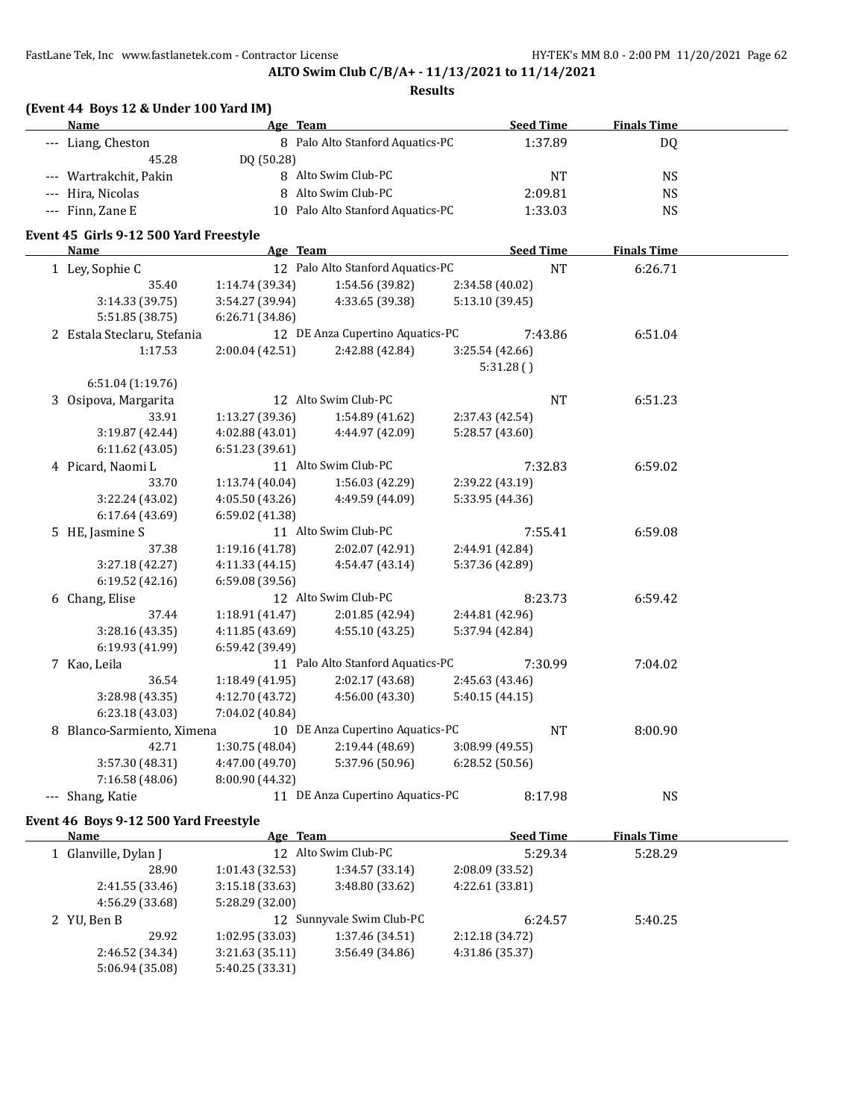**ALTO Swim Club C/B/A+ - 11/13/2021 to 11/14/2021**

**Results**

| (Event 44 Boys 12 & Under 100 Yard IM) |                                       |                  |                    |  |  |  |  |
|----------------------------------------|---------------------------------------|------------------|--------------------|--|--|--|--|
| Name                                   | Team<br>Age                           | <b>Seed Time</b> | <b>Finals Time</b> |  |  |  |  |
| --- Liang, Cheston                     | 8 Palo Alto Stanford Aquatics-PC      | 1:37.89          | DO.                |  |  |  |  |
| 45.28                                  | DO (50.28)                            |                  |                    |  |  |  |  |
| --- Wartrakchit, Pakin                 | 8 Alto Swim Club-PC                   | <b>NT</b>        | NS.                |  |  |  |  |
| --- Hira, Nicolas                      | Alto Swim Club-PC<br>8                | 2:09.81          | NS                 |  |  |  |  |
| $--$ Finn, Zane E                      | Palo Alto Stanford Aquatics-PC<br>1 ∩ | 1:33.03          | NS                 |  |  |  |  |
|                                        |                                       |                  |                    |  |  |  |  |

## **Event 45 Girls 9-12 500 Yard Freestyle**

 $\overline{\phantom{a}}$ 

| <b>Name</b>                 | Age Team        |                                   |                 | <b>Seed Time</b> | <b>Finals Time</b> |  |
|-----------------------------|-----------------|-----------------------------------|-----------------|------------------|--------------------|--|
| 1 Ley, Sophie C             |                 | 12 Palo Alto Stanford Aquatics-PC |                 | <b>NT</b>        | 6:26.71            |  |
| 35.40                       | 1:14.74 (39.34) | 1:54.56 (39.82)                   | 2:34.58 (40.02) |                  |                    |  |
| 3:14.33 (39.75)             | 3:54.27 (39.94) | 4:33.65 (39.38)                   | 5:13.10 (39.45) |                  |                    |  |
| 5:51.85 (38.75)             | 6:26.71(34.86)  |                                   |                 |                  |                    |  |
| 2 Estala Steclaru, Stefania |                 | 12 DE Anza Cupertino Aquatics-PC  |                 | 7:43.86          | 6:51.04            |  |
| 1:17.53                     | 2:00.04 (42.51) | 2:42.88 (42.84)                   | 3:25.54 (42.66) |                  |                    |  |
|                             |                 |                                   | 5:31.28()       |                  |                    |  |
| 6:51.04 (1:19.76)           |                 |                                   |                 |                  |                    |  |
| 3 Osipova, Margarita        |                 | 12 Alto Swim Club-PC              |                 | <b>NT</b>        | 6:51.23            |  |
| 33.91                       | 1:13.27 (39.36) | 1:54.89 (41.62)                   | 2:37.43 (42.54) |                  |                    |  |
| 3:19.87 (42.44)             | 4:02.88 (43.01) | 4:44.97 (42.09)                   | 5:28.57 (43.60) |                  |                    |  |
| 6:11.62 (43.05)             | 6:51.23 (39.61) |                                   |                 |                  |                    |  |
| 4 Picard, Naomi L           |                 | 11 Alto Swim Club-PC              |                 | 7:32.83          | 6:59.02            |  |
| 33.70                       | 1:13.74 (40.04) | 1:56.03 (42.29)                   | 2:39.22 (43.19) |                  |                    |  |
| 3:22.24 (43.02)             | 4:05.50(43.26)  | 4:49.59 (44.09)                   | 5:33.95 (44.36) |                  |                    |  |
| 6:17.64 (43.69)             | 6:59.02 (41.38) |                                   |                 |                  |                    |  |
| 5 HE, Jasmine S             |                 | 11 Alto Swim Club-PC              |                 | 7:55.41          | 6:59.08            |  |
| 37.38                       | 1:19.16 (41.78) | 2:02.07 (42.91)                   | 2:44.91 (42.84) |                  |                    |  |
| 3:27.18 (42.27)             | 4:11.33 (44.15) | 4:54.47 (43.14)                   | 5:37.36 (42.89) |                  |                    |  |
| 6:19.52(42.16)              | 6:59.08(39.56)  |                                   |                 |                  |                    |  |
| 6 Chang, Elise              |                 | 12 Alto Swim Club-PC              |                 | 8:23.73          | 6:59.42            |  |
| 37.44                       | 1:18.91 (41.47) | 2:01.85 (42.94)                   | 2:44.81 (42.96) |                  |                    |  |
| 3:28.16 (43.35)             | 4:11.85 (43.69) | 4:55.10 (43.25)                   | 5:37.94 (42.84) |                  |                    |  |
| 6:19.93 (41.99)             | 6:59.42 (39.49) |                                   |                 |                  |                    |  |
| 7 Kao, Leila                |                 | 11 Palo Alto Stanford Aquatics-PC |                 | 7:30.99          | 7:04.02            |  |
| 36.54                       | 1:18.49 (41.95) | 2:02.17 (43.68)                   | 2:45.63 (43.46) |                  |                    |  |
| 3:28.98 (43.35)             | 4:12.70 (43.72) | 4:56.00 (43.30)                   | 5:40.15 (44.15) |                  |                    |  |
| 6:23.18 (43.03)             | 7:04.02 (40.84) |                                   |                 |                  |                    |  |
| 8 Blanco-Sarmiento, Ximena  |                 | 10 DE Anza Cupertino Aquatics-PC  |                 | <b>NT</b>        | 8:00.90            |  |
| 42.71                       | 1:30.75 (48.04) | 2:19.44(48.69)                    | 3:08.99 (49.55) |                  |                    |  |
| 3:57.30 (48.31)             | 4:47.00 (49.70) | 5:37.96 (50.96)                   | 6:28.52(50.56)  |                  |                    |  |
| 7:16.58 (48.06)             | 8:00.90 (44.32) |                                   |                 |                  |                    |  |
| Shang, Katie                |                 | 11 DE Anza Cupertino Aquatics-PC  |                 | 8:17.98          | <b>NS</b>          |  |

## **Event 46 Boys 9-12 500 Yard Freestyle**

| Name                 | Age Team                  |                 | <b>Seed Time</b> | <b>Finals Time</b> |  |
|----------------------|---------------------------|-----------------|------------------|--------------------|--|
| 1 Glanville, Dylan J | 12 Alto Swim Club-PC      |                 | 5:29.34          | 5:28.29            |  |
| 28.90                | 1:01.43(32.53)            | 1:34.57(33.14)  | 2:08.09(33.52)   |                    |  |
| 2:41.55(33.46)       | 3:15.18(33.63)            | 3:48.80 (33.62) | 4:22.61 (33.81)  |                    |  |
| 4:56.29 (33.68)      | 5:28.29 (32.00)           |                 |                  |                    |  |
| 2 YU, Ben B          | 12 Sunnyvale Swim Club-PC |                 | 6:24.57          | 5:40.25            |  |
| 29.92                | 1:02.95(33.03)            | 1:37.46 (34.51) | 2:12.18 (34.72)  |                    |  |
| 2:46.52 (34.34)      | 3:21.63(35.11)            | 3:56.49 (34.86) | 4:31.86 (35.37)  |                    |  |
| 5:06.94 (35.08)      | 5:40.25 (33.31)           |                 |                  |                    |  |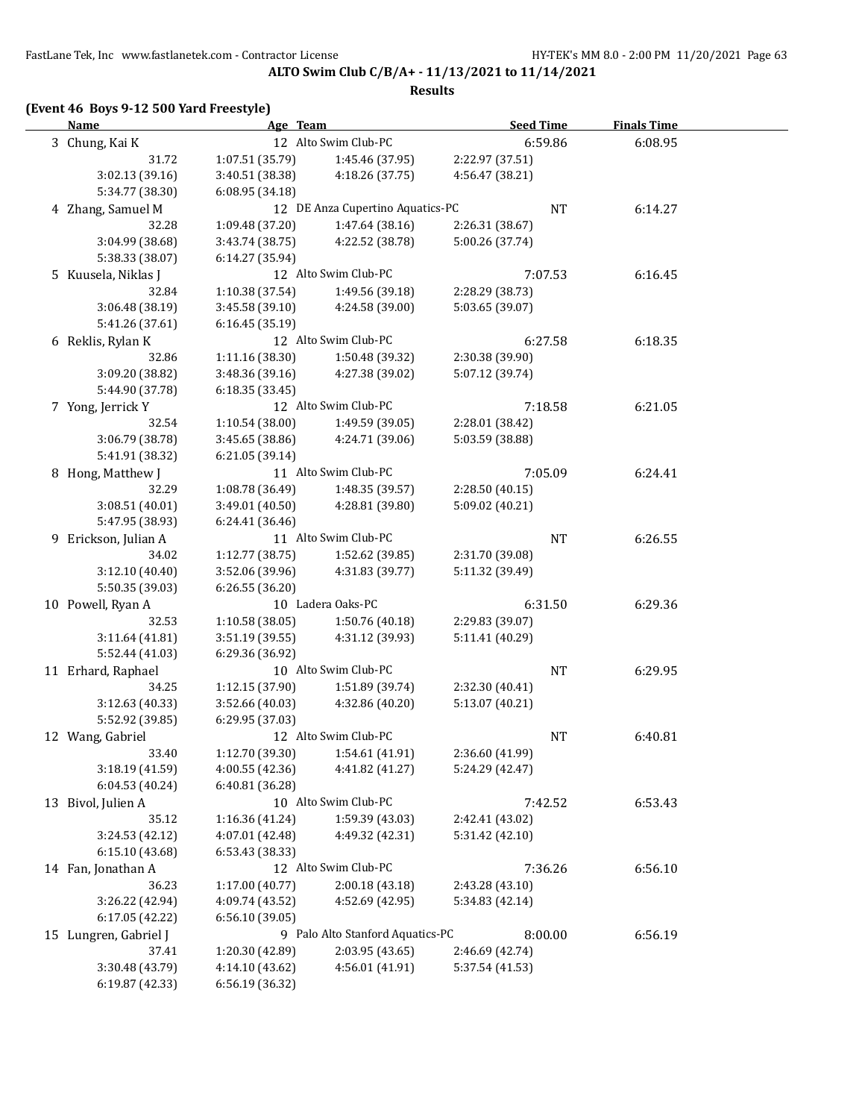**ALTO Swim Club C/B/A+ - 11/13/2021 to 11/14/2021**

#### **Results**

## **(Event 46 Boys 9-12 500 Yard Freestyle)**

| <b>Name</b>           | Age Team        |                                  | <b>Seed Time</b> | <b>Finals Time</b> |  |
|-----------------------|-----------------|----------------------------------|------------------|--------------------|--|
| 3 Chung, Kai K        |                 | 12 Alto Swim Club-PC             | 6:59.86          | 6:08.95            |  |
| 31.72                 | 1:07.51(35.79)  | 1:45.46 (37.95)                  | 2:22.97 (37.51)  |                    |  |
| 3:02.13 (39.16)       | 3:40.51 (38.38) | 4:18.26 (37.75)                  | 4:56.47 (38.21)  |                    |  |
| 5:34.77 (38.30)       | 6:08.95 (34.18) |                                  |                  |                    |  |
| 4 Zhang, Samuel M     |                 | 12 DE Anza Cupertino Aquatics-PC | NT               | 6:14.27            |  |
| 32.28                 | 1:09.48 (37.20) | 1:47.64(38.16)                   | 2:26.31 (38.67)  |                    |  |
| 3:04.99 (38.68)       | 3:43.74 (38.75) | 4:22.52 (38.78)                  | 5:00.26 (37.74)  |                    |  |
| 5:38.33 (38.07)       | 6:14.27 (35.94) |                                  |                  |                    |  |
| 5 Kuusela, Niklas J   |                 | 12 Alto Swim Club-PC             | 7:07.53          | 6:16.45            |  |
| 32.84                 | 1:10.38(37.54)  | 1:49.56 (39.18)                  | 2:28.29 (38.73)  |                    |  |
| 3:06.48 (38.19)       | 3:45.58(39.10)  | 4:24.58 (39.00)                  | 5:03.65 (39.07)  |                    |  |
| 5:41.26 (37.61)       | 6:16.45 (35.19) |                                  |                  |                    |  |
| 6 Reklis, Rylan K     |                 | 12 Alto Swim Club-PC             | 6:27.58          | 6:18.35            |  |
| 32.86                 | 1:11.16(38.30)  | 1:50.48 (39.32)                  | 2:30.38 (39.90)  |                    |  |
| 3:09.20 (38.82)       | 3:48.36 (39.16) | 4:27.38 (39.02)                  | 5:07.12 (39.74)  |                    |  |
| 5:44.90 (37.78)       | 6:18.35(33.45)  |                                  |                  |                    |  |
| 7 Yong, Jerrick Y     |                 | 12 Alto Swim Club-PC             | 7:18.58          | 6:21.05            |  |
| 32.54                 | 1:10.54(38.00)  | 1:49.59 (39.05)                  | 2:28.01 (38.42)  |                    |  |
| 3:06.79 (38.78)       | 3:45.65 (38.86) | 4:24.71 (39.06)                  | 5:03.59 (38.88)  |                    |  |
| 5:41.91 (38.32)       | 6:21.05 (39.14) |                                  |                  |                    |  |
| 8 Hong, Matthew J     |                 | 11 Alto Swim Club-PC             | 7:05.09          | 6:24.41            |  |
| 32.29                 | 1:08.78 (36.49) | 1:48.35 (39.57)                  | 2:28.50 (40.15)  |                    |  |
| 3:08.51 (40.01)       | 3:49.01(40.50)  | 4:28.81 (39.80)                  | 5:09.02 (40.21)  |                    |  |
| 5:47.95 (38.93)       | 6:24.41 (36.46) |                                  |                  |                    |  |
| 9 Erickson, Julian A  |                 | 11 Alto Swim Club-PC             | NT               | 6:26.55            |  |
| 34.02                 | 1:12.77(38.75)  | 1:52.62 (39.85)                  | 2:31.70 (39.08)  |                    |  |
| 3:12.10 (40.40)       | 3:52.06 (39.96) | 4:31.83 (39.77)                  | 5:11.32 (39.49)  |                    |  |
| 5:50.35 (39.03)       | 6:26.55 (36.20) |                                  |                  |                    |  |
| 10 Powell, Ryan A     |                 | 10 Ladera Oaks-PC                | 6:31.50          | 6:29.36            |  |
| 32.53                 | 1:10.58(38.05)  | 1:50.76 (40.18)                  | 2:29.83 (39.07)  |                    |  |
| 3:11.64 (41.81)       | 3:51.19(39.55)  | 4:31.12 (39.93)                  | 5:11.41 (40.29)  |                    |  |
| 5:52.44 (41.03)       | 6:29.36 (36.92) |                                  |                  |                    |  |
| 11 Erhard, Raphael    |                 | 10 Alto Swim Club-PC             | NT               | 6:29.95            |  |
| 34.25                 | 1:12.15 (37.90) | 1:51.89 (39.74)                  | 2:32.30 (40.41)  |                    |  |
| 3:12.63 (40.33)       | 3:52.66 (40.03) | 4:32.86 (40.20)                  | 5:13.07 (40.21)  |                    |  |
| 5:52.92 (39.85)       | 6:29.95 (37.03) |                                  |                  |                    |  |
| 12 Wang, Gabriel      |                 | 12 Alto Swim Club-PC             | <b>NT</b>        | 6:40.81            |  |
| 33.40                 | 1:12.70 (39.30) | 1:54.61 (41.91)                  | 2:36.60 (41.99)  |                    |  |
| 3:18.19 (41.59)       | 4:00.55 (42.36) | 4:41.82 (41.27)                  | 5:24.29 (42.47)  |                    |  |
| 6:04.53 (40.24)       | 6:40.81 (36.28) |                                  |                  |                    |  |
| 13 Bivol, Julien A    |                 | 10 Alto Swim Club-PC             | 7:42.52          | 6:53.43            |  |
| 35.12                 | 1:16.36 (41.24) | 1:59.39 (43.03)                  | 2:42.41 (43.02)  |                    |  |
| 3:24.53 (42.12)       | 4:07.01 (42.48) | 4:49.32 (42.31)                  | 5:31.42 (42.10)  |                    |  |
| 6:15.10 (43.68)       | 6:53.43 (38.33) |                                  |                  |                    |  |
| 14 Fan, Jonathan A    |                 | 12 Alto Swim Club-PC             | 7:36.26          | 6:56.10            |  |
| 36.23                 | 1:17.00 (40.77) | 2:00.18 (43.18)                  | 2:43.28 (43.10)  |                    |  |
| 3:26.22 (42.94)       | 4:09.74 (43.52) | 4:52.69 (42.95)                  | 5:34.83 (42.14)  |                    |  |
| 6:17.05 (42.22)       | 6:56.10 (39.05) |                                  |                  |                    |  |
| 15 Lungren, Gabriel J |                 | 9 Palo Alto Stanford Aquatics-PC | 8:00.00          | 6:56.19            |  |
| 37.41                 | 1:20.30 (42.89) | 2:03.95 (43.65)                  | 2:46.69 (42.74)  |                    |  |
| 3:30.48 (43.79)       | 4:14.10 (43.62) | 4:56.01 (41.91)                  | 5:37.54 (41.53)  |                    |  |
| 6:19.87 (42.33)       | 6:56.19 (36.32) |                                  |                  |                    |  |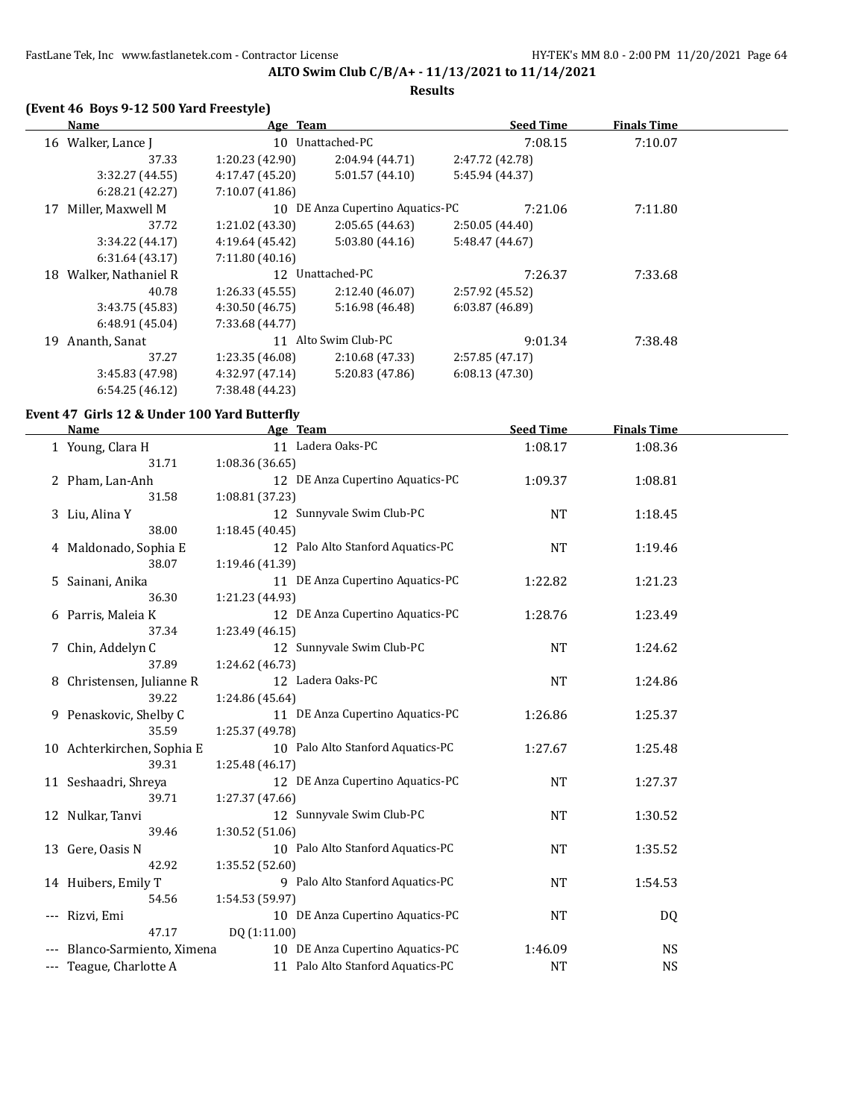# **ALTO Swim Club C/B/A+ - 11/13/2021 to 11/14/2021 Results**

## **(Event 46 Boys 9-12 500 Yard Freestyle)**

|    | Name                | Age Team        |                                  | <b>Seed Time</b> |         | <b>Finals Time</b> |  |
|----|---------------------|-----------------|----------------------------------|------------------|---------|--------------------|--|
|    | 16 Walker, Lance J  |                 | 10 Unattached-PC                 |                  | 7:08.15 | 7:10.07            |  |
|    | 37.33               | 1:20.23(42.90)  | 2:04.94 (44.71)                  | 2:47.72 (42.78)  |         |                    |  |
|    | 3:32.27(44.55)      | 4:17.47 (45.20) | 5:01.57(44.10)                   | 5:45.94 (44.37)  |         |                    |  |
|    | 6:28.21(42.27)      | 7:10.07 (41.86) |                                  |                  |         |                    |  |
| 17 | Miller, Maxwell M   |                 | 10 DE Anza Cupertino Aquatics-PC |                  | 7:21.06 | 7:11.80            |  |
|    | 37.72               | 1:21.02 (43.30) | 2:05.65(44.63)                   | 2:50.05(44.40)   |         |                    |  |
|    | 3:34.22(44.17)      | 4:19.64 (45.42) | 5:03.80(44.16)                   | 5:48.47 (44.67)  |         |                    |  |
|    | 6:31.64(43.17)      | 7:11.80(40.16)  |                                  |                  |         |                    |  |
| 18 | Walker, Nathaniel R |                 | 12 Unattached-PC                 |                  | 7:26.37 | 7:33.68            |  |
|    | 40.78               | 1:26.33(45.55)  | 2:12.40 (46.07)                  | 2:57.92 (45.52)  |         |                    |  |
|    | 3:43.75 (45.83)     | 4:30.50 (46.75) | 5:16.98 (46.48)                  | 6:03.87(46.89)   |         |                    |  |
|    | 6:48.91(45.04)      | 7:33.68 (44.77) |                                  |                  |         |                    |  |
| 19 | Ananth, Sanat       | 11              | Alto Swim Club-PC                |                  | 9:01.34 | 7:38.48            |  |
|    | 37.27               | 1:23.35(46.08)  | 2:10.68 (47.33)                  | 2:57.85 (47.17)  |         |                    |  |
|    | 3:45.83 (47.98)     | 4:32.97 (47.14) | 5:20.83 (47.86)                  | 6:08.13(47.30)   |         |                    |  |
|    | 6:54.25(46.12)      | 7:38.48 (44.23) |                                  |                  |         |                    |  |

## **Event 47 Girls 12 & Under 100 Yard Butterfly**

|                     | Name                       | Age Team                          | <b>Seed Time</b> | <b>Finals Time</b> |  |
|---------------------|----------------------------|-----------------------------------|------------------|--------------------|--|
|                     | 1 Young, Clara H           | 11 Ladera Oaks-PC                 | 1:08.17          | 1:08.36            |  |
|                     | 31.71                      | 1:08.36 (36.65)                   |                  |                    |  |
|                     | 2 Pham, Lan-Anh            | 12 DE Anza Cupertino Aquatics-PC  | 1:09.37          | 1:08.81            |  |
|                     | 31.58                      | 1:08.81 (37.23)                   |                  |                    |  |
|                     | 3 Liu, Alina Y             | 12 Sunnyvale Swim Club-PC         | <b>NT</b>        | 1:18.45            |  |
|                     | 38.00                      | 1:18.45(40.45)                    |                  |                    |  |
|                     | 4 Maldonado, Sophia E      | 12 Palo Alto Stanford Aquatics-PC | <b>NT</b>        | 1:19.46            |  |
|                     | 38.07                      | 1:19.46 (41.39)                   |                  |                    |  |
|                     | 5 Sainani, Anika           | 11 DE Anza Cupertino Aquatics-PC  | 1:22.82          | 1:21.23            |  |
|                     | 36.30                      | 1:21.23 (44.93)                   |                  |                    |  |
|                     | 6 Parris, Maleia K         | 12 DE Anza Cupertino Aquatics-PC  | 1:28.76          | 1:23.49            |  |
|                     | 37.34                      | 1:23.49 (46.15)                   |                  |                    |  |
|                     | 7 Chin, Addelyn C          | 12 Sunnyvale Swim Club-PC         | <b>NT</b>        | 1:24.62            |  |
|                     | 37.89                      | 1:24.62 (46.73)                   |                  |                    |  |
|                     | 8 Christensen, Julianne R  | 12 Ladera Oaks-PC                 | <b>NT</b>        | 1:24.86            |  |
|                     | 39.22                      | 1:24.86 (45.64)                   |                  |                    |  |
|                     | 9 Penaskovic, Shelby C     | 11 DE Anza Cupertino Aquatics-PC  | 1:26.86          | 1:25.37            |  |
|                     | 35.59                      | 1:25.37 (49.78)                   |                  |                    |  |
|                     | 10 Achterkirchen, Sophia E | 10 Palo Alto Stanford Aquatics-PC | 1:27.67          | 1:25.48            |  |
|                     | 39.31                      | 1:25.48 (46.17)                   |                  |                    |  |
|                     | 11 Seshaadri, Shreya       | 12 DE Anza Cupertino Aquatics-PC  | <b>NT</b>        | 1:27.37            |  |
|                     | 39.71                      | 1:27.37 (47.66)                   |                  |                    |  |
|                     | 12 Nulkar, Tanvi           | 12 Sunnyvale Swim Club-PC         | <b>NT</b>        | 1:30.52            |  |
|                     | 39.46                      | 1:30.52 (51.06)                   |                  |                    |  |
|                     | 13 Gere, Oasis N           | 10 Palo Alto Stanford Aquatics-PC | NT               | 1:35.52            |  |
|                     | 42.92                      | 1:35.52 (52.60)                   |                  |                    |  |
|                     | 14 Huibers, Emily T        | 9 Palo Alto Stanford Aquatics-PC  | NT               | 1:54.53            |  |
|                     | 54.56                      | 1:54.53 (59.97)                   |                  |                    |  |
| $\qquad \qquad - -$ | Rizvi, Emi                 | 10 DE Anza Cupertino Aquatics-PC  | <b>NT</b>        | DQ                 |  |
|                     | 47.17                      | DQ (1:11.00)                      |                  |                    |  |
|                     | Blanco-Sarmiento, Ximena   | 10 DE Anza Cupertino Aquatics-PC  | 1:46.09          | <b>NS</b>          |  |
| $---$               | Teague, Charlotte A        | 11 Palo Alto Stanford Aquatics-PC | <b>NT</b>        | <b>NS</b>          |  |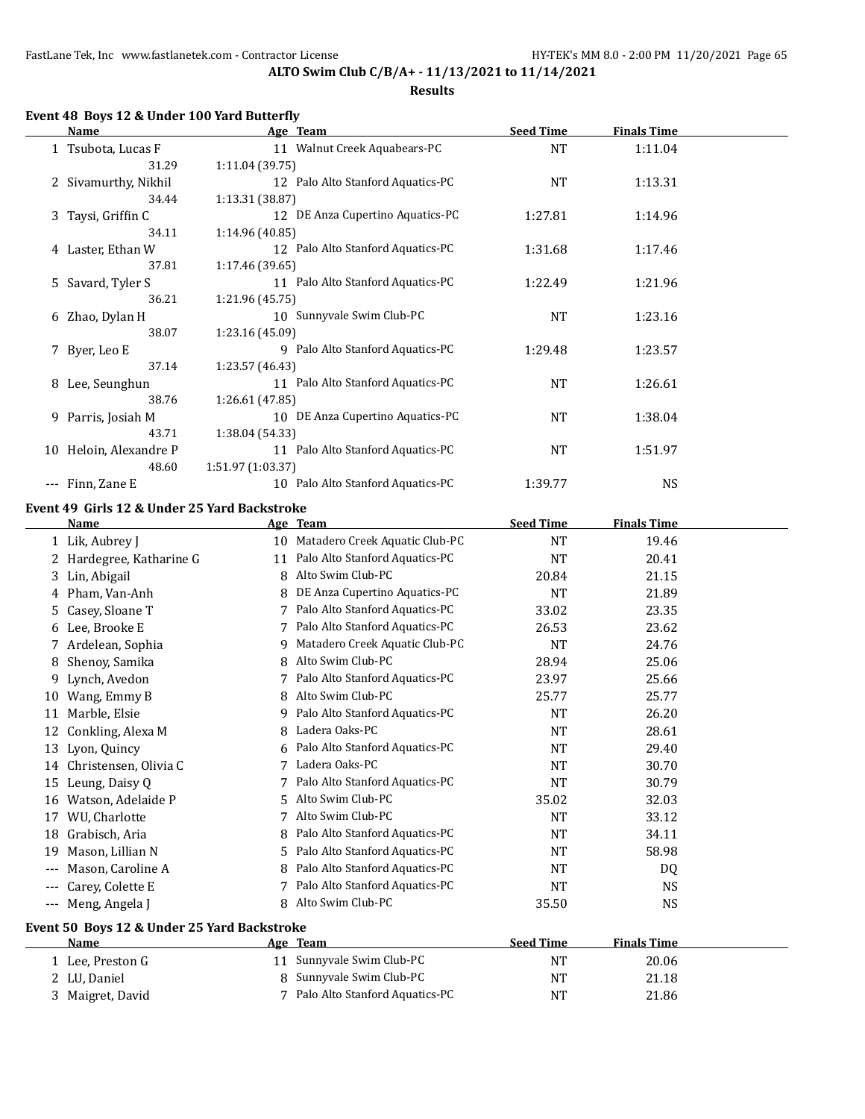## **Results**

# **Event 48 Boys 12 & Under 100 Yard Butterfly**

| <b>Name</b>                        |                                           |                                              | Age Team                                                                                                                                     | <b>Seed Time</b>   | <b>Finals Time</b>      |  |
|------------------------------------|-------------------------------------------|----------------------------------------------|----------------------------------------------------------------------------------------------------------------------------------------------|--------------------|-------------------------|--|
| 1 Tsubota, Lucas F                 |                                           |                                              | 11 Walnut Creek Aquabears-PC                                                                                                                 | <b>NT</b>          | 1:11.04                 |  |
|                                    | 31.29                                     | 1:11.04 (39.75)                              |                                                                                                                                              |                    |                         |  |
|                                    | 2 Sivamurthy, Nikhil                      |                                              | 12 Palo Alto Stanford Aquatics-PC                                                                                                            | <b>NT</b>          | 1:13.31                 |  |
|                                    | 34.44                                     | 1:13.31 (38.87)                              |                                                                                                                                              |                    |                         |  |
| 3 Taysi, Griffin C                 |                                           |                                              | 12 DE Anza Cupertino Aquatics-PC                                                                                                             | 1:27.81            | 1:14.96                 |  |
|                                    | 34.11                                     | 1:14.96 (40.85)                              |                                                                                                                                              |                    |                         |  |
| 4 Laster, Ethan W                  |                                           |                                              | 12 Palo Alto Stanford Aquatics-PC                                                                                                            | 1:31.68            | 1:17.46                 |  |
|                                    | 37.81                                     | 1:17.46 (39.65)                              |                                                                                                                                              |                    |                         |  |
| 5 Savard, Tyler S                  |                                           |                                              | 11 Palo Alto Stanford Aquatics-PC                                                                                                            | 1:22.49            | 1:21.96                 |  |
|                                    | 36.21                                     | 1:21.96 (45.75)                              |                                                                                                                                              |                    |                         |  |
| 6 Zhao, Dylan H                    |                                           |                                              | 10 Sunnyvale Swim Club-PC                                                                                                                    | <b>NT</b>          | 1:23.16                 |  |
|                                    | 38.07                                     | 1:23.16 (45.09)                              |                                                                                                                                              |                    |                         |  |
| 7 Byer, Leo E                      |                                           |                                              | 9 Palo Alto Stanford Aquatics-PC                                                                                                             | 1:29.48            | 1:23.57                 |  |
|                                    | 37.14                                     | 1:23.57 (46.43)                              |                                                                                                                                              |                    |                         |  |
| 8 Lee, Seunghun                    |                                           |                                              | 11 Palo Alto Stanford Aquatics-PC                                                                                                            | <b>NT</b>          | 1:26.61                 |  |
|                                    | 38.76                                     | 1:26.61 (47.85)                              |                                                                                                                                              |                    |                         |  |
| 9 Parris, Josiah M                 |                                           |                                              | 10 DE Anza Cupertino Aquatics-PC                                                                                                             | <b>NT</b>          | 1:38.04                 |  |
|                                    | 43.71                                     | 1:38.04 (54.33)                              |                                                                                                                                              |                    |                         |  |
|                                    | 10 Heloin, Alexandre P                    |                                              | 11 Palo Alto Stanford Aquatics-PC                                                                                                            | <b>NT</b>          | 1:51.97                 |  |
|                                    | 48.60                                     | 1:51.97 (1:03.37)                            |                                                                                                                                              |                    |                         |  |
| --- Finn, Zane E                   |                                           |                                              | 10 Palo Alto Stanford Aquatics-PC                                                                                                            | 1:39.77            | <b>NS</b>               |  |
|                                    |                                           |                                              |                                                                                                                                              |                    |                         |  |
| Name                               |                                           | Event 49 Girls 12 & Under 25 Yard Backstroke | Age Team                                                                                                                                     | <b>Seed Time</b>   | <b>Finals Time</b>      |  |
| 1 Lik, Aubrey J                    |                                           |                                              | 10 Matadero Creek Aquatic Club-PC                                                                                                            | <b>NT</b>          | 19.46                   |  |
|                                    | 2 Hardegree, Katharine G                  |                                              | 11 Palo Alto Stanford Aquatics-PC                                                                                                            | <b>NT</b>          | 20.41                   |  |
| Lin, Abigail<br>3                  |                                           |                                              | 8 Alto Swim Club-PC                                                                                                                          | 20.84              | 21.15                   |  |
| 4 Pham, Van-Anh                    |                                           |                                              | 8 DE Anza Cupertino Aquatics-PC                                                                                                              | <b>NT</b>          | 21.89                   |  |
| 5.                                 | Casey, Sloane T                           |                                              | 7 Palo Alto Stanford Aquatics-PC                                                                                                             | 33.02              | 23.35                   |  |
| 6 Lee, Brooke E                    |                                           |                                              | Palo Alto Stanford Aquatics-PC                                                                                                               | 26.53              | 23.62                   |  |
|                                    | 7 Ardelean, Sophia                        |                                              | 9 Matadero Creek Aquatic Club-PC                                                                                                             | <b>NT</b>          | 24.76                   |  |
|                                    |                                           |                                              | 8 Alto Swim Club-PC                                                                                                                          | 28.94              | 25.06                   |  |
| 8<br>Lynch, Avedon                 | Shenoy, Samika                            |                                              | 7 Palo Alto Stanford Aquatics-PC                                                                                                             |                    | 25.66                   |  |
| 9.                                 |                                           |                                              |                                                                                                                                              | 23.97              |                         |  |
| 10 Wang, Emmy B                    |                                           |                                              | 8 Alto Swim Club-PC                                                                                                                          | 25.77              | 25.77                   |  |
| 11 Marble, Elsie                   |                                           |                                              | 9 Palo Alto Stanford Aquatics-PC                                                                                                             | <b>NT</b>          | 26.20                   |  |
| 12 Conkling, Alexa M               |                                           | 8                                            | Ladera Oaks-PC                                                                                                                               | <b>NT</b>          | 28.61                   |  |
| 13 Lyon, Quincy                    |                                           |                                              | 6 Palo Alto Stanford Aquatics-PC                                                                                                             | <b>NT</b>          | 29.40                   |  |
|                                    | 14 Christensen, Olivia C                  |                                              | 7 Ladera Oaks-PC                                                                                                                             | NT                 | 30.70                   |  |
| 15 Leung, Daisy Q                  |                                           | 7                                            | Palo Alto Stanford Aquatics-PC                                                                                                               | NT                 | 30.79                   |  |
|                                    |                                           | 5                                            |                                                                                                                                              |                    |                         |  |
|                                    |                                           | 7                                            |                                                                                                                                              | NT                 |                         |  |
| 18                                 |                                           | 8                                            |                                                                                                                                              |                    |                         |  |
| 19                                 |                                           | 5                                            |                                                                                                                                              | NT                 | 58.98                   |  |
|                                    | Mason, Caroline A                         | 8                                            |                                                                                                                                              | NT                 | DQ                      |  |
|                                    |                                           |                                              |                                                                                                                                              |                    |                         |  |
|                                    | Carey, Colette E                          | 7                                            | Palo Alto Stanford Aquatics-PC                                                                                                               | NT                 | NS                      |  |
| Meng, Angela J<br>$---$            |                                           | 8                                            | Alto Swim Club-PC                                                                                                                            | 35.50              | <b>NS</b>               |  |
| 17 WU, Charlotte<br>Grabisch, Aria | 16 Watson, Adelaide P<br>Mason, Lillian N |                                              | Alto Swim Club-PC<br>Alto Swim Club-PC<br>Palo Alto Stanford Aquatics-PC<br>Palo Alto Stanford Aquatics-PC<br>Palo Alto Stanford Aquatics-PC | 35.02<br><b>NT</b> | 32.03<br>33.12<br>34.11 |  |

**Age Team Seed Time Finals Time** 1 Lee, Preston G 11 Sunnyvale Swim Club-PC NT 1 20.06 2 LU, Daniel 8 Sunnyvale Swim Club-PC NT NT 21.18 3 Maigret, David 21.86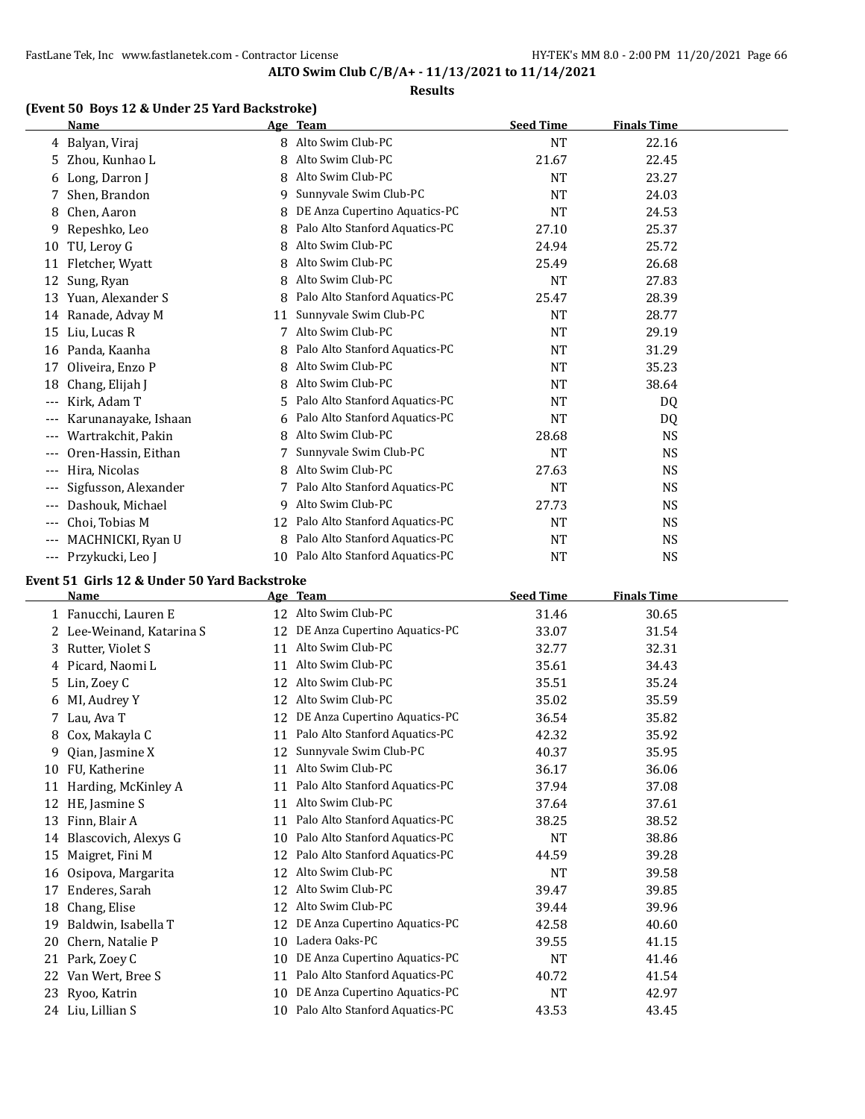### **Results**

## **(Event 50 Boys 12 & Under 25 Yard Backstroke)**

|          | Name                 |    | Age Team                       | <b>Seed Time</b> | <b>Finals Time</b> |  |
|----------|----------------------|----|--------------------------------|------------------|--------------------|--|
| 4        | Balyan, Viraj        | 8  | Alto Swim Club-PC              | <b>NT</b>        | 22.16              |  |
| 5        | Zhou, Kunhao L       | 8  | Alto Swim Club-PC              | 21.67            | 22.45              |  |
| 6        | Long, Darron J       | 8  | Alto Swim Club-PC              | <b>NT</b>        | 23.27              |  |
|          | Shen, Brandon        | 9  | Sunnyvale Swim Club-PC         | <b>NT</b>        | 24.03              |  |
| 8        | Chen, Aaron          | 8  | DE Anza Cupertino Aquatics-PC  | NT               | 24.53              |  |
| 9        | Repeshko, Leo        | 8  | Palo Alto Stanford Aquatics-PC | 27.10            | 25.37              |  |
| 10       | TU, Leroy G          | 8  | Alto Swim Club-PC              | 24.94            | 25.72              |  |
| 11       | Fletcher, Wyatt      | 8  | Alto Swim Club-PC              | 25.49            | 26.68              |  |
| 12       | Sung, Ryan           | 8  | Alto Swim Club-PC              | <b>NT</b>        | 27.83              |  |
| 13       | Yuan, Alexander S    | 8  | Palo Alto Stanford Aquatics-PC | 25.47            | 28.39              |  |
| 14       | Ranade, Advay M      | 11 | Sunnyvale Swim Club-PC         | <b>NT</b>        | 28.77              |  |
| 15       | Liu, Lucas R         |    | Alto Swim Club-PC              | <b>NT</b>        | 29.19              |  |
| 16       | Panda, Kaanha        | 8. | Palo Alto Stanford Aquatics-PC | NT               | 31.29              |  |
| 17       | Oliveira, Enzo P     | 8  | Alto Swim Club-PC              | <b>NT</b>        | 35.23              |  |
| 18       | Chang, Elijah J      | 8  | Alto Swim Club-PC              | NT               | 38.64              |  |
| $---$    | Kirk, Adam T         | 5. | Palo Alto Stanford Aquatics-PC | NT               | DQ                 |  |
| ---      | Karunanayake, Ishaan | 6  | Palo Alto Stanford Aquatics-PC | <b>NT</b>        | DQ                 |  |
| ---      | Wartrakchit, Pakin   | 8  | Alto Swim Club-PC              | 28.68            | <b>NS</b>          |  |
| ---      | Oren-Hassin, Eithan  |    | Sunnyvale Swim Club-PC         | <b>NT</b>        | NS                 |  |
| ---      | Hira, Nicolas        | 8  | Alto Swim Club-PC              | 27.63            | NS                 |  |
|          | Sigfusson, Alexander |    | Palo Alto Stanford Aquatics-PC | <b>NT</b>        | <b>NS</b>          |  |
| ---      | Dashouk, Michael     | 9  | Alto Swim Club-PC              | 27.73            | <b>NS</b>          |  |
| $\cdots$ | Choi, Tobias M       | 12 | Palo Alto Stanford Aquatics-PC | <b>NT</b>        | <b>NS</b>          |  |
| $---$    | MACHNICKI, Ryan U    | 8  | Palo Alto Stanford Aquatics-PC | NT               | <b>NS</b>          |  |
| ---      | Przykucki, Leo J     | 10 | Palo Alto Stanford Aquatics-PC | <b>NT</b>        | <b>NS</b>          |  |

# **Event 51 Girls 12 & Under 50 Yard Backstroke**

|    | Name                      |    | Age Team                       | <b>Seed Time</b> | <b>Finals Time</b> |  |
|----|---------------------------|----|--------------------------------|------------------|--------------------|--|
|    | 1 Fanucchi, Lauren E      | 12 | Alto Swim Club-PC              | 31.46            | 30.65              |  |
|    | 2 Lee-Weinand, Katarina S | 12 | DE Anza Cupertino Aquatics-PC  | 33.07            | 31.54              |  |
| 3  | Rutter, Violet S          | 11 | Alto Swim Club-PC              | 32.77            | 32.31              |  |
|    | 4 Picard, Naomi L         | 11 | Alto Swim Club-PC              | 35.61            | 34.43              |  |
| 5  | Lin, Zoey C               | 12 | Alto Swim Club-PC              | 35.51            | 35.24              |  |
| 6  | MI, Audrey Y              | 12 | Alto Swim Club-PC              | 35.02            | 35.59              |  |
| 7  | Lau, Ava T                | 12 | DE Anza Cupertino Aquatics-PC  | 36.54            | 35.82              |  |
| 8  | Cox, Makayla C            | 11 | Palo Alto Stanford Aquatics-PC | 42.32            | 35.92              |  |
| 9  | Qian, Jasmine X           | 12 | Sunnyvale Swim Club-PC         | 40.37            | 35.95              |  |
| 10 | FU, Katherine             | 11 | Alto Swim Club-PC              | 36.17            | 36.06              |  |
| 11 | Harding, McKinley A       | 11 | Palo Alto Stanford Aquatics-PC | 37.94            | 37.08              |  |
| 12 | HE, Jasmine S             | 11 | Alto Swim Club-PC              | 37.64            | 37.61              |  |
| 13 | Finn, Blair A             | 11 | Palo Alto Stanford Aquatics-PC | 38.25            | 38.52              |  |
| 14 | Blascovich, Alexys G      | 10 | Palo Alto Stanford Aquatics-PC | <b>NT</b>        | 38.86              |  |
| 15 | Maigret, Fini M           | 12 | Palo Alto Stanford Aquatics-PC | 44.59            | 39.28              |  |
| 16 | Osipova, Margarita        | 12 | Alto Swim Club-PC              | <b>NT</b>        | 39.58              |  |
| 17 | Enderes, Sarah            | 12 | Alto Swim Club-PC              | 39.47            | 39.85              |  |
| 18 | Chang, Elise              | 12 | Alto Swim Club-PC              | 39.44            | 39.96              |  |
| 19 | Baldwin, Isabella T       | 12 | DE Anza Cupertino Aquatics-PC  | 42.58            | 40.60              |  |
| 20 | Chern, Natalie P          | 10 | Ladera Oaks-PC                 | 39.55            | 41.15              |  |
| 21 | Park, Zoey C              | 10 | DE Anza Cupertino Aquatics-PC  | <b>NT</b>        | 41.46              |  |
| 22 | Van Wert, Bree S          | 11 | Palo Alto Stanford Aquatics-PC | 40.72            | 41.54              |  |
| 23 | Ryoo, Katrin              | 10 | DE Anza Cupertino Aquatics-PC  | <b>NT</b>        | 42.97              |  |
|    | 24 Liu, Lillian S         | 10 | Palo Alto Stanford Aquatics-PC | 43.53            | 43.45              |  |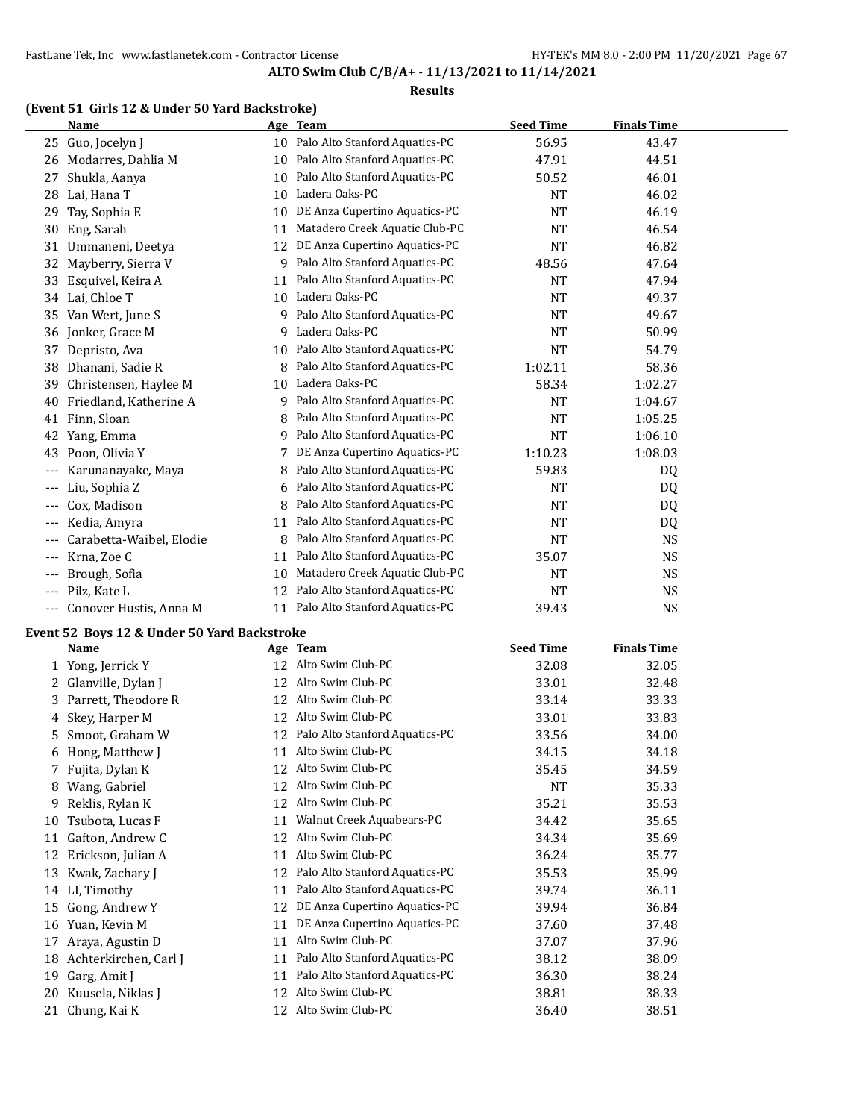#### **Results**

## **(Event 51 Girls 12 & Under 50 Yard Backstroke)**

|       | <b>Name</b>              |    | Age Team                       | <b>Seed Time</b> | <b>Finals Time</b> |  |
|-------|--------------------------|----|--------------------------------|------------------|--------------------|--|
| 25    | Guo, Jocelyn J           | 10 | Palo Alto Stanford Aquatics-PC | 56.95            | 43.47              |  |
| 26    | Modarres, Dahlia M       | 10 | Palo Alto Stanford Aquatics-PC | 47.91            | 44.51              |  |
| 27    | Shukla, Aanya            | 10 | Palo Alto Stanford Aquatics-PC | 50.52            | 46.01              |  |
| 28    | Lai, Hana T              | 10 | Ladera Oaks-PC                 | NT               | 46.02              |  |
| 29    | Tay, Sophia E            | 10 | DE Anza Cupertino Aquatics-PC  | <b>NT</b>        | 46.19              |  |
| 30    | Eng, Sarah               | 11 | Matadero Creek Aquatic Club-PC | NT               | 46.54              |  |
| 31    | Ummaneni, Deetya         | 12 | DE Anza Cupertino Aquatics-PC  | NT               | 46.82              |  |
| 32    | Mayberry, Sierra V       | 9  | Palo Alto Stanford Aquatics-PC | 48.56            | 47.64              |  |
| 33    | Esquivel, Keira A        | 11 | Palo Alto Stanford Aquatics-PC | <b>NT</b>        | 47.94              |  |
| 34    | Lai, Chloe T             | 10 | Ladera Oaks-PC                 | <b>NT</b>        | 49.37              |  |
| 35    | Van Wert, June S         | q  | Palo Alto Stanford Aquatics-PC | NT               | 49.67              |  |
| 36    | Jonker, Grace M          | 9  | Ladera Oaks-PC                 | NT               | 50.99              |  |
| 37    | Depristo, Ava            | 10 | Palo Alto Stanford Aquatics-PC | <b>NT</b>        | 54.79              |  |
| 38    | Dhanani, Sadie R         |    | Palo Alto Stanford Aquatics-PC | 1:02.11          | 58.36              |  |
| 39    | Christensen, Haylee M    | 10 | Ladera Oaks-PC                 | 58.34            | 1:02.27            |  |
| 40    | Friedland, Katherine A   | 9  | Palo Alto Stanford Aquatics-PC | <b>NT</b>        | 1:04.67            |  |
| 41    | Finn, Sloan              | 8  | Palo Alto Stanford Aquatics-PC | NT               | 1:05.25            |  |
| 42    | Yang, Emma               | 9  | Palo Alto Stanford Aquatics-PC | <b>NT</b>        | 1:06.10            |  |
| 43    | Poon, Olivia Y           |    | DE Anza Cupertino Aquatics-PC  | 1:10.23          | 1:08.03            |  |
|       | Karunanayake, Maya       | 8  | Palo Alto Stanford Aquatics-PC | 59.83            | DQ                 |  |
| $---$ | Liu, Sophia Z            | 6  | Palo Alto Stanford Aquatics-PC | NT               | DQ                 |  |
| ---   | Cox, Madison             | 8  | Palo Alto Stanford Aquatics-PC | NT               | D <sub>0</sub>     |  |
| $---$ | Kedia, Amyra             | 11 | Palo Alto Stanford Aquatics-PC | NT               | DQ                 |  |
|       | Carabetta-Waibel, Elodie | 8  | Palo Alto Stanford Aquatics-PC | NT               | <b>NS</b>          |  |
| $---$ | Krna, Zoe C              | 11 | Palo Alto Stanford Aquatics-PC | 35.07            | <b>NS</b>          |  |
| $---$ | Brough, Sofia            | 10 | Matadero Creek Aquatic Club-PC | <b>NT</b>        | <b>NS</b>          |  |
| $---$ | Pilz, Kate L             | 12 | Palo Alto Stanford Aquatics-PC | <b>NT</b>        | <b>NS</b>          |  |
| $---$ | Conover Hustis, Anna M   | 11 | Palo Alto Stanford Aquatics-PC | 39.43            | <b>NS</b>          |  |

# **Event 52 Boys 12 & Under 50 Yard Backstroke**

|    | <b>Name</b>           |    | Age Team                       | <b>Seed Time</b> | <b>Finals Time</b> |
|----|-----------------------|----|--------------------------------|------------------|--------------------|
|    | 1 Yong, Jerrick Y     | 12 | Alto Swim Club-PC              | 32.08            | 32.05              |
|    | 2 Glanville, Dylan J  | 12 | Alto Swim Club-PC              | 33.01            | 32.48              |
| 3. | Parrett, Theodore R   | 12 | Alto Swim Club-PC              | 33.14            | 33.33              |
| 4  | Skey, Harper M        | 12 | Alto Swim Club-PC              | 33.01            | 33.83              |
| 5. | Smoot, Graham W       | 12 | Palo Alto Stanford Aquatics-PC | 33.56            | 34.00              |
| 6  | Hong, Matthew J       | 11 | Alto Swim Club-PC              | 34.15            | 34.18              |
|    | 7 Fujita, Dylan K     | 12 | Alto Swim Club-PC              | 35.45            | 34.59              |
| 8  | Wang, Gabriel         | 12 | Alto Swim Club-PC              | <b>NT</b>        | 35.33              |
| 9  | Reklis, Rylan K       | 12 | Alto Swim Club-PC              | 35.21            | 35.53              |
| 10 | Tsubota, Lucas F      | 11 | Walnut Creek Aquabears-PC      | 34.42            | 35.65              |
| 11 | Gafton, Andrew C      | 12 | Alto Swim Club-PC              | 34.34            | 35.69              |
| 12 | Erickson, Julian A    | 11 | Alto Swim Club-PC              | 36.24            | 35.77              |
| 13 | Kwak, Zachary J       | 12 | Palo Alto Stanford Aquatics-PC | 35.53            | 35.99              |
|    | 14 LI, Timothy        | 11 | Palo Alto Stanford Aquatics-PC | 39.74            | 36.11              |
| 15 | Gong, Andrew Y        | 12 | DE Anza Cupertino Aquatics-PC  | 39.94            | 36.84              |
| 16 | Yuan, Kevin M         | 11 | DE Anza Cupertino Aquatics-PC  | 37.60            | 37.48              |
| 17 | Araya, Agustin D      | 11 | Alto Swim Club-PC              | 37.07            | 37.96              |
| 18 | Achterkirchen, Carl J | 11 | Palo Alto Stanford Aquatics-PC | 38.12            | 38.09              |
| 19 | Garg, Amit J          | 11 | Palo Alto Stanford Aquatics-PC | 36.30            | 38.24              |
| 20 | Kuusela, Niklas J     | 12 | Alto Swim Club-PC              | 38.81            | 38.33              |
|    | 21 Chung, Kai K       | 12 | Alto Swim Club-PC              | 36.40            | 38.51              |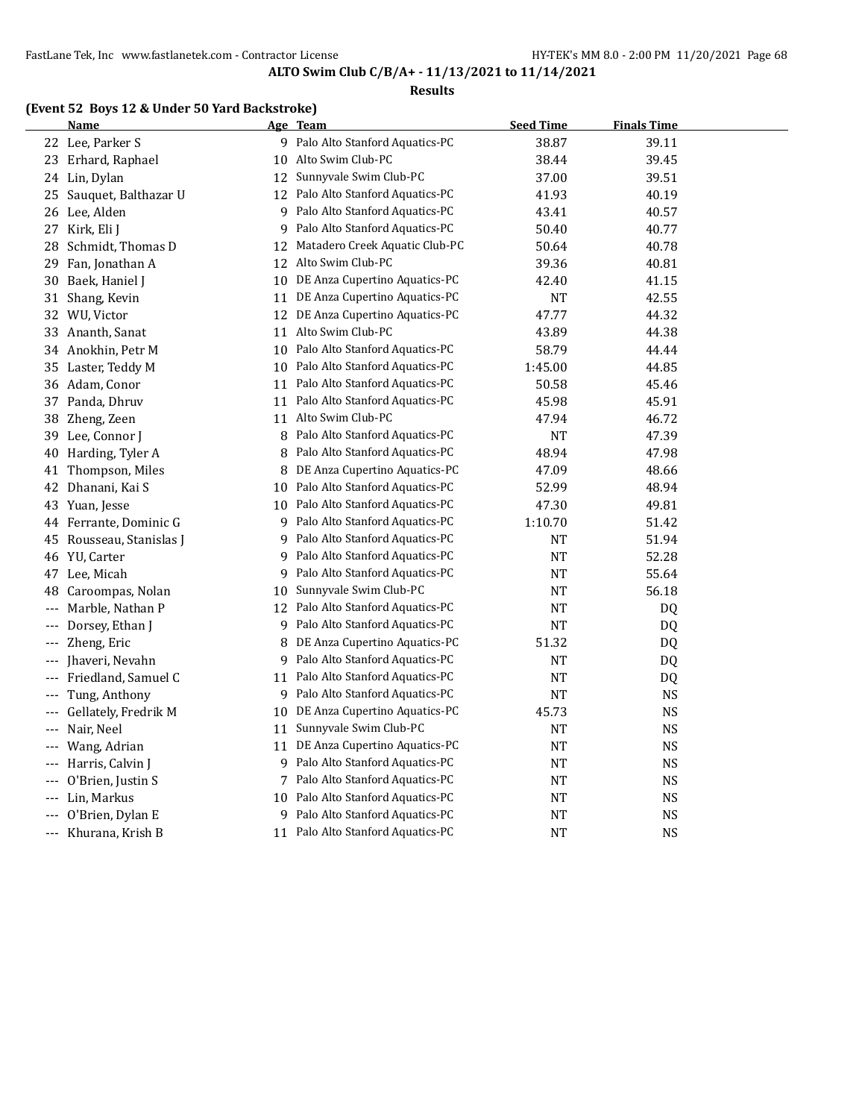#### **Results**

## **(Event 52 Boys 12 & Under 50 Yard Backstroke)**

|          | <u>Name</u>             |    | <u>Age Team</u>                   | <b>Seed Time</b> | <b>Finals Time</b> |  |
|----------|-------------------------|----|-----------------------------------|------------------|--------------------|--|
|          | 22 Lee, Parker S        |    | 9 Palo Alto Stanford Aquatics-PC  | 38.87            | 39.11              |  |
|          | 23 Erhard, Raphael      | 10 | Alto Swim Club-PC                 | 38.44            | 39.45              |  |
|          | 24 Lin, Dylan           |    | 12 Sunnyvale Swim Club-PC         | 37.00            | 39.51              |  |
|          | 25 Sauquet, Balthazar U | 12 | Palo Alto Stanford Aquatics-PC    | 41.93            | 40.19              |  |
|          | 26 Lee, Alden           |    | 9 Palo Alto Stanford Aquatics-PC  | 43.41            | 40.57              |  |
|          | 27 Kirk, Eli J          | 9  | Palo Alto Stanford Aquatics-PC    | 50.40            | 40.77              |  |
| 28       | Schmidt, Thomas D       | 12 | Matadero Creek Aquatic Club-PC    | 50.64            | 40.78              |  |
| 29       | Fan, Jonathan A         | 12 | Alto Swim Club-PC                 | 39.36            | 40.81              |  |
| 30       | Baek, Haniel J          | 10 | DE Anza Cupertino Aquatics-PC     | 42.40            | 41.15              |  |
| 31       | Shang, Kevin            |    | 11 DE Anza Cupertino Aquatics-PC  | <b>NT</b>        | 42.55              |  |
|          | 32 WU, Victor           |    | 12 DE Anza Cupertino Aquatics-PC  | 47.77            | 44.32              |  |
|          | 33 Ananth, Sanat        | 11 | Alto Swim Club-PC                 | 43.89            | 44.38              |  |
|          | 34 Anokhin, Petr M      | 10 | Palo Alto Stanford Aquatics-PC    | 58.79            | 44.44              |  |
| 35       | Laster, Teddy M         | 10 | Palo Alto Stanford Aquatics-PC    | 1:45.00          | 44.85              |  |
|          | 36 Adam, Conor          |    | 11 Palo Alto Stanford Aquatics-PC | 50.58            | 45.46              |  |
|          | 37 Panda, Dhruv         | 11 | Palo Alto Stanford Aquatics-PC    | 45.98            | 45.91              |  |
| 38       | Zheng, Zeen             | 11 | Alto Swim Club-PC                 | 47.94            | 46.72              |  |
| 39       | Lee, Connor J           | 8  | Palo Alto Stanford Aquatics-PC    | <b>NT</b>        | 47.39              |  |
| 40       | Harding, Tyler A        | 8  | Palo Alto Stanford Aquatics-PC    | 48.94            | 47.98              |  |
| 41       | Thompson, Miles         |    | 8 DE Anza Cupertino Aquatics-PC   | 47.09            | 48.66              |  |
| 42       | Dhanani, Kai S          | 10 | Palo Alto Stanford Aquatics-PC    | 52.99            | 48.94              |  |
|          | 43 Yuan, Jesse          | 10 | Palo Alto Stanford Aquatics-PC    | 47.30            | 49.81              |  |
|          | 44 Ferrante, Dominic G  | 9  | Palo Alto Stanford Aquatics-PC    | 1:10.70          | 51.42              |  |
| 45       | Rousseau, Stanislas J   | 9  | Palo Alto Stanford Aquatics-PC    | NT               | 51.94              |  |
|          | 46 YU, Carter           | 9. | Palo Alto Stanford Aquatics-PC    | NT               | 52.28              |  |
| 47       | Lee, Micah              | 9  | Palo Alto Stanford Aquatics-PC    | NT               | 55.64              |  |
| 48       | Caroompas, Nolan        | 10 | Sunnyvale Swim Club-PC            | <b>NT</b>        | 56.18              |  |
| $---$    | Marble, Nathan P        | 12 | Palo Alto Stanford Aquatics-PC    | NT               | DQ                 |  |
| ---      | Dorsey, Ethan J         | 9  | Palo Alto Stanford Aquatics-PC    | NT               | DQ                 |  |
| $\cdots$ | Zheng, Eric             | 8  | DE Anza Cupertino Aquatics-PC     | 51.32            | DQ                 |  |
| $---$    | Jhaveri, Nevahn         | 9  | Palo Alto Stanford Aquatics-PC    | NT               | DQ                 |  |
| $\cdots$ | Friedland, Samuel C     | 11 | Palo Alto Stanford Aquatics-PC    | <b>NT</b>        | DQ                 |  |
| $---$    | Tung, Anthony           | 9  | Palo Alto Stanford Aquatics-PC    | NT               | NS                 |  |
| $---$    | Gellately, Fredrik M    | 10 | DE Anza Cupertino Aquatics-PC     | 45.73            | <b>NS</b>          |  |
| $\cdots$ | Nair, Neel              | 11 | Sunnyvale Swim Club-PC            | NT               | <b>NS</b>          |  |
| ---      | Wang, Adrian            | 11 | DE Anza Cupertino Aquatics-PC     | NT               | <b>NS</b>          |  |
| $---$    | Harris, Calvin J        | 9  | Palo Alto Stanford Aquatics-PC    | NT               | <b>NS</b>          |  |
| ---      | O'Brien, Justin S       | 7  | Palo Alto Stanford Aquatics-PC    | NT               | NS                 |  |
| ---      | Lin, Markus             | 10 | Palo Alto Stanford Aquatics-PC    | <b>NT</b>        | NS                 |  |
|          | O'Brien, Dylan E        |    | 9 Palo Alto Stanford Aquatics-PC  | NT               | <b>NS</b>          |  |
|          | --- Khurana, Krish B    | 11 | Palo Alto Stanford Aquatics-PC    | NT               | <b>NS</b>          |  |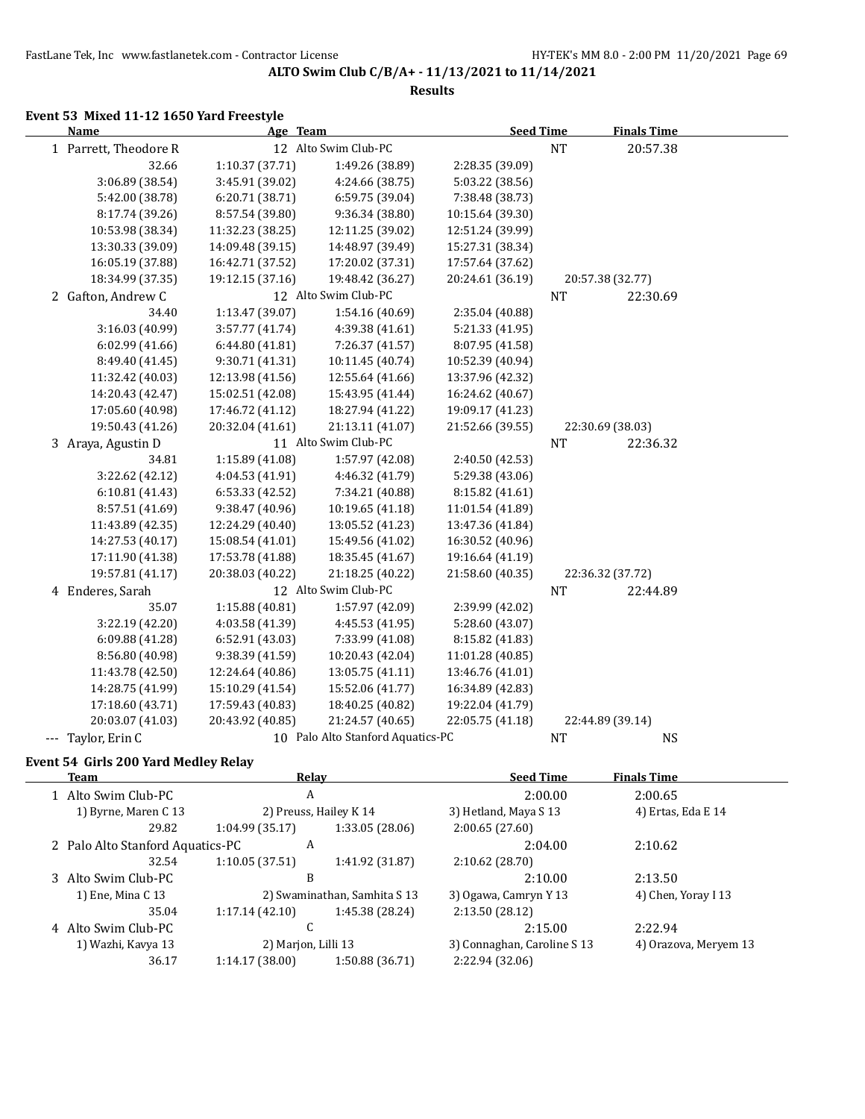**Results**

#### **Event 53 Mixed 11-12 1650 Yard Freestyle**

| <b>Name</b>           | Age Team         |                                   | <b>Seed Time</b> |           | <b>Finals Time</b> |  |
|-----------------------|------------------|-----------------------------------|------------------|-----------|--------------------|--|
| 1 Parrett, Theodore R |                  | 12 Alto Swim Club-PC              |                  | <b>NT</b> | 20:57.38           |  |
| 32.66                 | 1:10.37 (37.71)  | 1:49.26 (38.89)                   | 2:28.35 (39.09)  |           |                    |  |
| 3:06.89 (38.54)       | 3:45.91 (39.02)  | 4:24.66 (38.75)                   | 5:03.22 (38.56)  |           |                    |  |
| 5:42.00 (38.78)       | 6:20.71 (38.71)  | 6:59.75 (39.04)                   | 7:38.48 (38.73)  |           |                    |  |
| 8:17.74 (39.26)       | 8:57.54 (39.80)  | 9:36.34 (38.80)                   | 10:15.64 (39.30) |           |                    |  |
| 10:53.98 (38.34)      | 11:32.23 (38.25) | 12:11.25 (39.02)                  | 12:51.24 (39.99) |           |                    |  |
| 13:30.33 (39.09)      | 14:09.48 (39.15) | 14:48.97 (39.49)                  | 15:27.31 (38.34) |           |                    |  |
| 16:05.19 (37.88)      | 16:42.71 (37.52) | 17:20.02 (37.31)                  | 17:57.64 (37.62) |           |                    |  |
| 18:34.99 (37.35)      | 19:12.15 (37.16) | 19:48.42 (36.27)                  | 20:24.61 (36.19) |           | 20:57.38 (32.77)   |  |
| 2 Gafton, Andrew C    |                  | 12 Alto Swim Club-PC              |                  | <b>NT</b> | 22:30.69           |  |
| 34.40                 | 1:13.47 (39.07)  | 1:54.16 (40.69)                   | 2:35.04 (40.88)  |           |                    |  |
| 3:16.03 (40.99)       | 3:57.77 (41.74)  | 4:39.38 (41.61)                   | 5:21.33 (41.95)  |           |                    |  |
| 6:02.99 (41.66)       | 6:44.80 (41.81)  | 7:26.37 (41.57)                   | 8:07.95 (41.58)  |           |                    |  |
| 8:49.40 (41.45)       | 9:30.71 (41.31)  | 10:11.45 (40.74)                  | 10:52.39 (40.94) |           |                    |  |
| 11:32.42 (40.03)      | 12:13.98 (41.56) | 12:55.64 (41.66)                  | 13:37.96 (42.32) |           |                    |  |
| 14:20.43 (42.47)      | 15:02.51 (42.08) | 15:43.95 (41.44)                  | 16:24.62 (40.67) |           |                    |  |
| 17:05.60 (40.98)      | 17:46.72 (41.12) | 18:27.94 (41.22)                  | 19:09.17 (41.23) |           |                    |  |
| 19:50.43 (41.26)      | 20:32.04 (41.61) | 21:13.11 (41.07)                  | 21:52.66 (39.55) |           | 22:30.69 (38.03)   |  |
| 3 Araya, Agustin D    |                  | 11 Alto Swim Club-PC              |                  | <b>NT</b> | 22:36.32           |  |
| 34.81                 | 1:15.89 (41.08)  | 1:57.97 (42.08)                   | 2:40.50 (42.53)  |           |                    |  |
| 3:22.62 (42.12)       | 4:04.53 (41.91)  | 4:46.32 (41.79)                   | 5:29.38 (43.06)  |           |                    |  |
| 6:10.81(41.43)        | 6:53.33 (42.52)  | 7:34.21 (40.88)                   | 8:15.82 (41.61)  |           |                    |  |
| 8:57.51 (41.69)       | 9:38.47 (40.96)  | 10:19.65 (41.18)                  | 11:01.54 (41.89) |           |                    |  |
| 11:43.89 (42.35)      | 12:24.29 (40.40) | 13:05.52 (41.23)                  | 13:47.36 (41.84) |           |                    |  |
| 14:27.53 (40.17)      | 15:08.54 (41.01) | 15:49.56 (41.02)                  | 16:30.52 (40.96) |           |                    |  |
| 17:11.90 (41.38)      | 17:53.78 (41.88) | 18:35.45 (41.67)                  | 19:16.64 (41.19) |           |                    |  |
| 19:57.81 (41.17)      | 20:38.03 (40.22) | 21:18.25 (40.22)                  | 21:58.60 (40.35) |           | 22:36.32 (37.72)   |  |
| 4 Enderes, Sarah      |                  | 12 Alto Swim Club-PC              |                  | <b>NT</b> | 22:44.89           |  |
| 35.07                 | 1:15.88 (40.81)  | 1:57.97 (42.09)                   | 2:39.99 (42.02)  |           |                    |  |
| 3:22.19 (42.20)       | 4:03.58 (41.39)  | 4:45.53 (41.95)                   | 5:28.60 (43.07)  |           |                    |  |
| 6:09.88 (41.28)       | 6:52.91 (43.03)  | 7:33.99 (41.08)                   | 8:15.82 (41.83)  |           |                    |  |
| 8:56.80 (40.98)       | 9:38.39 (41.59)  | 10:20.43 (42.04)                  | 11:01.28 (40.85) |           |                    |  |
| 11:43.78 (42.50)      | 12:24.64 (40.86) | 13:05.75 (41.11)                  | 13:46.76 (41.01) |           |                    |  |
| 14:28.75 (41.99)      | 15:10.29 (41.54) | 15:52.06 (41.77)                  | 16:34.89 (42.83) |           |                    |  |
| 17:18.60 (43.71)      | 17:59.43 (40.83) | 18:40.25 (40.82)                  | 19:22.04 (41.79) |           |                    |  |
| 20:03.07 (41.03)      | 20:43.92 (40.85) | 21:24.57 (40.65)                  | 22:05.75 (41.18) |           | 22:44.89 (39.14)   |  |
| --- Taylor, Erin C    |                  | 10 Palo Alto Stanford Aquatics-PC |                  | <b>NT</b> | <b>NS</b>          |  |

## **Event 54 Girls 200 Yard Medley Relay**

 $\overline{a}$ 

| Team                             | Relay               |                              | <b>Seed Time</b>            | <b>Finals Time</b>    |  |
|----------------------------------|---------------------|------------------------------|-----------------------------|-----------------------|--|
| 1 Alto Swim Club-PC              | A                   |                              | 2:00.00                     | 2:00.65               |  |
| 1) Byrne, Maren C 13             |                     | 2) Preuss, Hailey K 14       | 3) Hetland, Maya S 13       | 4) Ertas, Eda E 14    |  |
| 29.82                            | 1:04.99(35.17)      | 1:33.05(28.06)               | 2:00.65(27.60)              |                       |  |
| 2 Palo Alto Stanford Aquatics-PC | A                   |                              | 2:04.00                     | 2:10.62               |  |
| 32.54                            | 1:10.05(37.51)      | 1:41.92 (31.87)              | 2:10.62(28.70)              |                       |  |
| 3 Alto Swim Club-PC              | B                   |                              | 2:10.00                     | 2:13.50               |  |
| 1) Ene, Mina C 13                |                     | 2) Swaminathan, Samhita S 13 | 3) Ogawa, Camryn Y 13       | 4) Chen, Yoray I 13   |  |
| 35.04                            | 1:17.14(42.10)      | 1:45.38 (28.24)              | 2:13.50 (28.12)             |                       |  |
| 4 Alto Swim Club-PC              | C                   |                              | 2:15.00                     | 2:22.94               |  |
| 1) Wazhi, Kavya 13               | 2) Marjon, Lilli 13 |                              | 3) Connaghan, Caroline S 13 | 4) Orazova, Meryem 13 |  |
| 36.17                            | 1:14.17(38.00)      | 1:50.88 (36.71)              | 2:22.94 (32.06)             |                       |  |
|                                  |                     |                              |                             |                       |  |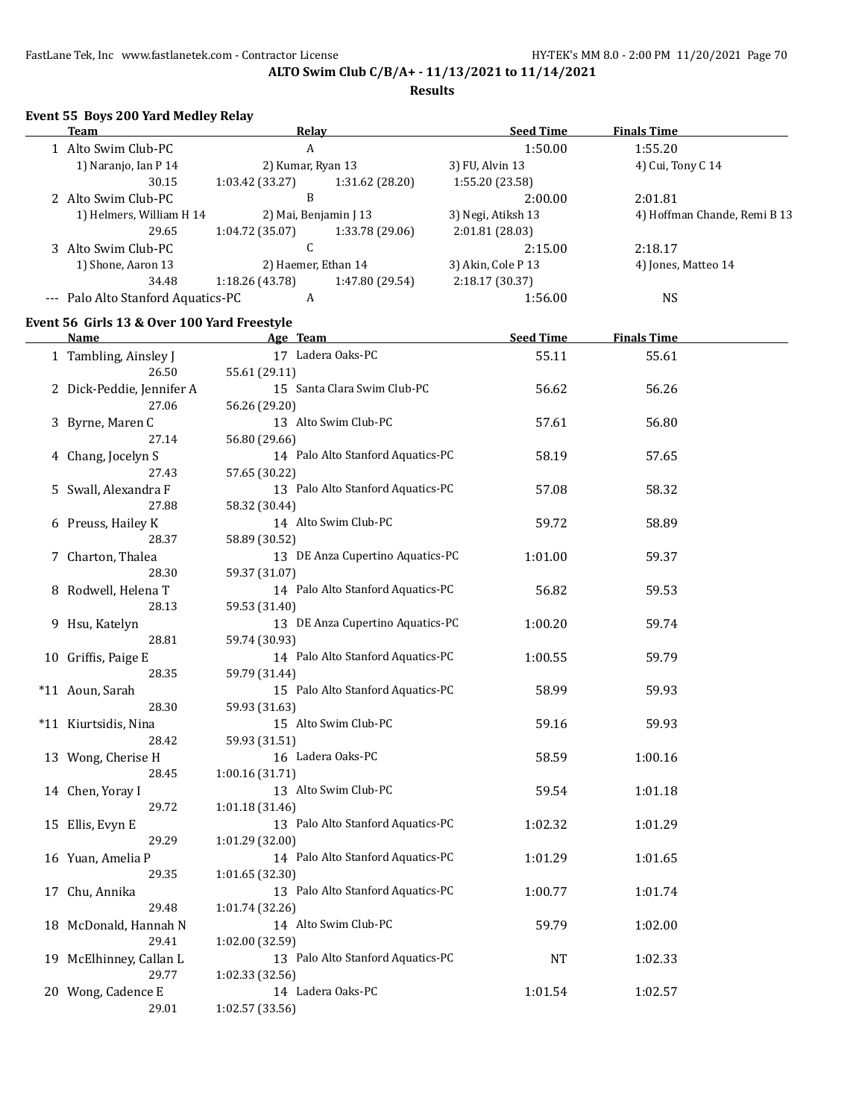### **Results**

## **Event 55 Boys 200 Yard Medley Relay**

| <u>Team</u>                                 | <b>Relay</b>                       | <b>Seed Time</b>   | <b>Finals Time</b>           |
|---------------------------------------------|------------------------------------|--------------------|------------------------------|
| 1 Alto Swim Club-PC                         | A                                  | 1:50.00            | 1:55.20                      |
| 1) Naranjo, Ian P 14                        | 2) Kumar, Ryan 13                  | 3) FU, Alvin 13    | 4) Cui, Tony C 14            |
| 30.15                                       | 1:03.42 (33.27)<br>1:31.62 (28.20) | 1:55.20 (23.58)    |                              |
| 2 Alto Swim Club-PC                         | B                                  | 2:00.00            | 2:01.81                      |
| 1) Helmers, William H 14                    | 2) Mai, Benjamin J 13              | 3) Negi, Atiksh 13 | 4) Hoffman Chande, Remi B 13 |
| 29.65                                       | 1:04.72 (35.07)<br>1:33.78 (29.06) | 2:01.81 (28.03)    |                              |
| 3 Alto Swim Club-PC                         | $\mathsf{C}$                       | 2:15.00            | 2:18.17                      |
| 1) Shone, Aaron 13                          | 2) Haemer, Ethan 14                | 3) Akin, Cole P 13 | 4) Jones, Matteo 14          |
| 34.48                                       | 1:18.26 (43.78)<br>1:47.80 (29.54) | 2:18.17 (30.37)    |                              |
| --- Palo Alto Stanford Aquatics-PC          | A                                  | 1:56.00            | <b>NS</b>                    |
| Event 56 Girls 13 & Over 100 Yard Freestyle |                                    |                    |                              |
| <u>Name</u>                                 | <b>Example 2018</b> Age Team       | Seed Time          | <b>Finals Time</b>           |
| 1 Tambling, Ainsley J                       | 17 Ladera Oaks-PC                  | 55.11              | 55.61                        |
| 26.50                                       | 55.61 (29.11)                      |                    |                              |
| 2 Dick-Peddie, Jennifer A                   | 15 Santa Clara Swim Club-PC        | 56.62              | 56.26                        |
| 27.06                                       | 56.26 (29.20)                      |                    |                              |
| 3 Byrne, Maren C                            | 13 Alto Swim Club-PC               | 57.61              | 56.80                        |
| 27.14                                       | 56.80 (29.66)                      |                    |                              |
| 4 Chang, Jocelyn S                          | 14 Palo Alto Stanford Aquatics-PC  | 58.19              | 57.65                        |
| 27.43                                       | 57.65 (30.22)                      |                    |                              |
| 5 Swall, Alexandra F                        | 13 Palo Alto Stanford Aquatics-PC  | 57.08              | 58.32                        |
| 27.88                                       | 58.32 (30.44)                      |                    |                              |
| 6 Preuss, Hailey K                          | 14 Alto Swim Club-PC               | 59.72              | 58.89                        |
| 28.37                                       | 58.89 (30.52)                      |                    |                              |
| 7 Charton, Thalea                           | 13 DE Anza Cupertino Aquatics-PC   | 1:01.00            | 59.37                        |
| 28.30                                       | 59.37 (31.07)                      |                    |                              |
| 8 Rodwell, Helena T                         | 14 Palo Alto Stanford Aquatics-PC  | 56.82              | 59.53                        |
| 28.13                                       | 59.53 (31.40)                      |                    |                              |
| 9 Hsu, Katelyn                              | 13 DE Anza Cupertino Aquatics-PC   | 1:00.20            | 59.74                        |
| 28.81                                       | 59.74 (30.93)                      |                    |                              |
| 10 Griffis, Paige E                         | 14 Palo Alto Stanford Aquatics-PC  | 1:00.55            | 59.79                        |
| 28.35                                       | 59.79 (31.44)                      |                    |                              |
| *11 Aoun, Sarah                             | 15 Palo Alto Stanford Aquatics-PC  | 58.99              | 59.93                        |
| 28.30                                       | 59.93 (31.63)                      |                    |                              |
| *11 Kiurtsidis, Nina                        | 15 Alto Swim Club-PC               | 59.16              | 59.93                        |
| 28.42                                       | 59.93 (31.51)                      |                    |                              |
| 13 Wong, Cherise H                          | 16 Ladera Oaks-PC                  | 58.59              | 1:00.16                      |
| 28.45                                       | 1:00.16 (31.71)                    |                    |                              |
| 14 Chen, Yoray I                            | 13 Alto Swim Club-PC               | 59.54              | 1:01.18                      |
| 29.72                                       | 1:01.18 (31.46)                    |                    |                              |
| 15 Ellis, Evyn E                            | 13 Palo Alto Stanford Aquatics-PC  | 1:02.32            | 1:01.29                      |
| 29.29                                       | 1:01.29 (32.00)                    |                    |                              |
| 16 Yuan, Amelia P                           | 14 Palo Alto Stanford Aquatics-PC  | 1:01.29            | 1:01.65                      |
| 29.35                                       | 1:01.65 (32.30)                    |                    |                              |
| 17 Chu, Annika                              | 13 Palo Alto Stanford Aquatics-PC  | 1:00.77            | 1:01.74                      |
| 29.48                                       | 1:01.74 (32.26)                    |                    |                              |
| 18 McDonald, Hannah N                       | 14 Alto Swim Club-PC               | 59.79              | 1:02.00                      |
| 29.41                                       | 1:02.00 (32.59)                    |                    |                              |
| 19 McElhinney, Callan L                     | 13 Palo Alto Stanford Aquatics-PC  | <b>NT</b>          | 1:02.33                      |
| 29.77                                       | 1:02.33(32.56)                     |                    |                              |
| 20 Wong, Cadence E                          | 14 Ladera Oaks-PC                  | 1:01.54            | 1:02.57                      |
| 29.01                                       | 1:02.57 (33.56)                    |                    |                              |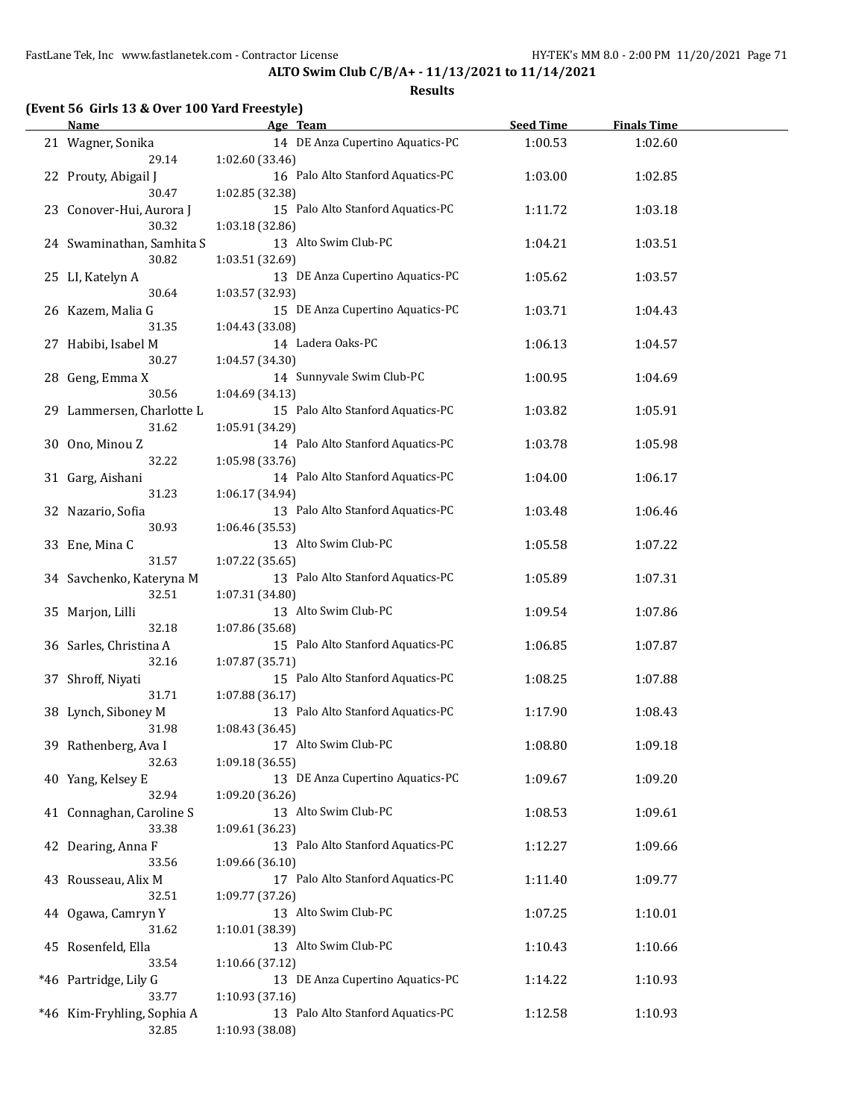**ALTO Swim Club C/B/A+ - 11/13/2021 to 11/14/2021**

| <b>Name</b>                | Age Team                          | <b>Seed Time</b> | <b>Finals Time</b> |  |
|----------------------------|-----------------------------------|------------------|--------------------|--|
| 21 Wagner, Sonika          | 14 DE Anza Cupertino Aquatics-PC  | 1:00.53          | 1:02.60            |  |
| 29.14                      | 1:02.60 (33.46)                   |                  |                    |  |
| 22 Prouty, Abigail J       | 16 Palo Alto Stanford Aquatics-PC | 1:03.00          | 1:02.85            |  |
| 30.47                      | 1:02.85 (32.38)                   |                  |                    |  |
| 23 Conover-Hui, Aurora J   | 15 Palo Alto Stanford Aquatics-PC | 1:11.72          | 1:03.18            |  |
| 30.32                      | 1:03.18 (32.86)                   |                  |                    |  |
| 24 Swaminathan, Samhita S  | 13 Alto Swim Club-PC              | 1:04.21          | 1:03.51            |  |
| 30.82                      | 1:03.51 (32.69)                   |                  |                    |  |
|                            |                                   |                  |                    |  |
| 25 LI, Katelyn A           | 13 DE Anza Cupertino Aquatics-PC  | 1:05.62          | 1:03.57            |  |
| 30.64                      | 1:03.57 (32.93)                   |                  |                    |  |
| 26 Kazem, Malia G          | 15 DE Anza Cupertino Aquatics-PC  | 1:03.71          | 1:04.43            |  |
| 31.35                      | 1:04.43 (33.08)                   |                  |                    |  |
| 27 Habibi, Isabel M        | 14 Ladera Oaks-PC                 | 1:06.13          | 1:04.57            |  |
| 30.27                      | 1:04.57 (34.30)                   |                  |                    |  |
| 28 Geng, Emma X            | 14 Sunnyvale Swim Club-PC         | 1:00.95          | 1:04.69            |  |
| 30.56                      | 1:04.69 (34.13)                   |                  |                    |  |
| 29 Lammersen, Charlotte L  | 15 Palo Alto Stanford Aquatics-PC | 1:03.82          | 1:05.91            |  |
| 31.62                      | 1:05.91 (34.29)                   |                  |                    |  |
| 30 Ono, Minou Z            | 14 Palo Alto Stanford Aquatics-PC | 1:03.78          | 1:05.98            |  |
| 32.22                      | 1:05.98 (33.76)                   |                  |                    |  |
| 31 Garg, Aishani           | 14 Palo Alto Stanford Aquatics-PC | 1:04.00          | 1:06.17            |  |
| 31.23                      | 1:06.17 (34.94)                   |                  |                    |  |
| 32 Nazario, Sofia          | 13 Palo Alto Stanford Aquatics-PC | 1:03.48          | 1:06.46            |  |
| 30.93                      | 1:06.46 (35.53)                   |                  |                    |  |
| 33 Ene, Mina C             | 13 Alto Swim Club-PC              | 1:05.58          | 1:07.22            |  |
| 31.57                      | 1:07.22 (35.65)                   |                  |                    |  |
| 34 Savchenko, Kateryna M   | 13 Palo Alto Stanford Aquatics-PC | 1:05.89          | 1:07.31            |  |
| 32.51                      | 1:07.31 (34.80)                   |                  |                    |  |
| 35 Marjon, Lilli           | 13 Alto Swim Club-PC              | 1:09.54          | 1:07.86            |  |
| 32.18                      | 1:07.86 (35.68)                   |                  |                    |  |
| 36 Sarles, Christina A     | 15 Palo Alto Stanford Aquatics-PC | 1:06.85          | 1:07.87            |  |
| 32.16                      | 1:07.87 (35.71)                   |                  |                    |  |
| 37 Shroff, Niyati          | 15 Palo Alto Stanford Aquatics-PC | 1:08.25          | 1:07.88            |  |
| 31.71                      | 1:07.88 (36.17)                   |                  |                    |  |
| 38 Lynch, Siboney M        | 13 Palo Alto Stanford Aquatics-PC | 1:17.90          | 1:08.43            |  |
| 31.98                      | 1:08.43 (36.45)                   |                  |                    |  |
| 39 Rathenberg, Ava I       | 17 Alto Swim Club-PC              | 1:08.80          | 1:09.18            |  |
| 32.63                      | 1:09.18 (36.55)                   |                  |                    |  |
| 40 Yang, Kelsey E          | 13 DE Anza Cupertino Aquatics-PC  | 1:09.67          | 1:09.20            |  |
| 32.94                      | 1:09.20 (36.26)                   |                  |                    |  |
| 41 Connaghan, Caroline S   | 13 Alto Swim Club-PC              |                  | 1:09.61            |  |
| 33.38                      |                                   | 1:08.53          |                    |  |
|                            | 1:09.61 (36.23)                   |                  |                    |  |
| 42 Dearing, Anna F         | 13 Palo Alto Stanford Aquatics-PC | 1:12.27          | 1:09.66            |  |
| 33.56                      | 1:09.66 (36.10)                   |                  |                    |  |
| 43 Rousseau, Alix M        | 17 Palo Alto Stanford Aquatics-PC | 1:11.40          | 1:09.77            |  |
| 32.51                      | 1:09.77 (37.26)                   |                  |                    |  |
| 44 Ogawa, Camryn Y         | 13 Alto Swim Club-PC              | 1:07.25          | 1:10.01            |  |
| 31.62                      | 1:10.01 (38.39)                   |                  |                    |  |
| 45 Rosenfeld, Ella         | 13 Alto Swim Club-PC              | 1:10.43          | 1:10.66            |  |
| 33.54                      | 1:10.66 (37.12)                   |                  |                    |  |
| *46 Partridge, Lily G      | 13 DE Anza Cupertino Aquatics-PC  | 1:14.22          | 1:10.93            |  |
| 33.77                      | 1:10.93 (37.16)                   |                  |                    |  |
| *46 Kim-Fryhling, Sophia A | 13 Palo Alto Stanford Aquatics-PC | 1:12.58          | 1:10.93            |  |
| 32.85                      | 1:10.93 (38.08)                   |                  |                    |  |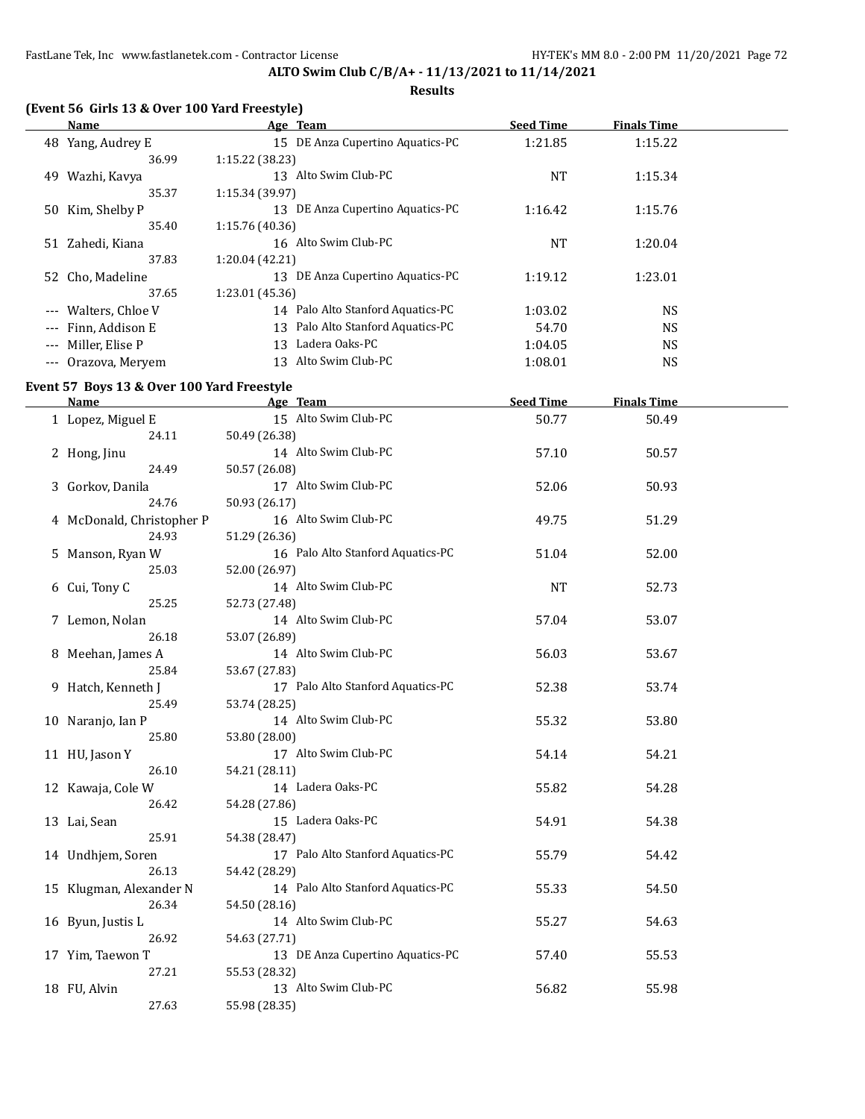### **Results**

| (Event 56 Girls 13 & Over 100 Yard Freestyle) |                  |                                      |                  |                    |  |  |  |  |
|-----------------------------------------------|------------------|--------------------------------------|------------------|--------------------|--|--|--|--|
|                                               | Name             | Age Team                             | <b>Seed Time</b> | <b>Finals Time</b> |  |  |  |  |
| 48                                            | Yang, Audrey E   | DE Anza Cupertino Aquatics-PC<br>15  | 1:21.85          | 1:15.22            |  |  |  |  |
|                                               | 36.99            | 1:15.22 (38.23)                      |                  |                    |  |  |  |  |
| 49                                            | Wazhi, Kavya     | Alto Swim Club-PC<br>13              | NT               | 1:15.34            |  |  |  |  |
|                                               | 35.37            | 1:15.34 (39.97)                      |                  |                    |  |  |  |  |
| 50                                            | Kim, Shelby P    | DE Anza Cupertino Aquatics-PC<br>13  | 1:16.42          | 1:15.76            |  |  |  |  |
|                                               | 35.40            | 1:15.76(40.36)                       |                  |                    |  |  |  |  |
| 51                                            | Zahedi, Kiana    | Alto Swim Club-PC<br>16              | NT               | 1:20.04            |  |  |  |  |
|                                               | 37.83            | 1:20.04 (42.21)                      |                  |                    |  |  |  |  |
|                                               | 52 Cho, Madeline | DE Anza Cupertino Aquatics-PC<br>13  | 1:19.12          | 1:23.01            |  |  |  |  |
|                                               | 37.65            | 1:23.01 (45.36)                      |                  |                    |  |  |  |  |
| $\cdots$                                      | Walters, Chloe V | Palo Alto Stanford Aquatics-PC<br>14 | 1:03.02          | NS.                |  |  |  |  |
|                                               | Finn, Addison E  | Palo Alto Stanford Aquatics-PC<br>13 | 54.70            | NS                 |  |  |  |  |

--- Miller, Elise P 13 Ladera Oaks-PC 1:04.05 NS --- Orazova, Meryem 13 Alto Swim Club-PC 1:08.01 NS

## **Event 57 Boys 13 & Over 100 Yard Freestyle**

| <b>Name</b>               | Age Team                          | <b>Seed Time</b> | <b>Finals Time</b> |  |
|---------------------------|-----------------------------------|------------------|--------------------|--|
| 1 Lopez, Miguel E         | 15 Alto Swim Club-PC              | 50.77            | 50.49              |  |
| 24.11                     | 50.49 (26.38)                     |                  |                    |  |
| 2 Hong, Jinu              | 14 Alto Swim Club-PC              | 57.10            | 50.57              |  |
| 24.49                     | 50.57 (26.08)                     |                  |                    |  |
| 3 Gorkov, Danila          | 17 Alto Swim Club-PC              | 52.06            | 50.93              |  |
| 24.76                     | 50.93 (26.17)                     |                  |                    |  |
| 4 McDonald, Christopher P | 16 Alto Swim Club-PC              | 49.75            | 51.29              |  |
| 24.93                     | 51.29 (26.36)                     |                  |                    |  |
| 5 Manson, Ryan W          | 16 Palo Alto Stanford Aquatics-PC | 51.04            | 52.00              |  |
| 25.03                     | 52.00 (26.97)                     |                  |                    |  |
| 6 Cui, Tony C             | 14 Alto Swim Club-PC              | <b>NT</b>        | 52.73              |  |
| 25.25                     | 52.73 (27.48)                     |                  |                    |  |
| 7 Lemon, Nolan            | 14 Alto Swim Club-PC              | 57.04            | 53.07              |  |
| 26.18                     | 53.07 (26.89)                     |                  |                    |  |
| 8 Meehan, James A         | 14 Alto Swim Club-PC              | 56.03            | 53.67              |  |
| 25.84                     | 53.67 (27.83)                     |                  |                    |  |
| 9 Hatch, Kenneth J        | 17 Palo Alto Stanford Aquatics-PC | 52.38            | 53.74              |  |
| 25.49                     | 53.74 (28.25)                     |                  |                    |  |
| 10 Naranjo, Ian P         | 14 Alto Swim Club-PC              | 55.32            | 53.80              |  |
| 25.80                     | 53.80 (28.00)                     |                  |                    |  |
| 11 HU, Jason Y            | 17 Alto Swim Club-PC              | 54.14            | 54.21              |  |
| 26.10                     | 54.21 (28.11)                     |                  |                    |  |
| 12 Kawaja, Cole W         | 14 Ladera Oaks-PC                 | 55.82            | 54.28              |  |
| 26.42                     | 54.28 (27.86)                     |                  |                    |  |
| 13 Lai, Sean              | 15 Ladera Oaks-PC                 | 54.91            | 54.38              |  |
| 25.91                     | 54.38 (28.47)                     |                  |                    |  |
| 14 Undhjem, Soren         | 17 Palo Alto Stanford Aquatics-PC | 55.79            | 54.42              |  |
| 26.13                     | 54.42 (28.29)                     |                  |                    |  |
| 15 Klugman, Alexander N   | 14 Palo Alto Stanford Aquatics-PC | 55.33            | 54.50              |  |
| 26.34                     | 54.50 (28.16)                     |                  |                    |  |
| 16 Byun, Justis L         | 14 Alto Swim Club-PC              | 55.27            | 54.63              |  |
| 26.92                     | 54.63 (27.71)                     |                  |                    |  |
| 17 Yim, Taewon T          | 13 DE Anza Cupertino Aquatics-PC  | 57.40            | 55.53              |  |
| 27.21                     | 55.53 (28.32)                     |                  |                    |  |
| 18 FU, Alvin              | 13 Alto Swim Club-PC              | 56.82            | 55.98              |  |
| 27.63                     | 55.98 (28.35)                     |                  |                    |  |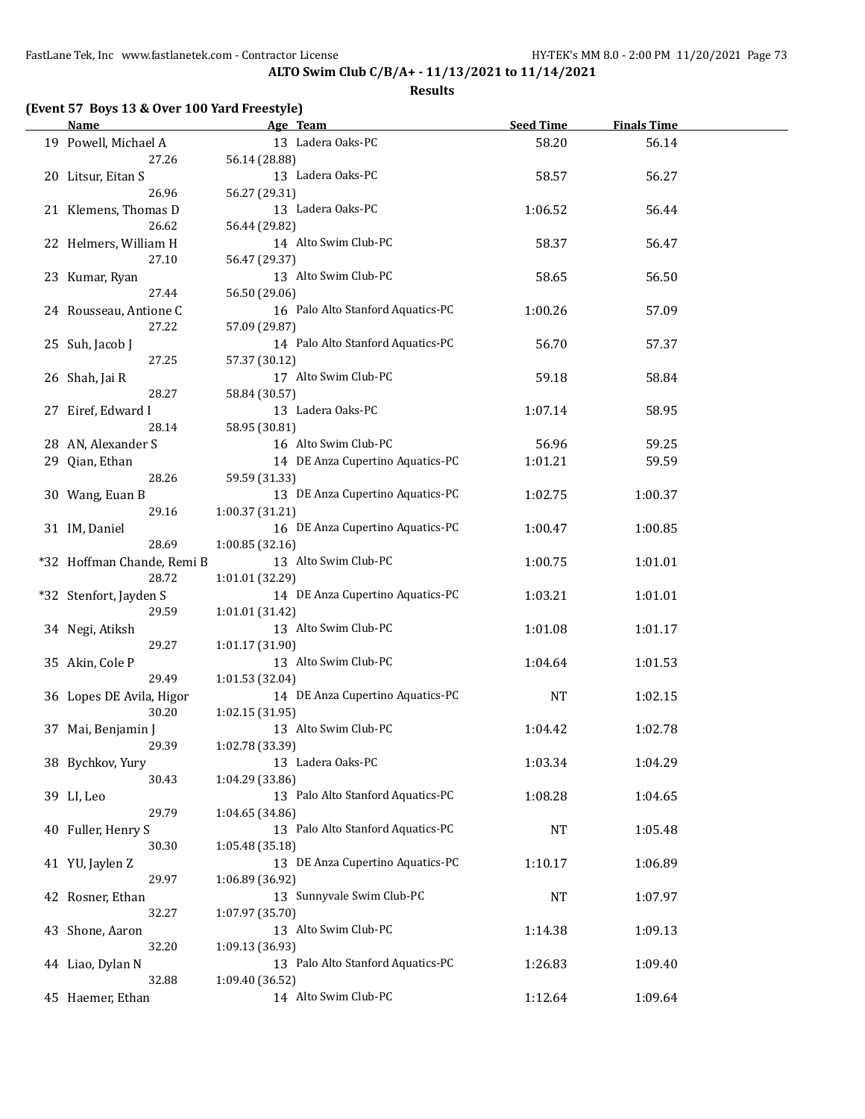| <b>Name</b>                   |                 | Age Team                          | <b>Seed Time</b> | <b>Finals Time</b> |  |
|-------------------------------|-----------------|-----------------------------------|------------------|--------------------|--|
| 19 Powell, Michael A          |                 | 13 Ladera Oaks-PC                 | 58.20            | 56.14              |  |
| 27.26                         | 56.14 (28.88)   |                                   |                  |                    |  |
| 20 Litsur, Eitan S            |                 | 13 Ladera Oaks-PC                 | 58.57            | 56.27              |  |
| 26.96                         | 56.27 (29.31)   |                                   |                  |                    |  |
|                               |                 | 13 Ladera Oaks-PC                 | 1:06.52          | 56.44              |  |
| 21 Klemens, Thomas D<br>26.62 |                 |                                   |                  |                    |  |
|                               | 56.44 (29.82)   |                                   |                  |                    |  |
| 22 Helmers, William H         |                 | 14 Alto Swim Club-PC              | 58.37            | 56.47              |  |
| 27.10                         | 56.47 (29.37)   |                                   |                  |                    |  |
| 23 Kumar, Ryan                |                 | 13 Alto Swim Club-PC              | 58.65            | 56.50              |  |
| 27.44                         | 56.50 (29.06)   |                                   |                  |                    |  |
| 24 Rousseau, Antione C        |                 | 16 Palo Alto Stanford Aquatics-PC | 1:00.26          | 57.09              |  |
| 27.22                         | 57.09 (29.87)   |                                   |                  |                    |  |
| 25 Suh, Jacob J               |                 | 14 Palo Alto Stanford Aquatics-PC | 56.70            | 57.37              |  |
| 27.25                         | 57.37 (30.12)   |                                   |                  |                    |  |
| 26 Shah, Jai R                |                 | 17 Alto Swim Club-PC              | 59.18            | 58.84              |  |
| 28.27                         | 58.84 (30.57)   |                                   |                  |                    |  |
| 27 Eiref, Edward I            |                 | 13 Ladera Oaks-PC                 | 1:07.14          | 58.95              |  |
| 28.14                         | 58.95 (30.81)   |                                   |                  |                    |  |
| 28 AN, Alexander S            |                 | 16 Alto Swim Club-PC              | 56.96            | 59.25              |  |
| 29 Qian, Ethan                |                 | 14 DE Anza Cupertino Aquatics-PC  | 1:01.21          | 59.59              |  |
| 28.26                         | 59.59 (31.33)   |                                   |                  |                    |  |
|                               |                 | 13 DE Anza Cupertino Aquatics-PC  |                  |                    |  |
| 30 Wang, Euan B<br>29.16      | 1:00.37 (31.21) |                                   | 1:02.75          | 1:00.37            |  |
|                               |                 |                                   |                  |                    |  |
| 31 IM, Daniel                 |                 | 16 DE Anza Cupertino Aquatics-PC  | 1:00.47          | 1:00.85            |  |
| 28.69                         | 1:00.85 (32.16) |                                   |                  |                    |  |
| *32 Hoffman Chande, Remi B    |                 | 13 Alto Swim Club-PC              | 1:00.75          | 1:01.01            |  |
| 28.72                         | 1:01.01 (32.29) |                                   |                  |                    |  |
| *32 Stenfort, Jayden S        |                 | 14 DE Anza Cupertino Aquatics-PC  | 1:03.21          | 1:01.01            |  |
| 29.59                         | 1:01.01 (31.42) |                                   |                  |                    |  |
| 34 Negi, Atiksh               |                 | 13 Alto Swim Club-PC              | 1:01.08          | 1:01.17            |  |
| 29.27                         | 1:01.17 (31.90) |                                   |                  |                    |  |
| 35 Akin, Cole P               |                 | 13 Alto Swim Club-PC              | 1:04.64          | 1:01.53            |  |
| 29.49                         | 1:01.53 (32.04) |                                   |                  |                    |  |
| 36 Lopes DE Avila, Higor      |                 | 14 DE Anza Cupertino Aquatics-PC  | <b>NT</b>        | 1:02.15            |  |
| 30.20                         | 1:02.15(31.95)  |                                   |                  |                    |  |
| 37 Mai, Benjamin J            |                 | 13 Alto Swim Club-PC              | 1:04.42          | 1:02.78            |  |
| 29.39                         | 1:02.78 (33.39) |                                   |                  |                    |  |
| 38 Bychkov, Yury              |                 | 13 Ladera Oaks-PC                 | 1:03.34          | 1:04.29            |  |
| 30.43                         | 1:04.29 (33.86) |                                   |                  |                    |  |
| 39 LI, Leo                    |                 | 13 Palo Alto Stanford Aquatics-PC | 1:08.28          | 1:04.65            |  |
| 29.79                         | 1:04.65 (34.86) |                                   |                  |                    |  |
| 40 Fuller, Henry S            |                 | 13 Palo Alto Stanford Aquatics-PC | <b>NT</b>        |                    |  |
|                               |                 |                                   |                  | 1:05.48            |  |
| 30.30                         | 1:05.48 (35.18) |                                   |                  |                    |  |
| 41 YU, Jaylen Z               |                 | 13 DE Anza Cupertino Aquatics-PC  | 1:10.17          | 1:06.89            |  |
| 29.97                         | 1:06.89 (36.92) |                                   |                  |                    |  |
| 42 Rosner, Ethan              |                 | 13 Sunnyvale Swim Club-PC         | <b>NT</b>        | 1:07.97            |  |
| 32.27                         | 1:07.97 (35.70) |                                   |                  |                    |  |
| 43 Shone, Aaron               |                 | 13 Alto Swim Club-PC              | 1:14.38          | 1:09.13            |  |
| 32.20                         | 1:09.13 (36.93) |                                   |                  |                    |  |
| 44 Liao, Dylan N              |                 | 13 Palo Alto Stanford Aquatics-PC | 1:26.83          | 1:09.40            |  |
| 32.88                         | 1:09.40 (36.52) |                                   |                  |                    |  |
| 45 Haemer, Ethan              |                 | 14 Alto Swim Club-PC              | 1:12.64          | 1:09.64            |  |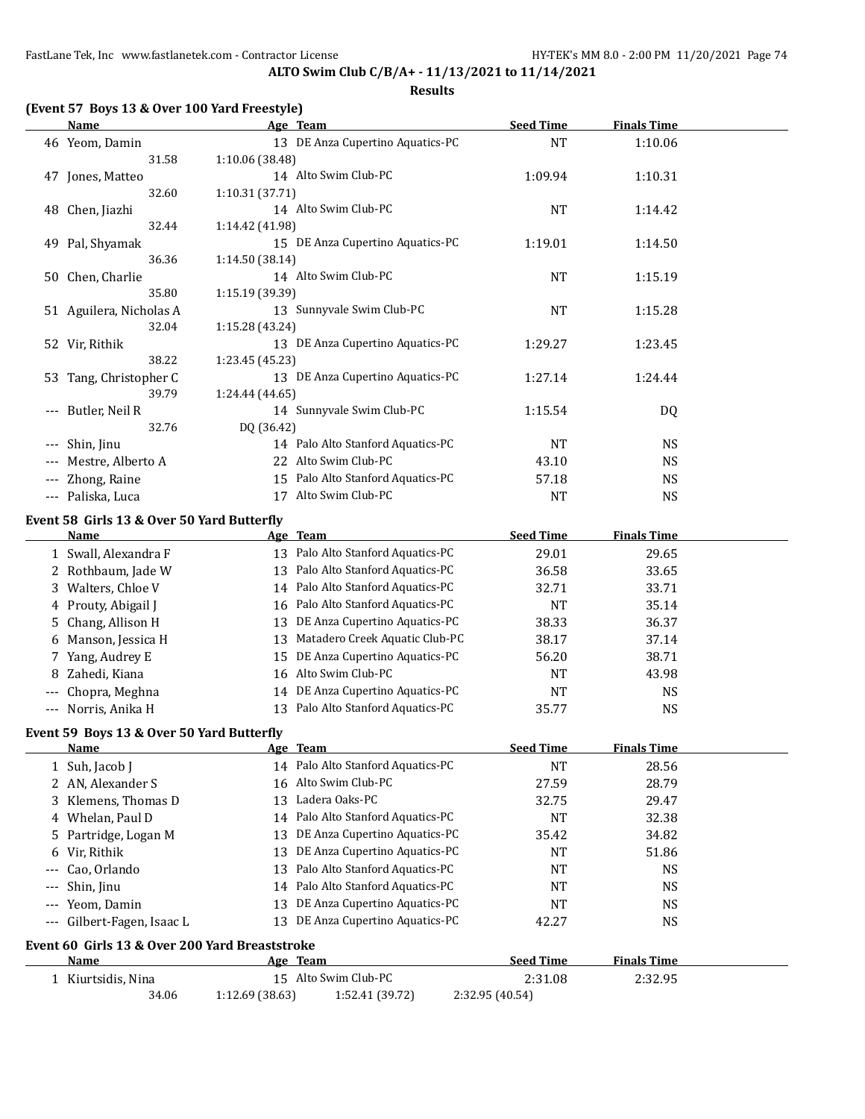# **ALTO Swim Club C/B/A+ - 11/13/2021 to 11/14/2021**

### **Results**

|  |  |  | (Event 57 Boys 13 & Over 100 Yard Freestyle) |
|--|--|--|----------------------------------------------|
|--|--|--|----------------------------------------------|

|                     | Name                                       | Age Team                          | <b>Seed Time</b> | <b>Finals Time</b> |  |  |  |  |
|---------------------|--------------------------------------------|-----------------------------------|------------------|--------------------|--|--|--|--|
|                     | 46 Yeom, Damin                             | 13 DE Anza Cupertino Aquatics-PC  | <b>NT</b>        | 1:10.06            |  |  |  |  |
|                     | 31.58                                      | 1:10.06 (38.48)                   |                  |                    |  |  |  |  |
|                     | 47 Jones, Matteo                           | 14 Alto Swim Club-PC              | 1:09.94          | 1:10.31            |  |  |  |  |
|                     | 32.60                                      | 1:10.31 (37.71)                   |                  |                    |  |  |  |  |
|                     | 48 Chen, Jiazhi                            | 14 Alto Swim Club-PC              | NT               | 1:14.42            |  |  |  |  |
|                     | 32.44                                      | 1:14.42 (41.98)                   |                  |                    |  |  |  |  |
|                     | 49 Pal, Shyamak                            | 15 DE Anza Cupertino Aquatics-PC  | 1:19.01          | 1:14.50            |  |  |  |  |
|                     | 36.36                                      | 1:14.50(38.14)                    |                  |                    |  |  |  |  |
|                     | 50 Chen, Charlie                           | 14 Alto Swim Club-PC              | NT               | 1:15.19            |  |  |  |  |
|                     | 35.80                                      | 1:15.19 (39.39)                   |                  |                    |  |  |  |  |
|                     | 51 Aguilera, Nicholas A                    | 13 Sunnyvale Swim Club-PC         | NT               | 1:15.28            |  |  |  |  |
|                     | 32.04                                      | 1:15.28 (43.24)                   |                  |                    |  |  |  |  |
|                     | 52 Vir, Rithik                             | 13 DE Anza Cupertino Aquatics-PC  | 1:29.27          | 1:23.45            |  |  |  |  |
|                     | 38.22                                      | 1:23.45 (45.23)                   |                  |                    |  |  |  |  |
|                     | 53 Tang, Christopher C                     | 13 DE Anza Cupertino Aquatics-PC  | 1:27.14          | 1:24.44            |  |  |  |  |
|                     | 39.79                                      | 1:24.44 (44.65)                   |                  |                    |  |  |  |  |
| ---                 | Butler, Neil R                             | 14 Sunnyvale Swim Club-PC         | 1:15.54          | DQ                 |  |  |  |  |
|                     | 32.76                                      | DQ (36.42)                        |                  |                    |  |  |  |  |
|                     | Shin, Jinu                                 | 14 Palo Alto Stanford Aquatics-PC | NT               | <b>NS</b>          |  |  |  |  |
| ---                 | Mestre, Alberto A                          | 22 Alto Swim Club-PC              | 43.10            | <b>NS</b>          |  |  |  |  |
|                     | Zhong, Raine                               | 15 Palo Alto Stanford Aquatics-PC | 57.18            | <b>NS</b>          |  |  |  |  |
| $\qquad \qquad - -$ | Paliska, Luca                              | Alto Swim Club-PC<br>17           | <b>NT</b>        | <b>NS</b>          |  |  |  |  |
|                     | Event 58 Girls 13 & Over 50 Yard Butterfly |                                   |                  |                    |  |  |  |  |

|       | <b>Name</b>          | Age Team                          | <b>Seed Time</b> | <b>Finals Time</b> |
|-------|----------------------|-----------------------------------|------------------|--------------------|
|       | 1 Swall, Alexandra F | 13 Palo Alto Stanford Aquatics-PC | 29.01            | 29.65              |
|       | 2 Rothbaum, Jade W   | 13 Palo Alto Stanford Aquatics-PC | 36.58            | 33.65              |
|       | 3 Walters, Chloe V   | 14 Palo Alto Stanford Aquatics-PC | 32.71            | 33.71              |
|       | 4 Prouty, Abigail J  | 16 Palo Alto Stanford Aquatics-PC | NT               | 35.14              |
|       | 5 Chang, Allison H   | 13 DE Anza Cupertino Aquatics-PC  | 38.33            | 36.37              |
| 6     | Manson, Jessica H    | 13 Matadero Creek Aquatic Club-PC | 38.17            | 37.14              |
|       | 7 Yang, Audrey E     | 15 DE Anza Cupertino Aquatics-PC  | 56.20            | 38.71              |
|       | 8 Zahedi, Kiana      | 16 Alto Swim Club-PC              | NT               | 43.98              |
|       | --- Chopra, Meghna   | 14 DE Anza Cupertino Aquatics-PC  | NT               | <b>NS</b>          |
| $---$ | Norris, Anika H      | 13 Palo Alto Stanford Aquatics-PC | 35.77            | <b>NS</b>          |

### **Event 59 Boys 13 & Over 50 Yard Butterfly**

|       | <b>Name</b>                                    |                 | Age Team                          | <b>Seed Time</b> | <b>Finals Time</b> |  |
|-------|------------------------------------------------|-----------------|-----------------------------------|------------------|--------------------|--|
|       | 1 Suh, Jacob J                                 |                 | 14 Palo Alto Stanford Aquatics-PC | <b>NT</b>        | 28.56              |  |
|       | 2 AN, Alexander S                              |                 | 16 Alto Swim Club-PC              | 27.59            | 28.79              |  |
|       | 3 Klemens, Thomas D                            | 13              | Ladera Oaks-PC                    | 32.75            | 29.47              |  |
|       | 4 Whelan, Paul D                               |                 | 14 Palo Alto Stanford Aquatics-PC | NT               | 32.38              |  |
|       | 5 Partridge, Logan M                           | 13              | DE Anza Cupertino Aquatics-PC     | 35.42            | 34.82              |  |
|       | 6 Vir, Rithik                                  | 13              | DE Anza Cupertino Aquatics-PC     | <b>NT</b>        | 51.86              |  |
| $---$ | Cao, Orlando                                   | 13              | Palo Alto Stanford Aquatics-PC    | <b>NT</b>        | <b>NS</b>          |  |
| $---$ | Shin, Jinu                                     |                 | 14 Palo Alto Stanford Aquatics-PC | <b>NT</b>        | <b>NS</b>          |  |
| $---$ | Yeom, Damin                                    | 13              | DE Anza Cupertino Aquatics-PC     | <b>NT</b>        | NS.                |  |
| $---$ | Gilbert-Fagen, Isaac L                         | 13              | DE Anza Cupertino Aquatics-PC     | 42.27            | NS.                |  |
|       | Event 60 Girls 13 & Over 200 Yard Breaststroke |                 |                                   |                  |                    |  |
|       | Name                                           |                 | Age Team                          | <b>Seed Time</b> | <b>Finals Time</b> |  |
|       | Kiurtsidis, Nina                               | 15              | Alto Swim Club-PC                 | 2:31.08          | 2:32.95            |  |
|       | 34.06                                          | 1:12.69 (38.63) | 1:52.41 (39.72)                   | 2:32.95 (40.54)  |                    |  |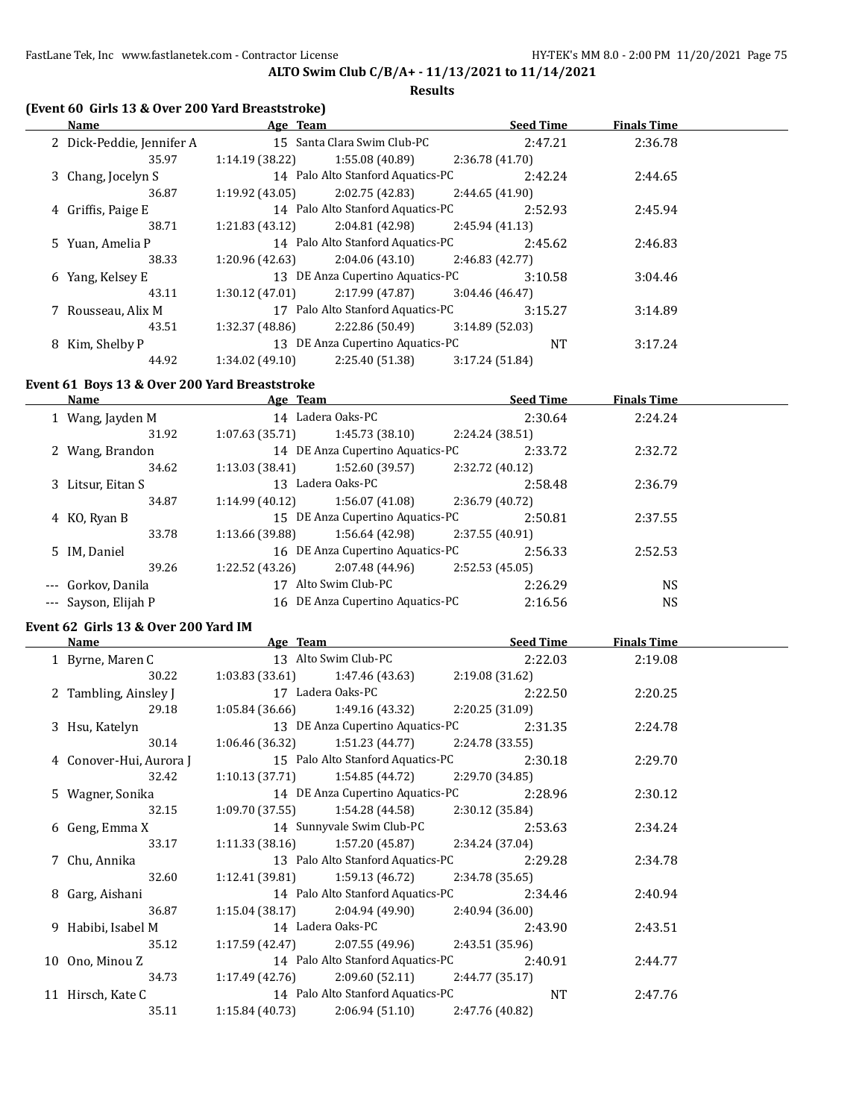# **ALTO Swim Club C/B/A+ - 11/13/2021 to 11/14/2021**

#### **Results**

# **(Event 60 Girls 13 & Over 200 Yard Breaststroke)**

| <b>Name</b>               | Age Team        |                                   |                 | <b>Seed Time</b> | <b>Finals Time</b> |  |
|---------------------------|-----------------|-----------------------------------|-----------------|------------------|--------------------|--|
| 2 Dick-Peddie, Jennifer A |                 | 15 Santa Clara Swim Club-PC       |                 | 2:47.21          | 2:36.78            |  |
| 35.97                     | 1:14.19 (38.22) | 1:55.08 (40.89)                   | 2:36.78 (41.70) |                  |                    |  |
| 3 Chang, Jocelyn S        |                 | 14 Palo Alto Stanford Aquatics-PC |                 | 2:42.24          | 2:44.65            |  |
| 36.87                     | 1:19.92 (43.05) | 2:02.75 (42.83)                   | 2:44.65 (41.90) |                  |                    |  |
| 4 Griffis, Paige E        |                 | 14 Palo Alto Stanford Aquatics-PC |                 | 2:52.93          | 2:45.94            |  |
| 38.71                     | 1:21.83 (43.12) | $2:04.81(42.98)$ $2:45.94(41.13)$ |                 |                  |                    |  |
| 5 Yuan, Amelia P          |                 | 14 Palo Alto Stanford Aquatics-PC |                 | 2:45.62          | 2:46.83            |  |
| 38.33                     | 1:20.96 (42.63) | $2:04.06(43.10)$ 2:46.83 (42.77)  |                 |                  |                    |  |
| 6 Yang, Kelsey E          |                 | 13 DE Anza Cupertino Aquatics-PC  |                 | 3:10.58          | 3:04.46            |  |
| 43.11                     | 1:30.12(47.01)  | 2:17.99 (47.87)                   | 3:04.46(46.47)  |                  |                    |  |
| 7 Rousseau, Alix M        |                 | 17 Palo Alto Stanford Aquatics-PC |                 | 3:15.27          | 3:14.89            |  |
| 43.51                     | 1:32.37 (48.86) | 2:22.86 (50.49)                   | 3:14.89(52.03)  |                  |                    |  |
| 8 Kim. Shelby P           |                 | 13 DE Anza Cupertino Aquatics-PC  |                 | <b>NT</b>        | 3:17.24            |  |
| 44.92                     | 1:34.02(49.10)  | 2:25.40 (51.38)                   | 3:17.24 (51.84) |                  |                    |  |

# **Event 61 Boys 13 & Over 200 Yard Breaststroke**

|                |                                           | <b>Seed Time</b>                                                                           | <b>Finals Time</b>                                                                                                                           |  |
|----------------|-------------------------------------------|--------------------------------------------------------------------------------------------|----------------------------------------------------------------------------------------------------------------------------------------------|--|
|                |                                           | 2:30.64                                                                                    | 2:24.24                                                                                                                                      |  |
| 1:07.63(35.71) | 1:45.73(38.10)                            | 2:24.24 (38.51)                                                                            |                                                                                                                                              |  |
|                |                                           | 2:33.72                                                                                    | 2:32.72                                                                                                                                      |  |
| 1:13.03(38.41) | 1:52.60 (39.57)                           | 2:32.72 (40.12)                                                                            |                                                                                                                                              |  |
|                |                                           | 2:58.48                                                                                    | 2:36.79                                                                                                                                      |  |
| 1:14.99(40.12) | 1:56.07(41.08)                            | 2:36.79 (40.72)                                                                            |                                                                                                                                              |  |
|                |                                           | 2:50.81                                                                                    | 2:37.55                                                                                                                                      |  |
|                | 1:56.64 (42.98)                           | 2:37.55 (40.91)                                                                            |                                                                                                                                              |  |
|                |                                           | 2:56.33                                                                                    | 2:52.53                                                                                                                                      |  |
| 1:22.52(43.26) | 2:07.48 (44.96)                           | 2:52.53(45.05)                                                                             |                                                                                                                                              |  |
| 17             |                                           | 2:26.29                                                                                    | <b>NS</b>                                                                                                                                    |  |
|                |                                           | 2:16.56                                                                                    | <b>NS</b>                                                                                                                                    |  |
|                |                                           |                                                                                            |                                                                                                                                              |  |
|                | 31.92<br>34.62<br>34.87<br>33.78<br>39.26 | Age Team<br>14 Ladera Oaks-PC<br>13 Ladera Oaks-PC<br>1:13.66 (39.88)<br>Alto Swim Club-PC | 14 DE Anza Cupertino Aquatics-PC<br>15 DE Anza Cupertino Aquatics-PC<br>16 DE Anza Cupertino Aquatics-PC<br>16 DE Anza Cupertino Aquatics-PC |  |

#### **Event 62 Girls 13 & Over 200 Yard IM**

| Name                    | Age Team        |                                                    |                 | <b>Seed Time</b> | <b>Finals Time</b> |  |
|-------------------------|-----------------|----------------------------------------------------|-----------------|------------------|--------------------|--|
| 1 Byrne, Maren C        |                 | 13 Alto Swim Club-PC                               |                 | 2:22.03          | 2:19.08            |  |
| 30.22                   |                 | $1:03.83(33.61)$ $1:47.46(43.63)$                  | 2:19.08 (31.62) |                  |                    |  |
| 2 Tambling, Ainsley J   |                 | 17 Ladera Oaks-PC                                  |                 | 2:22.50          | 2:20.25            |  |
| 29.18                   |                 | $1:05.84(36.66)$ $1:49.16(43.32)$                  | 2:20.25 (31.09) |                  |                    |  |
| 3 Hsu, Katelyn          |                 | 13 DE Anza Cupertino Aquatics-PC                   |                 | 2:31.35          | 2:24.78            |  |
| 30.14                   |                 | $1:06.46(36.32)$ $1:51.23(44.77)$ $2:24.78(33.55)$ |                 |                  |                    |  |
| 4 Conover-Hui, Aurora J |                 | 15 Palo Alto Stanford Aquatics-PC                  |                 | 2:30.18          | 2:29.70            |  |
| 32.42                   |                 | $1:10.13(37.71)$ $1:54.85(44.72)$                  | 2:29.70 (34.85) |                  |                    |  |
| 5 Wagner, Sonika        |                 | 14 DE Anza Cupertino Aquatics-PC                   |                 | 2:28.96          | 2:30.12            |  |
| 32.15                   |                 | $1:09.70(37.55)$ $1:54.28(44.58)$                  | 2:30.12 (35.84) |                  |                    |  |
| 6 Geng, Emma X          |                 | 14 Sunnyvale Swim Club-PC                          |                 | 2:53.63          | 2:34.24            |  |
| 33.17                   |                 | $1:11.33(38.16)$ $1:57.20(45.87)$ $2:34.24(37.04)$ |                 |                  |                    |  |
| 7 Chu, Annika           |                 | 13 Palo Alto Stanford Aquatics-PC                  |                 | 2:29.28          | 2:34.78            |  |
| 32.60                   |                 | $1:12.41(39.81)$ $1:59.13(46.72)$ $2:34.78(35.65)$ |                 |                  |                    |  |
| 8 Garg, Aishani         |                 | 14 Palo Alto Stanford Aquatics-PC                  |                 | 2:34.46          | 2:40.94            |  |
| 36.87                   |                 | $1:15.04(38.17)$ $2:04.94(49.90)$                  | 2:40.94 (36.00) |                  |                    |  |
| 9 Habibi, Isabel M      |                 | 14 Ladera Oaks-PC                                  |                 | 2:43.90          | 2:43.51            |  |
| 35.12                   |                 | $1:17.59(42.47)$ $2:07.55(49.96)$                  | 2:43.51 (35.96) |                  |                    |  |
| 10 Ono, Minou Z         |                 | 14 Palo Alto Stanford Aquatics-PC                  |                 | 2:40.91          | 2:44.77            |  |
| 34.73                   |                 | $1:17.49(42.76)$ $2:09.60(52.11)$ $2:44.77(35.17)$ |                 |                  |                    |  |
| 11 Hirsch, Kate C       |                 | 14 Palo Alto Stanford Aquatics-PC                  |                 | NT               | 2:47.76            |  |
| 35.11                   | 1:15.84 (40.73) | 2:06.94 (51.10)                                    | 2:47.76 (40.82) |                  |                    |  |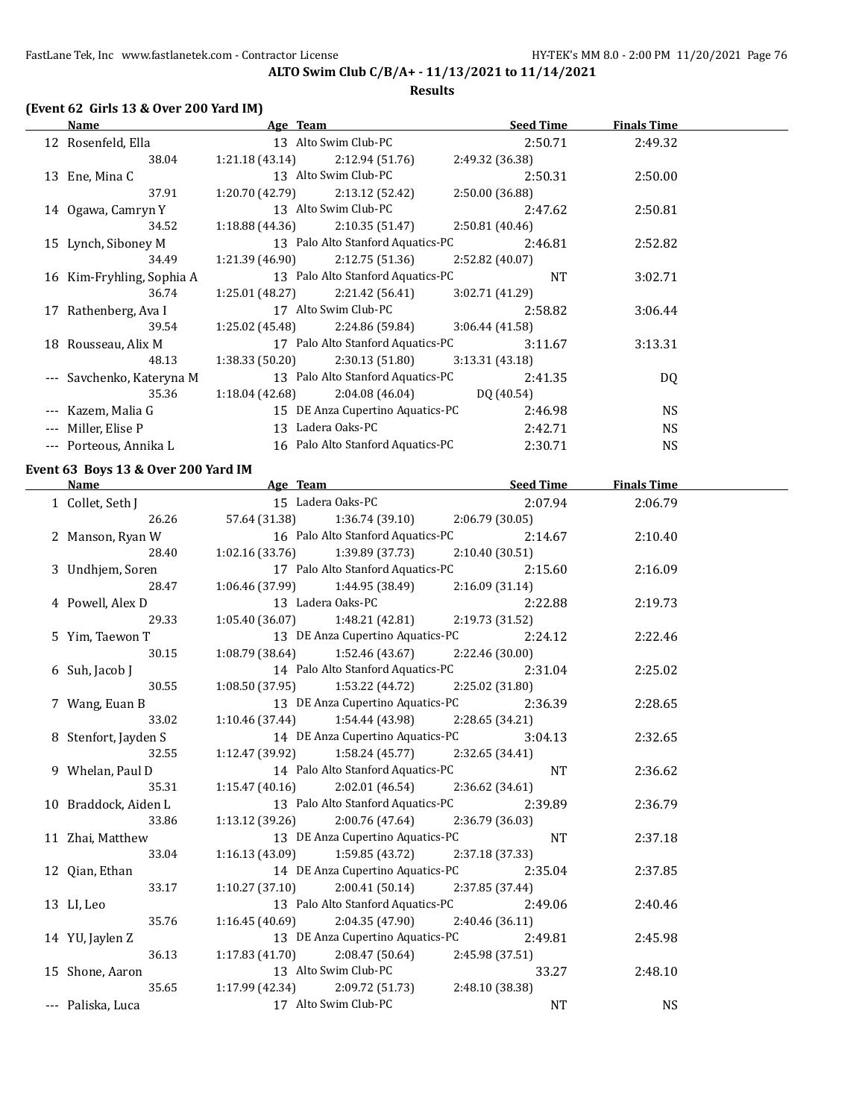#### **Results**

# **(Event 62 Girls 13 & Over 200 Yard IM)**

|          | Name                      | Age Team        |                                   | <b>Seed Time</b> |           | <b>Finals Time</b> |  |
|----------|---------------------------|-----------------|-----------------------------------|------------------|-----------|--------------------|--|
|          | 12 Rosenfeld, Ella        |                 | 13 Alto Swim Club-PC              | 2:50.71          |           | 2:49.32            |  |
|          | 38.04                     | 1:21.18(43.14)  | 2:12.94(51.76)                    | 2:49.32 (36.38)  |           |                    |  |
|          | 13 Ene, Mina C            |                 | 13 Alto Swim Club-PC              | 2:50.31          |           | 2:50.00            |  |
|          | 37.91                     | 1:20.70 (42.79) | 2:13.12 (52.42)                   | 2:50.00 (36.88)  |           |                    |  |
|          | 14 Ogawa, Camryn Y        |                 | 13 Alto Swim Club-PC              | 2:47.62          |           | 2:50.81            |  |
|          | 34.52                     | 1:18.88 (44.36) | 2:10.35(51.47)                    | 2:50.81 (40.46)  |           |                    |  |
|          | 15 Lynch, Siboney M       |                 | 13 Palo Alto Stanford Aquatics-PC | 2:46.81          |           | 2:52.82            |  |
|          | 34.49                     | 1:21.39 (46.90) | 2:12.75(51.36)                    | 2:52.82 (40.07)  |           |                    |  |
|          | 16 Kim-Fryhling, Sophia A |                 | 13 Palo Alto Stanford Aquatics-PC |                  | <b>NT</b> | 3:02.71            |  |
|          | 36.74                     | 1:25.01 (48.27) | 2:21.42 (56.41)                   | 3:02.71(41.29)   |           |                    |  |
|          | 17 Rathenberg, Ava I      |                 | 17 Alto Swim Club-PC              | 2:58.82          |           | 3:06.44            |  |
|          | 39.54                     | 1:25.02 (45.48) | 2:24.86 (59.84)                   | 3:06.44(41.58)   |           |                    |  |
|          | 18 Rousseau, Alix M       |                 | 17 Palo Alto Stanford Aquatics-PC | 3:11.67          |           | 3:13.31            |  |
|          | 48.13                     | 1:38.33(50.20)  | 2:30.13(51.80)                    | 3:13.31(43.18)   |           |                    |  |
|          | --- Savchenko, Kateryna M |                 | 13 Palo Alto Stanford Aquatics-PC | 2:41.35          |           | DQ                 |  |
|          | 35.36                     | 1:18.04 (42.68) | 2:04.08 (46.04)                   | DO (40.54)       |           |                    |  |
|          | --- Kazem, Malia G        |                 | 15 DE Anza Cupertino Aquatics-PC  | 2:46.98          |           | NS.                |  |
| $\cdots$ | Miller, Elise P           |                 | 13 Ladera Oaks-PC                 | 2:42.71          |           | NS.                |  |
|          | --- Porteous, Annika L    |                 | 16 Palo Alto Stanford Aquatics-PC | 2:30.71          |           | <b>NS</b>          |  |

#### **Event 63 Boys 13 & Over 200 Yard IM**

|                   | <b>Name</b> Seed Time Seed Age Team Seed Time                                 |                                          | <b>Finals Time</b> |  |
|-------------------|-------------------------------------------------------------------------------|------------------------------------------|--------------------|--|
|                   | 1 Collet, Seth J 15 Ladera Oaks-PC                                            | 2:07.94                                  | 2:06.79            |  |
|                   | 26.26 57.64 (31.38) 1:36.74 (39.10) 2:06.79 (30.05)                           |                                          |                    |  |
|                   | 2 Manson, Ryan W 16 Palo Alto Stanford Aquatics-PC 2:14.67                    |                                          | 2:10.40            |  |
| 28.40             | $1:02.16(33.76)$ $1:39.89(37.73)$ $2:10.40(30.51)$                            |                                          |                    |  |
|                   | 3 Undhjem, Soren 17 Palo Alto Stanford Aquatics-PC 2:15.60                    |                                          | 2:16.09            |  |
| 28.47             | $1:06.46(37.99)$ $1:44.95(38.49)$ $2:16.09(31.14)$                            |                                          |                    |  |
| 4 Powell, Alex D  | 13 Ladera Oaks-PC                                                             | 2:22.88                                  | 2:19.73            |  |
| 29.33             | $1:05.40(36.07)$ $1:48.21(42.81)$ $2:19.73(31.52)$                            |                                          |                    |  |
| 5 Yim, Taewon T   | 13 DE Anza Cupertino Aquatics-PC 2:24.12                                      |                                          | 2:22.46            |  |
| 30.15             | $1:08.79$ (38.64) $1:52.46$ (43.67) $2:22.46$ (30.00)                         |                                          |                    |  |
| 6 Suh, Jacob J    | 14 Palo Alto Stanford Aquatics-PC 2:31.04                                     |                                          | 2:25.02            |  |
| 30.55             | 1:08.50 (37.95) 1:53.22 (44.72) 2:25.02 (31.80)                               |                                          |                    |  |
| 7 Wang, Euan B    |                                                                               | 13 DE Anza Cupertino Aquatics-PC 2:36.39 | 2:28.65            |  |
| 33.02             | $1:10.46$ (37.44) $1:54.44$ (43.98) $2:28.65$ (34.21)                         |                                          |                    |  |
|                   | 8 Stenfort, Jayden S 14 DE Anza Cupertino Aquatics-PC 3:04.13                 |                                          | 2:32.65            |  |
| 32.55             | $1:12.47(39.92)$ $1:58.24(45.77)$ $2:32.65(34.41)$                            |                                          |                    |  |
| 9 Whelan, Paul D  | 14 Palo Alto Stanford Aquatics-PC NT                                          |                                          | 2:36.62            |  |
|                   | 35.31 1:15.47 (40.16) 2:02.01 (46.54) 2:36.62 (34.61)                         |                                          |                    |  |
|                   | 10 Braddock, Aiden L<br>33.86 1:13.12 (39.26) 2:00.76 (47.64) 2:36.79 (36.03) |                                          | 2:36.79            |  |
|                   |                                                                               |                                          |                    |  |
|                   | 11 Zhai, Matthew 13 DE Anza Cupertino Aquatics-PC NT                          |                                          | 2:37.18            |  |
| 33.04             | $1:16.13(43.09)$ $1:59.85(43.72)$ $2:37.18(37.33)$                            |                                          |                    |  |
| 12 Qian, Ethan    |                                                                               | 14 DE Anza Cupertino Aquatics-PC 2:35.04 | 2:37.85            |  |
| 33.17             | $1:10.27(37.10)$ $2:00.41(50.14)$ $2:37.85(37.44)$                            |                                          |                    |  |
| 13 LI, Leo        | 13 Palo Alto Stanford Aquatics-PC 2:49.06                                     |                                          | 2:40.46            |  |
| 35.76             | $1:16.45(40.69)$ $2:04.35(47.90)$ $2:40.46(36.11)$                            |                                          |                    |  |
| 14 YU, Jaylen Z   |                                                                               | 13 DE Anza Cupertino Aquatics-PC 2:49.81 | 2:45.98            |  |
|                   | 36.13 1:17.83 (41.70) 2:08.47 (50.64) 2:45.98 (37.51)                         |                                          |                    |  |
|                   | 15 Shone, Aaron 13 Alto Swim Club-PC                                          | 33.27                                    | 2:48.10            |  |
|                   | 35.65 1:17.99 (42.34) 2:09.72 (51.73) 2:48.10 (38.38)                         |                                          |                    |  |
| --- Paliska, Luca | 17 Alto Swim Club-PC                                                          | <b>NT</b>                                | <b>NS</b>          |  |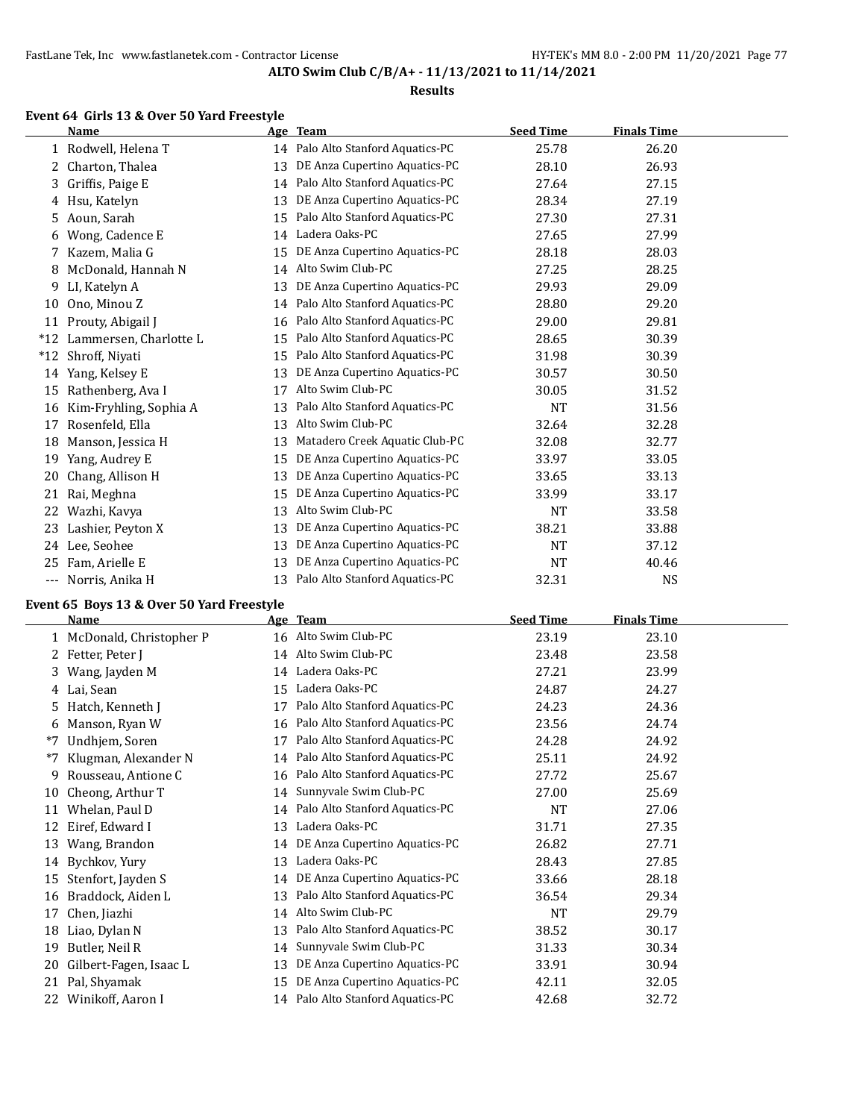#### **Results**

# **Event 64 Girls 13 & Over 50 Yard Freestyle**

|       | <b>Name</b>            |    | Age Team                          | <b>Seed Time</b> | <b>Finals Time</b> |  |
|-------|------------------------|----|-----------------------------------|------------------|--------------------|--|
|       | 1 Rodwell, Helena T    |    | 14 Palo Alto Stanford Aquatics-PC | 25.78            | 26.20              |  |
| 2     | Charton, Thalea        | 13 | DE Anza Cupertino Aquatics-PC     | 28.10            | 26.93              |  |
| 3.    | Griffis, Paige E       | 14 | Palo Alto Stanford Aquatics-PC    | 27.64            | 27.15              |  |
|       | 4 Hsu, Katelyn         | 13 | DE Anza Cupertino Aquatics-PC     | 28.34            | 27.19              |  |
| 5.    | Aoun, Sarah            | 15 | Palo Alto Stanford Aquatics-PC    | 27.30            | 27.31              |  |
| 6     | Wong, Cadence E        | 14 | Ladera Oaks-PC                    | 27.65            | 27.99              |  |
| 7     | Kazem, Malia G         | 15 | DE Anza Cupertino Aquatics-PC     | 28.18            | 28.03              |  |
| 8     | McDonald, Hannah N     | 14 | Alto Swim Club-PC                 | 27.25            | 28.25              |  |
| 9     | LI, Katelyn A          | 13 | DE Anza Cupertino Aquatics-PC     | 29.93            | 29.09              |  |
| 10    | Ono, Minou Z           | 14 | Palo Alto Stanford Aquatics-PC    | 28.80            | 29.20              |  |
| 11    | Prouty, Abigail J      | 16 | Palo Alto Stanford Aquatics-PC    | 29.00            | 29.81              |  |
| $*12$ | Lammersen, Charlotte L | 15 | Palo Alto Stanford Aquatics-PC    | 28.65            | 30.39              |  |
| $*12$ | Shroff, Niyati         | 15 | Palo Alto Stanford Aquatics-PC    | 31.98            | 30.39              |  |
| 14    | Yang, Kelsey E         | 13 | DE Anza Cupertino Aquatics-PC     | 30.57            | 30.50              |  |
| 15    | Rathenberg, Ava I      | 17 | Alto Swim Club-PC                 | 30.05            | 31.52              |  |
| 16    | Kim-Fryhling, Sophia A | 13 | Palo Alto Stanford Aquatics-PC    | <b>NT</b>        | 31.56              |  |
| 17    | Rosenfeld, Ella        | 13 | Alto Swim Club-PC                 | 32.64            | 32.28              |  |
| 18    | Manson, Jessica H      | 13 | Matadero Creek Aquatic Club-PC    | 32.08            | 32.77              |  |
| 19    | Yang, Audrey E         | 15 | DE Anza Cupertino Aquatics-PC     | 33.97            | 33.05              |  |
| 20    | Chang, Allison H       | 13 | DE Anza Cupertino Aquatics-PC     | 33.65            | 33.13              |  |
| 21    | Rai, Meghna            | 15 | DE Anza Cupertino Aquatics-PC     | 33.99            | 33.17              |  |
| 22    | Wazhi, Kavya           | 13 | Alto Swim Club-PC                 | <b>NT</b>        | 33.58              |  |
| 23    | Lashier, Peyton X      | 13 | DE Anza Cupertino Aquatics-PC     | 38.21            | 33.88              |  |
| 24    | Lee, Seohee            | 13 | DE Anza Cupertino Aquatics-PC     | NT               | 37.12              |  |
| 25    | Fam, Arielle E         | 13 | DE Anza Cupertino Aquatics-PC     | <b>NT</b>        | 40.46              |  |
| $---$ | Norris, Anika H        | 13 | Palo Alto Stanford Aquatics-PC    | 32.31            | <b>NS</b>          |  |

# **Event 65 Boys 13 & Over 50 Yard Freestyle**

|              | <b>Name</b>               |    | Age Team                          | <b>Seed Time</b> | <b>Finals Time</b> |
|--------------|---------------------------|----|-----------------------------------|------------------|--------------------|
|              | 1 McDonald, Christopher P |    | 16 Alto Swim Club-PC              | 23.19            | 23.10              |
| $\mathbf{Z}$ | Fetter, Peter J           |    | 14 Alto Swim Club-PC              | 23.48            | 23.58              |
| 3.           | Wang, Jayden M            | 14 | Ladera Oaks-PC                    | 27.21            | 23.99              |
|              | 4 Lai, Sean               | 15 | Ladera Oaks-PC                    | 24.87            | 24.27              |
|              | 5 Hatch, Kenneth J        | 17 | Palo Alto Stanford Aquatics-PC    | 24.23            | 24.36              |
| 6            | Manson, Ryan W            | 16 | Palo Alto Stanford Aquatics-PC    | 23.56            | 24.74              |
| *7           | Undhjem, Soren            | 17 | Palo Alto Stanford Aquatics-PC    | 24.28            | 24.92              |
| $*7$         | Klugman, Alexander N      |    | 14 Palo Alto Stanford Aquatics-PC | 25.11            | 24.92              |
| 9            | Rousseau, Antione C       | 16 | Palo Alto Stanford Aquatics-PC    | 27.72            | 25.67              |
| 10           | Cheong, Arthur T          |    | 14 Sunnyvale Swim Club-PC         | 27.00            | 25.69              |
| 11           | Whelan, Paul D            |    | 14 Palo Alto Stanford Aquatics-PC | <b>NT</b>        | 27.06              |
| 12           | Eiref, Edward I           | 13 | Ladera Oaks-PC                    | 31.71            | 27.35              |
| 13           | Wang, Brandon             | 14 | DE Anza Cupertino Aquatics-PC     | 26.82            | 27.71              |
| 14           | Bychkov, Yury             | 13 | Ladera Oaks-PC                    | 28.43            | 27.85              |
| 15           | Stenfort, Jayden S        | 14 | DE Anza Cupertino Aquatics-PC     | 33.66            | 28.18              |
| 16           | Braddock, Aiden L         | 13 | Palo Alto Stanford Aquatics-PC    | 36.54            | 29.34              |
| 17           | Chen, Jiazhi              | 14 | Alto Swim Club-PC                 | <b>NT</b>        | 29.79              |
| 18           | Liao, Dylan N             | 13 | Palo Alto Stanford Aquatics-PC    | 38.52            | 30.17              |
| 19           | Butler, Neil R            | 14 | Sunnyvale Swim Club-PC            | 31.33            | 30.34              |
| 20           | Gilbert-Fagen, Isaac L    | 13 | DE Anza Cupertino Aquatics-PC     | 33.91            | 30.94              |
| 21           | Pal, Shyamak              | 15 | DE Anza Cupertino Aquatics-PC     | 42.11            | 32.05              |
| 22           | Winikoff, Aaron I         |    | 14 Palo Alto Stanford Aquatics-PC | 42.68            | 32.72              |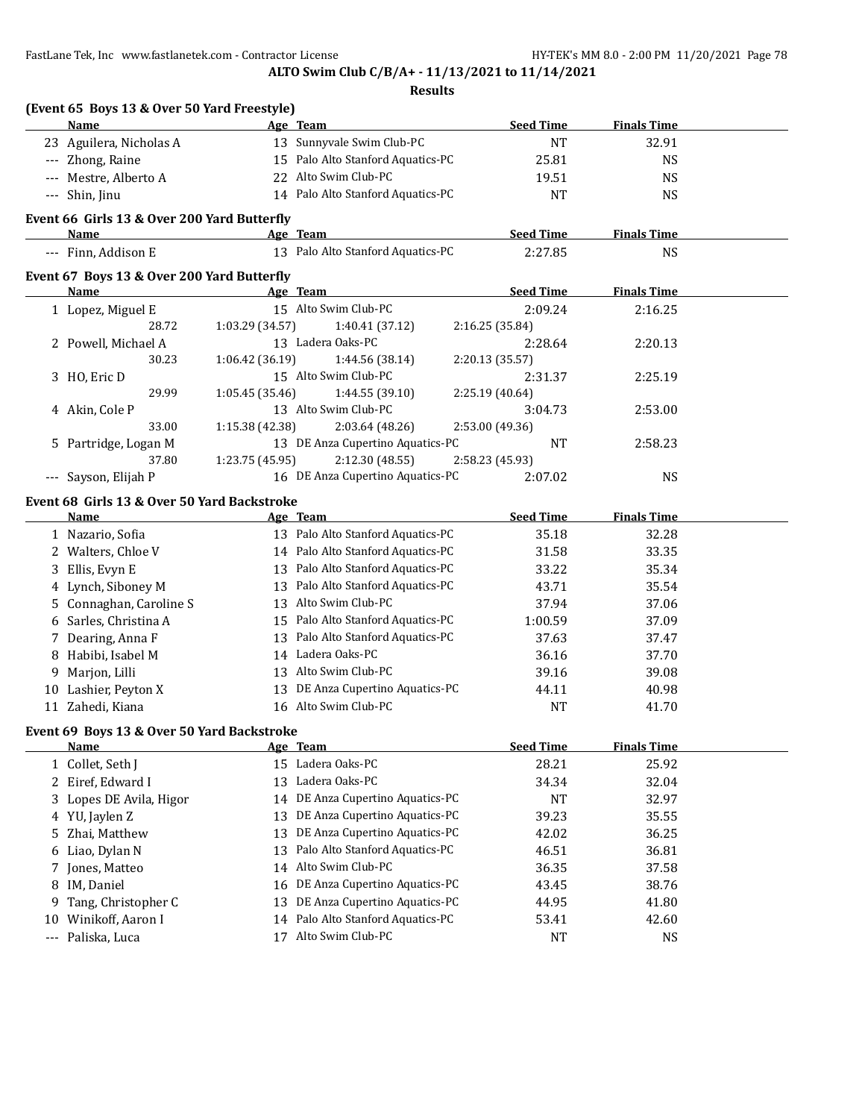**ALTO Swim Club C/B/A+ - 11/13/2021 to 11/14/2021**

|       | (Event 65 Boys 13 & Over 50 Yard Freestyle) |                 |                                   |                  |                    |  |
|-------|---------------------------------------------|-----------------|-----------------------------------|------------------|--------------------|--|
|       | Name                                        |                 | Age Team                          | <b>Seed Time</b> | <b>Finals Time</b> |  |
|       | 23 Aguilera, Nicholas A                     |                 | 13 Sunnyvale Swim Club-PC         | <b>NT</b>        | 32.91              |  |
|       | --- Zhong, Raine                            |                 | 15 Palo Alto Stanford Aquatics-PC | 25.81            | <b>NS</b>          |  |
|       | Mestre, Alberto A                           |                 | 22 Alto Swim Club-PC              | 19.51            | <b>NS</b>          |  |
|       | --- Shin, Jinu                              |                 | 14 Palo Alto Stanford Aquatics-PC | <b>NT</b>        | <b>NS</b>          |  |
|       | Event 66 Girls 13 & Over 200 Yard Butterfly |                 |                                   |                  |                    |  |
|       | Name                                        |                 | Age Team                          | <b>Seed Time</b> | <b>Finals Time</b> |  |
|       | --- Finn, Addison E                         |                 | 13 Palo Alto Stanford Aquatics-PC | 2:27.85          | <b>NS</b>          |  |
|       | Event 67 Boys 13 & Over 200 Yard Butterfly  |                 |                                   |                  |                    |  |
|       | Name                                        |                 | Age Team                          | <b>Seed Time</b> | <b>Finals Time</b> |  |
|       | 1 Lopez, Miguel E                           |                 | 15 Alto Swim Club-PC              | 2:09.24          | 2:16.25            |  |
|       | 28.72                                       | 1:03.29 (34.57) | 1:40.41 (37.12)                   | 2:16.25 (35.84)  |                    |  |
|       | 2 Powell, Michael A                         |                 | 13 Ladera Oaks-PC                 | 2:28.64          | 2:20.13            |  |
|       | 30.23                                       | 1:06.42 (36.19) | 1:44.56 (38.14)                   | 2:20.13 (35.57)  |                    |  |
|       | 3 HO, Eric D                                |                 | 15 Alto Swim Club-PC              | 2:31.37          | 2:25.19            |  |
|       | 29.99                                       | 1:05.45 (35.46) | 1:44.55 (39.10)                   | 2:25.19 (40.64)  |                    |  |
|       | 4 Akin, Cole P                              |                 | 13 Alto Swim Club-PC              | 3:04.73          | 2:53.00            |  |
|       | 33.00                                       | 1:15.38 (42.38) | 2:03.64 (48.26)                   | 2:53.00 (49.36)  |                    |  |
|       | 5 Partridge, Logan M                        |                 | 13 DE Anza Cupertino Aquatics-PC  | <b>NT</b>        | 2:58.23            |  |
|       | 37.80                                       | 1:23.75 (45.95) | 2:12.30 (48.55)                   | 2:58.23 (45.93)  |                    |  |
|       | --- Sayson, Elijah P                        |                 | 16 DE Anza Cupertino Aquatics-PC  | 2:07.02          | <b>NS</b>          |  |
|       | Event 68 Girls 13 & Over 50 Yard Backstroke |                 |                                   |                  |                    |  |
|       | Name                                        |                 | Age Team                          | <b>Seed Time</b> | <b>Finals Time</b> |  |
|       | 1 Nazario, Sofia                            |                 | 13 Palo Alto Stanford Aquatics-PC | 35.18            | 32.28              |  |
|       | 2 Walters, Chloe V                          |                 | 14 Palo Alto Stanford Aquatics-PC | 31.58            | 33.35              |  |
|       | 3 Ellis, Evyn E                             |                 | 13 Palo Alto Stanford Aquatics-PC | 33.22            | 35.34              |  |
|       | 4 Lynch, Siboney M                          |                 | 13 Palo Alto Stanford Aquatics-PC | 43.71            | 35.54              |  |
|       | 5 Connaghan, Caroline S                     |                 | 13 Alto Swim Club-PC              | 37.94            | 37.06              |  |
|       | 6 Sarles, Christina A                       |                 | 15 Palo Alto Stanford Aquatics-PC | 1:00.59          | 37.09              |  |
|       | 7 Dearing, Anna F                           |                 | 13 Palo Alto Stanford Aquatics-PC | 37.63            | 37.47              |  |
|       | 8 Habibi, Isabel M                          |                 | 14 Ladera Oaks-PC                 | 36.16            | 37.70              |  |
|       | 9 Marjon, Lilli                             |                 | 13 Alto Swim Club-PC              | 39.16            | 39.08              |  |
|       | 10 Lashier, Peyton X                        |                 | 13 DE Anza Cupertino Aquatics-PC  | 44.11            | 40.98              |  |
|       | 11 Zahedi, Kiana                            |                 | 16 Alto Swim Club-PC              | NT               | 41.70              |  |
|       | Event 69 Boys 13 & Over 50 Yard Backstroke  |                 |                                   |                  |                    |  |
|       | <u>Name</u>                                 |                 | Age Team                          | <b>Seed Time</b> | <b>Finals Time</b> |  |
|       | 1 Collet, Seth J                            |                 | 15 Ladera Oaks-PC                 | 28.21            | 25.92              |  |
|       | 2 Eiref, Edward I                           |                 | 13 Ladera Oaks-PC                 | 34.34            | 32.04              |  |
|       | Lopes DE Avila, Higor                       | 14              | DE Anza Cupertino Aquatics-PC     | NT               | 32.97              |  |
|       | 4 YU, Jaylen Z                              | 13              | DE Anza Cupertino Aquatics-PC     | 39.23            | 35.55              |  |
| 5     | Zhai, Matthew                               | 13              | DE Anza Cupertino Aquatics-PC     | 42.02            | 36.25              |  |
| 6     | Liao, Dylan N                               | 13              | Palo Alto Stanford Aquatics-PC    | 46.51            | 36.81              |  |
| 7.    | Jones, Matteo                               | 14              | Alto Swim Club-PC                 | 36.35            | 37.58              |  |
| 8     | IM, Daniel                                  | 16              | DE Anza Cupertino Aquatics-PC     | 43.45            | 38.76              |  |
| 9     | Tang, Christopher C                         | 13              | DE Anza Cupertino Aquatics-PC     | 44.95            | 41.80              |  |
| 10    | Winikoff, Aaron I                           | 14              | Palo Alto Stanford Aquatics-PC    | 53.41            | 42.60              |  |
| $---$ | Paliska, Luca                               | 17              | Alto Swim Club-PC                 | <b>NT</b>        | <b>NS</b>          |  |
|       |                                             |                 |                                   |                  |                    |  |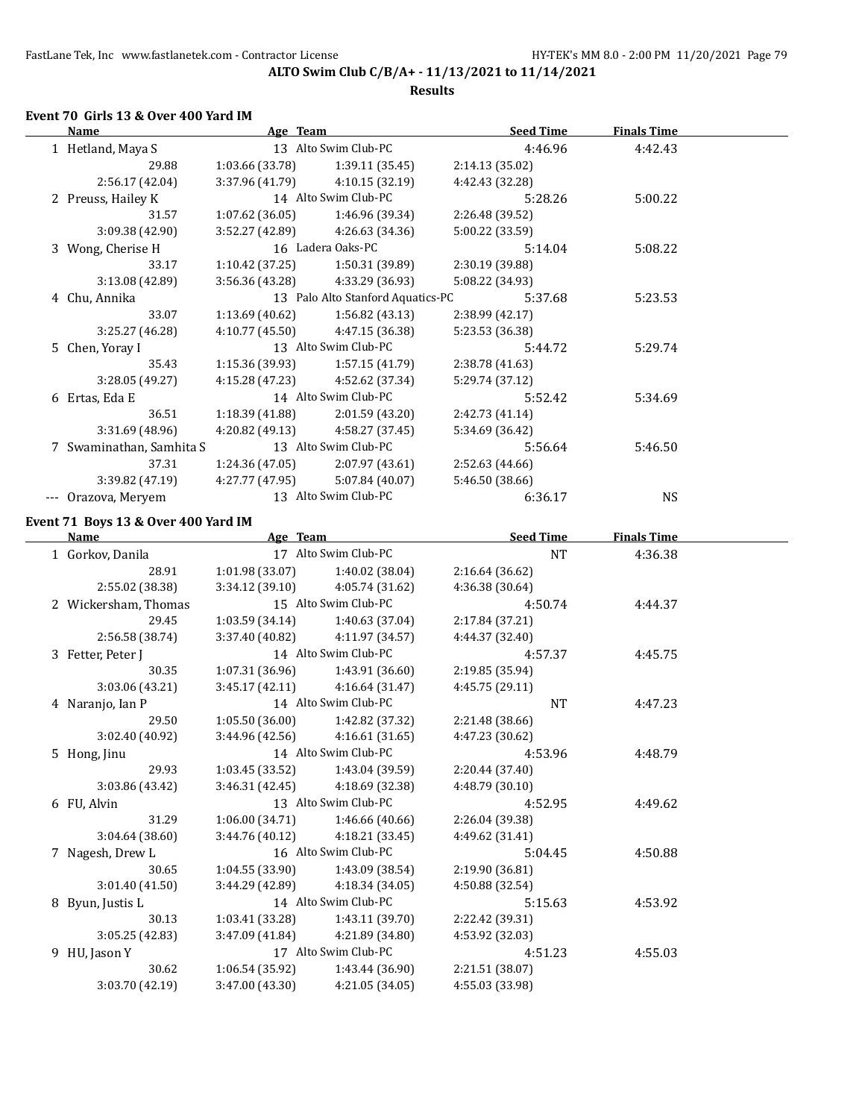#### **Results**

# **Event 70 Girls 13 & Over 400 Yard IM**

| Name                                | Age Team             |                                                      | Seed Time                          | <b>Finals Time</b> |  |
|-------------------------------------|----------------------|------------------------------------------------------|------------------------------------|--------------------|--|
| 1 Hetland, Maya S                   |                      | 13 Alto Swim Club-PC                                 | 4:46.96                            | 4:42.43            |  |
| 29.88                               | 1:03.66 (33.78)      | 1:39.11 (35.45)                                      | 2:14.13 (35.02)                    |                    |  |
| 2:56.17(42.04)                      |                      | $3:37.96(41.79)$ $4:10.15(32.19)$                    | 4:42.43 (32.28)                    |                    |  |
| 2 Preuss, Hailey K                  |                      | 14 Alto Swim Club-PC                                 | 5:28.26                            | 5:00.22            |  |
| 31.57                               | 1:07.62 (36.05)      | 1:46.96 (39.34)                                      | 2:26.48 (39.52)                    |                    |  |
| 3:09.38 (42.90)                     |                      | $3:52.27(42.89)$ $4:26.63(34.36)$                    | 5:00.22 (33.59)                    |                    |  |
| 3 Wong, Cherise H                   |                      | 16 Ladera Oaks-PC                                    | 5:14.04                            | 5:08.22            |  |
| 33.17                               | 1:10.42 (37.25)      | 1:50.31 (39.89)                                      | 2:30.19 (39.88)                    |                    |  |
| 3:13.08 (42.89)                     |                      | $3:56.36(43.28)$ $4:33.29(36.93)$                    | 5:08.22 (34.93)                    |                    |  |
| 4 Chu, Annika                       |                      | 13 Palo Alto Stanford Aquatics-PC                    | 5:37.68                            | 5:23.53            |  |
| 33.07                               | 1:13.69 (40.62)      | 1:56.82 (43.13)                                      | 2:38.99 (42.17)                    |                    |  |
| 3:25.27 (46.28)                     | 4:10.77 (45.50)      | 4:47.15 (36.38)                                      | 5:23.53 (36.38)                    |                    |  |
| 5 Chen, Yoray I                     |                      | 13 Alto Swim Club-PC                                 | 5:44.72                            | 5:29.74            |  |
| 35.43                               |                      | $1:15.36(39.93)$ $1:57.15(41.79)$                    | 2:38.78 (41.63)                    |                    |  |
| 3:28.05 (49.27)                     |                      | 4:15.28 (47.23) 4:52.62 (37.34)                      | 5:29.74 (37.12)                    |                    |  |
| 6 Ertas, Eda E                      |                      | 14 Alto Swim Club-PC                                 | 5:52.42                            | 5:34.69            |  |
| 36.51                               |                      | $1:18.39(41.88)$ $2:01.59(43.20)$                    | 2:42.73 (41.14)                    |                    |  |
| 3:31.69 (48.96)                     |                      | 4:20.82 (49.13) 4:58.27 (37.45)                      | 5:34.69 (36.42)                    |                    |  |
| 7 Swaminathan, Samhita S            |                      | 13 Alto Swim Club-PC                                 | 5:56.64                            | 5:46.50            |  |
| 37.31                               |                      | $1:24.36(47.05)$ $2:07.97(43.61)$                    | 2:52.63 (44.66)                    |                    |  |
| 3:39.82 (47.19)                     |                      | $4:27.77(47.95)$ $5:07.84(40.07)$                    | 5:46.50 (38.66)                    |                    |  |
| --- Orazova, Meryem                 | 13 Alto Swim Club-PC |                                                      | 6:36.17                            | <b>NS</b>          |  |
|                                     |                      |                                                      |                                    |                    |  |
| Event 71 Boys 13 & Over 400 Yard IM | Age Team             |                                                      |                                    |                    |  |
| <b>Name</b>                         |                      | 17 Alto Swim Club-PC                                 | <b>Example 2 Seed Time</b>         | <b>Finals Time</b> |  |
| 1 Gorkov, Danila                    |                      |                                                      | NT                                 | 4:36.38            |  |
| 28.91<br>2:55.02 (38.38)            |                      | $1:01.98(33.07)$ $1:40.02(38.04)$                    | 2:16.64 (36.62)                    |                    |  |
|                                     | 3:34.12 (39.10)      | 4:05.74 (31.62)<br>15 Alto Swim Club-PC              | 4:36.38 (30.64)                    |                    |  |
| 2 Wickersham, Thomas<br>29.45       | 1:03.59 (34.14)      |                                                      | 4:50.74                            | 4:44.37            |  |
| 2:56.58 (38.74)                     |                      | 1:40.63 (37.04)<br>$3:37.40(40.82)$ $4:11.97(34.57)$ | 2:17.84 (37.21)<br>4:44.37 (32.40) |                    |  |
|                                     |                      | 14 Alto Swim Club-PC                                 |                                    |                    |  |
| 3 Fetter, Peter J<br>30.35          | 1:07.31 (36.96)      | 1:43.91 (36.60)                                      | 4:57.37<br>2:19.85 (35.94)         | 4:45.75            |  |
| 3:03.06 (43.21)                     | 3:45.17 (42.11)      | 4:16.64 (31.47)                                      | 4:45.75 (29.11)                    |                    |  |
|                                     |                      | 14 Alto Swim Club-PC                                 |                                    |                    |  |
| 4 Naranjo, Ian P<br>29.50           | 1:05.50(36.00)       |                                                      | NT<br>2:21.48 (38.66)              | 4:47.23            |  |
| 3:02.40 (40.92)                     | 3:44.96 (42.56)      | 1:42.82 (37.32)<br>4:16.61 (31.65)                   | 4:47.23 (30.62)                    |                    |  |
|                                     |                      |                                                      |                                    |                    |  |
| 5 Hong, Jinu                        |                      | 14 Alto Swim Club-PC                                 | 4:53.96                            | 4:48.79            |  |
| 29.93                               | 1:03.45 (33.52)      | 1:43.04 (39.59)                                      | 2:20.44 (37.40)                    |                    |  |
| 3:03.86 (43.42)                     | 3:46.31(42.45)       | 4:18.69 (32.38)<br>13 Alto Swim Club-PC              | 4:48.79 (30.10)                    | 4:49.62            |  |
| 6 FU, Alvin                         |                      |                                                      | 4:52.95                            |                    |  |
| 31.29                               | 1:06.00(34.71)       | 1:46.66 (40.66)                                      | 2:26.04 (39.38)                    |                    |  |
| 3:04.64 (38.60)                     | 3:44.76 (40.12)      | 4:18.21 (33.45)<br>16 Alto Swim Club-PC              | 4:49.62 (31.41)                    |                    |  |
| 7 Nagesh, Drew L                    |                      |                                                      | 5:04.45                            | 4:50.88            |  |
| 30.65                               | 1:04.55 (33.90)      | 1:43.09 (38.54)                                      | 2:19.90 (36.81)                    |                    |  |
| 3:01.40 (41.50)                     | 3:44.29 (42.89)      | 4:18.34 (34.05)                                      | 4:50.88 (32.54)                    |                    |  |
| 8 Byun, Justis L                    |                      | 14 Alto Swim Club-PC                                 | 5:15.63                            | 4:53.92            |  |
| 30.13                               | 1:03.41 (33.28)      | 1:43.11 (39.70)                                      | 2:22.42 (39.31)                    |                    |  |
| 3:05.25 (42.83)                     | 3:47.09 (41.84)      | 4:21.89 (34.80)                                      | 4:53.92 (32.03)                    |                    |  |
| 9 HU, Jason Y                       |                      | 17 Alto Swim Club-PC                                 | 4:51.23                            | 4:55.03            |  |
| 30.62                               | 1:06.54 (35.92)      | 1:43.44 (36.90)                                      | 2:21.51 (38.07)                    |                    |  |
| 3:03.70 (42.19)                     | 3:47.00 (43.30)      | 4:21.05 (34.05)                                      | 4:55.03 (33.98)                    |                    |  |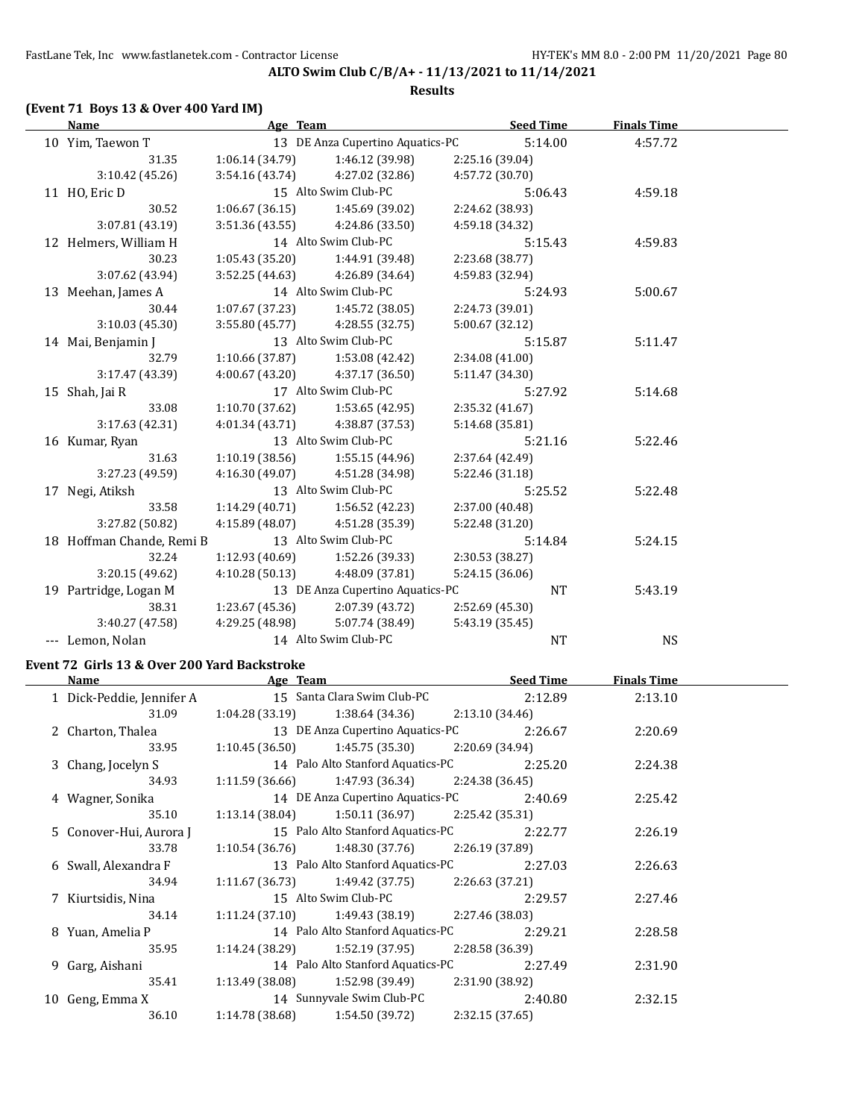**ALTO Swim Club C/B/A+ - 11/13/2021 to 11/14/2021 Results**

# **(Event 71 Boys 13 & Over 400 Yard IM)**

|       | <b>Name</b>               | Age Team                          |                                   | <b>Seed Time</b> | <b>Finals Time</b> |  |
|-------|---------------------------|-----------------------------------|-----------------------------------|------------------|--------------------|--|
|       | 10 Yim, Taewon T          |                                   | 13 DE Anza Cupertino Aquatics-PC  | 5:14.00          | 4:57.72            |  |
|       | 31.35                     | 1:06.14(34.79)                    | 1:46.12 (39.98)                   | 2:25.16 (39.04)  |                    |  |
|       | 3:10.42(45.26)            |                                   | $3:54.16(43.74)$ $4:27.02(32.86)$ | 4:57.72 (30.70)  |                    |  |
|       | 11 HO, Eric D             |                                   | 15 Alto Swim Club-PC              | 5:06.43          | 4:59.18            |  |
|       | 30.52                     | 1:06.67(36.15)                    | 1:45.69 (39.02)                   | 2:24.62 (38.93)  |                    |  |
|       | 3:07.81(43.19)            | 3:51.36(43.55)                    | 4:24.86 (33.50)                   | 4:59.18 (34.32)  |                    |  |
|       | 12 Helmers, William H     |                                   | 14 Alto Swim Club-PC              | 5:15.43          | 4:59.83            |  |
|       | 30.23                     | $1:05.43(35.20)$ $1:44.91(39.48)$ |                                   | 2:23.68 (38.77)  |                    |  |
|       | 3:07.62 (43.94)           |                                   | $3:52.25(44.63)$ $4:26.89(34.64)$ | 4:59.83 (32.94)  |                    |  |
|       | 13 Meehan, James A        |                                   | 14 Alto Swim Club-PC              | 5:24.93          | 5:00.67            |  |
|       | 30.44                     | 1:07.67 (37.23)                   | 1:45.72 (38.05)                   | 2:24.73 (39.01)  |                    |  |
|       | 3:10.03 (45.30)           | 3:55.80(45.77)                    | 4:28.55(32.75)                    | 5:00.67 (32.12)  |                    |  |
|       | 14 Mai, Benjamin J        |                                   | 13 Alto Swim Club-PC              | 5:15.87          | 5:11.47            |  |
|       | 32.79                     |                                   | $1:10.66(37.87)$ $1:53.08(42.42)$ | 2:34.08 (41.00)  |                    |  |
|       | 3:17.47 (43.39)           | 4:00.67(43.20)                    | 4:37.17 (36.50)                   | 5:11.47 (34.30)  |                    |  |
|       | 15 Shah, Jai R            |                                   | 17 Alto Swim Club-PC              | 5:27.92          | 5:14.68            |  |
|       | 33.08                     | 1:10.70 (37.62)                   | 1:53.65(42.95)                    | 2:35.32 (41.67)  |                    |  |
|       | 3:17.63(42.31)            | 4:01.34(43.71)                    | 4:38.87 (37.53)                   | 5:14.68 (35.81)  |                    |  |
|       | 16 Kumar, Ryan            |                                   | 13 Alto Swim Club-PC              | 5:21.16          | 5:22.46            |  |
|       | 31.63                     |                                   | $1:10.19(38.56)$ $1:55.15(44.96)$ | 2:37.64 (42.49)  |                    |  |
|       | 3:27.23 (49.59)           | 4:16.30(49.07)                    | 4:51.28 (34.98)                   | 5:22.46 (31.18)  |                    |  |
|       | 17 Negi, Atiksh           |                                   | 13 Alto Swim Club-PC              | 5:25.52          | 5:22.48            |  |
|       | 33.58                     | 1:14.29(40.71)                    | 1:56.52 (42.23)                   | 2:37.00 (40.48)  |                    |  |
|       | 3:27.82 (50.82)           | 4:15.89(48.07)                    | 4:51.28 (35.39)                   | 5:22.48 (31.20)  |                    |  |
|       | 18 Hoffman Chande, Remi B |                                   | 13 Alto Swim Club-PC              | 5:14.84          | 5:24.15            |  |
|       | 32.24                     |                                   | $1:12.93(40.69)$ $1:52.26(39.33)$ | 2:30.53 (38.27)  |                    |  |
|       | 3:20.15(49.62)            | 4:10.28 (50.13)                   | 4:48.09 (37.81)                   | 5:24.15 (36.06)  |                    |  |
|       | 19 Partridge, Logan M     |                                   | 13 DE Anza Cupertino Aquatics-PC  | NT               | 5:43.19            |  |
|       | 38.31                     | 1:23.67(45.36)                    | 2:07.39 (43.72)                   | 2:52.69 (45.30)  |                    |  |
|       | 3:40.27 (47.58)           | 4:29.25 (48.98)                   | 5:07.74 (38.49)                   | 5:43.19 (35.45)  |                    |  |
| $---$ | Lemon, Nolan              |                                   | 14 Alto Swim Club-PC              | <b>NT</b>        | <b>NS</b>          |  |

# **Event 72 Girls 13 & Over 200 Yard Backstroke**

| Name                      | Age Team        |                                                    |                 | <b>Seed Time</b> | <b>Finals Time</b> |  |
|---------------------------|-----------------|----------------------------------------------------|-----------------|------------------|--------------------|--|
| 1 Dick-Peddie, Jennifer A |                 | 15 Santa Clara Swim Club-PC                        |                 | 2:12.89          | 2:13.10            |  |
| 31.09                     | 1:04.28 (33.19) | 1:38.64 (34.36)                                    | 2:13.10(34.46)  |                  |                    |  |
| 2 Charton, Thalea         |                 | 13 DE Anza Cupertino Aquatics-PC                   |                 | 2:26.67          | 2:20.69            |  |
| 33.95                     | 1:10.45(36.50)  | 1:45.75 (35.30)                                    | 2:20.69 (34.94) |                  |                    |  |
| 3 Chang, Jocelyn S        |                 | 14 Palo Alto Stanford Aquatics-PC                  |                 | 2:25.20          | 2:24.38            |  |
| 34.93                     | 1:11.59 (36.66) | $1:47.93(36.34)$ 2:24.38 (36.45)                   |                 |                  |                    |  |
| 4 Wagner, Sonika          |                 | 14 DE Anza Cupertino Aquatics-PC                   |                 | 2:40.69          | 2:25.42            |  |
| 35.10                     | 1:13.14 (38.04) | 1:50.11 (36.97)                                    | 2:25.42 (35.31) |                  |                    |  |
| 5 Conover-Hui, Aurora J   |                 | 15 Palo Alto Stanford Aquatics-PC                  |                 | 2:22.77          | 2:26.19            |  |
| 33.78                     |                 | $1:10.54(36.76)$ $1:48.30(37.76)$                  | 2:26.19 (37.89) |                  |                    |  |
| 6 Swall, Alexandra F      |                 | 13 Palo Alto Stanford Aquatics-PC                  |                 | 2:27.03          | 2:26.63            |  |
| 34.94                     |                 | $1:11.67(36.73)$ $1:49.42(37.75)$ $2:26.63(37.21)$ |                 |                  |                    |  |
| 7 Kiurtsidis, Nina        |                 | 15 Alto Swim Club-PC                               |                 | 2:29.57          | 2:27.46            |  |
| 34.14                     |                 | $1:11.24(37.10)$ $1:49.43(38.19)$                  | 2:27.46 (38.03) |                  |                    |  |
| 8 Yuan, Amelia P          |                 | 14 Palo Alto Stanford Aquatics-PC                  |                 | 2:29.21          | 2:28.58            |  |
| 35.95                     | 1:14.24 (38.29) | 1:52.19 (37.95)                                    | 2:28.58 (36.39) |                  |                    |  |
| 9 Garg, Aishani           |                 | 14 Palo Alto Stanford Aquatics-PC                  |                 | 2:27.49          | 2:31.90            |  |
| 35.41                     | 1:13.49 (38.08) | 1:52.98 (39.49)                                    | 2:31.90 (38.92) |                  |                    |  |
| 10 Geng, Emma X           |                 | 14 Sunnyvale Swim Club-PC                          |                 | 2:40.80          | 2:32.15            |  |
| 36.10                     | 1:14.78 (38.68) | 1:54.50 (39.72)                                    | 2:32.15(37.65)  |                  |                    |  |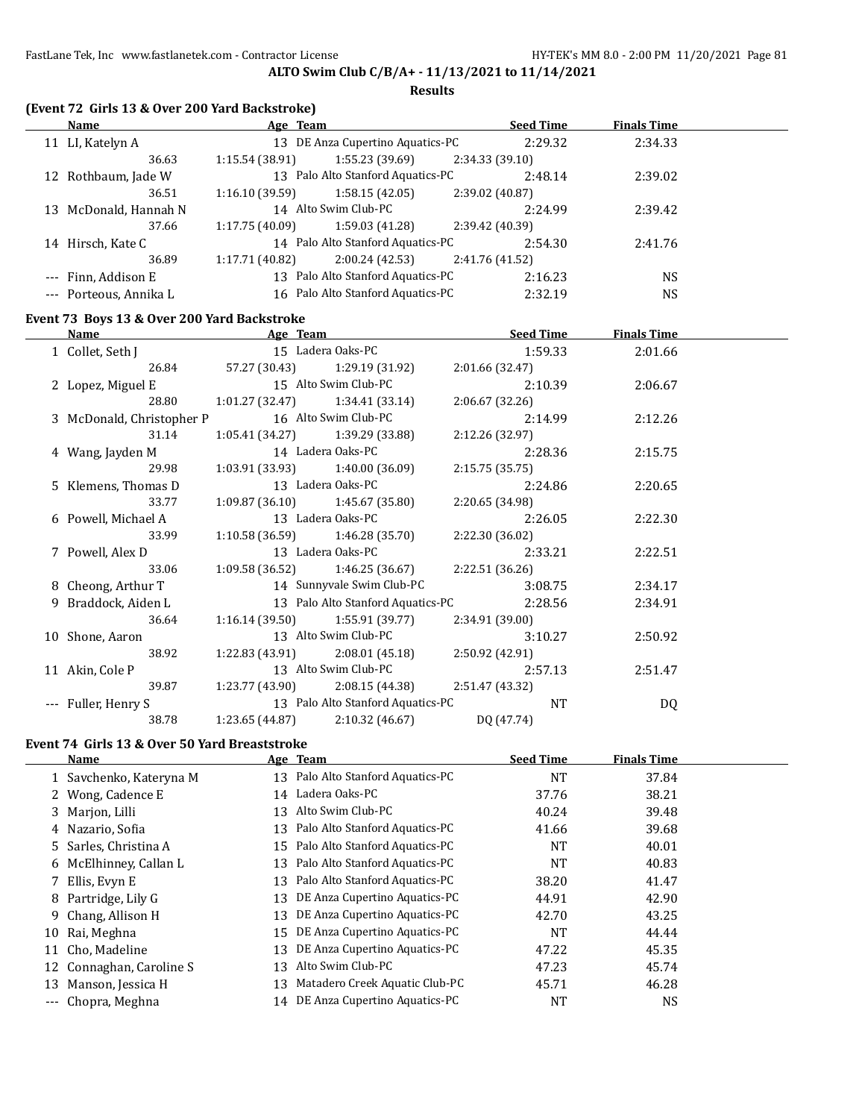#### **Results**

|  | (Event 72 Girls 13 & Over 200 Yard Backstroke) |  |
|--|------------------------------------------------|--|
|--|------------------------------------------------|--|

|     | Name                   | Age Team       |                                   |                 | <b>Seed Time</b> | <b>Finals Time</b> |  |
|-----|------------------------|----------------|-----------------------------------|-----------------|------------------|--------------------|--|
| 11  | LI, Katelyn A          | 13             | DE Anza Cupertino Aquatics-PC     |                 | 2:29.32          | 2:34.33            |  |
|     | 36.63                  | 1:15.54(38.91) | 1:55.23(39.69)                    | 2:34.33(39.10)  |                  |                    |  |
| 12  | Rothbaum, Jade W       |                | 13 Palo Alto Stanford Aquatics-PC |                 | 2:48.14          | 2:39.02            |  |
|     | 36.51                  | 1:16.10(39.59) | 1:58.15(42.05)                    | 2:39.02 (40.87) |                  |                    |  |
| 13. | McDonald, Hannah N     |                | 14 Alto Swim Club-PC              |                 | 2:24.99          | 2:39.42            |  |
|     | 37.66                  | 1:17.75(40.09) | 1:59.03 (41.28)                   | 2:39.42 (40.39) |                  |                    |  |
| 14  | Hirsch, Kate C         |                | 14 Palo Alto Stanford Aquatics-PC |                 | 2:54.30          | 2:41.76            |  |
|     | 36.89                  | 1:17.71(40.82) | 2:00.24 (42.53)                   | 2:41.76 (41.52) |                  |                    |  |
|     | --- Finn, Addison E    | 13             | Palo Alto Stanford Aquatics-PC    |                 | 2:16.23          | NS.                |  |
|     | --- Porteous, Annika L | 16             | Palo Alto Stanford Aquatics-PC    |                 | 2:32.19          | <b>NS</b>          |  |

# **Event 73 Boys 13 & Over 200 Yard Backstroke**

| Name                                   |                                   | Age Team Seed Time                                 |                 |         | <b>Finals Time</b> |  |
|----------------------------------------|-----------------------------------|----------------------------------------------------|-----------------|---------|--------------------|--|
| 1 Collet, Seth J                       |                                   | 15 Ladera Oaks-PC                                  |                 | 1:59.33 | 2:01.66            |  |
| 26.84                                  |                                   | 57.27 (30.43) 1:29.19 (31.92)                      | 2:01.66 (32.47) |         |                    |  |
| 2 Lopez, Miguel E 15 Alto Swim Club-PC |                                   |                                                    |                 | 2:10.39 | 2:06.67            |  |
| 28.80                                  | $1:01.27(32.47)$ $1:34.41(33.14)$ |                                                    | 2:06.67 (32.26) |         |                    |  |
| 3 McDonald, Christopher P              | 16 Alto Swim Club-PC              |                                                    |                 | 2:14.99 | 2:12.26            |  |
| 31.14                                  | $1:05.41(34.27)$ $1:39.29(33.88)$ |                                                    | 2:12.26 (32.97) |         |                    |  |
| 4 Wang, Jayden M                       |                                   | 14 Ladera Oaks-PC                                  |                 | 2:28.36 | 2:15.75            |  |
| 29.98                                  | $1:03.91(33.93)$ $1:40.00(36.09)$ |                                                    | 2:15.75(35.75)  |         |                    |  |
| 5 Klemens, Thomas D                    |                                   | 13 Ladera Oaks-PC                                  |                 | 2:24.86 | 2:20.65            |  |
| 33.77                                  |                                   | $1:09.87(36.10)$ $1:45.67(35.80)$                  | 2:20.65 (34.98) |         |                    |  |
| 6 Powell, Michael A 13 Ladera Oaks-PC  |                                   |                                                    |                 | 2:26.05 | 2:22.30            |  |
| 33.99                                  |                                   | $1:10.58(36.59)$ $1:46.28(35.70)$                  | 2:22.30 (36.02) |         |                    |  |
| 7 Powell, Alex D                       |                                   | 13 Ladera Oaks-PC                                  |                 | 2:33.21 | 2:22.51            |  |
| 33.06                                  |                                   | $1:09.58(36.52)$ $1:46.25(36.67)$ $2:22.51(36.26)$ |                 |         |                    |  |
| 8 Cheong, Arthur T                     |                                   | 14 Sunnyvale Swim Club-PC                          |                 | 3:08.75 | 2:34.17            |  |
| 9 Braddock, Aiden L                    |                                   | 13 Palo Alto Stanford Aquatics-PC 2:28.56          |                 |         | 2:34.91            |  |
| 36.64                                  |                                   | $1:16.14(39.50)$ $1:55.91(39.77)$                  | 2:34.91 (39.00) |         |                    |  |
| 10 Shone, Aaron                        |                                   | 13 Alto Swim Club-PC                               |                 | 3:10.27 | 2:50.92            |  |
| 38.92                                  |                                   | $1:22.83(43.91)$ $2:08.01(45.18)$                  | 2:50.92 (42.91) |         |                    |  |
| 11 Akin, Cole P                        |                                   | 13 Alto Swim Club-PC                               |                 | 2:57.13 | 2:51.47            |  |
| 39.87                                  |                                   | $1:23.77(43.90)$ $2:08.15(44.38)$ $2:51.47(43.32)$ |                 |         |                    |  |
| --- Fuller, Henry S                    |                                   | 13 Palo Alto Stanford Aquatics-PC                  |                 | NT      | DQ                 |  |
| 38.78                                  |                                   | 1:23.65 (44.87) 2:10.32 (46.67) DQ (47.74)         |                 |         |                    |  |

# **Event 74 Girls 13 & Over 50 Yard Breaststroke**

|     | <b>Name</b>              |    | Age Team                          | <b>Seed Time</b> | <b>Finals Time</b> |  |
|-----|--------------------------|----|-----------------------------------|------------------|--------------------|--|
|     | 1 Savchenko, Kateryna M  |    | 13 Palo Alto Stanford Aquatics-PC | NT               | 37.84              |  |
|     | 2 Wong, Cadence E        |    | 14 Ladera Oaks-PC                 | 37.76            | 38.21              |  |
|     | 3 Marjon, Lilli          | 13 | Alto Swim Club-PC                 | 40.24            | 39.48              |  |
|     | 4 Nazario, Sofia         | 13 | Palo Alto Stanford Aquatics-PC    | 41.66            | 39.68              |  |
|     | 5 Sarles, Christina A    |    | 15 Palo Alto Stanford Aquatics-PC | <b>NT</b>        | 40.01              |  |
|     | 6 McElhinney, Callan L   | 13 | Palo Alto Stanford Aquatics-PC    | <b>NT</b>        | 40.83              |  |
|     | 7 Ellis, Evyn E          | 13 | Palo Alto Stanford Aquatics-PC    | 38.20            | 41.47              |  |
|     | 8 Partridge, Lily G      | 13 | DE Anza Cupertino Aquatics-PC     | 44.91            | 42.90              |  |
|     | 9 Chang, Allison H       | 13 | DE Anza Cupertino Aquatics-PC     | 42.70            | 43.25              |  |
| 10  | Rai, Meghna              | 15 | DE Anza Cupertino Aquatics-PC     | <b>NT</b>        | 44.44              |  |
| 11  | Cho, Madeline            | 13 | DE Anza Cupertino Aquatics-PC     | 47.22            | 45.35              |  |
|     | 12 Connaghan, Caroline S | 13 | Alto Swim Club-PC                 | 47.23            | 45.74              |  |
| 13. | Manson, Jessica H        | 13 | Matadero Creek Aquatic Club-PC    | 45.71            | 46.28              |  |
|     | --- Chopra, Meghna       | 14 | DE Anza Cupertino Aquatics-PC     | <b>NT</b>        | <b>NS</b>          |  |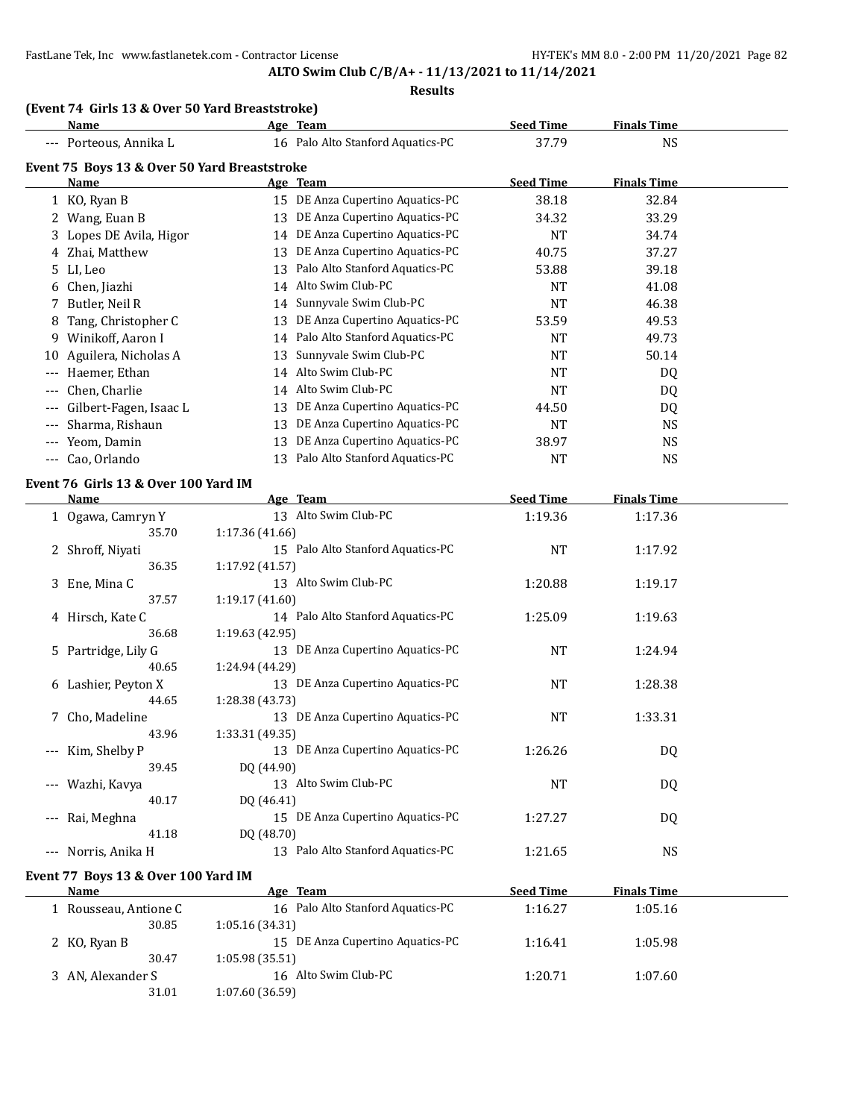# **ALTO Swim Club C/B/A+ - 11/13/2021 to 11/14/2021**

#### **Results**

# **(Event 74 Girls 13 & Over 50 Yard Breaststroke)**

|       | <b>Name</b>                                  |                 | Age Team                          | <b>Seed Time</b> | <b>Finals Time</b> |  |
|-------|----------------------------------------------|-----------------|-----------------------------------|------------------|--------------------|--|
|       | --- Porteous, Annika L                       |                 | 16 Palo Alto Stanford Aquatics-PC | 37.79            | <b>NS</b>          |  |
|       | Event 75 Boys 13 & Over 50 Yard Breaststroke |                 |                                   |                  |                    |  |
|       | Name                                         |                 | Age Team                          | <b>Seed Time</b> | <b>Finals Time</b> |  |
|       | 1 KO, Ryan B                                 |                 | 15 DE Anza Cupertino Aquatics-PC  | 38.18            | 32.84              |  |
|       | Wang, Euan B                                 | 13              | DE Anza Cupertino Aquatics-PC     | 34.32            | 33.29              |  |
| 3     | Lopes DE Avila, Higor                        | 14              | DE Anza Cupertino Aquatics-PC     | <b>NT</b>        | 34.74              |  |
|       | Zhai, Matthew                                | 13              | DE Anza Cupertino Aquatics-PC     | 40.75            | 37.27              |  |
| 5.    | LI, Leo                                      | 13              | Palo Alto Stanford Aquatics-PC    | 53.88            | 39.18              |  |
|       | Chen, Jiazhi                                 | 14              | Alto Swim Club-PC                 | <b>NT</b>        | 41.08              |  |
| 7     | Butler, Neil R                               | 14              | Sunnyvale Swim Club-PC            | <b>NT</b>        | 46.38              |  |
| 8     | Tang, Christopher C                          | 13              | DE Anza Cupertino Aquatics-PC     | 53.59            | 49.53              |  |
| 9     | Winikoff, Aaron I                            |                 | 14 Palo Alto Stanford Aquatics-PC | <b>NT</b>        | 49.73              |  |
| 10    | Aguilera, Nicholas A                         | 13              | Sunnyvale Swim Club-PC            | NT               | 50.14              |  |
| ---   | Haemer, Ethan                                |                 | 14 Alto Swim Club-PC              | <b>NT</b>        | DQ                 |  |
|       | Chen, Charlie                                |                 | 14 Alto Swim Club-PC              | <b>NT</b>        | DQ.                |  |
|       | Gilbert-Fagen, Isaac L                       | 13              | DE Anza Cupertino Aquatics-PC     | 44.50            | DQ                 |  |
| ---   | Sharma, Rishaun                              | 13              | DE Anza Cupertino Aquatics-PC     | <b>NT</b>        | <b>NS</b>          |  |
| ---   | Yeom, Damin                                  | 13              | DE Anza Cupertino Aquatics-PC     | 38.97            | <b>NS</b>          |  |
| $---$ | Cao, Orlando                                 |                 | 13 Palo Alto Stanford Aquatics-PC | <b>NT</b>        | <b>NS</b>          |  |
|       | Event 76 Girls 13 & Over 100 Yard IM         |                 |                                   |                  |                    |  |
|       | Name                                         |                 | Age Team                          | <b>Seed Time</b> | <b>Finals Time</b> |  |
|       | 1 Ogawa, Camryn Y                            |                 | 13 Alto Swim Club-PC              | 1:19.36          | 1:17.36            |  |
|       | 35.70                                        | 1:17.36(41.66)  |                                   |                  |                    |  |
|       | 2 Shroff, Niyati                             |                 | 15 Palo Alto Stanford Aquatics-PC | <b>NT</b>        | 1:17.92            |  |
|       | 36.35                                        | 1:17.92(41.57)  |                                   |                  |                    |  |
| 3     | Ene, Mina C                                  |                 | 13 Alto Swim Club-PC              | 1:20.88          | 1:19.17            |  |
|       | 37.57                                        | 1:19.17(41.60)  |                                   |                  |                    |  |
|       | 4 Hirsch, Kate C                             |                 | 14 Palo Alto Stanford Aquatics-PC | 1:25.09          | 1:19.63            |  |
|       | 36.68                                        | 1:19.63 (42.95) |                                   |                  |                    |  |

|                                          | ou.oo               | 1.19.03 (44.93)                      |         |           |  |
|------------------------------------------|---------------------|--------------------------------------|---------|-----------|--|
|                                          | 5 Partridge, Lily G | 13 DE Anza Cupertino Aquatics-PC     | NT      | 1:24.94   |  |
|                                          | 40.65               | 1:24.94 (44.29)                      |         |           |  |
| 6                                        | Lashier, Peyton X   | DE Anza Cupertino Aquatics-PC<br>13  | NT      | 1:28.38   |  |
|                                          | 44.65               | 1:28.38 (43.73)                      |         |           |  |
|                                          | 7 Cho, Madeline     | DE Anza Cupertino Aquatics-PC<br>13  | NT      | 1:33.31   |  |
|                                          | 43.96               | 1:33.31 (49.35)                      |         |           |  |
| $\hspace{0.05cm} \ldots \hspace{0.05cm}$ | Kim, Shelby P       | DE Anza Cupertino Aquatics-PC<br>13  | 1:26.26 | DQ        |  |
|                                          | 39.45               | DO (44.90)                           |         |           |  |
|                                          | --- Wazhi, Kavya    | Alto Swim Club-PC<br>13              | NT      | DQ        |  |
|                                          | 40.17               | DO (46.41)                           |         |           |  |
| $\qquad \qquad - -$                      | Rai, Meghna         | DE Anza Cupertino Aquatics-PC<br>15  | 1:27.27 | DQ        |  |
|                                          | 41.18               | DQ (48.70)                           |         |           |  |
| $\qquad \qquad - -$                      | Norris. Anika H     | Palo Alto Stanford Aquatics-PC<br>13 | 1:21.65 | <b>NS</b> |  |

# **Event 77 Boys 13 & Over 100 Yard IM**

| Name                  | Age Team                          | <b>Seed Time</b> | <b>Finals Time</b> |  |
|-----------------------|-----------------------------------|------------------|--------------------|--|
| 1 Rousseau, Antione C | 16 Palo Alto Stanford Aquatics-PC | 1:16.27          | 1:05.16            |  |
| 30.85                 | 1:05.16(34.31)                    |                  |                    |  |
| 2 KO, Ryan B          | 15 DE Anza Cupertino Aquatics-PC  | 1:16.41          | 1:05.98            |  |
| 30.47                 | 1:05.98(35.51)                    |                  |                    |  |
| 3 AN, Alexander S     | 16 Alto Swim Club-PC              | 1:20.71          | 1:07.60            |  |
| 31.01                 | 1:07.60 (36.59)                   |                  |                    |  |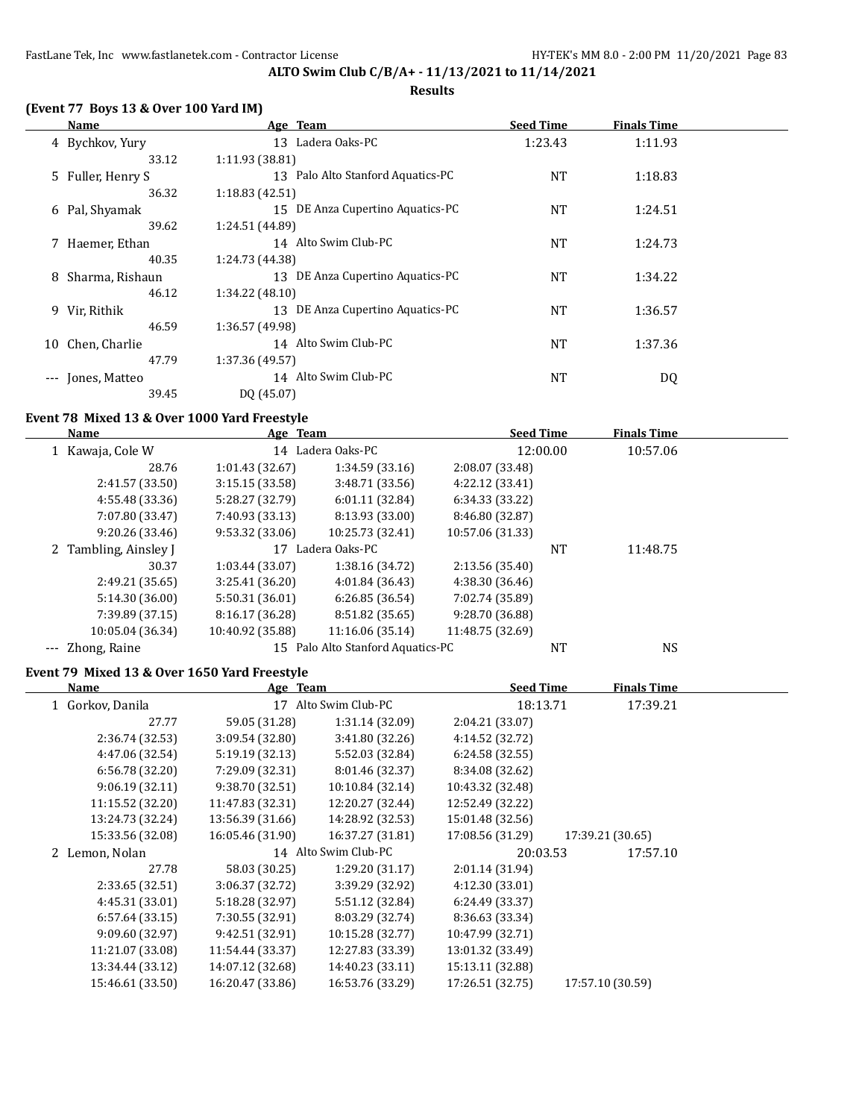# **(Event 77 Boys 13 & Over 100 Yard IM)**

|       | Name              | Age Team                          | <b>Seed Time</b> | <b>Finals Time</b> |  |
|-------|-------------------|-----------------------------------|------------------|--------------------|--|
|       | 4 Bychkov, Yury   | 13 Ladera Oaks-PC                 | 1:23.43          | 1:11.93            |  |
|       | 33.12             | 1:11.93(38.81)                    |                  |                    |  |
|       | 5 Fuller, Henry S | 13 Palo Alto Stanford Aquatics-PC | NT               | 1:18.83            |  |
|       | 36.32             | 1:18.83(42.51)                    |                  |                    |  |
|       | 6 Pal, Shyamak    | 15 DE Anza Cupertino Aquatics-PC  | <b>NT</b>        | 1:24.51            |  |
|       | 39.62             | 1:24.51 (44.89)                   |                  |                    |  |
|       | 7 Haemer, Ethan   | 14 Alto Swim Club-PC              | NT               | 1:24.73            |  |
|       | 40.35             | 1:24.73 (44.38)                   |                  |                    |  |
| 8     | Sharma, Rishaun   | 13 DE Anza Cupertino Aquatics-PC  | <b>NT</b>        | 1:34.22            |  |
|       | 46.12             | 1:34.22 (48.10)                   |                  |                    |  |
|       | 9 Vir, Rithik     | 13 DE Anza Cupertino Aquatics-PC  | <b>NT</b>        | 1:36.57            |  |
|       | 46.59             | 1:36.57 (49.98)                   |                  |                    |  |
| 10    | Chen, Charlie     | 14 Alto Swim Club-PC              | <b>NT</b>        | 1:37.36            |  |
|       | 47.79             | 1:37.36 (49.57)                   |                  |                    |  |
| $---$ | Jones, Matteo     | 14 Alto Swim Club-PC              | <b>NT</b>        | DQ                 |  |
|       | 39.45             | DQ (45.07)                        |                  |                    |  |

#### **Event 78 Mixed 13 & Over 1000 Yard Freestyle**

| <b>Name</b>              | Age Team         |                                | <b>Seed Time</b> |          | <b>Finals Time</b> |  |
|--------------------------|------------------|--------------------------------|------------------|----------|--------------------|--|
| 1 Kawaja, Cole W         |                  | 14 Ladera Oaks-PC              |                  | 12:00.00 | 10:57.06           |  |
| 28.76                    | 1:01.43(32.67)   | 1:34.59(33.16)                 | 2:08.07 (33.48)  |          |                    |  |
| 2:41.57 (33.50)          | 3:15.15(33.58)   | 3:48.71 (33.56)                | 4:22.12 (33.41)  |          |                    |  |
| 4:55.48 (33.36)          | 5:28.27 (32.79)  | 6:01.11(32.84)                 | 6:34.33 (33.22)  |          |                    |  |
| 7:07.80 (33.47)          | 7:40.93 (33.13)  | 8:13.93 (33.00)                | 8:46.80 (32.87)  |          |                    |  |
| 9:20.26(33.46)           | 9:53.32 (33.06)  | 10:25.73 (32.41)               | 10:57.06 (31.33) |          |                    |  |
| Tambling, Ainsley J<br>2 | 17               | Ladera Oaks-PC                 |                  | NT       | 11:48.75           |  |
| 30.37                    | 1:03.44(33.07)   | 1:38.16 (34.72)                | 2:13.56 (35.40)  |          |                    |  |
| 2:49.21 (35.65)          | 3:25.41(36.20)   | 4:01.84 (36.43)                | 4:38.30 (36.46)  |          |                    |  |
| 5:14.30 (36.00)          | 5:50.31 (36.01)  | 6:26.85(36.54)                 | 7:02.74 (35.89)  |          |                    |  |
| 7:39.89 (37.15)          | 8:16.17 (36.28)  | 8:51.82 (35.65)                | 9:28.70 (36.88)  |          |                    |  |
| 10:05.04 (36.34)         | 10:40.92 (35.88) | 11:16.06 (35.14)               | 11:48.75 (32.69) |          |                    |  |
| --- Zhong, Raine         | 15               | Palo Alto Stanford Aquatics-PC |                  | NT       | <b>NS</b>          |  |

# **Event 79 Mixed 13 & Over 1650 Yard Freestyle**

| Name             | Age Team         |                      | <b>Seed Time</b> |                  | <b>Finals Time</b> |  |
|------------------|------------------|----------------------|------------------|------------------|--------------------|--|
| 1 Gorkov, Danila | 17               | Alto Swim Club-PC    | 18:13.71         |                  | 17:39.21           |  |
| 27.77            | 59.05 (31.28)    | 1:31.14(32.09)       | 2:04.21 (33.07)  |                  |                    |  |
| 2:36.74(32.53)   | 3:09.54(32.80)   | 3:41.80 (32.26)      | 4:14.52 (32.72)  |                  |                    |  |
| 4:47.06 (32.54)  | 5:19.19(32.13)   | 5:52.03 (32.84)      | 6:24.58(32.55)   |                  |                    |  |
| 6:56.78(32.20)   | 7:29.09 (32.31)  | 8:01.46 (32.37)      | 8:34.08 (32.62)  |                  |                    |  |
| 9:06.19(32.11)   | 9:38.70 (32.51)  | 10:10.84 (32.14)     | 10:43.32 (32.48) |                  |                    |  |
| 11:15.52 (32.20) | 11:47.83 (32.31) | 12:20.27 (32.44)     | 12:52.49 (32.22) |                  |                    |  |
| 13:24.73 (32.24) | 13:56.39 (31.66) | 14:28.92 (32.53)     | 15:01.48 (32.56) |                  |                    |  |
| 15:33.56 (32.08) | 16:05.46 (31.90) | 16:37.27 (31.81)     | 17:08.56 (31.29) | 17:39.21 (30.65) |                    |  |
| 2 Lemon, Nolan   |                  | 14 Alto Swim Club-PC | 20:03.53         |                  | 17:57.10           |  |
| 27.78            | 58.03 (30.25)    | 1:29.20(31.17)       | 2:01.14 (31.94)  |                  |                    |  |
| 2:33.65 (32.51)  | 3:06.37 (32.72)  | 3:39.29 (32.92)      | 4:12.30 (33.01)  |                  |                    |  |
| 4:45.31(33.01)   | 5:18.28 (32.97)  | 5:51.12 (32.84)      | 6:24.49 (33.37)  |                  |                    |  |
| 6:57.64(33.15)   | 7:30.55 (32.91)  | 8:03.29 (32.74)      | 8:36.63 (33.34)  |                  |                    |  |
| 9:09.60 (32.97)  | 9:42.51 (32.91)  | 10:15.28 (32.77)     | 10:47.99 (32.71) |                  |                    |  |
| 11:21.07 (33.08) | 11:54.44 (33.37) | 12:27.83 (33.39)     | 13:01.32 (33.49) |                  |                    |  |
| 13:34.44 (33.12) | 14:07.12 (32.68) | 14:40.23 (33.11)     | 15:13.11 (32.88) |                  |                    |  |
| 15:46.61 (33.50) | 16:20.47 (33.86) | 16:53.76 (33.29)     | 17:26.51 (32.75) | 17:57.10 (30.59) |                    |  |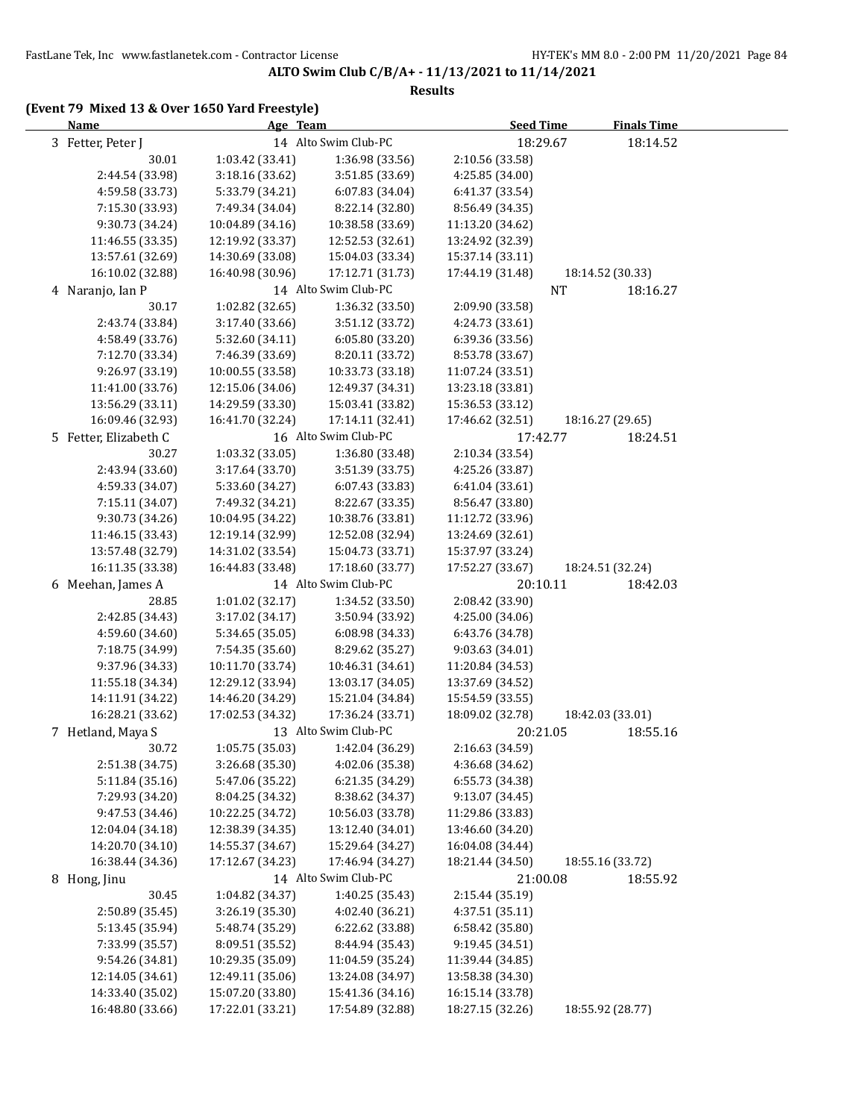#### **Results**

| <b>Name</b>           | Age Team         |                      | <b>Seed Time</b> | <b>Finals Time</b> |  |
|-----------------------|------------------|----------------------|------------------|--------------------|--|
| 3 Fetter, Peter J     |                  | 14 Alto Swim Club-PC | 18:29.67         | 18:14.52           |  |
| 30.01                 | 1:03.42 (33.41)  | 1:36.98 (33.56)      | 2:10.56 (33.58)  |                    |  |
| 2:44.54 (33.98)       | 3:18.16 (33.62)  | 3:51.85 (33.69)      | 4:25.85 (34.00)  |                    |  |
| 4:59.58 (33.73)       | 5:33.79 (34.21)  | 6:07.83 (34.04)      | 6:41.37 (33.54)  |                    |  |
| 7:15.30 (33.93)       | 7:49.34 (34.04)  | 8:22.14 (32.80)      | 8:56.49 (34.35)  |                    |  |
| 9:30.73 (34.24)       | 10:04.89 (34.16) | 10:38.58 (33.69)     | 11:13.20 (34.62) |                    |  |
| 11:46.55 (33.35)      | 12:19.92 (33.37) | 12:52.53 (32.61)     | 13:24.92 (32.39) |                    |  |
| 13:57.61 (32.69)      | 14:30.69 (33.08) | 15:04.03 (33.34)     | 15:37.14 (33.11) |                    |  |
| 16:10.02 (32.88)      | 16:40.98 (30.96) | 17:12.71 (31.73)     | 17:44.19 (31.48) | 18:14.52 (30.33)   |  |
| 4 Naranjo, Ian P      |                  | 14 Alto Swim Club-PC | <b>NT</b>        | 18:16.27           |  |
| 30.17                 | 1:02.82 (32.65)  | 1:36.32 (33.50)      | 2:09.90 (33.58)  |                    |  |
| 2:43.74 (33.84)       | 3:17.40 (33.66)  | 3:51.12 (33.72)      | 4:24.73 (33.61)  |                    |  |
| 4:58.49 (33.76)       | 5:32.60 (34.11)  | 6:05.80 (33.20)      | 6:39.36 (33.56)  |                    |  |
| 7:12.70 (33.34)       | 7:46.39 (33.69)  | 8:20.11 (33.72)      | 8:53.78 (33.67)  |                    |  |
| 9:26.97 (33.19)       | 10:00.55 (33.58) | 10:33.73 (33.18)     | 11:07.24 (33.51) |                    |  |
| 11:41.00 (33.76)      | 12:15.06 (34.06) | 12:49.37 (34.31)     | 13:23.18 (33.81) |                    |  |
| 13:56.29 (33.11)      | 14:29.59 (33.30) | 15:03.41 (33.82)     | 15:36.53 (33.12) |                    |  |
| 16:09.46 (32.93)      | 16:41.70 (32.24) | 17:14.11 (32.41)     | 17:46.62 (32.51) | 18:16.27 (29.65)   |  |
| 5 Fetter, Elizabeth C |                  | 16 Alto Swim Club-PC | 17:42.77         | 18:24.51           |  |
| 30.27                 | 1:03.32 (33.05)  | 1:36.80 (33.48)      | 2:10.34 (33.54)  |                    |  |
| 2:43.94 (33.60)       | 3:17.64(33.70)   | 3:51.39 (33.75)      | 4:25.26 (33.87)  |                    |  |
| 4:59.33 (34.07)       | 5:33.60 (34.27)  | 6:07.43 (33.83)      | 6:41.04 (33.61)  |                    |  |
| 7:15.11 (34.07)       | 7:49.32 (34.21)  | 8:22.67 (33.35)      | 8:56.47 (33.80)  |                    |  |
| 9:30.73 (34.26)       | 10:04.95 (34.22) | 10:38.76 (33.81)     | 11:12.72 (33.96) |                    |  |
| 11:46.15 (33.43)      | 12:19.14 (32.99) | 12:52.08 (32.94)     | 13:24.69 (32.61) |                    |  |
| 13:57.48 (32.79)      | 14:31.02 (33.54) | 15:04.73 (33.71)     | 15:37.97 (33.24) |                    |  |
| 16:11.35 (33.38)      | 16:44.83 (33.48) | 17:18.60 (33.77)     | 17:52.27 (33.67) | 18:24.51 (32.24)   |  |
| 6 Meehan, James A     |                  | 14 Alto Swim Club-PC | 20:10.11         | 18:42.03           |  |
| 28.85                 | 1:01.02 (32.17)  | 1:34.52 (33.50)      | 2:08.42 (33.90)  |                    |  |
| 2:42.85 (34.43)       | 3:17.02 (34.17)  | 3:50.94 (33.92)      | 4:25.00 (34.06)  |                    |  |
| 4:59.60 (34.60)       | 5:34.65 (35.05)  | 6:08.98 (34.33)      | 6:43.76 (34.78)  |                    |  |
| 7:18.75 (34.99)       | 7:54.35 (35.60)  | 8:29.62 (35.27)      | 9:03.63 (34.01)  |                    |  |
| 9:37.96 (34.33)       | 10:11.70 (33.74) | 10:46.31 (34.61)     | 11:20.84 (34.53) |                    |  |
| 11:55.18 (34.34)      | 12:29.12 (33.94) | 13:03.17 (34.05)     | 13:37.69 (34.52) |                    |  |
| 14:11.91 (34.22)      | 14:46.20 (34.29) | 15:21.04 (34.84)     | 15:54.59 (33.55) |                    |  |
| 16:28.21 (33.62)      | 17:02.53 (34.32) | 17:36.24 (33.71)     | 18:09.02 (32.78) | 18:42.03 (33.01)   |  |
| 7 Hetland, Maya S     |                  | 13 Alto Swim Club-PC | 20:21.05         | 18:55.16           |  |
| 30.72                 | 1:05.75 (35.03)  | 1:42.04 (36.29)      | 2:16.63 (34.59)  |                    |  |
| 2:51.38 (34.75)       | 3:26.68 (35.30)  | 4:02.06 (35.38)      | 4:36.68 (34.62)  |                    |  |
| 5:11.84 (35.16)       | 5:47.06 (35.22)  | 6:21.35 (34.29)      | 6:55.73 (34.38)  |                    |  |
| 7:29.93 (34.20)       | 8:04.25 (34.32)  | 8:38.62 (34.37)      | 9:13.07 (34.45)  |                    |  |
| 9:47.53 (34.46)       | 10:22.25 (34.72) | 10:56.03 (33.78)     | 11:29.86 (33.83) |                    |  |
| 12:04.04 (34.18)      | 12:38.39 (34.35) | 13:12.40 (34.01)     | 13:46.60 (34.20) |                    |  |
| 14:20.70 (34.10)      | 14:55.37 (34.67) | 15:29.64 (34.27)     | 16:04.08 (34.44) |                    |  |
| 16:38.44 (34.36)      | 17:12.67 (34.23) | 17:46.94 (34.27)     | 18:21.44 (34.50) | 18:55.16 (33.72)   |  |
| 8 Hong, Jinu          |                  | 14 Alto Swim Club-PC | 21:00.08         | 18:55.92           |  |
| 30.45                 | 1:04.82 (34.37)  | 1:40.25 (35.43)      | 2:15.44 (35.19)  |                    |  |
| 2:50.89 (35.45)       | 3:26.19 (35.30)  | 4:02.40 (36.21)      | 4:37.51 (35.11)  |                    |  |
| 5:13.45 (35.94)       | 5:48.74 (35.29)  | 6:22.62 (33.88)      | 6:58.42 (35.80)  |                    |  |
| 7:33.99 (35.57)       | 8:09.51 (35.52)  | 8:44.94 (35.43)      | 9:19.45 (34.51)  |                    |  |
| 9:54.26 (34.81)       | 10:29.35 (35.09) | 11:04.59 (35.24)     | 11:39.44 (34.85) |                    |  |
| 12:14.05 (34.61)      | 12:49.11 (35.06) | 13:24.08 (34.97)     | 13:58.38 (34.30) |                    |  |
| 14:33.40 (35.02)      | 15:07.20 (33.80) | 15:41.36 (34.16)     | 16:15.14 (33.78) |                    |  |
| 16:48.80 (33.66)      | 17:22.01 (33.21) | 17:54.89 (32.88)     | 18:27.15 (32.26) | 18:55.92 (28.77)   |  |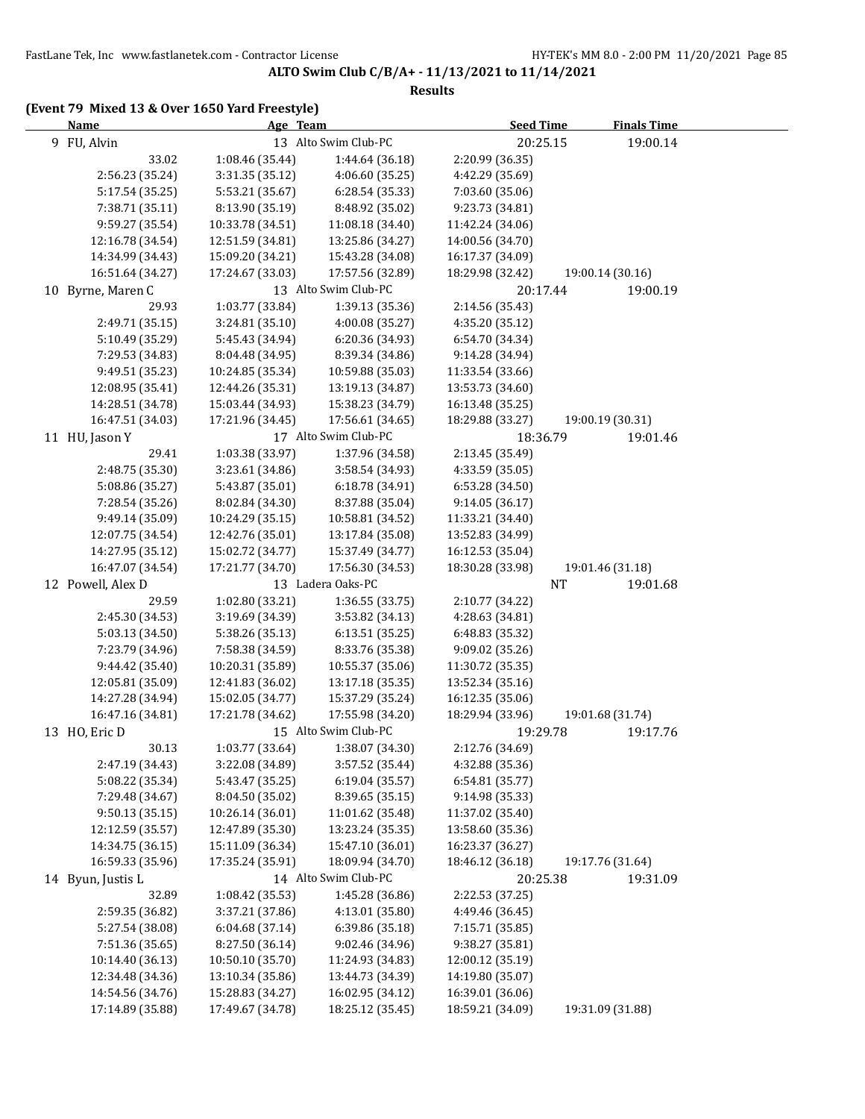#### **Results**

| <b>Name</b>       | Age Team         |                      | <b>Seed Time</b> | <b>Finals Time</b> |  |
|-------------------|------------------|----------------------|------------------|--------------------|--|
| 9 FU, Alvin       |                  | 13 Alto Swim Club-PC | 20:25.15         | 19:00.14           |  |
| 33.02             | 1:08.46 (35.44)  | 1:44.64 (36.18)      | 2:20.99 (36.35)  |                    |  |
| 2:56.23 (35.24)   | 3:31.35 (35.12)  | 4:06.60 (35.25)      | 4:42.29 (35.69)  |                    |  |
| 5:17.54 (35.25)   | 5:53.21 (35.67)  | 6:28.54 (35.33)      | 7:03.60 (35.06)  |                    |  |
| 7:38.71 (35.11)   | 8:13.90 (35.19)  | 8:48.92 (35.02)      | 9:23.73 (34.81)  |                    |  |
| 9:59.27 (35.54)   | 10:33.78 (34.51) | 11:08.18 (34.40)     | 11:42.24 (34.06) |                    |  |
| 12:16.78 (34.54)  | 12:51.59 (34.81) | 13:25.86 (34.27)     | 14:00.56 (34.70) |                    |  |
| 14:34.99 (34.43)  | 15:09.20 (34.21) | 15:43.28 (34.08)     | 16:17.37 (34.09) |                    |  |
| 16:51.64 (34.27)  | 17:24.67 (33.03) | 17:57.56 (32.89)     | 18:29.98 (32.42) | 19:00.14 (30.16)   |  |
| 10 Byrne, Maren C |                  | 13 Alto Swim Club-PC | 20:17.44         | 19:00.19           |  |
| 29.93             | 1:03.77 (33.84)  | 1:39.13 (35.36)      | 2:14.56 (35.43)  |                    |  |
| 2:49.71 (35.15)   | 3:24.81 (35.10)  | 4:00.08 (35.27)      | 4:35.20 (35.12)  |                    |  |
| 5:10.49 (35.29)   | 5:45.43 (34.94)  | 6:20.36 (34.93)      | 6:54.70 (34.34)  |                    |  |
| 7:29.53 (34.83)   | 8:04.48 (34.95)  | 8:39.34 (34.86)      | 9:14.28 (34.94)  |                    |  |
| 9:49.51 (35.23)   | 10:24.85 (35.34) | 10:59.88 (35.03)     | 11:33.54 (33.66) |                    |  |
| 12:08.95 (35.41)  | 12:44.26 (35.31) | 13:19.13 (34.87)     | 13:53.73 (34.60) |                    |  |
| 14:28.51 (34.78)  | 15:03.44 (34.93) | 15:38.23 (34.79)     | 16:13.48 (35.25) |                    |  |
| 16:47.51 (34.03)  | 17:21.96 (34.45) | 17:56.61 (34.65)     | 18:29.88 (33.27) | 19:00.19 (30.31)   |  |
| 11 HU, Jason Y    |                  | 17 Alto Swim Club-PC | 18:36.79         | 19:01.46           |  |
| 29.41             | 1:03.38 (33.97)  | 1:37.96 (34.58)      | 2:13.45 (35.49)  |                    |  |
| 2:48.75 (35.30)   | 3:23.61 (34.86)  | 3:58.54 (34.93)      | 4:33.59 (35.05)  |                    |  |
| 5:08.86 (35.27)   | 5:43.87 (35.01)  | 6:18.78 (34.91)      | 6:53.28 (34.50)  |                    |  |
| 7:28.54 (35.26)   | 8:02.84 (34.30)  | 8:37.88 (35.04)      | 9:14.05 (36.17)  |                    |  |
| 9:49.14 (35.09)   | 10:24.29 (35.15) | 10:58.81 (34.52)     | 11:33.21 (34.40) |                    |  |
| 12:07.75 (34.54)  | 12:42.76 (35.01) | 13:17.84 (35.08)     | 13:52.83 (34.99) |                    |  |
| 14:27.95 (35.12)  | 15:02.72 (34.77) | 15:37.49 (34.77)     | 16:12.53 (35.04) |                    |  |
| 16:47.07 (34.54)  | 17:21.77 (34.70) | 17:56.30 (34.53)     | 18:30.28 (33.98) | 19:01.46 (31.18)   |  |
| 12 Powell, Alex D |                  | 13 Ladera Oaks-PC    |                  | 19:01.68<br>NT     |  |
| 29.59             | 1:02.80 (33.21)  | 1:36.55 (33.75)      | 2:10.77 (34.22)  |                    |  |
| 2:45.30 (34.53)   | 3:19.69 (34.39)  | 3:53.82 (34.13)      | 4:28.63 (34.81)  |                    |  |
| 5:03.13 (34.50)   | 5:38.26 (35.13)  | 6:13.51 (35.25)      | 6:48.83 (35.32)  |                    |  |
| 7:23.79 (34.96)   | 7:58.38 (34.59)  | 8:33.76 (35.38)      | 9:09.02 (35.26)  |                    |  |
| 9:44.42 (35.40)   | 10:20.31 (35.89) | 10:55.37 (35.06)     | 11:30.72 (35.35) |                    |  |
| 12:05.81 (35.09)  | 12:41.83 (36.02) | 13:17.18 (35.35)     | 13:52.34 (35.16) |                    |  |
| 14:27.28 (34.94)  | 15:02.05 (34.77) | 15:37.29 (35.24)     | 16:12.35 (35.06) |                    |  |
| 16:47.16 (34.81)  | 17:21.78 (34.62) | 17:55.98 (34.20)     | 18:29.94 (33.96) | 19:01.68 (31.74)   |  |
| 13 HO, Eric D     |                  | 15 Alto Swim Club-PC | 19:29.78         | 19:17.76           |  |
| 30.13             | 1:03.77 (33.64)  | 1:38.07 (34.30)      | 2:12.76 (34.69)  |                    |  |
| 2:47.19 (34.43)   | 3:22.08 (34.89)  | 3:57.52 (35.44)      | 4:32.88 (35.36)  |                    |  |
| 5:08.22 (35.34)   | 5:43.47 (35.25)  | 6:19.04 (35.57)      | 6:54.81 (35.77)  |                    |  |
| 7:29.48 (34.67)   | 8:04.50 (35.02)  | 8:39.65 (35.15)      | 9:14.98 (35.33)  |                    |  |
| 9:50.13 (35.15)   | 10:26.14 (36.01) | 11:01.62 (35.48)     | 11:37.02 (35.40) |                    |  |
| 12:12.59 (35.57)  | 12:47.89 (35.30) | 13:23.24 (35.35)     | 13:58.60 (35.36) |                    |  |
| 14:34.75 (36.15)  | 15:11.09 (36.34) | 15:47.10 (36.01)     | 16:23.37 (36.27) |                    |  |
| 16:59.33 (35.96)  | 17:35.24 (35.91) | 18:09.94 (34.70)     | 18:46.12 (36.18) | 19:17.76 (31.64)   |  |
| 14 Byun, Justis L |                  | 14 Alto Swim Club-PC | 20:25.38         | 19:31.09           |  |
| 32.89             | 1:08.42 (35.53)  | 1:45.28 (36.86)      | 2:22.53 (37.25)  |                    |  |
| 2:59.35 (36.82)   | 3:37.21 (37.86)  | 4:13.01 (35.80)      | 4:49.46 (36.45)  |                    |  |
| 5:27.54 (38.08)   | 6:04.68 (37.14)  | 6:39.86 (35.18)      | 7:15.71 (35.85)  |                    |  |
| 7:51.36 (35.65)   | 8:27.50 (36.14)  | 9:02.46 (34.96)      | 9:38.27 (35.81)  |                    |  |
| 10:14.40 (36.13)  | 10:50.10 (35.70) | 11:24.93 (34.83)     | 12:00.12 (35.19) |                    |  |
| 12:34.48 (34.36)  | 13:10.34 (35.86) | 13:44.73 (34.39)     | 14:19.80 (35.07) |                    |  |
| 14:54.56 (34.76)  | 15:28.83 (34.27) | 16:02.95 (34.12)     | 16:39.01 (36.06) |                    |  |
| 17:14.89 (35.88)  | 17:49.67 (34.78) | 18:25.12 (35.45)     | 18:59.21 (34.09) | 19:31.09 (31.88)   |  |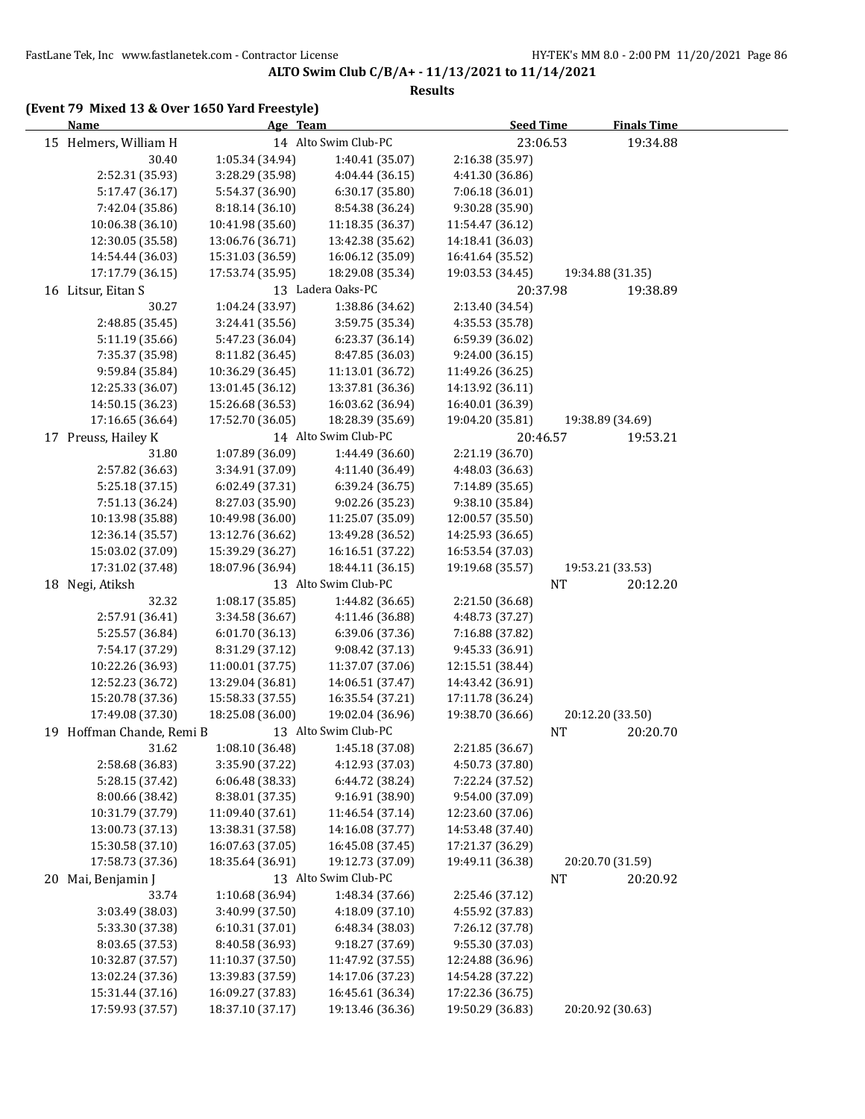#### **Results**

| Name                      | Age Team         |                      | <b>Seed Time</b> | <b>Finals Time</b>    |  |
|---------------------------|------------------|----------------------|------------------|-----------------------|--|
| 15 Helmers, William H     |                  | 14 Alto Swim Club-PC | 23:06.53         | 19:34.88              |  |
| 30.40                     | 1:05.34 (34.94)  | 1:40.41 (35.07)      | 2:16.38 (35.97)  |                       |  |
| 2:52.31 (35.93)           | 3:28.29 (35.98)  | 4:04.44 (36.15)      | 4:41.30 (36.86)  |                       |  |
| 5:17.47 (36.17)           | 5:54.37 (36.90)  | 6:30.17 (35.80)      | 7:06.18 (36.01)  |                       |  |
| 7:42.04 (35.86)           | 8:18.14 (36.10)  | 8:54.38 (36.24)      | 9:30.28 (35.90)  |                       |  |
| 10:06.38 (36.10)          | 10:41.98 (35.60) | 11:18.35 (36.37)     | 11:54.47 (36.12) |                       |  |
| 12:30.05 (35.58)          | 13:06.76 (36.71) | 13:42.38 (35.62)     | 14:18.41 (36.03) |                       |  |
| 14:54.44 (36.03)          | 15:31.03 (36.59) | 16:06.12 (35.09)     | 16:41.64 (35.52) |                       |  |
| 17:17.79 (36.15)          | 17:53.74 (35.95) | 18:29.08 (35.34)     | 19:03.53 (34.45) | 19:34.88 (31.35)      |  |
| 16 Litsur, Eitan S        |                  | 13 Ladera Oaks-PC    | 20:37.98         | 19:38.89              |  |
| 30.27                     | 1:04.24 (33.97)  | 1:38.86 (34.62)      | 2:13.40 (34.54)  |                       |  |
| 2:48.85 (35.45)           | 3:24.41 (35.56)  | 3:59.75 (35.34)      | 4:35.53 (35.78)  |                       |  |
| 5:11.19 (35.66)           | 5:47.23 (36.04)  | 6:23.37 (36.14)      | 6:59.39 (36.02)  |                       |  |
| 7:35.37 (35.98)           | 8:11.82 (36.45)  | 8:47.85 (36.03)      | 9:24.00 (36.15)  |                       |  |
| 9:59.84 (35.84)           | 10:36.29 (36.45) | 11:13.01 (36.72)     | 11:49.26 (36.25) |                       |  |
| 12:25.33 (36.07)          | 13:01.45 (36.12) | 13:37.81 (36.36)     | 14:13.92 (36.11) |                       |  |
| 14:50.15 (36.23)          | 15:26.68 (36.53) | 16:03.62 (36.94)     | 16:40.01 (36.39) |                       |  |
| 17:16.65 (36.64)          | 17:52.70 (36.05) | 18:28.39 (35.69)     | 19:04.20 (35.81) | 19:38.89 (34.69)      |  |
| 17 Preuss, Hailey K       |                  | 14 Alto Swim Club-PC | 20:46.57         | 19:53.21              |  |
| 31.80                     | 1:07.89 (36.09)  | 1:44.49 (36.60)      | 2:21.19 (36.70)  |                       |  |
| 2:57.82 (36.63)           | 3:34.91 (37.09)  | 4:11.40 (36.49)      | 4:48.03 (36.63)  |                       |  |
| 5:25.18 (37.15)           | 6:02.49 (37.31)  | 6:39.24 (36.75)      | 7:14.89 (35.65)  |                       |  |
| 7:51.13 (36.24)           | 8:27.03 (35.90)  | 9:02.26 (35.23)      | 9:38.10 (35.84)  |                       |  |
| 10:13.98 (35.88)          | 10:49.98 (36.00) | 11:25.07 (35.09)     | 12:00.57 (35.50) |                       |  |
| 12:36.14 (35.57)          | 13:12.76 (36.62) | 13:49.28 (36.52)     | 14:25.93 (36.65) |                       |  |
| 15:03.02 (37.09)          | 15:39.29 (36.27) | 16:16.51 (37.22)     | 16:53.54 (37.03) |                       |  |
| 17:31.02 (37.48)          | 18:07.96 (36.94) | 18:44.11 (36.15)     | 19:19.68 (35.57) | 19:53.21 (33.53)      |  |
| 18 Negi, Atiksh           |                  | 13 Alto Swim Club-PC |                  | 20:12.20<br>NT        |  |
| 32.32                     | 1:08.17 (35.85)  | 1:44.82 (36.65)      | 2:21.50 (36.68)  |                       |  |
| 2:57.91 (36.41)           | 3:34.58 (36.67)  | 4:11.46 (36.88)      | 4:48.73 (37.27)  |                       |  |
| 5:25.57 (36.84)           | 6:01.70 (36.13)  | 6:39.06 (37.36)      | 7:16.88 (37.82)  |                       |  |
| 7:54.17 (37.29)           | 8:31.29 (37.12)  | 9:08.42 (37.13)      | 9:45.33 (36.91)  |                       |  |
| 10:22.26 (36.93)          | 11:00.01 (37.75) | 11:37.07 (37.06)     | 12:15.51 (38.44) |                       |  |
| 12:52.23 (36.72)          | 13:29.04 (36.81) | 14:06.51 (37.47)     | 14:43.42 (36.91) |                       |  |
| 15:20.78 (37.36)          | 15:58.33 (37.55) | 16:35.54 (37.21)     | 17:11.78 (36.24) |                       |  |
| 17:49.08 (37.30)          | 18:25.08 (36.00) | 19:02.04 (36.96)     | 19:38.70 (36.66) | 20:12.20 (33.50)      |  |
| 19 Hoffman Chande, Remi B |                  | 13 Alto Swim Club-PC |                  | <b>NT</b><br>20:20.70 |  |
| 31.62                     | 1:08.10 (36.48)  | 1:45.18 (37.08)      | 2:21.85 (36.67)  |                       |  |
| 2:58.68 (36.83)           | 3:35.90 (37.22)  | 4:12.93 (37.03)      | 4:50.73 (37.80)  |                       |  |
| 5:28.15 (37.42)           | 6:06.48 (38.33)  | 6:44.72 (38.24)      | 7:22.24 (37.52)  |                       |  |
| 8:00.66 (38.42)           | 8:38.01 (37.35)  | 9:16.91 (38.90)      | 9:54.00 (37.09)  |                       |  |
| 10:31.79 (37.79)          | 11:09.40 (37.61) | 11:46.54 (37.14)     | 12:23.60 (37.06) |                       |  |
| 13:00.73 (37.13)          | 13:38.31 (37.58) | 14:16.08 (37.77)     | 14:53.48 (37.40) |                       |  |
| 15:30.58 (37.10)          | 16:07.63 (37.05) | 16:45.08 (37.45)     | 17:21.37 (36.29) |                       |  |
| 17:58.73 (37.36)          | 18:35.64 (36.91) | 19:12.73 (37.09)     | 19:49.11 (36.38) | 20:20.70 (31.59)      |  |
| 20 Mai, Benjamin J        |                  | 13 Alto Swim Club-PC |                  | NT<br>20:20.92        |  |
| 33.74                     | 1:10.68 (36.94)  | 1:48.34 (37.66)      | 2:25.46 (37.12)  |                       |  |
| 3:03.49 (38.03)           | 3:40.99 (37.50)  | 4:18.09 (37.10)      | 4:55.92 (37.83)  |                       |  |
| 5:33.30 (37.38)           | 6:10.31 (37.01)  | 6:48.34 (38.03)      | 7:26.12 (37.78)  |                       |  |
| 8:03.65 (37.53)           | 8:40.58 (36.93)  | 9:18.27 (37.69)      | 9:55.30 (37.03)  |                       |  |
| 10:32.87 (37.57)          | 11:10.37 (37.50) | 11:47.92 (37.55)     | 12:24.88 (36.96) |                       |  |
| 13:02.24 (37.36)          | 13:39.83 (37.59) | 14:17.06 (37.23)     | 14:54.28 (37.22) |                       |  |
| 15:31.44 (37.16)          | 16:09.27 (37.83) | 16:45.61 (36.34)     | 17:22.36 (36.75) |                       |  |
| 17:59.93 (37.57)          | 18:37.10 (37.17) | 19:13.46 (36.36)     | 19:50.29 (36.83) | 20:20.92 (30.63)      |  |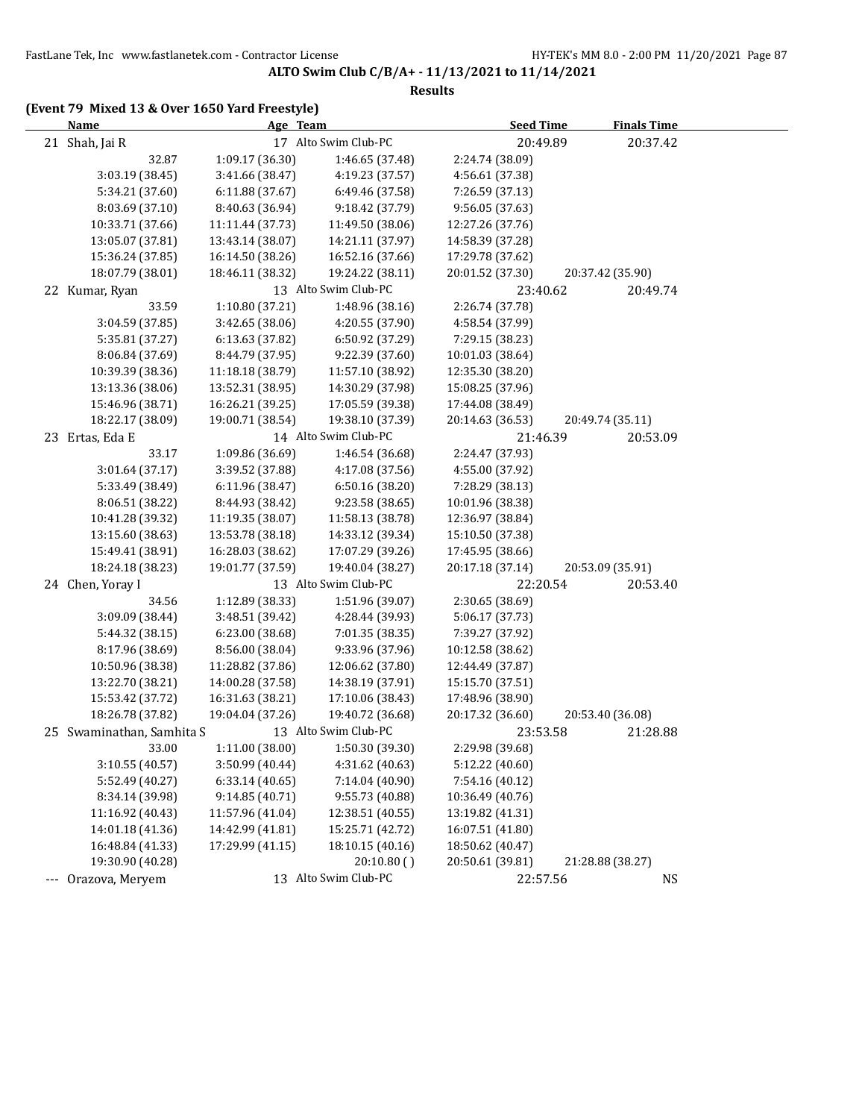#### **Results**

|       | <b>Name</b>               | Age Team         |                      | <b>Seed Time</b> | <b>Finals Time</b> |  |
|-------|---------------------------|------------------|----------------------|------------------|--------------------|--|
|       | 21 Shah, Jai R            |                  | 17 Alto Swim Club-PC | 20:49.89         | 20:37.42           |  |
|       | 32.87                     | 1:09.17 (36.30)  | 1:46.65 (37.48)      | 2:24.74 (38.09)  |                    |  |
|       | 3:03.19 (38.45)           | 3:41.66 (38.47)  | 4:19.23 (37.57)      | 4:56.61 (37.38)  |                    |  |
|       | 5:34.21 (37.60)           | 6:11.88 (37.67)  | 6:49.46 (37.58)      | 7:26.59 (37.13)  |                    |  |
|       | 8:03.69 (37.10)           | 8:40.63 (36.94)  | 9:18.42 (37.79)      | 9:56.05 (37.63)  |                    |  |
|       | 10:33.71 (37.66)          | 11:11.44 (37.73) | 11:49.50 (38.06)     | 12:27.26 (37.76) |                    |  |
|       | 13:05.07 (37.81)          | 13:43.14 (38.07) | 14:21.11 (37.97)     | 14:58.39 (37.28) |                    |  |
|       | 15:36.24 (37.85)          | 16:14.50 (38.26) | 16:52.16 (37.66)     | 17:29.78 (37.62) |                    |  |
|       | 18:07.79 (38.01)          | 18:46.11 (38.32) | 19:24.22 (38.11)     | 20:01.52 (37.30) | 20:37.42 (35.90)   |  |
|       | 22 Kumar, Ryan            |                  | 13 Alto Swim Club-PC | 23:40.62         | 20:49.74           |  |
|       | 33.59                     | 1:10.80 (37.21)  | 1:48.96 (38.16)      | 2:26.74 (37.78)  |                    |  |
|       | 3:04.59 (37.85)           | 3:42.65 (38.06)  | 4:20.55 (37.90)      | 4:58.54 (37.99)  |                    |  |
|       | 5:35.81 (37.27)           | 6:13.63 (37.82)  | 6:50.92 (37.29)      | 7:29.15 (38.23)  |                    |  |
|       | 8:06.84 (37.69)           | 8:44.79 (37.95)  | 9:22.39 (37.60)      | 10:01.03 (38.64) |                    |  |
|       | 10:39.39 (38.36)          | 11:18.18 (38.79) | 11:57.10 (38.92)     | 12:35.30 (38.20) |                    |  |
|       | 13:13.36 (38.06)          | 13:52.31 (38.95) | 14:30.29 (37.98)     | 15:08.25 (37.96) |                    |  |
|       | 15:46.96 (38.71)          | 16:26.21 (39.25) | 17:05.59 (39.38)     | 17:44.08 (38.49) |                    |  |
|       | 18:22.17 (38.09)          | 19:00.71 (38.54) | 19:38.10 (37.39)     | 20:14.63 (36.53) | 20:49.74 (35.11)   |  |
|       | 23 Ertas, Eda E           |                  | 14 Alto Swim Club-PC | 21:46.39         | 20:53.09           |  |
|       | 33.17                     | 1:09.86 (36.69)  | 1:46.54 (36.68)      | 2:24.47 (37.93)  |                    |  |
|       | 3:01.64 (37.17)           | 3:39.52 (37.88)  | 4:17.08 (37.56)      | 4:55.00 (37.92)  |                    |  |
|       | 5:33.49 (38.49)           | 6:11.96 (38.47)  | 6:50.16 (38.20)      | 7:28.29 (38.13)  |                    |  |
|       | 8:06.51 (38.22)           | 8:44.93 (38.42)  | 9:23.58 (38.65)      | 10:01.96 (38.38) |                    |  |
|       | 10:41.28 (39.32)          | 11:19.35 (38.07) | 11:58.13 (38.78)     | 12:36.97 (38.84) |                    |  |
|       | 13:15.60 (38.63)          | 13:53.78 (38.18) | 14:33.12 (39.34)     | 15:10.50 (37.38) |                    |  |
|       | 15:49.41 (38.91)          | 16:28.03 (38.62) | 17:07.29 (39.26)     | 17:45.95 (38.66) |                    |  |
|       | 18:24.18 (38.23)          | 19:01.77 (37.59) | 19:40.04 (38.27)     | 20:17.18 (37.14) | 20:53.09 (35.91)   |  |
|       | 24 Chen, Yoray I          |                  | 13 Alto Swim Club-PC | 22:20.54         | 20:53.40           |  |
|       | 34.56                     | 1:12.89 (38.33)  | 1:51.96 (39.07)      | 2:30.65 (38.69)  |                    |  |
|       | 3:09.09 (38.44)           | 3:48.51 (39.42)  | 4:28.44 (39.93)      | 5:06.17 (37.73)  |                    |  |
|       | 5:44.32 (38.15)           | 6:23.00 (38.68)  | 7:01.35 (38.35)      | 7:39.27 (37.92)  |                    |  |
|       | 8:17.96 (38.69)           | 8:56.00 (38.04)  | 9:33.96 (37.96)      | 10:12.58 (38.62) |                    |  |
|       | 10:50.96 (38.38)          | 11:28.82 (37.86) | 12:06.62 (37.80)     | 12:44.49 (37.87) |                    |  |
|       | 13:22.70 (38.21)          | 14:00.28 (37.58) | 14:38.19 (37.91)     | 15:15.70 (37.51) |                    |  |
|       | 15:53.42 (37.72)          | 16:31.63 (38.21) | 17:10.06 (38.43)     | 17:48.96 (38.90) |                    |  |
|       | 18:26.78 (37.82)          | 19:04.04 (37.26) | 19:40.72 (36.68)     | 20:17.32 (36.60) | 20:53.40 (36.08)   |  |
|       | 25 Swaminathan, Samhita S |                  | 13 Alto Swim Club-PC | 23:53.58         | 21:28.88           |  |
|       | 33.00                     | 1:11.00 (38.00)  | 1:50.30 (39.30)      | 2:29.98 (39.68)  |                    |  |
|       | 3:10.55 (40.57)           | 3:50.99 (40.44)  | 4:31.62 (40.63)      | 5:12.22 (40.60)  |                    |  |
|       | 5:52.49 (40.27)           | 6:33.14 (40.65)  | 7:14.04 (40.90)      | 7:54.16 (40.12)  |                    |  |
|       | 8:34.14 (39.98)           | 9:14.85 (40.71)  | 9:55.73 (40.88)      | 10:36.49 (40.76) |                    |  |
|       | 11:16.92 (40.43)          | 11:57.96 (41.04) | 12:38.51 (40.55)     | 13:19.82 (41.31) |                    |  |
|       | 14:01.18 (41.36)          | 14:42.99 (41.81) | 15:25.71 (42.72)     | 16:07.51 (41.80) |                    |  |
|       | 16:48.84 (41.33)          | 17:29.99 (41.15) | 18:10.15 (40.16)     | 18:50.62 (40.47) |                    |  |
|       | 19:30.90 (40.28)          |                  | 20:10.80()           | 20:50.61 (39.81) | 21:28.88 (38.27)   |  |
| $---$ | Orazova, Meryem           |                  | 13 Alto Swim Club-PC | 22:57.56         | <b>NS</b>          |  |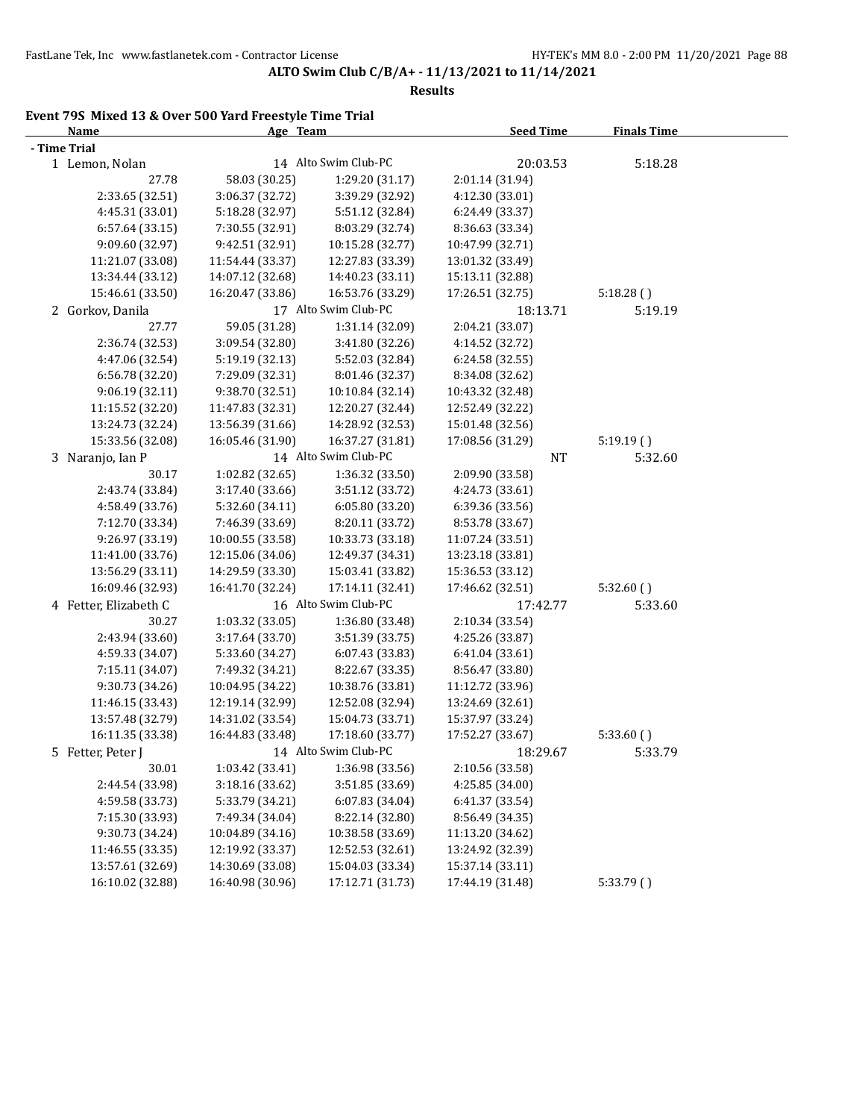**Results**

# **Event 79S Mixed 13 & Over 500 Yard Freestyle Time Trial**

| <b>Name</b>           | Age Team         |                      | <b>Seed Time</b> | <b>Finals Time</b> |  |
|-----------------------|------------------|----------------------|------------------|--------------------|--|
| - Time Trial          |                  |                      |                  |                    |  |
| 1 Lemon, Nolan        |                  | 14 Alto Swim Club-PC | 20:03.53         | 5:18.28            |  |
| 27.78                 | 58.03 (30.25)    | 1:29.20 (31.17)      | 2:01.14 (31.94)  |                    |  |
| 2:33.65 (32.51)       | 3:06.37 (32.72)  | 3:39.29 (32.92)      | 4:12.30 (33.01)  |                    |  |
| 4:45.31 (33.01)       | 5:18.28 (32.97)  | 5:51.12 (32.84)      | 6:24.49 (33.37)  |                    |  |
| 6:57.64 (33.15)       | 7:30.55 (32.91)  | 8:03.29 (32.74)      | 8:36.63 (33.34)  |                    |  |
| 9:09.60 (32.97)       | 9:42.51 (32.91)  | 10:15.28 (32.77)     | 10:47.99 (32.71) |                    |  |
| 11:21.07 (33.08)      | 11:54.44 (33.37) | 12:27.83 (33.39)     | 13:01.32 (33.49) |                    |  |
| 13:34.44 (33.12)      | 14:07.12 (32.68) | 14:40.23 (33.11)     | 15:13.11 (32.88) |                    |  |
| 15:46.61 (33.50)      | 16:20.47 (33.86) | 16:53.76 (33.29)     | 17:26.51 (32.75) | 5:18.28()          |  |
| 2 Gorkov, Danila      |                  | 17 Alto Swim Club-PC | 18:13.71         | 5:19.19            |  |
| 27.77                 | 59.05 (31.28)    | 1:31.14 (32.09)      | 2:04.21 (33.07)  |                    |  |
| 2:36.74 (32.53)       | 3:09.54 (32.80)  | 3:41.80 (32.26)      | 4:14.52 (32.72)  |                    |  |
| 4:47.06 (32.54)       | 5:19.19 (32.13)  | 5:52.03 (32.84)      | 6:24.58 (32.55)  |                    |  |
| 6:56.78 (32.20)       | 7:29.09 (32.31)  | 8:01.46 (32.37)      | 8:34.08 (32.62)  |                    |  |
| 9:06.19(32.11)        | 9:38.70 (32.51)  | 10:10.84 (32.14)     | 10:43.32 (32.48) |                    |  |
| 11:15.52 (32.20)      | 11:47.83 (32.31) | 12:20.27 (32.44)     | 12:52.49 (32.22) |                    |  |
| 13:24.73 (32.24)      | 13:56.39 (31.66) | 14:28.92 (32.53)     | 15:01.48 (32.56) |                    |  |
| 15:33.56 (32.08)      | 16:05.46 (31.90) | 16:37.27 (31.81)     | 17:08.56 (31.29) | 5:19.19()          |  |
| 3 Naranjo, Ian P      |                  | 14 Alto Swim Club-PC | NT               | 5:32.60            |  |
| 30.17                 | 1:02.82 (32.65)  | 1:36.32 (33.50)      | 2:09.90 (33.58)  |                    |  |
| 2:43.74 (33.84)       | 3:17.40 (33.66)  | 3:51.12 (33.72)      | 4:24.73 (33.61)  |                    |  |
| 4:58.49 (33.76)       | 5:32.60 (34.11)  | 6:05.80 (33.20)      | 6:39.36 (33.56)  |                    |  |
| 7:12.70 (33.34)       | 7:46.39 (33.69)  | 8:20.11 (33.72)      | 8:53.78 (33.67)  |                    |  |
| 9:26.97 (33.19)       | 10:00.55 (33.58) | 10:33.73 (33.18)     | 11:07.24 (33.51) |                    |  |
| 11:41.00 (33.76)      | 12:15.06 (34.06) | 12:49.37 (34.31)     | 13:23.18 (33.81) |                    |  |
| 13:56.29 (33.11)      | 14:29.59 (33.30) | 15:03.41 (33.82)     | 15:36.53 (33.12) |                    |  |
| 16:09.46 (32.93)      | 16:41.70 (32.24) | 17:14.11 (32.41)     | 17:46.62 (32.51) | 5:32.60()          |  |
| 4 Fetter, Elizabeth C |                  | 16 Alto Swim Club-PC | 17:42.77         | 5:33.60            |  |
| 30.27                 | 1:03.32 (33.05)  | 1:36.80 (33.48)      | 2:10.34 (33.54)  |                    |  |
| 2:43.94 (33.60)       | 3:17.64 (33.70)  | 3:51.39 (33.75)      | 4:25.26 (33.87)  |                    |  |
| 4:59.33 (34.07)       | 5:33.60 (34.27)  | 6:07.43 (33.83)      | 6:41.04 (33.61)  |                    |  |
| 7:15.11 (34.07)       | 7:49.32 (34.21)  | 8:22.67 (33.35)      | 8:56.47 (33.80)  |                    |  |
| 9:30.73 (34.26)       | 10:04.95 (34.22) | 10:38.76 (33.81)     | 11:12.72 (33.96) |                    |  |
| 11:46.15 (33.43)      | 12:19.14 (32.99) | 12:52.08 (32.94)     | 13:24.69 (32.61) |                    |  |
| 13:57.48 (32.79)      | 14:31.02 (33.54) | 15:04.73 (33.71)     | 15:37.97 (33.24) |                    |  |
| 16:11.35 (33.38)      | 16:44.83 (33.48) | 17:18.60 (33.77)     | 17:52.27 (33.67) | 5:33.60(           |  |
| 5 Fetter, Peter J     |                  | 14 Alto Swim Club-PC | 18:29.67         | 5:33.79            |  |
| 30.01                 | 1:03.42 (33.41)  | 1:36.98 (33.56)      | 2:10.56 (33.58)  |                    |  |
| 2:44.54 (33.98)       | 3:18.16 (33.62)  | 3:51.85 (33.69)      | 4:25.85 (34.00)  |                    |  |
| 4:59.58 (33.73)       | 5:33.79 (34.21)  | 6:07.83 (34.04)      | 6:41.37 (33.54)  |                    |  |
| 7:15.30 (33.93)       | 7:49.34 (34.04)  | 8:22.14 (32.80)      | 8:56.49 (34.35)  |                    |  |
| 9:30.73 (34.24)       | 10:04.89 (34.16) | 10:38.58 (33.69)     | 11:13.20 (34.62) |                    |  |
| 11:46.55 (33.35)      | 12:19.92 (33.37) | 12:52.53 (32.61)     | 13:24.92 (32.39) |                    |  |
| 13:57.61 (32.69)      | 14:30.69 (33.08) | 15:04.03 (33.34)     | 15:37.14 (33.11) |                    |  |
| 16:10.02 (32.88)      | 16:40.98 (30.96) | 17:12.71 (31.73)     | 17:44.19 (31.48) | 5:33.79 ()         |  |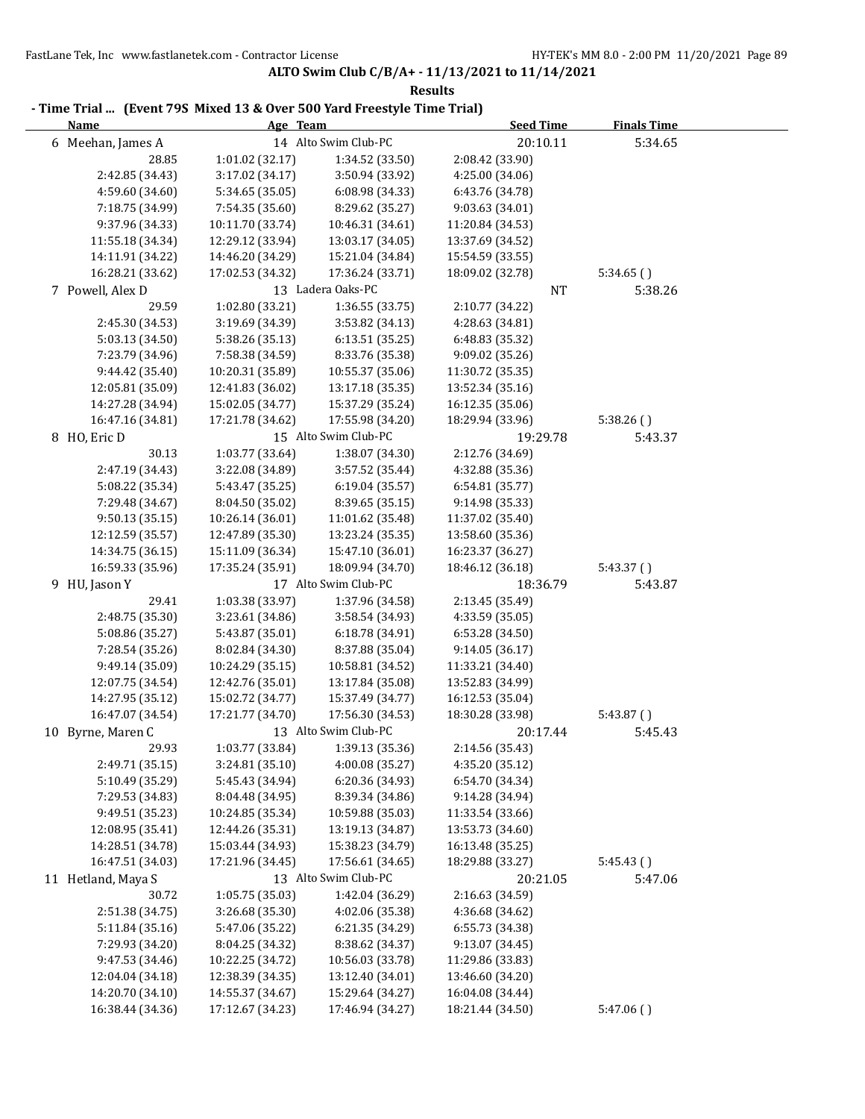| <b>Name</b>        | - Time Trial  (Event 79S Mixed 13 & Over 500 Yard Freestyle Time Trial)<br>Age Team |                      | <b>Seed Time</b> | <b>Finals Time</b> |
|--------------------|-------------------------------------------------------------------------------------|----------------------|------------------|--------------------|
| 6 Meehan, James A  |                                                                                     | 14 Alto Swim Club-PC | 20:10.11         | 5:34.65            |
| 28.85              | 1:01.02 (32.17)                                                                     | 1:34.52 (33.50)      | 2:08.42 (33.90)  |                    |
| 2:42.85 (34.43)    | 3:17.02 (34.17)                                                                     | 3:50.94 (33.92)      | 4:25.00 (34.06)  |                    |
| 4:59.60 (34.60)    | 5:34.65 (35.05)                                                                     | 6:08.98 (34.33)      | 6:43.76 (34.78)  |                    |
| 7:18.75 (34.99)    | 7:54.35 (35.60)                                                                     | 8:29.62 (35.27)      | 9:03.63 (34.01)  |                    |
| 9:37.96 (34.33)    | 10:11.70 (33.74)                                                                    | 10:46.31 (34.61)     | 11:20.84 (34.53) |                    |
| 11:55.18 (34.34)   | 12:29.12 (33.94)                                                                    | 13:03.17 (34.05)     | 13:37.69 (34.52) |                    |
| 14:11.91 (34.22)   | 14:46.20 (34.29)                                                                    | 15:21.04 (34.84)     | 15:54.59 (33.55) |                    |
| 16:28.21 (33.62)   | 17:02.53 (34.32)                                                                    | 17:36.24 (33.71)     | 18:09.02 (32.78) | 5:34.65()          |
| 7 Powell, Alex D   |                                                                                     | 13 Ladera Oaks-PC    | NT               | 5:38.26            |
| 29.59              | 1:02.80 (33.21)                                                                     | 1:36.55 (33.75)      | 2:10.77 (34.22)  |                    |
| 2:45.30 (34.53)    | 3:19.69 (34.39)                                                                     | 3:53.82 (34.13)      | 4:28.63 (34.81)  |                    |
| 5:03.13 (34.50)    | 5:38.26 (35.13)                                                                     | 6:13.51 (35.25)      | 6:48.83 (35.32)  |                    |
| 7:23.79 (34.96)    | 7:58.38 (34.59)                                                                     | 8:33.76 (35.38)      | 9:09.02 (35.26)  |                    |
| 9:44.42 (35.40)    | 10:20.31 (35.89)                                                                    | 10:55.37 (35.06)     | 11:30.72 (35.35) |                    |
| 12:05.81 (35.09)   | 12:41.83 (36.02)                                                                    | 13:17.18 (35.35)     | 13:52.34 (35.16) |                    |
| 14:27.28 (34.94)   | 15:02.05 (34.77)                                                                    | 15:37.29 (35.24)     | 16:12.35 (35.06) |                    |
| 16:47.16 (34.81)   | 17:21.78 (34.62)                                                                    | 17:55.98 (34.20)     | 18:29.94 (33.96) | 5:38.26()          |
| 8 HO, Eric D       |                                                                                     | 15 Alto Swim Club-PC | 19:29.78         | 5:43.37            |
| 30.13              | 1:03.77 (33.64)                                                                     | 1:38.07 (34.30)      | 2:12.76 (34.69)  |                    |
| 2:47.19 (34.43)    | 3:22.08 (34.89)                                                                     | 3:57.52 (35.44)      | 4:32.88 (35.36)  |                    |
| 5:08.22 (35.34)    | 5:43.47 (35.25)                                                                     | 6:19.04 (35.57)      | 6:54.81 (35.77)  |                    |
| 7:29.48 (34.67)    | 8:04.50 (35.02)                                                                     | 8:39.65 (35.15)      | 9:14.98 (35.33)  |                    |
| 9:50.13(35.15)     | 10:26.14 (36.01)                                                                    | 11:01.62 (35.48)     | 11:37.02 (35.40) |                    |
| 12:12.59 (35.57)   | 12:47.89 (35.30)                                                                    | 13:23.24 (35.35)     | 13:58.60 (35.36) |                    |
| 14:34.75 (36.15)   | 15:11.09 (36.34)                                                                    | 15:47.10 (36.01)     | 16:23.37 (36.27) |                    |
| 16:59.33 (35.96)   | 17:35.24 (35.91)                                                                    | 18:09.94 (34.70)     | 18:46.12 (36.18) | 5:43.37()          |
| 9 HU, Jason Y      |                                                                                     | 17 Alto Swim Club-PC | 18:36.79         | 5:43.87            |
| 29.41              | 1:03.38 (33.97)                                                                     | 1:37.96 (34.58)      | 2:13.45 (35.49)  |                    |
| 2:48.75 (35.30)    | 3:23.61 (34.86)                                                                     | 3:58.54 (34.93)      | 4:33.59 (35.05)  |                    |
| 5:08.86 (35.27)    | 5:43.87 (35.01)                                                                     | 6:18.78 (34.91)      | 6:53.28 (34.50)  |                    |
| 7:28.54 (35.26)    | 8:02.84 (34.30)                                                                     | 8:37.88 (35.04)      | 9:14.05 (36.17)  |                    |
| 9:49.14 (35.09)    | 10:24.29 (35.15)                                                                    | 10:58.81 (34.52)     | 11:33.21 (34.40) |                    |
| 12:07.75 (34.54)   | 12:42.76 (35.01)                                                                    | 13:17.84 (35.08)     | 13:52.83 (34.99) |                    |
| 14:27.95 (35.12)   | 15:02.72 (34.77)                                                                    | 15:37.49 (34.77)     | 16:12.53 (35.04) |                    |
| 16:47.07 (34.54)   | 17:21.77 (34.70)                                                                    | 17:56.30 (34.53)     | 18:30.28 (33.98) | 5:43.87()          |
| 10 Byrne, Maren C  | 13 Alto Swim Club-PC                                                                |                      | 20:17.44         | 5:45.43            |
| 29.93              | 1:03.77 (33.84)                                                                     | 1:39.13 (35.36)      | 2:14.56 (35.43)  |                    |
| 2:49.71 (35.15)    | 3:24.81 (35.10)                                                                     | 4:00.08 (35.27)      | 4:35.20 (35.12)  |                    |
| 5:10.49 (35.29)    | 5:45.43 (34.94)                                                                     | 6:20.36 (34.93)      | 6:54.70 (34.34)  |                    |
| 7:29.53 (34.83)    | 8:04.48 (34.95)                                                                     | 8:39.34 (34.86)      | 9:14.28 (34.94)  |                    |
| 9:49.51 (35.23)    | 10:24.85 (35.34)                                                                    | 10:59.88 (35.03)     | 11:33.54 (33.66) |                    |
| 12:08.95 (35.41)   | 12:44.26 (35.31)                                                                    | 13:19.13 (34.87)     | 13:53.73 (34.60) |                    |
| 14:28.51 (34.78)   | 15:03.44 (34.93)                                                                    | 15:38.23 (34.79)     | 16:13.48 (35.25) |                    |
| 16:47.51 (34.03)   | 17:21.96 (34.45)                                                                    | 17:56.61 (34.65)     | 18:29.88 (33.27) | 5:45.43()          |
| 11 Hetland, Maya S |                                                                                     | 13 Alto Swim Club-PC | 20:21.05         | 5:47.06            |
| 30.72              | 1:05.75 (35.03)                                                                     | 1:42.04 (36.29)      | 2:16.63 (34.59)  |                    |
| 2:51.38 (34.75)    | 3:26.68 (35.30)                                                                     | 4:02.06 (35.38)      | 4:36.68 (34.62)  |                    |
| 5:11.84 (35.16)    | 5:47.06 (35.22)                                                                     | 6:21.35 (34.29)      | 6:55.73 (34.38)  |                    |
| 7:29.93 (34.20)    | 8:04.25 (34.32)                                                                     | 8:38.62 (34.37)      | 9:13.07 (34.45)  |                    |
| 9:47.53 (34.46)    | 10:22.25 (34.72)                                                                    | 10:56.03 (33.78)     | 11:29.86 (33.83) |                    |
| 12:04.04 (34.18)   | 12:38.39 (34.35)                                                                    | 13:12.40 (34.01)     | 13:46.60 (34.20) |                    |
| 14:20.70 (34.10)   | 14:55.37 (34.67)                                                                    | 15:29.64 (34.27)     | 16:04.08 (34.44) |                    |
|                    |                                                                                     |                      |                  |                    |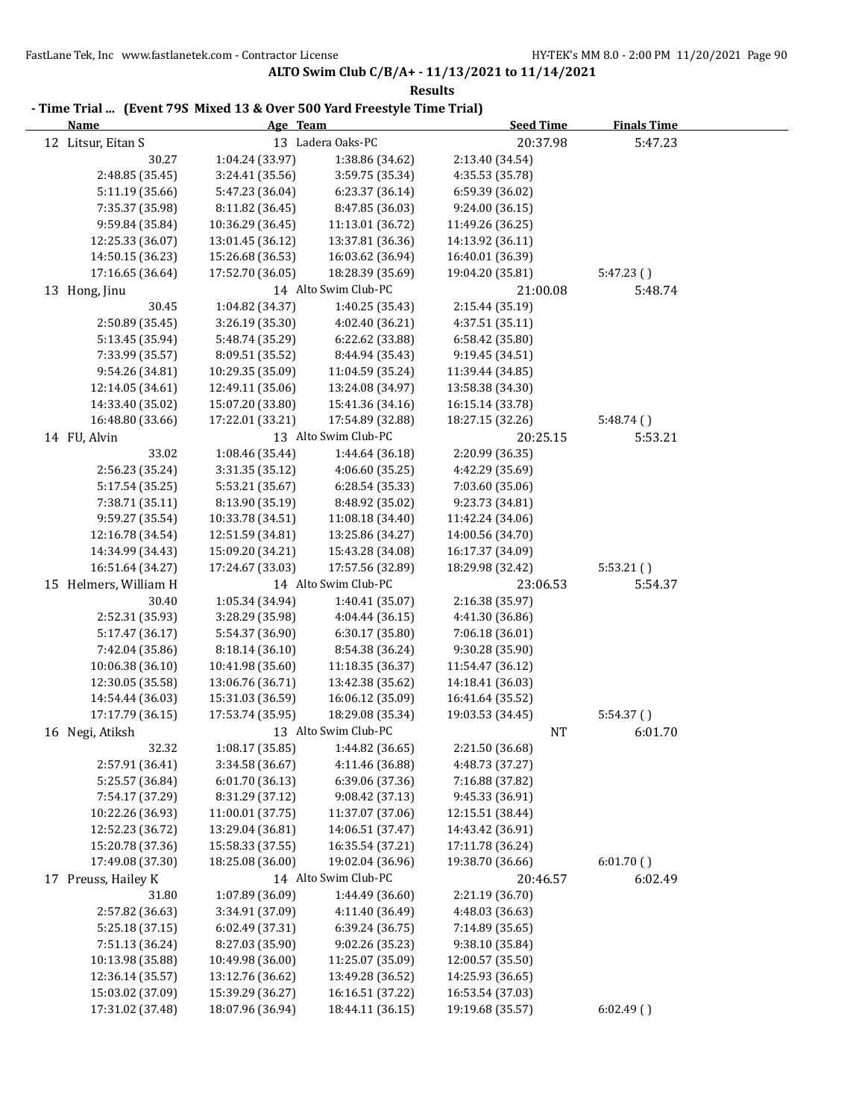| <b>Name</b>           | Age Team         |                                    | <b>Seed Time</b> | <b>Finals Time</b> |
|-----------------------|------------------|------------------------------------|------------------|--------------------|
| 12 Litsur, Eitan S    |                  | 13 Ladera Oaks-PC                  | 20:37.98         | 5:47.23            |
| 30.27                 | 1:04.24 (33.97)  | 1:38.86 (34.62)                    | 2:13.40 (34.54)  |                    |
| 2:48.85 (35.45)       | 3:24.41 (35.56)  | 3:59.75 (35.34)                    | 4:35.53 (35.78)  |                    |
| 5:11.19 (35.66)       | 5:47.23 (36.04)  | 6:23.37 (36.14)                    | 6:59.39 (36.02)  |                    |
| 7:35.37 (35.98)       | 8:11.82 (36.45)  | 8:47.85 (36.03)                    | 9:24.00 (36.15)  |                    |
| 9:59.84 (35.84)       | 10:36.29 (36.45) | 11:13.01 (36.72)                   | 11:49.26 (36.25) |                    |
| 12:25.33 (36.07)      | 13:01.45 (36.12) | 13:37.81 (36.36)                   | 14:13.92 (36.11) |                    |
| 14:50.15 (36.23)      | 15:26.68 (36.53) | 16:03.62 (36.94)                   | 16:40.01 (36.39) |                    |
| 17:16.65 (36.64)      | 17:52.70 (36.05) | 18:28.39 (35.69)                   | 19:04.20 (35.81) | 5:47.23()          |
| 13 Hong, Jinu         |                  | 14 Alto Swim Club-PC               | 21:00.08         | 5:48.74            |
| 30.45                 | 1:04.82 (34.37)  | 1:40.25 (35.43)                    | 2:15.44 (35.19)  |                    |
| 2:50.89 (35.45)       | 3:26.19 (35.30)  | 4:02.40 (36.21)                    | 4:37.51 (35.11)  |                    |
| 5:13.45 (35.94)       | 5:48.74 (35.29)  | 6:22.62 (33.88)                    | 6:58.42 (35.80)  |                    |
| 7:33.99 (35.57)       | 8:09.51 (35.52)  | 8:44.94 (35.43)                    | 9:19.45 (34.51)  |                    |
| 9:54.26 (34.81)       | 10:29.35 (35.09) | 11:04.59 (35.24)                   | 11:39.44 (34.85) |                    |
| 12:14.05 (34.61)      | 12:49.11 (35.06) | 13:24.08 (34.97)                   | 13:58.38 (34.30) |                    |
| 14:33.40 (35.02)      | 15:07.20 (33.80) | 15:41.36 (34.16)                   | 16:15.14 (33.78) |                    |
| 16:48.80 (33.66)      | 17:22.01 (33.21) | 17:54.89 (32.88)                   | 18:27.15 (32.26) | 5:48.74(           |
| 14 FU, Alvin          |                  | 13 Alto Swim Club-PC               | 20:25.15         | 5:53.21            |
| 33.02                 | 1:08.46 (35.44)  | 1:44.64 (36.18)                    | 2:20.99 (36.35)  |                    |
| 2:56.23 (35.24)       | 3:31.35 (35.12)  | 4:06.60 (35.25)                    | 4:42.29 (35.69)  |                    |
| 5:17.54 (35.25)       | 5:53.21 (35.67)  | 6:28.54 (35.33)                    | 7:03.60 (35.06)  |                    |
| 7:38.71 (35.11)       | 8:13.90 (35.19)  | 8:48.92 (35.02)                    | 9:23.73 (34.81)  |                    |
| 9:59.27 (35.54)       | 10:33.78 (34.51) | 11:08.18 (34.40)                   | 11:42.24 (34.06) |                    |
| 12:16.78 (34.54)      | 12:51.59 (34.81) | 13:25.86 (34.27)                   | 14:00.56 (34.70) |                    |
| 14:34.99 (34.43)      | 15:09.20 (34.21) | 15:43.28 (34.08)                   | 16:17.37 (34.09) |                    |
| 16:51.64 (34.27)      | 17:24.67 (33.03) | 17:57.56 (32.89)                   | 18:29.98 (32.42) | 5:53.21(           |
| 15 Helmers, William H |                  | 14 Alto Swim Club-PC               | 23:06.53         | 5:54.37            |
| 30.40                 | 1:05.34 (34.94)  | 1:40.41 (35.07)                    | 2:16.38 (35.97)  |                    |
| 2:52.31 (35.93)       |                  |                                    |                  |                    |
|                       | 3:28.29 (35.98)  | 4:04.44 (36.15)                    | 4:41.30 (36.86)  |                    |
| 5:17.47 (36.17)       | 5:54.37 (36.90)  | 6:30.17 (35.80)<br>8:54.38 (36.24) | 7:06.18 (36.01)  |                    |
| 7:42.04 (35.86)       | 8:18.14 (36.10)  |                                    | 9:30.28 (35.90)  |                    |
| 10:06.38 (36.10)      | 10:41.98 (35.60) | 11:18.35 (36.37)                   | 11:54.47 (36.12) |                    |
| 12:30.05 (35.58)      | 13:06.76 (36.71) | 13:42.38 (35.62)                   | 14:18.41 (36.03) |                    |
| 14:54.44 (36.03)      | 15:31.03 (36.59) | 16:06.12 (35.09)                   | 16:41.64 (35.52) |                    |
| 17:17.79 (36.15)      | 17:53.74 (35.95) | 18:29.08 (35.34)                   | 19:03.53 (34.45) | 5:54.37()          |
| 16 Negi, Atiksh       |                  | 13 Alto Swim Club-PC               | <b>NT</b>        | 6:01.70            |
| 32.32                 | 1:08.17 (35.85)  | 1:44.82 (36.65)                    | 2:21.50 (36.68)  |                    |
| 2:57.91 (36.41)       | 3:34.58 (36.67)  | 4:11.46 (36.88)                    | 4:48.73 (37.27)  |                    |
| 5:25.57 (36.84)       | 6:01.70 (36.13)  | 6:39.06 (37.36)                    | 7:16.88 (37.82)  |                    |
| 7:54.17 (37.29)       | 8:31.29 (37.12)  | 9:08.42 (37.13)                    | 9:45.33 (36.91)  |                    |
| 10:22.26 (36.93)      | 11:00.01 (37.75) | 11:37.07 (37.06)                   | 12:15.51 (38.44) |                    |
| 12:52.23 (36.72)      | 13:29.04 (36.81) | 14:06.51 (37.47)                   | 14:43.42 (36.91) |                    |
| 15:20.78 (37.36)      | 15:58.33 (37.55) | 16:35.54 (37.21)                   | 17:11.78 (36.24) |                    |
| 17:49.08 (37.30)      | 18:25.08 (36.00) | 19:02.04 (36.96)                   | 19:38.70 (36.66) | 6:01.70()          |
| 17 Preuss, Hailey K   |                  | 14 Alto Swim Club-PC               | 20:46.57         | 6:02.49            |
| 31.80                 | 1:07.89 (36.09)  | 1:44.49 (36.60)                    | 2:21.19 (36.70)  |                    |
| 2:57.82 (36.63)       | 3:34.91 (37.09)  | 4:11.40 (36.49)                    | 4:48.03 (36.63)  |                    |
| 5:25.18 (37.15)       | 6:02.49 (37.31)  | 6:39.24 (36.75)                    | 7:14.89 (35.65)  |                    |
| 7:51.13 (36.24)       | 8:27.03 (35.90)  | 9:02.26 (35.23)                    | 9:38.10 (35.84)  |                    |
| 10:13.98 (35.88)      | 10:49.98 (36.00) | 11:25.07 (35.09)                   | 12:00.57 (35.50) |                    |
| 12:36.14 (35.57)      | 13:12.76 (36.62) | 13:49.28 (36.52)                   | 14:25.93 (36.65) |                    |
| 15:03.02 (37.09)      | 15:39.29 (36.27) | 16:16.51 (37.22)                   | 16:53.54 (37.03) |                    |
| 17:31.02 (37.48)      | 18:07.96 (36.94) | 18:44.11 (36.15)                   | 19:19.68 (35.57) | 6:02.49()          |

# **- Time Trial ... (Event 79S Mixed 13 & Over 500 Yard Freestyle Time Trial)**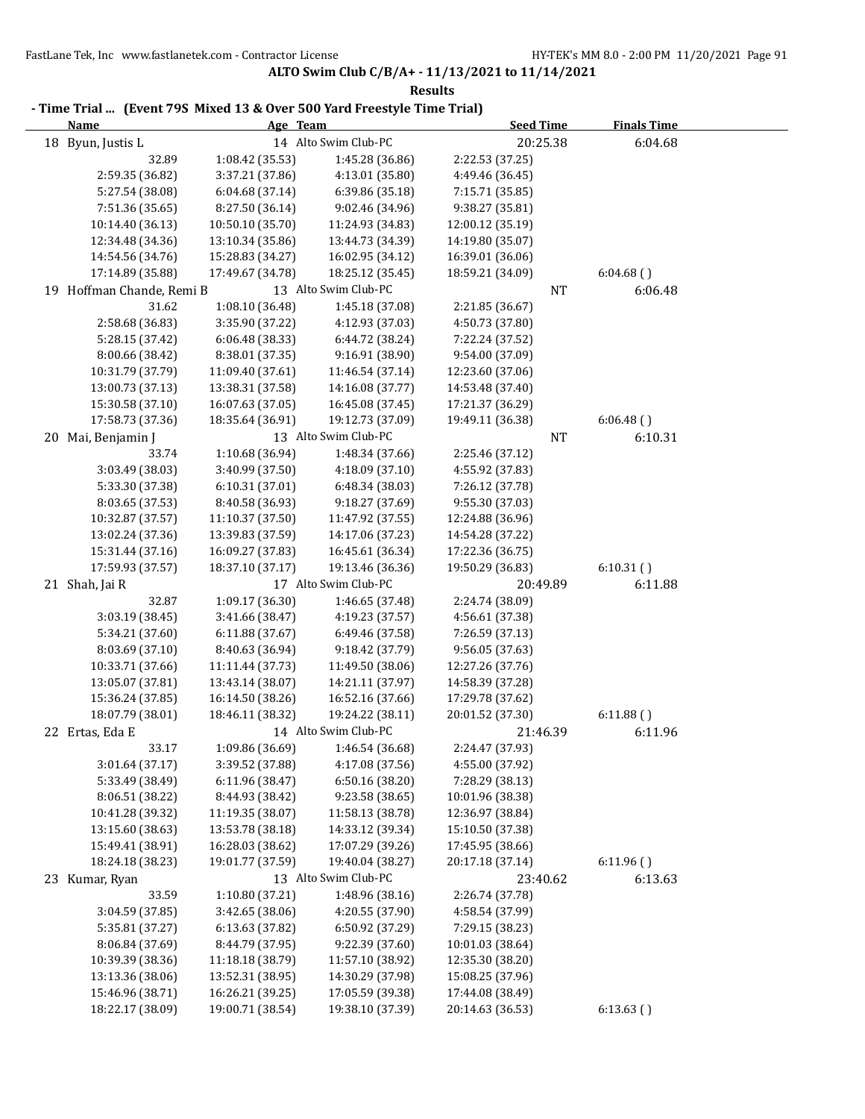| - Time Trial  (Event 79S Mixed 13 & Over 500 Yard Freestyle Time Trial)<br><b>Name</b> | Age Team         |                      | <b>Seed Time</b> | <b>Finals Time</b> |  |
|----------------------------------------------------------------------------------------|------------------|----------------------|------------------|--------------------|--|
| 18 Byun, Justis L                                                                      |                  | 14 Alto Swim Club-PC | 20:25.38         | 6:04.68            |  |
| 32.89                                                                                  | 1:08.42 (35.53)  | 1:45.28 (36.86)      | 2:22.53 (37.25)  |                    |  |
| 2:59.35 (36.82)                                                                        | 3:37.21 (37.86)  | 4:13.01 (35.80)      | 4:49.46 (36.45)  |                    |  |
| 5:27.54 (38.08)                                                                        | 6:04.68 (37.14)  | 6:39.86 (35.18)      | 7:15.71 (35.85)  |                    |  |
| 7:51.36 (35.65)                                                                        | 8:27.50 (36.14)  | 9:02.46 (34.96)      | 9:38.27 (35.81)  |                    |  |
| 10:14.40 (36.13)                                                                       | 10:50.10 (35.70) | 11:24.93 (34.83)     | 12:00.12 (35.19) |                    |  |
| 12:34.48 (34.36)                                                                       | 13:10.34 (35.86) | 13:44.73 (34.39)     | 14:19.80 (35.07) |                    |  |
| 14:54.56 (34.76)                                                                       | 15:28.83 (34.27) | 16:02.95 (34.12)     | 16:39.01 (36.06) |                    |  |
| 17:14.89 (35.88)                                                                       | 17:49.67 (34.78) | 18:25.12 (35.45)     | 18:59.21 (34.09) | 6:04.68()          |  |
| 19 Hoffman Chande, Remi B                                                              |                  | 13 Alto Swim Club-PC | NT               | 6:06.48            |  |
| 31.62                                                                                  | 1:08.10 (36.48)  | 1:45.18 (37.08)      | 2:21.85 (36.67)  |                    |  |
| 2:58.68 (36.83)                                                                        | 3:35.90 (37.22)  | 4:12.93 (37.03)      | 4:50.73 (37.80)  |                    |  |
| 5:28.15 (37.42)                                                                        | 6:06.48 (38.33)  | 6:44.72 (38.24)      | 7:22.24 (37.52)  |                    |  |
| 8:00.66 (38.42)                                                                        | 8:38.01 (37.35)  | 9:16.91 (38.90)      | 9:54.00 (37.09)  |                    |  |
| 10:31.79 (37.79)                                                                       | 11:09.40 (37.61) | 11:46.54 (37.14)     | 12:23.60 (37.06) |                    |  |
| 13:00.73 (37.13)                                                                       | 13:38.31 (37.58) | 14:16.08 (37.77)     | 14:53.48 (37.40) |                    |  |
| 15:30.58 (37.10)                                                                       | 16:07.63 (37.05) | 16:45.08 (37.45)     | 17:21.37 (36.29) |                    |  |
| 17:58.73 (37.36)                                                                       | 18:35.64 (36.91) | 19:12.73 (37.09)     | 19:49.11 (36.38) | 6:06.48()          |  |
| 20 Mai, Benjamin J                                                                     |                  | 13 Alto Swim Club-PC | NT               | 6:10.31            |  |
| 33.74                                                                                  | 1:10.68 (36.94)  | 1:48.34 (37.66)      | 2:25.46 (37.12)  |                    |  |
| 3:03.49 (38.03)                                                                        | 3:40.99 (37.50)  | 4:18.09 (37.10)      | 4:55.92 (37.83)  |                    |  |
| 5:33.30 (37.38)                                                                        | 6:10.31(37.01)   | 6:48.34 (38.03)      | 7:26.12 (37.78)  |                    |  |
| 8:03.65 (37.53)                                                                        | 8:40.58 (36.93)  | 9:18.27 (37.69)      | 9:55.30 (37.03)  |                    |  |
| 10:32.87 (37.57)                                                                       | 11:10.37 (37.50) | 11:47.92 (37.55)     | 12:24.88 (36.96) |                    |  |
| 13:02.24 (37.36)                                                                       | 13:39.83 (37.59) | 14:17.06 (37.23)     | 14:54.28 (37.22) |                    |  |
| 15:31.44 (37.16)                                                                       | 16:09.27 (37.83) | 16:45.61 (36.34)     | 17:22.36 (36.75) |                    |  |
| 17:59.93 (37.57)                                                                       | 18:37.10 (37.17) | 19:13.46 (36.36)     | 19:50.29 (36.83) | 6:10.31()          |  |
| 21 Shah, Jai R                                                                         |                  | 17 Alto Swim Club-PC | 20:49.89         | 6:11.88            |  |
| 32.87                                                                                  | 1:09.17 (36.30)  | 1:46.65 (37.48)      | 2:24.74 (38.09)  |                    |  |
| 3:03.19 (38.45)                                                                        | 3:41.66 (38.47)  | 4:19.23 (37.57)      | 4:56.61 (37.38)  |                    |  |
| 5:34.21 (37.60)                                                                        | 6:11.88 (37.67)  | 6:49.46 (37.58)      | 7:26.59 (37.13)  |                    |  |
| 8:03.69 (37.10)                                                                        | 8:40.63 (36.94)  | 9:18.42 (37.79)      | 9:56.05 (37.63)  |                    |  |
| 10:33.71 (37.66)                                                                       | 11:11.44 (37.73) | 11:49.50 (38.06)     | 12:27.26 (37.76) |                    |  |
| 13:05.07 (37.81)                                                                       | 13:43.14 (38.07) | 14:21.11 (37.97)     | 14:58.39 (37.28) |                    |  |
| 15:36.24 (37.85)                                                                       | 16:14.50 (38.26) | 16:52.16 (37.66)     | 17:29.78 (37.62) |                    |  |
| 18:07.79 (38.01)                                                                       | 18:46.11 (38.32) | 19:24.22 (38.11)     | 20:01.52 (37.30) | 6:11.88()          |  |
| 22 Ertas, Eda E                                                                        |                  | 14 Alto Swim Club-PC | 21:46.39         | 6:11.96            |  |
| 33.17                                                                                  | 1:09.86 (36.69)  | 1:46.54 (36.68)      | 2:24.47 (37.93)  |                    |  |
| 3:01.64 (37.17)                                                                        | 3:39.52 (37.88)  | 4:17.08 (37.56)      | 4:55.00 (37.92)  |                    |  |
| 5:33.49 (38.49)                                                                        | 6:11.96 (38.47)  | 6:50.16 (38.20)      | 7:28.29 (38.13)  |                    |  |
| 8:06.51 (38.22)                                                                        | 8:44.93 (38.42)  | 9:23.58 (38.65)      | 10:01.96 (38.38) |                    |  |
| 10:41.28 (39.32)                                                                       | 11:19.35 (38.07) | 11:58.13 (38.78)     | 12:36.97 (38.84) |                    |  |
| 13:15.60 (38.63)                                                                       | 13:53.78 (38.18) | 14:33.12 (39.34)     | 15:10.50 (37.38) |                    |  |
| 15:49.41 (38.91)                                                                       | 16:28.03 (38.62) | 17:07.29 (39.26)     | 17:45.95 (38.66) |                    |  |
| 18:24.18 (38.23)                                                                       | 19:01.77 (37.59) | 19:40.04 (38.27)     | 20:17.18 (37.14) | 6:11.96()          |  |
| 23 Kumar, Ryan                                                                         |                  | 13 Alto Swim Club-PC | 23:40.62         | 6:13.63            |  |
| 33.59                                                                                  | 1:10.80 (37.21)  | 1:48.96 (38.16)      | 2:26.74 (37.78)  |                    |  |
| 3:04.59 (37.85)                                                                        | 3:42.65 (38.06)  | 4:20.55 (37.90)      | 4:58.54 (37.99)  |                    |  |
| 5:35.81 (37.27)                                                                        | 6:13.63 (37.82)  | 6:50.92 (37.29)      | 7:29.15 (38.23)  |                    |  |
| 8:06.84 (37.69)                                                                        | 8:44.79 (37.95)  | 9:22.39 (37.60)      | 10:01.03 (38.64) |                    |  |
| 10:39.39 (38.36)                                                                       | 11:18.18 (38.79) | 11:57.10 (38.92)     | 12:35.30 (38.20) |                    |  |
| 13:13.36 (38.06)                                                                       | 13:52.31 (38.95) | 14:30.29 (37.98)     | 15:08.25 (37.96) |                    |  |
| 15:46.96 (38.71)                                                                       | 16:26.21 (39.25) | 17:05.59 (39.38)     | 17:44.08 (38.49) |                    |  |
| 18:22.17 (38.09)                                                                       | 19:00.71 (38.54) | 19:38.10 (37.39)     | 20:14.63 (36.53) | 6:13.63()          |  |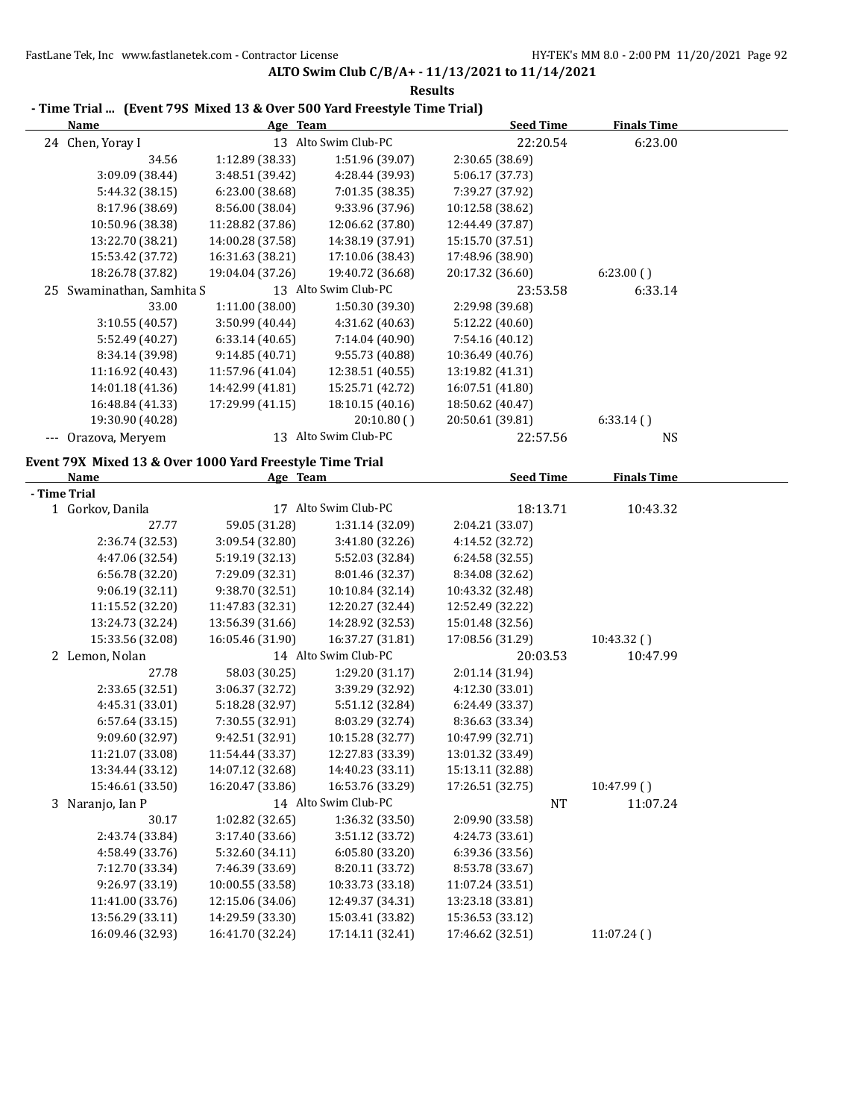**ALTO Swim Club C/B/A+ - 11/13/2021 to 11/14/2021 Results**

| <b>Name</b>                                              | Age Team                             |                                      | <b>Seed Time</b>                     | <b>Finals Time</b> |  |
|----------------------------------------------------------|--------------------------------------|--------------------------------------|--------------------------------------|--------------------|--|
| 24 Chen, Yoray I                                         |                                      | 13 Alto Swim Club-PC                 | 22:20.54                             | 6:23.00            |  |
| 34.56                                                    | 1:12.89 (38.33)                      | 1:51.96 (39.07)                      | 2:30.65 (38.69)                      |                    |  |
| 3:09.09 (38.44)                                          | 3:48.51 (39.42)                      | 4:28.44 (39.93)                      | 5:06.17 (37.73)                      |                    |  |
| 5:44.32 (38.15)                                          | 6:23.00 (38.68)                      | 7:01.35 (38.35)                      | 7:39.27 (37.92)                      |                    |  |
| 8:17.96 (38.69)                                          | 8:56.00 (38.04)                      | 9:33.96 (37.96)                      | 10:12.58 (38.62)                     |                    |  |
| 10:50.96 (38.38)                                         | 11:28.82 (37.86)                     | 12:06.62 (37.80)                     | 12:44.49 (37.87)                     |                    |  |
| 13:22.70 (38.21)                                         | 14:00.28 (37.58)                     | 14:38.19 (37.91)                     | 15:15.70 (37.51)                     |                    |  |
| 15:53.42 (37.72)                                         | 16:31.63 (38.21)                     | 17:10.06 (38.43)                     | 17:48.96 (38.90)                     |                    |  |
| 18:26.78 (37.82)                                         | 19:04.04 (37.26)                     | 19:40.72 (36.68)                     | 20:17.32 (36.60)                     | 6:23.00(           |  |
| 25 Swaminathan, Samhita S                                |                                      | 13 Alto Swim Club-PC                 | 23:53.58                             | 6:33.14            |  |
| 33.00                                                    | 1:11.00 (38.00)                      | 1:50.30 (39.30)                      | 2:29.98 (39.68)                      |                    |  |
| 3:10.55 (40.57)                                          | 3:50.99 (40.44)                      | 4:31.62 (40.63)                      | 5:12.22 (40.60)                      |                    |  |
| 5:52.49 (40.27)                                          | 6:33.14(40.65)                       | 7:14.04 (40.90)                      | 7:54.16 (40.12)                      |                    |  |
| 8:34.14 (39.98)                                          | 9:14.85 (40.71)                      | 9:55.73 (40.88)                      | 10:36.49 (40.76)                     |                    |  |
| 11:16.92 (40.43)                                         | 11:57.96 (41.04)                     | 12:38.51 (40.55)                     | 13:19.82 (41.31)                     |                    |  |
| 14:01.18 (41.36)                                         | 14:42.99 (41.81)                     | 15:25.71 (42.72)                     | 16:07.51 (41.80)                     |                    |  |
| 16:48.84 (41.33)                                         | 17:29.99 (41.15)                     | 18:10.15 (40.16)                     | 18:50.62 (40.47)                     |                    |  |
| 19:30.90 (40.28)                                         |                                      | 20:10.80()                           | 20:50.61 (39.81)                     | 6:33.14(           |  |
| --- Orazova, Meryem                                      |                                      | 13 Alto Swim Club-PC                 | 22:57.56                             | <b>NS</b>          |  |
|                                                          |                                      |                                      |                                      |                    |  |
| Event 79X Mixed 13 & Over 1000 Yard Freestyle Time Trial |                                      |                                      |                                      |                    |  |
| Name                                                     | Age Team                             |                                      | <b>Seed Time</b>                     | <b>Finals Time</b> |  |
| - Time Trial                                             |                                      |                                      |                                      |                    |  |
| 1 Gorkov, Danila                                         |                                      | 17 Alto Swim Club-PC                 | 18:13.71                             | 10:43.32           |  |
| 27.77                                                    | 59.05 (31.28)                        | 1:31.14 (32.09)                      | 2:04.21 (33.07)                      |                    |  |
| 2:36.74 (32.53)                                          | 3:09.54 (32.80)                      | 3:41.80 (32.26)                      | 4:14.52 (32.72)                      |                    |  |
| 4:47.06 (32.54)                                          | 5:19.19 (32.13)                      | 5:52.03 (32.84)                      | 6:24.58 (32.55)                      |                    |  |
| 6:56.78 (32.20)                                          | 7:29.09 (32.31)                      | 8:01.46 (32.37)                      | 8:34.08 (32.62)                      |                    |  |
| 9:06.19 (32.11)                                          | 9:38.70 (32.51)                      | 10:10.84 (32.14)                     | 10:43.32 (32.48)                     |                    |  |
| 11:15.52 (32.20)                                         | 11:47.83 (32.31)                     | 12:20.27 (32.44)                     | 12:52.49 (32.22)                     |                    |  |
| 13:24.73 (32.24)                                         | 13:56.39 (31.66)                     | 14:28.92 (32.53)                     | 15:01.48 (32.56)                     |                    |  |
| 15:33.56 (32.08)                                         | 16:05.46 (31.90)                     | 16:37.27 (31.81)                     | 17:08.56 (31.29)                     | 10:43.32()         |  |
| 2 Lemon, Nolan                                           |                                      | 14 Alto Swim Club-PC                 | 20:03.53                             | 10:47.99           |  |
| 27.78                                                    | 58.03 (30.25)                        | 1:29.20 (31.17)                      | 2:01.14 (31.94)                      |                    |  |
| 2:33.65 (32.51)                                          | 3:06.37 (32.72)                      | 3:39.29 (32.92)                      | 4:12.30 (33.01)                      |                    |  |
| 4:45.31 (33.01)                                          | 5:18.28 (32.97)                      | 5:51.12 (32.84)                      | 6:24.49 (33.37)                      |                    |  |
| 6:57.64 (33.15)                                          | 7:30.55 (32.91)                      | 8:03.29 (32.74)                      | 8:36.63 (33.34)                      |                    |  |
| 9:09.60 (32.97)                                          | 9:42.51 (32.91)                      | 10:15.28 (32.77)                     | 10:47.99 (32.71)                     |                    |  |
| 11:21.07 (33.08)                                         | 11:54.44 (33.37)                     | 12:27.83 (33.39)                     | 13:01.32 (33.49)                     |                    |  |
| 13:34.44 (33.12)                                         | 14:07.12 (32.68)                     | 14:40.23 (33.11)                     | 15:13.11 (32.88)                     |                    |  |
| 15:46.61 (33.50)                                         | 16:20.47 (33.86)                     | 16:53.76 (33.29)                     | 17:26.51 (32.75)                     | 10:47.99()         |  |
| 3 Naranjo, Ian P                                         |                                      | 14 Alto Swim Club-PC                 | <b>NT</b>                            | 11:07.24           |  |
| 30.17                                                    | 1:02.82 (32.65)                      | 1:36.32 (33.50)                      | 2:09.90 (33.58)                      |                    |  |
| 2:43.74 (33.84)                                          | 3:17.40 (33.66)                      | 3:51.12 (33.72)                      | 4:24.73 (33.61)                      |                    |  |
| 4:58.49 (33.76)                                          | 5:32.60 (34.11)                      | 6:05.80 (33.20)                      | 6:39.36 (33.56)                      |                    |  |
| 7:12.70 (33.34)                                          | 7:46.39 (33.69)                      | 8:20.11 (33.72)                      | 8:53.78 (33.67)                      |                    |  |
| 9:26.97 (33.19)                                          | 10:00.55 (33.58)                     | 10:33.73 (33.18)                     | 11:07.24 (33.51)                     |                    |  |
|                                                          |                                      |                                      |                                      |                    |  |
| 11:41.00 (33.76)                                         | 12:15.06 (34.06)                     | 12:49.37 (34.31)                     | 13:23.18 (33.81)                     |                    |  |
| 13:56.29 (33.11)<br>16:09.46 (32.93)                     | 14:29.59 (33.30)<br>16:41.70 (32.24) | 15:03.41 (33.82)<br>17:14.11 (32.41) | 15:36.53 (33.12)<br>17:46.62 (32.51) | 11:07.24()         |  |

# **- Time Trial ... (Event 79S Mixed 13 & Over 500 Yard Freestyle Time Trial)**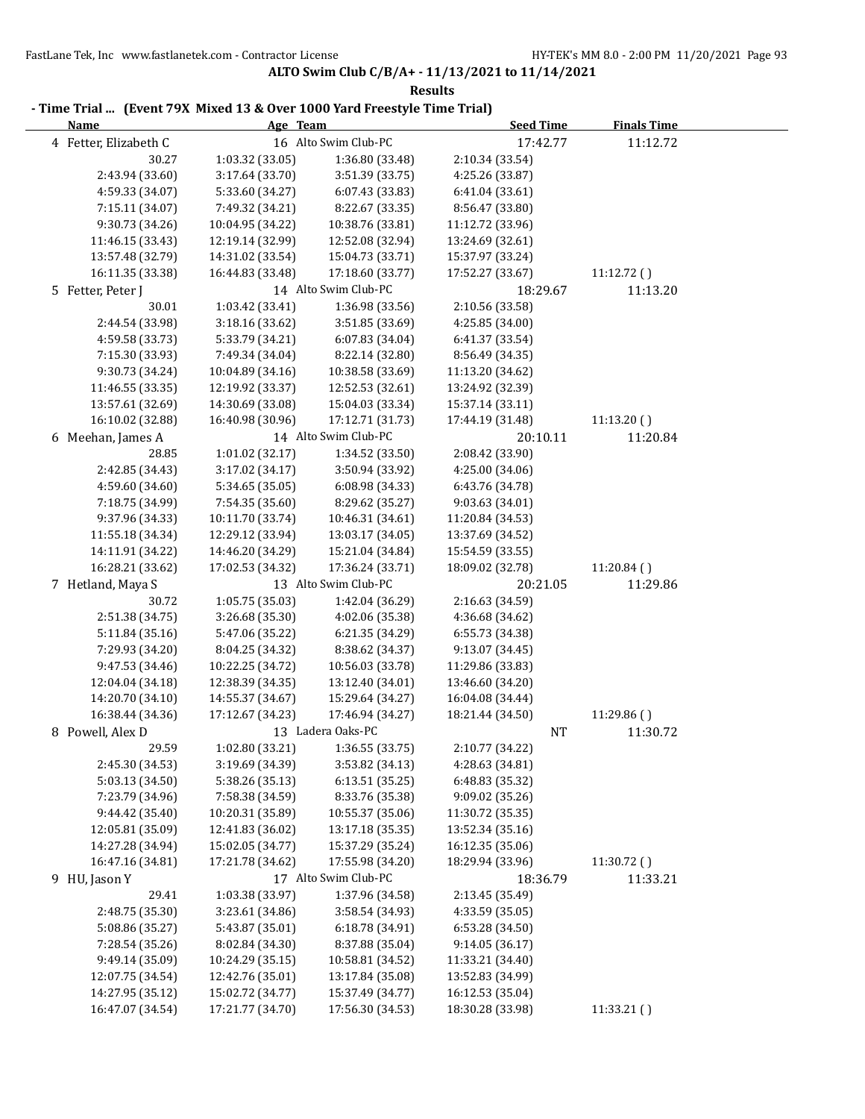| 16 Alto Swim Club-PC<br>4 Fetter, Elizabeth C<br>17:42.77<br>11:12.72<br>30.27<br>1:03.32 (33.05)<br>1:36.80 (33.48)<br>2:10.34 (33.54)<br>2:43.94 (33.60)<br>3:17.64 (33.70)<br>3:51.39 (33.75)<br>4:25.26 (33.87)<br>4:59.33 (34.07)<br>6:07.43 (33.83)<br>5:33.60 (34.27)<br>6:41.04(33.61)<br>8:22.67 (33.35)<br>7:15.11 (34.07)<br>7:49.32 (34.21)<br>8:56.47 (33.80)<br>9:30.73 (34.26)<br>10:04.95 (34.22)<br>10:38.76 (33.81)<br>11:12.72 (33.96)<br>11:46.15 (33.43)<br>12:19.14 (32.99)<br>12:52.08 (32.94)<br>13:24.69 (32.61)<br>13:57.48 (32.79)<br>15:04.73 (33.71)<br>15:37.97 (33.24)<br>14:31.02 (33.54)<br>16:11.35 (33.38)<br>17:18.60 (33.77)<br>17:52.27 (33.67)<br>11:12.72()<br>16:44.83 (33.48)<br>14 Alto Swim Club-PC<br>5 Fetter, Peter J<br>18:29.67<br>11:13.20<br>2:10.56 (33.58)<br>30.01<br>1:03.42 (33.41)<br>1:36.98 (33.56)<br>2:44.54 (33.98)<br>3:18.16 (33.62)<br>3:51.85 (33.69)<br>4:25.85 (34.00)<br>4:59.58 (33.73)<br>5:33.79 (34.21)<br>6:07.83 (34.04)<br>6:41.37 (33.54)<br>7:15.30 (33.93)<br>7:49.34 (34.04)<br>8:56.49 (34.35)<br>8:22.14 (32.80)<br>9:30.73 (34.24)<br>10:04.89 (34.16)<br>10:38.58 (33.69)<br>11:13.20 (34.62)<br>11:46.55 (33.35)<br>12:19.92 (33.37)<br>12:52.53 (32.61)<br>13:24.92 (32.39)<br>13:57.61 (32.69)<br>14:30.69 (33.08)<br>15:04.03 (33.34)<br>15:37.14 (33.11)<br>16:10.02 (32.88)<br>11:13.20()<br>16:40.98 (30.96)<br>17:12.71 (31.73)<br>17:44.19 (31.48)<br>6 Meehan, James A<br>14 Alto Swim Club-PC<br>20:10.11<br>11:20.84<br>1:01.02 (32.17)<br>2:08.42 (33.90)<br>28.85<br>1:34.52 (33.50)<br>2:42.85 (34.43)<br>3:17.02 (34.17)<br>3:50.94 (33.92)<br>4:25.00 (34.06)<br>5:34.65 (35.05)<br>6:08.98 (34.33)<br>6:43.76 (34.78)<br>4:59.60 (34.60)<br>7:18.75 (34.99)<br>7:54.35 (35.60)<br>8:29.62 (35.27)<br>9:03.63 (34.01)<br>9:37.96 (34.33)<br>10:11.70 (33.74)<br>10:46.31 (34.61)<br>11:20.84 (34.53)<br>11:55.18 (34.34)<br>12:29.12 (33.94)<br>13:03.17 (34.05)<br>13:37.69 (34.52)<br>14:11.91 (34.22)<br>14:46.20 (34.29)<br>15:21.04 (34.84)<br>15:54.59 (33.55)<br>16:28.21 (33.62)<br>18:09.02 (32.78)<br>17:02.53 (34.32)<br>17:36.24 (33.71)<br>11:20.84()<br>13 Alto Swim Club-PC<br>7 Hetland, Maya S<br>20:21.05<br>11:29.86<br>1:05.75 (35.03)<br>30.72<br>2:16.63 (34.59)<br>1:42.04 (36.29)<br>2:51.38 (34.75)<br>3:26.68 (35.30)<br>4:02.06 (35.38)<br>4:36.68 (34.62)<br>5:11.84 (35.16)<br>5:47.06 (35.22)<br>6:21.35 (34.29)<br>6:55.73 (34.38)<br>8:38.62 (34.37)<br>9:13.07 (34.45)<br>7:29.93 (34.20)<br>8:04.25 (34.32)<br>10:56.03 (33.78)<br>9:47.53 (34.46)<br>10:22.25 (34.72)<br>11:29.86 (33.83)<br>12:38.39 (34.35)<br>13:12.40 (34.01)<br>13:46.60 (34.20)<br>12:04.04 (34.18)<br>14:20.70 (34.10)<br>14:55.37 (34.67)<br>15:29.64 (34.27)<br>16:04.08 (34.44)<br>16:38.44 (34.36)<br>17:12.67 (34.23)<br>17:46.94 (34.27)<br>18:21.44 (34.50)<br>11:29.86()<br>13 Ladera Oaks-PC<br>8 Powell, Alex D<br>NT<br>11:30.72<br>29.59<br>1:02.80 (33.21)<br>1:36.55(33.75)<br>2:10.77 (34.22)<br>3:19.69 (34.39)<br>3:53.82 (34.13)<br>4:28.63 (34.81)<br>2:45.30 (34.53)<br>5:03.13 (34.50)<br>5:38.26 (35.13)<br>6:13.51 (35.25)<br>6:48.83 (35.32)<br>8:33.76 (35.38)<br>7:23.79 (34.96)<br>7:58.38 (34.59)<br>9:09.02 (35.26)<br>9:44.42 (35.40)<br>10:20.31 (35.89)<br>10:55.37 (35.06)<br>11:30.72 (35.35)<br>12:05.81 (35.09)<br>12:41.83 (36.02)<br>13:17.18 (35.35)<br>13:52.34 (35.16)<br>15:02.05 (34.77)<br>14:27.28 (34.94)<br>15:37.29 (35.24)<br>16:12.35 (35.06)<br>16:47.16 (34.81)<br>17:21.78 (34.62)<br>18:29.94 (33.96)<br>17:55.98 (34.20)<br>11:30.72 ()<br>17 Alto Swim Club-PC<br>9 HU, Jason Y<br>18:36.79<br>11:33.21<br>29.41<br>1:03.38 (33.97)<br>1:37.96 (34.58)<br>2:13.45 (35.49)<br>2:48.75 (35.30)<br>3:23.61 (34.86)<br>3:58.54 (34.93)<br>4:33.59 (35.05)<br>5:43.87 (35.01)<br>5:08.86 (35.27)<br>6:18.78 (34.91)<br>6:53.28 (34.50)<br>8:37.88 (35.04)<br>7:28.54 (35.26)<br>8:02.84 (34.30)<br>9:14.05 (36.17)<br>9:49.14 (35.09)<br>10:24.29 (35.15)<br>10:58.81 (34.52)<br>11:33.21 (34.40)<br>12:42.76 (35.01)<br>12:07.75 (34.54)<br>13:17.84 (35.08)<br>13:52.83 (34.99)<br>14:27.95 (35.12)<br>15:02.72 (34.77)<br>15:37.49 (34.77)<br>16:12.53 (35.04) | Thine Trial Tevent 75A Mixed 15 & Over 1000 Tard Preestyle Thine Trial)<br><u>Name</u> | Age Team         |                  | <b>Seed Time</b> | <b>Finals Time</b> |  |
|-------------------------------------------------------------------------------------------------------------------------------------------------------------------------------------------------------------------------------------------------------------------------------------------------------------------------------------------------------------------------------------------------------------------------------------------------------------------------------------------------------------------------------------------------------------------------------------------------------------------------------------------------------------------------------------------------------------------------------------------------------------------------------------------------------------------------------------------------------------------------------------------------------------------------------------------------------------------------------------------------------------------------------------------------------------------------------------------------------------------------------------------------------------------------------------------------------------------------------------------------------------------------------------------------------------------------------------------------------------------------------------------------------------------------------------------------------------------------------------------------------------------------------------------------------------------------------------------------------------------------------------------------------------------------------------------------------------------------------------------------------------------------------------------------------------------------------------------------------------------------------------------------------------------------------------------------------------------------------------------------------------------------------------------------------------------------------------------------------------------------------------------------------------------------------------------------------------------------------------------------------------------------------------------------------------------------------------------------------------------------------------------------------------------------------------------------------------------------------------------------------------------------------------------------------------------------------------------------------------------------------------------------------------------------------------------------------------------------------------------------------------------------------------------------------------------------------------------------------------------------------------------------------------------------------------------------------------------------------------------------------------------------------------------------------------------------------------------------------------------------------------------------------------------------------------------------------------------------------------------------------------------------------------------------------------------------------------------------------------------------------------------------------------------------------------------------------------------------------------------------------------------------------------------------------------------------------------------------------------------------------------------------------------------------------------------------------------------------------------------------------------------------------------------------------------------------------------------------------------------------------------------------------------------------------------------------------------------------------------------------------------------------------------------------------------------------------------------------------------------------------------------------------------------------------------------------------------------------------------|----------------------------------------------------------------------------------------|------------------|------------------|------------------|--------------------|--|
|                                                                                                                                                                                                                                                                                                                                                                                                                                                                                                                                                                                                                                                                                                                                                                                                                                                                                                                                                                                                                                                                                                                                                                                                                                                                                                                                                                                                                                                                                                                                                                                                                                                                                                                                                                                                                                                                                                                                                                                                                                                                                                                                                                                                                                                                                                                                                                                                                                                                                                                                                                                                                                                                                                                                                                                                                                                                                                                                                                                                                                                                                                                                                                                                                                                                                                                                                                                                                                                                                                                                                                                                                                                                                                                                                                                                                                                                                                                                                                                                                                                                                                                                                                                                                                     |                                                                                        |                  |                  |                  |                    |  |
|                                                                                                                                                                                                                                                                                                                                                                                                                                                                                                                                                                                                                                                                                                                                                                                                                                                                                                                                                                                                                                                                                                                                                                                                                                                                                                                                                                                                                                                                                                                                                                                                                                                                                                                                                                                                                                                                                                                                                                                                                                                                                                                                                                                                                                                                                                                                                                                                                                                                                                                                                                                                                                                                                                                                                                                                                                                                                                                                                                                                                                                                                                                                                                                                                                                                                                                                                                                                                                                                                                                                                                                                                                                                                                                                                                                                                                                                                                                                                                                                                                                                                                                                                                                                                                     |                                                                                        |                  |                  |                  |                    |  |
|                                                                                                                                                                                                                                                                                                                                                                                                                                                                                                                                                                                                                                                                                                                                                                                                                                                                                                                                                                                                                                                                                                                                                                                                                                                                                                                                                                                                                                                                                                                                                                                                                                                                                                                                                                                                                                                                                                                                                                                                                                                                                                                                                                                                                                                                                                                                                                                                                                                                                                                                                                                                                                                                                                                                                                                                                                                                                                                                                                                                                                                                                                                                                                                                                                                                                                                                                                                                                                                                                                                                                                                                                                                                                                                                                                                                                                                                                                                                                                                                                                                                                                                                                                                                                                     |                                                                                        |                  |                  |                  |                    |  |
|                                                                                                                                                                                                                                                                                                                                                                                                                                                                                                                                                                                                                                                                                                                                                                                                                                                                                                                                                                                                                                                                                                                                                                                                                                                                                                                                                                                                                                                                                                                                                                                                                                                                                                                                                                                                                                                                                                                                                                                                                                                                                                                                                                                                                                                                                                                                                                                                                                                                                                                                                                                                                                                                                                                                                                                                                                                                                                                                                                                                                                                                                                                                                                                                                                                                                                                                                                                                                                                                                                                                                                                                                                                                                                                                                                                                                                                                                                                                                                                                                                                                                                                                                                                                                                     |                                                                                        |                  |                  |                  |                    |  |
|                                                                                                                                                                                                                                                                                                                                                                                                                                                                                                                                                                                                                                                                                                                                                                                                                                                                                                                                                                                                                                                                                                                                                                                                                                                                                                                                                                                                                                                                                                                                                                                                                                                                                                                                                                                                                                                                                                                                                                                                                                                                                                                                                                                                                                                                                                                                                                                                                                                                                                                                                                                                                                                                                                                                                                                                                                                                                                                                                                                                                                                                                                                                                                                                                                                                                                                                                                                                                                                                                                                                                                                                                                                                                                                                                                                                                                                                                                                                                                                                                                                                                                                                                                                                                                     |                                                                                        |                  |                  |                  |                    |  |
|                                                                                                                                                                                                                                                                                                                                                                                                                                                                                                                                                                                                                                                                                                                                                                                                                                                                                                                                                                                                                                                                                                                                                                                                                                                                                                                                                                                                                                                                                                                                                                                                                                                                                                                                                                                                                                                                                                                                                                                                                                                                                                                                                                                                                                                                                                                                                                                                                                                                                                                                                                                                                                                                                                                                                                                                                                                                                                                                                                                                                                                                                                                                                                                                                                                                                                                                                                                                                                                                                                                                                                                                                                                                                                                                                                                                                                                                                                                                                                                                                                                                                                                                                                                                                                     |                                                                                        |                  |                  |                  |                    |  |
|                                                                                                                                                                                                                                                                                                                                                                                                                                                                                                                                                                                                                                                                                                                                                                                                                                                                                                                                                                                                                                                                                                                                                                                                                                                                                                                                                                                                                                                                                                                                                                                                                                                                                                                                                                                                                                                                                                                                                                                                                                                                                                                                                                                                                                                                                                                                                                                                                                                                                                                                                                                                                                                                                                                                                                                                                                                                                                                                                                                                                                                                                                                                                                                                                                                                                                                                                                                                                                                                                                                                                                                                                                                                                                                                                                                                                                                                                                                                                                                                                                                                                                                                                                                                                                     |                                                                                        |                  |                  |                  |                    |  |
|                                                                                                                                                                                                                                                                                                                                                                                                                                                                                                                                                                                                                                                                                                                                                                                                                                                                                                                                                                                                                                                                                                                                                                                                                                                                                                                                                                                                                                                                                                                                                                                                                                                                                                                                                                                                                                                                                                                                                                                                                                                                                                                                                                                                                                                                                                                                                                                                                                                                                                                                                                                                                                                                                                                                                                                                                                                                                                                                                                                                                                                                                                                                                                                                                                                                                                                                                                                                                                                                                                                                                                                                                                                                                                                                                                                                                                                                                                                                                                                                                                                                                                                                                                                                                                     |                                                                                        |                  |                  |                  |                    |  |
|                                                                                                                                                                                                                                                                                                                                                                                                                                                                                                                                                                                                                                                                                                                                                                                                                                                                                                                                                                                                                                                                                                                                                                                                                                                                                                                                                                                                                                                                                                                                                                                                                                                                                                                                                                                                                                                                                                                                                                                                                                                                                                                                                                                                                                                                                                                                                                                                                                                                                                                                                                                                                                                                                                                                                                                                                                                                                                                                                                                                                                                                                                                                                                                                                                                                                                                                                                                                                                                                                                                                                                                                                                                                                                                                                                                                                                                                                                                                                                                                                                                                                                                                                                                                                                     |                                                                                        |                  |                  |                  |                    |  |
|                                                                                                                                                                                                                                                                                                                                                                                                                                                                                                                                                                                                                                                                                                                                                                                                                                                                                                                                                                                                                                                                                                                                                                                                                                                                                                                                                                                                                                                                                                                                                                                                                                                                                                                                                                                                                                                                                                                                                                                                                                                                                                                                                                                                                                                                                                                                                                                                                                                                                                                                                                                                                                                                                                                                                                                                                                                                                                                                                                                                                                                                                                                                                                                                                                                                                                                                                                                                                                                                                                                                                                                                                                                                                                                                                                                                                                                                                                                                                                                                                                                                                                                                                                                                                                     |                                                                                        |                  |                  |                  |                    |  |
|                                                                                                                                                                                                                                                                                                                                                                                                                                                                                                                                                                                                                                                                                                                                                                                                                                                                                                                                                                                                                                                                                                                                                                                                                                                                                                                                                                                                                                                                                                                                                                                                                                                                                                                                                                                                                                                                                                                                                                                                                                                                                                                                                                                                                                                                                                                                                                                                                                                                                                                                                                                                                                                                                                                                                                                                                                                                                                                                                                                                                                                                                                                                                                                                                                                                                                                                                                                                                                                                                                                                                                                                                                                                                                                                                                                                                                                                                                                                                                                                                                                                                                                                                                                                                                     |                                                                                        |                  |                  |                  |                    |  |
|                                                                                                                                                                                                                                                                                                                                                                                                                                                                                                                                                                                                                                                                                                                                                                                                                                                                                                                                                                                                                                                                                                                                                                                                                                                                                                                                                                                                                                                                                                                                                                                                                                                                                                                                                                                                                                                                                                                                                                                                                                                                                                                                                                                                                                                                                                                                                                                                                                                                                                                                                                                                                                                                                                                                                                                                                                                                                                                                                                                                                                                                                                                                                                                                                                                                                                                                                                                                                                                                                                                                                                                                                                                                                                                                                                                                                                                                                                                                                                                                                                                                                                                                                                                                                                     |                                                                                        |                  |                  |                  |                    |  |
|                                                                                                                                                                                                                                                                                                                                                                                                                                                                                                                                                                                                                                                                                                                                                                                                                                                                                                                                                                                                                                                                                                                                                                                                                                                                                                                                                                                                                                                                                                                                                                                                                                                                                                                                                                                                                                                                                                                                                                                                                                                                                                                                                                                                                                                                                                                                                                                                                                                                                                                                                                                                                                                                                                                                                                                                                                                                                                                                                                                                                                                                                                                                                                                                                                                                                                                                                                                                                                                                                                                                                                                                                                                                                                                                                                                                                                                                                                                                                                                                                                                                                                                                                                                                                                     |                                                                                        |                  |                  |                  |                    |  |
|                                                                                                                                                                                                                                                                                                                                                                                                                                                                                                                                                                                                                                                                                                                                                                                                                                                                                                                                                                                                                                                                                                                                                                                                                                                                                                                                                                                                                                                                                                                                                                                                                                                                                                                                                                                                                                                                                                                                                                                                                                                                                                                                                                                                                                                                                                                                                                                                                                                                                                                                                                                                                                                                                                                                                                                                                                                                                                                                                                                                                                                                                                                                                                                                                                                                                                                                                                                                                                                                                                                                                                                                                                                                                                                                                                                                                                                                                                                                                                                                                                                                                                                                                                                                                                     |                                                                                        |                  |                  |                  |                    |  |
|                                                                                                                                                                                                                                                                                                                                                                                                                                                                                                                                                                                                                                                                                                                                                                                                                                                                                                                                                                                                                                                                                                                                                                                                                                                                                                                                                                                                                                                                                                                                                                                                                                                                                                                                                                                                                                                                                                                                                                                                                                                                                                                                                                                                                                                                                                                                                                                                                                                                                                                                                                                                                                                                                                                                                                                                                                                                                                                                                                                                                                                                                                                                                                                                                                                                                                                                                                                                                                                                                                                                                                                                                                                                                                                                                                                                                                                                                                                                                                                                                                                                                                                                                                                                                                     |                                                                                        |                  |                  |                  |                    |  |
|                                                                                                                                                                                                                                                                                                                                                                                                                                                                                                                                                                                                                                                                                                                                                                                                                                                                                                                                                                                                                                                                                                                                                                                                                                                                                                                                                                                                                                                                                                                                                                                                                                                                                                                                                                                                                                                                                                                                                                                                                                                                                                                                                                                                                                                                                                                                                                                                                                                                                                                                                                                                                                                                                                                                                                                                                                                                                                                                                                                                                                                                                                                                                                                                                                                                                                                                                                                                                                                                                                                                                                                                                                                                                                                                                                                                                                                                                                                                                                                                                                                                                                                                                                                                                                     |                                                                                        |                  |                  |                  |                    |  |
|                                                                                                                                                                                                                                                                                                                                                                                                                                                                                                                                                                                                                                                                                                                                                                                                                                                                                                                                                                                                                                                                                                                                                                                                                                                                                                                                                                                                                                                                                                                                                                                                                                                                                                                                                                                                                                                                                                                                                                                                                                                                                                                                                                                                                                                                                                                                                                                                                                                                                                                                                                                                                                                                                                                                                                                                                                                                                                                                                                                                                                                                                                                                                                                                                                                                                                                                                                                                                                                                                                                                                                                                                                                                                                                                                                                                                                                                                                                                                                                                                                                                                                                                                                                                                                     |                                                                                        |                  |                  |                  |                    |  |
|                                                                                                                                                                                                                                                                                                                                                                                                                                                                                                                                                                                                                                                                                                                                                                                                                                                                                                                                                                                                                                                                                                                                                                                                                                                                                                                                                                                                                                                                                                                                                                                                                                                                                                                                                                                                                                                                                                                                                                                                                                                                                                                                                                                                                                                                                                                                                                                                                                                                                                                                                                                                                                                                                                                                                                                                                                                                                                                                                                                                                                                                                                                                                                                                                                                                                                                                                                                                                                                                                                                                                                                                                                                                                                                                                                                                                                                                                                                                                                                                                                                                                                                                                                                                                                     |                                                                                        |                  |                  |                  |                    |  |
|                                                                                                                                                                                                                                                                                                                                                                                                                                                                                                                                                                                                                                                                                                                                                                                                                                                                                                                                                                                                                                                                                                                                                                                                                                                                                                                                                                                                                                                                                                                                                                                                                                                                                                                                                                                                                                                                                                                                                                                                                                                                                                                                                                                                                                                                                                                                                                                                                                                                                                                                                                                                                                                                                                                                                                                                                                                                                                                                                                                                                                                                                                                                                                                                                                                                                                                                                                                                                                                                                                                                                                                                                                                                                                                                                                                                                                                                                                                                                                                                                                                                                                                                                                                                                                     |                                                                                        |                  |                  |                  |                    |  |
|                                                                                                                                                                                                                                                                                                                                                                                                                                                                                                                                                                                                                                                                                                                                                                                                                                                                                                                                                                                                                                                                                                                                                                                                                                                                                                                                                                                                                                                                                                                                                                                                                                                                                                                                                                                                                                                                                                                                                                                                                                                                                                                                                                                                                                                                                                                                                                                                                                                                                                                                                                                                                                                                                                                                                                                                                                                                                                                                                                                                                                                                                                                                                                                                                                                                                                                                                                                                                                                                                                                                                                                                                                                                                                                                                                                                                                                                                                                                                                                                                                                                                                                                                                                                                                     |                                                                                        |                  |                  |                  |                    |  |
|                                                                                                                                                                                                                                                                                                                                                                                                                                                                                                                                                                                                                                                                                                                                                                                                                                                                                                                                                                                                                                                                                                                                                                                                                                                                                                                                                                                                                                                                                                                                                                                                                                                                                                                                                                                                                                                                                                                                                                                                                                                                                                                                                                                                                                                                                                                                                                                                                                                                                                                                                                                                                                                                                                                                                                                                                                                                                                                                                                                                                                                                                                                                                                                                                                                                                                                                                                                                                                                                                                                                                                                                                                                                                                                                                                                                                                                                                                                                                                                                                                                                                                                                                                                                                                     |                                                                                        |                  |                  |                  |                    |  |
|                                                                                                                                                                                                                                                                                                                                                                                                                                                                                                                                                                                                                                                                                                                                                                                                                                                                                                                                                                                                                                                                                                                                                                                                                                                                                                                                                                                                                                                                                                                                                                                                                                                                                                                                                                                                                                                                                                                                                                                                                                                                                                                                                                                                                                                                                                                                                                                                                                                                                                                                                                                                                                                                                                                                                                                                                                                                                                                                                                                                                                                                                                                                                                                                                                                                                                                                                                                                                                                                                                                                                                                                                                                                                                                                                                                                                                                                                                                                                                                                                                                                                                                                                                                                                                     |                                                                                        |                  |                  |                  |                    |  |
|                                                                                                                                                                                                                                                                                                                                                                                                                                                                                                                                                                                                                                                                                                                                                                                                                                                                                                                                                                                                                                                                                                                                                                                                                                                                                                                                                                                                                                                                                                                                                                                                                                                                                                                                                                                                                                                                                                                                                                                                                                                                                                                                                                                                                                                                                                                                                                                                                                                                                                                                                                                                                                                                                                                                                                                                                                                                                                                                                                                                                                                                                                                                                                                                                                                                                                                                                                                                                                                                                                                                                                                                                                                                                                                                                                                                                                                                                                                                                                                                                                                                                                                                                                                                                                     |                                                                                        |                  |                  |                  |                    |  |
|                                                                                                                                                                                                                                                                                                                                                                                                                                                                                                                                                                                                                                                                                                                                                                                                                                                                                                                                                                                                                                                                                                                                                                                                                                                                                                                                                                                                                                                                                                                                                                                                                                                                                                                                                                                                                                                                                                                                                                                                                                                                                                                                                                                                                                                                                                                                                                                                                                                                                                                                                                                                                                                                                                                                                                                                                                                                                                                                                                                                                                                                                                                                                                                                                                                                                                                                                                                                                                                                                                                                                                                                                                                                                                                                                                                                                                                                                                                                                                                                                                                                                                                                                                                                                                     |                                                                                        |                  |                  |                  |                    |  |
|                                                                                                                                                                                                                                                                                                                                                                                                                                                                                                                                                                                                                                                                                                                                                                                                                                                                                                                                                                                                                                                                                                                                                                                                                                                                                                                                                                                                                                                                                                                                                                                                                                                                                                                                                                                                                                                                                                                                                                                                                                                                                                                                                                                                                                                                                                                                                                                                                                                                                                                                                                                                                                                                                                                                                                                                                                                                                                                                                                                                                                                                                                                                                                                                                                                                                                                                                                                                                                                                                                                                                                                                                                                                                                                                                                                                                                                                                                                                                                                                                                                                                                                                                                                                                                     |                                                                                        |                  |                  |                  |                    |  |
|                                                                                                                                                                                                                                                                                                                                                                                                                                                                                                                                                                                                                                                                                                                                                                                                                                                                                                                                                                                                                                                                                                                                                                                                                                                                                                                                                                                                                                                                                                                                                                                                                                                                                                                                                                                                                                                                                                                                                                                                                                                                                                                                                                                                                                                                                                                                                                                                                                                                                                                                                                                                                                                                                                                                                                                                                                                                                                                                                                                                                                                                                                                                                                                                                                                                                                                                                                                                                                                                                                                                                                                                                                                                                                                                                                                                                                                                                                                                                                                                                                                                                                                                                                                                                                     |                                                                                        |                  |                  |                  |                    |  |
|                                                                                                                                                                                                                                                                                                                                                                                                                                                                                                                                                                                                                                                                                                                                                                                                                                                                                                                                                                                                                                                                                                                                                                                                                                                                                                                                                                                                                                                                                                                                                                                                                                                                                                                                                                                                                                                                                                                                                                                                                                                                                                                                                                                                                                                                                                                                                                                                                                                                                                                                                                                                                                                                                                                                                                                                                                                                                                                                                                                                                                                                                                                                                                                                                                                                                                                                                                                                                                                                                                                                                                                                                                                                                                                                                                                                                                                                                                                                                                                                                                                                                                                                                                                                                                     |                                                                                        |                  |                  |                  |                    |  |
|                                                                                                                                                                                                                                                                                                                                                                                                                                                                                                                                                                                                                                                                                                                                                                                                                                                                                                                                                                                                                                                                                                                                                                                                                                                                                                                                                                                                                                                                                                                                                                                                                                                                                                                                                                                                                                                                                                                                                                                                                                                                                                                                                                                                                                                                                                                                                                                                                                                                                                                                                                                                                                                                                                                                                                                                                                                                                                                                                                                                                                                                                                                                                                                                                                                                                                                                                                                                                                                                                                                                                                                                                                                                                                                                                                                                                                                                                                                                                                                                                                                                                                                                                                                                                                     |                                                                                        |                  |                  |                  |                    |  |
|                                                                                                                                                                                                                                                                                                                                                                                                                                                                                                                                                                                                                                                                                                                                                                                                                                                                                                                                                                                                                                                                                                                                                                                                                                                                                                                                                                                                                                                                                                                                                                                                                                                                                                                                                                                                                                                                                                                                                                                                                                                                                                                                                                                                                                                                                                                                                                                                                                                                                                                                                                                                                                                                                                                                                                                                                                                                                                                                                                                                                                                                                                                                                                                                                                                                                                                                                                                                                                                                                                                                                                                                                                                                                                                                                                                                                                                                                                                                                                                                                                                                                                                                                                                                                                     |                                                                                        |                  |                  |                  |                    |  |
|                                                                                                                                                                                                                                                                                                                                                                                                                                                                                                                                                                                                                                                                                                                                                                                                                                                                                                                                                                                                                                                                                                                                                                                                                                                                                                                                                                                                                                                                                                                                                                                                                                                                                                                                                                                                                                                                                                                                                                                                                                                                                                                                                                                                                                                                                                                                                                                                                                                                                                                                                                                                                                                                                                                                                                                                                                                                                                                                                                                                                                                                                                                                                                                                                                                                                                                                                                                                                                                                                                                                                                                                                                                                                                                                                                                                                                                                                                                                                                                                                                                                                                                                                                                                                                     |                                                                                        |                  |                  |                  |                    |  |
|                                                                                                                                                                                                                                                                                                                                                                                                                                                                                                                                                                                                                                                                                                                                                                                                                                                                                                                                                                                                                                                                                                                                                                                                                                                                                                                                                                                                                                                                                                                                                                                                                                                                                                                                                                                                                                                                                                                                                                                                                                                                                                                                                                                                                                                                                                                                                                                                                                                                                                                                                                                                                                                                                                                                                                                                                                                                                                                                                                                                                                                                                                                                                                                                                                                                                                                                                                                                                                                                                                                                                                                                                                                                                                                                                                                                                                                                                                                                                                                                                                                                                                                                                                                                                                     |                                                                                        |                  |                  |                  |                    |  |
|                                                                                                                                                                                                                                                                                                                                                                                                                                                                                                                                                                                                                                                                                                                                                                                                                                                                                                                                                                                                                                                                                                                                                                                                                                                                                                                                                                                                                                                                                                                                                                                                                                                                                                                                                                                                                                                                                                                                                                                                                                                                                                                                                                                                                                                                                                                                                                                                                                                                                                                                                                                                                                                                                                                                                                                                                                                                                                                                                                                                                                                                                                                                                                                                                                                                                                                                                                                                                                                                                                                                                                                                                                                                                                                                                                                                                                                                                                                                                                                                                                                                                                                                                                                                                                     |                                                                                        |                  |                  |                  |                    |  |
|                                                                                                                                                                                                                                                                                                                                                                                                                                                                                                                                                                                                                                                                                                                                                                                                                                                                                                                                                                                                                                                                                                                                                                                                                                                                                                                                                                                                                                                                                                                                                                                                                                                                                                                                                                                                                                                                                                                                                                                                                                                                                                                                                                                                                                                                                                                                                                                                                                                                                                                                                                                                                                                                                                                                                                                                                                                                                                                                                                                                                                                                                                                                                                                                                                                                                                                                                                                                                                                                                                                                                                                                                                                                                                                                                                                                                                                                                                                                                                                                                                                                                                                                                                                                                                     |                                                                                        |                  |                  |                  |                    |  |
|                                                                                                                                                                                                                                                                                                                                                                                                                                                                                                                                                                                                                                                                                                                                                                                                                                                                                                                                                                                                                                                                                                                                                                                                                                                                                                                                                                                                                                                                                                                                                                                                                                                                                                                                                                                                                                                                                                                                                                                                                                                                                                                                                                                                                                                                                                                                                                                                                                                                                                                                                                                                                                                                                                                                                                                                                                                                                                                                                                                                                                                                                                                                                                                                                                                                                                                                                                                                                                                                                                                                                                                                                                                                                                                                                                                                                                                                                                                                                                                                                                                                                                                                                                                                                                     |                                                                                        |                  |                  |                  |                    |  |
|                                                                                                                                                                                                                                                                                                                                                                                                                                                                                                                                                                                                                                                                                                                                                                                                                                                                                                                                                                                                                                                                                                                                                                                                                                                                                                                                                                                                                                                                                                                                                                                                                                                                                                                                                                                                                                                                                                                                                                                                                                                                                                                                                                                                                                                                                                                                                                                                                                                                                                                                                                                                                                                                                                                                                                                                                                                                                                                                                                                                                                                                                                                                                                                                                                                                                                                                                                                                                                                                                                                                                                                                                                                                                                                                                                                                                                                                                                                                                                                                                                                                                                                                                                                                                                     |                                                                                        |                  |                  |                  |                    |  |
|                                                                                                                                                                                                                                                                                                                                                                                                                                                                                                                                                                                                                                                                                                                                                                                                                                                                                                                                                                                                                                                                                                                                                                                                                                                                                                                                                                                                                                                                                                                                                                                                                                                                                                                                                                                                                                                                                                                                                                                                                                                                                                                                                                                                                                                                                                                                                                                                                                                                                                                                                                                                                                                                                                                                                                                                                                                                                                                                                                                                                                                                                                                                                                                                                                                                                                                                                                                                                                                                                                                                                                                                                                                                                                                                                                                                                                                                                                                                                                                                                                                                                                                                                                                                                                     |                                                                                        |                  |                  |                  |                    |  |
|                                                                                                                                                                                                                                                                                                                                                                                                                                                                                                                                                                                                                                                                                                                                                                                                                                                                                                                                                                                                                                                                                                                                                                                                                                                                                                                                                                                                                                                                                                                                                                                                                                                                                                                                                                                                                                                                                                                                                                                                                                                                                                                                                                                                                                                                                                                                                                                                                                                                                                                                                                                                                                                                                                                                                                                                                                                                                                                                                                                                                                                                                                                                                                                                                                                                                                                                                                                                                                                                                                                                                                                                                                                                                                                                                                                                                                                                                                                                                                                                                                                                                                                                                                                                                                     |                                                                                        |                  |                  |                  |                    |  |
|                                                                                                                                                                                                                                                                                                                                                                                                                                                                                                                                                                                                                                                                                                                                                                                                                                                                                                                                                                                                                                                                                                                                                                                                                                                                                                                                                                                                                                                                                                                                                                                                                                                                                                                                                                                                                                                                                                                                                                                                                                                                                                                                                                                                                                                                                                                                                                                                                                                                                                                                                                                                                                                                                                                                                                                                                                                                                                                                                                                                                                                                                                                                                                                                                                                                                                                                                                                                                                                                                                                                                                                                                                                                                                                                                                                                                                                                                                                                                                                                                                                                                                                                                                                                                                     |                                                                                        |                  |                  |                  |                    |  |
|                                                                                                                                                                                                                                                                                                                                                                                                                                                                                                                                                                                                                                                                                                                                                                                                                                                                                                                                                                                                                                                                                                                                                                                                                                                                                                                                                                                                                                                                                                                                                                                                                                                                                                                                                                                                                                                                                                                                                                                                                                                                                                                                                                                                                                                                                                                                                                                                                                                                                                                                                                                                                                                                                                                                                                                                                                                                                                                                                                                                                                                                                                                                                                                                                                                                                                                                                                                                                                                                                                                                                                                                                                                                                                                                                                                                                                                                                                                                                                                                                                                                                                                                                                                                                                     |                                                                                        |                  |                  |                  |                    |  |
|                                                                                                                                                                                                                                                                                                                                                                                                                                                                                                                                                                                                                                                                                                                                                                                                                                                                                                                                                                                                                                                                                                                                                                                                                                                                                                                                                                                                                                                                                                                                                                                                                                                                                                                                                                                                                                                                                                                                                                                                                                                                                                                                                                                                                                                                                                                                                                                                                                                                                                                                                                                                                                                                                                                                                                                                                                                                                                                                                                                                                                                                                                                                                                                                                                                                                                                                                                                                                                                                                                                                                                                                                                                                                                                                                                                                                                                                                                                                                                                                                                                                                                                                                                                                                                     |                                                                                        |                  |                  |                  |                    |  |
|                                                                                                                                                                                                                                                                                                                                                                                                                                                                                                                                                                                                                                                                                                                                                                                                                                                                                                                                                                                                                                                                                                                                                                                                                                                                                                                                                                                                                                                                                                                                                                                                                                                                                                                                                                                                                                                                                                                                                                                                                                                                                                                                                                                                                                                                                                                                                                                                                                                                                                                                                                                                                                                                                                                                                                                                                                                                                                                                                                                                                                                                                                                                                                                                                                                                                                                                                                                                                                                                                                                                                                                                                                                                                                                                                                                                                                                                                                                                                                                                                                                                                                                                                                                                                                     |                                                                                        |                  |                  |                  |                    |  |
|                                                                                                                                                                                                                                                                                                                                                                                                                                                                                                                                                                                                                                                                                                                                                                                                                                                                                                                                                                                                                                                                                                                                                                                                                                                                                                                                                                                                                                                                                                                                                                                                                                                                                                                                                                                                                                                                                                                                                                                                                                                                                                                                                                                                                                                                                                                                                                                                                                                                                                                                                                                                                                                                                                                                                                                                                                                                                                                                                                                                                                                                                                                                                                                                                                                                                                                                                                                                                                                                                                                                                                                                                                                                                                                                                                                                                                                                                                                                                                                                                                                                                                                                                                                                                                     |                                                                                        |                  |                  |                  |                    |  |
|                                                                                                                                                                                                                                                                                                                                                                                                                                                                                                                                                                                                                                                                                                                                                                                                                                                                                                                                                                                                                                                                                                                                                                                                                                                                                                                                                                                                                                                                                                                                                                                                                                                                                                                                                                                                                                                                                                                                                                                                                                                                                                                                                                                                                                                                                                                                                                                                                                                                                                                                                                                                                                                                                                                                                                                                                                                                                                                                                                                                                                                                                                                                                                                                                                                                                                                                                                                                                                                                                                                                                                                                                                                                                                                                                                                                                                                                                                                                                                                                                                                                                                                                                                                                                                     |                                                                                        |                  |                  |                  |                    |  |
|                                                                                                                                                                                                                                                                                                                                                                                                                                                                                                                                                                                                                                                                                                                                                                                                                                                                                                                                                                                                                                                                                                                                                                                                                                                                                                                                                                                                                                                                                                                                                                                                                                                                                                                                                                                                                                                                                                                                                                                                                                                                                                                                                                                                                                                                                                                                                                                                                                                                                                                                                                                                                                                                                                                                                                                                                                                                                                                                                                                                                                                                                                                                                                                                                                                                                                                                                                                                                                                                                                                                                                                                                                                                                                                                                                                                                                                                                                                                                                                                                                                                                                                                                                                                                                     |                                                                                        |                  |                  |                  |                    |  |
|                                                                                                                                                                                                                                                                                                                                                                                                                                                                                                                                                                                                                                                                                                                                                                                                                                                                                                                                                                                                                                                                                                                                                                                                                                                                                                                                                                                                                                                                                                                                                                                                                                                                                                                                                                                                                                                                                                                                                                                                                                                                                                                                                                                                                                                                                                                                                                                                                                                                                                                                                                                                                                                                                                                                                                                                                                                                                                                                                                                                                                                                                                                                                                                                                                                                                                                                                                                                                                                                                                                                                                                                                                                                                                                                                                                                                                                                                                                                                                                                                                                                                                                                                                                                                                     |                                                                                        |                  |                  |                  |                    |  |
|                                                                                                                                                                                                                                                                                                                                                                                                                                                                                                                                                                                                                                                                                                                                                                                                                                                                                                                                                                                                                                                                                                                                                                                                                                                                                                                                                                                                                                                                                                                                                                                                                                                                                                                                                                                                                                                                                                                                                                                                                                                                                                                                                                                                                                                                                                                                                                                                                                                                                                                                                                                                                                                                                                                                                                                                                                                                                                                                                                                                                                                                                                                                                                                                                                                                                                                                                                                                                                                                                                                                                                                                                                                                                                                                                                                                                                                                                                                                                                                                                                                                                                                                                                                                                                     |                                                                                        |                  |                  |                  |                    |  |
|                                                                                                                                                                                                                                                                                                                                                                                                                                                                                                                                                                                                                                                                                                                                                                                                                                                                                                                                                                                                                                                                                                                                                                                                                                                                                                                                                                                                                                                                                                                                                                                                                                                                                                                                                                                                                                                                                                                                                                                                                                                                                                                                                                                                                                                                                                                                                                                                                                                                                                                                                                                                                                                                                                                                                                                                                                                                                                                                                                                                                                                                                                                                                                                                                                                                                                                                                                                                                                                                                                                                                                                                                                                                                                                                                                                                                                                                                                                                                                                                                                                                                                                                                                                                                                     |                                                                                        |                  |                  |                  |                    |  |
|                                                                                                                                                                                                                                                                                                                                                                                                                                                                                                                                                                                                                                                                                                                                                                                                                                                                                                                                                                                                                                                                                                                                                                                                                                                                                                                                                                                                                                                                                                                                                                                                                                                                                                                                                                                                                                                                                                                                                                                                                                                                                                                                                                                                                                                                                                                                                                                                                                                                                                                                                                                                                                                                                                                                                                                                                                                                                                                                                                                                                                                                                                                                                                                                                                                                                                                                                                                                                                                                                                                                                                                                                                                                                                                                                                                                                                                                                                                                                                                                                                                                                                                                                                                                                                     |                                                                                        |                  |                  |                  |                    |  |
|                                                                                                                                                                                                                                                                                                                                                                                                                                                                                                                                                                                                                                                                                                                                                                                                                                                                                                                                                                                                                                                                                                                                                                                                                                                                                                                                                                                                                                                                                                                                                                                                                                                                                                                                                                                                                                                                                                                                                                                                                                                                                                                                                                                                                                                                                                                                                                                                                                                                                                                                                                                                                                                                                                                                                                                                                                                                                                                                                                                                                                                                                                                                                                                                                                                                                                                                                                                                                                                                                                                                                                                                                                                                                                                                                                                                                                                                                                                                                                                                                                                                                                                                                                                                                                     |                                                                                        |                  |                  |                  |                    |  |
|                                                                                                                                                                                                                                                                                                                                                                                                                                                                                                                                                                                                                                                                                                                                                                                                                                                                                                                                                                                                                                                                                                                                                                                                                                                                                                                                                                                                                                                                                                                                                                                                                                                                                                                                                                                                                                                                                                                                                                                                                                                                                                                                                                                                                                                                                                                                                                                                                                                                                                                                                                                                                                                                                                                                                                                                                                                                                                                                                                                                                                                                                                                                                                                                                                                                                                                                                                                                                                                                                                                                                                                                                                                                                                                                                                                                                                                                                                                                                                                                                                                                                                                                                                                                                                     |                                                                                        |                  |                  |                  |                    |  |
|                                                                                                                                                                                                                                                                                                                                                                                                                                                                                                                                                                                                                                                                                                                                                                                                                                                                                                                                                                                                                                                                                                                                                                                                                                                                                                                                                                                                                                                                                                                                                                                                                                                                                                                                                                                                                                                                                                                                                                                                                                                                                                                                                                                                                                                                                                                                                                                                                                                                                                                                                                                                                                                                                                                                                                                                                                                                                                                                                                                                                                                                                                                                                                                                                                                                                                                                                                                                                                                                                                                                                                                                                                                                                                                                                                                                                                                                                                                                                                                                                                                                                                                                                                                                                                     |                                                                                        |                  |                  |                  |                    |  |
|                                                                                                                                                                                                                                                                                                                                                                                                                                                                                                                                                                                                                                                                                                                                                                                                                                                                                                                                                                                                                                                                                                                                                                                                                                                                                                                                                                                                                                                                                                                                                                                                                                                                                                                                                                                                                                                                                                                                                                                                                                                                                                                                                                                                                                                                                                                                                                                                                                                                                                                                                                                                                                                                                                                                                                                                                                                                                                                                                                                                                                                                                                                                                                                                                                                                                                                                                                                                                                                                                                                                                                                                                                                                                                                                                                                                                                                                                                                                                                                                                                                                                                                                                                                                                                     |                                                                                        |                  |                  |                  |                    |  |
|                                                                                                                                                                                                                                                                                                                                                                                                                                                                                                                                                                                                                                                                                                                                                                                                                                                                                                                                                                                                                                                                                                                                                                                                                                                                                                                                                                                                                                                                                                                                                                                                                                                                                                                                                                                                                                                                                                                                                                                                                                                                                                                                                                                                                                                                                                                                                                                                                                                                                                                                                                                                                                                                                                                                                                                                                                                                                                                                                                                                                                                                                                                                                                                                                                                                                                                                                                                                                                                                                                                                                                                                                                                                                                                                                                                                                                                                                                                                                                                                                                                                                                                                                                                                                                     | 16:47.07 (34.54)                                                                       | 17:21.77 (34.70) | 17:56.30 (34.53) | 18:30.28 (33.98) | 11:33.21()         |  |

# **- Time Trial ... (Event 79X Mixed 13 & Over 1000 Yard Freestyle Time Trial)**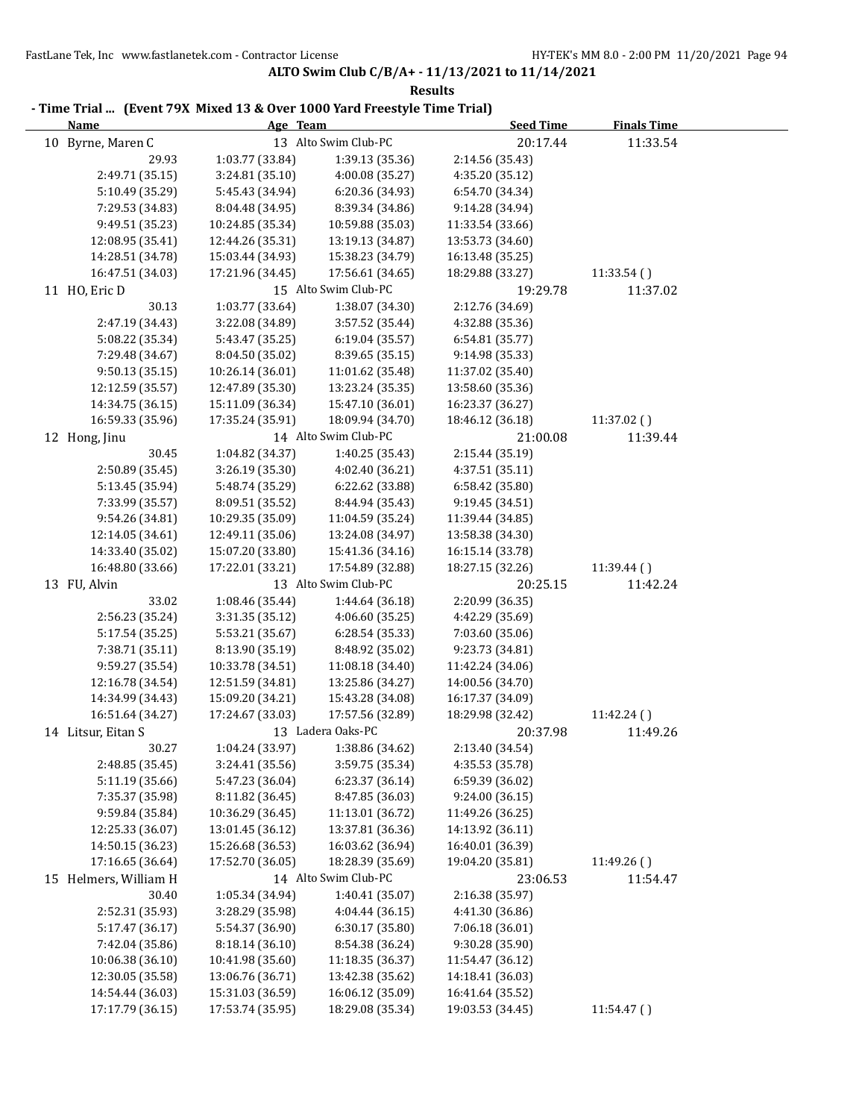| <b>Name</b>           | - Time Trial  (Event 79X Mixed 13 & Over 1000 Yard Freestyle Time Trial)<br>Age Team |                      | <b>Seed Time</b> | <b>Finals Time</b> |
|-----------------------|--------------------------------------------------------------------------------------|----------------------|------------------|--------------------|
| 10 Byrne, Maren C     |                                                                                      | 13 Alto Swim Club-PC | 20:17.44         | 11:33.54           |
| 29.93                 | 1:03.77 (33.84)                                                                      | 1:39.13 (35.36)      | 2:14.56 (35.43)  |                    |
| 2:49.71 (35.15)       | 3:24.81 (35.10)                                                                      | 4:00.08 (35.27)      | 4:35.20 (35.12)  |                    |
| 5:10.49 (35.29)       | 5:45.43 (34.94)                                                                      | 6:20.36 (34.93)      | 6:54.70 (34.34)  |                    |
| 7:29.53 (34.83)       | 8:04.48 (34.95)                                                                      | 8:39.34 (34.86)      | 9:14.28 (34.94)  |                    |
| 9:49.51 (35.23)       | 10:24.85 (35.34)                                                                     | 10:59.88 (35.03)     | 11:33.54 (33.66) |                    |
| 12:08.95 (35.41)      | 12:44.26 (35.31)                                                                     | 13:19.13 (34.87)     | 13:53.73 (34.60) |                    |
| 14:28.51 (34.78)      | 15:03.44 (34.93)                                                                     | 15:38.23 (34.79)     | 16:13.48 (35.25) |                    |
| 16:47.51 (34.03)      | 17:21.96 (34.45)                                                                     | 17:56.61 (34.65)     | 18:29.88 (33.27) | 11:33.54 ()        |
| 11 HO, Eric D         |                                                                                      | 15 Alto Swim Club-PC | 19:29.78         | 11:37.02           |
| 30.13                 | 1:03.77 (33.64)                                                                      | 1:38.07 (34.30)      | 2:12.76 (34.69)  |                    |
| 2:47.19 (34.43)       | 3:22.08 (34.89)                                                                      | 3:57.52 (35.44)      | 4:32.88 (35.36)  |                    |
| 5:08.22 (35.34)       | 5:43.47 (35.25)                                                                      | 6:19.04 (35.57)      | 6:54.81 (35.77)  |                    |
| 7:29.48 (34.67)       | 8:04.50 (35.02)                                                                      | 8:39.65 (35.15)      | 9:14.98 (35.33)  |                    |
| 9:50.13 (35.15)       | 10:26.14 (36.01)                                                                     | 11:01.62 (35.48)     | 11:37.02 (35.40) |                    |
| 12:12.59 (35.57)      | 12:47.89 (35.30)                                                                     | 13:23.24 (35.35)     | 13:58.60 (35.36) |                    |
| 14:34.75 (36.15)      | 15:11.09 (36.34)                                                                     | 15:47.10 (36.01)     | 16:23.37 (36.27) |                    |
| 16:59.33 (35.96)      | 17:35.24 (35.91)                                                                     | 18:09.94 (34.70)     | 18:46.12 (36.18) | 11:37.02 ()        |
| 12 Hong, Jinu         |                                                                                      | 14 Alto Swim Club-PC | 21:00.08         | 11:39.44           |
| 30.45                 | 1:04.82 (34.37)                                                                      | 1:40.25 (35.43)      | 2:15.44 (35.19)  |                    |
| 2:50.89 (35.45)       | 3:26.19 (35.30)                                                                      | 4:02.40 (36.21)      | 4:37.51 (35.11)  |                    |
| 5:13.45 (35.94)       | 5:48.74 (35.29)                                                                      | 6:22.62 (33.88)      | 6:58.42 (35.80)  |                    |
| 7:33.99 (35.57)       | 8:09.51 (35.52)                                                                      | 8:44.94 (35.43)      | 9:19.45 (34.51)  |                    |
| 9:54.26 (34.81)       | 10:29.35 (35.09)                                                                     | 11:04.59 (35.24)     | 11:39.44 (34.85) |                    |
| 12:14.05 (34.61)      | 12:49.11 (35.06)                                                                     | 13:24.08 (34.97)     | 13:58.38 (34.30) |                    |
| 14:33.40 (35.02)      | 15:07.20 (33.80)                                                                     | 15:41.36 (34.16)     | 16:15.14 (33.78) |                    |
| 16:48.80 (33.66)      | 17:22.01 (33.21)                                                                     | 17:54.89 (32.88)     | 18:27.15 (32.26) | 11:39.44()         |
| 13 FU, Alvin          |                                                                                      | 13 Alto Swim Club-PC | 20:25.15         | 11:42.24           |
| 33.02                 | 1:08.46 (35.44)                                                                      | 1:44.64 (36.18)      | 2:20.99 (36.35)  |                    |
| 2:56.23 (35.24)       | 3:31.35 (35.12)                                                                      | 4:06.60 (35.25)      | 4:42.29 (35.69)  |                    |
| 5:17.54 (35.25)       | 5:53.21 (35.67)                                                                      | 6:28.54 (35.33)      | 7:03.60 (35.06)  |                    |
| 7:38.71 (35.11)       | 8:13.90 (35.19)                                                                      | 8:48.92 (35.02)      | 9:23.73 (34.81)  |                    |
| 9:59.27 (35.54)       | 10:33.78 (34.51)                                                                     | 11:08.18 (34.40)     | 11:42.24 (34.06) |                    |
| 12:16.78 (34.54)      | 12:51.59 (34.81)                                                                     | 13:25.86 (34.27)     | 14:00.56 (34.70) |                    |
| 14:34.99 (34.43)      | 15:09.20 (34.21)                                                                     | 15:43.28 (34.08)     | 16:17.37 (34.09) |                    |
| 16:51.64 (34.27)      | 17:24.67 (33.03)                                                                     | 17:57.56 (32.89)     | 18:29.98 (32.42) | 11:42.24()         |
| 14 Litsur, Eitan S    |                                                                                      | 13 Ladera Oaks-PC    | 20:37.98         | 11:49.26           |
| 30.27                 | 1:04.24 (33.97)                                                                      | 1:38.86 (34.62)      | 2:13.40 (34.54)  |                    |
| 2:48.85 (35.45)       | 3:24.41 (35.56)                                                                      | 3:59.75 (35.34)      | 4:35.53 (35.78)  |                    |
| 5:11.19 (35.66)       | 5:47.23 (36.04)                                                                      | 6:23.37 (36.14)      | 6:59.39 (36.02)  |                    |
| 7:35.37 (35.98)       | 8:11.82 (36.45)                                                                      | 8:47.85 (36.03)      | 9:24.00 (36.15)  |                    |
| 9:59.84 (35.84)       | 10:36.29 (36.45)                                                                     | 11:13.01 (36.72)     | 11:49.26 (36.25) |                    |
| 12:25.33 (36.07)      | 13:01.45 (36.12)                                                                     | 13:37.81 (36.36)     | 14:13.92 (36.11) |                    |
| 14:50.15 (36.23)      | 15:26.68 (36.53)                                                                     | 16:03.62 (36.94)     | 16:40.01 (36.39) |                    |
| 17:16.65 (36.64)      | 17:52.70 (36.05)                                                                     | 18:28.39 (35.69)     | 19:04.20 (35.81) | 11:49.26()         |
| 15 Helmers, William H |                                                                                      | 14 Alto Swim Club-PC | 23:06.53         | 11:54.47           |
| 30.40                 | 1:05.34 (34.94)                                                                      | 1:40.41 (35.07)      | 2:16.38 (35.97)  |                    |
| 2:52.31 (35.93)       | 3:28.29 (35.98)                                                                      | 4:04.44 (36.15)      | 4:41.30 (36.86)  |                    |
| 5:17.47 (36.17)       | 5:54.37 (36.90)                                                                      | 6:30.17 (35.80)      | 7:06.18 (36.01)  |                    |
| 7:42.04 (35.86)       | 8:18.14 (36.10)                                                                      | 8:54.38 (36.24)      | 9:30.28 (35.90)  |                    |
| 10:06.38 (36.10)      | 10:41.98 (35.60)                                                                     | 11:18.35 (36.37)     | 11:54.47 (36.12) |                    |
| 12:30.05 (35.58)      | 13:06.76 (36.71)                                                                     | 13:42.38 (35.62)     | 14:18.41 (36.03) |                    |
| 14:54.44 (36.03)      | 15:31.03 (36.59)                                                                     | 16:06.12 (35.09)     | 16:41.64 (35.52) |                    |
| 17:17.79 (36.15)      | 17:53.74 (35.95)                                                                     | 18:29.08 (35.34)     | 19:03.53 (34.45) | 11:54.47 ()        |
|                       |                                                                                      |                      |                  |                    |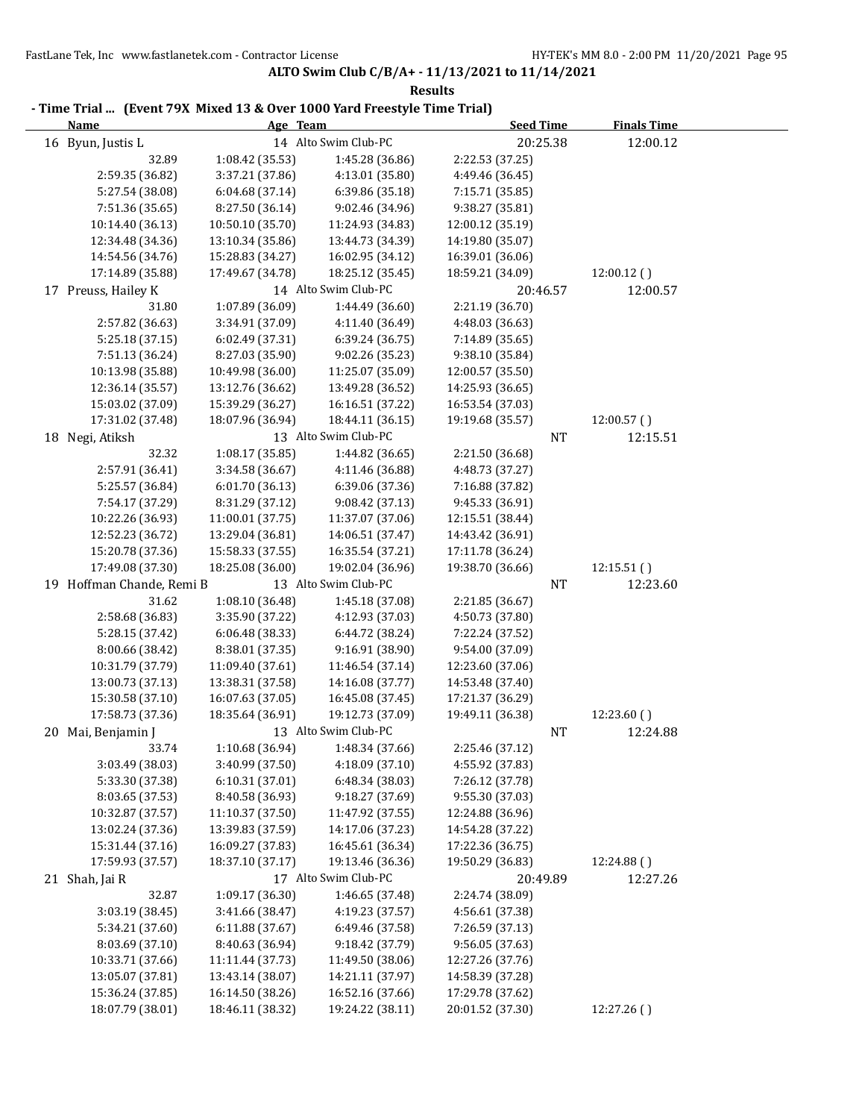| - Time Trial  (Event 79X Mixed 13 & Over 1000 Yard Freestyle Time Trial)<br><b>Name</b> | Age Team         |                      | <b>Seed Time</b> | <b>Finals Time</b> |  |
|-----------------------------------------------------------------------------------------|------------------|----------------------|------------------|--------------------|--|
| 16 Byun, Justis L                                                                       |                  | 14 Alto Swim Club-PC | 20:25.38         | 12:00.12           |  |
| 32.89                                                                                   | 1:08.42 (35.53)  | 1:45.28 (36.86)      | 2:22.53 (37.25)  |                    |  |
| 2:59.35 (36.82)                                                                         | 3:37.21 (37.86)  | 4:13.01 (35.80)      | 4:49.46 (36.45)  |                    |  |
| 5:27.54 (38.08)                                                                         | 6:04.68 (37.14)  | 6:39.86 (35.18)      | 7:15.71 (35.85)  |                    |  |
| 7:51.36 (35.65)                                                                         | 8:27.50 (36.14)  | 9:02.46 (34.96)      | 9:38.27 (35.81)  |                    |  |
| 10:14.40 (36.13)                                                                        | 10:50.10 (35.70) | 11:24.93 (34.83)     | 12:00.12 (35.19) |                    |  |
| 12:34.48 (34.36)                                                                        | 13:10.34 (35.86) | 13:44.73 (34.39)     | 14:19.80 (35.07) |                    |  |
| 14:54.56 (34.76)                                                                        | 15:28.83 (34.27) | 16:02.95 (34.12)     | 16:39.01 (36.06) |                    |  |
| 17:14.89 (35.88)                                                                        | 17:49.67 (34.78) | 18:25.12 (35.45)     | 18:59.21 (34.09) | 12:00.12()         |  |
| 17 Preuss, Hailey K                                                                     |                  | 14 Alto Swim Club-PC | 20:46.57         | 12:00.57           |  |
| 31.80                                                                                   | 1:07.89 (36.09)  | 1:44.49 (36.60)      | 2:21.19 (36.70)  |                    |  |
| 2:57.82 (36.63)                                                                         | 3:34.91 (37.09)  | 4:11.40 (36.49)      | 4:48.03 (36.63)  |                    |  |
| 5:25.18 (37.15)                                                                         | 6:02.49 (37.31)  | 6:39.24 (36.75)      | 7:14.89 (35.65)  |                    |  |
| 7:51.13 (36.24)                                                                         | 8:27.03 (35.90)  | 9:02.26 (35.23)      | 9:38.10 (35.84)  |                    |  |
| 10:13.98 (35.88)                                                                        | 10:49.98 (36.00) | 11:25.07 (35.09)     | 12:00.57 (35.50) |                    |  |
| 12:36.14 (35.57)                                                                        | 13:12.76 (36.62) | 13:49.28 (36.52)     | 14:25.93 (36.65) |                    |  |
| 15:03.02 (37.09)                                                                        | 15:39.29 (36.27) | 16:16.51 (37.22)     | 16:53.54 (37.03) |                    |  |
| 17:31.02 (37.48)                                                                        | 18:07.96 (36.94) | 18:44.11 (36.15)     | 19:19.68 (35.57) | 12:00.57()         |  |
| 18 Negi, Atiksh                                                                         |                  | 13 Alto Swim Club-PC | NT               | 12:15.51           |  |
| 32.32                                                                                   | 1:08.17 (35.85)  | 1:44.82 (36.65)      | 2:21.50 (36.68)  |                    |  |
| 2:57.91 (36.41)                                                                         | 3:34.58 (36.67)  | 4:11.46 (36.88)      | 4:48.73 (37.27)  |                    |  |
| 5:25.57 (36.84)                                                                         | 6:01.70 (36.13)  | 6:39.06 (37.36)      | 7:16.88 (37.82)  |                    |  |
| 7:54.17 (37.29)                                                                         | 8:31.29 (37.12)  | 9:08.42 (37.13)      | 9:45.33 (36.91)  |                    |  |
| 10:22.26 (36.93)                                                                        | 11:00.01 (37.75) | 11:37.07 (37.06)     | 12:15.51 (38.44) |                    |  |
| 12:52.23 (36.72)                                                                        | 13:29.04 (36.81) | 14:06.51 (37.47)     | 14:43.42 (36.91) |                    |  |
| 15:20.78 (37.36)                                                                        | 15:58.33 (37.55) | 16:35.54 (37.21)     | 17:11.78 (36.24) |                    |  |
| 17:49.08 (37.30)                                                                        | 18:25.08 (36.00) | 19:02.04 (36.96)     | 19:38.70 (36.66) | 12:15.51()         |  |
| 19 Hoffman Chande, Remi B                                                               |                  | 13 Alto Swim Club-PC | NT               | 12:23.60           |  |
| 31.62                                                                                   | 1:08.10 (36.48)  | 1:45.18 (37.08)      | 2:21.85 (36.67)  |                    |  |
| 2:58.68 (36.83)                                                                         | 3:35.90 (37.22)  | 4:12.93 (37.03)      | 4:50.73 (37.80)  |                    |  |
| 5:28.15 (37.42)                                                                         | 6:06.48 (38.33)  | 6:44.72 (38.24)      | 7:22.24 (37.52)  |                    |  |
| 8:00.66 (38.42)                                                                         | 8:38.01 (37.35)  | 9:16.91 (38.90)      | 9:54.00 (37.09)  |                    |  |
| 10:31.79 (37.79)                                                                        | 11:09.40 (37.61) | 11:46.54 (37.14)     | 12:23.60 (37.06) |                    |  |
| 13:00.73 (37.13)                                                                        | 13:38.31 (37.58) | 14:16.08 (37.77)     | 14:53.48 (37.40) |                    |  |
| 15:30.58 (37.10)                                                                        | 16:07.63 (37.05) | 16:45.08 (37.45)     | 17:21.37 (36.29) |                    |  |
| 17:58.73 (37.36)                                                                        | 18:35.64 (36.91) | 19:12.73 (37.09)     | 19:49.11 (36.38) | 12:23.60()         |  |
| 20 Mai, Benjamin J                                                                      |                  | 13 Alto Swim Club-PC | NT               | 12:24.88           |  |
| 33.74                                                                                   | 1:10.68 (36.94)  | 1:48.34 (37.66)      | 2:25.46 (37.12)  |                    |  |
| 3:03.49 (38.03)                                                                         | 3:40.99 (37.50)  | 4:18.09 (37.10)      | 4:55.92 (37.83)  |                    |  |
| 5:33.30 (37.38)                                                                         | 6:10.31(37.01)   | 6:48.34 (38.03)      | 7:26.12 (37.78)  |                    |  |
| 8:03.65 (37.53)                                                                         | 8:40.58 (36.93)  | 9:18.27 (37.69)      | 9:55.30 (37.03)  |                    |  |
| 10:32.87 (37.57)                                                                        | 11:10.37 (37.50) | 11:47.92 (37.55)     | 12:24.88 (36.96) |                    |  |
| 13:02.24 (37.36)                                                                        | 13:39.83 (37.59) | 14:17.06 (37.23)     | 14:54.28 (37.22) |                    |  |
| 15:31.44 (37.16)                                                                        | 16:09.27 (37.83) | 16:45.61 (36.34)     | 17:22.36 (36.75) |                    |  |
| 17:59.93 (37.57)                                                                        | 18:37.10 (37.17) | 19:13.46 (36.36)     | 19:50.29 (36.83) | 12:24.88 ()        |  |
| 21 Shah, Jai R                                                                          |                  | 17 Alto Swim Club-PC | 20:49.89         | 12:27.26           |  |
| 32.87                                                                                   | 1:09.17 (36.30)  | 1:46.65 (37.48)      | 2:24.74 (38.09)  |                    |  |
| 3:03.19 (38.45)                                                                         | 3:41.66 (38.47)  | 4:19.23 (37.57)      | 4:56.61 (37.38)  |                    |  |
| 5:34.21 (37.60)                                                                         | 6:11.88 (37.67)  | 6:49.46 (37.58)      | 7:26.59 (37.13)  |                    |  |
| 8:03.69 (37.10)                                                                         | 8:40.63 (36.94)  | 9:18.42 (37.79)      | 9:56.05 (37.63)  |                    |  |
| 10:33.71 (37.66)                                                                        | 11:11.44 (37.73) | 11:49.50 (38.06)     | 12:27.26 (37.76) |                    |  |
| 13:05.07 (37.81)                                                                        | 13:43.14 (38.07) | 14:21.11 (37.97)     | 14:58.39 (37.28) |                    |  |
| 15:36.24 (37.85)                                                                        | 16:14.50 (38.26) | 16:52.16 (37.66)     | 17:29.78 (37.62) |                    |  |
| 18:07.79 (38.01)                                                                        | 18:46.11 (38.32) | 19:24.22 (38.11)     | 20:01.52 (37.30) | 12:27.26(          |  |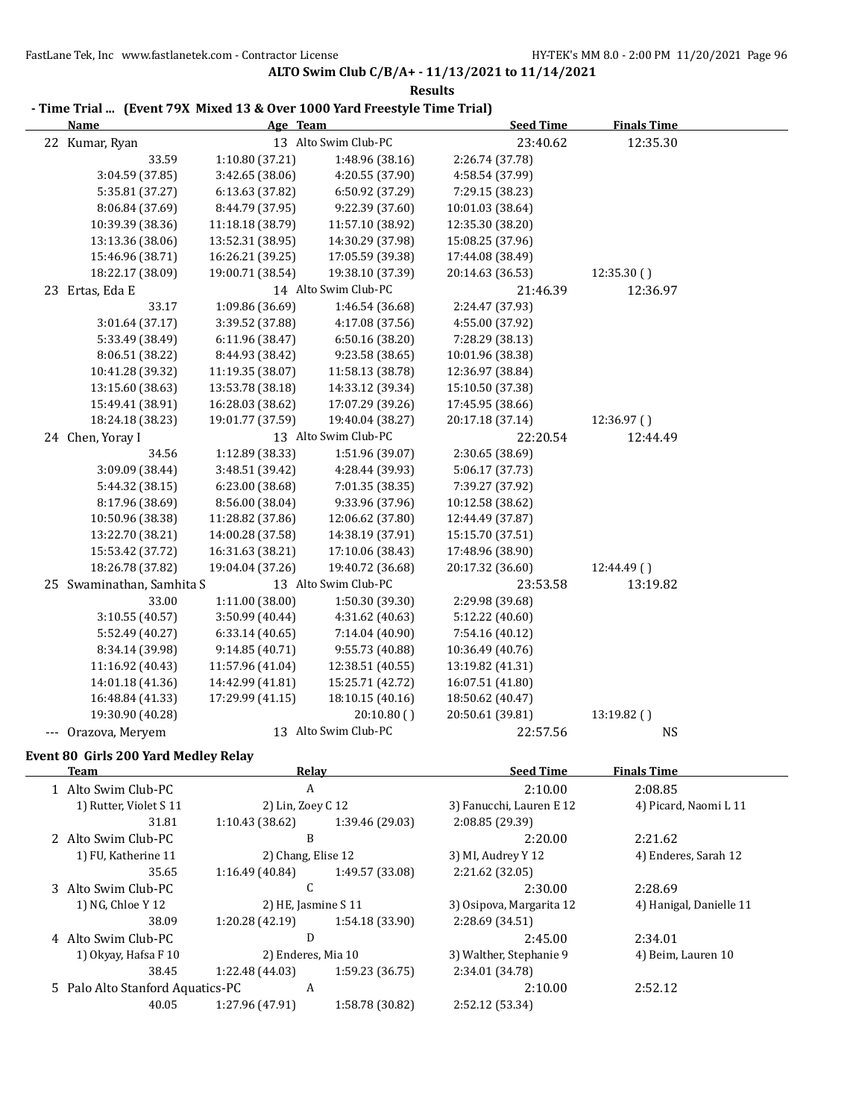**ALTO Swim Club C/B/A+ - 11/13/2021 to 11/14/2021**

| <b>Results</b>                                                           |                    |                      |                          |                         |  |
|--------------------------------------------------------------------------|--------------------|----------------------|--------------------------|-------------------------|--|
| - Time Trial  (Event 79X Mixed 13 & Over 1000 Yard Freestyle Time Trial) |                    |                      |                          |                         |  |
| <b>Name</b>                                                              | Age Team           |                      | <b>Seed Time</b>         | <b>Finals Time</b>      |  |
| 22 Kumar, Ryan                                                           |                    | 13 Alto Swim Club-PC | 23:40.62                 | 12:35.30                |  |
| 33.59                                                                    | 1:10.80 (37.21)    | 1:48.96 (38.16)      | 2:26.74 (37.78)          |                         |  |
| 3:04.59 (37.85)                                                          | 3:42.65 (38.06)    | 4:20.55 (37.90)      | 4:58.54 (37.99)          |                         |  |
| 5:35.81 (37.27)                                                          | 6:13.63 (37.82)    | 6:50.92 (37.29)      | 7:29.15 (38.23)          |                         |  |
| 8:06.84 (37.69)                                                          | 8:44.79 (37.95)    | 9:22.39 (37.60)      | 10:01.03 (38.64)         |                         |  |
| 10:39.39 (38.36)                                                         | 11:18.18 (38.79)   | 11:57.10 (38.92)     | 12:35.30 (38.20)         |                         |  |
| 13:13.36 (38.06)                                                         | 13:52.31 (38.95)   | 14:30.29 (37.98)     | 15:08.25 (37.96)         |                         |  |
| 15:46.96 (38.71)                                                         | 16:26.21 (39.25)   | 17:05.59 (39.38)     | 17:44.08 (38.49)         |                         |  |
| 18:22.17 (38.09)                                                         | 19:00.71 (38.54)   | 19:38.10 (37.39)     | 20:14.63 (36.53)         | 12:35.30()              |  |
| 23 Ertas, Eda E                                                          |                    | 14 Alto Swim Club-PC | 21:46.39                 | 12:36.97                |  |
| 33.17                                                                    | 1:09.86 (36.69)    | 1:46.54 (36.68)      | 2:24.47 (37.93)          |                         |  |
| 3:01.64 (37.17)                                                          | 3:39.52 (37.88)    | 4:17.08 (37.56)      | 4:55.00 (37.92)          |                         |  |
| 5:33.49 (38.49)                                                          | 6:11.96 (38.47)    | 6:50.16 (38.20)      | 7:28.29 (38.13)          |                         |  |
| 8:06.51 (38.22)                                                          | 8:44.93 (38.42)    | 9:23.58 (38.65)      | 10:01.96 (38.38)         |                         |  |
| 10:41.28 (39.32)                                                         | 11:19.35 (38.07)   | 11:58.13 (38.78)     | 12:36.97 (38.84)         |                         |  |
| 13:15.60 (38.63)                                                         | 13:53.78 (38.18)   | 14:33.12 (39.34)     | 15:10.50 (37.38)         |                         |  |
| 15:49.41 (38.91)                                                         | 16:28.03 (38.62)   | 17:07.29 (39.26)     | 17:45.95 (38.66)         |                         |  |
| 18:24.18 (38.23)                                                         | 19:01.77 (37.59)   | 19:40.04 (38.27)     | 20:17.18 (37.14)         | 12:36.97()              |  |
|                                                                          |                    | 13 Alto Swim Club-PC |                          |                         |  |
| 24 Chen, Yoray I                                                         |                    |                      | 22:20.54                 | 12:44.49                |  |
| 34.56                                                                    | 1:12.89 (38.33)    | 1:51.96 (39.07)      | 2:30.65 (38.69)          |                         |  |
| 3:09.09 (38.44)                                                          | 3:48.51 (39.42)    | 4:28.44 (39.93)      | 5:06.17 (37.73)          |                         |  |
| 5:44.32 (38.15)                                                          | 6:23.00 (38.68)    | 7:01.35 (38.35)      | 7:39.27 (37.92)          |                         |  |
| 8:17.96 (38.69)                                                          | 8:56.00 (38.04)    | 9:33.96 (37.96)      | 10:12.58 (38.62)         |                         |  |
| 10:50.96 (38.38)                                                         | 11:28.82 (37.86)   | 12:06.62 (37.80)     | 12:44.49 (37.87)         |                         |  |
| 13:22.70 (38.21)                                                         | 14:00.28 (37.58)   | 14:38.19 (37.91)     | 15:15.70 (37.51)         |                         |  |
| 15:53.42 (37.72)                                                         | 16:31.63 (38.21)   | 17:10.06 (38.43)     | 17:48.96 (38.90)         |                         |  |
| 18:26.78 (37.82)                                                         | 19:04.04 (37.26)   | 19:40.72 (36.68)     | 20:17.32 (36.60)         | 12:44.49 ()             |  |
| 25 Swaminathan, Samhita S                                                |                    | 13 Alto Swim Club-PC | 23:53.58                 | 13:19.82                |  |
| 33.00                                                                    | 1:11.00 (38.00)    | 1:50.30 (39.30)      | 2:29.98 (39.68)          |                         |  |
| 3:10.55 (40.57)                                                          | 3:50.99 (40.44)    | 4:31.62 (40.63)      | 5:12.22 (40.60)          |                         |  |
| 5:52.49 (40.27)                                                          | 6:33.14(40.65)     | 7:14.04 (40.90)      | 7:54.16 (40.12)          |                         |  |
| 8:34.14 (39.98)                                                          | 9:14.85 (40.71)    | 9:55.73 (40.88)      | 10:36.49 (40.76)         |                         |  |
| 11:16.92 (40.43)                                                         | 11:57.96 (41.04)   | 12:38.51 (40.55)     | 13:19.82 (41.31)         |                         |  |
| 14:01.18 (41.36)                                                         | 14:42.99 (41.81)   | 15:25.71 (42.72)     | 16:07.51 (41.80)         |                         |  |
|                                                                          | 17:29.99 (41.15)   |                      |                          |                         |  |
| 16:48.84 (41.33)                                                         |                    | 18:10.15 (40.16)     | 18:50.62 (40.47)         |                         |  |
| 19:30.90 (40.28)                                                         |                    | 20:10.80()           | 20:50.61 (39.81)         | 13:19.82 ()             |  |
| --- Orazova, Meryem                                                      |                    | 13 Alto Swim Club-PC | 22:57.56                 | <b>NS</b>               |  |
| Event 80 Girls 200 Yard Medley Relay                                     |                    |                      |                          |                         |  |
| <b>Team</b>                                                              |                    | <b>Relay</b>         | <b>Seed Time</b>         | <b>Finals Time</b>      |  |
| 1 Alto Swim Club-PC                                                      |                    | $\boldsymbol{A}$     | 2:10.00                  | 2:08.85                 |  |
| 1) Rutter, Violet S 11                                                   | 2) Lin, Zoey C 12  |                      | 3) Fanucchi, Lauren E 12 | 4) Picard, Naomi L 11   |  |
| 31.81                                                                    | 1:10.43 (38.62)    | 1:39.46 (29.03)      | 2:08.85 (29.39)          |                         |  |
| 2 Alto Swim Club-PC                                                      |                    | B                    | 2:20.00                  | 2:21.62                 |  |
| 1) FU, Katherine 11                                                      | 2) Chang, Elise 12 |                      | 3) MI, Audrey Y 12       |                         |  |
|                                                                          |                    |                      |                          | 4) Enderes, Sarah 12    |  |
| 35.65                                                                    | 1:16.49(40.84)     | 1:49.57 (33.08)      | 2:21.62 (32.05)          |                         |  |
| 3 Alto Swim Club-PC                                                      | $\mathsf C$        |                      | 2:30.00                  | 2:28.69                 |  |
| 1) NG, Chloe Y 12                                                        |                    | 2) HE, Jasmine S 11  | 3) Osipova, Margarita 12 | 4) Hanigal, Danielle 11 |  |
| 38.09                                                                    | 1:20.28 (42.19)    | 1:54.18 (33.90)      | 2:28.69 (34.51)          |                         |  |
| 4 Alto Swim Club-PC                                                      |                    | D                    | 2:45.00                  | 2:34.01                 |  |
| 1) Okyay, Hafsa F 10                                                     |                    | 2) Enderes, Mia 10   | 3) Walther, Stephanie 9  | 4) Beim, Lauren 10      |  |
| 38.45                                                                    | 1:22.48 (44.03)    | 1:59.23 (36.75)      | 2:34.01 (34.78)          |                         |  |
| 5 Palo Alto Stanford Aquatics-PC                                         |                    | $\boldsymbol{A}$     | 2:10.00                  | 2:52.12                 |  |
| 40.05                                                                    | 1:27.96 (47.91)    | 1:58.78 (30.82)      | 2:52.12 (53.34)          |                         |  |
|                                                                          |                    |                      |                          |                         |  |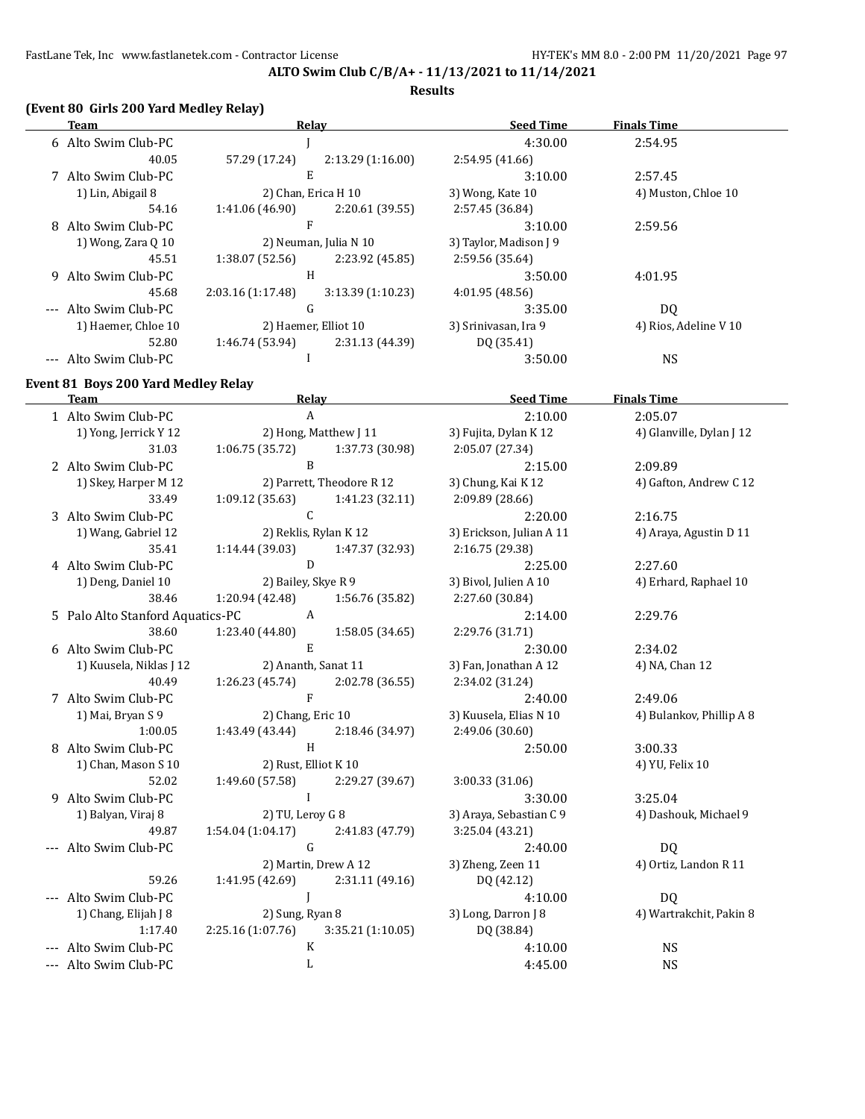**Results**

# **(Event 80 Girls 200 Yard Medley Relay)**

| Team                  |                   | Relay                 | <b>Seed Time</b>       | <b>Finals Time</b>    |
|-----------------------|-------------------|-----------------------|------------------------|-----------------------|
| 6 Alto Swim Club-PC   |                   |                       | 4:30.00                | 2:54.95               |
| 40.05                 | 57.29 (17.24)     | 2:13.29(1:16.00)      | 2:54.95(41.66)         |                       |
| 7 Alto Swim Club-PC   |                   | E                     | 3:10.00                | 2:57.45               |
| 1) Lin, Abigail 8     |                   | 2) Chan, Erica H 10   | 3) Wong, Kate 10       | 4) Muston, Chloe 10   |
| 54.16                 | 1:41.06 (46.90)   | 2:20.61 (39.55)       | 2:57.45 (36.84)        |                       |
| 8 Alto Swim Club-PC   |                   | F                     | 3:10.00                | 2:59.56               |
| 1) Wong, Zara 0 10    |                   | 2) Neuman, Julia N 10 | 3) Taylor, Madison [ 9 |                       |
| 45.51                 | 1:38.07(52.56)    | 2:23.92 (45.85)       | 2:59.56 (35.64)        |                       |
| 9 Alto Swim Club-PC   |                   | H                     | 3:50.00                | 4:01.95               |
| 45.68                 | 2:03.16 (1:17.48) | 3:13.39(1:10.23)      | 4:01.95(48.56)         |                       |
| --- Alto Swim Club-PC |                   | G                     | 3:35.00                | DQ                    |
| 1) Haemer, Chloe 10   |                   | 2) Haemer, Elliot 10  | 3) Srinivasan, Ira 9   | 4) Rios, Adeline V 10 |
| 52.80                 | 1:46.74 (53.94)   | 2:31.13 (44.39)       | DQ (35.41)             |                       |
| --- Alto Swim Club-PC |                   |                       | 3:50.00                | <b>NS</b>             |

# **Event 81 Boys 200 Yard Medley Relay**

 $\overline{a}$ 

| <b>Team</b>                      | Relay                                 | <b>Seed Time</b>         | <b>Finals Time</b>       |
|----------------------------------|---------------------------------------|--------------------------|--------------------------|
| 1 Alto Swim Club-PC              | $\mathsf{A}$                          | 2:10.00                  | 2:05.07                  |
| 1) Yong, Jerrick Y 12            | 2) Hong, Matthew J 11                 | 3) Fujita, Dylan K 12    | 4) Glanville, Dylan J 12 |
| 31.03                            | $1:06.75(35.72)$ $1:37.73(30.98)$     | 2:05.07 (27.34)          |                          |
| 2 Alto Swim Club-PC              | $\mathbf{B}$                          | 2:15.00                  | 2:09.89                  |
| 1) Skey, Harper M 12             | 2) Parrett, Theodore R 12             | 3) Chung, Kai K 12       | 4) Gafton, Andrew C 12   |
| 33.49                            | 1:09.12(35.63)<br>1:41.23 (32.11)     | 2:09.89 (28.66)          |                          |
| 3 Alto Swim Club-PC              | $\mathcal{C}$                         | 2:20.00                  | 2:16.75                  |
| 1) Wang, Gabriel 12              | 2) Reklis, Rylan K 12                 | 3) Erickson, Julian A 11 | 4) Araya, Agustin D 11   |
| 35.41                            | $1:14.44$ (39.03) $1:47.37$ (32.93)   | 2:16.75 (29.38)          |                          |
| 4 Alto Swim Club-PC              | D                                     | 2:25.00                  | 2:27.60                  |
| 1) Deng, Daniel 10               | 2) Bailey, Skye R 9                   | 3) Bivol, Julien A 10    | 4) Erhard, Raphael 10    |
| 38.46                            | 1:20.94 (42.48) 1:56.76 (35.82)       | 2:27.60 (30.84)          |                          |
| 5 Palo Alto Stanford Aquatics-PC | $\overline{A}$                        | 2:14.00                  | 2:29.76                  |
| 38.60                            | 1:23.40 (44.80)<br>1:58.05 (34.65)    | 2:29.76 (31.71)          |                          |
| 6 Alto Swim Club-PC              | E.                                    | 2:30.00                  | 2:34.02                  |
| 1) Kuusela, Niklas J 12          | 2) Ananth, Sanat 11                   | 3) Fan, Jonathan A 12    | 4) NA, Chan 12           |
| 40.49                            | $1:26.23(45.74)$ $2:02.78(36.55)$     | 2:34.02 (31.24)          |                          |
| 7 Alto Swim Club-PC              | $\mathbf{F}$                          | 2:40.00                  | 2:49.06                  |
| 1) Mai, Bryan S 9                | 2) Chang, Eric 10                     | 3) Kuusela, Elias N 10   | 4) Bulankov, Phillip A 8 |
| 1:00.05                          | 1:43.49 (43.44) 2:18.46 (34.97)       | 2:49.06 (30.60)          |                          |
| 8 Alto Swim Club-PC              | H                                     | 2:50.00                  | 3:00.33                  |
| 1) Chan, Mason S 10              | 2) Rust, Elliot K 10                  |                          | 4) YU, Felix 10          |
| 52.02                            | 1:49.60 (57.58) 2:29.27 (39.67)       | 3:00.33(31.06)           |                          |
| 9 Alto Swim Club-PC              | $\mathbf{I}$                          | 3:30.00                  | 3:25.04                  |
| 1) Balyan, Viraj 8               | 2) TU, Leroy G 8                      | 3) Araya, Sebastian C 9  | 4) Dashouk, Michael 9    |
| 49.87                            | $1:54.04(1:04.17)$ $2:41.83(47.79)$   | 3:25.04 (43.21)          |                          |
| --- Alto Swim Club-PC            | $\mathsf G$                           | 2:40.00                  | DQ                       |
|                                  | 2) Martin, Drew A 12                  | 3) Zheng, Zeen 11        | 4) Ortiz, Landon R 11    |
| 59.26                            | $1:41.95(42.69)$ $2:31.11(49.16)$     | DQ (42.12)               |                          |
| --- Alto Swim Club-PC            |                                       | 4:10.00                  | DQ                       |
| 1) Chang, Elijah J 8             | 2) Sung, Ryan 8                       | 3) Long, Darron J 8      | 4) Wartrakchit, Pakin 8  |
| 1:17.40                          | $2:25.16(1:07.76)$ $3:35.21(1:10.05)$ | DQ (38.84)               |                          |
| --- Alto Swim Club-PC            | K                                     | 4:10.00                  | <b>NS</b>                |
| --- Alto Swim Club-PC            | L                                     | 4:45.00                  | <b>NS</b>                |
|                                  |                                       |                          |                          |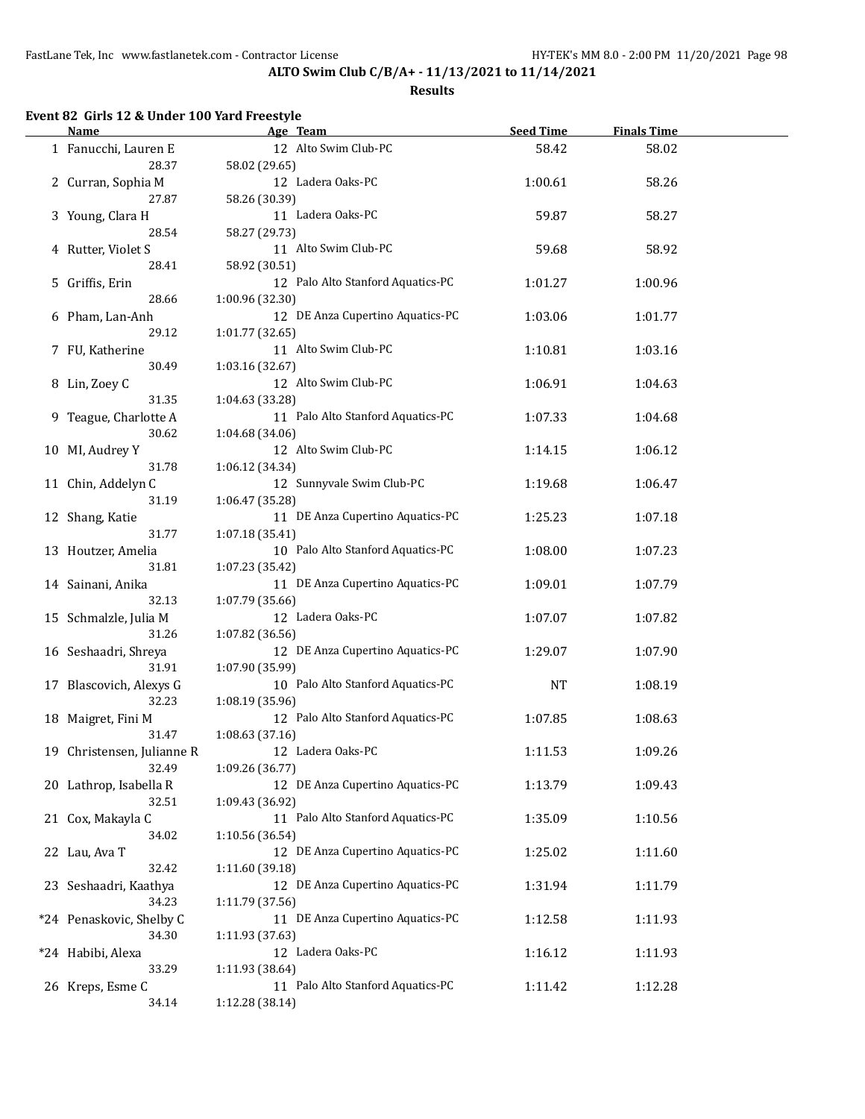#### **Results**

# **Event 82 Girls 12 & Under 100 Yard Freestyle**

| <b>Name</b>                         | Age Team        |                                   | <b>Seed Time</b> | <b>Finals Time</b> |  |
|-------------------------------------|-----------------|-----------------------------------|------------------|--------------------|--|
| 1 Fanucchi, Lauren E<br>28.37       | 58.02 (29.65)   | 12 Alto Swim Club-PC              | 58.42            | 58.02              |  |
| 2 Curran, Sophia M                  |                 | 12 Ladera Oaks-PC                 | 1:00.61          | 58.26              |  |
| 27.87<br>3 Young, Clara H           | 58.26 (30.39)   | 11 Ladera Oaks-PC                 | 59.87            | 58.27              |  |
| 28.54                               | 58.27 (29.73)   |                                   |                  |                    |  |
| 4 Rutter, Violet S<br>28.41         | 58.92 (30.51)   | 11 Alto Swim Club-PC              | 59.68            | 58.92              |  |
| 5 Griffis, Erin<br>28.66            | 1:00.96 (32.30) | 12 Palo Alto Stanford Aquatics-PC | 1:01.27          | 1:00.96            |  |
| 6 Pham, Lan-Anh<br>29.12            |                 | 12 DE Anza Cupertino Aquatics-PC  | 1:03.06          | 1:01.77            |  |
| 7 FU, Katherine                     | 1:01.77 (32.65) | 11 Alto Swim Club-PC              | 1:10.81          | 1:03.16            |  |
| 30.49<br>8 Lin, Zoey C              | 1:03.16 (32.67) | 12 Alto Swim Club-PC              | 1:06.91          | 1:04.63            |  |
| 31.35<br>9 Teague, Charlotte A      | 1:04.63 (33.28) | 11 Palo Alto Stanford Aquatics-PC | 1:07.33          | 1:04.68            |  |
| 30.62<br>10 MI, Audrey Y            | 1:04.68 (34.06) | 12 Alto Swim Club-PC              | 1:14.15          | 1:06.12            |  |
| 31.78<br>11 Chin, Addelyn C         | 1:06.12 (34.34) | 12 Sunnyvale Swim Club-PC         | 1:19.68          | 1:06.47            |  |
| 31.19                               | 1:06.47 (35.28) |                                   |                  |                    |  |
| 12 Shang, Katie<br>31.77            | 1:07.18 (35.41) | 11 DE Anza Cupertino Aquatics-PC  | 1:25.23          | 1:07.18            |  |
| 13 Houtzer, Amelia<br>31.81         | 1:07.23 (35.42) | 10 Palo Alto Stanford Aquatics-PC | 1:08.00          | 1:07.23            |  |
| 14 Sainani, Anika<br>32.13          | 1:07.79 (35.66) | 11 DE Anza Cupertino Aquatics-PC  | 1:09.01          | 1:07.79            |  |
| 15 Schmalzle, Julia M<br>31.26      | 1:07.82 (36.56) | 12 Ladera Oaks-PC                 | 1:07.07          | 1:07.82            |  |
| 16 Seshaadri, Shreya<br>31.91       | 1:07.90 (35.99) | 12 DE Anza Cupertino Aquatics-PC  | 1:29.07          | 1:07.90            |  |
| 17 Blascovich, Alexys G             |                 | 10 Palo Alto Stanford Aquatics-PC | NT               | 1:08.19            |  |
| 32.23<br>18 Maigret, Fini M         | 1:08.19 (35.96) | 12 Palo Alto Stanford Aquatics-PC | 1:07.85          | 1:08.63            |  |
| 31.47<br>19 Christensen, Julianne R | 1:08.63 (37.16) | 12 Ladera Oaks-PC                 | 1:11.53          | 1:09.26            |  |
| 32.49<br>20 Lathrop, Isabella R     | 1:09.26 (36.77) | 12 DE Anza Cupertino Aquatics-PC  | 1:13.79          | 1:09.43            |  |
| 32.51<br>21 Cox, Makayla C          | 1:09.43 (36.92) | 11 Palo Alto Stanford Aquatics-PC | 1:35.09          | 1:10.56            |  |
| 34.02<br>22 Lau, Ava T              | 1:10.56 (36.54) | 12 DE Anza Cupertino Aquatics-PC  | 1:25.02          | 1:11.60            |  |
| 32.42<br>23 Seshaadri, Kaathya      | 1:11.60 (39.18) | 12 DE Anza Cupertino Aquatics-PC  | 1:31.94          | 1:11.79            |  |
| 34.23                               | 1:11.79 (37.56) | 11 DE Anza Cupertino Aquatics-PC  |                  |                    |  |
| *24 Penaskovic, Shelby C<br>34.30   | 1:11.93 (37.63) |                                   | 1:12.58          | 1:11.93            |  |
| *24 Habibi, Alexa<br>33.29          | 1:11.93 (38.64) | 12 Ladera Oaks-PC                 | 1:16.12          | 1:11.93            |  |
| 26 Kreps, Esme C<br>34.14           | 1:12.28 (38.14) | 11 Palo Alto Stanford Aquatics-PC | 1:11.42          | 1:12.28            |  |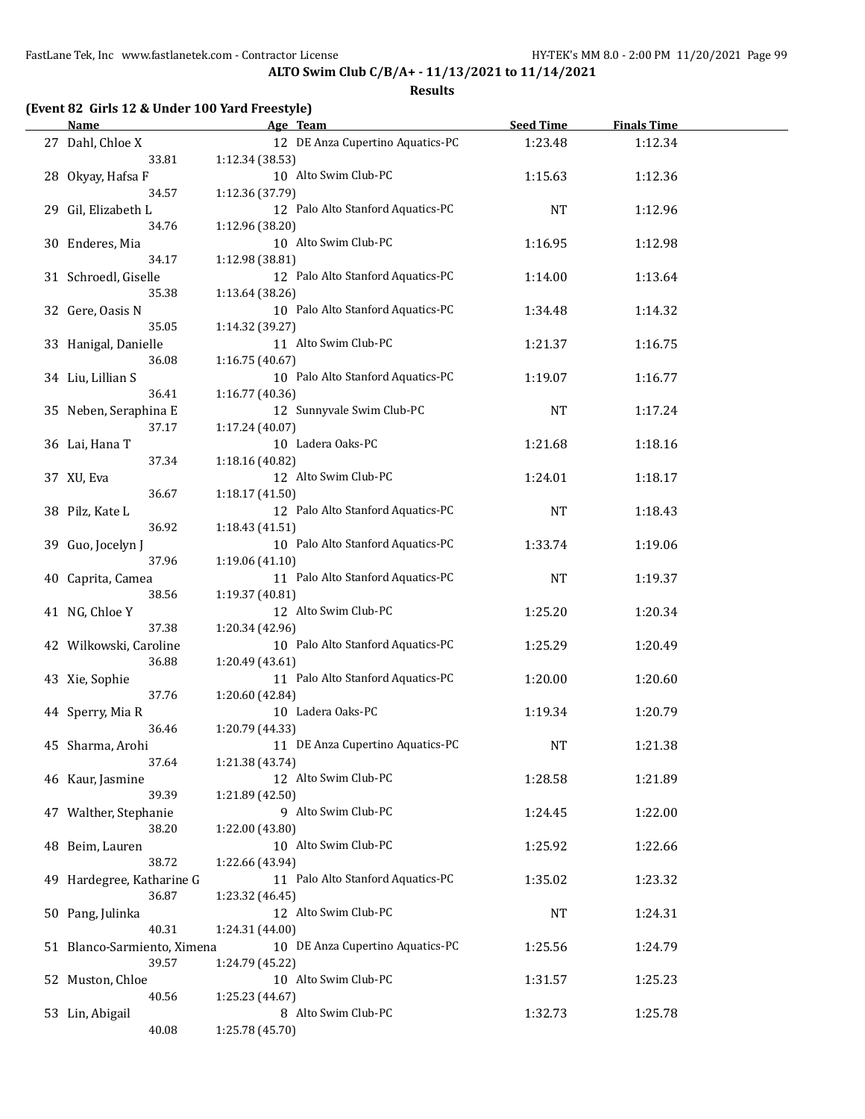**ALTO Swim Club C/B/A+ - 11/13/2021 to 11/14/2021**

| <b>Name</b>                  | Age Team                                             | <b>Seed Time</b> | <b>Finals Time</b> |  |
|------------------------------|------------------------------------------------------|------------------|--------------------|--|
| 27 Dahl, Chloe X<br>33.81    | 12 DE Anza Cupertino Aquatics-PC<br>1:12.34 (38.53)  | 1:23.48          | 1:12.34            |  |
| 28 Okyay, Hafsa F            | 10 Alto Swim Club-PC                                 | 1:15.63          | 1:12.36            |  |
| 34.57<br>29 Gil, Elizabeth L | 1:12.36 (37.79)<br>12 Palo Alto Stanford Aquatics-PC | <b>NT</b>        | 1:12.96            |  |
| 34.76                        | 1:12.96 (38.20)                                      |                  |                    |  |
| 30 Enderes, Mia              | 10 Alto Swim Club-PC                                 | 1:16.95          | 1:12.98            |  |
| 34.17                        | 1:12.98 (38.81)                                      |                  |                    |  |
| 31 Schroedl, Giselle         | 12 Palo Alto Stanford Aquatics-PC                    | 1:14.00          | 1:13.64            |  |
| 35.38                        | 1:13.64 (38.26)                                      |                  |                    |  |
| 32 Gere, Oasis N             | 10 Palo Alto Stanford Aquatics-PC                    | 1:34.48          | 1:14.32            |  |
| 35.05                        | 1:14.32 (39.27)                                      |                  |                    |  |
| 33 Hanigal, Danielle         | 11 Alto Swim Club-PC                                 | 1:21.37          | 1:16.75            |  |
| 36.08                        | 1:16.75(40.67)<br>10 Palo Alto Stanford Aquatics-PC  |                  |                    |  |
| 34 Liu, Lillian S<br>36.41   | 1:16.77 (40.36)                                      | 1:19.07          | 1:16.77            |  |
| 35 Neben, Seraphina E        | 12 Sunnyvale Swim Club-PC                            | <b>NT</b>        |                    |  |
| 37.17                        | 1:17.24 (40.07)                                      |                  | 1:17.24            |  |
| 36 Lai, Hana T               | 10 Ladera Oaks-PC                                    | 1:21.68          | 1:18.16            |  |
| 37.34                        | 1:18.16 (40.82)                                      |                  |                    |  |
| 37 XU, Eva                   | 12 Alto Swim Club-PC                                 | 1:24.01          | 1:18.17            |  |
| 36.67                        | 1:18.17(41.50)                                       |                  |                    |  |
| 38 Pilz, Kate L              | 12 Palo Alto Stanford Aquatics-PC                    | <b>NT</b>        | 1:18.43            |  |
| 36.92                        | 1:18.43(41.51)                                       |                  |                    |  |
| 39 Guo, Jocelyn J            | 10 Palo Alto Stanford Aquatics-PC                    | 1:33.74          | 1:19.06            |  |
| 37.96                        | 1:19.06 (41.10)                                      |                  |                    |  |
| 40 Caprita, Camea            | 11 Palo Alto Stanford Aquatics-PC                    | <b>NT</b>        | 1:19.37            |  |
| 38.56                        | 1:19.37 (40.81)                                      |                  |                    |  |
| 41 NG, Chloe Y               | 12 Alto Swim Club-PC                                 | 1:25.20          | 1:20.34            |  |
| 37.38                        | 1:20.34 (42.96)                                      |                  |                    |  |
| 42 Wilkowski, Caroline       | 10 Palo Alto Stanford Aquatics-PC                    | 1:25.29          | 1:20.49            |  |
| 36.88                        | 1:20.49 (43.61)                                      |                  |                    |  |
| 43 Xie, Sophie               | 11 Palo Alto Stanford Aquatics-PC                    | 1:20.00          | 1:20.60            |  |
| 37.76                        | 1:20.60 (42.84)                                      |                  |                    |  |
| 44 Sperry, Mia R             | 10 Ladera Oaks-PC                                    | 1:19.34          | 1:20.79            |  |
| 36.46                        | 1:20.79 (44.33)                                      |                  |                    |  |
| 45 Sharma, Arohi             | 11 DE Anza Cupertino Aquatics-PC                     | <b>NT</b>        | 1:21.38            |  |
| 37.64                        | 1:21.38 (43.74)                                      |                  |                    |  |
| 46 Kaur, Jasmine             | 12 Alto Swim Club-PC                                 | 1:28.58          | 1:21.89            |  |
| 39.39                        | 1:21.89 (42.50)                                      |                  |                    |  |
| 47 Walther, Stephanie        | 9 Alto Swim Club-PC                                  | 1:24.45          | 1:22.00            |  |
| 38.20                        | 1:22.00 (43.80)                                      |                  |                    |  |
| 48 Beim, Lauren              | 10 Alto Swim Club-PC                                 | 1:25.92          | 1:22.66            |  |
| 38.72                        | 1:22.66 (43.94)                                      |                  |                    |  |
| 49 Hardegree, Katharine G    | 11 Palo Alto Stanford Aquatics-PC                    | 1:35.02          | 1:23.32            |  |
| 36.87                        | 1:23.32 (46.45)                                      |                  |                    |  |
| 50 Pang, Julinka             | 12 Alto Swim Club-PC                                 | <b>NT</b>        | 1:24.31            |  |
| 40.31                        | 1:24.31 (44.00)                                      |                  |                    |  |
| 51 Blanco-Sarmiento, Ximena  | 10 DE Anza Cupertino Aquatics-PC                     | 1:25.56          | 1:24.79            |  |
| 39.57                        | 1:24.79 (45.22)                                      |                  |                    |  |
| 52 Muston, Chloe             | 10 Alto Swim Club-PC                                 | 1:31.57          | 1:25.23            |  |
| 40.56                        | 1:25.23 (44.67)                                      |                  |                    |  |
| 53 Lin, Abigail              | 8 Alto Swim Club-PC                                  | 1:32.73          | 1:25.78            |  |
| 40.08                        | 1:25.78 (45.70)                                      |                  |                    |  |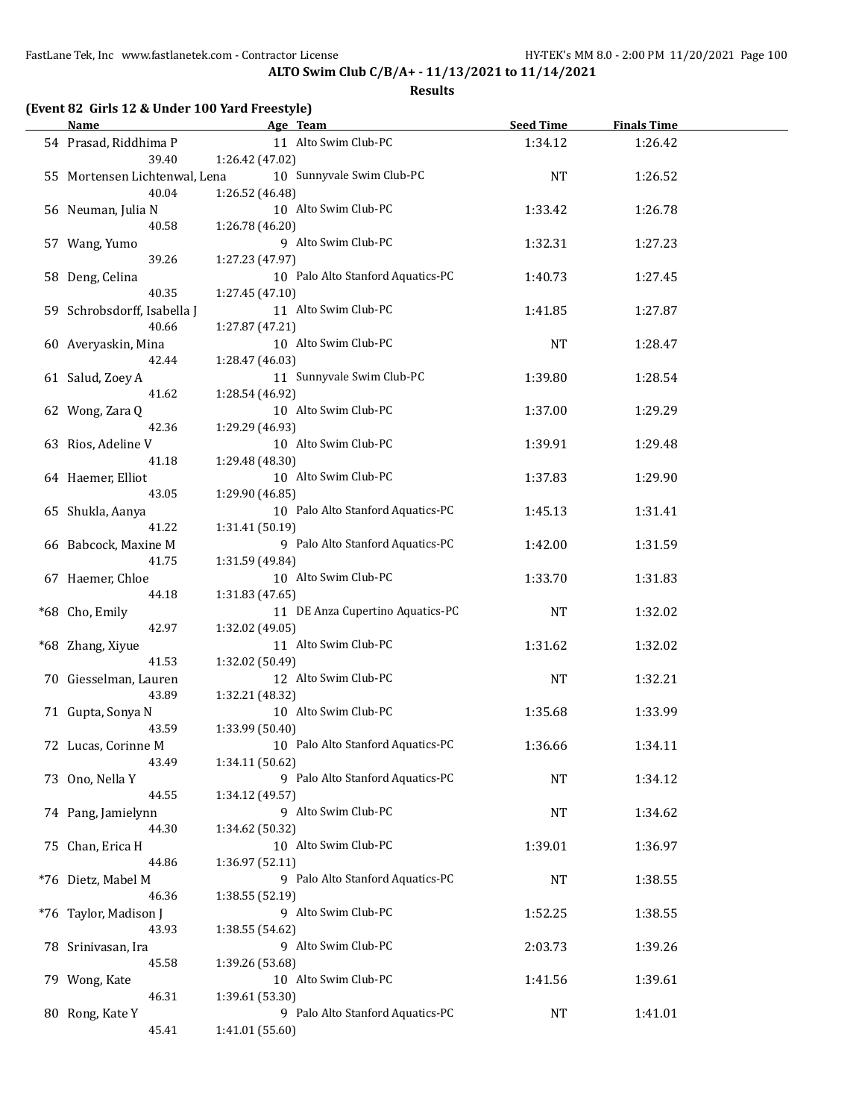| <b>Name</b>                   | Age Team                                | <b>Seed Time</b> | <b>Finals Time</b> |  |
|-------------------------------|-----------------------------------------|------------------|--------------------|--|
| 54 Prasad, Riddhima P         | 11 Alto Swim Club-PC                    | 1:34.12          | 1:26.42            |  |
| 39.40                         | 1:26.42 (47.02)                         |                  |                    |  |
| 55 Mortensen Lichtenwal, Lena | 10 Sunnyvale Swim Club-PC               | NT               | 1:26.52            |  |
| 40.04                         | 1:26.52 (46.48)                         |                  |                    |  |
| 56 Neuman, Julia N            | 10 Alto Swim Club-PC                    | 1:33.42          | 1:26.78            |  |
| 40.58                         | 1:26.78 (46.20)                         |                  |                    |  |
| 57 Wang, Yumo                 | 9 Alto Swim Club-PC                     | 1:32.31          | 1:27.23            |  |
| 39.26                         | 1:27.23 (47.97)                         |                  |                    |  |
|                               |                                         |                  |                    |  |
| 58 Deng, Celina               | 10 Palo Alto Stanford Aquatics-PC       | 1:40.73          | 1:27.45            |  |
| 40.35                         | 1:27.45 (47.10)                         |                  |                    |  |
| 59 Schrobsdorff, Isabella J   | 11 Alto Swim Club-PC                    | 1:41.85          | 1:27.87            |  |
| 40.66                         | 1:27.87 (47.21)                         |                  |                    |  |
| 60 Averyaskin, Mina           | 10 Alto Swim Club-PC                    | <b>NT</b>        | 1:28.47            |  |
| 42.44                         | 1:28.47 (46.03)                         |                  |                    |  |
| 61 Salud, Zoey A              | 11 Sunnyvale Swim Club-PC               | 1:39.80          | 1:28.54            |  |
| 41.62                         | 1:28.54 (46.92)                         |                  |                    |  |
| 62 Wong, Zara Q               | 10 Alto Swim Club-PC                    | 1:37.00          | 1:29.29            |  |
| 42.36                         | 1:29.29 (46.93)                         |                  |                    |  |
| 63 Rios, Adeline V            | 10 Alto Swim Club-PC                    | 1:39.91          | 1:29.48            |  |
| 41.18                         | 1:29.48 (48.30)                         |                  |                    |  |
| 64 Haemer, Elliot             | 10 Alto Swim Club-PC                    | 1:37.83          | 1:29.90            |  |
| 43.05                         | 1:29.90 (46.85)                         |                  |                    |  |
| 65 Shukla, Aanya              | 10 Palo Alto Stanford Aquatics-PC       | 1:45.13          | 1:31.41            |  |
| 41.22                         | 1:31.41 (50.19)                         |                  |                    |  |
| 66 Babcock, Maxine M          | 9 Palo Alto Stanford Aquatics-PC        | 1:42.00          | 1:31.59            |  |
| 41.75                         | 1:31.59 (49.84)                         |                  |                    |  |
| 67 Haemer, Chloe              | 10 Alto Swim Club-PC                    | 1:33.70          | 1:31.83            |  |
| 44.18                         |                                         |                  |                    |  |
|                               | 1:31.83 (47.65)                         |                  |                    |  |
| *68 Cho, Emily                | 11 DE Anza Cupertino Aquatics-PC        | NT               | 1:32.02            |  |
| 42.97                         | 1:32.02 (49.05)                         |                  |                    |  |
| *68 Zhang, Xiyue              | 11 Alto Swim Club-PC                    | 1:31.62          | 1:32.02            |  |
| 41.53                         | 1:32.02 (50.49)                         |                  |                    |  |
| 70 Giesselman, Lauren         | 12 Alto Swim Club-PC                    | <b>NT</b>        | 1:32.21            |  |
| 43.89                         | 1:32.21 (48.32)                         |                  |                    |  |
| 71 Gupta, Sonya N             | 10 Alto Swim Club-PC                    | 1:35.68          | 1:33.99            |  |
| 43.59                         | 1:33.99 (50.40)                         |                  |                    |  |
| 72 Lucas, Corinne M           | 10 Palo Alto Stanford Aquatics-PC       | 1:36.66          | 1:34.11            |  |
| 43.49                         | 1:34.11 (50.62)                         |                  |                    |  |
| 73 Ono, Nella Y               | 9 Palo Alto Stanford Aquatics-PC        | NT               | 1:34.12            |  |
| 44.55                         | 1:34.12 (49.57)                         |                  |                    |  |
| 74 Pang, Jamielynn            | 9 Alto Swim Club-PC                     | NT               | 1:34.62            |  |
| 44.30                         | 1:34.62 (50.32)                         |                  |                    |  |
| 75 Chan, Erica H              | 10 Alto Swim Club-PC                    | 1:39.01          | 1:36.97            |  |
| 44.86                         | 1:36.97 (52.11)                         |                  |                    |  |
| *76 Dietz, Mabel M            | 9 Palo Alto Stanford Aquatics-PC        | <b>NT</b>        | 1:38.55            |  |
| 46.36                         | 1:38.55 (52.19)                         |                  |                    |  |
| *76 Taylor, Madison J         | 9 Alto Swim Club-PC                     | 1:52.25          | 1:38.55            |  |
| 43.93                         | 1:38.55 (54.62)                         |                  |                    |  |
| 78 Srinivasan, Ira            | 9 Alto Swim Club-PC                     | 2:03.73          | 1:39.26            |  |
| 45.58                         |                                         |                  |                    |  |
|                               | 1:39.26 (53.68)<br>10 Alto Swim Club-PC |                  |                    |  |
| 79 Wong, Kate                 |                                         | 1:41.56          | 1:39.61            |  |
| 46.31                         | 1:39.61 (53.30)                         |                  |                    |  |
| 80 Rong, Kate Y               | 9 Palo Alto Stanford Aquatics-PC        | NT               | 1:41.01            |  |
| 45.41                         | 1:41.01 (55.60)                         |                  |                    |  |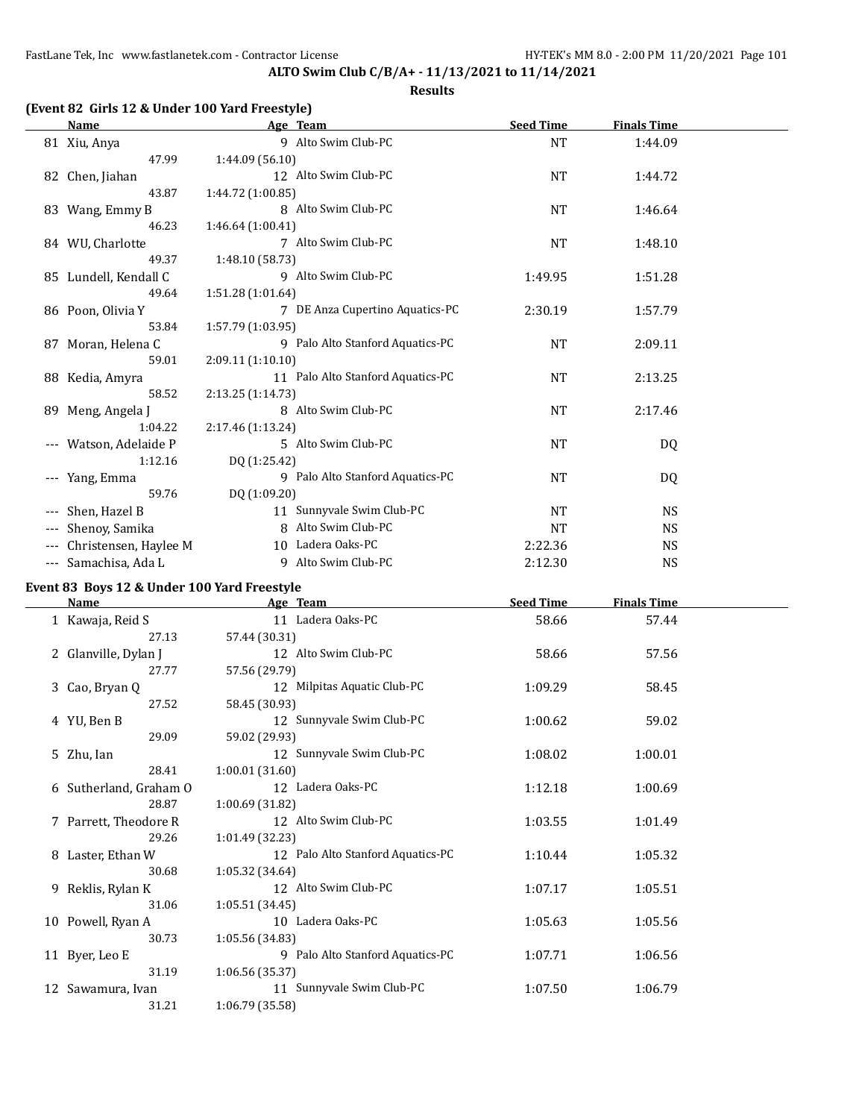# **(Event 82 Girls 12 & Under 100 Yard Freestyle)**

|       | Name                  |                   | Age Team                          | <b>Seed Time</b> | <b>Finals Time</b> |  |
|-------|-----------------------|-------------------|-----------------------------------|------------------|--------------------|--|
|       | 81 Xiu, Anya          |                   | 9 Alto Swim Club-PC               | <b>NT</b>        | 1:44.09            |  |
|       | 47.99                 | 1:44.09(56.10)    |                                   |                  |                    |  |
|       | 82 Chen, Jiahan       |                   | 12 Alto Swim Club-PC              | <b>NT</b>        | 1:44.72            |  |
|       | 43.87                 | 1:44.72 (1:00.85) |                                   |                  |                    |  |
|       | 83 Wang, Emmy B       |                   | 8 Alto Swim Club-PC               | <b>NT</b>        | 1:46.64            |  |
|       | 46.23                 | 1:46.64 (1:00.41) |                                   |                  |                    |  |
|       | 84 WU, Charlotte      |                   | 7 Alto Swim Club-PC               | NT               | 1:48.10            |  |
|       | 49.37                 | 1:48.10 (58.73)   |                                   |                  |                    |  |
|       | 85 Lundell, Kendall C |                   | 9 Alto Swim Club-PC               | 1:49.95          | 1:51.28            |  |
|       | 49.64                 | 1:51.28 (1:01.64) |                                   |                  |                    |  |
|       | 86 Poon, Olivia Y     |                   | 7 DE Anza Cupertino Aquatics-PC   | 2:30.19          | 1:57.79            |  |
|       | 53.84                 | 1:57.79 (1:03.95) |                                   |                  |                    |  |
|       | 87 Moran, Helena C    |                   | 9 Palo Alto Stanford Aquatics-PC  | <b>NT</b>        | 2:09.11            |  |
|       | 59.01                 | 2:09.11(1:10.10)  |                                   |                  |                    |  |
|       | 88 Kedia, Amyra       |                   | 11 Palo Alto Stanford Aquatics-PC | <b>NT</b>        | 2:13.25            |  |
|       | 58.52                 | 2:13.25 (1:14.73) |                                   |                  |                    |  |
|       | 89 Meng, Angela J     |                   | 8 Alto Swim Club-PC               | <b>NT</b>        | 2:17.46            |  |
|       | 1:04.22               | 2:17.46 (1:13.24) |                                   |                  |                    |  |
| $---$ | Watson, Adelaide P    |                   | 5 Alto Swim Club-PC               | NT               | DQ                 |  |
|       | 1:12.16               | DQ (1:25.42)      |                                   |                  |                    |  |
| ---   | Yang, Emma            |                   | 9 Palo Alto Stanford Aquatics-PC  | <b>NT</b>        | DQ                 |  |
|       | 59.76                 | DQ (1:09.20)      |                                   |                  |                    |  |
|       | Shen, Hazel B         |                   | 11 Sunnyvale Swim Club-PC         | <b>NT</b>        | <b>NS</b>          |  |
|       | Shenoy, Samika        |                   | 8 Alto Swim Club-PC               | <b>NT</b>        | <b>NS</b>          |  |
|       | Christensen, Haylee M |                   | 10 Ladera Oaks-PC                 | 2:22.36          | <b>NS</b>          |  |
| $---$ | Samachisa, Ada L      | 9                 | Alto Swim Club-PC                 | 2:12.30          | <b>NS</b>          |  |

# **Event 83 Boys 12 & Under 100 Yard Freestyle**

| <b>Name</b>            | Age Team                          | <b>Seed Time</b> | <b>Finals Time</b> |  |
|------------------------|-----------------------------------|------------------|--------------------|--|
| 1 Kawaja, Reid S       | 11 Ladera Oaks-PC                 | 58.66            | 57.44              |  |
| 27.13                  | 57.44 (30.31)                     |                  |                    |  |
| 2 Glanville, Dylan J   | 12 Alto Swim Club-PC              | 58.66            | 57.56              |  |
| 27.77                  | 57.56 (29.79)                     |                  |                    |  |
| 3 Cao, Bryan Q         | 12 Milpitas Aquatic Club-PC       | 1:09.29          | 58.45              |  |
| 27.52                  | 58.45 (30.93)                     |                  |                    |  |
| 4 YU, Ben B            | 12 Sunnyvale Swim Club-PC         | 1:00.62          | 59.02              |  |
| 29.09                  | 59.02 (29.93)                     |                  |                    |  |
| 5 Zhu, Ian             | 12 Sunnyvale Swim Club-PC         | 1:08.02          | 1:00.01            |  |
| 28.41                  | 1:00.01 (31.60)                   |                  |                    |  |
| 6 Sutherland, Graham O | 12 Ladera Oaks-PC                 | 1:12.18          | 1:00.69            |  |
| 28.87                  | 1:00.69 (31.82)                   |                  |                    |  |
| 7 Parrett, Theodore R  | 12 Alto Swim Club-PC              | 1:03.55          | 1:01.49            |  |
| 29.26                  | 1:01.49 (32.23)                   |                  |                    |  |
| 8 Laster, Ethan W      | 12 Palo Alto Stanford Aquatics-PC | 1:10.44          | 1:05.32            |  |
| 30.68                  | 1:05.32 (34.64)                   |                  |                    |  |
| 9 Reklis, Rylan K      | 12 Alto Swim Club-PC              | 1:07.17          | 1:05.51            |  |
| 31.06                  | 1:05.51 (34.45)                   |                  |                    |  |
| 10 Powell, Ryan A      | 10 Ladera Oaks-PC                 | 1:05.63          | 1:05.56            |  |
| 30.73                  | 1:05.56 (34.83)                   |                  |                    |  |
| 11 Byer, Leo E         | 9 Palo Alto Stanford Aquatics-PC  | 1:07.71          | 1:06.56            |  |
| 31.19                  | 1:06.56(35.37)                    |                  |                    |  |
| 12 Sawamura, Ivan      | 11 Sunnyvale Swim Club-PC         | 1:07.50          | 1:06.79            |  |
| 31.21                  | 1:06.79 (35.58)                   |                  |                    |  |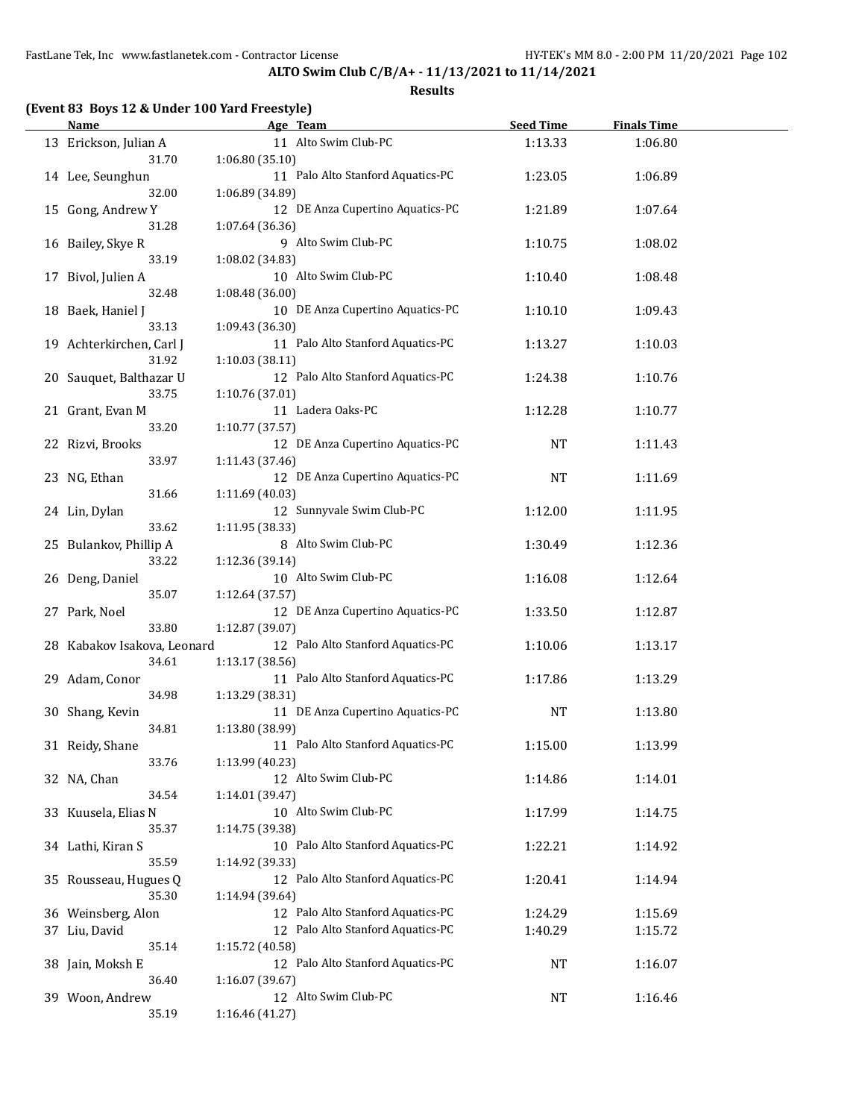**ALTO Swim Club C/B/A+ - 11/13/2021 to 11/14/2021**

|  |  |  | (Event 83 Boys 12 & Under 100 Yard Freestyle) |
|--|--|--|-----------------------------------------------|
|--|--|--|-----------------------------------------------|

| <b>Name</b>                          | Age Team                                             | <b>Seed Time</b> | <b>Finals Time</b> |  |
|--------------------------------------|------------------------------------------------------|------------------|--------------------|--|
| 13 Erickson, Julian A                | 11 Alto Swim Club-PC                                 | 1:13.33          | 1:06.80            |  |
| 31.70<br>14 Lee, Seunghun            | 1:06.80 (35.10)<br>11 Palo Alto Stanford Aquatics-PC | 1:23.05          | 1:06.89            |  |
| 32.00<br>15 Gong, Andrew Y           | 1:06.89 (34.89)<br>12 DE Anza Cupertino Aquatics-PC  | 1:21.89          | 1:07.64            |  |
| 31.28<br>16 Bailey, Skye R           | 1:07.64 (36.36)<br>9 Alto Swim Club-PC               | 1:10.75          | 1:08.02            |  |
| 33.19                                | 1:08.02 (34.83)                                      |                  |                    |  |
| 17 Bivol, Julien A<br>32.48          | 10 Alto Swim Club-PC<br>1:08.48 (36.00)              | 1:10.40          | 1:08.48            |  |
| 18 Baek, Haniel J<br>33.13           | 10 DE Anza Cupertino Aquatics-PC<br>1:09.43 (36.30)  | 1:10.10          | 1:09.43            |  |
| 19 Achterkirchen, Carl J<br>31.92    | 11 Palo Alto Stanford Aquatics-PC<br>1:10.03 (38.11) | 1:13.27          | 1:10.03            |  |
| 20 Sauquet, Balthazar U<br>33.75     | 12 Palo Alto Stanford Aquatics-PC<br>1:10.76 (37.01) | 1:24.38          | 1:10.76            |  |
| 21 Grant, Evan M<br>33.20            | 11 Ladera Oaks-PC<br>1:10.77 (37.57)                 | 1:12.28          | 1:10.77            |  |
| 22 Rizvi, Brooks<br>33.97            | 12 DE Anza Cupertino Aquatics-PC<br>1:11.43 (37.46)  | <b>NT</b>        | 1:11.43            |  |
| 23 NG, Ethan                         | 12 DE Anza Cupertino Aquatics-PC                     | <b>NT</b>        | 1:11.69            |  |
| 31.66<br>24 Lin, Dylan               | 1:11.69 (40.03)<br>12 Sunnyvale Swim Club-PC         | 1:12.00          | 1:11.95            |  |
| 33.62<br>25 Bulankov, Phillip A      | 1:11.95 (38.33)<br>8 Alto Swim Club-PC               | 1:30.49          | 1:12.36            |  |
| 33.22<br>26 Deng, Daniel             | 1:12.36 (39.14)<br>10 Alto Swim Club-PC              | 1:16.08          | 1:12.64            |  |
| 35.07<br>27 Park, Noel               | 1:12.64 (37.57)<br>12 DE Anza Cupertino Aquatics-PC  | 1:33.50          | 1:12.87            |  |
| 33.80<br>28 Kabakov Isakova, Leonard | 1:12.87 (39.07)<br>12 Palo Alto Stanford Aquatics-PC | 1:10.06          | 1:13.17            |  |
| 34.61<br>29 Adam, Conor              | 1:13.17 (38.56)<br>11 Palo Alto Stanford Aquatics-PC | 1:17.86          | 1:13.29            |  |
| 34.98<br>30 Shang, Kevin             | 1:13.29 (38.31)<br>11 DE Anza Cupertino Aquatics-PC  | NT               | 1:13.80            |  |
| 34.81<br>31 Reidy, Shane             | 1:13.80 (38.99)<br>11 Palo Alto Stanford Aquatics-PC | 1:15.00          | 1:13.99            |  |
| 33.76<br>32 NA, Chan                 | 1:13.99 (40.23)<br>12 Alto Swim Club-PC              | 1:14.86          | 1:14.01            |  |
| 34.54<br>33 Kuusela, Elias N         | 1:14.01 (39.47)<br>10 Alto Swim Club-PC              | 1:17.99          | 1:14.75            |  |
| 35.37<br>34 Lathi, Kiran S           | 1:14.75 (39.38)<br>10 Palo Alto Stanford Aquatics-PC | 1:22.21          | 1:14.92            |  |
| 35.59                                | 1:14.92 (39.33)                                      |                  |                    |  |
| 35 Rousseau, Hugues Q<br>35.30       | 12 Palo Alto Stanford Aquatics-PC<br>1:14.94 (39.64) | 1:20.41          | 1:14.94            |  |
| 36 Weinsberg, Alon                   | 12 Palo Alto Stanford Aquatics-PC                    | 1:24.29          | 1:15.69            |  |
| 37 Liu, David<br>35.14               | 12 Palo Alto Stanford Aquatics-PC<br>1:15.72 (40.58) | 1:40.29          | 1:15.72            |  |
| 38 Jain, Moksh E                     | 12 Palo Alto Stanford Aquatics-PC                    | <b>NT</b>        | 1:16.07            |  |
| 36.40                                | 1:16.07 (39.67)                                      |                  |                    |  |
| 39 Woon, Andrew<br>35.19             | 12 Alto Swim Club-PC<br>1:16.46 (41.27)              | <b>NT</b>        | 1:16.46            |  |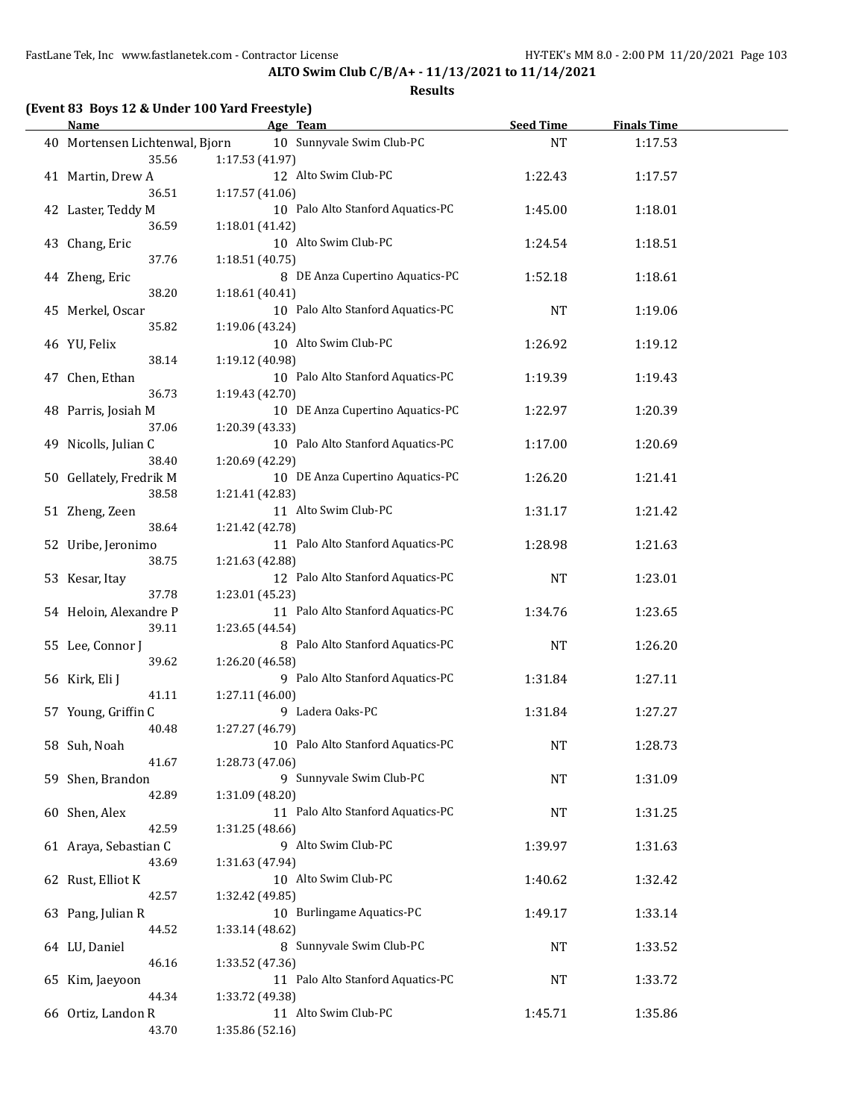**(Event 83 Boys 12 & Under 100 Yard Freestyle)**

**ALTO Swim Club C/B/A+ - 11/13/2021 to 11/14/2021**

|    | <b>Name</b>                    | Age Team                          | <b>Seed Time</b> | <b>Finals Time</b> |
|----|--------------------------------|-----------------------------------|------------------|--------------------|
|    | 40 Mortensen Lichtenwal, Biorn | 10 Sunnyvale Swim Club-PC         | <b>NT</b>        | 1:17.53            |
|    | 35.56                          | 1:17.53(41.97)                    |                  |                    |
| 41 | Martin, Drew A                 | 12 Alto Swim Club-PC              | 1:22.43          | 1:17.57            |
|    | 36.51                          | 1:17.57(41.06)                    |                  |                    |
|    | 42 Laster, Teddy M             | 10 Palo Alto Stanford Aquatics-PC | 1:45.00          | 1:18.01            |
|    | 36.59                          | 1:18.01(41.42)                    |                  |                    |
|    | 43 Chang, Eric                 | 10 Alto Swim Club-PC              | 1:24.54          | 1:18.51            |
|    | 37.76                          | 1:18.51(40.75)                    |                  |                    |
|    | 44 Zheng, Eric                 | 8 DE Anza Cupertino Aquatics-PC   | 1:52.18          | 1:18.61            |
|    | 38.20                          | 1:18.61(40.41)                    |                  |                    |
| 45 | Merkel, Oscar                  | 10 Palo Alto Stanford Aquatics-PC | <b>NT</b>        | 1:19.06            |
|    | 35.82                          | 1:19.06 (43.24)                   |                  |                    |
| 46 | YU, Felix                      | Alto Swim Club-PC<br>10           | 1:26.92          | 1:19.12            |
|    |                                |                                   |                  |                    |

| JU.JI                           | 1.17.97 THOU                                         |           |         |
|---------------------------------|------------------------------------------------------|-----------|---------|
| 42 Laster, Teddy M              | 10 Palo Alto Stanford Aquatics-PC                    | 1:45.00   | 1:18.01 |
| 36.59<br>43 Chang, Eric         | 1:18.01 (41.42)<br>10 Alto Swim Club-PC              | 1:24.54   | 1:18.51 |
| 37.76<br>44 Zheng, Eric         | 1:18.51 (40.75)<br>8 DE Anza Cupertino Aquatics-PC   | 1:52.18   | 1:18.61 |
| 38.20                           | 1:18.61(40.41)                                       |           |         |
| 45 Merkel, Oscar                | 10 Palo Alto Stanford Aquatics-PC                    | NT        | 1:19.06 |
| 35.82                           | 1:19.06 (43.24)<br>10 Alto Swim Club-PC              |           |         |
| 46 YU, Felix<br>38.14           | 1:19.12 (40.98)                                      | 1:26.92   | 1:19.12 |
| 47 Chen, Ethan                  | 10 Palo Alto Stanford Aquatics-PC                    | 1:19.39   | 1:19.43 |
| 36.73                           | 1:19.43 (42.70)                                      |           |         |
| 48 Parris, Josiah M             | 10 DE Anza Cupertino Aquatics-PC                     | 1:22.97   | 1:20.39 |
| 37.06<br>49 Nicolls, Julian C   | 1:20.39 (43.33)<br>10 Palo Alto Stanford Aquatics-PC | 1:17.00   | 1:20.69 |
| 38.40                           | 1:20.69 (42.29)                                      |           |         |
| 50 Gellately, Fredrik M         | 10 DE Anza Cupertino Aquatics-PC                     | 1:26.20   | 1:21.41 |
| 38.58                           | 1:21.41 (42.83)                                      |           |         |
| 51 Zheng, Zeen                  | 11 Alto Swim Club-PC                                 | 1:31.17   | 1:21.42 |
| 38.64<br>52 Uribe, Jeronimo     | 1:21.42 (42.78)<br>11 Palo Alto Stanford Aquatics-PC | 1:28.98   | 1:21.63 |
| 38.75                           | 1:21.63 (42.88)                                      |           |         |
| 53 Kesar, Itay                  | 12 Palo Alto Stanford Aquatics-PC                    | NT        | 1:23.01 |
| 37.78                           | 1:23.01 (45.23)                                      |           |         |
| 54 Heloin, Alexandre P<br>39.11 | 11 Palo Alto Stanford Aquatics-PC                    | 1:34.76   | 1:23.65 |
| 55 Lee, Connor J                | 1:23.65 (44.54)<br>8 Palo Alto Stanford Aquatics-PC  | <b>NT</b> | 1:26.20 |
| 39.62                           | 1:26.20 (46.58)                                      |           |         |
| 56 Kirk, Eli J                  | 9 Palo Alto Stanford Aquatics-PC                     | 1:31.84   | 1:27.11 |
| 41.11                           | 1:27.11 (46.00)                                      |           |         |
| 57 Young, Griffin C<br>40.48    | 9 Ladera Oaks-PC<br>1:27.27 (46.79)                  | 1:31.84   | 1:27.27 |
| 58 Suh, Noah                    | 10 Palo Alto Stanford Aquatics-PC                    | NT        | 1:28.73 |
| 41.67                           | 1:28.73 (47.06)                                      |           |         |
| 59 Shen, Brandon                | 9 Sunnyvale Swim Club-PC                             | NT        | 1:31.09 |
| 42.89                           | 1:31.09 (48.20)                                      |           |         |
| 60 Shen, Alex<br>42.59          | 11 Palo Alto Stanford Aquatics-PC<br>1:31.25 (48.66) | NT        | 1:31.25 |
| 61 Araya, Sebastian C           | 9 Alto Swim Club-PC                                  | 1:39.97   | 1:31.63 |
| 43.69                           | 1:31.63 (47.94)                                      |           |         |
| 62 Rust, Elliot K               | 10 Alto Swim Club-PC                                 | 1:40.62   | 1:32.42 |
| 42.57                           | 1:32.42 (49.85)                                      |           |         |
| 63 Pang, Julian R<br>44.52      | 10 Burlingame Aquatics-PC<br>1:33.14 (48.62)         | 1:49.17   | 1:33.14 |
| 64 LU, Daniel                   | 8 Sunnyvale Swim Club-PC                             | NT        | 1:33.52 |
| 46.16                           | 1:33.52 (47.36)                                      |           |         |
| 65 Kim, Jaeyoon                 | 11 Palo Alto Stanford Aquatics-PC                    | NT        | 1:33.72 |
| 44.34                           | 1:33.72 (49.38)<br>11 Alto Swim Club-PC              |           |         |
| 66 Ortiz, Landon R<br>43.70     | 1:35.86 (52.16)                                      | 1:45.71   | 1:35.86 |
|                                 |                                                      |           |         |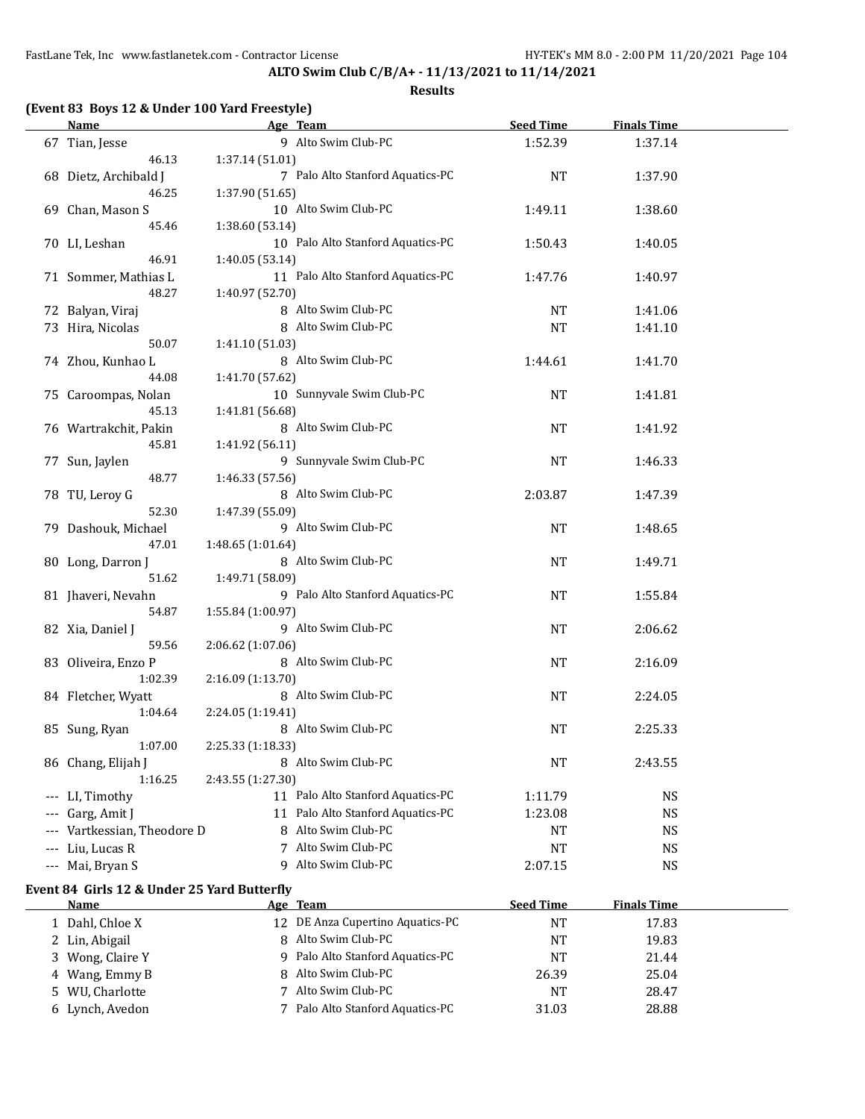**ALTO Swim Club C/B/A+ - 11/13/2021 to 11/14/2021**

| <b>Name</b>                                 | Age Team                          | <b>Seed Time</b> | <b>Finals Time</b> |  |
|---------------------------------------------|-----------------------------------|------------------|--------------------|--|
| 67 Tian, Jesse                              | 9 Alto Swim Club-PC               | 1:52.39          | 1:37.14            |  |
| 46.13                                       | 1:37.14 (51.01)                   |                  |                    |  |
| 68 Dietz, Archibald J                       | 7 Palo Alto Stanford Aquatics-PC  | <b>NT</b>        | 1:37.90            |  |
| 46.25                                       | 1:37.90 (51.65)                   |                  |                    |  |
| 69 Chan, Mason S                            | 10 Alto Swim Club-PC              | 1:49.11          | 1:38.60            |  |
| 45.46                                       | 1:38.60 (53.14)                   |                  |                    |  |
| 70 LI, Leshan                               | 10 Palo Alto Stanford Aquatics-PC | 1:50.43          | 1:40.05            |  |
| 46.91                                       | 1:40.05 (53.14)                   |                  |                    |  |
| 71 Sommer, Mathias L                        | 11 Palo Alto Stanford Aquatics-PC | 1:47.76          | 1:40.97            |  |
| 48.27                                       | 1:40.97 (52.70)                   |                  |                    |  |
| 72 Balyan, Viraj                            | 8 Alto Swim Club-PC               | NT               | 1:41.06            |  |
| 73 Hira, Nicolas                            | 8 Alto Swim Club-PC               | <b>NT</b>        | 1:41.10            |  |
| 50.07                                       | 1:41.10 (51.03)                   |                  |                    |  |
| 74 Zhou, Kunhao L                           | 8 Alto Swim Club-PC               | 1:44.61          | 1:41.70            |  |
| 44.08                                       | 1:41.70 (57.62)                   |                  |                    |  |
| 75 Caroompas, Nolan                         | 10 Sunnyvale Swim Club-PC         | <b>NT</b>        | 1:41.81            |  |
| 45.13                                       | 1:41.81 (56.68)                   |                  |                    |  |
| 76 Wartrakchit, Pakin                       | 8 Alto Swim Club-PC               | <b>NT</b>        | 1:41.92            |  |
| 45.81                                       | 1:41.92 (56.11)                   |                  |                    |  |
| 77 Sun, Jaylen                              | 9 Sunnyvale Swim Club-PC          | <b>NT</b>        | 1:46.33            |  |
| 48.77                                       | 1:46.33 (57.56)                   |                  |                    |  |
| 78 TU, Leroy G                              | 8 Alto Swim Club-PC               | 2:03.87          | 1:47.39            |  |
| 52.30                                       | 1:47.39 (55.09)                   |                  |                    |  |
| 79 Dashouk, Michael                         | 9 Alto Swim Club-PC               | <b>NT</b>        | 1:48.65            |  |
| 47.01                                       | 1:48.65 (1:01.64)                 |                  |                    |  |
| 80 Long, Darron J                           | 8 Alto Swim Club-PC               | <b>NT</b>        | 1:49.71            |  |
| 51.62                                       | 1:49.71 (58.09)                   |                  |                    |  |
| 81 Jhaveri, Nevahn                          | 9 Palo Alto Stanford Aquatics-PC  | <b>NT</b>        | 1:55.84            |  |
| 54.87                                       | 1:55.84 (1:00.97)                 |                  |                    |  |
| 82 Xia, Daniel J                            | 9 Alto Swim Club-PC               | <b>NT</b>        | 2:06.62            |  |
| 59.56                                       | 2:06.62 (1:07.06)                 |                  |                    |  |
| 83 Oliveira, Enzo P                         | 8 Alto Swim Club-PC               | <b>NT</b>        | 2:16.09            |  |
| 1:02.39                                     | 2:16.09 (1:13.70)                 |                  |                    |  |
| 84 Fletcher, Wyatt                          | 8 Alto Swim Club-PC               | <b>NT</b>        | 2:24.05            |  |
| 1:04.64                                     | 2:24.05 (1:19.41)                 |                  |                    |  |
| 85 Sung, Ryan                               | 8 Alto Swim Club-PC               | <b>NT</b>        | 2:25.33            |  |
| 1:07.00                                     | 2:25.33 (1:18.33)                 |                  |                    |  |
| 86 Chang, Elijah J                          | 8 Alto Swim Club-PC               | <b>NT</b>        | 2:43.55            |  |
| 1:16.25                                     | 2:43.55 (1:27.30)                 |                  |                    |  |
| --- LI, Timothy                             | 11 Palo Alto Stanford Aquatics-PC | 1:11.79          | <b>NS</b>          |  |
| --- Garg, Amit J                            | 11 Palo Alto Stanford Aquatics-PC | 1:23.08          | <b>NS</b>          |  |
| Vartkessian, Theodore D                     | 8 Alto Swim Club-PC               | NT               | <b>NS</b>          |  |
| --- Liu, Lucas R                            | 7 Alto Swim Club-PC               | NT               | <b>NS</b>          |  |
| --- Mai, Bryan S                            | 9 Alto Swim Club-PC               | 2:07.15          | <b>NS</b>          |  |
| Event 84 Girls 12 & Under 25 Yard Butterfly |                                   |                  |                    |  |
| <b>Name</b>                                 | Age Team                          | <b>Seed Time</b> | <b>Finals Time</b> |  |
| $1$ Dahl Chloo V                            | 12 DE Anza Cupertino Aquatics-DC  | <b>NIT</b>       | 1702               |  |

| <b>Name</b>      | Age Team                         | seed Time | <b>Finals</b> Time |  |
|------------------|----------------------------------|-----------|--------------------|--|
| 1 Dahl, Chloe X  | 12 DE Anza Cupertino Aquatics-PC | NT        | 17.83              |  |
| 2 Lin, Abigail   | 8 Alto Swim Club-PC              | NT        | 19.83              |  |
| 3 Wong, Claire Y | 9 Palo Alto Stanford Aquatics-PC | <b>NT</b> | 21.44              |  |
| 4 Wang, Emmy B   | 8 Alto Swim Club-PC              | 26.39     | 25.04              |  |
| 5 WU, Charlotte  | Alto Swim Club-PC                | <b>NT</b> | 28.47              |  |
| 6 Lynch, Avedon  | 7 Palo Alto Stanford Aquatics-PC | 31.03     | 28.88              |  |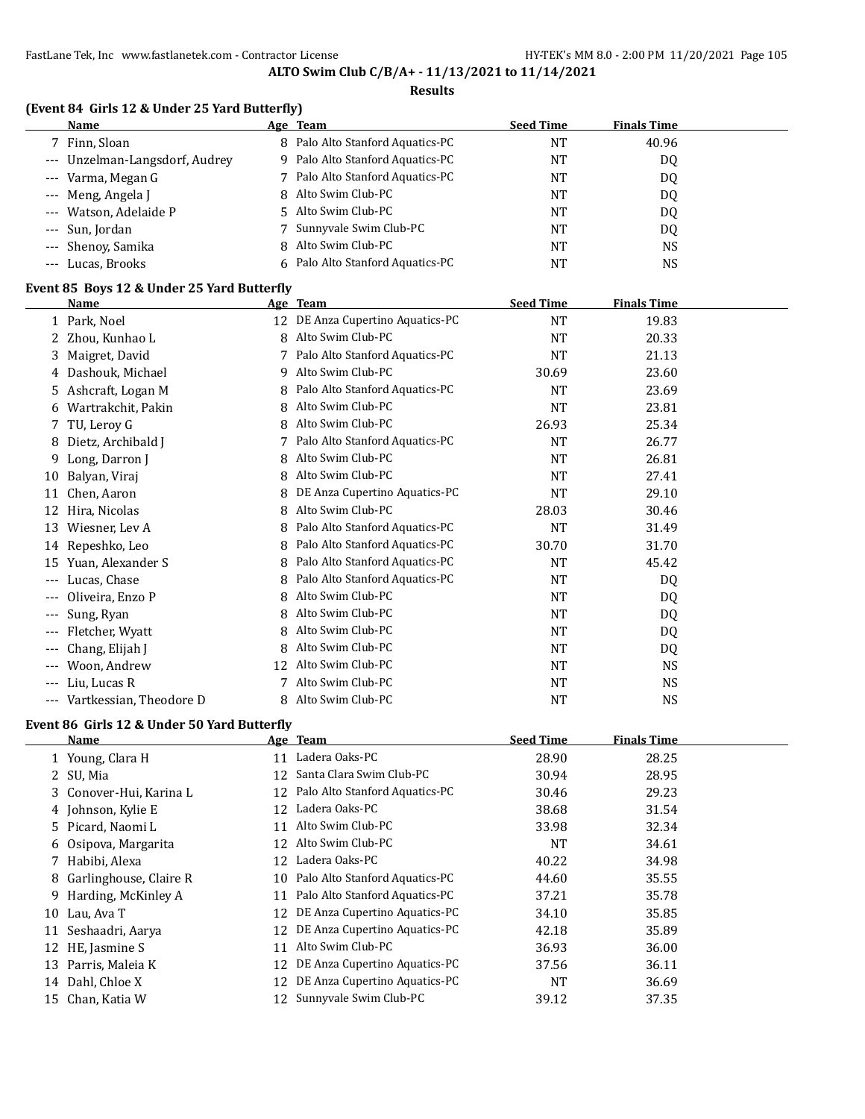#### **Results**

|  |  |  | (Event 84 Girls 12 & Under 25 Yard Butterfly) |
|--|--|--|-----------------------------------------------|
|--|--|--|-----------------------------------------------|

| Name                           | <u>Age Team</u>                  | <b>Seed Time</b> | <b>Finals Time</b> |  |
|--------------------------------|----------------------------------|------------------|--------------------|--|
| 7 Finn, Sloan                  | 8 Palo Alto Stanford Aquatics-PC | NT               | 40.96              |  |
| --- Unzelman-Langsdorf, Audrey | 9 Palo Alto Stanford Aquatics-PC | <b>NT</b>        | DQ                 |  |
| --- Varma, Megan G             | 7 Palo Alto Stanford Aquatics-PC | NT               | D <sub>0</sub>     |  |
| --- Meng, Angela J             | 8 Alto Swim Club-PC              | NT               | DQ                 |  |
| --- Watson, Adelaide P         | 5 Alto Swim Club-PC              | NT               | DQ                 |  |
| --- Sun, Jordan                | 7 Sunnyvale Swim Club-PC         | NT               | DQ                 |  |
| --- Shenoy, Samika             | 8 Alto Swim Club-PC              | NT               | NS                 |  |
| --- Lucas, Brooks              | 6 Palo Alto Stanford Aquatics-PC | NT               | NS                 |  |

# **Event 85 Boys 12 & Under 25 Yard Butterfly**

|       | <b>Name</b>                                 |    | Age Team                         | <b>Seed Time</b>                  | <b>Finals Time</b> |  |
|-------|---------------------------------------------|----|----------------------------------|-----------------------------------|--------------------|--|
|       | 1 Park, Noel                                |    | 12 DE Anza Cupertino Aquatics-PC | <b>NT</b>                         | 19.83              |  |
|       | Zhou, Kunhao L                              | 8  | Alto Swim Club-PC                | <b>NT</b>                         | 20.33              |  |
| 3.    | Maigret, David                              | 7  | Palo Alto Stanford Aquatics-PC   | NT                                | 21.13              |  |
| 4     | Dashouk, Michael                            | 9  | Alto Swim Club-PC                | 30.69                             | 23.60              |  |
| 5.    | Ashcraft, Logan M                           | 8  | Palo Alto Stanford Aquatics-PC   | <b>NT</b>                         | 23.69              |  |
| 6     | Wartrakchit, Pakin                          | 8  | Alto Swim Club-PC                | <b>NT</b>                         | 23.81              |  |
| 7     | TU, Leroy G                                 | 8  | Alto Swim Club-PC                | 26.93                             | 25.34              |  |
| 8     | Dietz, Archibald J                          |    | Palo Alto Stanford Aquatics-PC   | <b>NT</b>                         | 26.77              |  |
| 9.    | Long, Darron J                              | 8  | Alto Swim Club-PC                | <b>NT</b>                         | 26.81              |  |
| 10    | Balyan, Viraj                               | 8  | Alto Swim Club-PC                | NT                                | 27.41              |  |
| 11    | Chen, Aaron                                 | 8  | DE Anza Cupertino Aquatics-PC    | NT                                | 29.10              |  |
| 12    | Hira, Nicolas                               | 8  | Alto Swim Club-PC                | 28.03                             | 30.46              |  |
| 13    | Wiesner, Lev A                              | 8  | Palo Alto Stanford Aquatics-PC   | <b>NT</b>                         | 31.49              |  |
| 14    | Repeshko, Leo                               | 8  | Palo Alto Stanford Aquatics-PC   | 30.70                             | 31.70              |  |
| 15    | Yuan, Alexander S                           |    | Palo Alto Stanford Aquatics-PC   | <b>NT</b>                         | 45.42              |  |
| ---   | Lucas, Chase                                | 8  | Palo Alto Stanford Aquatics-PC   | <b>NT</b>                         | DQ                 |  |
|       | Oliveira, Enzo P                            | 8  | Alto Swim Club-PC                | <b>NT</b>                         | DQ                 |  |
|       | Sung, Ryan                                  | 8  | Alto Swim Club-PC                | <b>NT</b>                         | DQ                 |  |
| $---$ | Fletcher, Wyatt                             | 8  | Alto Swim Club-PC                | <b>NT</b>                         | DQ                 |  |
|       | Chang, Elijah J                             | 8  | Alto Swim Club-PC                | <b>NT</b>                         | DQ                 |  |
| $---$ | Woon, Andrew                                | 12 | Alto Swim Club-PC                | <b>NT</b>                         | <b>NS</b>          |  |
| $---$ | Liu, Lucas R                                |    | Alto Swim Club-PC                | <b>NT</b>                         | <b>NS</b>          |  |
| $---$ | Vartkessian, Theodore D                     | 8  | Alto Swim Club-PC                | <b>NT</b>                         | <b>NS</b>          |  |
|       | Event 86 Girls 12 & Under 50 Yard Butterfly |    |                                  |                                   |                    |  |
|       |                                             |    |                                  | $C = 1.5$ Theorem is a set of $T$ | Film a La Frican   |  |

|    | <b>Name</b>              |    | Age Team                          | <b>Seed Time</b> | <b>Finals Time</b> |
|----|--------------------------|----|-----------------------------------|------------------|--------------------|
|    | 1 Young, Clara H         | 11 | Ladera Oaks-PC                    | 28.90            | 28.25              |
|    | 2 SU, Mia                |    | 12 Santa Clara Swim Club-PC       | 30.94            | 28.95              |
|    | 3 Conover-Hui, Karina L  |    | 12 Palo Alto Stanford Aquatics-PC | 30.46            | 29.23              |
|    | 4 Johnson, Kylie E       |    | 12 Ladera Oaks-PC                 | 38.68            | 31.54              |
|    | 5 Picard, Naomi L        | 11 | Alto Swim Club-PC                 | 33.98            | 32.34              |
|    | 6 Osipova, Margarita     |    | 12 Alto Swim Club-PC              | <b>NT</b>        | 34.61              |
|    | 7 Habibi, Alexa          |    | 12 Ladera Oaks-PC                 | 40.22            | 34.98              |
|    | 8 Garlinghouse, Claire R |    | 10 Palo Alto Stanford Aquatics-PC | 44.60            | 35.55              |
|    | 9 Harding, McKinley A    |    | 11 Palo Alto Stanford Aquatics-PC | 37.21            | 35.78              |
| 10 | Lau, Ava T               |    | 12 DE Anza Cupertino Aquatics-PC  | 34.10            | 35.85              |
|    | 11 Seshaadri, Aarya      |    | 12 DE Anza Cupertino Aquatics-PC  | 42.18            | 35.89              |
|    | 12 HE, Jasmine S         | 11 | Alto Swim Club-PC                 | 36.93            | 36.00              |
|    | 13 Parris, Maleia K      |    | 12 DE Anza Cupertino Aquatics-PC  | 37.56            | 36.11              |
|    | 14 Dahl, Chloe X         |    | 12 DE Anza Cupertino Aquatics-PC  | <b>NT</b>        | 36.69              |
|    | 15 Chan, Katia W         |    | 12 Sunnyvale Swim Club-PC         | 39.12            | 37.35              |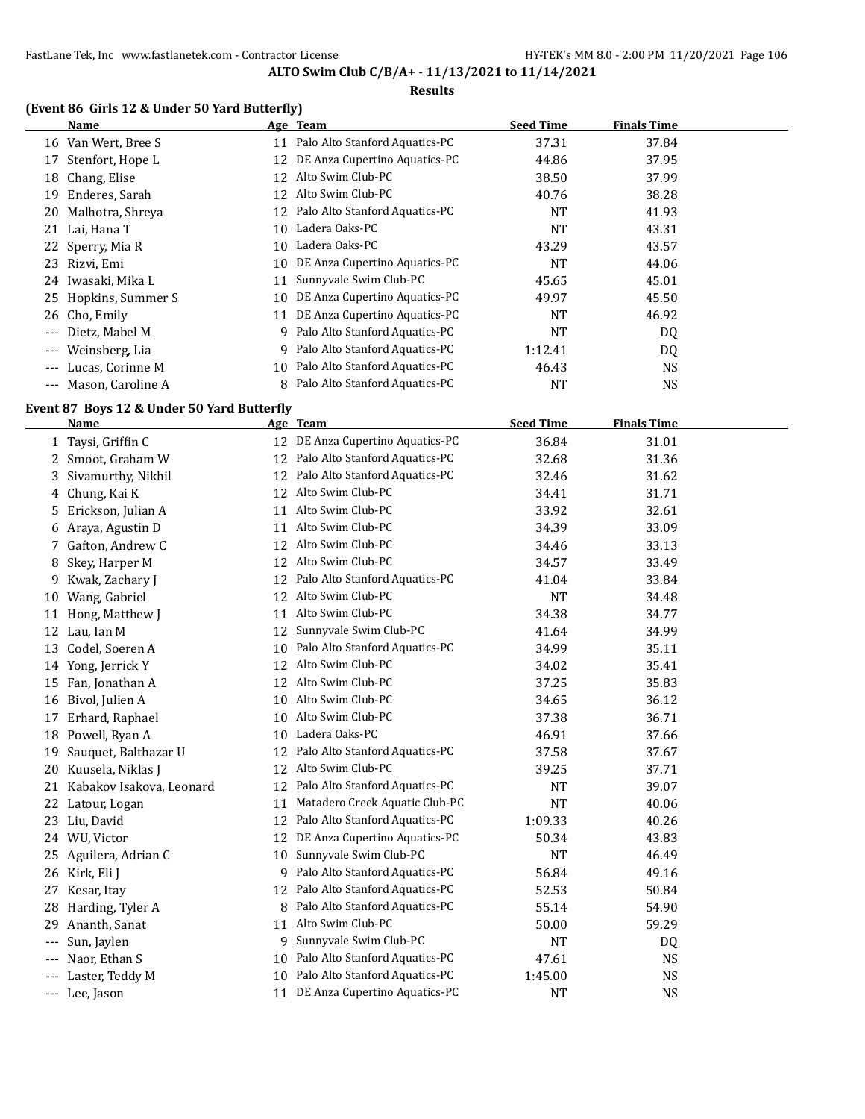#### **Results**

# **(Event 86 Girls 12 & Under 50 Yard Butterfly)**

|          | Name                  |    | Age Team                       | <b>Seed Time</b> | <b>Finals Time</b> |  |
|----------|-----------------------|----|--------------------------------|------------------|--------------------|--|
|          | 16 Van Wert, Bree S   | 11 | Palo Alto Stanford Aquatics-PC | 37.31            | 37.84              |  |
| 17       | Stenfort, Hope L      | 12 | DE Anza Cupertino Aquatics-PC  | 44.86            | 37.95              |  |
| 18       | Chang, Elise          | 12 | Alto Swim Club-PC              | 38.50            | 37.99              |  |
| 19       | Enderes, Sarah        | 12 | Alto Swim Club-PC              | 40.76            | 38.28              |  |
|          | 20 Malhotra, Shreya   | 12 | Palo Alto Stanford Aquatics-PC | <b>NT</b>        | 41.93              |  |
|          | 21 Lai, Hana T        | 10 | Ladera Oaks-PC                 | <b>NT</b>        | 43.31              |  |
|          | 22 Sperry, Mia R      | 10 | Ladera Oaks-PC                 | 43.29            | 43.57              |  |
| 23.      | Rizvi, Emi            | 10 | DE Anza Cupertino Aquatics-PC  | <b>NT</b>        | 44.06              |  |
| 24       | Iwasaki, Mika L       | 11 | Sunnyvale Swim Club-PC         | 45.65            | 45.01              |  |
|          | 25 Hopkins, Summer S  | 10 | DE Anza Cupertino Aquatics-PC  | 49.97            | 45.50              |  |
|          | 26 Cho, Emily         | 11 | DE Anza Cupertino Aquatics-PC  | <b>NT</b>        | 46.92              |  |
| $- - -$  | Dietz, Mabel M        | 9  | Palo Alto Stanford Aquatics-PC | <b>NT</b>        | DQ                 |  |
| $\cdots$ | Weinsberg, Lia        | 9  | Palo Alto Stanford Aquatics-PC | 1:12.41          | DQ                 |  |
| $\cdots$ | Lucas, Corinne M      | 10 | Palo Alto Stanford Aquatics-PC | 46.43            | NS.                |  |
|          | --- Mason, Caroline A |    | Palo Alto Stanford Aquatics-PC | NT               | NS                 |  |

# **Event 87 Boys 12 & Under 50 Yard Butterfly**

| <b>Name</b>              |    | Age Team                         | <b>Seed Time</b>        | <b>Finals Time</b> |                                                                             |
|--------------------------|----|----------------------------------|-------------------------|--------------------|-----------------------------------------------------------------------------|
| 1 Taysi, Griffin C       |    | 12 DE Anza Cupertino Aquatics-PC | 36.84                   | 31.01              |                                                                             |
| 2 Smoot, Graham W        | 12 | Palo Alto Stanford Aquatics-PC   | 32.68                   | 31.36              |                                                                             |
| Sivamurthy, Nikhil       | 12 | Palo Alto Stanford Aquatics-PC   | 32.46                   | 31.62              |                                                                             |
| Chung, Kai K             |    | 12 Alto Swim Club-PC             | 34.41                   | 31.71              |                                                                             |
| Erickson, Julian A       | 11 | Alto Swim Club-PC                | 33.92                   | 32.61              |                                                                             |
| Araya, Agustin D         | 11 | Alto Swim Club-PC                | 34.39                   | 33.09              |                                                                             |
| Gafton, Andrew C         | 12 | Alto Swim Club-PC                | 34.46                   | 33.13              |                                                                             |
| Skey, Harper M           | 12 | Alto Swim Club-PC                | 34.57                   | 33.49              |                                                                             |
| Kwak, Zachary J          | 12 | Palo Alto Stanford Aquatics-PC   | 41.04                   | 33.84              |                                                                             |
| Wang, Gabriel            | 12 | Alto Swim Club-PC                | <b>NT</b>               | 34.48              |                                                                             |
| Hong, Matthew J          | 11 | Alto Swim Club-PC                | 34.38                   | 34.77              |                                                                             |
| Lau, Ian M               | 12 | Sunnyvale Swim Club-PC           | 41.64                   | 34.99              |                                                                             |
| Codel, Soeren A          | 10 | Palo Alto Stanford Aquatics-PC   | 34.99                   | 35.11              |                                                                             |
| Yong, Jerrick Y          | 12 | Alto Swim Club-PC                | 34.02                   | 35.41              |                                                                             |
| Fan, Jonathan A          |    |                                  | 37.25                   | 35.83              |                                                                             |
| Bivol, Julien A          | 10 | Alto Swim Club-PC                | 34.65                   | 36.12              |                                                                             |
| Erhard, Raphael          | 10 | Alto Swim Club-PC                | 37.38                   | 36.71              |                                                                             |
| Powell, Ryan A           | 10 | Ladera Oaks-PC                   | 46.91                   | 37.66              |                                                                             |
| Sauquet, Balthazar U     | 12 | Palo Alto Stanford Aquatics-PC   | 37.58                   | 37.67              |                                                                             |
| Kuusela, Niklas J        | 12 | Alto Swim Club-PC                | 39.25                   | 37.71              |                                                                             |
| Kabakov Isakova, Leonard | 12 | Palo Alto Stanford Aquatics-PC   | <b>NT</b>               | 39.07              |                                                                             |
| Latour, Logan            | 11 | Matadero Creek Aquatic Club-PC   | <b>NT</b>               | 40.06              |                                                                             |
| Liu, David               | 12 | Palo Alto Stanford Aquatics-PC   | 1:09.33                 | 40.26              |                                                                             |
| 24 WU, Victor            | 12 | DE Anza Cupertino Aquatics-PC    | 50.34                   | 43.83              |                                                                             |
| 25 Aguilera, Adrian C    | 10 | Sunnyvale Swim Club-PC           | <b>NT</b>               | 46.49              |                                                                             |
| Kirk, Eli J              | 9  | Palo Alto Stanford Aquatics-PC   | 56.84                   | 49.16              |                                                                             |
| Kesar, Itay              | 12 | Palo Alto Stanford Aquatics-PC   | 52.53                   | 50.84              |                                                                             |
| Harding, Tyler A         | 8  | Palo Alto Stanford Aquatics-PC   | 55.14                   | 54.90              |                                                                             |
| Ananth, Sanat            | 11 | Alto Swim Club-PC                | 50.00                   | 59.29              |                                                                             |
| Sun, Jaylen              | 9  | Sunnyvale Swim Club-PC           | <b>NT</b>               | DQ                 |                                                                             |
| Naor, Ethan S            | 10 | Palo Alto Stanford Aquatics-PC   | 47.61                   | <b>NS</b>          |                                                                             |
| Laster, Teddy M          | 10 | Palo Alto Stanford Aquatics-PC   | 1:45.00                 | <b>NS</b>          |                                                                             |
|                          |    |                                  |                         |                    |                                                                             |
|                          |    |                                  | Alto Swim Club-PC<br>12 |                    | DE Anza Cupertino Aquatics-PC<br><b>NT</b><br><b>NS</b><br>Lee, Jason<br>11 |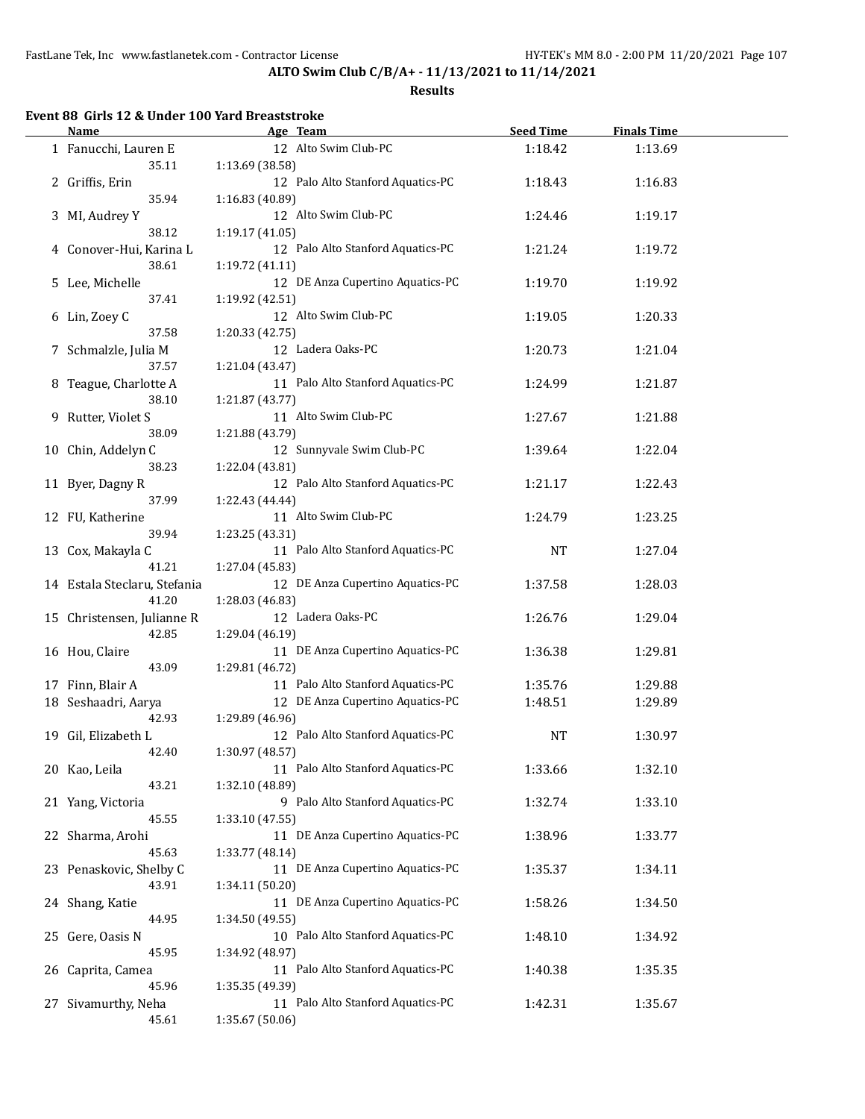#### **Results**

# **Event 88 Girls 12 & Under 100 Yard Breaststroke**

 $\overline{a}$ 

|    | <b>Name</b>                  | Age Team                          | <b>Seed Time</b> | <b>Finals Time</b> |  |
|----|------------------------------|-----------------------------------|------------------|--------------------|--|
|    | 1 Fanucchi, Lauren E         | 12 Alto Swim Club-PC              | 1:18.42          | 1:13.69            |  |
|    | 35.11                        | 1:13.69 (38.58)                   |                  |                    |  |
|    | 2 Griffis, Erin              | 12 Palo Alto Stanford Aquatics-PC | 1:18.43          | 1:16.83            |  |
|    | 35.94                        | 1:16.83 (40.89)                   |                  |                    |  |
|    | 3 MI, Audrey Y               | 12 Alto Swim Club-PC              | 1:24.46          | 1:19.17            |  |
|    | 38.12                        | 1:19.17 (41.05)                   |                  |                    |  |
|    |                              | 12 Palo Alto Stanford Aquatics-PC |                  |                    |  |
|    | 4 Conover-Hui, Karina L      |                                   | 1:21.24          | 1:19.72            |  |
|    | 38.61                        | 1:19.72 (41.11)                   |                  |                    |  |
|    | 5 Lee, Michelle              | 12 DE Anza Cupertino Aquatics-PC  | 1:19.70          | 1:19.92            |  |
|    | 37.41                        | 1:19.92 (42.51)                   |                  |                    |  |
|    | 6 Lin, Zoey C                | 12 Alto Swim Club-PC              | 1:19.05          | 1:20.33            |  |
|    | 37.58                        | 1:20.33 (42.75)                   |                  |                    |  |
|    | 7 Schmalzle, Julia M         | 12 Ladera Oaks-PC                 | 1:20.73          | 1:21.04            |  |
|    | 37.57                        | 1:21.04 (43.47)                   |                  |                    |  |
|    | 8 Teague, Charlotte A        | 11 Palo Alto Stanford Aquatics-PC | 1:24.99          | 1:21.87            |  |
|    | 38.10                        | 1:21.87 (43.77)                   |                  |                    |  |
|    | 9 Rutter, Violet S           | 11 Alto Swim Club-PC              | 1:27.67          | 1:21.88            |  |
|    | 38.09                        | 1:21.88 (43.79)                   |                  |                    |  |
|    | 10 Chin, Addelyn C           | 12 Sunnyvale Swim Club-PC         | 1:39.64          | 1:22.04            |  |
|    | 38.23                        | 1:22.04 (43.81)                   |                  |                    |  |
|    |                              | 12 Palo Alto Stanford Aquatics-PC |                  |                    |  |
|    | 11 Byer, Dagny R             |                                   | 1:21.17          | 1:22.43            |  |
|    | 37.99                        | 1:22.43 (44.44)                   |                  |                    |  |
|    | 12 FU, Katherine             | 11 Alto Swim Club-PC              | 1:24.79          | 1:23.25            |  |
|    | 39.94                        | 1:23.25 (43.31)                   |                  |                    |  |
|    | 13 Cox, Makayla C            | 11 Palo Alto Stanford Aquatics-PC | <b>NT</b>        | 1:27.04            |  |
|    | 41.21                        | 1:27.04 (45.83)                   |                  |                    |  |
|    | 14 Estala Steclaru, Stefania | 12 DE Anza Cupertino Aquatics-PC  | 1:37.58          | 1:28.03            |  |
|    | 41.20                        | 1:28.03 (46.83)                   |                  |                    |  |
|    | 15 Christensen, Julianne R   | 12 Ladera Oaks-PC                 | 1:26.76          | 1:29.04            |  |
|    | 42.85                        | 1:29.04 (46.19)                   |                  |                    |  |
|    | 16 Hou, Claire               | 11 DE Anza Cupertino Aquatics-PC  | 1:36.38          | 1:29.81            |  |
|    | 43.09                        | 1:29.81 (46.72)                   |                  |                    |  |
|    | 17 Finn, Blair A             | 11 Palo Alto Stanford Aquatics-PC | 1:35.76          | 1:29.88            |  |
|    | 18 Seshaadri, Aarya          | 12 DE Anza Cupertino Aquatics-PC  | 1:48.51          | 1:29.89            |  |
|    |                              |                                   |                  |                    |  |
|    | 42.93                        | 1:29.89 (46.96)                   |                  |                    |  |
| 19 | Gil, Elizabeth L             | 12 Palo Alto Stanford Aquatics-PC | NT               | 1:30.97            |  |
|    | 42.40                        | 1:30.97 (48.57)                   |                  |                    |  |
|    | 20 Kao, Leila                | 11 Palo Alto Stanford Aquatics-PC | 1:33.66          | 1:32.10            |  |
|    | 43.21                        | 1:32.10 (48.89)                   |                  |                    |  |
|    | 21 Yang, Victoria            | 9 Palo Alto Stanford Aquatics-PC  | 1:32.74          | 1:33.10            |  |
|    | 45.55                        | 1:33.10(47.55)                    |                  |                    |  |
| 22 | Sharma, Arohi                | 11 DE Anza Cupertino Aquatics-PC  | 1:38.96          | 1:33.77            |  |
|    | 45.63                        | 1:33.77 (48.14)                   |                  |                    |  |
|    | 23 Penaskovic, Shelby C      | 11 DE Anza Cupertino Aquatics-PC  | 1:35.37          | 1:34.11            |  |
|    | 43.91                        | 1:34.11 (50.20)                   |                  |                    |  |
|    | 24 Shang, Katie              | 11 DE Anza Cupertino Aquatics-PC  | 1:58.26          | 1:34.50            |  |
|    | 44.95                        | 1:34.50 (49.55)                   |                  |                    |  |
|    | 25 Gere, Oasis N             | 10 Palo Alto Stanford Aquatics-PC | 1:48.10          | 1:34.92            |  |
|    | 45.95                        | 1:34.92 (48.97)                   |                  |                    |  |
|    |                              | 11 Palo Alto Stanford Aquatics-PC |                  |                    |  |
|    | 26 Caprita, Camea            |                                   | 1:40.38          | 1:35.35            |  |
|    | 45.96                        | 1:35.35 (49.39)                   |                  |                    |  |
|    | 27 Sivamurthy, Neha          | 11 Palo Alto Stanford Aquatics-PC | 1:42.31          | 1:35.67            |  |
|    | 45.61                        | 1:35.67 (50.06)                   |                  |                    |  |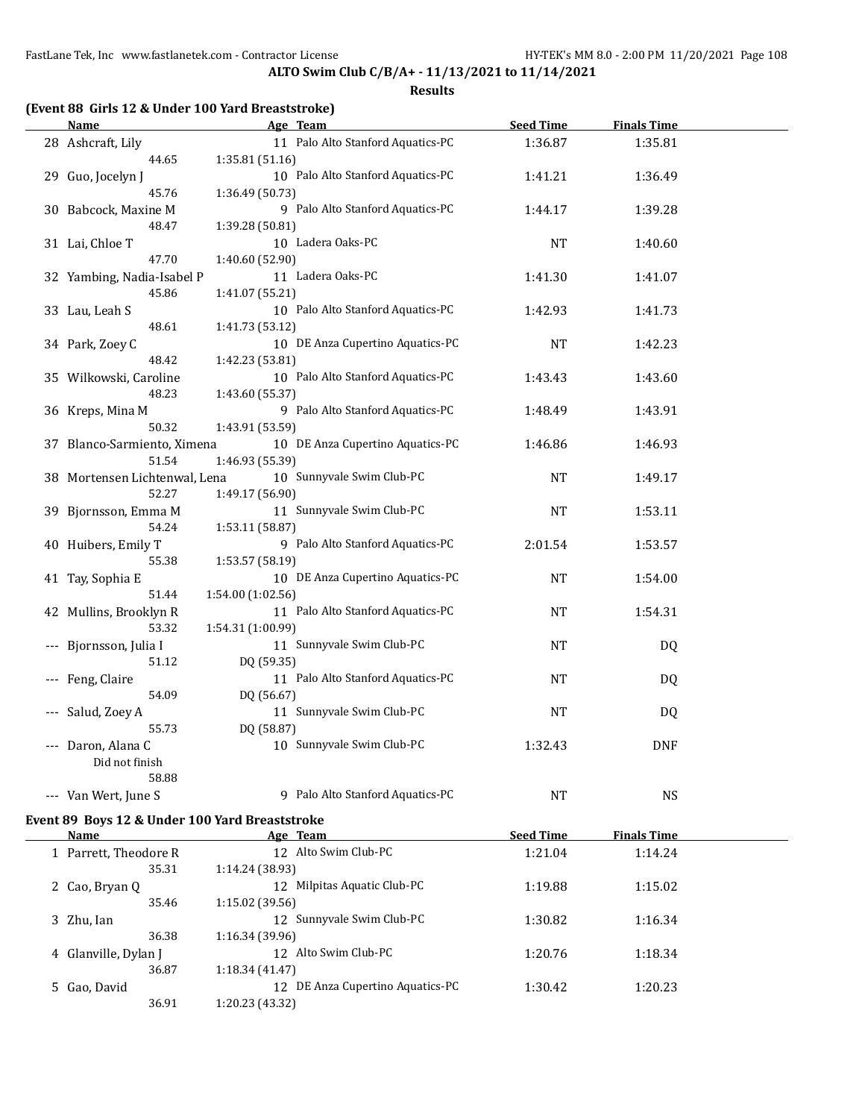**ALTO Swim Club C/B/A+ - 11/13/2021 to 11/14/2021**

#### **Results**

# **(Event 88 Girls 12 & Under 100 Yard Breaststroke)**

| <b>Name</b>                                    | Age Team                                     | <b>Seed Time</b> | <b>Finals Time</b> |  |
|------------------------------------------------|----------------------------------------------|------------------|--------------------|--|
| 28 Ashcraft, Lily                              | 11 Palo Alto Stanford Aquatics-PC            | 1:36.87          | 1:35.81            |  |
| 44.65                                          | 1:35.81 (51.16)                              |                  |                    |  |
| 29 Guo, Jocelyn J                              | 10 Palo Alto Stanford Aquatics-PC            | 1:41.21          | 1:36.49            |  |
| 45.76                                          | 1:36.49 (50.73)                              |                  |                    |  |
| 30 Babcock, Maxine M                           | 9 Palo Alto Stanford Aquatics-PC             | 1:44.17          | 1:39.28            |  |
| 48.47                                          | 1:39.28 (50.81)                              |                  |                    |  |
| 31 Lai, Chloe T                                | 10 Ladera Oaks-PC                            | NT               | 1:40.60            |  |
| 47.70                                          | 1:40.60 (52.90)                              |                  |                    |  |
| 32 Yambing, Nadia-Isabel P                     | 11 Ladera Oaks-PC                            | 1:41.30          | 1:41.07            |  |
| 45.86                                          | 1:41.07 (55.21)                              |                  |                    |  |
| 33 Lau, Leah S                                 | 10 Palo Alto Stanford Aquatics-PC            | 1:42.93          | 1:41.73            |  |
| 48.61                                          | 1:41.73 (53.12)                              |                  |                    |  |
| 34 Park, Zoey C                                | 10 DE Anza Cupertino Aquatics-PC             | NT               | 1:42.23            |  |
| 48.42                                          | 1:42.23 (53.81)                              |                  |                    |  |
| 35 Wilkowski, Caroline                         | 10 Palo Alto Stanford Aquatics-PC            | 1:43.43          | 1:43.60            |  |
| 48.23                                          | 1:43.60 (55.37)                              |                  |                    |  |
| 36 Kreps, Mina M                               | 9 Palo Alto Stanford Aquatics-PC             | 1:48.49          | 1:43.91            |  |
| 50.32                                          | 1:43.91 (53.59)                              |                  |                    |  |
| 37 Blanco-Sarmiento, Ximena                    | 10 DE Anza Cupertino Aquatics-PC             | 1:46.86          | 1:46.93            |  |
| 51.54                                          | 1:46.93 (55.39)<br>10 Sunnyvale Swim Club-PC |                  |                    |  |
| 38 Mortensen Lichtenwal, Lena<br>52.27         | 1:49.17 (56.90)                              | NT               | 1:49.17            |  |
| 39 Bjornsson, Emma M                           | 11 Sunnyvale Swim Club-PC                    | NT               | 1:53.11            |  |
| 54.24                                          | 1:53.11 (58.87)                              |                  |                    |  |
| 40 Huibers, Emily T                            | 9 Palo Alto Stanford Aquatics-PC             | 2:01.54          | 1:53.57            |  |
| 55.38                                          | 1:53.57 (58.19)                              |                  |                    |  |
| 41 Tay, Sophia E                               | 10 DE Anza Cupertino Aquatics-PC             | NT               | 1:54.00            |  |
| 51.44                                          | 1:54.00 (1:02.56)                            |                  |                    |  |
| 42 Mullins, Brooklyn R                         | 11 Palo Alto Stanford Aquatics-PC            | NT               | 1:54.31            |  |
| 53.32                                          | 1:54.31 (1:00.99)                            |                  |                    |  |
| Bjornsson, Julia I                             | 11 Sunnyvale Swim Club-PC                    | $\rm{NT}$        | <b>DQ</b>          |  |
| 51.12                                          | DQ (59.35)                                   |                  |                    |  |
| Feng, Claire                                   | 11 Palo Alto Stanford Aquatics-PC            | NT               | <b>DQ</b>          |  |
| 54.09                                          | DQ (56.67)                                   |                  |                    |  |
| Salud, Zoey A                                  | 11 Sunnyvale Swim Club-PC                    | NT               | DQ                 |  |
| 55.73                                          | DQ (58.87)                                   |                  |                    |  |
| --- Daron, Alana C                             | 10 Sunnyvale Swim Club-PC                    | 1:32.43          | <b>DNF</b>         |  |
| Did not finish                                 |                                              |                  |                    |  |
| 58.88                                          |                                              |                  |                    |  |
| --- Van Wert, June S                           | 9 Palo Alto Stanford Aquatics-PC             | <b>NT</b>        | <b>NS</b>          |  |
| Event 89 Boys 12 & Under 100 Yard Breaststroke |                                              |                  |                    |  |

| Name                    | Age Team                                  | <b>Seed Time</b> | <b>Finals Time</b> |  |
|-------------------------|-------------------------------------------|------------------|--------------------|--|
| 1 Parrett, Theodore R   | 12 Alto Swim Club-PC                      | 1:21.04          | 1:14.24            |  |
| 35.31                   | 1:14.24 (38.93)                           |                  |                    |  |
| 2 Cao, Bryan Q          | Milpitas Aquatic Club-PC<br>12            | 1:19.88          | 1:15.02            |  |
| 35.46                   | 1:15.02 (39.56)                           |                  |                    |  |
| 3 Zhu, Ian              | Sunnyvale Swim Club-PC<br>12 <sup>1</sup> | 1:30.82          | 1:16.34            |  |
| 36.38                   | 1:16.34(39.96)                            |                  |                    |  |
| Glanville, Dylan J<br>4 | 12 Alto Swim Club-PC                      | 1:20.76          | 1:18.34            |  |
| 36.87                   | 1:18.34(41.47)                            |                  |                    |  |
| 5 Gao, David            | DE Anza Cupertino Aquatics-PC<br>12       | 1:30.42          | 1:20.23            |  |
| 36.91                   | 1:20.23 (43.32)                           |                  |                    |  |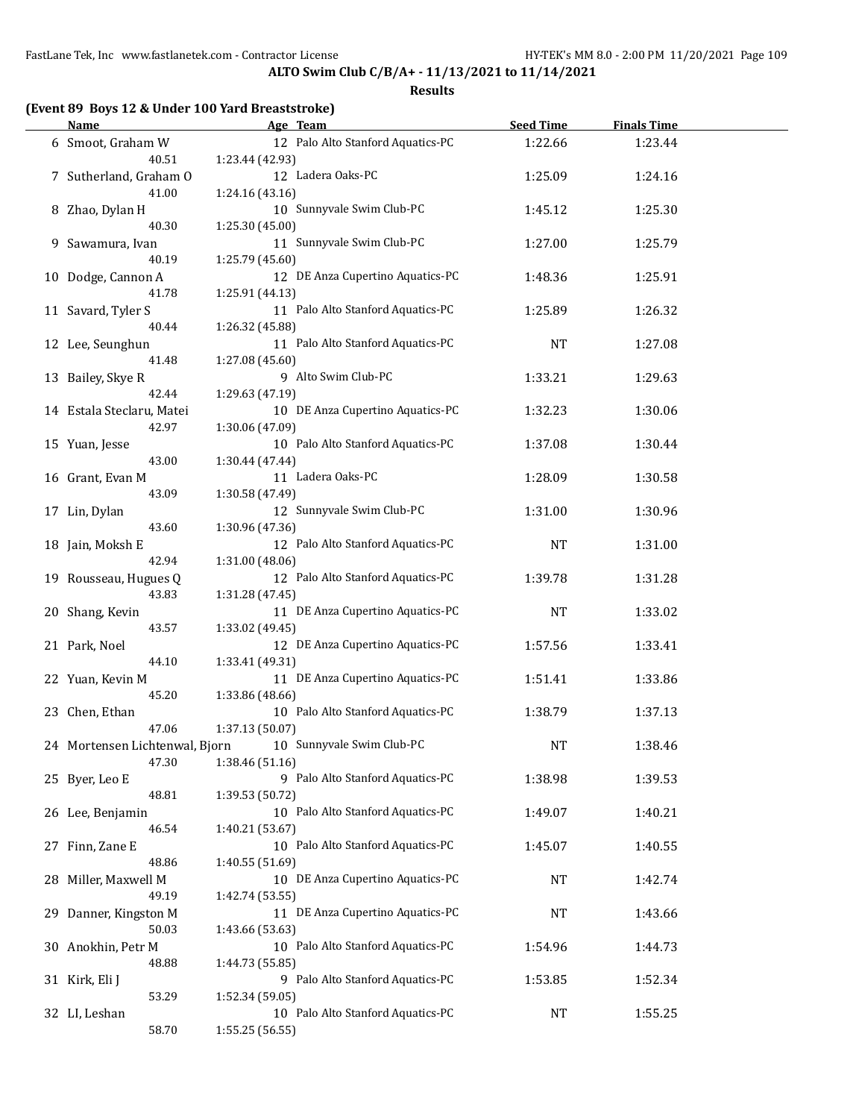**ALTO Swim Club C/B/A+ - 11/13/2021 to 11/14/2021**

#### **Results**

# **(Event 89 Boys 12 & Under 100 Yard Breaststroke)**

| <b>Name</b>                    | Age Team                          | <b>Seed Time</b> | <b>Finals Time</b> |  |
|--------------------------------|-----------------------------------|------------------|--------------------|--|
| 6 Smoot, Graham W              | 12 Palo Alto Stanford Aquatics-PC | 1:22.66          | 1:23.44            |  |
| 40.51                          | 1:23.44 (42.93)                   |                  |                    |  |
| 7 Sutherland, Graham O         | 12 Ladera Oaks-PC                 | 1:25.09          | 1:24.16            |  |
| 41.00                          | 1:24.16 (43.16)                   |                  |                    |  |
| 8 Zhao, Dylan H                | 10 Sunnyvale Swim Club-PC         | 1:45.12          | 1:25.30            |  |
| 40.30                          | 1:25.30 (45.00)                   |                  |                    |  |
| 9 Sawamura, Ivan               | 11 Sunnyvale Swim Club-PC         | 1:27.00          | 1:25.79            |  |
| 40.19                          | 1:25.79 (45.60)                   |                  |                    |  |
| 10 Dodge, Cannon A             | 12 DE Anza Cupertino Aquatics-PC  | 1:48.36          | 1:25.91            |  |
| 41.78                          | 1:25.91 (44.13)                   |                  |                    |  |
| 11 Savard, Tyler S             | 11 Palo Alto Stanford Aquatics-PC | 1:25.89          | 1:26.32            |  |
| 40.44                          | 1:26.32 (45.88)                   |                  |                    |  |
| 12 Lee, Seunghun               | 11 Palo Alto Stanford Aquatics-PC | <b>NT</b>        | 1:27.08            |  |
| 41.48                          | 1:27.08 (45.60)                   |                  |                    |  |
| 13 Bailey, Skye R              | 9 Alto Swim Club-PC               | 1:33.21          | 1:29.63            |  |
| 42.44                          | 1:29.63 (47.19)                   |                  |                    |  |
| 14 Estala Steclaru, Matei      | 10 DE Anza Cupertino Aquatics-PC  | 1:32.23          | 1:30.06            |  |
| 42.97                          | 1:30.06 (47.09)                   |                  |                    |  |
|                                | 10 Palo Alto Stanford Aquatics-PC |                  |                    |  |
| 15 Yuan, Jesse                 |                                   | 1:37.08          | 1:30.44            |  |
| 43.00                          | 1:30.44 (47.44)                   |                  |                    |  |
| 16 Grant, Evan M               | 11 Ladera Oaks-PC                 | 1:28.09          | 1:30.58            |  |
| 43.09                          | 1:30.58 (47.49)                   |                  |                    |  |
| 17 Lin, Dylan                  | 12 Sunnyvale Swim Club-PC         | 1:31.00          | 1:30.96            |  |
| 43.60                          | 1:30.96 (47.36)                   |                  |                    |  |
| 18 Jain, Moksh E               | 12 Palo Alto Stanford Aquatics-PC | <b>NT</b>        | 1:31.00            |  |
| 42.94                          | 1:31.00 (48.06)                   |                  |                    |  |
| 19 Rousseau, Hugues Q          | 12 Palo Alto Stanford Aquatics-PC | 1:39.78          | 1:31.28            |  |
| 43.83                          | 1:31.28 (47.45)                   |                  |                    |  |
| 20 Shang, Kevin                | 11 DE Anza Cupertino Aquatics-PC  | <b>NT</b>        | 1:33.02            |  |
| 43.57                          | 1:33.02 (49.45)                   |                  |                    |  |
| 21 Park, Noel                  | 12 DE Anza Cupertino Aquatics-PC  | 1:57.56          | 1:33.41            |  |
| 44.10                          | 1:33.41 (49.31)                   |                  |                    |  |
| 22 Yuan, Kevin M               | 11 DE Anza Cupertino Aquatics-PC  | 1:51.41          | 1:33.86            |  |
| 45.20                          | 1:33.86 (48.66)                   |                  |                    |  |
| 23 Chen, Ethan                 | 10 Palo Alto Stanford Aquatics-PC | 1:38.79          | 1:37.13            |  |
| 47.06                          | 1:37.13 (50.07)                   |                  |                    |  |
| 24 Mortensen Lichtenwal, Bjorn | 10 Sunnyvale Swim Club-PC         | <b>NT</b>        | 1:38.46            |  |
| 47.30                          | 1:38.46 (51.16)                   |                  |                    |  |
| 25 Byer, Leo E                 | 9 Palo Alto Stanford Aquatics-PC  | 1:38.98          | 1:39.53            |  |
| 48.81                          | 1:39.53 (50.72)                   |                  |                    |  |
| 26 Lee, Benjamin               | 10 Palo Alto Stanford Aquatics-PC | 1:49.07          | 1:40.21            |  |
| 46.54                          | 1:40.21 (53.67)                   |                  |                    |  |
| 27 Finn, Zane E                | 10 Palo Alto Stanford Aquatics-PC | 1:45.07          | 1:40.55            |  |
| 48.86                          | 1:40.55 (51.69)                   |                  |                    |  |
| 28 Miller, Maxwell M           | 10 DE Anza Cupertino Aquatics-PC  | <b>NT</b>        | 1:42.74            |  |
| 49.19                          | 1:42.74 (53.55)                   |                  |                    |  |
| 29 Danner, Kingston M          | 11 DE Anza Cupertino Aquatics-PC  | <b>NT</b>        | 1:43.66            |  |
| 50.03                          | 1:43.66 (53.63)                   |                  |                    |  |
| 30 Anokhin, Petr M             | 10 Palo Alto Stanford Aquatics-PC | 1:54.96          | 1:44.73            |  |
| 48.88                          | 1:44.73 (55.85)                   |                  |                    |  |
| 31 Kirk, Eli J                 | 9 Palo Alto Stanford Aquatics-PC  | 1:53.85          | 1:52.34            |  |
| 53.29                          | 1:52.34 (59.05)                   |                  |                    |  |
| 32 LI, Leshan                  | 10 Palo Alto Stanford Aquatics-PC | <b>NT</b>        | 1:55.25            |  |
| 58.70                          | 1:55.25 (56.55)                   |                  |                    |  |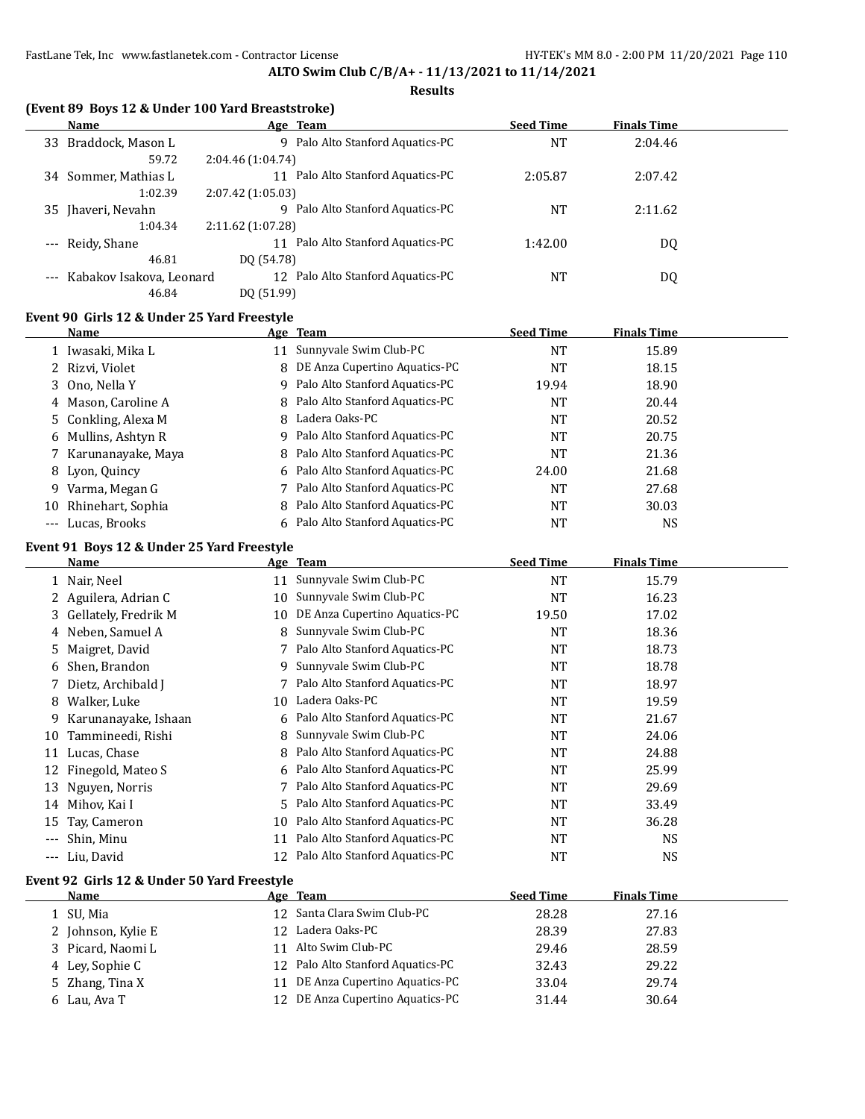#### **Results**

|  |  |  | (Event 89 Boys 12 & Under 100 Yard Breaststroke) |
|--|--|--|--------------------------------------------------|
|--|--|--|--------------------------------------------------|

|                     | Name                     | Age Team                             | <b>Seed Time</b> | <b>Finals Time</b> |  |
|---------------------|--------------------------|--------------------------------------|------------------|--------------------|--|
| 33                  | Braddock, Mason L        | 9 Palo Alto Stanford Aquatics-PC     | <b>NT</b>        | 2:04.46            |  |
|                     | 59.72                    | 2:04.46 (1:04.74)                    |                  |                    |  |
|                     | 34 Sommer, Mathias L     | Palo Alto Stanford Aquatics-PC<br>11 | 2:05.87          | 2:07.42            |  |
|                     | 1:02.39                  | 2:07.42 (1:05.03)                    |                  |                    |  |
|                     | 35 Jhaveri, Nevahn       | Palo Alto Stanford Aquatics-PC<br>q  | <b>NT</b>        | 2:11.62            |  |
|                     | 1:04.34                  | 2:11.62 (1:07.28)                    |                  |                    |  |
| $\qquad \qquad - -$ | Reidy, Shane             | Palo Alto Stanford Aquatics-PC<br>11 | 1:42.00          | DQ                 |  |
|                     | 46.81                    | DO (54.78)                           |                  |                    |  |
| $\qquad \qquad - -$ | Kabakov Isakova, Leonard | 12 Palo Alto Stanford Aquatics-PC    | NT               | DQ                 |  |
|                     | 46.84                    | DO (51.99)                           |                  |                    |  |

#### **Event 90 Girls 12 & Under 25 Yard Freestyle**

|    | Name                 |    | Age Team                         | <b>Seed Time</b> | <b>Finals Time</b> |  |
|----|----------------------|----|----------------------------------|------------------|--------------------|--|
|    | 1 Iwasaki, Mika L    | 11 | Sunnyvale Swim Club-PC           | NT               | 15.89              |  |
|    | 2 Rizvi, Violet      |    | 8 DE Anza Cupertino Aquatics-PC  | <b>NT</b>        | 18.15              |  |
|    | 3 Ono, Nella Y       |    | 9 Palo Alto Stanford Aquatics-PC | 19.94            | 18.90              |  |
|    | 4 Mason, Caroline A  |    | 8 Palo Alto Stanford Aquatics-PC | NT               | 20.44              |  |
|    | 5 Conkling, Alexa M  |    | 8 Ladera Oaks-PC                 | <b>NT</b>        | 20.52              |  |
|    | 6 Mullins, Ashtyn R  |    | 9 Palo Alto Stanford Aquatics-PC | NT               | 20.75              |  |
|    | 7 Karunanayake, Maya |    | 8 Palo Alto Stanford Aquatics-PC | NT               | 21.36              |  |
|    | 8 Lyon, Quincy       |    | 6 Palo Alto Stanford Aquatics-PC | 24.00            | 21.68              |  |
| 9. | Varma, Megan G       |    | 7 Palo Alto Stanford Aquatics-PC | NT               | 27.68              |  |
| 10 | Rhinehart, Sophia    |    | 8 Palo Alto Stanford Aquatics-PC | NT               | 30.03              |  |
|    | --- Lucas, Brooks    |    | 6 Palo Alto Stanford Aquatics-PC | NT               | NS.                |  |

#### **Event 91 Boys 12 & Under 25 Yard Freestyle**

|       | Name                   |    | Age Team                       | <b>Seed Time</b> | <b>Finals Time</b> |  |
|-------|------------------------|----|--------------------------------|------------------|--------------------|--|
|       | 1 Nair, Neel           | 11 | Sunnyvale Swim Club-PC         | NT               | 15.79              |  |
|       | 2 Aguilera, Adrian C   | 10 | Sunnyvale Swim Club-PC         | <b>NT</b>        | 16.23              |  |
|       | 3 Gellately, Fredrik M | 10 | DE Anza Cupertino Aquatics-PC  | 19.50            | 17.02              |  |
|       | 4 Neben, Samuel A      | 8  | Sunnyvale Swim Club-PC         | <b>NT</b>        | 18.36              |  |
| 5.    | Maigret, David         |    | Palo Alto Stanford Aquatics-PC | <b>NT</b>        | 18.73              |  |
| 6     | Shen, Brandon          | 9  | Sunnyvale Swim Club-PC         | <b>NT</b>        | 18.78              |  |
|       | 7 Dietz, Archibald J   |    | Palo Alto Stanford Aquatics-PC | NT               | 18.97              |  |
| 8     | Walker, Luke           | 10 | Ladera Oaks-PC                 | NT               | 19.59              |  |
| 9.    | Karunanayake, Ishaan   | 6  | Palo Alto Stanford Aquatics-PC | <b>NT</b>        | 21.67              |  |
| 10    | Tammineedi, Rishi      | 8. | Sunnyvale Swim Club-PC         | <b>NT</b>        | 24.06              |  |
| 11    | Lucas, Chase           | 8  | Palo Alto Stanford Aquatics-PC | <b>NT</b>        | 24.88              |  |
| 12    | Finegold, Mateo S      | 6  | Palo Alto Stanford Aquatics-PC | <b>NT</b>        | 25.99              |  |
| 13    | Nguyen, Norris         |    | Palo Alto Stanford Aquatics-PC | <b>NT</b>        | 29.69              |  |
| 14    | Mihov, Kai I           | 5. | Palo Alto Stanford Aquatics-PC | <b>NT</b>        | 33.49              |  |
| 15    | Tay, Cameron           | 10 | Palo Alto Stanford Aquatics-PC | <b>NT</b>        | 36.28              |  |
| $---$ | Shin, Minu             | 11 | Palo Alto Stanford Aquatics-PC | <b>NT</b>        | <b>NS</b>          |  |
| $---$ | Liu, David             | 12 | Palo Alto Stanford Aquatics-PC | NT               | NS                 |  |

#### **Event 92 Girls 12 & Under 50 Yard Freestyle**

| Name               | Age Team                          | <b>Seed Time</b> | <b>Finals Time</b> |  |
|--------------------|-----------------------------------|------------------|--------------------|--|
| 1 SU, Mia          | 12 Santa Clara Swim Club-PC       | 28.28            | 27.16              |  |
| 2 Johnson, Kylie E | 12 Ladera Oaks-PC                 | 28.39            | 27.83              |  |
| 3 Picard, Naomi L  | Alto Swim Club-PC                 | 29.46            | 28.59              |  |
| 4 Ley, Sophie C    | 12 Palo Alto Stanford Aquatics-PC | 32.43            | 29.22              |  |
| 5 Zhang, Tina X    | 11 DE Anza Cupertino Aquatics-PC  | 33.04            | 29.74              |  |
| 6 Lau, Ava T       | 12 DE Anza Cupertino Aquatics-PC  | 31.44            | 30.64              |  |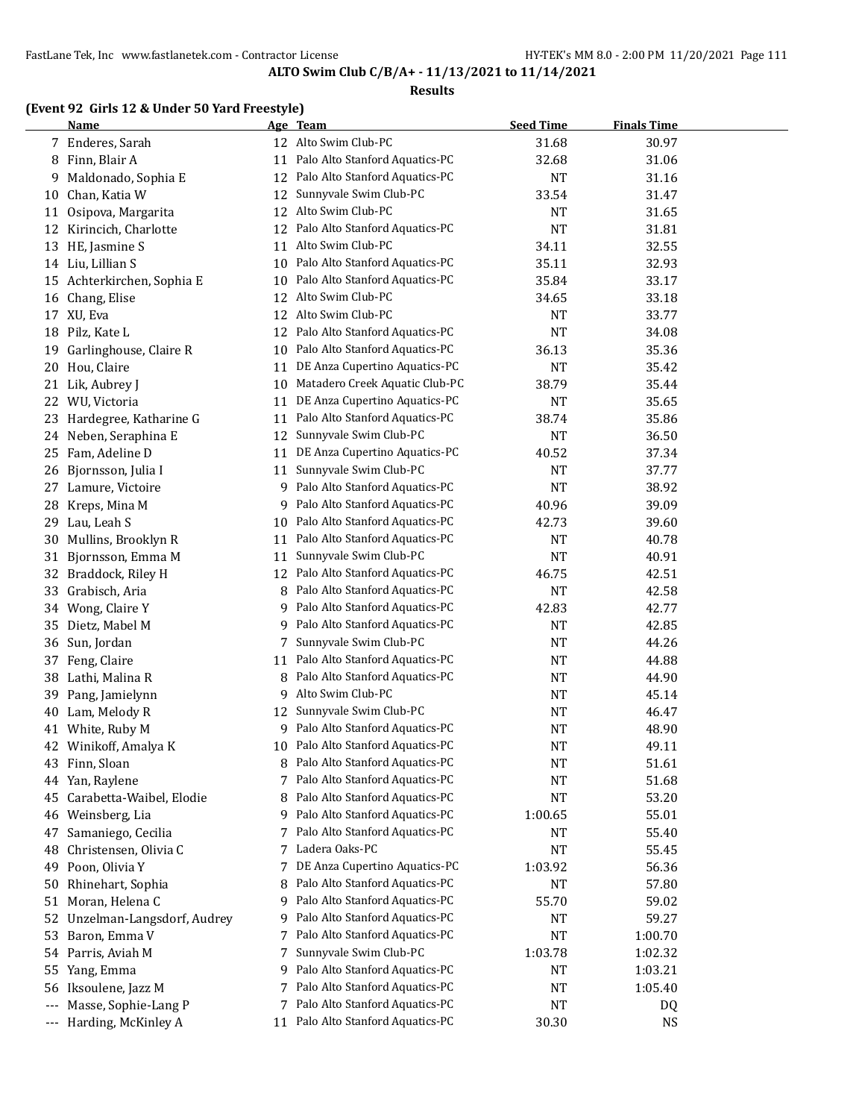#### **Results**

# **(Event 92 Girls 12 & Under 50 Yard Freestyle)**

|     | <b>Name</b>                |    | Age Team                         | <b>Seed Time</b> | <b>Finals Time</b> |  |
|-----|----------------------------|----|----------------------------------|------------------|--------------------|--|
|     | 7 Enderes, Sarah           |    | 12 Alto Swim Club-PC             | 31.68            | 30.97              |  |
| 8   | Finn, Blair A              | 11 | Palo Alto Stanford Aquatics-PC   | 32.68            | 31.06              |  |
| 9   | Maldonado, Sophia E        | 12 | Palo Alto Stanford Aquatics-PC   | <b>NT</b>        | 31.16              |  |
| 10  | Chan, Katia W              | 12 | Sunnyvale Swim Club-PC           | 33.54            | 31.47              |  |
| 11  | Osipova, Margarita         | 12 | Alto Swim Club-PC                | NT               | 31.65              |  |
| 12  | Kirincich, Charlotte       | 12 | Palo Alto Stanford Aquatics-PC   | <b>NT</b>        | 31.81              |  |
| 13  | HE, Jasmine S              | 11 | Alto Swim Club-PC                | 34.11            | 32.55              |  |
|     | 14 Liu, Lillian S          | 10 | Palo Alto Stanford Aquatics-PC   | 35.11            | 32.93              |  |
| 15  | Achterkirchen, Sophia E    | 10 | Palo Alto Stanford Aquatics-PC   | 35.84            | 33.17              |  |
| 16  | Chang, Elise               | 12 | Alto Swim Club-PC                | 34.65            | 33.18              |  |
| 17  | XU, Eva                    | 12 | Alto Swim Club-PC                | <b>NT</b>        | 33.77              |  |
| 18  | Pilz, Kate L               | 12 | Palo Alto Stanford Aquatics-PC   | <b>NT</b>        | 34.08              |  |
| 19  | Garlinghouse, Claire R     | 10 | Palo Alto Stanford Aquatics-PC   | 36.13            | 35.36              |  |
| 20  | Hou, Claire                | 11 | DE Anza Cupertino Aquatics-PC    | <b>NT</b>        | 35.42              |  |
| 21  | Lik, Aubrey J              | 10 | Matadero Creek Aquatic Club-PC   | 38.79            | 35.44              |  |
| 22  | WU, Victoria               | 11 | DE Anza Cupertino Aquatics-PC    | <b>NT</b>        | 35.65              |  |
| 23  | Hardegree, Katharine G     | 11 | Palo Alto Stanford Aquatics-PC   | 38.74            | 35.86              |  |
| 24  | Neben, Seraphina E         | 12 | Sunnyvale Swim Club-PC           | <b>NT</b>        | 36.50              |  |
| 25  | Fam, Adeline D             | 11 | DE Anza Cupertino Aquatics-PC    | 40.52            | 37.34              |  |
| 26  | Bjornsson, Julia I         | 11 | Sunnyvale Swim Club-PC           | <b>NT</b>        | 37.77              |  |
| 27  | Lamure, Victoire           | 9  | Palo Alto Stanford Aquatics-PC   | <b>NT</b>        | 38.92              |  |
| 28  | Kreps, Mina M              | 9  | Palo Alto Stanford Aquatics-PC   | 40.96            | 39.09              |  |
| 29  | Lau, Leah S                | 10 | Palo Alto Stanford Aquatics-PC   | 42.73            | 39.60              |  |
| 30  | Mullins, Brooklyn R        | 11 | Palo Alto Stanford Aquatics-PC   | <b>NT</b>        | 40.78              |  |
| 31  | Bjornsson, Emma M          | 11 | Sunnyvale Swim Club-PC           | <b>NT</b>        | 40.91              |  |
| 32  | Braddock, Riley H          | 12 | Palo Alto Stanford Aquatics-PC   | 46.75            | 42.51              |  |
| 33  | Grabisch, Aria             | 8  | Palo Alto Stanford Aquatics-PC   | <b>NT</b>        | 42.58              |  |
| 34  | Wong, Claire Y             | 9  | Palo Alto Stanford Aquatics-PC   | 42.83            | 42.77              |  |
| 35  | Dietz, Mabel M             | 9  | Palo Alto Stanford Aquatics-PC   | NT               | 42.85              |  |
| 36  | Sun, Jordan                | 7  | Sunnyvale Swim Club-PC           | NT               | 44.26              |  |
| 37  | Feng, Claire               | 11 | Palo Alto Stanford Aquatics-PC   | <b>NT</b>        | 44.88              |  |
| 38  | Lathi, Malina R            | 8  | Palo Alto Stanford Aquatics-PC   | NT               | 44.90              |  |
| 39  |                            | 9  | Alto Swim Club-PC                |                  |                    |  |
|     | Pang, Jamielynn            |    | Sunnyvale Swim Club-PC           | NT               | 45.14              |  |
| 40  | Lam, Melody R              | 12 | Palo Alto Stanford Aquatics-PC   | NT               | 46.47              |  |
| 41  | White, Ruby M              | 9  |                                  | NT               | 48.90              |  |
|     | 42 Winikoff, Amalya K      | 10 | Palo Alto Stanford Aquatics-PC   | <b>NT</b>        | 49.11              |  |
| 43  | Finn, Sloan                | 8  | Palo Alto Stanford Aquatics-PC   | NT               | 51.61              |  |
| 44  | Yan, Raylene               | 7  | Palo Alto Stanford Aquatics-PC   | <b>NT</b>        | 51.68              |  |
| 45  | Carabetta-Waibel, Elodie   | 8  | Palo Alto Stanford Aquatics-PC   | <b>NT</b>        | 53.20              |  |
| 46  | Weinsberg, Lia             | 9  | Palo Alto Stanford Aquatics-PC   | 1:00.65          | 55.01              |  |
| 47  | Samaniego, Cecilia         | 7  | Palo Alto Stanford Aquatics-PC   | NT               | 55.40              |  |
| 48  | Christensen, Olivia C      | 7  | Ladera Oaks-PC                   | <b>NT</b>        | 55.45              |  |
| 49  | Poon, Olivia Y             | 7  | DE Anza Cupertino Aquatics-PC    | 1:03.92          | 56.36              |  |
| 50  | Rhinehart, Sophia          | 8  | Palo Alto Stanford Aquatics-PC   | <b>NT</b>        | 57.80              |  |
| 51  | Moran, Helena C            | 9  | Palo Alto Stanford Aquatics-PC   | 55.70            | 59.02              |  |
| 52  | Unzelman-Langsdorf, Audrey | 9  | Palo Alto Stanford Aquatics-PC   | NT               | 59.27              |  |
| 53  | Baron, Emma V              | 7  | Palo Alto Stanford Aquatics-PC   | <b>NT</b>        | 1:00.70            |  |
| 54  | Parris, Aviah M            | 7  | Sunnyvale Swim Club-PC           | 1:03.78          | 1:02.32            |  |
| 55  | Yang, Emma                 | 9  | Palo Alto Stanford Aquatics-PC   | NT               | 1:03.21            |  |
| 56  | Iksoulene, Jazz M          |    | Palo Alto Stanford Aquatics-PC   | NT               | 1:05.40            |  |
| --- | Masse, Sophie-Lang P       |    | 7 Palo Alto Stanford Aquatics-PC | <b>NT</b>        | DQ                 |  |
| --- | Harding, McKinley A        | 11 | Palo Alto Stanford Aquatics-PC   | 30.30            | NS                 |  |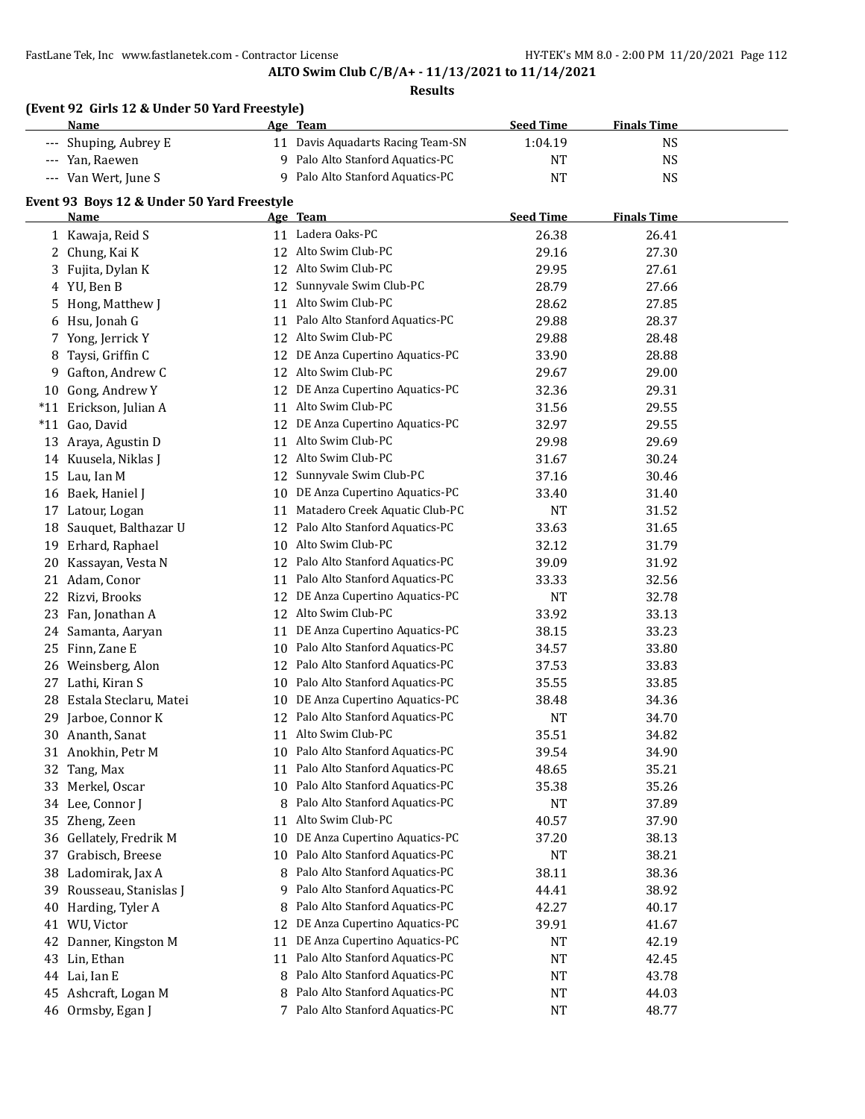# **ALTO Swim Club C/B/A+ - 11/13/2021 to 11/14/2021**

|       | (Event 92 Girls 12 & Under 50 Yard Freestyle)<br><b>Name</b> |    | Age Team                          | <b>Seed Time</b> | <b>Finals Time</b> |  |
|-------|--------------------------------------------------------------|----|-----------------------------------|------------------|--------------------|--|
|       | --- Shuping, Aubrey E                                        |    | 11 Davis Aquadarts Racing Team-SN | 1:04.19          | NS                 |  |
|       | --- Yan, Raewen                                              |    | 9 Palo Alto Stanford Aquatics-PC  | NT               | <b>NS</b>          |  |
|       | --- Van Wert, June S                                         |    | 9 Palo Alto Stanford Aquatics-PC  | <b>NT</b>        | <b>NS</b>          |  |
|       | Event 93 Boys 12 & Under 50 Yard Freestyle                   |    |                                   |                  |                    |  |
|       | <u>Name</u>                                                  |    | Age Team                          | <b>Seed Time</b> | <b>Finals Time</b> |  |
|       | 1 Kawaja, Reid S                                             |    | 11 Ladera Oaks-PC                 | 26.38            | 26.41              |  |
| 2     | Chung, Kai K                                                 |    | 12 Alto Swim Club-PC              | 29.16            | 27.30              |  |
| 3     | Fujita, Dylan K                                              |    | 12 Alto Swim Club-PC              | 29.95            | 27.61              |  |
| 4     | YU, Ben B                                                    | 12 | Sunnyvale Swim Club-PC            | 28.79            | 27.66              |  |
| 5     | Hong, Matthew J                                              |    | 11 Alto Swim Club-PC              | 28.62            | 27.85              |  |
| 6     | Hsu, Jonah G                                                 |    | 11 Palo Alto Stanford Aquatics-PC | 29.88            | 28.37              |  |
| 7     | Yong, Jerrick Y                                              |    | 12 Alto Swim Club-PC              | 29.88            | 28.48              |  |
| 8     | Taysi, Griffin C                                             |    | 12 DE Anza Cupertino Aquatics-PC  | 33.90            | 28.88              |  |
| 9     | Gafton, Andrew C                                             |    | 12 Alto Swim Club-PC              | 29.67            | 29.00              |  |
|       | 10 Gong, Andrew Y                                            |    | 12 DE Anza Cupertino Aquatics-PC  | 32.36            | 29.31              |  |
|       | *11 Erickson, Julian A                                       |    | 11 Alto Swim Club-PC              | 31.56            | 29.55              |  |
| $*11$ | Gao, David                                                   |    | 12 DE Anza Cupertino Aquatics-PC  | 32.97            | 29.55              |  |
| 13    | Araya, Agustin D                                             |    | 11 Alto Swim Club-PC              | 29.98            | 29.69              |  |
| 14    | Kuusela, Niklas J                                            |    | 12 Alto Swim Club-PC              | 31.67            | 30.24              |  |
|       | 15 Lau, Ian M                                                | 12 | Sunnyvale Swim Club-PC            | 37.16            | 30.46              |  |
| 16    | Baek, Haniel J                                               | 10 | DE Anza Cupertino Aquatics-PC     | 33.40            | 31.40              |  |
| 17    | Latour, Logan                                                | 11 | Matadero Creek Aquatic Club-PC    | <b>NT</b>        | 31.52              |  |
| 18    | Sauquet, Balthazar U                                         |    | 12 Palo Alto Stanford Aquatics-PC | 33.63            | 31.65              |  |
| 19    | Erhard, Raphael                                              | 10 | Alto Swim Club-PC                 | 32.12            | 31.79              |  |
| 20    | Kassayan, Vesta N                                            |    | 12 Palo Alto Stanford Aquatics-PC | 39.09            | 31.92              |  |
| 21    | Adam, Conor                                                  |    | 11 Palo Alto Stanford Aquatics-PC | 33.33            | 32.56              |  |
| 22    | Rizvi, Brooks                                                |    | 12 DE Anza Cupertino Aquatics-PC  | <b>NT</b>        | 32.78              |  |
| 23    | Fan, Jonathan A                                              |    | 12 Alto Swim Club-PC              | 33.92            | 33.13              |  |
| 24    | Samanta, Aaryan                                              |    | 11 DE Anza Cupertino Aquatics-PC  | 38.15            | 33.23              |  |
| 25    | Finn, Zane E                                                 |    | 10 Palo Alto Stanford Aquatics-PC | 34.57            | 33.80              |  |
| 26    | Weinsberg, Alon                                              |    | 12 Palo Alto Stanford Aquatics-PC | 37.53            | 33.83              |  |
| 27    | Lathi, Kiran S                                               |    | 10 Palo Alto Stanford Aquatics-PC | 35.55            | 33.85              |  |
| 28    | Estala Steclaru, Matei                                       |    | 10 DE Anza Cupertino Aquatics-PC  | 38.48            | 34.36              |  |
|       | 29 Jarboe, Connor K                                          |    | 12 Palo Alto Stanford Aquatics-PC | <b>NT</b>        | 34.70              |  |
| 30    | Ananth, Sanat                                                | 11 | Alto Swim Club-PC                 | 35.51            | 34.82              |  |
| 31    | Anokhin, Petr M                                              | 10 | Palo Alto Stanford Aquatics-PC    | 39.54            | 34.90              |  |
| 32    | Tang, Max                                                    | 11 | Palo Alto Stanford Aquatics-PC    | 48.65            | 35.21              |  |
| 33    | Merkel, Oscar                                                | 10 | Palo Alto Stanford Aquatics-PC    | 35.38            | 35.26              |  |
| 34    | Lee, Connor J                                                | 8  | Palo Alto Stanford Aquatics-PC    | NT               | 37.89              |  |
| 35    | Zheng, Zeen                                                  | 11 | Alto Swim Club-PC                 | 40.57            | 37.90              |  |
| 36    | Gellately, Fredrik M                                         | 10 | DE Anza Cupertino Aquatics-PC     | 37.20            | 38.13              |  |
| 37    | Grabisch, Breese                                             | 10 | Palo Alto Stanford Aquatics-PC    | NT               | 38.21              |  |
| 38    | Ladomirak, Jax A                                             | 8  | Palo Alto Stanford Aquatics-PC    | 38.11            | 38.36              |  |
| 39    | Rousseau, Stanislas J                                        | 9  | Palo Alto Stanford Aquatics-PC    | 44.41            | 38.92              |  |
| 40    | Harding, Tyler A                                             | 8  | Palo Alto Stanford Aquatics-PC    | 42.27            | 40.17              |  |
| 41    | WU, Victor                                                   | 12 | DE Anza Cupertino Aquatics-PC     | 39.91            | 41.67              |  |
| 42    | Danner, Kingston M                                           | 11 | DE Anza Cupertino Aquatics-PC     | NT               | 42.19              |  |
| 43    | Lin, Ethan                                                   | 11 | Palo Alto Stanford Aquatics-PC    | NT               | 42.45              |  |
| 44    | Lai, Ian E                                                   | 8  | Palo Alto Stanford Aquatics-PC    | NT               | 43.78              |  |
| 45    | Ashcraft, Logan M                                            | 8  | Palo Alto Stanford Aquatics-PC    | NT               | 44.03              |  |
| 46    | Ormsby, Egan J                                               |    | 7 Palo Alto Stanford Aquatics-PC  | NT               | 48.77              |  |
|       |                                                              |    |                                   |                  |                    |  |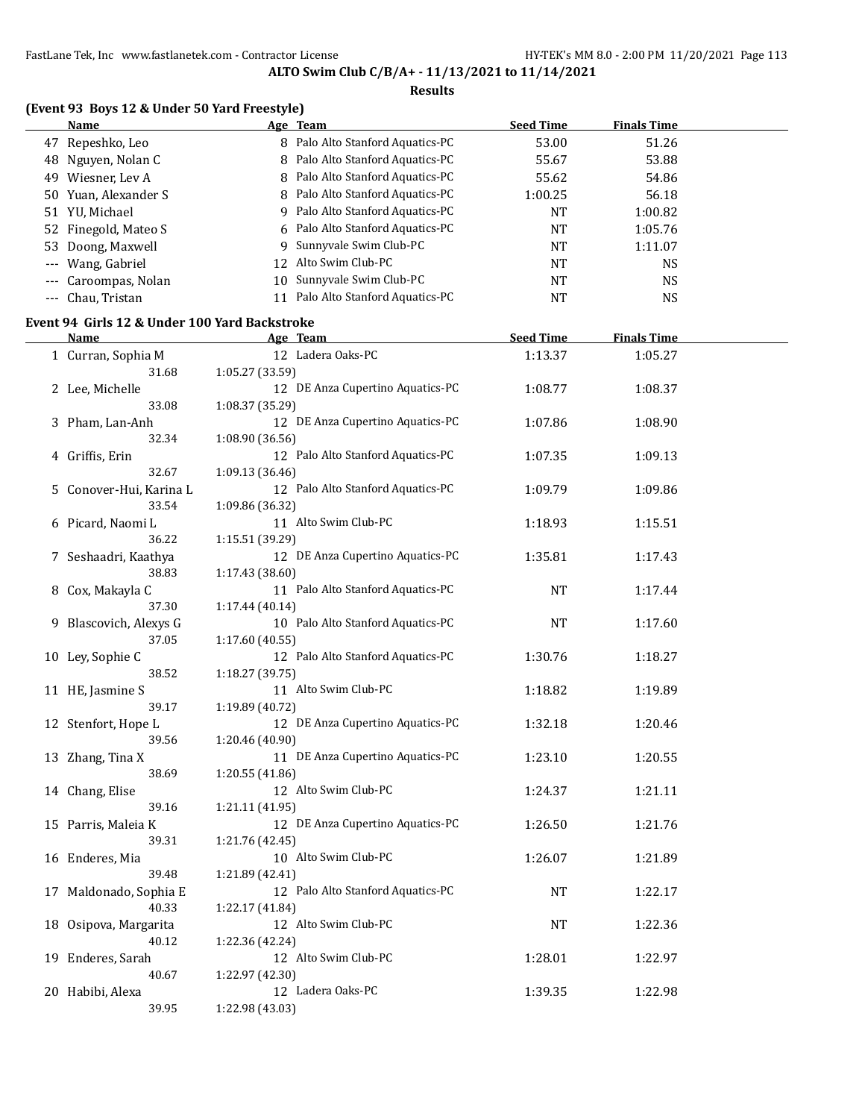39.95 1:22.98 (43.03)

**ALTO Swim Club C/B/A+ - 11/13/2021 to 11/14/2021**

|                     | (Event 93 Boys 12 & Under 50 Yard Freestyle)  |                 |                                   |                  |                    |  |
|---------------------|-----------------------------------------------|-----------------|-----------------------------------|------------------|--------------------|--|
|                     | Name                                          |                 | Age Team                          | <b>Seed Time</b> | <b>Finals Time</b> |  |
|                     | 47 Repeshko, Leo                              |                 | 8 Palo Alto Stanford Aquatics-PC  | 53.00            | 51.26              |  |
|                     | 48 Nguyen, Nolan C                            |                 | 8 Palo Alto Stanford Aquatics-PC  | 55.67            | 53.88              |  |
|                     | 49 Wiesner, Lev A                             |                 | 8 Palo Alto Stanford Aquatics-PC  | 55.62            | 54.86              |  |
|                     | 50 Yuan, Alexander S                          |                 | 8 Palo Alto Stanford Aquatics-PC  | 1:00.25          | 56.18              |  |
|                     | 51 YU, Michael                                |                 | 9 Palo Alto Stanford Aquatics-PC  | <b>NT</b>        | 1:00.82            |  |
|                     | 52 Finegold, Mateo S                          |                 | 6 Palo Alto Stanford Aquatics-PC  | <b>NT</b>        | 1:05.76            |  |
| 53                  | Doong, Maxwell                                |                 | 9 Sunnyvale Swim Club-PC          | <b>NT</b>        | 1:11.07            |  |
|                     | Wang, Gabriel                                 |                 | 12 Alto Swim Club-PC              | <b>NT</b>        | <b>NS</b>          |  |
|                     | Caroompas, Nolan                              |                 | 10 Sunnyvale Swim Club-PC         | <b>NT</b>        | <b>NS</b>          |  |
| $\qquad \qquad - -$ | Chau, Tristan                                 |                 | 11 Palo Alto Stanford Aquatics-PC | <b>NT</b>        | <b>NS</b>          |  |
|                     |                                               |                 |                                   |                  |                    |  |
|                     | Event 94 Girls 12 & Under 100 Yard Backstroke |                 |                                   |                  |                    |  |
|                     | Name                                          |                 | Age Team                          | <b>Seed Time</b> | <b>Finals Time</b> |  |
|                     | 1 Curran, Sophia M                            |                 | 12 Ladera Oaks-PC                 | 1:13.37          | 1:05.27            |  |
|                     | 31.68                                         | 1:05.27 (33.59) |                                   |                  |                    |  |
|                     | 2 Lee, Michelle                               |                 | 12 DE Anza Cupertino Aquatics-PC  | 1:08.77          | 1:08.37            |  |
|                     | 33.08                                         | 1:08.37 (35.29) |                                   |                  |                    |  |
| 3.                  | Pham, Lan-Anh                                 |                 | 12 DE Anza Cupertino Aquatics-PC  | 1:07.86          | 1:08.90            |  |
|                     | 32.34                                         | 1:08.90 (36.56) |                                   |                  |                    |  |
|                     | 4 Griffis, Erin                               |                 | 12 Palo Alto Stanford Aquatics-PC | 1:07.35          | 1:09.13            |  |
|                     | 32.67                                         | 1:09.13 (36.46) |                                   |                  |                    |  |
| 5.                  | Conover-Hui, Karina L                         |                 | 12 Palo Alto Stanford Aquatics-PC | 1:09.79          | 1:09.86            |  |
|                     | 33.54                                         | 1:09.86 (36.32) |                                   |                  |                    |  |
|                     | 6 Picard, Naomi L                             |                 | 11 Alto Swim Club-PC              | 1:18.93          | 1:15.51            |  |
|                     | 36.22                                         | 1:15.51 (39.29) |                                   |                  |                    |  |
| 7                   | Seshaadri, Kaathya                            |                 | 12 DE Anza Cupertino Aquatics-PC  | 1:35.81          | 1:17.43            |  |
|                     | 38.83                                         | 1:17.43 (38.60) |                                   |                  |                    |  |
| 8                   | Cox, Makayla C                                |                 | 11 Palo Alto Stanford Aquatics-PC | <b>NT</b>        | 1:17.44            |  |
|                     | 37.30                                         | 1:17.44 (40.14) |                                   |                  |                    |  |
| 9                   | Blascovich, Alexys G                          |                 | 10 Palo Alto Stanford Aquatics-PC | <b>NT</b>        | 1:17.60            |  |
|                     | 37.05                                         | 1:17.60 (40.55) |                                   |                  |                    |  |
|                     | 10 Ley, Sophie C                              |                 | 12 Palo Alto Stanford Aquatics-PC | 1:30.76          | 1:18.27            |  |
|                     | 38.52                                         | 1:18.27 (39.75) |                                   |                  |                    |  |
|                     | 11 HE, Jasmine S                              |                 | 11 Alto Swim Club-PC              | 1:18.82          | 1:19.89            |  |
|                     | 39.17                                         | 1:19.89 (40.72) |                                   |                  |                    |  |
|                     | 12 Stenfort, Hope L                           |                 | 12 DE Anza Cupertino Aquatics-PC  | 1:32.18          | 1:20.46            |  |
|                     | 39.56                                         | 1:20.46 (40.90) |                                   |                  |                    |  |
|                     | 13 Zhang, Tina X                              |                 | 11 DE Anza Cupertino Aquatics-PC  | 1:23.10          | 1:20.55            |  |
|                     | 38.69                                         | 1:20.55 (41.86) |                                   |                  |                    |  |
|                     | 14 Chang, Elise                               |                 | 12 Alto Swim Club-PC              | 1:24.37          | 1:21.11            |  |
|                     | 39.16                                         | 1:21.11 (41.95) |                                   |                  |                    |  |
|                     | 15 Parris, Maleia K                           |                 | 12 DE Anza Cupertino Aquatics-PC  | 1:26.50          | 1:21.76            |  |
|                     | 39.31                                         | 1:21.76 (42.45) |                                   |                  |                    |  |
|                     | 16 Enderes, Mia                               |                 | 10 Alto Swim Club-PC              | 1:26.07          | 1:21.89            |  |
|                     | 39.48                                         | 1:21.89 (42.41) |                                   |                  |                    |  |
|                     | 17 Maldonado, Sophia E                        |                 | 12 Palo Alto Stanford Aquatics-PC | NT               | 1:22.17            |  |
|                     | 40.33                                         | 1:22.17 (41.84) |                                   |                  |                    |  |
|                     | 18 Osipova, Margarita                         |                 | 12 Alto Swim Club-PC              | NT               | 1:22.36            |  |
|                     | 40.12                                         | 1:22.36 (42.24) |                                   |                  |                    |  |
|                     | 19 Enderes, Sarah                             |                 | 12 Alto Swim Club-PC              | 1:28.01          | 1:22.97            |  |
|                     | 40.67                                         | 1:22.97 (42.30) |                                   |                  |                    |  |
|                     |                                               |                 | 12 Ladera Oaks-PC                 |                  |                    |  |
|                     | 20 Habibi, Alexa                              |                 |                                   | 1:39.35          | 1:22.98            |  |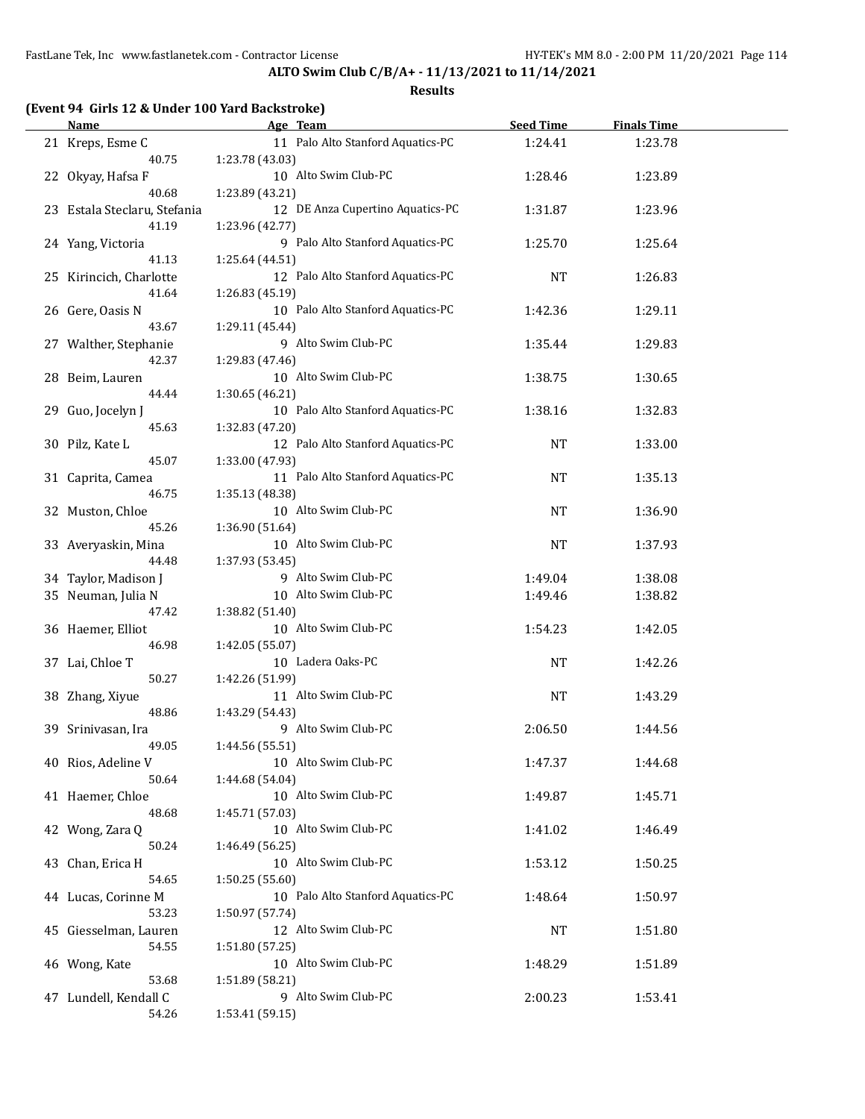**ALTO Swim Club C/B/A+ - 11/13/2021 to 11/14/2021**

| <b>Name</b>                  | Age Team                                             | <b>Seed Time</b> | <b>Finals Time</b> |  |
|------------------------------|------------------------------------------------------|------------------|--------------------|--|
| 21 Kreps, Esme C             | 11 Palo Alto Stanford Aquatics-PC                    | 1:24.41          | 1:23.78            |  |
| 40.75                        | 1:23.78 (43.03)                                      |                  |                    |  |
| 22 Okyay, Hafsa F            | 10 Alto Swim Club-PC                                 | 1:28.46          | 1:23.89            |  |
| 40.68                        | 1:23.89 (43.21)                                      |                  |                    |  |
| 23 Estala Steclaru, Stefania | 12 DE Anza Cupertino Aquatics-PC                     | 1:31.87          | 1:23.96            |  |
| 41.19                        | 1:23.96 (42.77)                                      |                  |                    |  |
| 24 Yang, Victoria            | 9 Palo Alto Stanford Aquatics-PC                     | 1:25.70          | 1:25.64            |  |
| 41.13                        | 1:25.64 (44.51)                                      |                  |                    |  |
| 25 Kirincich, Charlotte      | 12 Palo Alto Stanford Aquatics-PC                    | <b>NT</b>        | 1:26.83            |  |
| 41.64                        | 1:26.83 (45.19)                                      |                  |                    |  |
| 26 Gere, Oasis N             | 10 Palo Alto Stanford Aquatics-PC                    | 1:42.36          | 1:29.11            |  |
| 43.67                        | 1:29.11 (45.44)                                      |                  |                    |  |
| 27 Walther, Stephanie        | 9 Alto Swim Club-PC                                  | 1:35.44          | 1:29.83            |  |
| 42.37                        | 1:29.83 (47.46)                                      |                  |                    |  |
| 28 Beim, Lauren              | 10 Alto Swim Club-PC                                 | 1:38.75          | 1:30.65            |  |
| 44.44                        | 1:30.65 (46.21)                                      |                  |                    |  |
| 29 Guo, Jocelyn J            | 10 Palo Alto Stanford Aquatics-PC                    | 1:38.16          | 1:32.83            |  |
| 45.63                        | 1:32.83 (47.20)<br>12 Palo Alto Stanford Aquatics-PC |                  |                    |  |
| 30 Pilz, Kate L<br>45.07     | 1:33.00 (47.93)                                      | NT               | 1:33.00            |  |
|                              | 11 Palo Alto Stanford Aquatics-PC                    |                  |                    |  |
| 31 Caprita, Camea<br>46.75   | 1:35.13 (48.38)                                      | NT               | 1:35.13            |  |
| 32 Muston, Chloe             | 10 Alto Swim Club-PC                                 | NT               | 1:36.90            |  |
| 45.26                        | 1:36.90 (51.64)                                      |                  |                    |  |
| 33 Averyaskin, Mina          | 10 Alto Swim Club-PC                                 | NT               | 1:37.93            |  |
| 44.48                        | 1:37.93 (53.45)                                      |                  |                    |  |
| 34 Taylor, Madison J         | 9 Alto Swim Club-PC                                  | 1:49.04          | 1:38.08            |  |
| 35 Neuman, Julia N           | 10 Alto Swim Club-PC                                 | 1:49.46          | 1:38.82            |  |
| 47.42                        | 1:38.82 (51.40)                                      |                  |                    |  |
| 36 Haemer, Elliot            | 10 Alto Swim Club-PC                                 | 1:54.23          | 1:42.05            |  |
| 46.98                        | 1:42.05 (55.07)                                      |                  |                    |  |
| 37 Lai, Chloe T              | 10 Ladera Oaks-PC                                    | <b>NT</b>        | 1:42.26            |  |
| 50.27                        | 1:42.26 (51.99)                                      |                  |                    |  |
| 38 Zhang, Xiyue              | 11 Alto Swim Club-PC                                 | NT               | 1:43.29            |  |
| 48.86                        | 1:43.29 (54.43)                                      |                  |                    |  |
| 39 Srinivasan, Ira           | 9 Alto Swim Club-PC                                  | 2:06.50          | 1:44.56            |  |
| 49.05                        | 1:44.56 (55.51)                                      |                  |                    |  |
| 40 Rios, Adeline V           | 10 Alto Swim Club-PC                                 | 1:47.37          | 1:44.68            |  |
| 50.64                        | 1:44.68 (54.04)                                      |                  |                    |  |
| 41 Haemer, Chloe             | 10 Alto Swim Club-PC                                 | 1:49.87          | 1:45.71            |  |
| 48.68                        | 1:45.71 (57.03)                                      |                  |                    |  |
| 42 Wong, Zara Q              | 10 Alto Swim Club-PC                                 | 1:41.02          | 1:46.49            |  |
| 50.24                        | 1:46.49 (56.25)                                      |                  |                    |  |
| 43 Chan, Erica H             | 10 Alto Swim Club-PC                                 | 1:53.12          | 1:50.25            |  |
| 54.65                        | 1:50.25 (55.60)                                      |                  |                    |  |
| 44 Lucas, Corinne M          | 10 Palo Alto Stanford Aquatics-PC                    | 1:48.64          | 1:50.97            |  |
| 53.23                        | 1:50.97 (57.74)                                      |                  |                    |  |
| 45 Giesselman, Lauren        | 12 Alto Swim Club-PC                                 | NT               | 1:51.80            |  |
| 54.55                        | 1:51.80 (57.25)                                      |                  |                    |  |
| 46 Wong, Kate                | 10 Alto Swim Club-PC                                 | 1:48.29          | 1:51.89            |  |
| 53.68                        | 1:51.89 (58.21)                                      |                  |                    |  |
| 47 Lundell, Kendall C        | 9 Alto Swim Club-PC                                  | 2:00.23          | 1:53.41            |  |
| 54.26                        | 1:53.41 (59.15)                                      |                  |                    |  |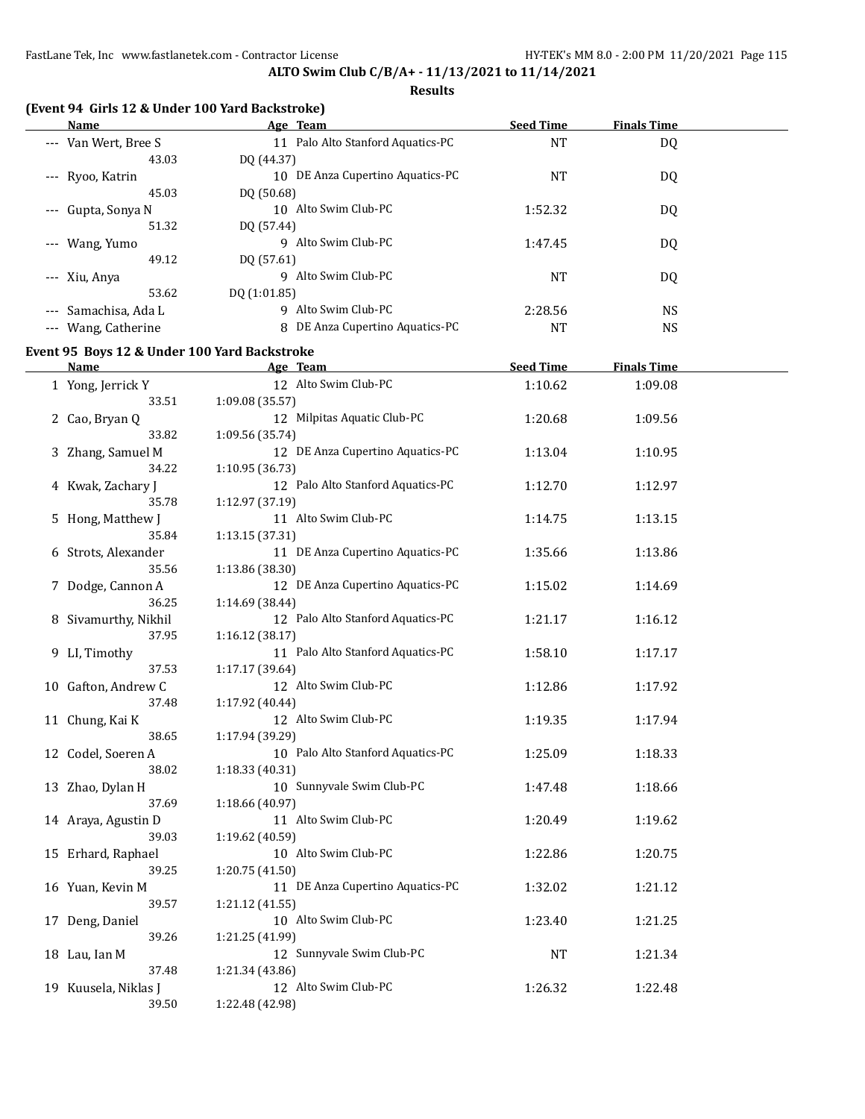#### **Results**

| Name                                  | Age Team                             | <b>Seed Time</b> | <b>Finals Time</b> |  |
|---------------------------------------|--------------------------------------|------------------|--------------------|--|
| --- Van Wert, Bree S                  | Palo Alto Stanford Aquatics-PC<br>11 | NT               | DQ                 |  |
| 43.03                                 | DO (44.37)                           |                  |                    |  |
| --- Ryoo, Katrin                      | DE Anza Cupertino Aquatics-PC<br>10  | <b>NT</b>        | DQ                 |  |
| 45.03                                 | DO (50.68)                           |                  |                    |  |
| Gupta, Sonya N<br>$\qquad \qquad - -$ | Alto Swim Club-PC<br>10.             | 1:52.32          | DQ                 |  |
| 51.32                                 | DO (57.44)                           |                  |                    |  |
| --- Wang, Yumo                        | Alto Swim Club-PC<br>9               | 1:47.45          | DQ                 |  |
| 49.12                                 | DO (57.61)                           |                  |                    |  |
| --- Xiu, Anya                         | 9 Alto Swim Club-PC                  | NT               | DQ                 |  |
| 53.62                                 | DQ (1:01.85)                         |                  |                    |  |
| --- Samachisa, Ada L                  | 9 Alto Swim Club-PC                  | 2:28.56          | NS.                |  |
| Wang, Catherine                       | DE Anza Cupertino Aquatics-PC<br>8   | <b>NT</b>        | NS                 |  |
|                                       |                                      |                  |                    |  |

# **Event 95 Boys 12 & Under 100 Yard Backstroke**

| <b>Name</b>          | Age Team                          | <b>Seed Time</b> | <b>Finals Time</b> |  |
|----------------------|-----------------------------------|------------------|--------------------|--|
| 1 Yong, Jerrick Y    | 12 Alto Swim Club-PC              | 1:10.62          | 1:09.08            |  |
| 33.51                | 1:09.08 (35.57)                   |                  |                    |  |
| 2 Cao, Bryan Q       | 12 Milpitas Aquatic Club-PC       | 1:20.68          | 1:09.56            |  |
| 33.82                | 1:09.56 (35.74)                   |                  |                    |  |
| 3 Zhang, Samuel M    | 12 DE Anza Cupertino Aquatics-PC  | 1:13.04          | 1:10.95            |  |
| 34.22                | 1:10.95 (36.73)                   |                  |                    |  |
| 4 Kwak, Zachary J    | 12 Palo Alto Stanford Aquatics-PC | 1:12.70          | 1:12.97            |  |
| 35.78                | 1:12.97 (37.19)                   |                  |                    |  |
| 5 Hong, Matthew J    | 11 Alto Swim Club-PC              | 1:14.75          | 1:13.15            |  |
| 35.84                | 1:13.15 (37.31)                   |                  |                    |  |
| 6 Strots, Alexander  | 11 DE Anza Cupertino Aquatics-PC  | 1:35.66          | 1:13.86            |  |
| 35.56                | 1:13.86 (38.30)                   |                  |                    |  |
| 7 Dodge, Cannon A    | 12 DE Anza Cupertino Aquatics-PC  | 1:15.02          | 1:14.69            |  |
| 36.25                | 1:14.69 (38.44)                   |                  |                    |  |
| 8 Sivamurthy, Nikhil | 12 Palo Alto Stanford Aquatics-PC | 1:21.17          | 1:16.12            |  |
| 37.95                | 1:16.12 (38.17)                   |                  |                    |  |
| 9 LI, Timothy        | 11 Palo Alto Stanford Aquatics-PC | 1:58.10          | 1:17.17            |  |
| 37.53                | 1:17.17 (39.64)                   |                  |                    |  |
| 10 Gafton, Andrew C  | 12 Alto Swim Club-PC              | 1:12.86          | 1:17.92            |  |
| 37.48                | 1:17.92 (40.44)                   |                  |                    |  |
| 11 Chung, Kai K      | 12 Alto Swim Club-PC              | 1:19.35          | 1:17.94            |  |
| 38.65                | 1:17.94 (39.29)                   |                  |                    |  |
| 12 Codel, Soeren A   | 10 Palo Alto Stanford Aquatics-PC | 1:25.09          | 1:18.33            |  |
| 38.02                | 1:18.33(40.31)                    |                  |                    |  |
| 13 Zhao, Dylan H     | 10 Sunnyvale Swim Club-PC         | 1:47.48          | 1:18.66            |  |
| 37.69                | 1:18.66 (40.97)                   |                  |                    |  |
| 14 Araya, Agustin D  | 11 Alto Swim Club-PC              | 1:20.49          | 1:19.62            |  |
| 39.03                | 1:19.62 (40.59)                   |                  |                    |  |
| 15 Erhard, Raphael   | 10 Alto Swim Club-PC              | 1:22.86          | 1:20.75            |  |
| 39.25                | 1:20.75 (41.50)                   |                  |                    |  |
| 16 Yuan, Kevin M     | 11 DE Anza Cupertino Aquatics-PC  | 1:32.02          | 1:21.12            |  |
| 39.57                | 1:21.12 (41.55)                   |                  |                    |  |
| 17 Deng, Daniel      | 10 Alto Swim Club-PC              | 1:23.40          | 1:21.25            |  |
| 39.26                | 1:21.25 (41.99)                   |                  |                    |  |
| 18 Lau, Ian M        | 12 Sunnyvale Swim Club-PC         | <b>NT</b>        | 1:21.34            |  |
| 37.48                | 1:21.34 (43.86)                   |                  |                    |  |
| 19 Kuusela, Niklas J | 12 Alto Swim Club-PC              | 1:26.32          | 1:22.48            |  |
| 39.50                | 1:22.48 (42.98)                   |                  |                    |  |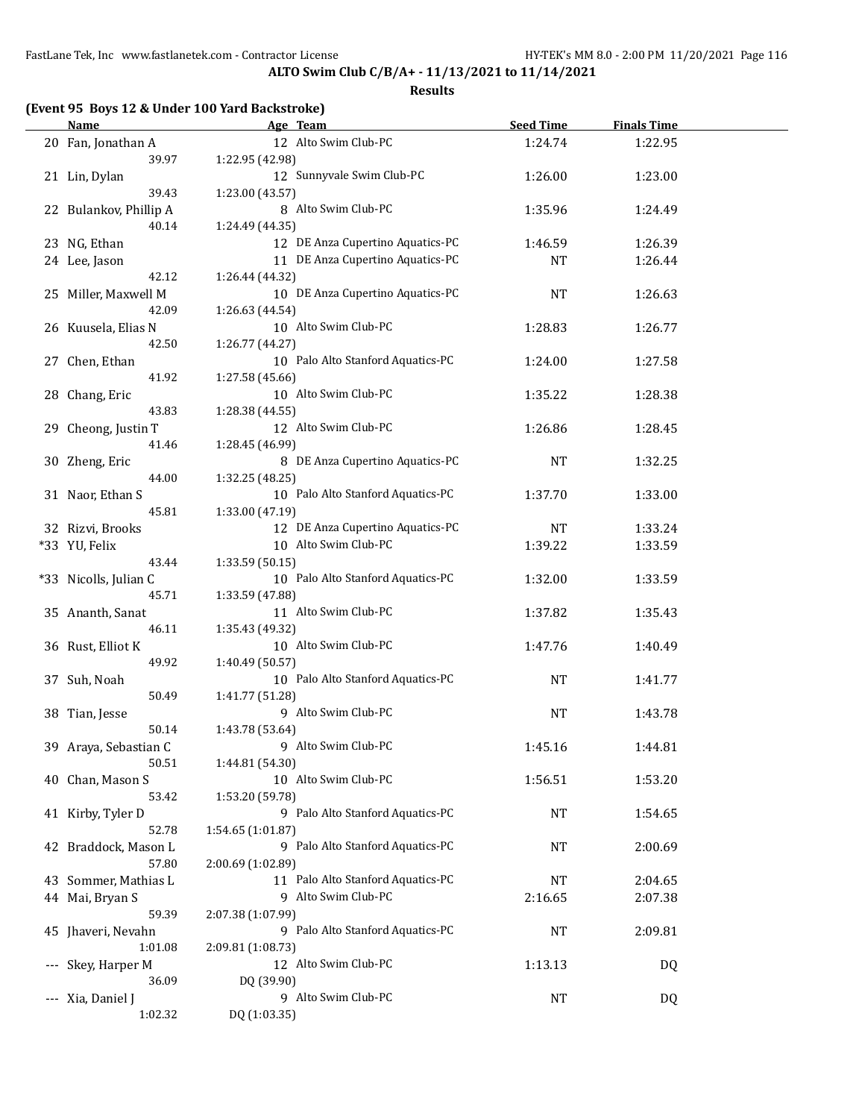**ALTO Swim Club C/B/A+ - 11/13/2021 to 11/14/2021**

|                     | <b>Name</b>                     | Age Team                                             | <b>Seed Time</b> | <b>Finals Time</b> |  |
|---------------------|---------------------------------|------------------------------------------------------|------------------|--------------------|--|
|                     | 20 Fan, Jonathan A<br>39.97     | 12 Alto Swim Club-PC<br>1:22.95 (42.98)              | 1:24.74          | 1:22.95            |  |
|                     | 21 Lin, Dylan                   | 12 Sunnyvale Swim Club-PC                            | 1:26.00          | 1:23.00            |  |
|                     | 39.43<br>22 Bulankov, Phillip A | 1:23.00 (43.57)<br>8 Alto Swim Club-PC               | 1:35.96          | 1:24.49            |  |
|                     | 40.14<br>23 NG, Ethan           | 1:24.49 (44.35)<br>12 DE Anza Cupertino Aquatics-PC  |                  |                    |  |
|                     |                                 |                                                      | 1:46.59          | 1:26.39            |  |
|                     | 24 Lee, Jason                   | 11 DE Anza Cupertino Aquatics-PC                     | NT               | 1:26.44            |  |
|                     | 42.12                           | 1:26.44 (44.32)<br>10 DE Anza Cupertino Aquatics-PC  |                  |                    |  |
|                     | 25 Miller, Maxwell M            |                                                      | NT               | 1:26.63            |  |
|                     | 42.09                           | 1:26.63 (44.54)                                      |                  |                    |  |
|                     | 26 Kuusela, Elias N             | 10 Alto Swim Club-PC                                 | 1:28.83          | 1:26.77            |  |
|                     | 42.50                           | 1:26.77 (44.27)<br>10 Palo Alto Stanford Aquatics-PC |                  |                    |  |
|                     | 27 Chen, Ethan<br>41.92         |                                                      | 1:24.00          | 1:27.58            |  |
|                     |                                 | 1:27.58 (45.66)<br>10 Alto Swim Club-PC              |                  |                    |  |
|                     | 28 Chang, Eric<br>43.83         |                                                      | 1:35.22          | 1:28.38            |  |
|                     |                                 | 1:28.38 (44.55)<br>12 Alto Swim Club-PC              |                  |                    |  |
|                     | 29 Cheong, Justin T             |                                                      | 1:26.86          | 1:28.45            |  |
|                     | 41.46                           | 1:28.45 (46.99)<br>8 DE Anza Cupertino Aquatics-PC   |                  |                    |  |
|                     | 30 Zheng, Eric<br>44.00         | 1:32.25 (48.25)                                      | NT               | 1:32.25            |  |
|                     | 31 Naor, Ethan S                | 10 Palo Alto Stanford Aquatics-PC                    |                  |                    |  |
|                     | 45.81                           | 1:33.00 (47.19)                                      | 1:37.70          | 1:33.00            |  |
|                     |                                 | 12 DE Anza Cupertino Aquatics-PC                     | NT               |                    |  |
|                     | 32 Rizvi, Brooks                | 10 Alto Swim Club-PC                                 |                  | 1:33.24            |  |
|                     | *33 YU, Felix<br>43.44          | 1:33.59 (50.15)                                      | 1:39.22          | 1:33.59            |  |
|                     | *33 Nicolls, Julian C           | 10 Palo Alto Stanford Aquatics-PC                    | 1:32.00          | 1:33.59            |  |
|                     | 45.71                           | 1:33.59 (47.88)                                      |                  |                    |  |
|                     | 35 Ananth, Sanat                | 11 Alto Swim Club-PC                                 | 1:37.82          | 1:35.43            |  |
|                     | 46.11                           | 1:35.43 (49.32)                                      |                  |                    |  |
|                     | 36 Rust, Elliot K               | 10 Alto Swim Club-PC                                 | 1:47.76          | 1:40.49            |  |
|                     | 49.92                           | 1:40.49 (50.57)                                      |                  |                    |  |
|                     | 37 Suh, Noah                    | 10 Palo Alto Stanford Aquatics-PC                    | NT               | 1:41.77            |  |
|                     | 50.49                           | 1:41.77 (51.28)                                      |                  |                    |  |
|                     | 38 Tian, Jesse                  | 9 Alto Swim Club-PC                                  | <b>NT</b>        | 1:43.78            |  |
|                     | 50.14                           | 1:43.78 (53.64)                                      |                  |                    |  |
|                     | 39 Araya, Sebastian C           | 9 Alto Swim Club-PC                                  | 1:45.16          | 1:44.81            |  |
|                     | 50.51                           | 1:44.81 (54.30)                                      |                  |                    |  |
|                     | 40 Chan, Mason S                | 10 Alto Swim Club-PC                                 | 1:56.51          | 1:53.20            |  |
|                     | 53.42                           | 1:53.20 (59.78)                                      |                  |                    |  |
|                     | 41 Kirby, Tyler D               | 9 Palo Alto Stanford Aquatics-PC                     | NT               | 1:54.65            |  |
|                     | 52.78                           | 1:54.65 (1:01.87)                                    |                  |                    |  |
|                     | 42 Braddock, Mason L            | 9 Palo Alto Stanford Aquatics-PC                     | NT               | 2:00.69            |  |
|                     | 57.80                           | 2:00.69 (1:02.89)                                    |                  |                    |  |
|                     | 43 Sommer, Mathias L            | 11 Palo Alto Stanford Aquatics-PC                    | NT               | 2:04.65            |  |
|                     | 44 Mai, Bryan S                 | 9 Alto Swim Club-PC                                  | 2:16.65          | 2:07.38            |  |
|                     | 59.39                           | 2:07.38 (1:07.99)                                    |                  |                    |  |
|                     | 45 Jhaveri, Nevahn              | 9 Palo Alto Stanford Aquatics-PC                     | <b>NT</b>        | 2:09.81            |  |
|                     | 1:01.08                         | 2:09.81 (1:08.73)                                    |                  |                    |  |
| $\qquad \qquad - -$ | Skey, Harper M                  | 12 Alto Swim Club-PC                                 | 1:13.13          | DQ                 |  |
|                     | 36.09                           | DQ (39.90)                                           |                  |                    |  |
|                     | --- Xia, Daniel J               | 9 Alto Swim Club-PC                                  | NT               | <b>DQ</b>          |  |
|                     | 1:02.32                         | DQ (1:03.35)                                         |                  |                    |  |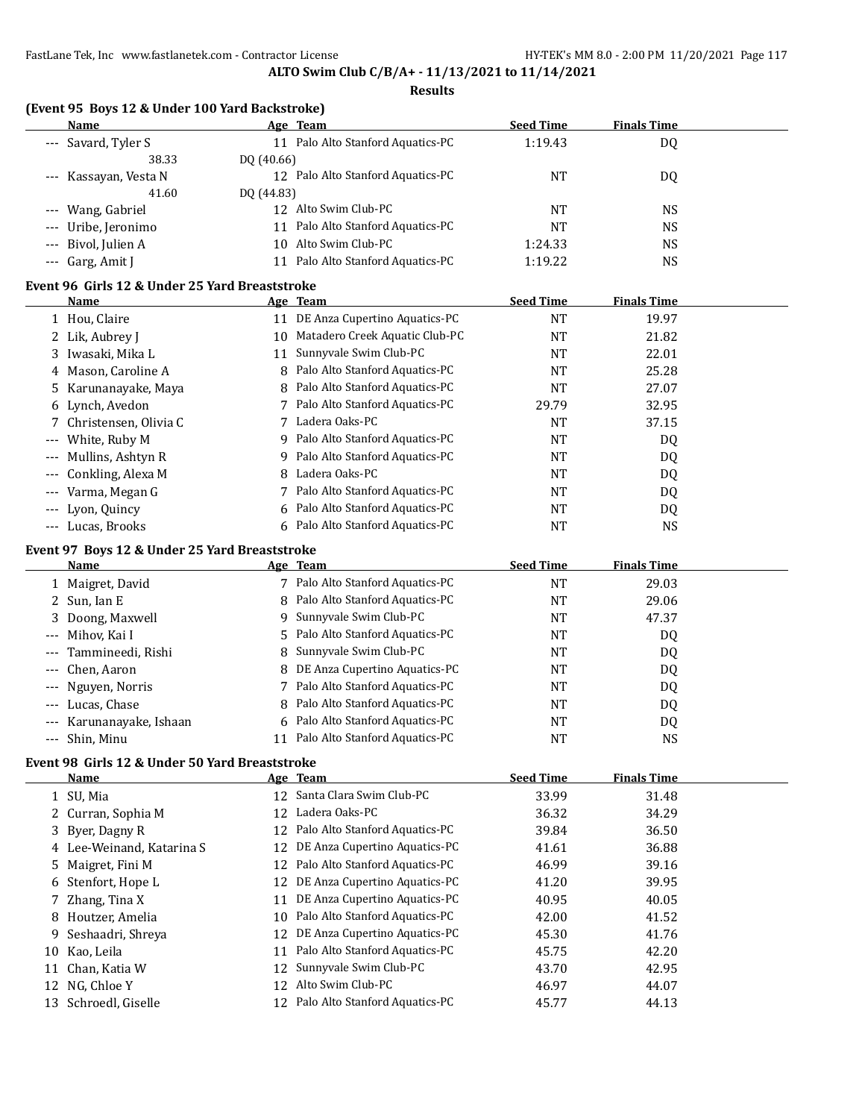#### **Results**

| (Event 95 Boys 12 & Under 100 Yard Backstroke) |                                      |                  |                    |  |  |  |
|------------------------------------------------|--------------------------------------|------------------|--------------------|--|--|--|
| Name                                           | Age Team                             | <b>Seed Time</b> | <b>Finals Time</b> |  |  |  |
| --- Savard, Tyler S                            | Palo Alto Stanford Aquatics-PC<br>11 | 1:19.43          | DQ                 |  |  |  |
| 38.33                                          | DO (40.66)                           |                  |                    |  |  |  |
| --- Kassayan, Vesta N                          | 12 Palo Alto Stanford Aquatics-PC    | NT               | DQ                 |  |  |  |
| 41.60                                          | DO (44.83)                           |                  |                    |  |  |  |
| --- Wang, Gabriel                              | 12 Alto Swim Club-PC                 | NT               | NS.                |  |  |  |
| --- Uribe, Jeronimo                            | Palo Alto Stanford Aquatics-PC       | NT               | NS                 |  |  |  |
| --- Bivol, Julien A                            | 10 Alto Swim Club-PC                 | 1:24.33          | NS.                |  |  |  |
| --- Garg, Amit J                               | Palo Alto Stanford Aquatics-PC       | 1:19.22          | NS.                |  |  |  |

# **Event 96 Girls 12 & Under 25 Yard Breaststroke**

| Name                    |    | Age Team                         | <b>Seed Time</b> | <b>Finals Time</b> |  |
|-------------------------|----|----------------------------------|------------------|--------------------|--|
| 1 Hou, Claire           | 11 | DE Anza Cupertino Aquatics-PC    | NT               | 19.97              |  |
| 2 Lik, Aubrey J         | 10 | Matadero Creek Aquatic Club-PC   | NT               | 21.82              |  |
| 3 Iwasaki, Mika L       | 11 | Sunnyvale Swim Club-PC           | <b>NT</b>        | 22.01              |  |
| 4 Mason, Caroline A     |    | 8 Palo Alto Stanford Aquatics-PC | NT               | 25.28              |  |
| 5 Karunanayake, Maya    |    | 8 Palo Alto Stanford Aquatics-PC | NT               | 27.07              |  |
| 6 Lynch, Avedon         |    | 7 Palo Alto Stanford Aquatics-PC | 29.79            | 32.95              |  |
| 7 Christensen, Olivia C |    | Ladera Oaks-PC                   | <b>NT</b>        | 37.15              |  |
| --- White, Ruby M       |    | 9 Palo Alto Stanford Aquatics-PC | NT               | DQ                 |  |
| --- Mullins, Ashtyn R   | 9. | Palo Alto Stanford Aquatics-PC   | NT               | DQ                 |  |
| --- Conkling, Alexa M   | 8  | Ladera Oaks-PC                   | NT               | DQ                 |  |
| --- Varma, Megan G      |    | Palo Alto Stanford Aquatics-PC   | NT               | DQ                 |  |
| --- Lyon, Quincy        |    | 6 Palo Alto Stanford Aquatics-PC | <b>NT</b>        | DQ                 |  |
| --- Lucas, Brooks       |    | 6 Palo Alto Stanford Aquatics-PC | NT               | <b>NS</b>          |  |

#### **Event 97 Boys 12 & Under 25 Yard Breaststroke**

| <b>Name</b>              |    | Age Team                         | <b>Seed Time</b> | <b>Finals Time</b> |  |
|--------------------------|----|----------------------------------|------------------|--------------------|--|
| 1 Maigret, David         |    | Palo Alto Stanford Aquatics-PC   | NT               | 29.03              |  |
| 2 Sun, Ian E             |    | 8 Palo Alto Stanford Aquatics-PC | NT               | 29.06              |  |
| 3 Doong, Maxwell         | 9. | Sunnyvale Swim Club-PC           | <b>NT</b>        | 47.37              |  |
| --- Mihov, Kai I         |    | 5 Palo Alto Stanford Aquatics-PC | NT               | DQ                 |  |
| --- Tammineedi, Rishi    |    | 8 Sunnyvale Swim Club-PC         | <b>NT</b>        | DQ                 |  |
| --- Chen, Aaron          |    | 8 DE Anza Cupertino Aquatics-PC  | NT               | DQ                 |  |
| --- Nguyen, Norris       |    | 7 Palo Alto Stanford Aquatics-PC | <b>NT</b>        | DQ.                |  |
| --- Lucas, Chase         |    | 8 Palo Alto Stanford Aquatics-PC | <b>NT</b>        | DQ                 |  |
| --- Karunanayake, Ishaan |    | 6 Palo Alto Stanford Aquatics-PC | <b>NT</b>        | DQ                 |  |
| --- Shin, Minu           |    | Palo Alto Stanford Aquatics-PC   | NT               | NS                 |  |

# **Event 98 Girls 12 & Under 50 Yard Breaststroke**

|                           |    | Age Team                       | <b>Seed Time</b>                                                                                                                                                                                                                                                                                             | <b>Finals Time</b> |  |
|---------------------------|----|--------------------------------|--------------------------------------------------------------------------------------------------------------------------------------------------------------------------------------------------------------------------------------------------------------------------------------------------------------|--------------------|--|
| 1 SU, Mia                 |    |                                | 33.99                                                                                                                                                                                                                                                                                                        | 31.48              |  |
| 2 Curran, Sophia M        |    | Ladera Oaks-PC                 | 36.32                                                                                                                                                                                                                                                                                                        | 34.29              |  |
| 3 Byer, Dagny R           |    | Palo Alto Stanford Aquatics-PC | 39.84                                                                                                                                                                                                                                                                                                        | 36.50              |  |
| 4 Lee-Weinand, Katarina S |    |                                | 41.61                                                                                                                                                                                                                                                                                                        | 36.88              |  |
| 5 Maigret, Fini M         |    |                                | 46.99                                                                                                                                                                                                                                                                                                        | 39.16              |  |
| 6 Stenfort, Hope L        |    | DE Anza Cupertino Aquatics-PC  | 41.20                                                                                                                                                                                                                                                                                                        | 39.95              |  |
| 7 Zhang, Tina X           | 11 | DE Anza Cupertino Aquatics-PC  | 40.95                                                                                                                                                                                                                                                                                                        | 40.05              |  |
| 8 Houtzer, Amelia         |    |                                | 42.00                                                                                                                                                                                                                                                                                                        | 41.52              |  |
| 9 Seshaadri, Shreya       |    | DE Anza Cupertino Aquatics-PC  | 45.30                                                                                                                                                                                                                                                                                                        | 41.76              |  |
| Kao, Leila                |    |                                | 45.75                                                                                                                                                                                                                                                                                                        | 42.20              |  |
| Chan, Katia W             |    |                                | 43.70                                                                                                                                                                                                                                                                                                        | 42.95              |  |
| 12 NG, Chloe Y            |    |                                | 46.97                                                                                                                                                                                                                                                                                                        | 44.07              |  |
| Schroedl, Giselle         |    |                                | 45.77                                                                                                                                                                                                                                                                                                        | 44.13              |  |
|                           |    |                                | 12 Santa Clara Swim Club-PC<br>12<br>12<br>DE Anza Cupertino Aquatics-PC<br>12.<br>12 Palo Alto Stanford Aquatics-PC<br>12<br>10 Palo Alto Stanford Aquatics-PC<br>12.<br>Palo Alto Stanford Aquatics-PC<br>11<br>12 Sunnyvale Swim Club-PC<br>Alto Swim Club-PC<br>12.<br>12 Palo Alto Stanford Aquatics-PC |                    |  |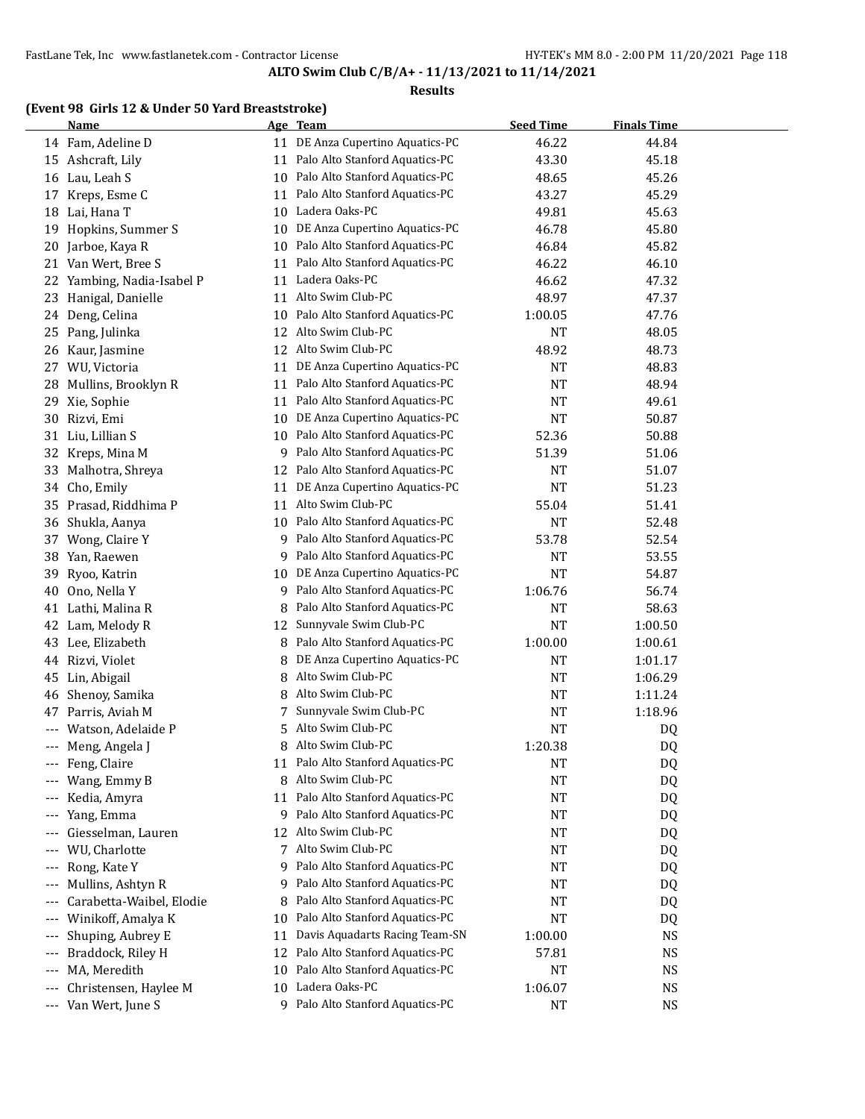#### **Results**

# **(Event 98 Girls 12 & Under 50 Yard Breaststroke)**

|       | <b>Name</b>              |    | Age Team                          | <b>Seed Time</b> | <b>Finals Time</b> |  |
|-------|--------------------------|----|-----------------------------------|------------------|--------------------|--|
|       | 14 Fam, Adeline D        |    | 11 DE Anza Cupertino Aquatics-PC  | 46.22            | 44.84              |  |
|       | 15 Ashcraft, Lily        | 11 | Palo Alto Stanford Aquatics-PC    | 43.30            | 45.18              |  |
|       | 16 Lau, Leah S           | 10 | Palo Alto Stanford Aquatics-PC    | 48.65            | 45.26              |  |
| 17    | Kreps, Esme C            | 11 | Palo Alto Stanford Aquatics-PC    | 43.27            | 45.29              |  |
| 18    | Lai, Hana T              | 10 | Ladera Oaks-PC                    | 49.81            | 45.63              |  |
| 19    | Hopkins, Summer S        | 10 | DE Anza Cupertino Aquatics-PC     | 46.78            | 45.80              |  |
| 20    | Jarboe, Kaya R           | 10 | Palo Alto Stanford Aquatics-PC    | 46.84            | 45.82              |  |
| 21    | Van Wert, Bree S         | 11 | Palo Alto Stanford Aquatics-PC    | 46.22            | 46.10              |  |
| 22    | Yambing, Nadia-Isabel P  | 11 | Ladera Oaks-PC                    | 46.62            | 47.32              |  |
| 23    | Hanigal, Danielle        | 11 | Alto Swim Club-PC                 | 48.97            | 47.37              |  |
| 24    | Deng, Celina             | 10 | Palo Alto Stanford Aquatics-PC    | 1:00.05          | 47.76              |  |
| 25    | Pang, Julinka            | 12 | Alto Swim Club-PC                 | NT               | 48.05              |  |
| 26    | Kaur, Jasmine            | 12 | Alto Swim Club-PC                 | 48.92            | 48.73              |  |
| 27    | WU, Victoria             | 11 | DE Anza Cupertino Aquatics-PC     | <b>NT</b>        | 48.83              |  |
| 28    | Mullins, Brooklyn R      | 11 | Palo Alto Stanford Aquatics-PC    | <b>NT</b>        | 48.94              |  |
| 29    | Xie, Sophie              | 11 | Palo Alto Stanford Aquatics-PC    | NT               | 49.61              |  |
| 30    | Rizvi, Emi               | 10 | DE Anza Cupertino Aquatics-PC     | NT               | 50.87              |  |
| 31    | Liu, Lillian S           | 10 | Palo Alto Stanford Aquatics-PC    | 52.36            | 50.88              |  |
| 32    | Kreps, Mina M            | 9  | Palo Alto Stanford Aquatics-PC    | 51.39            | 51.06              |  |
| 33    | Malhotra, Shreya         | 12 | Palo Alto Stanford Aquatics-PC    | NT               | 51.07              |  |
| 34    | Cho, Emily               | 11 | DE Anza Cupertino Aquatics-PC     | NT               | 51.23              |  |
| 35    | Prasad, Riddhima P       | 11 | Alto Swim Club-PC                 | 55.04            | 51.41              |  |
| 36    | Shukla, Aanya            | 10 | Palo Alto Stanford Aquatics-PC    | <b>NT</b>        | 52.48              |  |
| 37    | Wong, Claire Y           | 9  | Palo Alto Stanford Aquatics-PC    | 53.78            | 52.54              |  |
| 38    | Yan, Raewen              | 9  | Palo Alto Stanford Aquatics-PC    | <b>NT</b>        | 53.55              |  |
| 39    | Ryoo, Katrin             | 10 | DE Anza Cupertino Aquatics-PC     | NT               | 54.87              |  |
| 40    | Ono, Nella Y             | 9  | Palo Alto Stanford Aquatics-PC    | 1:06.76          | 56.74              |  |
|       | 41 Lathi, Malina R       | 8  | Palo Alto Stanford Aquatics-PC    | NT               | 58.63              |  |
|       | 42 Lam, Melody R         | 12 | Sunnyvale Swim Club-PC            | NT               | 1:00.50            |  |
| 43    | Lee, Elizabeth           | 8  | Palo Alto Stanford Aquatics-PC    | 1:00.00          | 1:00.61            |  |
| 44    | Rizvi, Violet            | 8  | DE Anza Cupertino Aquatics-PC     | <b>NT</b>        | 1:01.17            |  |
| 45    | Lin, Abigail             | 8  | Alto Swim Club-PC                 | NT               | 1:06.29            |  |
| 46    | Shenoy, Samika           | 8  | Alto Swim Club-PC                 | NT               | 1:11.24            |  |
| 47    | Parris, Aviah M          | 7. | Sunnyvale Swim Club-PC            | NT               | 1:18.96            |  |
|       | Watson, Adelaide P       | 5. | Alto Swim Club-PC                 | <b>NT</b>        | DQ                 |  |
| ---   | Meng, Angela J           | 8  | Alto Swim Club-PC                 | 1:20.38          | D <sub>Q</sub>     |  |
|       | Feng, Claire             |    | 11 Palo Alto Stanford Aquatics-PC | NT               | DQ                 |  |
|       | Wang, Emmy B             | 8  | Alto Swim Club-PC                 | <b>NT</b>        | DQ                 |  |
| ---   | Kedia, Amyra             | 11 | Palo Alto Stanford Aquatics-PC    | NT               | DQ                 |  |
| ---   | Yang, Emma               | 9  | Palo Alto Stanford Aquatics-PC    | NT               | DQ                 |  |
| ---   | Giesselman, Lauren       | 12 | Alto Swim Club-PC                 | NT               | DQ                 |  |
| ---   | WU, Charlotte            | 7  | Alto Swim Club-PC                 | NT               | DQ                 |  |
| $---$ | Rong, Kate Y             | 9  | Palo Alto Stanford Aquatics-PC    | NT               | DQ                 |  |
| $---$ | Mullins, Ashtyn R        | 9. | Palo Alto Stanford Aquatics-PC    | NT               | DQ                 |  |
| $---$ | Carabetta-Waibel, Elodie | 8  | Palo Alto Stanford Aquatics-PC    | NT               | DQ                 |  |
| $---$ | Winikoff, Amalya K       | 10 | Palo Alto Stanford Aquatics-PC    | NT               | DQ                 |  |
| ---   | Shuping, Aubrey E        | 11 | Davis Aquadarts Racing Team-SN    | 1:00.00          | <b>NS</b>          |  |
| $---$ | Braddock, Riley H        | 12 | Palo Alto Stanford Aquatics-PC    | 57.81            | <b>NS</b>          |  |
| $---$ | MA, Meredith             | 10 | Palo Alto Stanford Aquatics-PC    | NT               | <b>NS</b>          |  |
| $---$ | Christensen, Haylee M    | 10 | Ladera Oaks-PC                    | 1:06.07          | <b>NS</b>          |  |
| ---   | Van Wert, June S         |    | 9 Palo Alto Stanford Aquatics-PC  | <b>NT</b>        | <b>NS</b>          |  |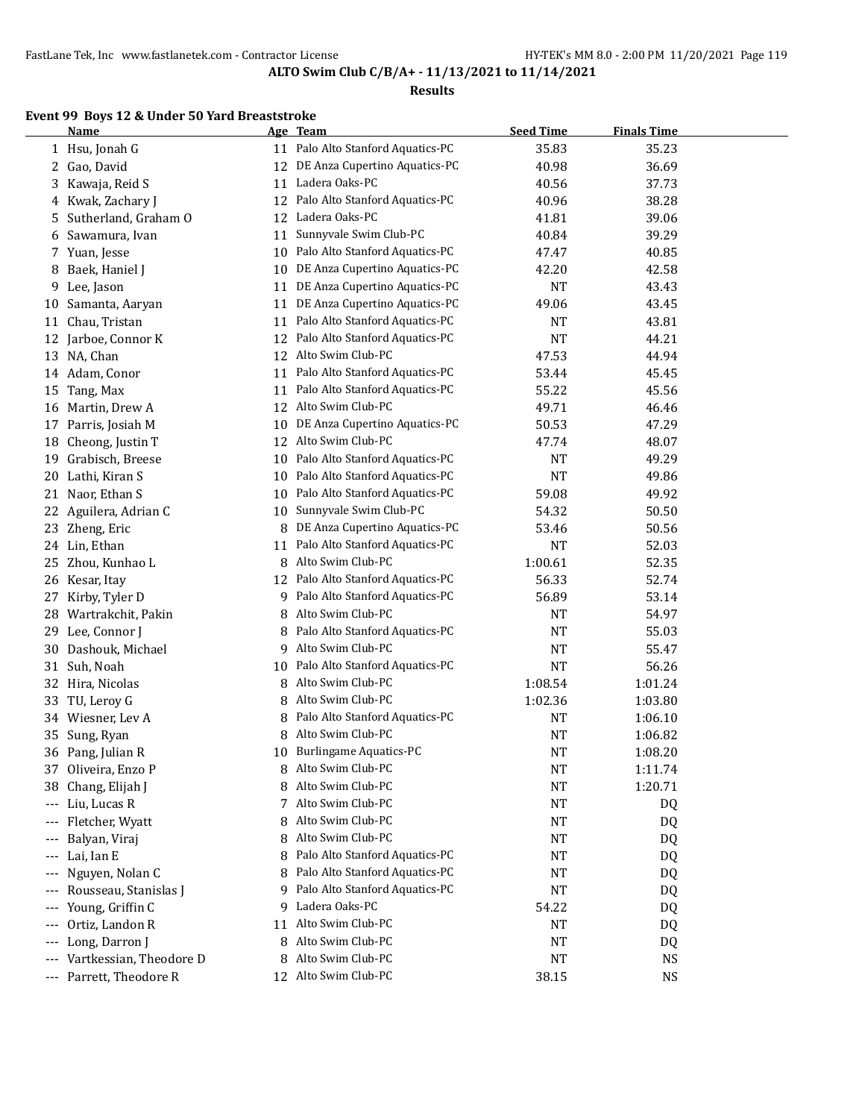#### **Results**

# **Event 99 Boys 12 & Under 50 Yard Breaststroke**

|     | <b>Name</b>                      |    | Age Team                            | <b>Seed Time</b> | <b>Finals Time</b> |  |
|-----|----------------------------------|----|-------------------------------------|------------------|--------------------|--|
|     | 1 Hsu, Jonah G                   |    | 11 Palo Alto Stanford Aquatics-PC   | 35.83            | 35.23              |  |
| 2   | Gao, David                       | 12 | DE Anza Cupertino Aquatics-PC       | 40.98            | 36.69              |  |
| 3   | Kawaja, Reid S                   | 11 | Ladera Oaks-PC                      | 40.56            | 37.73              |  |
| 4   | Kwak, Zachary J                  | 12 | Palo Alto Stanford Aquatics-PC      | 40.96            | 38.28              |  |
| 5   | Sutherland, Graham O             | 12 | Ladera Oaks-PC                      | 41.81            | 39.06              |  |
| 6   | Sawamura, Ivan                   | 11 | Sunnyvale Swim Club-PC              | 40.84            | 39.29              |  |
| 7   | Yuan, Jesse                      | 10 | Palo Alto Stanford Aquatics-PC      | 47.47            | 40.85              |  |
| 8   | Baek, Haniel J                   | 10 | DE Anza Cupertino Aquatics-PC       | 42.20            | 42.58              |  |
| 9   | Lee, Jason                       | 11 | DE Anza Cupertino Aquatics-PC       | <b>NT</b>        | 43.43              |  |
| 10  | Samanta, Aaryan                  | 11 | DE Anza Cupertino Aquatics-PC       | 49.06            | 43.45              |  |
| 11  | Chau, Tristan                    | 11 | Palo Alto Stanford Aquatics-PC      | <b>NT</b>        | 43.81              |  |
| 12  | Jarboe, Connor K                 | 12 | Palo Alto Stanford Aquatics-PC      | <b>NT</b>        | 44.21              |  |
|     | 13 NA, Chan                      |    | 12 Alto Swim Club-PC                | 47.53            | 44.94              |  |
|     | 14 Adam, Conor                   | 11 | Palo Alto Stanford Aquatics-PC      | 53.44            | 45.45              |  |
| 15  | Tang, Max                        | 11 | Palo Alto Stanford Aquatics-PC      | 55.22            | 45.56              |  |
| 16  | Martin, Drew A                   | 12 | Alto Swim Club-PC                   | 49.71            | 46.46              |  |
| 17  | Parris, Josiah M                 | 10 | DE Anza Cupertino Aquatics-PC       | 50.53            | 47.29              |  |
| 18  | Cheong, Justin T                 |    | 12 Alto Swim Club-PC                | 47.74            | 48.07              |  |
| 19  | Grabisch, Breese                 | 10 | Palo Alto Stanford Aquatics-PC      | <b>NT</b>        | 49.29              |  |
| 20  | Lathi, Kiran S                   | 10 | Palo Alto Stanford Aquatics-PC      | <b>NT</b>        | 49.86              |  |
| 21  | Naor, Ethan S                    | 10 | Palo Alto Stanford Aquatics-PC      | 59.08            | 49.92              |  |
| 22  | Aguilera, Adrian C               | 10 | Sunnyvale Swim Club-PC              | 54.32            | 50.50              |  |
| 23  | Zheng, Eric                      | 8  | DE Anza Cupertino Aquatics-PC       | 53.46            | 50.56              |  |
|     | 24 Lin, Ethan                    | 11 | Palo Alto Stanford Aquatics-PC      | <b>NT</b>        | 52.03              |  |
| 25  | Zhou, Kunhao L                   | 8  | Alto Swim Club-PC                   | 1:00.61          | 52.35              |  |
|     | 26 Kesar, Itay                   | 12 | Palo Alto Stanford Aquatics-PC      | 56.33            | 52.74              |  |
| 27  | Kirby, Tyler D                   | 9. | Palo Alto Stanford Aquatics-PC      | 56.89            | 53.14              |  |
| 28  | Wartrakchit, Pakin               | 8  | Alto Swim Club-PC                   | <b>NT</b>        | 54.97              |  |
| 29  | Lee, Connor J                    | 8  | Palo Alto Stanford Aquatics-PC      | <b>NT</b>        | 55.03              |  |
| 30  | Dashouk, Michael                 | 9  | Alto Swim Club-PC                   | <b>NT</b>        | 55.47              |  |
| 31  | Suh, Noah                        | 10 | Palo Alto Stanford Aquatics-PC      | <b>NT</b>        | 56.26              |  |
| 32  | Hira, Nicolas                    | 8  | Alto Swim Club-PC                   | 1:08.54          | 1:01.24            |  |
| 33  | TU, Leroy G                      | 8  | Alto Swim Club-PC                   | 1:02.36          | 1:03.80            |  |
| 34  | Wiesner, Lev A                   | 8  | Palo Alto Stanford Aquatics-PC      | <b>NT</b>        | 1:06.10            |  |
| 35  | Sung, Ryan                       | 8  | Alto Swim Club-PC                   | <b>NT</b>        | 1:06.82            |  |
|     | 36 Pang, Julian R                | 10 | <b>Burlingame Aquatics-PC</b>       | <b>NT</b>        | 1:08.20            |  |
| 37  | Oliveira, Enzo P                 | 8  | Alto Swim Club-PC                   | NT               | 1:11.74            |  |
| 38  | Chang, Elijah J                  | 8  | Alto Swim Club-PC                   | <b>NT</b>        | 1:20.71            |  |
|     | Liu, Lucas R                     | 7  | Alto Swim Club-PC                   | NT               |                    |  |
| --- |                                  | 8  | Alto Swim Club-PC                   |                  | DQ                 |  |
| --- | Fletcher, Wyatt<br>Balyan, Viraj |    | Alto Swim Club-PC                   | NT               | DQ                 |  |
| --- |                                  | 8  | Palo Alto Stanford Aquatics-PC      | NT               | DQ                 |  |
| --- | Lai, Ian E                       | 8  | Palo Alto Stanford Aquatics-PC      | NT               | DQ                 |  |
| --- | Nguyen, Nolan C                  | 8  |                                     | NT               | DQ                 |  |
| --- | Rousseau, Stanislas J            | 9  | Palo Alto Stanford Aquatics-PC      | <b>NT</b>        | DQ                 |  |
| --- | Young, Griffin C                 | 9  | Ladera Oaks-PC<br>Alto Swim Club-PC | 54.22            | DQ                 |  |
| --- | Ortiz, Landon R                  | 11 |                                     | <b>NT</b>        | DQ                 |  |
| --- | Long, Darron J                   | 8  | Alto Swim Club-PC                   | NT               | DQ                 |  |
| --- | Vartkessian, Theodore D          | 8  | Alto Swim Club-PC                   | <b>NT</b>        | <b>NS</b>          |  |
|     | --- Parrett, Theodore R          |    | 12 Alto Swim Club-PC                | 38.15            | <b>NS</b>          |  |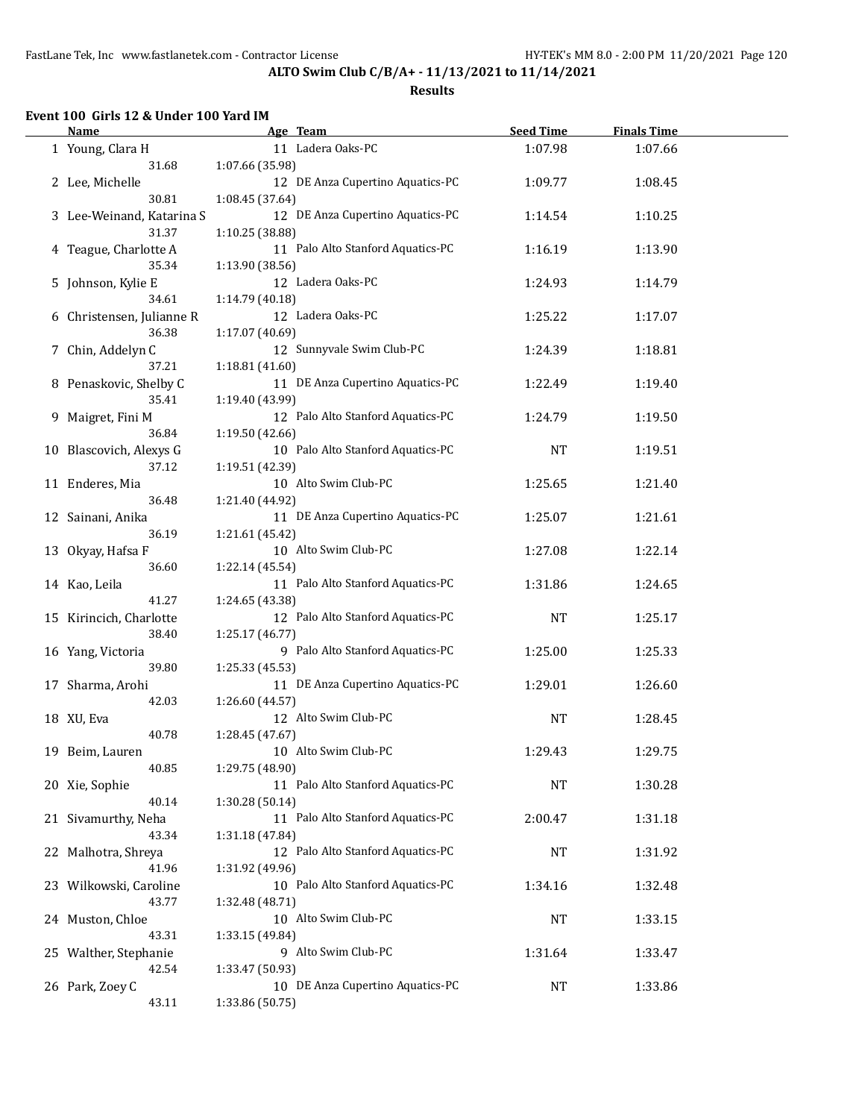**ALTO Swim Club C/B/A+ - 11/13/2021 to 11/14/2021**

#### **Results**

# **Event 100 Girls 12 & Under 100 Yard IM**

 $\overline{a}$ 

| 11 Ladera Oaks-PC<br>1:07.98<br>1:07.66<br>1 Young, Clara H<br>1:07.66 (35.98)<br>31.68<br>12 DE Anza Cupertino Aquatics-PC<br>2 Lee, Michelle<br>1:09.77<br>1:08.45<br>30.81<br>1:08.45 (37.64)<br>12 DE Anza Cupertino Aquatics-PC<br>3 Lee-Weinand, Katarina S<br>1:14.54<br>1:10.25<br>31.37<br>1:10.25 (38.88)<br>11 Palo Alto Stanford Aquatics-PC<br>1:16.19<br>4 Teague, Charlotte A<br>1:13.90<br>35.34<br>1:13.90 (38.56)<br>12 Ladera Oaks-PC<br>5 Johnson, Kylie E<br>1:24.93<br>1:14.79<br>34.61<br>1:14.79 (40.18)<br>12 Ladera Oaks-PC<br>1:25.22<br>6 Christensen, Julianne R<br>1:17.07<br>36.38<br>1:17.07 (40.69)<br>12 Sunnyvale Swim Club-PC<br>7 Chin, Addelyn C<br>1:18.81<br>1:24.39<br>1:18.81 (41.60)<br>37.21<br>11 DE Anza Cupertino Aquatics-PC<br>8 Penaskovic, Shelby C<br>1:19.40<br>1:22.49<br>35.41<br>1:19.40 (43.99)<br>12 Palo Alto Stanford Aquatics-PC<br>9 Maigret, Fini M<br>1:19.50<br>1:24.79<br>36.84<br>1:19.50 (42.66)<br>10 Palo Alto Stanford Aquatics-PC<br>10 Blascovich, Alexys G<br><b>NT</b><br>1:19.51<br>37.12<br>1:19.51 (42.39)<br>10 Alto Swim Club-PC<br>11 Enderes, Mia<br>1:25.65<br>1:21.40<br>36.48<br>1:21.40 (44.92)<br>11 DE Anza Cupertino Aquatics-PC<br>12 Sainani, Anika<br>1:25.07<br>1:21.61<br>36.19<br>1:21.61 (45.42)<br>10 Alto Swim Club-PC<br>1:27.08<br>1:22.14<br>13 Okyay, Hafsa F<br>36.60<br>1:22.14 (45.54)<br>11 Palo Alto Stanford Aquatics-PC<br>1:31.86<br>14 Kao, Leila<br>1:24.65<br>41.27<br>1:24.65 (43.38)<br>12 Palo Alto Stanford Aquatics-PC<br>15 Kirincich, Charlotte<br><b>NT</b><br>1:25.17<br>38.40<br>1:25.17 (46.77)<br>9 Palo Alto Stanford Aquatics-PC<br>1:25.00<br>16 Yang, Victoria<br>1:25.33<br>39.80<br>1:25.33 (45.53)<br>11 DE Anza Cupertino Aquatics-PC<br>1:29.01<br>1:26.60<br>17 Sharma, Arohi<br>42.03<br>1:26.60 (44.57)<br>12 Alto Swim Club-PC<br>18 XU, Eva<br>NT<br>1:28.45<br>40.78<br>1:28.45 (47.67)<br>10 Alto Swim Club-PC<br>1:29.43<br>1:29.75<br>19 Beim, Lauren<br>40.85<br>1:29.75 (48.90)<br>11 Palo Alto Stanford Aquatics-PC<br>20 Xie, Sophie<br><b>NT</b><br>1:30.28<br>40.14<br>1:30.28 (50.14)<br>11 Palo Alto Stanford Aquatics-PC<br>21 Sivamurthy, Neha<br>2:00.47<br>1:31.18<br>43.34<br>1:31.18 (47.84)<br>12 Palo Alto Stanford Aquatics-PC<br>22 Malhotra, Shreya<br><b>NT</b><br>1:31.92<br>41.96<br>1:31.92 (49.96)<br>10 Palo Alto Stanford Aquatics-PC<br>23 Wilkowski, Caroline<br>1:34.16<br>1:32.48<br>43.77<br>1:32.48 (48.71)<br>10 Alto Swim Club-PC<br>24 Muston, Chloe<br><b>NT</b><br>1:33.15<br>43.31<br>1:33.15 (49.84)<br>9 Alto Swim Club-PC<br>25 Walther, Stephanie<br>1:31.64<br>1:33.47<br>42.54<br>1:33.47 (50.93)<br>10 DE Anza Cupertino Aquatics-PC<br>1:33.86<br>26 Park, Zoey C<br><b>NT</b><br>43.11<br>1:33.86 (50.75) | <b>Name</b> | Age Team | <b>Seed Time</b> | <b>Finals Time</b> |  |
|---------------------------------------------------------------------------------------------------------------------------------------------------------------------------------------------------------------------------------------------------------------------------------------------------------------------------------------------------------------------------------------------------------------------------------------------------------------------------------------------------------------------------------------------------------------------------------------------------------------------------------------------------------------------------------------------------------------------------------------------------------------------------------------------------------------------------------------------------------------------------------------------------------------------------------------------------------------------------------------------------------------------------------------------------------------------------------------------------------------------------------------------------------------------------------------------------------------------------------------------------------------------------------------------------------------------------------------------------------------------------------------------------------------------------------------------------------------------------------------------------------------------------------------------------------------------------------------------------------------------------------------------------------------------------------------------------------------------------------------------------------------------------------------------------------------------------------------------------------------------------------------------------------------------------------------------------------------------------------------------------------------------------------------------------------------------------------------------------------------------------------------------------------------------------------------------------------------------------------------------------------------------------------------------------------------------------------------------------------------------------------------------------------------------------------------------------------------------------------------------------------------------------------------------------------------------------------------------------------------------------------------------------------------------------------------------------------------------------------------------------------------------------------------------------------|-------------|----------|------------------|--------------------|--|
|                                                                                                                                                                                                                                                                                                                                                                                                                                                                                                                                                                                                                                                                                                                                                                                                                                                                                                                                                                                                                                                                                                                                                                                                                                                                                                                                                                                                                                                                                                                                                                                                                                                                                                                                                                                                                                                                                                                                                                                                                                                                                                                                                                                                                                                                                                                                                                                                                                                                                                                                                                                                                                                                                                                                                                                                         |             |          |                  |                    |  |
|                                                                                                                                                                                                                                                                                                                                                                                                                                                                                                                                                                                                                                                                                                                                                                                                                                                                                                                                                                                                                                                                                                                                                                                                                                                                                                                                                                                                                                                                                                                                                                                                                                                                                                                                                                                                                                                                                                                                                                                                                                                                                                                                                                                                                                                                                                                                                                                                                                                                                                                                                                                                                                                                                                                                                                                                         |             |          |                  |                    |  |
|                                                                                                                                                                                                                                                                                                                                                                                                                                                                                                                                                                                                                                                                                                                                                                                                                                                                                                                                                                                                                                                                                                                                                                                                                                                                                                                                                                                                                                                                                                                                                                                                                                                                                                                                                                                                                                                                                                                                                                                                                                                                                                                                                                                                                                                                                                                                                                                                                                                                                                                                                                                                                                                                                                                                                                                                         |             |          |                  |                    |  |
|                                                                                                                                                                                                                                                                                                                                                                                                                                                                                                                                                                                                                                                                                                                                                                                                                                                                                                                                                                                                                                                                                                                                                                                                                                                                                                                                                                                                                                                                                                                                                                                                                                                                                                                                                                                                                                                                                                                                                                                                                                                                                                                                                                                                                                                                                                                                                                                                                                                                                                                                                                                                                                                                                                                                                                                                         |             |          |                  |                    |  |
|                                                                                                                                                                                                                                                                                                                                                                                                                                                                                                                                                                                                                                                                                                                                                                                                                                                                                                                                                                                                                                                                                                                                                                                                                                                                                                                                                                                                                                                                                                                                                                                                                                                                                                                                                                                                                                                                                                                                                                                                                                                                                                                                                                                                                                                                                                                                                                                                                                                                                                                                                                                                                                                                                                                                                                                                         |             |          |                  |                    |  |
|                                                                                                                                                                                                                                                                                                                                                                                                                                                                                                                                                                                                                                                                                                                                                                                                                                                                                                                                                                                                                                                                                                                                                                                                                                                                                                                                                                                                                                                                                                                                                                                                                                                                                                                                                                                                                                                                                                                                                                                                                                                                                                                                                                                                                                                                                                                                                                                                                                                                                                                                                                                                                                                                                                                                                                                                         |             |          |                  |                    |  |
|                                                                                                                                                                                                                                                                                                                                                                                                                                                                                                                                                                                                                                                                                                                                                                                                                                                                                                                                                                                                                                                                                                                                                                                                                                                                                                                                                                                                                                                                                                                                                                                                                                                                                                                                                                                                                                                                                                                                                                                                                                                                                                                                                                                                                                                                                                                                                                                                                                                                                                                                                                                                                                                                                                                                                                                                         |             |          |                  |                    |  |
|                                                                                                                                                                                                                                                                                                                                                                                                                                                                                                                                                                                                                                                                                                                                                                                                                                                                                                                                                                                                                                                                                                                                                                                                                                                                                                                                                                                                                                                                                                                                                                                                                                                                                                                                                                                                                                                                                                                                                                                                                                                                                                                                                                                                                                                                                                                                                                                                                                                                                                                                                                                                                                                                                                                                                                                                         |             |          |                  |                    |  |
|                                                                                                                                                                                                                                                                                                                                                                                                                                                                                                                                                                                                                                                                                                                                                                                                                                                                                                                                                                                                                                                                                                                                                                                                                                                                                                                                                                                                                                                                                                                                                                                                                                                                                                                                                                                                                                                                                                                                                                                                                                                                                                                                                                                                                                                                                                                                                                                                                                                                                                                                                                                                                                                                                                                                                                                                         |             |          |                  |                    |  |
|                                                                                                                                                                                                                                                                                                                                                                                                                                                                                                                                                                                                                                                                                                                                                                                                                                                                                                                                                                                                                                                                                                                                                                                                                                                                                                                                                                                                                                                                                                                                                                                                                                                                                                                                                                                                                                                                                                                                                                                                                                                                                                                                                                                                                                                                                                                                                                                                                                                                                                                                                                                                                                                                                                                                                                                                         |             |          |                  |                    |  |
|                                                                                                                                                                                                                                                                                                                                                                                                                                                                                                                                                                                                                                                                                                                                                                                                                                                                                                                                                                                                                                                                                                                                                                                                                                                                                                                                                                                                                                                                                                                                                                                                                                                                                                                                                                                                                                                                                                                                                                                                                                                                                                                                                                                                                                                                                                                                                                                                                                                                                                                                                                                                                                                                                                                                                                                                         |             |          |                  |                    |  |
|                                                                                                                                                                                                                                                                                                                                                                                                                                                                                                                                                                                                                                                                                                                                                                                                                                                                                                                                                                                                                                                                                                                                                                                                                                                                                                                                                                                                                                                                                                                                                                                                                                                                                                                                                                                                                                                                                                                                                                                                                                                                                                                                                                                                                                                                                                                                                                                                                                                                                                                                                                                                                                                                                                                                                                                                         |             |          |                  |                    |  |
|                                                                                                                                                                                                                                                                                                                                                                                                                                                                                                                                                                                                                                                                                                                                                                                                                                                                                                                                                                                                                                                                                                                                                                                                                                                                                                                                                                                                                                                                                                                                                                                                                                                                                                                                                                                                                                                                                                                                                                                                                                                                                                                                                                                                                                                                                                                                                                                                                                                                                                                                                                                                                                                                                                                                                                                                         |             |          |                  |                    |  |
|                                                                                                                                                                                                                                                                                                                                                                                                                                                                                                                                                                                                                                                                                                                                                                                                                                                                                                                                                                                                                                                                                                                                                                                                                                                                                                                                                                                                                                                                                                                                                                                                                                                                                                                                                                                                                                                                                                                                                                                                                                                                                                                                                                                                                                                                                                                                                                                                                                                                                                                                                                                                                                                                                                                                                                                                         |             |          |                  |                    |  |
|                                                                                                                                                                                                                                                                                                                                                                                                                                                                                                                                                                                                                                                                                                                                                                                                                                                                                                                                                                                                                                                                                                                                                                                                                                                                                                                                                                                                                                                                                                                                                                                                                                                                                                                                                                                                                                                                                                                                                                                                                                                                                                                                                                                                                                                                                                                                                                                                                                                                                                                                                                                                                                                                                                                                                                                                         |             |          |                  |                    |  |
|                                                                                                                                                                                                                                                                                                                                                                                                                                                                                                                                                                                                                                                                                                                                                                                                                                                                                                                                                                                                                                                                                                                                                                                                                                                                                                                                                                                                                                                                                                                                                                                                                                                                                                                                                                                                                                                                                                                                                                                                                                                                                                                                                                                                                                                                                                                                                                                                                                                                                                                                                                                                                                                                                                                                                                                                         |             |          |                  |                    |  |
|                                                                                                                                                                                                                                                                                                                                                                                                                                                                                                                                                                                                                                                                                                                                                                                                                                                                                                                                                                                                                                                                                                                                                                                                                                                                                                                                                                                                                                                                                                                                                                                                                                                                                                                                                                                                                                                                                                                                                                                                                                                                                                                                                                                                                                                                                                                                                                                                                                                                                                                                                                                                                                                                                                                                                                                                         |             |          |                  |                    |  |
|                                                                                                                                                                                                                                                                                                                                                                                                                                                                                                                                                                                                                                                                                                                                                                                                                                                                                                                                                                                                                                                                                                                                                                                                                                                                                                                                                                                                                                                                                                                                                                                                                                                                                                                                                                                                                                                                                                                                                                                                                                                                                                                                                                                                                                                                                                                                                                                                                                                                                                                                                                                                                                                                                                                                                                                                         |             |          |                  |                    |  |
|                                                                                                                                                                                                                                                                                                                                                                                                                                                                                                                                                                                                                                                                                                                                                                                                                                                                                                                                                                                                                                                                                                                                                                                                                                                                                                                                                                                                                                                                                                                                                                                                                                                                                                                                                                                                                                                                                                                                                                                                                                                                                                                                                                                                                                                                                                                                                                                                                                                                                                                                                                                                                                                                                                                                                                                                         |             |          |                  |                    |  |
|                                                                                                                                                                                                                                                                                                                                                                                                                                                                                                                                                                                                                                                                                                                                                                                                                                                                                                                                                                                                                                                                                                                                                                                                                                                                                                                                                                                                                                                                                                                                                                                                                                                                                                                                                                                                                                                                                                                                                                                                                                                                                                                                                                                                                                                                                                                                                                                                                                                                                                                                                                                                                                                                                                                                                                                                         |             |          |                  |                    |  |
|                                                                                                                                                                                                                                                                                                                                                                                                                                                                                                                                                                                                                                                                                                                                                                                                                                                                                                                                                                                                                                                                                                                                                                                                                                                                                                                                                                                                                                                                                                                                                                                                                                                                                                                                                                                                                                                                                                                                                                                                                                                                                                                                                                                                                                                                                                                                                                                                                                                                                                                                                                                                                                                                                                                                                                                                         |             |          |                  |                    |  |
|                                                                                                                                                                                                                                                                                                                                                                                                                                                                                                                                                                                                                                                                                                                                                                                                                                                                                                                                                                                                                                                                                                                                                                                                                                                                                                                                                                                                                                                                                                                                                                                                                                                                                                                                                                                                                                                                                                                                                                                                                                                                                                                                                                                                                                                                                                                                                                                                                                                                                                                                                                                                                                                                                                                                                                                                         |             |          |                  |                    |  |
|                                                                                                                                                                                                                                                                                                                                                                                                                                                                                                                                                                                                                                                                                                                                                                                                                                                                                                                                                                                                                                                                                                                                                                                                                                                                                                                                                                                                                                                                                                                                                                                                                                                                                                                                                                                                                                                                                                                                                                                                                                                                                                                                                                                                                                                                                                                                                                                                                                                                                                                                                                                                                                                                                                                                                                                                         |             |          |                  |                    |  |
|                                                                                                                                                                                                                                                                                                                                                                                                                                                                                                                                                                                                                                                                                                                                                                                                                                                                                                                                                                                                                                                                                                                                                                                                                                                                                                                                                                                                                                                                                                                                                                                                                                                                                                                                                                                                                                                                                                                                                                                                                                                                                                                                                                                                                                                                                                                                                                                                                                                                                                                                                                                                                                                                                                                                                                                                         |             |          |                  |                    |  |
|                                                                                                                                                                                                                                                                                                                                                                                                                                                                                                                                                                                                                                                                                                                                                                                                                                                                                                                                                                                                                                                                                                                                                                                                                                                                                                                                                                                                                                                                                                                                                                                                                                                                                                                                                                                                                                                                                                                                                                                                                                                                                                                                                                                                                                                                                                                                                                                                                                                                                                                                                                                                                                                                                                                                                                                                         |             |          |                  |                    |  |
|                                                                                                                                                                                                                                                                                                                                                                                                                                                                                                                                                                                                                                                                                                                                                                                                                                                                                                                                                                                                                                                                                                                                                                                                                                                                                                                                                                                                                                                                                                                                                                                                                                                                                                                                                                                                                                                                                                                                                                                                                                                                                                                                                                                                                                                                                                                                                                                                                                                                                                                                                                                                                                                                                                                                                                                                         |             |          |                  |                    |  |
|                                                                                                                                                                                                                                                                                                                                                                                                                                                                                                                                                                                                                                                                                                                                                                                                                                                                                                                                                                                                                                                                                                                                                                                                                                                                                                                                                                                                                                                                                                                                                                                                                                                                                                                                                                                                                                                                                                                                                                                                                                                                                                                                                                                                                                                                                                                                                                                                                                                                                                                                                                                                                                                                                                                                                                                                         |             |          |                  |                    |  |
|                                                                                                                                                                                                                                                                                                                                                                                                                                                                                                                                                                                                                                                                                                                                                                                                                                                                                                                                                                                                                                                                                                                                                                                                                                                                                                                                                                                                                                                                                                                                                                                                                                                                                                                                                                                                                                                                                                                                                                                                                                                                                                                                                                                                                                                                                                                                                                                                                                                                                                                                                                                                                                                                                                                                                                                                         |             |          |                  |                    |  |
|                                                                                                                                                                                                                                                                                                                                                                                                                                                                                                                                                                                                                                                                                                                                                                                                                                                                                                                                                                                                                                                                                                                                                                                                                                                                                                                                                                                                                                                                                                                                                                                                                                                                                                                                                                                                                                                                                                                                                                                                                                                                                                                                                                                                                                                                                                                                                                                                                                                                                                                                                                                                                                                                                                                                                                                                         |             |          |                  |                    |  |
|                                                                                                                                                                                                                                                                                                                                                                                                                                                                                                                                                                                                                                                                                                                                                                                                                                                                                                                                                                                                                                                                                                                                                                                                                                                                                                                                                                                                                                                                                                                                                                                                                                                                                                                                                                                                                                                                                                                                                                                                                                                                                                                                                                                                                                                                                                                                                                                                                                                                                                                                                                                                                                                                                                                                                                                                         |             |          |                  |                    |  |
|                                                                                                                                                                                                                                                                                                                                                                                                                                                                                                                                                                                                                                                                                                                                                                                                                                                                                                                                                                                                                                                                                                                                                                                                                                                                                                                                                                                                                                                                                                                                                                                                                                                                                                                                                                                                                                                                                                                                                                                                                                                                                                                                                                                                                                                                                                                                                                                                                                                                                                                                                                                                                                                                                                                                                                                                         |             |          |                  |                    |  |
|                                                                                                                                                                                                                                                                                                                                                                                                                                                                                                                                                                                                                                                                                                                                                                                                                                                                                                                                                                                                                                                                                                                                                                                                                                                                                                                                                                                                                                                                                                                                                                                                                                                                                                                                                                                                                                                                                                                                                                                                                                                                                                                                                                                                                                                                                                                                                                                                                                                                                                                                                                                                                                                                                                                                                                                                         |             |          |                  |                    |  |
|                                                                                                                                                                                                                                                                                                                                                                                                                                                                                                                                                                                                                                                                                                                                                                                                                                                                                                                                                                                                                                                                                                                                                                                                                                                                                                                                                                                                                                                                                                                                                                                                                                                                                                                                                                                                                                                                                                                                                                                                                                                                                                                                                                                                                                                                                                                                                                                                                                                                                                                                                                                                                                                                                                                                                                                                         |             |          |                  |                    |  |
|                                                                                                                                                                                                                                                                                                                                                                                                                                                                                                                                                                                                                                                                                                                                                                                                                                                                                                                                                                                                                                                                                                                                                                                                                                                                                                                                                                                                                                                                                                                                                                                                                                                                                                                                                                                                                                                                                                                                                                                                                                                                                                                                                                                                                                                                                                                                                                                                                                                                                                                                                                                                                                                                                                                                                                                                         |             |          |                  |                    |  |
|                                                                                                                                                                                                                                                                                                                                                                                                                                                                                                                                                                                                                                                                                                                                                                                                                                                                                                                                                                                                                                                                                                                                                                                                                                                                                                                                                                                                                                                                                                                                                                                                                                                                                                                                                                                                                                                                                                                                                                                                                                                                                                                                                                                                                                                                                                                                                                                                                                                                                                                                                                                                                                                                                                                                                                                                         |             |          |                  |                    |  |
|                                                                                                                                                                                                                                                                                                                                                                                                                                                                                                                                                                                                                                                                                                                                                                                                                                                                                                                                                                                                                                                                                                                                                                                                                                                                                                                                                                                                                                                                                                                                                                                                                                                                                                                                                                                                                                                                                                                                                                                                                                                                                                                                                                                                                                                                                                                                                                                                                                                                                                                                                                                                                                                                                                                                                                                                         |             |          |                  |                    |  |
|                                                                                                                                                                                                                                                                                                                                                                                                                                                                                                                                                                                                                                                                                                                                                                                                                                                                                                                                                                                                                                                                                                                                                                                                                                                                                                                                                                                                                                                                                                                                                                                                                                                                                                                                                                                                                                                                                                                                                                                                                                                                                                                                                                                                                                                                                                                                                                                                                                                                                                                                                                                                                                                                                                                                                                                                         |             |          |                  |                    |  |
|                                                                                                                                                                                                                                                                                                                                                                                                                                                                                                                                                                                                                                                                                                                                                                                                                                                                                                                                                                                                                                                                                                                                                                                                                                                                                                                                                                                                                                                                                                                                                                                                                                                                                                                                                                                                                                                                                                                                                                                                                                                                                                                                                                                                                                                                                                                                                                                                                                                                                                                                                                                                                                                                                                                                                                                                         |             |          |                  |                    |  |
|                                                                                                                                                                                                                                                                                                                                                                                                                                                                                                                                                                                                                                                                                                                                                                                                                                                                                                                                                                                                                                                                                                                                                                                                                                                                                                                                                                                                                                                                                                                                                                                                                                                                                                                                                                                                                                                                                                                                                                                                                                                                                                                                                                                                                                                                                                                                                                                                                                                                                                                                                                                                                                                                                                                                                                                                         |             |          |                  |                    |  |
|                                                                                                                                                                                                                                                                                                                                                                                                                                                                                                                                                                                                                                                                                                                                                                                                                                                                                                                                                                                                                                                                                                                                                                                                                                                                                                                                                                                                                                                                                                                                                                                                                                                                                                                                                                                                                                                                                                                                                                                                                                                                                                                                                                                                                                                                                                                                                                                                                                                                                                                                                                                                                                                                                                                                                                                                         |             |          |                  |                    |  |
|                                                                                                                                                                                                                                                                                                                                                                                                                                                                                                                                                                                                                                                                                                                                                                                                                                                                                                                                                                                                                                                                                                                                                                                                                                                                                                                                                                                                                                                                                                                                                                                                                                                                                                                                                                                                                                                                                                                                                                                                                                                                                                                                                                                                                                                                                                                                                                                                                                                                                                                                                                                                                                                                                                                                                                                                         |             |          |                  |                    |  |
|                                                                                                                                                                                                                                                                                                                                                                                                                                                                                                                                                                                                                                                                                                                                                                                                                                                                                                                                                                                                                                                                                                                                                                                                                                                                                                                                                                                                                                                                                                                                                                                                                                                                                                                                                                                                                                                                                                                                                                                                                                                                                                                                                                                                                                                                                                                                                                                                                                                                                                                                                                                                                                                                                                                                                                                                         |             |          |                  |                    |  |
|                                                                                                                                                                                                                                                                                                                                                                                                                                                                                                                                                                                                                                                                                                                                                                                                                                                                                                                                                                                                                                                                                                                                                                                                                                                                                                                                                                                                                                                                                                                                                                                                                                                                                                                                                                                                                                                                                                                                                                                                                                                                                                                                                                                                                                                                                                                                                                                                                                                                                                                                                                                                                                                                                                                                                                                                         |             |          |                  |                    |  |
|                                                                                                                                                                                                                                                                                                                                                                                                                                                                                                                                                                                                                                                                                                                                                                                                                                                                                                                                                                                                                                                                                                                                                                                                                                                                                                                                                                                                                                                                                                                                                                                                                                                                                                                                                                                                                                                                                                                                                                                                                                                                                                                                                                                                                                                                                                                                                                                                                                                                                                                                                                                                                                                                                                                                                                                                         |             |          |                  |                    |  |
|                                                                                                                                                                                                                                                                                                                                                                                                                                                                                                                                                                                                                                                                                                                                                                                                                                                                                                                                                                                                                                                                                                                                                                                                                                                                                                                                                                                                                                                                                                                                                                                                                                                                                                                                                                                                                                                                                                                                                                                                                                                                                                                                                                                                                                                                                                                                                                                                                                                                                                                                                                                                                                                                                                                                                                                                         |             |          |                  |                    |  |
|                                                                                                                                                                                                                                                                                                                                                                                                                                                                                                                                                                                                                                                                                                                                                                                                                                                                                                                                                                                                                                                                                                                                                                                                                                                                                                                                                                                                                                                                                                                                                                                                                                                                                                                                                                                                                                                                                                                                                                                                                                                                                                                                                                                                                                                                                                                                                                                                                                                                                                                                                                                                                                                                                                                                                                                                         |             |          |                  |                    |  |
|                                                                                                                                                                                                                                                                                                                                                                                                                                                                                                                                                                                                                                                                                                                                                                                                                                                                                                                                                                                                                                                                                                                                                                                                                                                                                                                                                                                                                                                                                                                                                                                                                                                                                                                                                                                                                                                                                                                                                                                                                                                                                                                                                                                                                                                                                                                                                                                                                                                                                                                                                                                                                                                                                                                                                                                                         |             |          |                  |                    |  |
|                                                                                                                                                                                                                                                                                                                                                                                                                                                                                                                                                                                                                                                                                                                                                                                                                                                                                                                                                                                                                                                                                                                                                                                                                                                                                                                                                                                                                                                                                                                                                                                                                                                                                                                                                                                                                                                                                                                                                                                                                                                                                                                                                                                                                                                                                                                                                                                                                                                                                                                                                                                                                                                                                                                                                                                                         |             |          |                  |                    |  |
|                                                                                                                                                                                                                                                                                                                                                                                                                                                                                                                                                                                                                                                                                                                                                                                                                                                                                                                                                                                                                                                                                                                                                                                                                                                                                                                                                                                                                                                                                                                                                                                                                                                                                                                                                                                                                                                                                                                                                                                                                                                                                                                                                                                                                                                                                                                                                                                                                                                                                                                                                                                                                                                                                                                                                                                                         |             |          |                  |                    |  |
|                                                                                                                                                                                                                                                                                                                                                                                                                                                                                                                                                                                                                                                                                                                                                                                                                                                                                                                                                                                                                                                                                                                                                                                                                                                                                                                                                                                                                                                                                                                                                                                                                                                                                                                                                                                                                                                                                                                                                                                                                                                                                                                                                                                                                                                                                                                                                                                                                                                                                                                                                                                                                                                                                                                                                                                                         |             |          |                  |                    |  |
|                                                                                                                                                                                                                                                                                                                                                                                                                                                                                                                                                                                                                                                                                                                                                                                                                                                                                                                                                                                                                                                                                                                                                                                                                                                                                                                                                                                                                                                                                                                                                                                                                                                                                                                                                                                                                                                                                                                                                                                                                                                                                                                                                                                                                                                                                                                                                                                                                                                                                                                                                                                                                                                                                                                                                                                                         |             |          |                  |                    |  |
|                                                                                                                                                                                                                                                                                                                                                                                                                                                                                                                                                                                                                                                                                                                                                                                                                                                                                                                                                                                                                                                                                                                                                                                                                                                                                                                                                                                                                                                                                                                                                                                                                                                                                                                                                                                                                                                                                                                                                                                                                                                                                                                                                                                                                                                                                                                                                                                                                                                                                                                                                                                                                                                                                                                                                                                                         |             |          |                  |                    |  |
|                                                                                                                                                                                                                                                                                                                                                                                                                                                                                                                                                                                                                                                                                                                                                                                                                                                                                                                                                                                                                                                                                                                                                                                                                                                                                                                                                                                                                                                                                                                                                                                                                                                                                                                                                                                                                                                                                                                                                                                                                                                                                                                                                                                                                                                                                                                                                                                                                                                                                                                                                                                                                                                                                                                                                                                                         |             |          |                  |                    |  |
|                                                                                                                                                                                                                                                                                                                                                                                                                                                                                                                                                                                                                                                                                                                                                                                                                                                                                                                                                                                                                                                                                                                                                                                                                                                                                                                                                                                                                                                                                                                                                                                                                                                                                                                                                                                                                                                                                                                                                                                                                                                                                                                                                                                                                                                                                                                                                                                                                                                                                                                                                                                                                                                                                                                                                                                                         |             |          |                  |                    |  |
|                                                                                                                                                                                                                                                                                                                                                                                                                                                                                                                                                                                                                                                                                                                                                                                                                                                                                                                                                                                                                                                                                                                                                                                                                                                                                                                                                                                                                                                                                                                                                                                                                                                                                                                                                                                                                                                                                                                                                                                                                                                                                                                                                                                                                                                                                                                                                                                                                                                                                                                                                                                                                                                                                                                                                                                                         |             |          |                  |                    |  |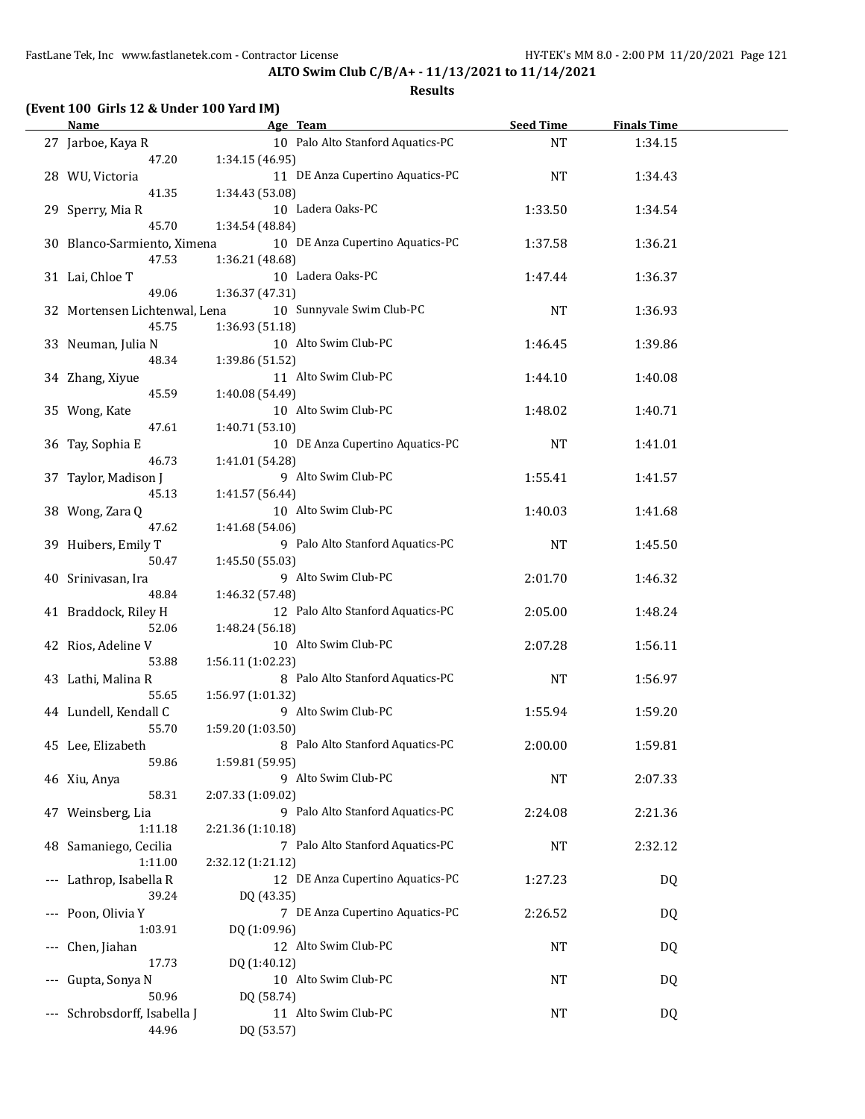**ALTO Swim Club C/B/A+ - 11/13/2021 to 11/14/2021**

| (Event 100 Girls 12 & Under 100 Yard IM) |                                                       |                  |                    |  |
|------------------------------------------|-------------------------------------------------------|------------------|--------------------|--|
| <b>Name</b>                              | Age Team                                              | <b>Seed Time</b> | <b>Finals Time</b> |  |
| 27 Jarboe, Kaya R<br>47.20               | 10 Palo Alto Stanford Aquatics-PC<br>1:34.15 (46.95)  | <b>NT</b>        | 1:34.15            |  |
| 28 WU, Victoria<br>41.35                 | 11 DE Anza Cupertino Aquatics-PC<br>1:34.43 (53.08)   | NT               | 1:34.43            |  |
| 29 Sperry, Mia R                         | 10 Ladera Oaks-PC                                     | 1:33.50          | 1:34.54            |  |
| 45.70<br>30 Blanco-Sarmiento, Ximena     | 1:34.54 (48.84)<br>10 DE Anza Cupertino Aquatics-PC   | 1:37.58          | 1:36.21            |  |
| 47.53<br>31 Lai, Chloe T                 | 1:36.21 (48.68)<br>10 Ladera Oaks-PC                  | 1:47.44          | 1:36.37            |  |
| 49.06                                    | 1:36.37 (47.31)                                       |                  |                    |  |
| 32 Mortensen Lichtenwal, Lena<br>45.75   | 10 Sunnyvale Swim Club-PC<br>1:36.93 (51.18)          | NT               | 1:36.93            |  |
| 33 Neuman, Julia N<br>48.34              | 10 Alto Swim Club-PC<br>1:39.86 (51.52)               | 1:46.45          | 1:39.86            |  |
| 34 Zhang, Xiyue<br>45.59                 | 11 Alto Swim Club-PC<br>1:40.08 (54.49)               | 1:44.10          | 1:40.08            |  |
| 35 Wong, Kate                            | 10 Alto Swim Club-PC                                  | 1:48.02          | 1:40.71            |  |
| 47.61<br>36 Tay, Sophia E                | 1:40.71 (53.10)<br>10 DE Anza Cupertino Aquatics-PC   | <b>NT</b>        | 1:41.01            |  |
| 46.73<br>37 Taylor, Madison J            | 1:41.01 (54.28)<br>9 Alto Swim Club-PC                | 1:55.41          | 1:41.57            |  |
| 45.13<br>38 Wong, Zara Q                 | 1:41.57 (56.44)<br>10 Alto Swim Club-PC               | 1:40.03          | 1:41.68            |  |
| 47.62<br>39 Huibers, Emily T             | 1:41.68 (54.06)<br>9 Palo Alto Stanford Aquatics-PC   | NT               | 1:45.50            |  |
| 50.47<br>40 Srinivasan, Ira              | 1:45.50 (55.03)<br>9 Alto Swim Club-PC                | 2:01.70          | 1:46.32            |  |
| 48.84                                    | 1:46.32 (57.48)                                       |                  |                    |  |
| 41 Braddock, Riley H<br>52.06            | 12 Palo Alto Stanford Aquatics-PC<br>1:48.24 (56.18)  | 2:05.00          | 1:48.24            |  |
| 42 Rios, Adeline V<br>53.88              | 10 Alto Swim Club-PC<br>1:56.11 (1:02.23)             | 2:07.28          | 1:56.11            |  |
| 43 Lathi, Malina R<br>55.65              | 8 Palo Alto Stanford Aquatics-PC<br>1:56.97 (1:01.32) | <b>NT</b>        | 1:56.97            |  |
| 44 Lundell, Kendall C<br>55.70           | 9 Alto Swim Club-PC<br>1:59.20 (1:03.50)              | 1:55.94          | 1:59.20            |  |
| 45 Lee, Elizabeth                        | 8 Palo Alto Stanford Aquatics-PC                      | 2:00.00          | 1:59.81            |  |
| 59.86<br>46 Xiu, Anya                    | 1:59.81 (59.95)<br>9 Alto Swim Club-PC                | NT               | 2:07.33            |  |
| 58.31<br>47 Weinsberg, Lia               | 2:07.33 (1:09.02)<br>9 Palo Alto Stanford Aquatics-PC | 2:24.08          | 2:21.36            |  |
| 1:11.18<br>48 Samaniego, Cecilia         | 2:21.36 (1:10.18)<br>7 Palo Alto Stanford Aquatics-PC | NT               | 2:32.12            |  |
| 1:11.00<br>Lathrop, Isabella R           | 2:32.12 (1:21.12)<br>12 DE Anza Cupertino Aquatics-PC | 1:27.23          | DQ                 |  |
| 39.24                                    | DQ (43.35)                                            |                  |                    |  |
| Poon, Olivia Y<br>1:03.91                | 7 DE Anza Cupertino Aquatics-PC<br>DQ (1:09.96)       | 2:26.52          | DQ                 |  |
| Chen, Jiahan<br>17.73                    | 12 Alto Swim Club-PC<br>DQ (1:40.12)                  | NT               | DQ                 |  |
| Gupta, Sonya N<br>50.96                  | 10 Alto Swim Club-PC<br>DQ (58.74)                    | NT               | DQ                 |  |
| Schrobsdorff, Isabella J<br>44.96        | 11 Alto Swim Club-PC<br>DQ (53.57)                    | NT               | DQ                 |  |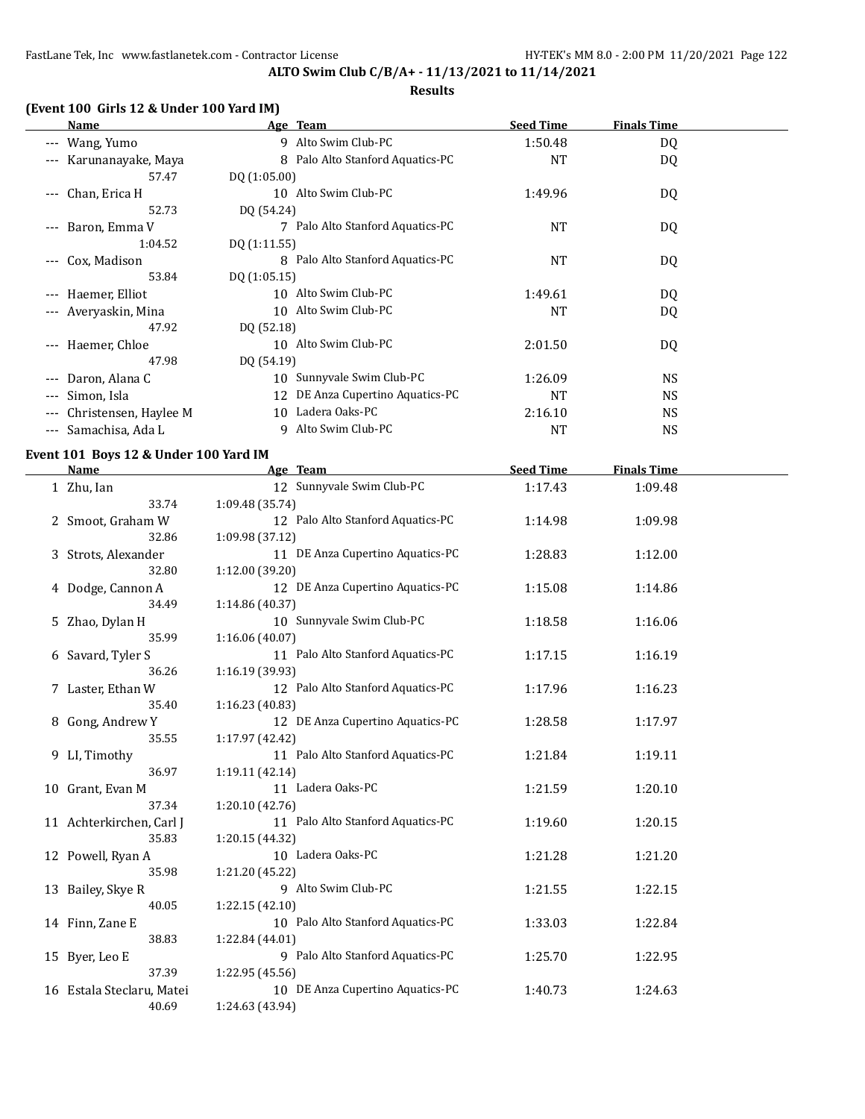#### **Results**

# **(Event 100 Girls 12 & Under 100 Yard IM)**

| Name                                | Age Team                            | <b>Seed Time</b> | <b>Finals Time</b> |  |
|-------------------------------------|-------------------------------------|------------------|--------------------|--|
| --- Wang, Yumo                      | 9 Alto Swim Club-PC                 | 1:50.48          | DQ                 |  |
| Karunanayake, Maya<br>$\cdots$      | 8 Palo Alto Stanford Aquatics-PC    | <b>NT</b>        | DQ                 |  |
| 57.47                               | DQ(1:05.00)                         |                  |                    |  |
| Chan, Erica H<br>$---$              | 10 Alto Swim Club-PC                | 1:49.96          | DQ.                |  |
| 52.73                               | DQ (54.24)                          |                  |                    |  |
| Baron, Emma V<br>$---$              | 7 Palo Alto Stanford Aquatics-PC    | NT               | DQ                 |  |
| 1:04.52                             | DQ (1:11.55)                        |                  |                    |  |
| Cox, Madison<br>$\qquad \qquad - -$ | 8 Palo Alto Stanford Aquatics-PC    | <b>NT</b>        | DQ                 |  |
| 53.84                               | DQ (1:05.15)                        |                  |                    |  |
| --- Haemer, Elliot                  | 10 Alto Swim Club-PC                | 1:49.61          | DQ.                |  |
| --- Averyaskin, Mina                | 10 Alto Swim Club-PC                | <b>NT</b>        | DQ                 |  |
| 47.92                               | DQ (52.18)                          |                  |                    |  |
| --- Haemer, Chloe                   | 10 Alto Swim Club-PC                | 2:01.50          | DQ                 |  |
| 47.98                               | DQ (54.19)                          |                  |                    |  |
| Daron, Alana C                      | Sunnyvale Swim Club-PC<br>10        | 1:26.09          | <b>NS</b>          |  |
| Simon, Isla<br>$---$                | DE Anza Cupertino Aquatics-PC<br>12 | <b>NT</b>        | NS.                |  |
| Christensen, Haylee M<br>$---$      | Ladera Oaks-PC<br>10                | 2:16.10          | <b>NS</b>          |  |
| --- Samachisa, Ada L                | Alto Swim Club-PC<br>9              | NT               | <b>NS</b>          |  |

#### **Event 101 Boys 12 & Under 100 Yard IM**

| <b>Name</b>               | Age Team                          | <b>Seed Time</b> | <b>Finals Time</b> |  |
|---------------------------|-----------------------------------|------------------|--------------------|--|
| 1 Zhu, Ian                | 12 Sunnyvale Swim Club-PC         | 1:17.43          | 1:09.48            |  |
| 33.74                     | 1:09.48 (35.74)                   |                  |                    |  |
| 2 Smoot, Graham W         | 12 Palo Alto Stanford Aquatics-PC | 1:14.98          | 1:09.98            |  |
| 32.86                     | 1:09.98 (37.12)                   |                  |                    |  |
| 3 Strots, Alexander       | 11 DE Anza Cupertino Aquatics-PC  | 1:28.83          | 1:12.00            |  |
| 32.80                     | 1:12.00 (39.20)                   |                  |                    |  |
| 4 Dodge, Cannon A         | 12 DE Anza Cupertino Aquatics-PC  | 1:15.08          | 1:14.86            |  |
| 34.49                     | 1:14.86 (40.37)                   |                  |                    |  |
| 5 Zhao, Dylan H           | 10 Sunnyvale Swim Club-PC         | 1:18.58          | 1:16.06            |  |
| 35.99                     | 1:16.06(40.07)                    |                  |                    |  |
| 6 Savard, Tyler S         | 11 Palo Alto Stanford Aquatics-PC | 1:17.15          | 1:16.19            |  |
| 36.26                     | 1:16.19 (39.93)                   |                  |                    |  |
| 7 Laster, Ethan W         | 12 Palo Alto Stanford Aquatics-PC | 1:17.96          | 1:16.23            |  |
| 35.40                     | 1:16.23 (40.83)                   |                  |                    |  |
| 8 Gong, Andrew Y          | 12 DE Anza Cupertino Aquatics-PC  | 1:28.58          | 1:17.97            |  |
| 35.55                     | 1:17.97 (42.42)                   |                  |                    |  |
| 9 LI, Timothy             | 11 Palo Alto Stanford Aquatics-PC | 1:21.84          | 1:19.11            |  |
| 36.97                     | 1:19.11 (42.14)                   |                  |                    |  |
| 10 Grant, Evan M          | 11 Ladera Oaks-PC                 | 1:21.59          | 1:20.10            |  |
| 37.34                     | 1:20.10 (42.76)                   |                  |                    |  |
| 11 Achterkirchen, Carl J  | 11 Palo Alto Stanford Aquatics-PC | 1:19.60          | 1:20.15            |  |
| 35.83                     | 1:20.15 (44.32)                   |                  |                    |  |
| 12 Powell, Ryan A         | 10 Ladera Oaks-PC                 | 1:21.28          | 1:21.20            |  |
| 35.98                     | 1:21.20 (45.22)                   |                  |                    |  |
| 13 Bailey, Skye R         | 9 Alto Swim Club-PC               | 1:21.55          | 1:22.15            |  |
| 40.05                     | 1:22.15(42.10)                    |                  |                    |  |
| 14 Finn, Zane E           | 10 Palo Alto Stanford Aquatics-PC | 1:33.03          | 1:22.84            |  |
| 38.83                     | 1:22.84 (44.01)                   |                  |                    |  |
| 15 Byer, Leo E            | 9 Palo Alto Stanford Aquatics-PC  | 1:25.70          | 1:22.95            |  |
| 37.39                     | 1:22.95 (45.56)                   |                  |                    |  |
| 16 Estala Steclaru, Matei | 10 DE Anza Cupertino Aquatics-PC  | 1:40.73          | 1:24.63            |  |
| 40.69                     | 1:24.63 (43.94)                   |                  |                    |  |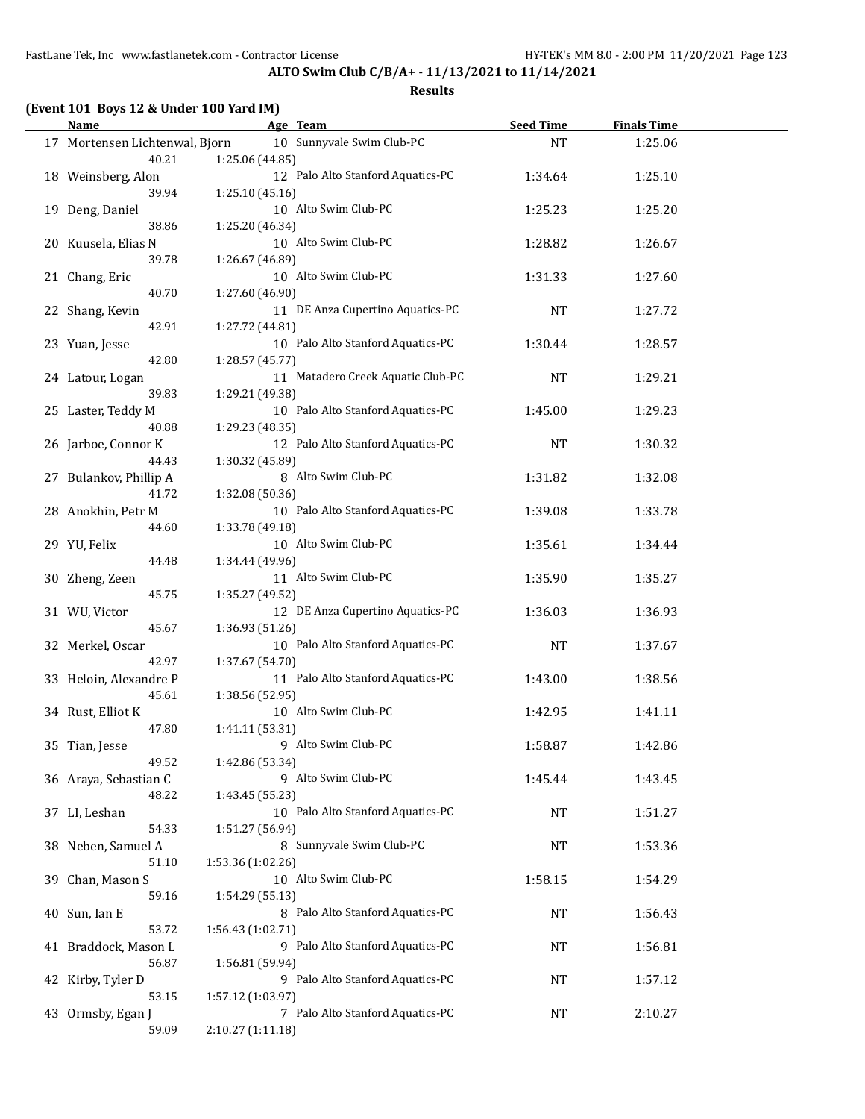**ALTO Swim Club C/B/A+ - 11/13/2021 to 11/14/2021 Results**

# **(Event 101 Boys 12 & Under 100 Yard IM)**

| Name                           | Age Team                                    | <b>Seed Time</b> | <b>Finals Time</b> |  |
|--------------------------------|---------------------------------------------|------------------|--------------------|--|
| 17 Mortensen Lichtenwal, Bjorn | 10 Sunnyvale Swim Club-PC                   | NT               | 1:25.06            |  |
| 40.21                          | 1:25.06 (44.85)                             |                  |                    |  |
| 18 Weinsberg, Alon             | 12 Palo Alto Stanford Aquatics-PC           | 1:34.64          | 1:25.10            |  |
| 39.94                          | 1:25.10 (45.16)                             |                  |                    |  |
| 19 Deng, Daniel                | 10 Alto Swim Club-PC                        | 1:25.23          | 1:25.20            |  |
| 38.86                          | 1:25.20 (46.34)                             |                  |                    |  |
| 20 Kuusela, Elias N            | 10 Alto Swim Club-PC                        | 1:28.82          | 1:26.67            |  |
| 39.78                          | 1:26.67 (46.89)                             |                  |                    |  |
|                                | 10 Alto Swim Club-PC                        |                  |                    |  |
| 21 Chang, Eric<br>40.70        |                                             | 1:31.33          | 1:27.60            |  |
|                                | 1:27.60 (46.90)                             |                  |                    |  |
| 22 Shang, Kevin                | 11 DE Anza Cupertino Aquatics-PC            | <b>NT</b>        | 1:27.72            |  |
| 42.91                          | 1:27.72 (44.81)                             |                  |                    |  |
| 23 Yuan, Jesse                 | 10 Palo Alto Stanford Aquatics-PC           | 1:30.44          | 1:28.57            |  |
| 42.80                          | 1:28.57 (45.77)                             |                  |                    |  |
| 24 Latour, Logan               | 11 Matadero Creek Aquatic Club-PC           | <b>NT</b>        | 1:29.21            |  |
| 39.83                          | 1:29.21 (49.38)                             |                  |                    |  |
| 25 Laster, Teddy M             | 10 Palo Alto Stanford Aquatics-PC           | 1:45.00          | 1:29.23            |  |
| 40.88                          | 1:29.23 (48.35)                             |                  |                    |  |
| 26 Jarboe, Connor K            | 12 Palo Alto Stanford Aquatics-PC           | <b>NT</b>        | 1:30.32            |  |
| 44.43                          | 1:30.32 (45.89)                             |                  |                    |  |
| 27 Bulankov, Phillip A         | 8 Alto Swim Club-PC                         | 1:31.82          | 1:32.08            |  |
| 41.72                          | 1:32.08 (50.36)                             |                  |                    |  |
| 28 Anokhin, Petr M             | 10 Palo Alto Stanford Aquatics-PC           | 1:39.08          | 1:33.78            |  |
| 44.60                          | 1:33.78 (49.18)                             |                  |                    |  |
| 29 YU, Felix                   | 10 Alto Swim Club-PC                        | 1:35.61          | 1:34.44            |  |
| 44.48                          | 1:34.44 (49.96)                             |                  |                    |  |
| 30 Zheng, Zeen                 | 11 Alto Swim Club-PC                        | 1:35.90          | 1:35.27            |  |
| 45.75                          | 1:35.27 (49.52)                             |                  |                    |  |
| 31 WU, Victor                  | 12 DE Anza Cupertino Aquatics-PC            | 1:36.03          | 1:36.93            |  |
| 45.67                          | 1:36.93 (51.26)                             |                  |                    |  |
| 32 Merkel, Oscar               | 10 Palo Alto Stanford Aquatics-PC           | <b>NT</b>        | 1:37.67            |  |
| 42.97                          | 1:37.67 (54.70)                             |                  |                    |  |
| 33 Heloin, Alexandre P         | 11 Palo Alto Stanford Aquatics-PC           | 1:43.00          | 1:38.56            |  |
| 45.61                          | 1:38.56 (52.95)                             |                  |                    |  |
| 34 Rust, Elliot K              | 10 Alto Swim Club-PC                        | 1:42.95          | 1:41.11            |  |
| 47.80                          | 1:41.11 (53.31)                             |                  |                    |  |
| 35 Tian, Jesse                 | 9 Alto Swim Club-PC                         | 1:58.87          | 1:42.86            |  |
| 49.52                          | 1:42.86 (53.34)                             |                  |                    |  |
| 36 Araya, Sebastian C          | 9 Alto Swim Club-PC                         | 1:45.44          | 1:43.45            |  |
| 48.22                          | 1:43.45 (55.23)                             |                  |                    |  |
| 37 LI, Leshan                  | 10 Palo Alto Stanford Aquatics-PC           | <b>NT</b>        | 1:51.27            |  |
|                                |                                             |                  |                    |  |
| 54.33                          | 1:51.27 (56.94)<br>8 Sunnyvale Swim Club-PC |                  |                    |  |
| 38 Neben, Samuel A             |                                             | NT               | 1:53.36            |  |
| 51.10                          | 1:53.36 (1:02.26)                           |                  |                    |  |
| 39 Chan, Mason S               | 10 Alto Swim Club-PC                        | 1:58.15          | 1:54.29            |  |
| 59.16                          | 1:54.29 (55.13)                             |                  |                    |  |
| 40 Sun, Ian E                  | 8 Palo Alto Stanford Aquatics-PC            | <b>NT</b>        | 1:56.43            |  |
| 53.72                          | 1:56.43 (1:02.71)                           |                  |                    |  |
| 41 Braddock, Mason L           | 9 Palo Alto Stanford Aquatics-PC            | NT               | 1:56.81            |  |
| 56.87                          | 1:56.81 (59.94)                             |                  |                    |  |
| 42 Kirby, Tyler D              | 9 Palo Alto Stanford Aquatics-PC            | NT               | 1:57.12            |  |
| 53.15                          | 1:57.12 (1:03.97)                           |                  |                    |  |
| 43 Ormsby, Egan J              | 7 Palo Alto Stanford Aquatics-PC            | NT               | 2:10.27            |  |
| 59.09                          | 2:10.27 (1:11.18)                           |                  |                    |  |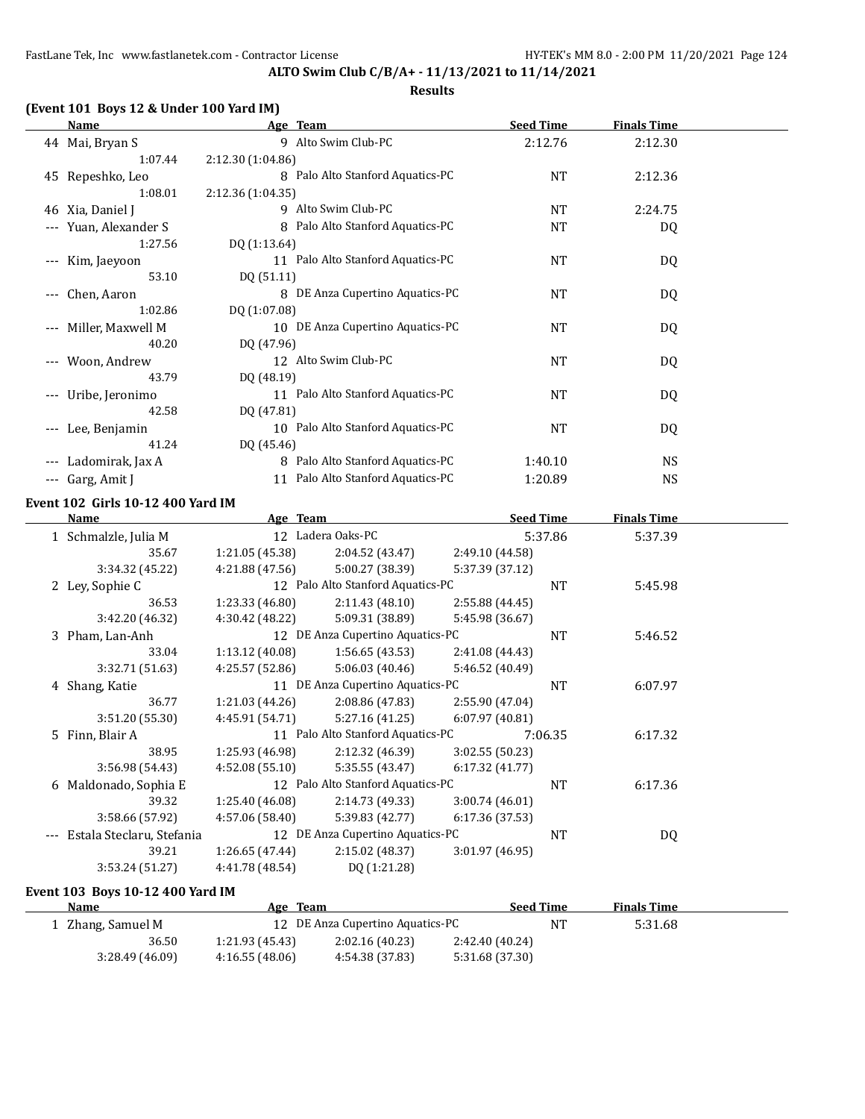**ALTO Swim Club C/B/A+ - 11/13/2021 to 11/14/2021**

# **(Event 101 Boys 12 & Under 100 Yard IM)**

|       | Name              | Age Team                          | <b>Seed Time</b> | <b>Finals Time</b> |  |
|-------|-------------------|-----------------------------------|------------------|--------------------|--|
|       | 44 Mai, Bryan S   | 9 Alto Swim Club-PC               | 2:12.76          | 2:12.30            |  |
|       | 1:07.44           | 2:12.30 (1:04.86)                 |                  |                    |  |
|       | 45 Repeshko, Leo  | 8 Palo Alto Stanford Aquatics-PC  | <b>NT</b>        | 2:12.36            |  |
|       | 1:08.01           | 2:12.36(1:04.35)                  |                  |                    |  |
|       | 46 Xia, Daniel J  | 9 Alto Swim Club-PC               | <b>NT</b>        | 2:24.75            |  |
| $---$ | Yuan, Alexander S | 8 Palo Alto Stanford Aquatics-PC  | <b>NT</b>        | DQ                 |  |
|       | 1:27.56           | DQ (1:13.64)                      |                  |                    |  |
| $---$ | Kim, Jaeyoon      | 11 Palo Alto Stanford Aquatics-PC | NT               | DQ                 |  |
|       | 53.10             | DQ (51.11)                        |                  |                    |  |
| $---$ | Chen, Aaron       | 8 DE Anza Cupertino Aquatics-PC   | <b>NT</b>        | DQ                 |  |
|       | 1:02.86           | DQ (1:07.08)                      |                  |                    |  |
| $---$ | Miller, Maxwell M | 10 DE Anza Cupertino Aquatics-PC  | <b>NT</b>        | DQ                 |  |
|       | 40.20             | DQ (47.96)                        |                  |                    |  |
| $---$ | Woon, Andrew      | 12 Alto Swim Club-PC              | <b>NT</b>        | DQ                 |  |
|       | 43.79             | DQ (48.19)                        |                  |                    |  |
| $---$ | Uribe, Jeronimo   | 11 Palo Alto Stanford Aquatics-PC | <b>NT</b>        | DQ                 |  |
|       | 42.58             | DQ (47.81)                        |                  |                    |  |
| $---$ | Lee, Benjamin     | 10 Palo Alto Stanford Aquatics-PC | <b>NT</b>        | DQ                 |  |
|       | 41.24             | DQ (45.46)                        |                  |                    |  |
|       | Ladomirak, Jax A  | 8 Palo Alto Stanford Aquatics-PC  | 1:40.10          | <b>NS</b>          |  |
| ---   | Garg, Amit J      | 11 Palo Alto Stanford Aquatics-PC | 1:20.89          | <b>NS</b>          |  |

#### **Event 102 Girls 10-12 400 Yard IM**

| Name                      | Age Team        |                                   |                 | <b>Seed Time</b> | <b>Finals Time</b> |  |
|---------------------------|-----------------|-----------------------------------|-----------------|------------------|--------------------|--|
| 1 Schmalzle, Julia M      |                 | 12 Ladera Oaks-PC                 |                 | 5:37.86          | 5:37.39            |  |
| 35.67                     | 1:21.05(45.38)  | 2:04.52 (43.47)                   | 2:49.10 (44.58) |                  |                    |  |
| 3:34.32 (45.22)           | 4:21.88(47.56)  | 5:00.27 (38.39)                   | 5:37.39 (37.12) |                  |                    |  |
| 2 Ley, Sophie C           |                 | 12 Palo Alto Stanford Aquatics-PC |                 | <b>NT</b>        | 5:45.98            |  |
| 36.53                     | 1:23.33(46.80)  | 2:11.43(48.10)                    | 2:55.88 (44.45) |                  |                    |  |
| 3:42.20 (46.32)           | 4:30.42 (48.22) | 5:09.31 (38.89)                   | 5:45.98 (36.67) |                  |                    |  |
| 3 Pham, Lan-Anh           |                 | 12 DE Anza Cupertino Aquatics-PC  |                 | <b>NT</b>        | 5:46.52            |  |
| 33.04                     | 1:13.12(40.08)  | 1:56.65(43.53)                    | 2:41.08 (44.43) |                  |                    |  |
| 3:32.71 (51.63)           | 4:25.57 (52.86) | 5:06.03(40.46)                    | 5:46.52 (40.49) |                  |                    |  |
| 4 Shang, Katie            |                 | 11 DE Anza Cupertino Aquatics-PC  |                 | <b>NT</b>        | 6:07.97            |  |
| 36.77                     | 1:21.03(44.26)  | 2:08.86 (47.83)                   | 2:55.90 (47.04) |                  |                    |  |
| 3:51.20 (55.30)           | 4:45.91 (54.71) | 5:27.16(41.25)                    | 6:07.97(40.81)  |                  |                    |  |
| 5 Finn, Blair A           |                 | 11 Palo Alto Stanford Aquatics-PC |                 | 7:06.35          | 6:17.32            |  |
| 38.95                     | 1:25.93 (46.98) | 2:12.32 (46.39)                   | 3:02.55 (50.23) |                  |                    |  |
| 3:56.98 (54.43)           | 4:52.08(55.10)  | 5:35.55(43.47)                    | 6:17.32(41.77)  |                  |                    |  |
| 6 Maldonado, Sophia E     |                 | 12 Palo Alto Stanford Aquatics-PC |                 | <b>NT</b>        | 6:17.36            |  |
| 39.32                     | 1:25.40 (46.08) | 2:14.73 (49.33)                   | 3:00.74(46.01)  |                  |                    |  |
| 3:58.66 (57.92)           | 4:57.06 (58.40) | 5:39.83 (42.77)                   | 6:17.36 (37.53) |                  |                    |  |
| Estala Steclaru, Stefania |                 | 12 DE Anza Cupertino Aquatics-PC  |                 | <b>NT</b>        | DQ                 |  |
| 39.21                     | 1:26.65(47.44)  | 2:15.02 (48.37)                   | 3:01.97(46.95)  |                  |                    |  |
| 3:53.24 (51.27)           | 4:41.78 (48.54) | DQ (1:21.28)                      |                 |                  |                    |  |
|                           |                 |                                   |                 |                  |                    |  |

#### **Event 103 Boys 10-12 400 Yard IM**

| <b>Name</b>       | Age Team        |                                  |                 | <b>Seed Time</b> | <b>Finals Time</b> |  |
|-------------------|-----------------|----------------------------------|-----------------|------------------|--------------------|--|
| 1 Zhang, Samuel M |                 | 12 DE Anza Cupertino Aquatics-PC |                 | ΝT               | 5:31.68            |  |
| 36.50             | 1:21.93 (45.43) | 2:02.16(40.23)                   | 2:42.40 (40.24) |                  |                    |  |
| 3:28.49(46.09)    | 4:16.55(48.06)  | 4:54.38 (37.83)                  | 5:31.68 (37.30) |                  |                    |  |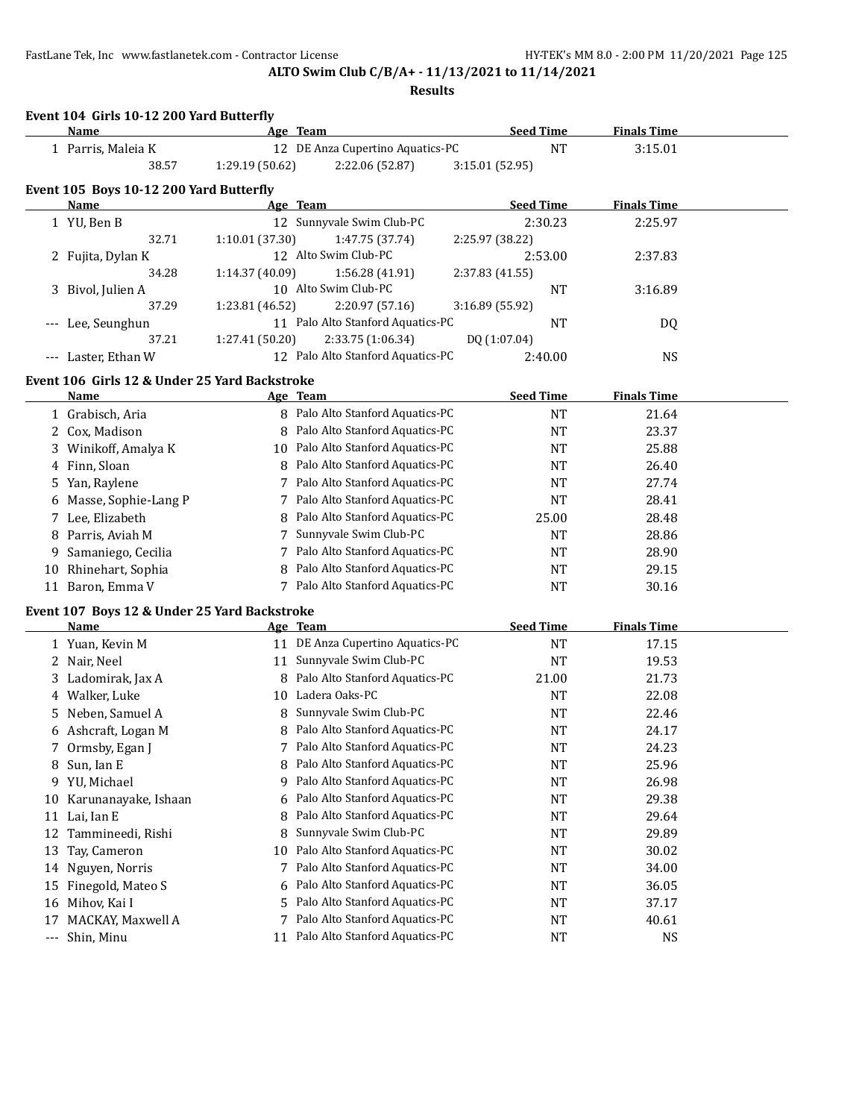**Event 104 Girls 10-12 200 Yard Butterfly**

# **ALTO Swim Club C/B/A+ - 11/13/2021 to 11/14/2021**

|                      | <b>Name</b>                                            |                 | Age Team                                     | <b>Seed Time</b> |                  | <b>Finals Time</b> |  |
|----------------------|--------------------------------------------------------|-----------------|----------------------------------------------|------------------|------------------|--------------------|--|
|                      | 1 Parris, Maleia K                                     |                 | 12 DE Anza Cupertino Aquatics-PC             |                  | <b>NT</b>        | 3:15.01            |  |
|                      | 38.57                                                  | 1:29.19 (50.62) | 2:22.06 (52.87)                              | 3:15.01 (52.95)  |                  |                    |  |
|                      |                                                        |                 |                                              |                  |                  |                    |  |
|                      | Event 105 Boys 10-12 200 Yard Butterfly<br><b>Name</b> |                 | Age Team                                     |                  | <b>Seed Time</b> | <b>Finals Time</b> |  |
|                      | 1 YU, Ben B                                            |                 | 12 Sunnyvale Swim Club-PC                    |                  | 2:30.23          | 2:25.97            |  |
|                      | 32.71                                                  | 1:10.01(37.30)  | 1:47.75 (37.74)                              | 2:25.97 (38.22)  |                  |                    |  |
|                      | 2 Fujita, Dylan K                                      |                 | 12 Alto Swim Club-PC                         |                  | 2:53.00          | 2:37.83            |  |
|                      | 34.28                                                  | 1:14.37 (40.09) | 1:56.28 (41.91)                              | 2:37.83 (41.55)  |                  |                    |  |
|                      | 3 Bivol, Julien A                                      |                 | 10 Alto Swim Club-PC                         |                  | <b>NT</b>        | 3:16.89            |  |
|                      | 37.29                                                  | 1:23.81 (46.52) | 2:20.97 (57.16)                              | 3:16.89 (55.92)  |                  |                    |  |
|                      | Lee, Seunghun                                          |                 | 11 Palo Alto Stanford Aquatics-PC            |                  | <b>NT</b>        | DQ                 |  |
|                      | 37.21                                                  | 1:27.41 (50.20) | 2:33.75 (1:06.34)                            | DQ (1:07.04)     |                  |                    |  |
| $---$                | Laster, Ethan W                                        |                 | 12 Palo Alto Stanford Aquatics-PC            |                  | 2:40.00          | <b>NS</b>          |  |
|                      |                                                        |                 |                                              |                  |                  |                    |  |
|                      | Event 106 Girls 12 & Under 25 Yard Backstroke          |                 |                                              |                  |                  |                    |  |
|                      | Name                                                   |                 | Age Team<br>8 Palo Alto Stanford Aquatics-PC |                  | <b>Seed Time</b> | <b>Finals Time</b> |  |
|                      | 1 Grabisch, Aria                                       |                 |                                              |                  | <b>NT</b>        | 21.64              |  |
|                      | 2 Cox, Madison                                         | 8               | Palo Alto Stanford Aquatics-PC               |                  | <b>NT</b>        | 23.37              |  |
|                      | 3 Winikoff, Amalya K                                   | 10              | Palo Alto Stanford Aquatics-PC               |                  | <b>NT</b>        | 25.88              |  |
|                      | 4 Finn, Sloan                                          | 8               | Palo Alto Stanford Aquatics-PC               |                  | NT               | 26.40              |  |
|                      | 5 Yan, Raylene                                         |                 | 7 Palo Alto Stanford Aquatics-PC             |                  | <b>NT</b>        | 27.74              |  |
|                      | 6 Masse, Sophie-Lang P                                 |                 | 7 Palo Alto Stanford Aquatics-PC             |                  | <b>NT</b>        | 28.41              |  |
|                      | 7 Lee, Elizabeth                                       | 8               | Palo Alto Stanford Aquatics-PC               |                  | 25.00            | 28.48              |  |
|                      | 8 Parris, Aviah M                                      | 7               | Sunnyvale Swim Club-PC                       |                  | <b>NT</b>        | 28.86              |  |
|                      | Samaniego, Cecilia                                     |                 | 7 Palo Alto Stanford Aquatics-PC             |                  | <b>NT</b>        | 28.90              |  |
|                      | 10 Rhinehart, Sophia                                   | 8               | Palo Alto Stanford Aquatics-PC               |                  | <b>NT</b>        | 29.15              |  |
|                      | 11 Baron, Emma V                                       |                 | 7 Palo Alto Stanford Aquatics-PC             |                  | <b>NT</b>        | 30.16              |  |
|                      | Event 107 Boys 12 & Under 25 Yard Backstroke           |                 |                                              |                  |                  |                    |  |
|                      | Name                                                   |                 | <u>Age Team</u>                              | <b>Seed Time</b> |                  | <b>Finals Time</b> |  |
|                      | 1 Yuan, Kevin M                                        |                 | 11 DE Anza Cupertino Aquatics-PC             |                  | <b>NT</b>        | 17.15              |  |
|                      | 2 Nair, Neel                                           | 11              | Sunnyvale Swim Club-PC                       |                  | <b>NT</b>        | 19.53              |  |
|                      | 3 Ladomirak, Jax A                                     | 8               | Palo Alto Stanford Aquatics-PC               |                  | 21.00            | 21.73              |  |
|                      | 4 Walker, Luke                                         | 10              | Ladera Oaks-PC                               |                  | <b>NT</b>        | 22.08              |  |
| 5.                   | Neben, Samuel A                                        | 8               | Sunnyvale Swim Club-PC                       |                  | <b>NT</b>        | 22.46              |  |
|                      | 6 Ashcraft, Logan M                                    | 8               | Palo Alto Stanford Aquatics-PC               |                  | <b>NT</b>        | 24.17              |  |
|                      | 7 Ormsby, Egan J                                       |                 | 7 Palo Alto Stanford Aquatics-PC             |                  | <b>NT</b>        | 24.23              |  |
| 8                    | Sun, Ian E                                             | 8               | Palo Alto Stanford Aquatics-PC               |                  | NT               | 25.96              |  |
| 9.                   | YU, Michael                                            | 9               | Palo Alto Stanford Aquatics-PC               |                  | <b>NT</b>        | 26.98              |  |
| 10                   | Karunanayake, Ishaan                                   | 6               | Palo Alto Stanford Aquatics-PC               |                  | NT               | 29.38              |  |
|                      | 11 Lai, Ian E                                          | 8               | Palo Alto Stanford Aquatics-PC               |                  | NT               | 29.64              |  |
| 12                   | Tammineedi, Rishi                                      | 8               | Sunnyvale Swim Club-PC                       |                  | NT               | 29.89              |  |
| 13                   | Tay, Cameron                                           | 10              | Palo Alto Stanford Aquatics-PC               |                  | NT               | 30.02              |  |
| 14                   | Nguyen, Norris                                         | 7               | Palo Alto Stanford Aquatics-PC               |                  | NT               | 34.00              |  |
| 15                   | Finegold, Mateo S                                      | 6               | Palo Alto Stanford Aquatics-PC               |                  | NT               | 36.05              |  |
| 16                   | Mihov, Kai I                                           | 5               | Palo Alto Stanford Aquatics-PC               |                  | NT               | 37.17              |  |
| 17                   | MACKAY, Maxwell A                                      | 7               | Palo Alto Stanford Aquatics-PC               |                  | NT               | 40.61              |  |
| $\scriptstyle\cdots$ | Shin, Minu                                             | 11              | Palo Alto Stanford Aquatics-PC               |                  | NT               | NS                 |  |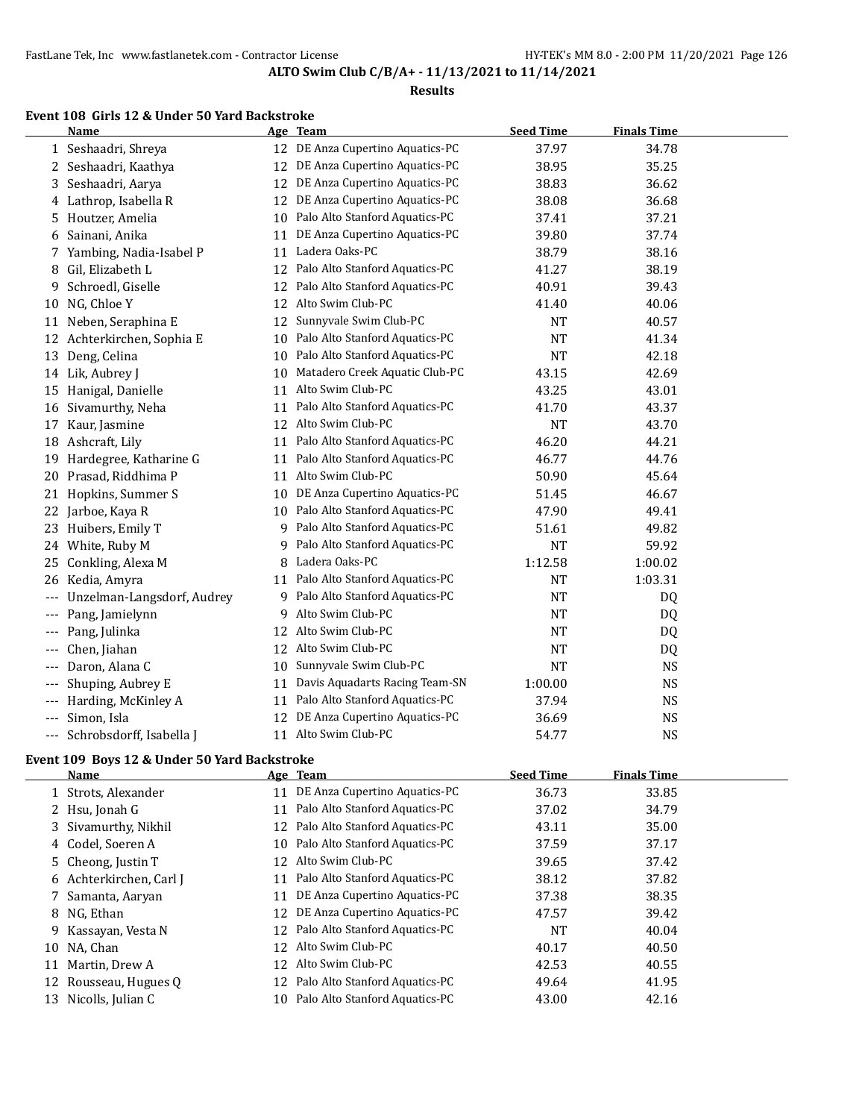#### **Results**

# **Event 108 Girls 12 & Under 50 Yard Backstroke**

 $\overline{a}$ 

|                   | Name                       |    | Age Team                         | <b>Seed Time</b> | <b>Finals Time</b> |  |
|-------------------|----------------------------|----|----------------------------------|------------------|--------------------|--|
|                   | 1 Seshaadri, Shreya        |    | 12 DE Anza Cupertino Aquatics-PC | 37.97            | 34.78              |  |
|                   | 2 Seshaadri, Kaathya       | 12 | DE Anza Cupertino Aquatics-PC    | 38.95            | 35.25              |  |
| 3                 | Seshaadri, Aarya           | 12 | DE Anza Cupertino Aquatics-PC    | 38.83            | 36.62              |  |
| 4                 | Lathrop, Isabella R        | 12 | DE Anza Cupertino Aquatics-PC    | 38.08            | 36.68              |  |
| 5                 | Houtzer, Amelia            | 10 | Palo Alto Stanford Aquatics-PC   | 37.41            | 37.21              |  |
| 6                 | Sainani, Anika             | 11 | DE Anza Cupertino Aquatics-PC    | 39.80            | 37.74              |  |
| 7                 | Yambing, Nadia-Isabel P    | 11 | Ladera Oaks-PC                   | 38.79            | 38.16              |  |
| 8                 | Gil, Elizabeth L           | 12 | Palo Alto Stanford Aquatics-PC   | 41.27            | 38.19              |  |
| 9                 | Schroedl, Giselle          | 12 | Palo Alto Stanford Aquatics-PC   | 40.91            | 39.43              |  |
| 10                | NG, Chloe Y                | 12 | Alto Swim Club-PC                | 41.40            | 40.06              |  |
| 11                | Neben, Seraphina E         | 12 | Sunnyvale Swim Club-PC           | <b>NT</b>        | 40.57              |  |
|                   | 12 Achterkirchen, Sophia E | 10 | Palo Alto Stanford Aquatics-PC   | <b>NT</b>        | 41.34              |  |
|                   | 13 Deng, Celina            | 10 | Palo Alto Stanford Aquatics-PC   | <b>NT</b>        | 42.18              |  |
|                   | 14 Lik, Aubrey J           | 10 | Matadero Creek Aquatic Club-PC   | 43.15            | 42.69              |  |
| 15                | Hanigal, Danielle          | 11 | Alto Swim Club-PC                | 43.25            | 43.01              |  |
|                   | 16 Sivamurthy, Neha        | 11 | Palo Alto Stanford Aquatics-PC   | 41.70            | 43.37              |  |
| 17                | Kaur, Jasmine              | 12 | Alto Swim Club-PC                | <b>NT</b>        | 43.70              |  |
|                   | 18 Ashcraft, Lily          | 11 | Palo Alto Stanford Aquatics-PC   | 46.20            | 44.21              |  |
| 19                | Hardegree, Katharine G     | 11 | Palo Alto Stanford Aquatics-PC   | 46.77            | 44.76              |  |
| 20                | Prasad, Riddhima P         | 11 | Alto Swim Club-PC                | 50.90            | 45.64              |  |
| 21                | Hopkins, Summer S          | 10 | DE Anza Cupertino Aquatics-PC    | 51.45            | 46.67              |  |
|                   | 22 Jarboe, Kaya R          | 10 | Palo Alto Stanford Aquatics-PC   | 47.90            | 49.41              |  |
|                   | 23 Huibers, Emily T        |    | 9 Palo Alto Stanford Aquatics-PC | 51.61            | 49.82              |  |
|                   | 24 White, Ruby M           | 9  | Palo Alto Stanford Aquatics-PC   | <b>NT</b>        | 59.92              |  |
| 25                | Conkling, Alexa M          |    | 8 Ladera Oaks-PC                 | 1:12.58          | 1:00.02            |  |
| 26                | Kedia, Amyra               | 11 | Palo Alto Stanford Aquatics-PC   | <b>NT</b>        | 1:03.31            |  |
|                   | Unzelman-Langsdorf, Audrey | 9. | Palo Alto Stanford Aquatics-PC   | NT               | DQ                 |  |
| $\qquad \qquad -$ | Pang, Jamielynn            | 9  | Alto Swim Club-PC                | <b>NT</b>        | DQ                 |  |
|                   | Pang, Julinka              |    | 12 Alto Swim Club-PC             | <b>NT</b>        | DQ                 |  |
| $---$             | Chen, Jiahan               |    | 12 Alto Swim Club-PC             | <b>NT</b>        | DQ                 |  |
|                   | Daron, Alana C             | 10 | Sunnyvale Swim Club-PC           | <b>NT</b>        | <b>NS</b>          |  |
| $---$             | Shuping, Aubrey E          | 11 | Davis Aquadarts Racing Team-SN   | 1:00.00          | <b>NS</b>          |  |
| $---$             | Harding, McKinley A        | 11 | Palo Alto Stanford Aquatics-PC   | 37.94            | <b>NS</b>          |  |
| ---               | Simon, Isla                | 12 | DE Anza Cupertino Aquatics-PC    | 36.69            | <b>NS</b>          |  |
| ---               | Schrobsdorff, Isabella J   |    | 11 Alto Swim Club-PC             | 54.77            | <b>NS</b>          |  |

# **Event 109 Boys 12 & Under 50 Yard Backstroke**

|    | Name                    |    | Age Team                          | <b>Seed Time</b> | <b>Finals Time</b> |
|----|-------------------------|----|-----------------------------------|------------------|--------------------|
|    | 1 Strots, Alexander     |    | 11 DE Anza Cupertino Aquatics-PC  | 36.73            | 33.85              |
|    | 2 Hsu, Jonah G          | 11 | Palo Alto Stanford Aquatics-PC    | 37.02            | 34.79              |
|    | 3 Sivamurthy, Nikhil    | 12 | Palo Alto Stanford Aquatics-PC    | 43.11            | 35.00              |
|    | 4 Codel, Soeren A       |    | 10 Palo Alto Stanford Aquatics-PC | 37.59            | 37.17              |
|    | 5 Cheong, Justin T      | 12 | Alto Swim Club-PC                 | 39.65            | 37.42              |
|    | 6 Achterkirchen, Carl J | 11 | Palo Alto Stanford Aquatics-PC    | 38.12            | 37.82              |
|    | 7 Samanta, Aaryan       | 11 | DE Anza Cupertino Aquatics-PC     | 37.38            | 38.35              |
|    | 8 NG, Ethan             | 12 | DE Anza Cupertino Aquatics-PC     | 47.57            | 39.42              |
|    | 9 Kassayan, Vesta N     |    | 12 Palo Alto Stanford Aquatics-PC | <b>NT</b>        | 40.04              |
|    | 10 NA, Chan             | 12 | Alto Swim Club-PC                 | 40.17            | 40.50              |
| 11 | Martin, Drew A          | 12 | Alto Swim Club-PC                 | 42.53            | 40.55              |
|    | 12 Rousseau, Hugues Q   | 12 | Palo Alto Stanford Aquatics-PC    | 49.64            | 41.95              |
| 13 | Nicolls, Julian C       | 10 | Palo Alto Stanford Aquatics-PC    | 43.00            | 42.16              |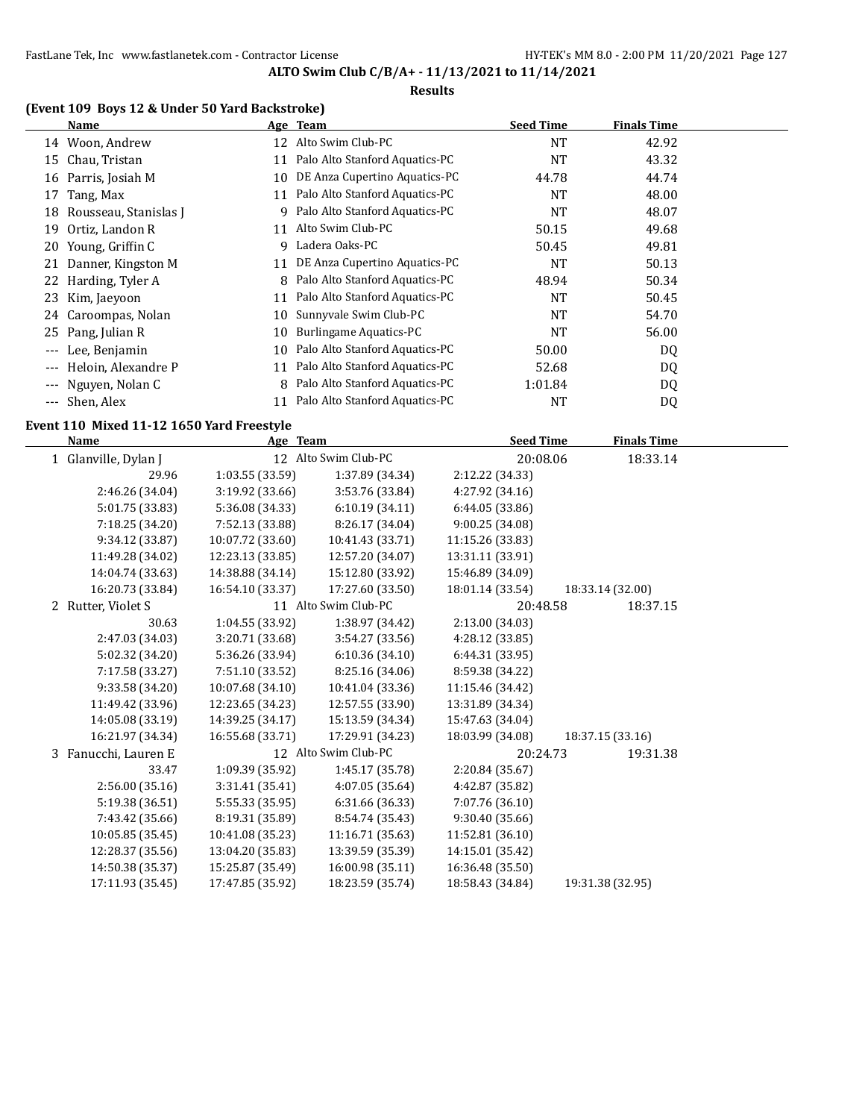#### **Results**

# **(Event 109 Boys 12 & Under 50 Yard Backstroke)**

| Name                     |    |                                | <b>Seed Time</b>                                 | <b>Finals Time</b> |
|--------------------------|----|--------------------------------|--------------------------------------------------|--------------------|
| Woon, Andrew<br>14       |    | Alto Swim Club-PC              | <b>NT</b>                                        | 42.92              |
| Chau, Tristan            | 11 | Palo Alto Stanford Aquatics-PC | <b>NT</b>                                        | 43.32              |
| 16 Parris, Josiah M      | 10 | DE Anza Cupertino Aquatics-PC  | 44.78                                            | 44.74              |
| 17 Tang, Max             | 11 | Palo Alto Stanford Aquatics-PC | <b>NT</b>                                        | 48.00              |
| 18 Rousseau, Stanislas J | 9  | Palo Alto Stanford Aquatics-PC | <b>NT</b>                                        | 48.07              |
| Ortiz, Landon R          | 11 | Alto Swim Club-PC              | 50.15                                            | 49.68              |
| Young, Griffin C<br>20   | 9  | Ladera Oaks-PC                 | 50.45                                            | 49.81              |
| 21 Danner, Kingston M    | 11 | DE Anza Cupertino Aquatics-PC  | NT                                               | 50.13              |
| 22 Harding, Tyler A      | 8  | Palo Alto Stanford Aquatics-PC | 48.94                                            | 50.34              |
| 23 Kim, Jaeyoon          | 11 | Palo Alto Stanford Aquatics-PC | <b>NT</b>                                        | 50.45              |
| Caroompas, Nolan<br>24   | 10 | Sunnyvale Swim Club-PC         | <b>NT</b>                                        | 54.70              |
| 25 Pang, Julian R        | 10 | Burlingame Aquatics-PC         | <b>NT</b>                                        | 56.00              |
| Lee, Benjamin            | 10 | Palo Alto Stanford Aquatics-PC | 50.00                                            | DQ                 |
| Heloin, Alexandre P      | 11 |                                | 52.68                                            | DQ                 |
| --- Nguyen, Nolan C      | 8  | Palo Alto Stanford Aquatics-PC | 1:01.84                                          | DQ                 |
| --- Shen, Alex           |    | Palo Alto Stanford Aquatics-PC | NT                                               | DQ                 |
|                          |    |                                | Age Team<br>12<br>Palo Alto Stanford Aquatics-PC |                    |

#### **Event 110 Mixed 11-12 1650 Yard Freestyle**

| <b>Name</b>             | Age Team         |                      | <b>Seed Time</b> | <b>Finals Time</b> |  |
|-------------------------|------------------|----------------------|------------------|--------------------|--|
| 1 Glanville, Dylan J    |                  | 12 Alto Swim Club-PC | 20:08.06         | 18:33.14           |  |
| 29.96                   | 1:03.55 (33.59)  | 1:37.89 (34.34)      | 2:12.22 (34.33)  |                    |  |
| 2:46.26 (34.04)         | 3:19.92 (33.66)  | 3:53.76 (33.84)      | 4:27.92 (34.16)  |                    |  |
| 5:01.75 (33.83)         | 5:36.08 (34.33)  | 6:10.19(34.11)       | 6:44.05 (33.86)  |                    |  |
| 7:18.25 (34.20)         | 7:52.13 (33.88)  | 8:26.17 (34.04)      | 9:00.25 (34.08)  |                    |  |
| 9:34.12 (33.87)         | 10:07.72 (33.60) | 10:41.43 (33.71)     | 11:15.26 (33.83) |                    |  |
| 11:49.28 (34.02)        | 12:23.13 (33.85) | 12:57.20 (34.07)     | 13:31.11 (33.91) |                    |  |
| 14:04.74 (33.63)        | 14:38.88 (34.14) | 15:12.80 (33.92)     | 15:46.89 (34.09) |                    |  |
| 16:20.73 (33.84)        | 16:54.10 (33.37) | 17:27.60 (33.50)     | 18:01.14 (33.54) | 18:33.14 (32.00)   |  |
| 2 Rutter, Violet S      |                  | 11 Alto Swim Club-PC | 20:48.58         | 18:37.15           |  |
| 30.63                   | 1:04.55 (33.92)  | 1:38.97 (34.42)      | 2:13.00 (34.03)  |                    |  |
| 2:47.03 (34.03)         | 3:20.71 (33.68)  | 3:54.27(33.56)       | 4:28.12 (33.85)  |                    |  |
| 5:02.32 (34.20)         | 5:36.26 (33.94)  | 6:10.36 (34.10)      | 6:44.31 (33.95)  |                    |  |
| 7:17.58 (33.27)         | 7:51.10 (33.52)  | 8:25.16 (34.06)      | 8:59.38 (34.22)  |                    |  |
| 9:33.58 (34.20)         | 10:07.68 (34.10) | 10:41.04 (33.36)     | 11:15.46 (34.42) |                    |  |
| 11:49.42 (33.96)        | 12:23.65 (34.23) | 12:57.55 (33.90)     | 13:31.89 (34.34) |                    |  |
| 14:05.08 (33.19)        | 14:39.25 (34.17) | 15:13.59 (34.34)     | 15:47.63 (34.04) |                    |  |
| 16:21.97 (34.34)        | 16:55.68 (33.71) | 17:29.91 (34.23)     | 18:03.99 (34.08) | 18:37.15 (33.16)   |  |
| Fanucchi, Lauren E<br>3 |                  | 12 Alto Swim Club-PC | 20:24.73         | 19:31.38           |  |
| 33.47                   | 1:09.39 (35.92)  | 1:45.17 (35.78)      | 2:20.84 (35.67)  |                    |  |
| 2:56.00(35.16)          | 3:31.41(35.41)   | 4:07.05 (35.64)      | 4:42.87 (35.82)  |                    |  |
| 5:19.38 (36.51)         | 5:55.33 (35.95)  | 6:31.66 (36.33)      | 7:07.76 (36.10)  |                    |  |
| 7:43.42 (35.66)         | 8:19.31 (35.89)  | 8:54.74 (35.43)      | 9:30.40 (35.66)  |                    |  |
| 10:05.85 (35.45)        | 10:41.08 (35.23) | 11:16.71 (35.63)     | 11:52.81 (36.10) |                    |  |
| 12:28.37 (35.56)        | 13:04.20 (35.83) | 13:39.59 (35.39)     | 14:15.01 (35.42) |                    |  |
| 14:50.38 (35.37)        | 15:25.87 (35.49) | 16:00.98 (35.11)     | 16:36.48 (35.50) |                    |  |
| 17:11.93 (35.45)        | 17:47.85 (35.92) | 18:23.59 (35.74)     | 18:58.43 (34.84) | 19:31.38 (32.95)   |  |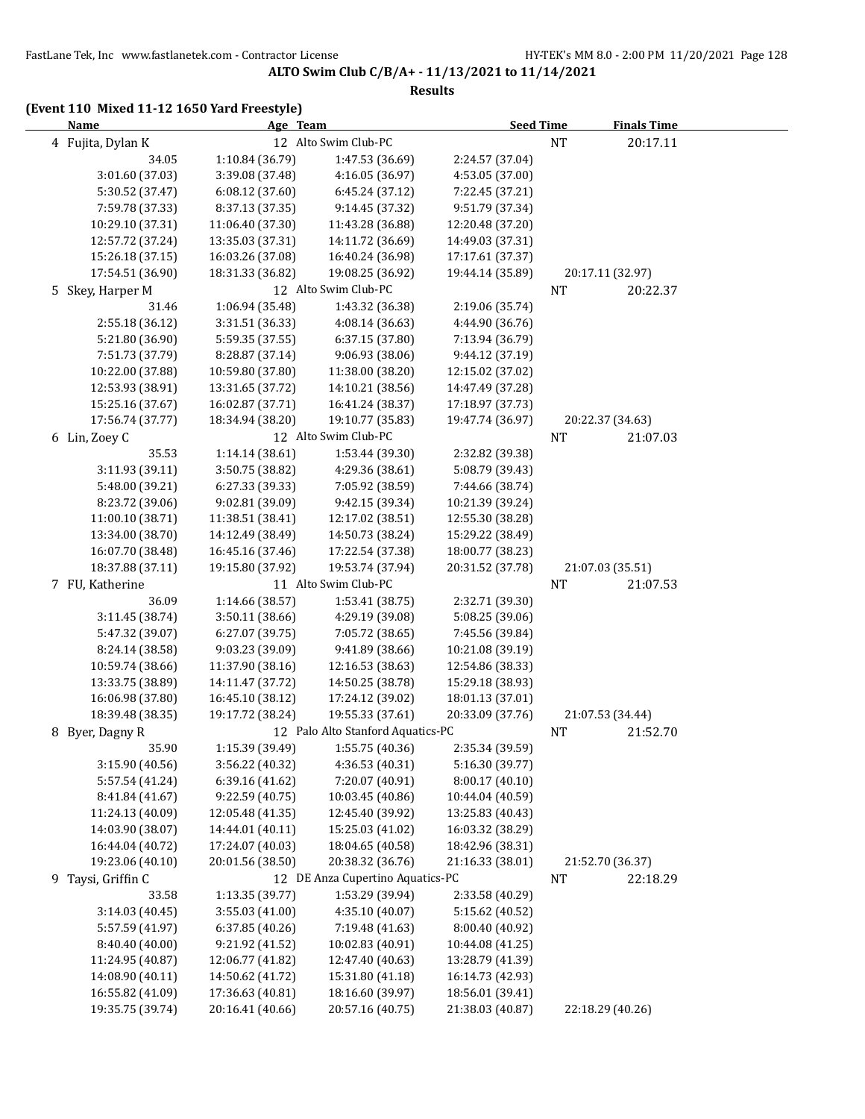#### **Results**

# **(Event 110 Mixed 11-12 1650 Yard Freestyle)**

| <b>Name</b>        |                  | Age Team         |                                   | <b>Seed Time</b> |           | <b>Finals Time</b> |  |
|--------------------|------------------|------------------|-----------------------------------|------------------|-----------|--------------------|--|
| 4 Fujita, Dylan K  |                  |                  | 12 Alto Swim Club-PC              |                  | <b>NT</b> | 20:17.11           |  |
|                    | 34.05            | 1:10.84 (36.79)  | 1:47.53 (36.69)                   | 2:24.57 (37.04)  |           |                    |  |
|                    | 3:01.60 (37.03)  | 3:39.08 (37.48)  | 4:16.05 (36.97)                   | 4:53.05 (37.00)  |           |                    |  |
|                    | 5:30.52 (37.47)  | 6:08.12 (37.60)  | 6:45.24 (37.12)                   | 7:22.45 (37.21)  |           |                    |  |
|                    | 7:59.78 (37.33)  | 8:37.13 (37.35)  | 9:14.45 (37.32)                   | 9:51.79 (37.34)  |           |                    |  |
|                    | 10:29.10 (37.31) | 11:06.40 (37.30) | 11:43.28 (36.88)                  | 12:20.48 (37.20) |           |                    |  |
|                    | 12:57.72 (37.24) | 13:35.03 (37.31) | 14:11.72 (36.69)                  | 14:49.03 (37.31) |           |                    |  |
|                    | 15:26.18 (37.15) | 16:03.26 (37.08) | 16:40.24 (36.98)                  | 17:17.61 (37.37) |           |                    |  |
|                    | 17:54.51 (36.90) | 18:31.33 (36.82) | 19:08.25 (36.92)                  | 19:44.14 (35.89) |           | 20:17.11 (32.97)   |  |
| 5 Skey, Harper M   |                  |                  | 12 Alto Swim Club-PC              |                  | NT        | 20:22.37           |  |
|                    | 31.46            | 1:06.94 (35.48)  | 1:43.32 (36.38)                   | 2:19.06 (35.74)  |           |                    |  |
|                    | 2:55.18 (36.12)  | 3:31.51 (36.33)  | 4:08.14 (36.63)                   | 4:44.90 (36.76)  |           |                    |  |
|                    | 5:21.80 (36.90)  | 5:59.35 (37.55)  | 6:37.15 (37.80)                   | 7:13.94 (36.79)  |           |                    |  |
|                    | 7:51.73 (37.79)  | 8:28.87 (37.14)  | 9:06.93 (38.06)                   | 9:44.12 (37.19)  |           |                    |  |
|                    | 10:22.00 (37.88) | 10:59.80 (37.80) | 11:38.00 (38.20)                  | 12:15.02 (37.02) |           |                    |  |
|                    | 12:53.93 (38.91) | 13:31.65 (37.72) | 14:10.21 (38.56)                  | 14:47.49 (37.28) |           |                    |  |
|                    | 15:25.16 (37.67) | 16:02.87 (37.71) | 16:41.24 (38.37)                  | 17:18.97 (37.73) |           |                    |  |
|                    | 17:56.74 (37.77) | 18:34.94 (38.20) | 19:10.77 (35.83)                  | 19:47.74 (36.97) |           | 20:22.37 (34.63)   |  |
| 6 Lin, Zoey C      |                  |                  | 12 Alto Swim Club-PC              |                  | <b>NT</b> | 21:07.03           |  |
|                    | 35.53            | 1:14.14 (38.61)  | 1:53.44 (39.30)                   | 2:32.82 (39.38)  |           |                    |  |
|                    | 3:11.93 (39.11)  | 3:50.75 (38.82)  | 4:29.36 (38.61)                   | 5:08.79 (39.43)  |           |                    |  |
|                    | 5:48.00 (39.21)  | 6:27.33 (39.33)  | 7:05.92 (38.59)                   | 7:44.66 (38.74)  |           |                    |  |
|                    | 8:23.72 (39.06)  | 9:02.81 (39.09)  | 9:42.15 (39.34)                   | 10:21.39 (39.24) |           |                    |  |
|                    | 11:00.10 (38.71) | 11:38.51 (38.41) | 12:17.02 (38.51)                  | 12:55.30 (38.28) |           |                    |  |
|                    | 13:34.00 (38.70) | 14:12.49 (38.49) | 14:50.73 (38.24)                  | 15:29.22 (38.49) |           |                    |  |
|                    | 16:07.70 (38.48) | 16:45.16 (37.46) | 17:22.54 (37.38)                  | 18:00.77 (38.23) |           |                    |  |
|                    | 18:37.88 (37.11) | 19:15.80 (37.92) | 19:53.74 (37.94)                  | 20:31.52 (37.78) |           | 21:07.03 (35.51)   |  |
|                    |                  |                  | 11 Alto Swim Club-PC              |                  |           |                    |  |
| 7 FU, Katherine    |                  |                  |                                   |                  | NT        | 21:07.53           |  |
|                    | 36.09            | 1:14.66 (38.57)  | 1:53.41 (38.75)                   | 2:32.71 (39.30)  |           |                    |  |
|                    | 3:11.45 (38.74)  | 3:50.11 (38.66)  | 4:29.19 (39.08)                   | 5:08.25 (39.06)  |           |                    |  |
|                    | 5:47.32 (39.07)  | 6:27.07 (39.75)  | 7:05.72 (38.65)                   | 7:45.56 (39.84)  |           |                    |  |
|                    | 8:24.14 (38.58)  | 9:03.23 (39.09)  | 9:41.89 (38.66)                   | 10:21.08 (39.19) |           |                    |  |
|                    | 10:59.74 (38.66) | 11:37.90 (38.16) | 12:16.53 (38.63)                  | 12:54.86 (38.33) |           |                    |  |
|                    | 13:33.75 (38.89) | 14:11.47 (37.72) | 14:50.25 (38.78)                  | 15:29.18 (38.93) |           |                    |  |
|                    | 16:06.98 (37.80) | 16:45.10 (38.12) | 17:24.12 (39.02)                  | 18:01.13 (37.01) |           |                    |  |
|                    | 18:39.48 (38.35) | 19:17.72 (38.24) | 19:55.33 (37.61)                  | 20:33.09 (37.76) |           | 21:07.53 (34.44)   |  |
| 8 Byer, Dagny R    |                  |                  | 12 Palo Alto Stanford Aquatics-PC |                  | <b>NT</b> | 21:52.70           |  |
|                    | 35.90            | 1:15.39 (39.49)  | 1:55.75(40.36)                    | 2:35.34 (39.59)  |           |                    |  |
|                    | 3:15.90 (40.56)  | 3:56.22 (40.32)  | 4:36.53 (40.31)                   | 5:16.30 (39.77)  |           |                    |  |
|                    | 5:57.54 (41.24)  | 6:39.16 (41.62)  | 7:20.07 (40.91)                   | 8:00.17 (40.10)  |           |                    |  |
|                    | 8:41.84 (41.67)  | 9:22.59 (40.75)  | 10:03.45 (40.86)                  | 10:44.04 (40.59) |           |                    |  |
|                    | 11:24.13 (40.09) | 12:05.48 (41.35) | 12:45.40 (39.92)                  | 13:25.83 (40.43) |           |                    |  |
|                    | 14:03.90 (38.07) | 14:44.01 (40.11) | 15:25.03 (41.02)                  | 16:03.32 (38.29) |           |                    |  |
|                    | 16:44.04 (40.72) | 17:24.07 (40.03) | 18:04.65 (40.58)                  | 18:42.96 (38.31) |           |                    |  |
|                    | 19:23.06 (40.10) | 20:01.56 (38.50) | 20:38.32 (36.76)                  | 21:16.33 (38.01) |           | 21:52.70 (36.37)   |  |
| 9 Taysi, Griffin C |                  |                  | 12 DE Anza Cupertino Aquatics-PC  |                  | NT        | 22:18.29           |  |
|                    | 33.58            | 1:13.35 (39.77)  | 1:53.29 (39.94)                   | 2:33.58 (40.29)  |           |                    |  |
|                    | 3:14.03 (40.45)  | 3:55.03 (41.00)  | 4:35.10(40.07)                    | 5:15.62 (40.52)  |           |                    |  |
|                    | 5:57.59 (41.97)  | 6:37.85 (40.26)  | 7:19.48 (41.63)                   | 8:00.40 (40.92)  |           |                    |  |
|                    | 8:40.40 (40.00)  | 9:21.92 (41.52)  | 10:02.83 (40.91)                  | 10:44.08 (41.25) |           |                    |  |
|                    | 11:24.95 (40.87) | 12:06.77 (41.82) | 12:47.40 (40.63)                  | 13:28.79 (41.39) |           |                    |  |
|                    | 14:08.90 (40.11) | 14:50.62 (41.72) | 15:31.80 (41.18)                  | 16:14.73 (42.93) |           |                    |  |
|                    | 16:55.82 (41.09) | 17:36.63 (40.81) | 18:16.60 (39.97)                  | 18:56.01 (39.41) |           |                    |  |
|                    | 19:35.75 (39.74) | 20:16.41 (40.66) | 20:57.16 (40.75)                  | 21:38.03 (40.87) |           | 22:18.29 (40.26)   |  |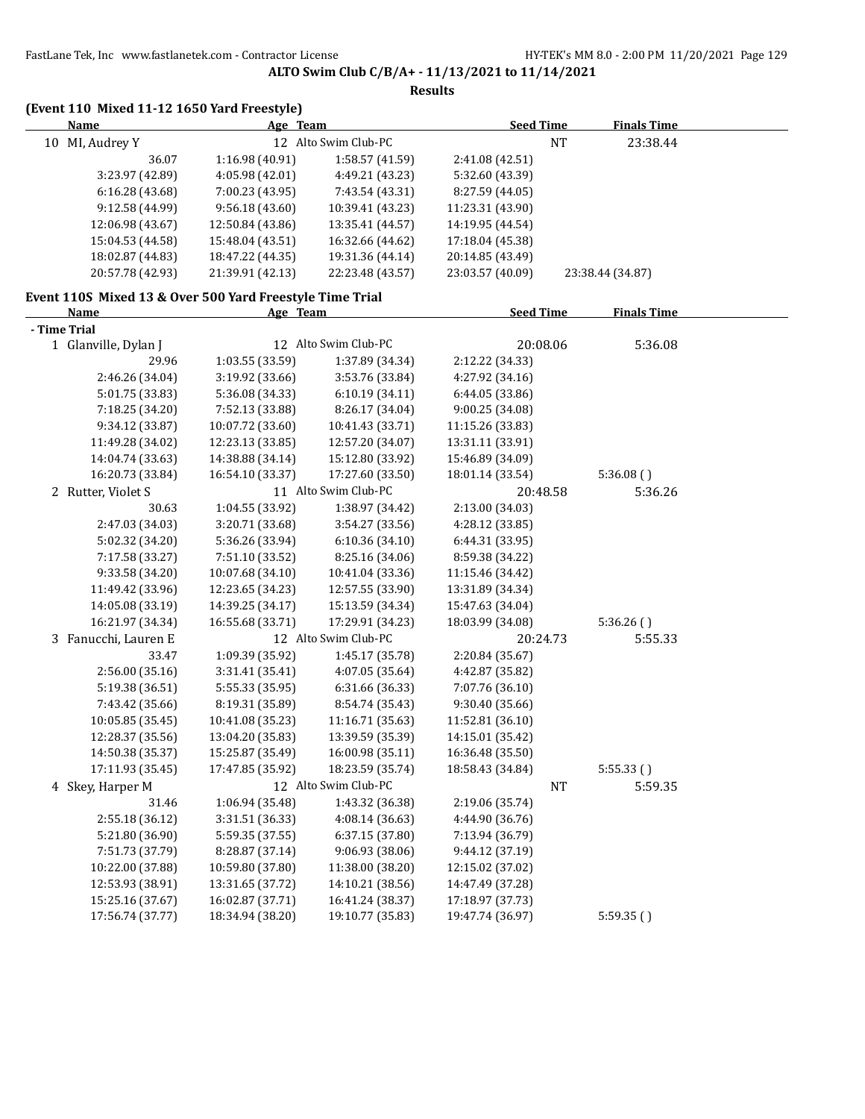| <b>Name</b><br>Age Team<br><b>Seed Time</b><br><b>Finals Time</b><br>12 Alto Swim Club-PC<br>10 MI, Audrey Y<br><b>NT</b><br>23:38.44<br>1:16.98 (40.91)<br>36.07<br>1:58.57 (41.59)<br>2:41.08 (42.51)<br>3:23.97 (42.89)<br>4:05.98 (42.01)<br>4:49.21 (43.23)<br>5:32.60 (43.39)<br>6:16.28(43.68)<br>7:00.23 (43.95)<br>7:43.54 (43.31)<br>8:27.59 (44.05)<br>10:39.41 (43.23)<br>9:12.58 (44.99)<br>9:56.18(43.60)<br>11:23.31 (43.90)<br>12:06.98 (43.67)<br>12:50.84 (43.86)<br>13:35.41 (44.57)<br>14:19.95 (44.54)<br>15:04.53 (44.58)<br>15:48.04 (43.51)<br>16:32.66 (44.62)<br>17:18.04 (45.38)<br>18:02.87 (44.83)<br>19:31.36 (44.14)<br>20:14.85 (43.49)<br>18:47.22 (44.35)<br>20:57.78 (42.93)<br>21:39.91 (42.13)<br>23:03.57 (40.09)<br>22:23.48 (43.57)<br>23:38.44 (34.87)<br>Event 110S Mixed 13 & Over 500 Yard Freestyle Time Trial<br><b>Seed Time</b><br><b>Finals Time</b><br>Name<br>Age Team<br>- Time Trial<br>12 Alto Swim Club-PC<br>20:08.06<br>5:36.08<br>1 Glanville, Dylan J<br>1:03.55 (33.59)<br>1:37.89 (34.34)<br>2:12.22 (34.33)<br>29.96<br>2:46.26 (34.04)<br>3:19.92 (33.66)<br>3:53.76 (33.84)<br>4:27.92 (34.16)<br>5:01.75 (33.83)<br>5:36.08 (34.33)<br>6:10.19(34.11)<br>6:44.05 (33.86)<br>7:18.25 (34.20)<br>7:52.13 (33.88)<br>8:26.17 (34.04)<br>9:00.25 (34.08)<br>11:15.26 (33.83)<br>9:34.12 (33.87)<br>10:07.72 (33.60)<br>10:41.43 (33.71)<br>11:49.28 (34.02)<br>12:23.13 (33.85)<br>12:57.20 (34.07)<br>13:31.11 (33.91)<br>14:04.74 (33.63)<br>14:38.88 (34.14)<br>15:12.80 (33.92)<br>15:46.89 (34.09)<br>16:20.73 (33.84)<br>17:27.60 (33.50)<br>16:54.10 (33.37)<br>18:01.14 (33.54)<br>5:36.08()<br>11 Alto Swim Club-PC<br>2 Rutter, Violet S<br>20:48.58<br>5:36.26<br>30.63<br>1:04.55 (33.92)<br>1:38.97 (34.42)<br>2:13.00 (34.03)<br>3:54.27 (33.56)<br>2:47.03 (34.03)<br>3:20.71 (33.68)<br>4:28.12 (33.85)<br>5:02.32 (34.20)<br>5:36.26 (33.94)<br>6:10.36 (34.10)<br>6:44.31 (33.95)<br>8:25.16 (34.06)<br>7:17.58 (33.27)<br>7:51.10 (33.52)<br>8:59.38 (34.22)<br>10:41.04 (33.36)<br>9:33.58 (34.20)<br>10:07.68 (34.10)<br>11:15.46 (34.42)<br>12:23.65 (34.23)<br>12:57.55 (33.90)<br>11:49.42 (33.96)<br>13:31.89 (34.34)<br>14:05.08 (33.19)<br>14:39.25 (34.17)<br>15:13.59 (34.34)<br>15:47.63 (34.04)<br>16:21.97 (34.34)<br>16:55.68 (33.71)<br>17:29.91 (34.23)<br>18:03.99 (34.08)<br>5:36.26()<br>12 Alto Swim Club-PC<br>3 Fanucchi, Lauren E<br>20:24.73<br>5:55.33<br>33.47<br>1:09.39 (35.92)<br>1:45.17 (35.78)<br>2:20.84 (35.67)<br>4:07.05 (35.64)<br>2:56.00 (35.16)<br>3:31.41(35.41)<br>4:42.87 (35.82)<br>5:19.38 (36.51)<br>5:55.33 (35.95)<br>6:31.66 (36.33)<br>7:07.76 (36.10)<br>9:30.40 (35.66)<br>7:43.42 (35.66)<br>8:19.31 (35.89)<br>8:54.74 (35.43)<br>10:05.85 (35.45)<br>10:41.08 (35.23)<br>11:16.71 (35.63)<br>11:52.81 (36.10)<br>12:28.37 (35.56)<br>13:04.20 (35.83)<br>13:39.59 (35.39)<br>14:15.01 (35.42)<br>15:25.87 (35.49)<br>16:00.98 (35.11)<br>16:36.48 (35.50)<br>14:50.38 (35.37)<br>17:11.93 (35.45)<br>17:47.85 (35.92)<br>18:23.59 (35.74)<br>18:58.43 (34.84)<br>5:55.33()<br>12 Alto Swim Club-PC<br>4 Skey, Harper M<br>NT<br>5:59.35<br>31.46<br>1:06.94 (35.48)<br>1:43.32 (36.38)<br>2:19.06 (35.74)<br>2:55.18 (36.12)<br>3:31.51 (36.33)<br>4:08.14 (36.63)<br>4:44.90 (36.76)<br>6:37.15 (37.80)<br>5:21.80 (36.90)<br>5:59.35 (37.55)<br>7:13.94 (36.79)<br>8:28.87 (37.14)<br>9:06.93 (38.06)<br>9:44.12 (37.19)<br>7:51.73 (37.79)<br>10:22.00 (37.88)<br>10:59.80 (37.80)<br>11:38.00 (38.20)<br>12:15.02 (37.02)<br>14:10.21 (38.56)<br>12:53.93 (38.91)<br>13:31.65 (37.72)<br>14:47.49 (37.28)<br>15:25.16 (37.67)<br>16:02.87 (37.71)<br>16:41.24 (38.37)<br>17:18.97 (37.73) | (Event 110 Mixed 11-12 1650 Yard Freestyle) |                  |                  |                  |           |  |
|--------------------------------------------------------------------------------------------------------------------------------------------------------------------------------------------------------------------------------------------------------------------------------------------------------------------------------------------------------------------------------------------------------------------------------------------------------------------------------------------------------------------------------------------------------------------------------------------------------------------------------------------------------------------------------------------------------------------------------------------------------------------------------------------------------------------------------------------------------------------------------------------------------------------------------------------------------------------------------------------------------------------------------------------------------------------------------------------------------------------------------------------------------------------------------------------------------------------------------------------------------------------------------------------------------------------------------------------------------------------------------------------------------------------------------------------------------------------------------------------------------------------------------------------------------------------------------------------------------------------------------------------------------------------------------------------------------------------------------------------------------------------------------------------------------------------------------------------------------------------------------------------------------------------------------------------------------------------------------------------------------------------------------------------------------------------------------------------------------------------------------------------------------------------------------------------------------------------------------------------------------------------------------------------------------------------------------------------------------------------------------------------------------------------------------------------------------------------------------------------------------------------------------------------------------------------------------------------------------------------------------------------------------------------------------------------------------------------------------------------------------------------------------------------------------------------------------------------------------------------------------------------------------------------------------------------------------------------------------------------------------------------------------------------------------------------------------------------------------------------------------------------------------------------------------------------------------------------------------------------------------------------------------------------------------------------------------------------------------------------------------------------------------------------------------------------------------------------------------------------------------------------------------------------------------------------------------------------------------------------------------------------------------------------------------------------------------------------------------------|---------------------------------------------|------------------|------------------|------------------|-----------|--|
|                                                                                                                                                                                                                                                                                                                                                                                                                                                                                                                                                                                                                                                                                                                                                                                                                                                                                                                                                                                                                                                                                                                                                                                                                                                                                                                                                                                                                                                                                                                                                                                                                                                                                                                                                                                                                                                                                                                                                                                                                                                                                                                                                                                                                                                                                                                                                                                                                                                                                                                                                                                                                                                                                                                                                                                                                                                                                                                                                                                                                                                                                                                                                                                                                                                                                                                                                                                                                                                                                                                                                                                                                                                                                                                                      |                                             |                  |                  |                  |           |  |
|                                                                                                                                                                                                                                                                                                                                                                                                                                                                                                                                                                                                                                                                                                                                                                                                                                                                                                                                                                                                                                                                                                                                                                                                                                                                                                                                                                                                                                                                                                                                                                                                                                                                                                                                                                                                                                                                                                                                                                                                                                                                                                                                                                                                                                                                                                                                                                                                                                                                                                                                                                                                                                                                                                                                                                                                                                                                                                                                                                                                                                                                                                                                                                                                                                                                                                                                                                                                                                                                                                                                                                                                                                                                                                                                      |                                             |                  |                  |                  |           |  |
|                                                                                                                                                                                                                                                                                                                                                                                                                                                                                                                                                                                                                                                                                                                                                                                                                                                                                                                                                                                                                                                                                                                                                                                                                                                                                                                                                                                                                                                                                                                                                                                                                                                                                                                                                                                                                                                                                                                                                                                                                                                                                                                                                                                                                                                                                                                                                                                                                                                                                                                                                                                                                                                                                                                                                                                                                                                                                                                                                                                                                                                                                                                                                                                                                                                                                                                                                                                                                                                                                                                                                                                                                                                                                                                                      |                                             |                  |                  |                  |           |  |
|                                                                                                                                                                                                                                                                                                                                                                                                                                                                                                                                                                                                                                                                                                                                                                                                                                                                                                                                                                                                                                                                                                                                                                                                                                                                                                                                                                                                                                                                                                                                                                                                                                                                                                                                                                                                                                                                                                                                                                                                                                                                                                                                                                                                                                                                                                                                                                                                                                                                                                                                                                                                                                                                                                                                                                                                                                                                                                                                                                                                                                                                                                                                                                                                                                                                                                                                                                                                                                                                                                                                                                                                                                                                                                                                      |                                             |                  |                  |                  |           |  |
|                                                                                                                                                                                                                                                                                                                                                                                                                                                                                                                                                                                                                                                                                                                                                                                                                                                                                                                                                                                                                                                                                                                                                                                                                                                                                                                                                                                                                                                                                                                                                                                                                                                                                                                                                                                                                                                                                                                                                                                                                                                                                                                                                                                                                                                                                                                                                                                                                                                                                                                                                                                                                                                                                                                                                                                                                                                                                                                                                                                                                                                                                                                                                                                                                                                                                                                                                                                                                                                                                                                                                                                                                                                                                                                                      |                                             |                  |                  |                  |           |  |
|                                                                                                                                                                                                                                                                                                                                                                                                                                                                                                                                                                                                                                                                                                                                                                                                                                                                                                                                                                                                                                                                                                                                                                                                                                                                                                                                                                                                                                                                                                                                                                                                                                                                                                                                                                                                                                                                                                                                                                                                                                                                                                                                                                                                                                                                                                                                                                                                                                                                                                                                                                                                                                                                                                                                                                                                                                                                                                                                                                                                                                                                                                                                                                                                                                                                                                                                                                                                                                                                                                                                                                                                                                                                                                                                      |                                             |                  |                  |                  |           |  |
|                                                                                                                                                                                                                                                                                                                                                                                                                                                                                                                                                                                                                                                                                                                                                                                                                                                                                                                                                                                                                                                                                                                                                                                                                                                                                                                                                                                                                                                                                                                                                                                                                                                                                                                                                                                                                                                                                                                                                                                                                                                                                                                                                                                                                                                                                                                                                                                                                                                                                                                                                                                                                                                                                                                                                                                                                                                                                                                                                                                                                                                                                                                                                                                                                                                                                                                                                                                                                                                                                                                                                                                                                                                                                                                                      |                                             |                  |                  |                  |           |  |
|                                                                                                                                                                                                                                                                                                                                                                                                                                                                                                                                                                                                                                                                                                                                                                                                                                                                                                                                                                                                                                                                                                                                                                                                                                                                                                                                                                                                                                                                                                                                                                                                                                                                                                                                                                                                                                                                                                                                                                                                                                                                                                                                                                                                                                                                                                                                                                                                                                                                                                                                                                                                                                                                                                                                                                                                                                                                                                                                                                                                                                                                                                                                                                                                                                                                                                                                                                                                                                                                                                                                                                                                                                                                                                                                      |                                             |                  |                  |                  |           |  |
|                                                                                                                                                                                                                                                                                                                                                                                                                                                                                                                                                                                                                                                                                                                                                                                                                                                                                                                                                                                                                                                                                                                                                                                                                                                                                                                                                                                                                                                                                                                                                                                                                                                                                                                                                                                                                                                                                                                                                                                                                                                                                                                                                                                                                                                                                                                                                                                                                                                                                                                                                                                                                                                                                                                                                                                                                                                                                                                                                                                                                                                                                                                                                                                                                                                                                                                                                                                                                                                                                                                                                                                                                                                                                                                                      |                                             |                  |                  |                  |           |  |
|                                                                                                                                                                                                                                                                                                                                                                                                                                                                                                                                                                                                                                                                                                                                                                                                                                                                                                                                                                                                                                                                                                                                                                                                                                                                                                                                                                                                                                                                                                                                                                                                                                                                                                                                                                                                                                                                                                                                                                                                                                                                                                                                                                                                                                                                                                                                                                                                                                                                                                                                                                                                                                                                                                                                                                                                                                                                                                                                                                                                                                                                                                                                                                                                                                                                                                                                                                                                                                                                                                                                                                                                                                                                                                                                      |                                             |                  |                  |                  |           |  |
|                                                                                                                                                                                                                                                                                                                                                                                                                                                                                                                                                                                                                                                                                                                                                                                                                                                                                                                                                                                                                                                                                                                                                                                                                                                                                                                                                                                                                                                                                                                                                                                                                                                                                                                                                                                                                                                                                                                                                                                                                                                                                                                                                                                                                                                                                                                                                                                                                                                                                                                                                                                                                                                                                                                                                                                                                                                                                                                                                                                                                                                                                                                                                                                                                                                                                                                                                                                                                                                                                                                                                                                                                                                                                                                                      |                                             |                  |                  |                  |           |  |
|                                                                                                                                                                                                                                                                                                                                                                                                                                                                                                                                                                                                                                                                                                                                                                                                                                                                                                                                                                                                                                                                                                                                                                                                                                                                                                                                                                                                                                                                                                                                                                                                                                                                                                                                                                                                                                                                                                                                                                                                                                                                                                                                                                                                                                                                                                                                                                                                                                                                                                                                                                                                                                                                                                                                                                                                                                                                                                                                                                                                                                                                                                                                                                                                                                                                                                                                                                                                                                                                                                                                                                                                                                                                                                                                      |                                             |                  |                  |                  |           |  |
|                                                                                                                                                                                                                                                                                                                                                                                                                                                                                                                                                                                                                                                                                                                                                                                                                                                                                                                                                                                                                                                                                                                                                                                                                                                                                                                                                                                                                                                                                                                                                                                                                                                                                                                                                                                                                                                                                                                                                                                                                                                                                                                                                                                                                                                                                                                                                                                                                                                                                                                                                                                                                                                                                                                                                                                                                                                                                                                                                                                                                                                                                                                                                                                                                                                                                                                                                                                                                                                                                                                                                                                                                                                                                                                                      |                                             |                  |                  |                  |           |  |
|                                                                                                                                                                                                                                                                                                                                                                                                                                                                                                                                                                                                                                                                                                                                                                                                                                                                                                                                                                                                                                                                                                                                                                                                                                                                                                                                                                                                                                                                                                                                                                                                                                                                                                                                                                                                                                                                                                                                                                                                                                                                                                                                                                                                                                                                                                                                                                                                                                                                                                                                                                                                                                                                                                                                                                                                                                                                                                                                                                                                                                                                                                                                                                                                                                                                                                                                                                                                                                                                                                                                                                                                                                                                                                                                      |                                             |                  |                  |                  |           |  |
|                                                                                                                                                                                                                                                                                                                                                                                                                                                                                                                                                                                                                                                                                                                                                                                                                                                                                                                                                                                                                                                                                                                                                                                                                                                                                                                                                                                                                                                                                                                                                                                                                                                                                                                                                                                                                                                                                                                                                                                                                                                                                                                                                                                                                                                                                                                                                                                                                                                                                                                                                                                                                                                                                                                                                                                                                                                                                                                                                                                                                                                                                                                                                                                                                                                                                                                                                                                                                                                                                                                                                                                                                                                                                                                                      |                                             |                  |                  |                  |           |  |
|                                                                                                                                                                                                                                                                                                                                                                                                                                                                                                                                                                                                                                                                                                                                                                                                                                                                                                                                                                                                                                                                                                                                                                                                                                                                                                                                                                                                                                                                                                                                                                                                                                                                                                                                                                                                                                                                                                                                                                                                                                                                                                                                                                                                                                                                                                                                                                                                                                                                                                                                                                                                                                                                                                                                                                                                                                                                                                                                                                                                                                                                                                                                                                                                                                                                                                                                                                                                                                                                                                                                                                                                                                                                                                                                      |                                             |                  |                  |                  |           |  |
|                                                                                                                                                                                                                                                                                                                                                                                                                                                                                                                                                                                                                                                                                                                                                                                                                                                                                                                                                                                                                                                                                                                                                                                                                                                                                                                                                                                                                                                                                                                                                                                                                                                                                                                                                                                                                                                                                                                                                                                                                                                                                                                                                                                                                                                                                                                                                                                                                                                                                                                                                                                                                                                                                                                                                                                                                                                                                                                                                                                                                                                                                                                                                                                                                                                                                                                                                                                                                                                                                                                                                                                                                                                                                                                                      |                                             |                  |                  |                  |           |  |
|                                                                                                                                                                                                                                                                                                                                                                                                                                                                                                                                                                                                                                                                                                                                                                                                                                                                                                                                                                                                                                                                                                                                                                                                                                                                                                                                                                                                                                                                                                                                                                                                                                                                                                                                                                                                                                                                                                                                                                                                                                                                                                                                                                                                                                                                                                                                                                                                                                                                                                                                                                                                                                                                                                                                                                                                                                                                                                                                                                                                                                                                                                                                                                                                                                                                                                                                                                                                                                                                                                                                                                                                                                                                                                                                      |                                             |                  |                  |                  |           |  |
|                                                                                                                                                                                                                                                                                                                                                                                                                                                                                                                                                                                                                                                                                                                                                                                                                                                                                                                                                                                                                                                                                                                                                                                                                                                                                                                                                                                                                                                                                                                                                                                                                                                                                                                                                                                                                                                                                                                                                                                                                                                                                                                                                                                                                                                                                                                                                                                                                                                                                                                                                                                                                                                                                                                                                                                                                                                                                                                                                                                                                                                                                                                                                                                                                                                                                                                                                                                                                                                                                                                                                                                                                                                                                                                                      |                                             |                  |                  |                  |           |  |
|                                                                                                                                                                                                                                                                                                                                                                                                                                                                                                                                                                                                                                                                                                                                                                                                                                                                                                                                                                                                                                                                                                                                                                                                                                                                                                                                                                                                                                                                                                                                                                                                                                                                                                                                                                                                                                                                                                                                                                                                                                                                                                                                                                                                                                                                                                                                                                                                                                                                                                                                                                                                                                                                                                                                                                                                                                                                                                                                                                                                                                                                                                                                                                                                                                                                                                                                                                                                                                                                                                                                                                                                                                                                                                                                      |                                             |                  |                  |                  |           |  |
|                                                                                                                                                                                                                                                                                                                                                                                                                                                                                                                                                                                                                                                                                                                                                                                                                                                                                                                                                                                                                                                                                                                                                                                                                                                                                                                                                                                                                                                                                                                                                                                                                                                                                                                                                                                                                                                                                                                                                                                                                                                                                                                                                                                                                                                                                                                                                                                                                                                                                                                                                                                                                                                                                                                                                                                                                                                                                                                                                                                                                                                                                                                                                                                                                                                                                                                                                                                                                                                                                                                                                                                                                                                                                                                                      |                                             |                  |                  |                  |           |  |
|                                                                                                                                                                                                                                                                                                                                                                                                                                                                                                                                                                                                                                                                                                                                                                                                                                                                                                                                                                                                                                                                                                                                                                                                                                                                                                                                                                                                                                                                                                                                                                                                                                                                                                                                                                                                                                                                                                                                                                                                                                                                                                                                                                                                                                                                                                                                                                                                                                                                                                                                                                                                                                                                                                                                                                                                                                                                                                                                                                                                                                                                                                                                                                                                                                                                                                                                                                                                                                                                                                                                                                                                                                                                                                                                      |                                             |                  |                  |                  |           |  |
|                                                                                                                                                                                                                                                                                                                                                                                                                                                                                                                                                                                                                                                                                                                                                                                                                                                                                                                                                                                                                                                                                                                                                                                                                                                                                                                                                                                                                                                                                                                                                                                                                                                                                                                                                                                                                                                                                                                                                                                                                                                                                                                                                                                                                                                                                                                                                                                                                                                                                                                                                                                                                                                                                                                                                                                                                                                                                                                                                                                                                                                                                                                                                                                                                                                                                                                                                                                                                                                                                                                                                                                                                                                                                                                                      |                                             |                  |                  |                  |           |  |
|                                                                                                                                                                                                                                                                                                                                                                                                                                                                                                                                                                                                                                                                                                                                                                                                                                                                                                                                                                                                                                                                                                                                                                                                                                                                                                                                                                                                                                                                                                                                                                                                                                                                                                                                                                                                                                                                                                                                                                                                                                                                                                                                                                                                                                                                                                                                                                                                                                                                                                                                                                                                                                                                                                                                                                                                                                                                                                                                                                                                                                                                                                                                                                                                                                                                                                                                                                                                                                                                                                                                                                                                                                                                                                                                      |                                             |                  |                  |                  |           |  |
|                                                                                                                                                                                                                                                                                                                                                                                                                                                                                                                                                                                                                                                                                                                                                                                                                                                                                                                                                                                                                                                                                                                                                                                                                                                                                                                                                                                                                                                                                                                                                                                                                                                                                                                                                                                                                                                                                                                                                                                                                                                                                                                                                                                                                                                                                                                                                                                                                                                                                                                                                                                                                                                                                                                                                                                                                                                                                                                                                                                                                                                                                                                                                                                                                                                                                                                                                                                                                                                                                                                                                                                                                                                                                                                                      |                                             |                  |                  |                  |           |  |
|                                                                                                                                                                                                                                                                                                                                                                                                                                                                                                                                                                                                                                                                                                                                                                                                                                                                                                                                                                                                                                                                                                                                                                                                                                                                                                                                                                                                                                                                                                                                                                                                                                                                                                                                                                                                                                                                                                                                                                                                                                                                                                                                                                                                                                                                                                                                                                                                                                                                                                                                                                                                                                                                                                                                                                                                                                                                                                                                                                                                                                                                                                                                                                                                                                                                                                                                                                                                                                                                                                                                                                                                                                                                                                                                      |                                             |                  |                  |                  |           |  |
|                                                                                                                                                                                                                                                                                                                                                                                                                                                                                                                                                                                                                                                                                                                                                                                                                                                                                                                                                                                                                                                                                                                                                                                                                                                                                                                                                                                                                                                                                                                                                                                                                                                                                                                                                                                                                                                                                                                                                                                                                                                                                                                                                                                                                                                                                                                                                                                                                                                                                                                                                                                                                                                                                                                                                                                                                                                                                                                                                                                                                                                                                                                                                                                                                                                                                                                                                                                                                                                                                                                                                                                                                                                                                                                                      |                                             |                  |                  |                  |           |  |
|                                                                                                                                                                                                                                                                                                                                                                                                                                                                                                                                                                                                                                                                                                                                                                                                                                                                                                                                                                                                                                                                                                                                                                                                                                                                                                                                                                                                                                                                                                                                                                                                                                                                                                                                                                                                                                                                                                                                                                                                                                                                                                                                                                                                                                                                                                                                                                                                                                                                                                                                                                                                                                                                                                                                                                                                                                                                                                                                                                                                                                                                                                                                                                                                                                                                                                                                                                                                                                                                                                                                                                                                                                                                                                                                      |                                             |                  |                  |                  |           |  |
|                                                                                                                                                                                                                                                                                                                                                                                                                                                                                                                                                                                                                                                                                                                                                                                                                                                                                                                                                                                                                                                                                                                                                                                                                                                                                                                                                                                                                                                                                                                                                                                                                                                                                                                                                                                                                                                                                                                                                                                                                                                                                                                                                                                                                                                                                                                                                                                                                                                                                                                                                                                                                                                                                                                                                                                                                                                                                                                                                                                                                                                                                                                                                                                                                                                                                                                                                                                                                                                                                                                                                                                                                                                                                                                                      |                                             |                  |                  |                  |           |  |
|                                                                                                                                                                                                                                                                                                                                                                                                                                                                                                                                                                                                                                                                                                                                                                                                                                                                                                                                                                                                                                                                                                                                                                                                                                                                                                                                                                                                                                                                                                                                                                                                                                                                                                                                                                                                                                                                                                                                                                                                                                                                                                                                                                                                                                                                                                                                                                                                                                                                                                                                                                                                                                                                                                                                                                                                                                                                                                                                                                                                                                                                                                                                                                                                                                                                                                                                                                                                                                                                                                                                                                                                                                                                                                                                      |                                             |                  |                  |                  |           |  |
|                                                                                                                                                                                                                                                                                                                                                                                                                                                                                                                                                                                                                                                                                                                                                                                                                                                                                                                                                                                                                                                                                                                                                                                                                                                                                                                                                                                                                                                                                                                                                                                                                                                                                                                                                                                                                                                                                                                                                                                                                                                                                                                                                                                                                                                                                                                                                                                                                                                                                                                                                                                                                                                                                                                                                                                                                                                                                                                                                                                                                                                                                                                                                                                                                                                                                                                                                                                                                                                                                                                                                                                                                                                                                                                                      |                                             |                  |                  |                  |           |  |
|                                                                                                                                                                                                                                                                                                                                                                                                                                                                                                                                                                                                                                                                                                                                                                                                                                                                                                                                                                                                                                                                                                                                                                                                                                                                                                                                                                                                                                                                                                                                                                                                                                                                                                                                                                                                                                                                                                                                                                                                                                                                                                                                                                                                                                                                                                                                                                                                                                                                                                                                                                                                                                                                                                                                                                                                                                                                                                                                                                                                                                                                                                                                                                                                                                                                                                                                                                                                                                                                                                                                                                                                                                                                                                                                      |                                             |                  |                  |                  |           |  |
|                                                                                                                                                                                                                                                                                                                                                                                                                                                                                                                                                                                                                                                                                                                                                                                                                                                                                                                                                                                                                                                                                                                                                                                                                                                                                                                                                                                                                                                                                                                                                                                                                                                                                                                                                                                                                                                                                                                                                                                                                                                                                                                                                                                                                                                                                                                                                                                                                                                                                                                                                                                                                                                                                                                                                                                                                                                                                                                                                                                                                                                                                                                                                                                                                                                                                                                                                                                                                                                                                                                                                                                                                                                                                                                                      |                                             |                  |                  |                  |           |  |
|                                                                                                                                                                                                                                                                                                                                                                                                                                                                                                                                                                                                                                                                                                                                                                                                                                                                                                                                                                                                                                                                                                                                                                                                                                                                                                                                                                                                                                                                                                                                                                                                                                                                                                                                                                                                                                                                                                                                                                                                                                                                                                                                                                                                                                                                                                                                                                                                                                                                                                                                                                                                                                                                                                                                                                                                                                                                                                                                                                                                                                                                                                                                                                                                                                                                                                                                                                                                                                                                                                                                                                                                                                                                                                                                      |                                             |                  |                  |                  |           |  |
|                                                                                                                                                                                                                                                                                                                                                                                                                                                                                                                                                                                                                                                                                                                                                                                                                                                                                                                                                                                                                                                                                                                                                                                                                                                                                                                                                                                                                                                                                                                                                                                                                                                                                                                                                                                                                                                                                                                                                                                                                                                                                                                                                                                                                                                                                                                                                                                                                                                                                                                                                                                                                                                                                                                                                                                                                                                                                                                                                                                                                                                                                                                                                                                                                                                                                                                                                                                                                                                                                                                                                                                                                                                                                                                                      |                                             |                  |                  |                  |           |  |
|                                                                                                                                                                                                                                                                                                                                                                                                                                                                                                                                                                                                                                                                                                                                                                                                                                                                                                                                                                                                                                                                                                                                                                                                                                                                                                                                                                                                                                                                                                                                                                                                                                                                                                                                                                                                                                                                                                                                                                                                                                                                                                                                                                                                                                                                                                                                                                                                                                                                                                                                                                                                                                                                                                                                                                                                                                                                                                                                                                                                                                                                                                                                                                                                                                                                                                                                                                                                                                                                                                                                                                                                                                                                                                                                      |                                             |                  |                  |                  |           |  |
|                                                                                                                                                                                                                                                                                                                                                                                                                                                                                                                                                                                                                                                                                                                                                                                                                                                                                                                                                                                                                                                                                                                                                                                                                                                                                                                                                                                                                                                                                                                                                                                                                                                                                                                                                                                                                                                                                                                                                                                                                                                                                                                                                                                                                                                                                                                                                                                                                                                                                                                                                                                                                                                                                                                                                                                                                                                                                                                                                                                                                                                                                                                                                                                                                                                                                                                                                                                                                                                                                                                                                                                                                                                                                                                                      |                                             |                  |                  |                  |           |  |
|                                                                                                                                                                                                                                                                                                                                                                                                                                                                                                                                                                                                                                                                                                                                                                                                                                                                                                                                                                                                                                                                                                                                                                                                                                                                                                                                                                                                                                                                                                                                                                                                                                                                                                                                                                                                                                                                                                                                                                                                                                                                                                                                                                                                                                                                                                                                                                                                                                                                                                                                                                                                                                                                                                                                                                                                                                                                                                                                                                                                                                                                                                                                                                                                                                                                                                                                                                                                                                                                                                                                                                                                                                                                                                                                      |                                             |                  |                  |                  |           |  |
|                                                                                                                                                                                                                                                                                                                                                                                                                                                                                                                                                                                                                                                                                                                                                                                                                                                                                                                                                                                                                                                                                                                                                                                                                                                                                                                                                                                                                                                                                                                                                                                                                                                                                                                                                                                                                                                                                                                                                                                                                                                                                                                                                                                                                                                                                                                                                                                                                                                                                                                                                                                                                                                                                                                                                                                                                                                                                                                                                                                                                                                                                                                                                                                                                                                                                                                                                                                                                                                                                                                                                                                                                                                                                                                                      |                                             |                  |                  |                  |           |  |
|                                                                                                                                                                                                                                                                                                                                                                                                                                                                                                                                                                                                                                                                                                                                                                                                                                                                                                                                                                                                                                                                                                                                                                                                                                                                                                                                                                                                                                                                                                                                                                                                                                                                                                                                                                                                                                                                                                                                                                                                                                                                                                                                                                                                                                                                                                                                                                                                                                                                                                                                                                                                                                                                                                                                                                                                                                                                                                                                                                                                                                                                                                                                                                                                                                                                                                                                                                                                                                                                                                                                                                                                                                                                                                                                      |                                             |                  |                  |                  |           |  |
|                                                                                                                                                                                                                                                                                                                                                                                                                                                                                                                                                                                                                                                                                                                                                                                                                                                                                                                                                                                                                                                                                                                                                                                                                                                                                                                                                                                                                                                                                                                                                                                                                                                                                                                                                                                                                                                                                                                                                                                                                                                                                                                                                                                                                                                                                                                                                                                                                                                                                                                                                                                                                                                                                                                                                                                                                                                                                                                                                                                                                                                                                                                                                                                                                                                                                                                                                                                                                                                                                                                                                                                                                                                                                                                                      |                                             |                  |                  |                  |           |  |
|                                                                                                                                                                                                                                                                                                                                                                                                                                                                                                                                                                                                                                                                                                                                                                                                                                                                                                                                                                                                                                                                                                                                                                                                                                                                                                                                                                                                                                                                                                                                                                                                                                                                                                                                                                                                                                                                                                                                                                                                                                                                                                                                                                                                                                                                                                                                                                                                                                                                                                                                                                                                                                                                                                                                                                                                                                                                                                                                                                                                                                                                                                                                                                                                                                                                                                                                                                                                                                                                                                                                                                                                                                                                                                                                      |                                             |                  |                  |                  |           |  |
|                                                                                                                                                                                                                                                                                                                                                                                                                                                                                                                                                                                                                                                                                                                                                                                                                                                                                                                                                                                                                                                                                                                                                                                                                                                                                                                                                                                                                                                                                                                                                                                                                                                                                                                                                                                                                                                                                                                                                                                                                                                                                                                                                                                                                                                                                                                                                                                                                                                                                                                                                                                                                                                                                                                                                                                                                                                                                                                                                                                                                                                                                                                                                                                                                                                                                                                                                                                                                                                                                                                                                                                                                                                                                                                                      |                                             |                  |                  |                  |           |  |
|                                                                                                                                                                                                                                                                                                                                                                                                                                                                                                                                                                                                                                                                                                                                                                                                                                                                                                                                                                                                                                                                                                                                                                                                                                                                                                                                                                                                                                                                                                                                                                                                                                                                                                                                                                                                                                                                                                                                                                                                                                                                                                                                                                                                                                                                                                                                                                                                                                                                                                                                                                                                                                                                                                                                                                                                                                                                                                                                                                                                                                                                                                                                                                                                                                                                                                                                                                                                                                                                                                                                                                                                                                                                                                                                      |                                             |                  |                  |                  |           |  |
|                                                                                                                                                                                                                                                                                                                                                                                                                                                                                                                                                                                                                                                                                                                                                                                                                                                                                                                                                                                                                                                                                                                                                                                                                                                                                                                                                                                                                                                                                                                                                                                                                                                                                                                                                                                                                                                                                                                                                                                                                                                                                                                                                                                                                                                                                                                                                                                                                                                                                                                                                                                                                                                                                                                                                                                                                                                                                                                                                                                                                                                                                                                                                                                                                                                                                                                                                                                                                                                                                                                                                                                                                                                                                                                                      |                                             |                  |                  |                  |           |  |
|                                                                                                                                                                                                                                                                                                                                                                                                                                                                                                                                                                                                                                                                                                                                                                                                                                                                                                                                                                                                                                                                                                                                                                                                                                                                                                                                                                                                                                                                                                                                                                                                                                                                                                                                                                                                                                                                                                                                                                                                                                                                                                                                                                                                                                                                                                                                                                                                                                                                                                                                                                                                                                                                                                                                                                                                                                                                                                                                                                                                                                                                                                                                                                                                                                                                                                                                                                                                                                                                                                                                                                                                                                                                                                                                      |                                             |                  |                  |                  |           |  |
|                                                                                                                                                                                                                                                                                                                                                                                                                                                                                                                                                                                                                                                                                                                                                                                                                                                                                                                                                                                                                                                                                                                                                                                                                                                                                                                                                                                                                                                                                                                                                                                                                                                                                                                                                                                                                                                                                                                                                                                                                                                                                                                                                                                                                                                                                                                                                                                                                                                                                                                                                                                                                                                                                                                                                                                                                                                                                                                                                                                                                                                                                                                                                                                                                                                                                                                                                                                                                                                                                                                                                                                                                                                                                                                                      |                                             |                  |                  |                  |           |  |
|                                                                                                                                                                                                                                                                                                                                                                                                                                                                                                                                                                                                                                                                                                                                                                                                                                                                                                                                                                                                                                                                                                                                                                                                                                                                                                                                                                                                                                                                                                                                                                                                                                                                                                                                                                                                                                                                                                                                                                                                                                                                                                                                                                                                                                                                                                                                                                                                                                                                                                                                                                                                                                                                                                                                                                                                                                                                                                                                                                                                                                                                                                                                                                                                                                                                                                                                                                                                                                                                                                                                                                                                                                                                                                                                      |                                             |                  |                  |                  |           |  |
|                                                                                                                                                                                                                                                                                                                                                                                                                                                                                                                                                                                                                                                                                                                                                                                                                                                                                                                                                                                                                                                                                                                                                                                                                                                                                                                                                                                                                                                                                                                                                                                                                                                                                                                                                                                                                                                                                                                                                                                                                                                                                                                                                                                                                                                                                                                                                                                                                                                                                                                                                                                                                                                                                                                                                                                                                                                                                                                                                                                                                                                                                                                                                                                                                                                                                                                                                                                                                                                                                                                                                                                                                                                                                                                                      | 17:56.74 (37.77)                            | 18:34.94 (38.20) | 19:10.77 (35.83) | 19:47.74 (36.97) | 5:59.35() |  |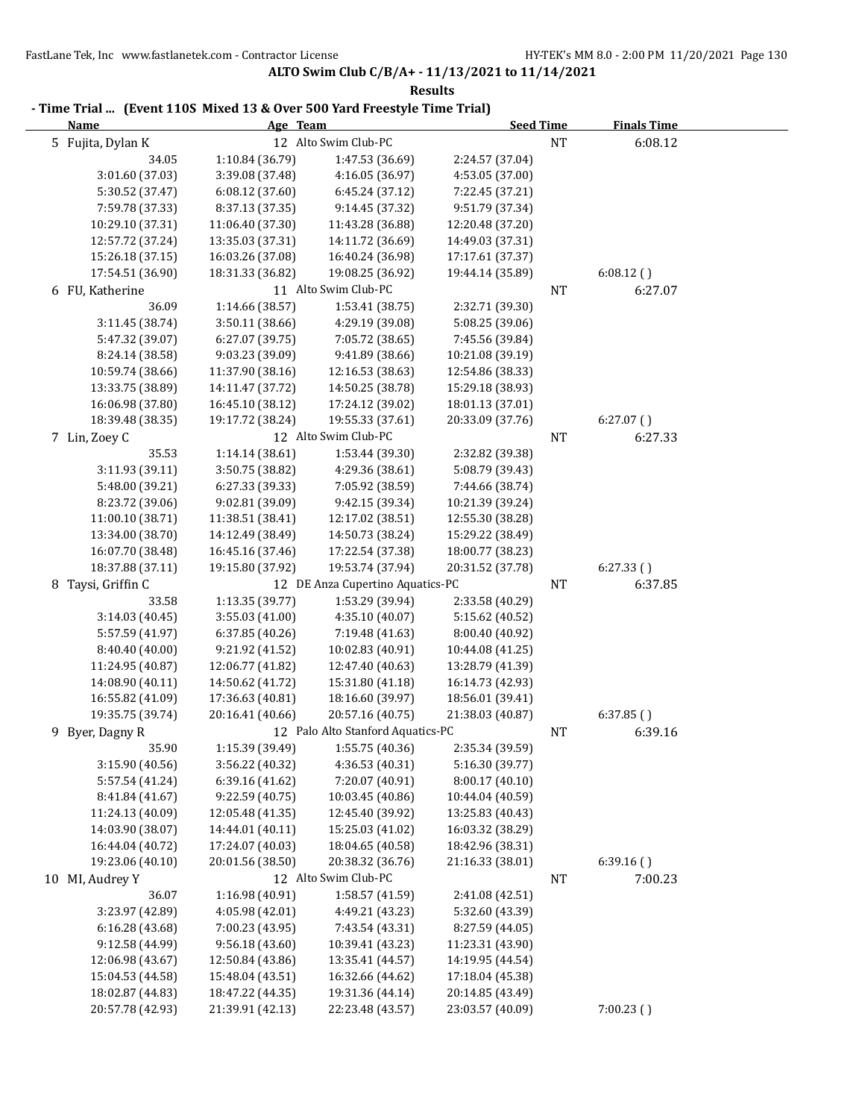**ALTO Swim Club C/B/A+ - 11/13/2021 to 11/14/2021 Results**

| - Time Trial  (Event 110S Mixed 13 & Over 500 Yard Freestyle Time Trial) |                                      |                                          |                                      |           |                    |  |
|--------------------------------------------------------------------------|--------------------------------------|------------------------------------------|--------------------------------------|-----------|--------------------|--|
| <b>Name</b>                                                              | Age Team                             |                                          | <b>Seed Time</b>                     |           | <b>Finals Time</b> |  |
| 5 Fujita, Dylan K                                                        |                                      | 12 Alto Swim Club-PC                     |                                      | <b>NT</b> | 6:08.12            |  |
| 34.05                                                                    | 1:10.84 (36.79)                      | 1:47.53 (36.69)                          | 2:24.57 (37.04)                      |           |                    |  |
| 3:01.60 (37.03)                                                          | 3:39.08 (37.48)                      | 4:16.05 (36.97)                          | 4:53.05 (37.00)                      |           |                    |  |
| 5:30.52 (37.47)                                                          | 6:08.12(37.60)                       | 6:45.24(37.12)                           | 7:22.45 (37.21)                      |           |                    |  |
| 7:59.78 (37.33)                                                          | 8:37.13 (37.35)                      | 9:14.45 (37.32)                          | 9:51.79 (37.34)                      |           |                    |  |
| 10:29.10 (37.31)                                                         | 11:06.40 (37.30)                     | 11:43.28 (36.88)                         | 12:20.48 (37.20)                     |           |                    |  |
| 12:57.72 (37.24)<br>15:26.18 (37.15)                                     | 13:35.03 (37.31)                     | 14:11.72 (36.69)                         | 14:49.03 (37.31)                     |           |                    |  |
| 17:54.51 (36.90)                                                         | 16:03.26 (37.08)                     | 16:40.24 (36.98)<br>19:08.25 (36.92)     | 17:17.61 (37.37)                     |           | 6:08.12()          |  |
| 6 FU, Katherine                                                          | 18:31.33 (36.82)                     | 11 Alto Swim Club-PC                     | 19:44.14 (35.89)                     |           |                    |  |
| 36.09                                                                    | 1:14.66 (38.57)                      |                                          |                                      | NT        | 6:27.07            |  |
| 3:11.45 (38.74)                                                          | 3:50.11 (38.66)                      | 1:53.41 (38.75)<br>4:29.19 (39.08)       | 2:32.71 (39.30)                      |           |                    |  |
|                                                                          | 6:27.07 (39.75)                      | 7:05.72 (38.65)                          | 5:08.25 (39.06)<br>7:45.56 (39.84)   |           |                    |  |
| 5:47.32 (39.07)                                                          |                                      |                                          |                                      |           |                    |  |
| 8:24.14 (38.58)                                                          | 9:03.23 (39.09)                      | 9:41.89 (38.66)<br>12:16.53 (38.63)      | 10:21.08 (39.19)<br>12:54.86 (38.33) |           |                    |  |
| 10:59.74 (38.66)<br>13:33.75 (38.89)                                     | 11:37.90 (38.16)<br>14:11.47 (37.72) | 14:50.25 (38.78)                         | 15:29.18 (38.93)                     |           |                    |  |
| 16:06.98 (37.80)                                                         | 16:45.10 (38.12)                     | 17:24.12 (39.02)                         | 18:01.13 (37.01)                     |           |                    |  |
| 18:39.48 (38.35)                                                         | 19:17.72 (38.24)                     | 19:55.33 (37.61)                         | 20:33.09 (37.76)                     |           | 6:27.07()          |  |
|                                                                          |                                      | 12 Alto Swim Club-PC                     |                                      |           | 6:27.33            |  |
| 7 Lin, Zoey C                                                            |                                      |                                          |                                      | NT        |                    |  |
| 35.53                                                                    | 1:14.14 (38.61)                      | 1:53.44 (39.30)                          | 2:32.82 (39.38)                      |           |                    |  |
| 3:11.93 (39.11)                                                          | 3:50.75 (38.82)                      | 4:29.36 (38.61)                          | 5:08.79 (39.43)                      |           |                    |  |
| 5:48.00 (39.21)                                                          | 6:27.33 (39.33)                      | 7:05.92 (38.59)                          | 7:44.66 (38.74)                      |           |                    |  |
| 8:23.72 (39.06)                                                          | 9:02.81 (39.09)                      | 9:42.15 (39.34)                          | 10:21.39 (39.24)                     |           |                    |  |
| 11:00.10 (38.71)                                                         | 11:38.51 (38.41)                     | 12:17.02 (38.51)                         | 12:55.30 (38.28)                     |           |                    |  |
| 13:34.00 (38.70)                                                         | 14:12.49 (38.49)                     | 14:50.73 (38.24)                         | 15:29.22 (38.49)                     |           |                    |  |
| 16:07.70 (38.48)                                                         | 16:45.16 (37.46)                     | 17:22.54 (37.38)                         | 18:00.77 (38.23)                     |           |                    |  |
| 18:37.88 (37.11)                                                         | 19:15.80 (37.92)                     | 19:53.74 (37.94)                         | 20:31.52 (37.78)                     |           | 6:27.33()          |  |
| 8 Taysi, Griffin C                                                       |                                      | 12 DE Anza Cupertino Aquatics-PC         |                                      | NT        | 6:37.85            |  |
| 33.58                                                                    | 1:13.35 (39.77)                      | 1:53.29 (39.94)                          | 2:33.58 (40.29)                      |           |                    |  |
| 3:14.03 (40.45)                                                          | 3:55.03 (41.00)                      | 4:35.10 (40.07)                          | 5:15.62 (40.52)                      |           |                    |  |
| 5:57.59 (41.97)                                                          | 6:37.85 (40.26)                      | 7:19.48 (41.63)                          | 8:00.40 (40.92)                      |           |                    |  |
| 8:40.40 (40.00)                                                          | 9:21.92 (41.52)                      | 10:02.83 (40.91)                         | 10:44.08 (41.25)                     |           |                    |  |
| 11:24.95 (40.87)                                                         | 12:06.77 (41.82)                     | 12:47.40 (40.63)                         | 13:28.79 (41.39)                     |           |                    |  |
| 14:08.90 (40.11)                                                         | 14:50.62 (41.72)                     | 15:31.80 (41.18)                         | 16:14.73 (42.93)                     |           |                    |  |
| 16:55.82 (41.09)                                                         | 17:36.63 (40.81)                     | 18:16.60 (39.97)                         | 18:56.01 (39.41)                     |           |                    |  |
| 19:35.75 (39.74)                                                         | 20:16.41 (40.66)                     | 20:57.16 (40.75)                         | 21:38.03 (40.87)                     |           | 6:37.85()          |  |
| 9 Byer, Dagny R                                                          |                                      | 12 Palo Alto Stanford Aquatics-PC        |                                      | NT        | 6:39.16            |  |
| 35.90                                                                    | 1:15.39 (39.49)                      | 1:55.75 (40.36)                          | 2:35.34 (39.59)                      |           |                    |  |
| 3:15.90 (40.56)                                                          | 3:56.22 (40.32)                      | 4:36.53 (40.31)                          | 5:16.30 (39.77)                      |           |                    |  |
| 5:57.54 (41.24)                                                          | 6:39.16 (41.62)                      | 7:20.07 (40.91)                          | 8:00.17 (40.10)                      |           |                    |  |
| 8:41.84 (41.67)                                                          | 9:22.59 (40.75)                      | 10:03.45 (40.86)                         | 10:44.04 (40.59)                     |           |                    |  |
| 11:24.13 (40.09)                                                         | 12:05.48 (41.35)<br>14:44.01 (40.11) | 12:45.40 (39.92)                         | 13:25.83 (40.43)<br>16:03.32 (38.29) |           |                    |  |
| 14:03.90 (38.07)<br>16:44.04 (40.72)                                     | 17:24.07 (40.03)                     | 15:25.03 (41.02)<br>18:04.65 (40.58)     | 18:42.96 (38.31)                     |           |                    |  |
|                                                                          | 20:01.56 (38.50)                     |                                          |                                      |           |                    |  |
| 19:23.06 (40.10)                                                         |                                      | 20:38.32 (36.76)<br>12 Alto Swim Club-PC | 21:16.33 (38.01)                     |           | 6:39.16()          |  |
| 10 MI, Audrey Y                                                          |                                      |                                          |                                      | NT        | 7:00.23            |  |
| 36.07                                                                    | 1:16.98 (40.91)                      | 1:58.57 (41.59)                          | 2:41.08 (42.51)                      |           |                    |  |
| 3:23.97 (42.89)                                                          | 4:05.98 (42.01)                      | 4:49.21 (43.23)                          | 5:32.60 (43.39)                      |           |                    |  |
| 6:16.28 (43.68)                                                          | 7:00.23 (43.95)                      | 7:43.54 (43.31)                          | 8:27.59 (44.05)                      |           |                    |  |
| 9:12.58 (44.99)                                                          | 9:56.18 (43.60)                      | 10:39.41 (43.23)                         | 11:23.31 (43.90)                     |           |                    |  |
| 12:06.98 (43.67)                                                         | 12:50.84 (43.86)                     | 13:35.41 (44.57)                         | 14:19.95 (44.54)                     |           |                    |  |
| 15:04.53 (44.58)                                                         | 15:48.04 (43.51)                     | 16:32.66 (44.62)                         | 17:18.04 (45.38)                     |           |                    |  |
| 18:02.87 (44.83)                                                         | 18:47.22 (44.35)                     | 19:31.36 (44.14)                         | 20:14.85 (43.49)                     |           |                    |  |
| 20:57.78 (42.93)                                                         | 21:39.91 (42.13)                     | 22:23.48 (43.57)                         | 23:03.57 (40.09)                     |           | 7:00.23(           |  |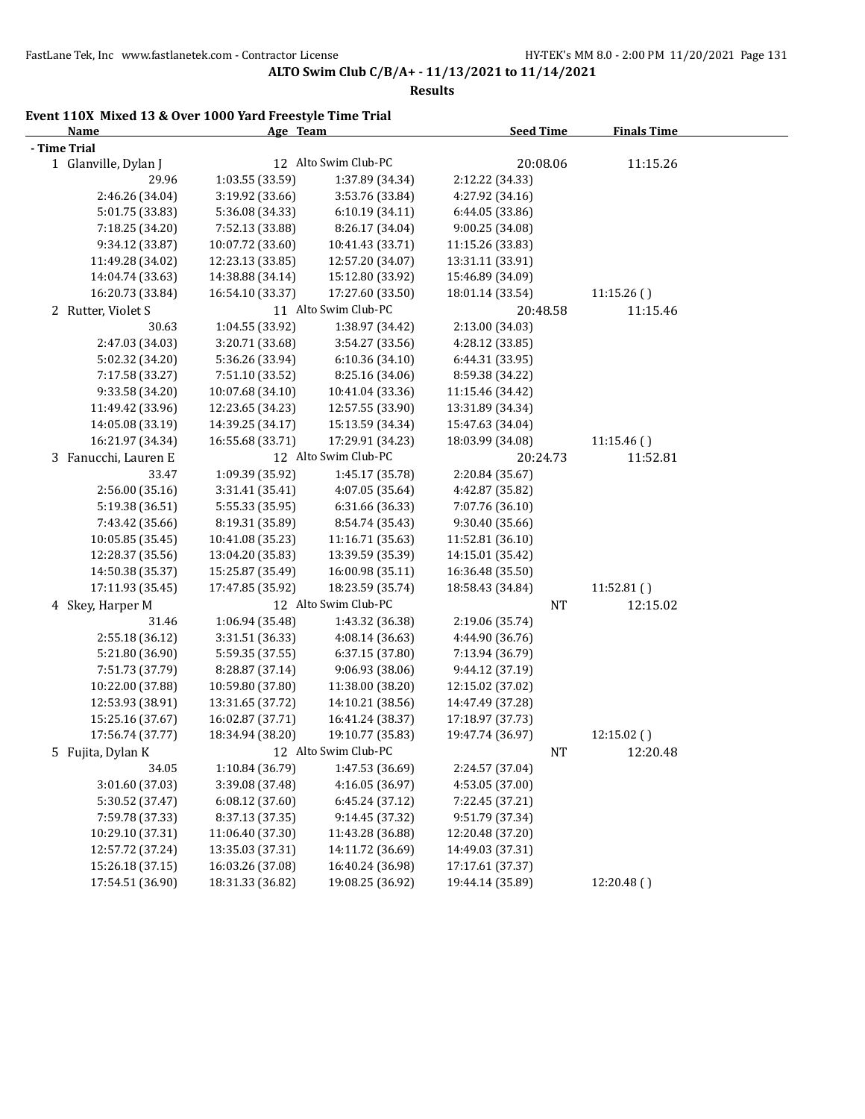**Results**

# **Event 110X Mixed 13 & Over 1000 Yard Freestyle Time Trial**

| <b>Name</b>          | Age Team         |                      | <b>Seed Time</b> | <b>Finals Time</b> |  |
|----------------------|------------------|----------------------|------------------|--------------------|--|
| - Time Trial         |                  |                      |                  |                    |  |
| 1 Glanville, Dylan J |                  | 12 Alto Swim Club-PC | 20:08.06         | 11:15.26           |  |
| 29.96                | 1:03.55 (33.59)  | 1:37.89 (34.34)      | 2:12.22 (34.33)  |                    |  |
| 2:46.26 (34.04)      | 3:19.92 (33.66)  | 3:53.76 (33.84)      | 4:27.92 (34.16)  |                    |  |
| 5:01.75 (33.83)      | 5:36.08 (34.33)  | 6:10.19 (34.11)      | 6:44.05 (33.86)  |                    |  |
| 7:18.25 (34.20)      | 7:52.13 (33.88)  | 8:26.17 (34.04)      | 9:00.25 (34.08)  |                    |  |
| 9:34.12 (33.87)      | 10:07.72 (33.60) | 10:41.43 (33.71)     | 11:15.26 (33.83) |                    |  |
| 11:49.28 (34.02)     | 12:23.13 (33.85) | 12:57.20 (34.07)     | 13:31.11 (33.91) |                    |  |
| 14:04.74 (33.63)     | 14:38.88 (34.14) | 15:12.80 (33.92)     | 15:46.89 (34.09) |                    |  |
| 16:20.73 (33.84)     | 16:54.10 (33.37) | 17:27.60 (33.50)     | 18:01.14 (33.54) | 11:15.26()         |  |
| 2 Rutter, Violet S   |                  | 11 Alto Swim Club-PC | 20:48.58         | 11:15.46           |  |
| 30.63                | 1:04.55 (33.92)  | 1:38.97 (34.42)      | 2:13.00 (34.03)  |                    |  |
| 2:47.03 (34.03)      | 3:20.71 (33.68)  | 3:54.27 (33.56)      | 4:28.12 (33.85)  |                    |  |
| 5:02.32 (34.20)      | 5:36.26 (33.94)  | 6:10.36 (34.10)      | 6:44.31 (33.95)  |                    |  |
| 7:17.58 (33.27)      | 7:51.10 (33.52)  | 8:25.16 (34.06)      | 8:59.38 (34.22)  |                    |  |
| 9:33.58 (34.20)      | 10:07.68 (34.10) | 10:41.04 (33.36)     | 11:15.46 (34.42) |                    |  |
| 11:49.42 (33.96)     | 12:23.65 (34.23) | 12:57.55 (33.90)     | 13:31.89 (34.34) |                    |  |
| 14:05.08 (33.19)     | 14:39.25 (34.17) | 15:13.59 (34.34)     | 15:47.63 (34.04) |                    |  |
| 16:21.97 (34.34)     | 16:55.68 (33.71) | 17:29.91 (34.23)     | 18:03.99 (34.08) | 11:15.46()         |  |
| 3 Fanucchi, Lauren E |                  | 12 Alto Swim Club-PC | 20:24.73         | 11:52.81           |  |
| 33.47                | 1:09.39 (35.92)  | 1:45.17 (35.78)      | 2:20.84 (35.67)  |                    |  |
| 2:56.00 (35.16)      | 3:31.41 (35.41)  | 4:07.05 (35.64)      | 4:42.87 (35.82)  |                    |  |
| 5:19.38 (36.51)      | 5:55.33 (35.95)  | 6:31.66 (36.33)      | 7:07.76 (36.10)  |                    |  |
| 7:43.42 (35.66)      | 8:19.31 (35.89)  | 8:54.74 (35.43)      | 9:30.40 (35.66)  |                    |  |
| 10:05.85 (35.45)     | 10:41.08 (35.23) | 11:16.71 (35.63)     | 11:52.81 (36.10) |                    |  |
| 12:28.37 (35.56)     | 13:04.20 (35.83) | 13:39.59 (35.39)     | 14:15.01 (35.42) |                    |  |
| 14:50.38 (35.37)     | 15:25.87 (35.49) | 16:00.98 (35.11)     | 16:36.48 (35.50) |                    |  |
| 17:11.93 (35.45)     | 17:47.85 (35.92) | 18:23.59 (35.74)     | 18:58.43 (34.84) | 11:52.81()         |  |
| 4 Skey, Harper M     |                  | 12 Alto Swim Club-PC | <b>NT</b>        | 12:15.02           |  |
| 31.46                | 1:06.94 (35.48)  | 1:43.32 (36.38)      | 2:19.06 (35.74)  |                    |  |
| 2:55.18 (36.12)      | 3:31.51 (36.33)  | 4:08.14 (36.63)      | 4:44.90 (36.76)  |                    |  |
| 5:21.80 (36.90)      | 5:59.35 (37.55)  | 6:37.15 (37.80)      | 7:13.94 (36.79)  |                    |  |
| 7:51.73 (37.79)      | 8:28.87 (37.14)  | 9:06.93 (38.06)      | 9:44.12 (37.19)  |                    |  |
| 10:22.00 (37.88)     | 10:59.80 (37.80) | 11:38.00 (38.20)     | 12:15.02 (37.02) |                    |  |
| 12:53.93 (38.91)     | 13:31.65 (37.72) | 14:10.21 (38.56)     | 14:47.49 (37.28) |                    |  |
| 15:25.16 (37.67)     | 16:02.87 (37.71) | 16:41.24 (38.37)     | 17:18.97 (37.73) |                    |  |
| 17:56.74 (37.77)     | 18:34.94 (38.20) | 19:10.77 (35.83)     | 19:47.74 (36.97) | 12:15.02 ()        |  |
| 5 Fujita, Dylan K    |                  | 12 Alto Swim Club-PC | NT               | 12:20.48           |  |
| 34.05                | 1:10.84 (36.79)  | 1:47.53 (36.69)      | 2:24.57 (37.04)  |                    |  |
| 3:01.60 (37.03)      | 3:39.08 (37.48)  | 4:16.05 (36.97)      | 4:53.05 (37.00)  |                    |  |
| 5:30.52 (37.47)      | 6:08.12 (37.60)  | 6:45.24 (37.12)      | 7:22.45 (37.21)  |                    |  |
| 7:59.78 (37.33)      | 8:37.13 (37.35)  | 9:14.45 (37.32)      | 9:51.79 (37.34)  |                    |  |
| 10:29.10 (37.31)     | 11:06.40 (37.30) | 11:43.28 (36.88)     | 12:20.48 (37.20) |                    |  |
| 12:57.72 (37.24)     | 13:35.03 (37.31) | 14:11.72 (36.69)     | 14:49.03 (37.31) |                    |  |
| 15:26.18 (37.15)     | 16:03.26 (37.08) | 16:40.24 (36.98)     | 17:17.61 (37.37) |                    |  |
| 17:54.51 (36.90)     | 18:31.33 (36.82) | 19:08.25 (36.92)     | 19:44.14 (35.89) | 12:20.48()         |  |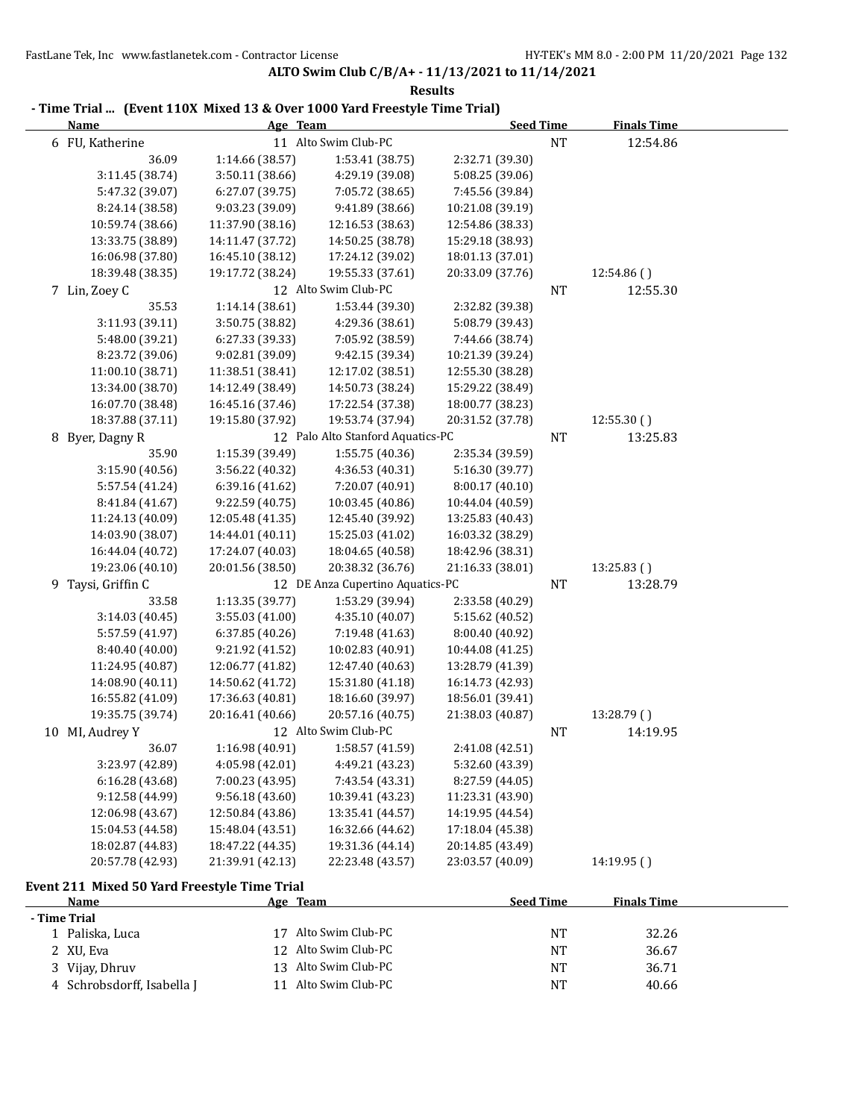**ALTO Swim Club C/B/A+ - 11/13/2021 to 11/14/2021 Results**

|   | - Time Trial (Event I IVX Mixed I3 & Over Tood Yard Freestyle Time Trial) |                  |                                   | <b>Seed Time</b> |           | <b>Finals Time</b> |  |
|---|---------------------------------------------------------------------------|------------------|-----------------------------------|------------------|-----------|--------------------|--|
|   | <u>Name</u>                                                               | Age Team         |                                   |                  |           |                    |  |
|   | 6 FU, Katherine                                                           |                  | 11 Alto Swim Club-PC              |                  | NT        | 12:54.86           |  |
|   | 36.09                                                                     | 1:14.66 (38.57)  | 1:53.41 (38.75)                   | 2:32.71 (39.30)  |           |                    |  |
|   | 3:11.45 (38.74)                                                           | 3:50.11 (38.66)  | 4:29.19 (39.08)                   | 5:08.25 (39.06)  |           |                    |  |
|   | 5:47.32 (39.07)                                                           | 6:27.07 (39.75)  | 7:05.72 (38.65)                   | 7:45.56 (39.84)  |           |                    |  |
|   | 8:24.14 (38.58)                                                           | 9:03.23 (39.09)  | 9:41.89 (38.66)                   | 10:21.08 (39.19) |           |                    |  |
|   | 10:59.74 (38.66)                                                          | 11:37.90 (38.16) | 12:16.53 (38.63)                  | 12:54.86 (38.33) |           |                    |  |
|   | 13:33.75 (38.89)                                                          | 14:11.47 (37.72) | 14:50.25 (38.78)                  | 15:29.18 (38.93) |           |                    |  |
|   | 16:06.98 (37.80)                                                          | 16:45.10 (38.12) | 17:24.12 (39.02)                  | 18:01.13 (37.01) |           |                    |  |
|   | 18:39.48 (38.35)                                                          | 19:17.72 (38.24) | 19:55.33 (37.61)                  | 20:33.09 (37.76) |           | 12:54.86()         |  |
|   | 7 Lin, Zoey C                                                             |                  | 12 Alto Swim Club-PC              |                  | <b>NT</b> | 12:55.30           |  |
|   | 35.53                                                                     | 1:14.14 (38.61)  | 1:53.44 (39.30)                   | 2:32.82 (39.38)  |           |                    |  |
|   | 3:11.93 (39.11)                                                           | 3:50.75 (38.82)  | 4:29.36 (38.61)                   | 5:08.79 (39.43)  |           |                    |  |
|   | 5:48.00 (39.21)                                                           | 6:27.33 (39.33)  | 7:05.92 (38.59)                   | 7:44.66 (38.74)  |           |                    |  |
|   | 8:23.72 (39.06)                                                           | 9:02.81 (39.09)  | 9:42.15 (39.34)                   | 10:21.39 (39.24) |           |                    |  |
|   | 11:00.10 (38.71)                                                          | 11:38.51 (38.41) | 12:17.02 (38.51)                  | 12:55.30 (38.28) |           |                    |  |
|   | 13:34.00 (38.70)                                                          | 14:12.49 (38.49) | 14:50.73 (38.24)                  | 15:29.22 (38.49) |           |                    |  |
|   | 16:07.70 (38.48)                                                          | 16:45.16 (37.46) | 17:22.54 (37.38)                  | 18:00.77 (38.23) |           |                    |  |
|   | 18:37.88 (37.11)                                                          | 19:15.80 (37.92) | 19:53.74 (37.94)                  | 20:31.52 (37.78) |           | 12:55.30()         |  |
| 8 | Byer, Dagny R                                                             |                  | 12 Palo Alto Stanford Aquatics-PC |                  | NT        | 13:25.83           |  |
|   | 35.90                                                                     | 1:15.39 (39.49)  | 1:55.75 (40.36)                   | 2:35.34 (39.59)  |           |                    |  |
|   | 3:15.90 (40.56)                                                           | 3:56.22 (40.32)  | 4:36.53 (40.31)                   | 5:16.30 (39.77)  |           |                    |  |
|   | 5:57.54 (41.24)                                                           | 6:39.16 (41.62)  | 7:20.07 (40.91)                   | 8:00.17 (40.10)  |           |                    |  |
|   | 8:41.84 (41.67)                                                           | 9:22.59 (40.75)  | 10:03.45 (40.86)                  | 10:44.04 (40.59) |           |                    |  |
|   | 11:24.13 (40.09)                                                          | 12:05.48 (41.35) | 12:45.40 (39.92)                  | 13:25.83 (40.43) |           |                    |  |
|   | 14:03.90 (38.07)                                                          | 14:44.01 (40.11) | 15:25.03 (41.02)                  | 16:03.32 (38.29) |           |                    |  |
|   | 16:44.04 (40.72)                                                          | 17:24.07 (40.03) | 18:04.65 (40.58)                  | 18:42.96 (38.31) |           |                    |  |
|   | 19:23.06 (40.10)                                                          | 20:01.56 (38.50) | 20:38.32 (36.76)                  | 21:16.33 (38.01) |           | 13:25.83()         |  |
|   | 9 Taysi, Griffin C                                                        |                  | 12 DE Anza Cupertino Aquatics-PC  |                  | NT        | 13:28.79           |  |
|   | 33.58                                                                     | 1:13.35 (39.77)  | 1:53.29 (39.94)                   | 2:33.58 (40.29)  |           |                    |  |
|   | 3:14.03 (40.45)                                                           | 3:55.03 (41.00)  | 4:35.10 (40.07)                   | 5:15.62 (40.52)  |           |                    |  |
|   | 5:57.59 (41.97)                                                           | 6:37.85 (40.26)  | 7:19.48 (41.63)                   | 8:00.40 (40.92)  |           |                    |  |
|   |                                                                           | 9:21.92 (41.52)  | 10:02.83 (40.91)                  |                  |           |                    |  |
|   | 8:40.40 (40.00)                                                           |                  |                                   | 10:44.08 (41.25) |           |                    |  |
|   | 11:24.95 (40.87)                                                          | 12:06.77 (41.82) | 12:47.40 (40.63)                  | 13:28.79 (41.39) |           |                    |  |
|   | 14:08.90 (40.11)                                                          | 14:50.62 (41.72) | 15:31.80 (41.18)                  | 16:14.73 (42.93) |           |                    |  |
|   | 16:55.82 (41.09)                                                          | 17:36.63 (40.81) | 18:16.60 (39.97)                  | 18:56.01 (39.41) |           |                    |  |
|   | 19:35.75 (39.74)                                                          | 20:16.41 (40.66) | 20:57.16 (40.75)                  | 21:38.03 (40.87) |           | 13:28.79()         |  |
|   | 10 MI, Audrey Y                                                           |                  | 12 Alto Swim Club-PC              |                  | NT        | 14:19.95           |  |
|   | 36.07                                                                     | 1:16.98 (40.91)  | 1:58.57 (41.59)                   | 2:41.08 (42.51)  |           |                    |  |
|   | 3:23.97 (42.89)                                                           | 4:05.98 (42.01)  | 4:49.21 (43.23)                   | 5:32.60 (43.39)  |           |                    |  |
|   | 6:16.28(43.68)                                                            | 7:00.23 (43.95)  | 7:43.54 (43.31)                   | 8:27.59 (44.05)  |           |                    |  |
|   | 9:12.58 (44.99)                                                           | 9:56.18(43.60)   | 10:39.41 (43.23)                  | 11:23.31 (43.90) |           |                    |  |
|   | 12:06.98 (43.67)                                                          | 12:50.84 (43.86) | 13:35.41 (44.57)                  | 14:19.95 (44.54) |           |                    |  |
|   | 15:04.53 (44.58)                                                          | 15:48.04 (43.51) | 16:32.66 (44.62)                  | 17:18.04 (45.38) |           |                    |  |
|   | 18:02.87 (44.83)                                                          | 18:47.22 (44.35) | 19:31.36 (44.14)                  | 20:14.85 (43.49) |           |                    |  |
|   | 20:57.78 (42.93)                                                          | 21:39.91 (42.13) | 22:23.48 (43.57)                  | 23:03.57 (40.09) |           | 14:19.95()         |  |
|   | Event 211 Mixed 50 Yard Freestyle Time Trial                              |                  |                                   |                  |           |                    |  |
|   | Name                                                                      | Age Team         |                                   | <b>Seed Time</b> |           | <b>Finals Time</b> |  |
|   | - Time Trial                                                              |                  |                                   |                  |           |                    |  |
|   | 1 Paliska, Luca                                                           |                  | 17 Alto Swim Club-PC              |                  | NT        | 32.26              |  |
|   | 2 XU, Eva                                                                 |                  | 12 Alto Swim Club-PC              |                  | NT        | 36.67              |  |
|   | 3 Vijay, Dhruv                                                            |                  | 13 Alto Swim Club-PC              |                  | NT        | 36.71              |  |
|   | 4 Schrobsdorff, Isabella J                                                |                  | 11 Alto Swim Club-PC              |                  | NT        | 40.66              |  |

# **- Time Trial ... (Event 110X Mixed 13 & Over 1000 Yard Freestyle Time Trial)**